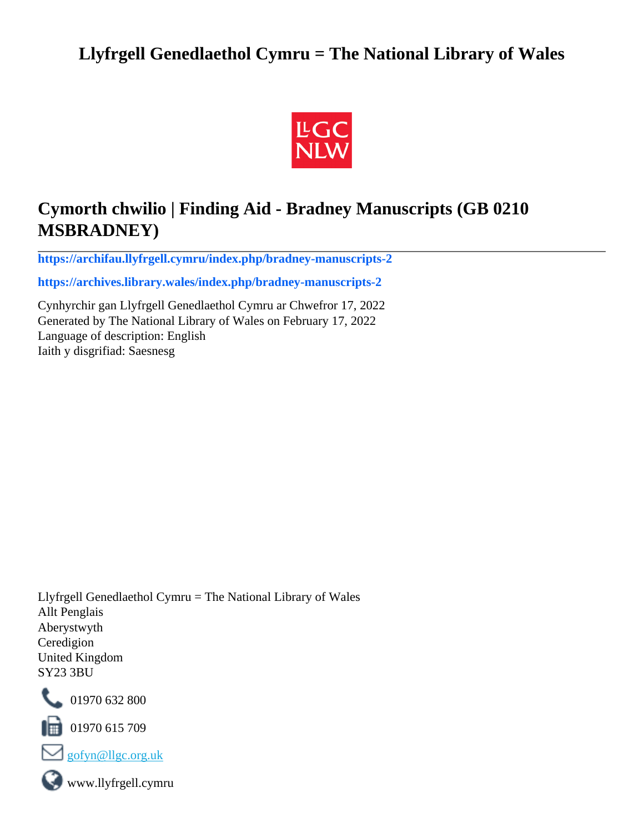## **Llyfrgell Genedlaethol Cymru = The National Library of Wales**



# **Cymorth chwilio | Finding Aid - Bradney Manuscripts (GB 0210 MSBRADNEY)**

**[https://archifau.llyfrgell.cymru/index.php/bradney-manuscripts-2](https://archifau.llyfrgell.cymru/index.php/bradney-manuscripts-2;isad?sf_culture=cy)**

**[https://archives.library.wales/index.php/bradney-manuscripts-2](https://archives.library.wales/index.php/bradney-manuscripts-2;isad?sf_culture=en)**

Cynhyrchir gan Llyfrgell Genedlaethol Cymru ar Chwefror 17, 2022 Generated by The National Library of Wales on February 17, 2022 Language of description: English Iaith y disgrifiad: Saesnesg

Llyfrgell Genedlaethol Cymru = The National Library of Wales Allt Penglais Aberystwyth Ceredigion United Kingdom SY23 3BU



101970 632 800

 $\blacksquare$  01970 615 709



www.llyfrgell.cymru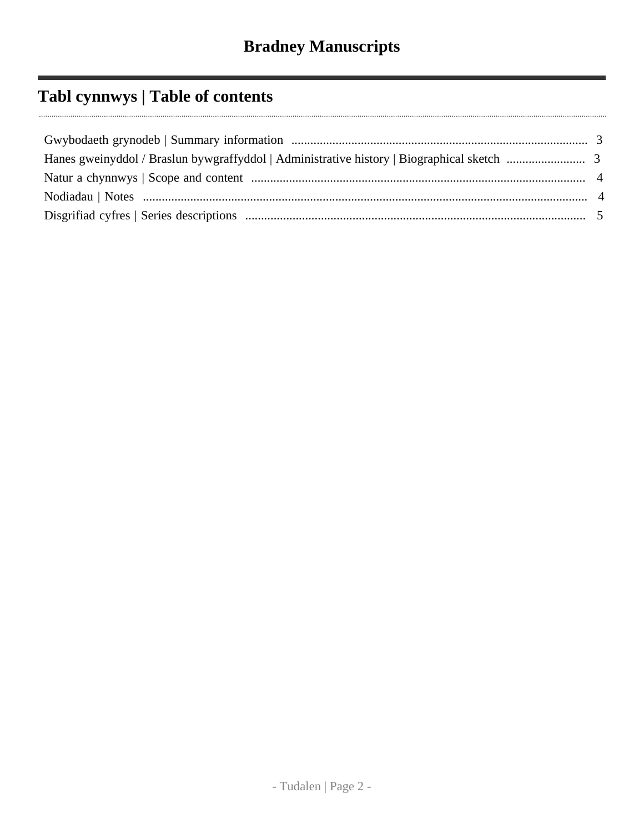# **Tabl cynnwys | Table of contents**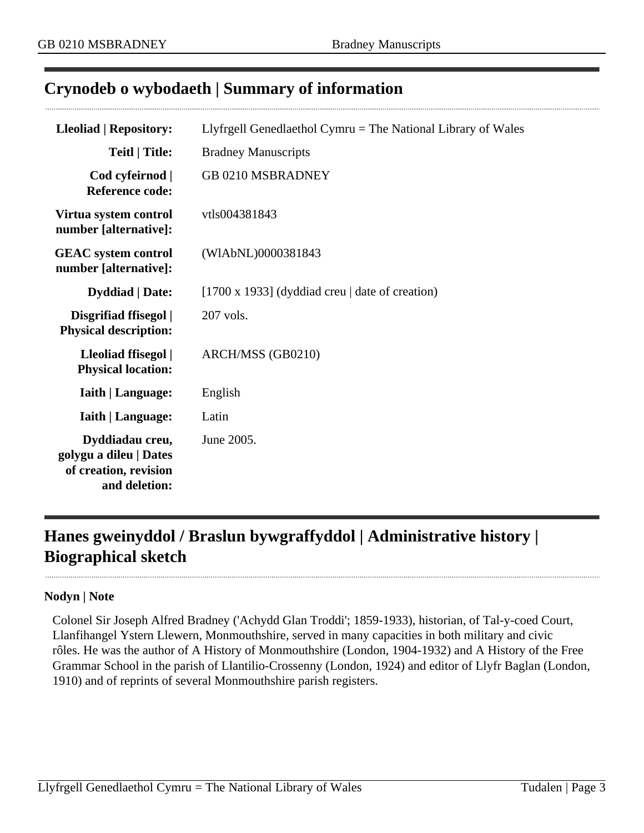## <span id="page-2-0"></span>**Crynodeb o wybodaeth | Summary of information**

| <b>Lleoliad   Repository:</b>                                                       | Llyfrgell Genedlaethol Cymru $=$ The National Library of Wales |
|-------------------------------------------------------------------------------------|----------------------------------------------------------------|
| <b>Teitl   Title:</b>                                                               | <b>Bradney Manuscripts</b>                                     |
| Cod cyfeirnod  <br><b>Reference code:</b>                                           | GB 0210 MSBRADNEY                                              |
| Virtua system control<br>number [alternative]:                                      | vtls004381843                                                  |
| <b>GEAC</b> system control<br>number [alternative]:                                 | (WIAbNL)0000381843                                             |
| <b>Dyddiad</b>   Date:                                                              | [1700 x 1933] (dyddiad creu $\vert$ date of creation)          |
| Disgrifiad ffisegol  <br><b>Physical description:</b>                               | 207 vols.                                                      |
| Lleoliad ffisegol  <br><b>Physical location:</b>                                    | ARCH/MSS (GB0210)                                              |
| <b>Iaith   Language:</b>                                                            | English                                                        |
| <b>Iaith   Language:</b>                                                            | Latin                                                          |
| Dyddiadau creu,<br>golygu a dileu   Dates<br>of creation, revision<br>and deletion: | June 2005.                                                     |

## <span id="page-2-1"></span>**Hanes gweinyddol / Braslun bywgraffyddol | Administrative history | Biographical sketch**

### **Nodyn | Note**

Colonel Sir Joseph Alfred Bradney ('Achydd Glan Troddi'; 1859-1933), historian, of Tal-y-coed Court, Llanfihangel Ystern Llewern, Monmouthshire, served in many capacities in both military and civic rôles. He was the author of A History of Monmouthshire (London, 1904-1932) and A History of the Free Grammar School in the parish of Llantilio-Crossenny (London, 1924) and editor of Llyfr Baglan (London, 1910) and of reprints of several Monmouthshire parish registers.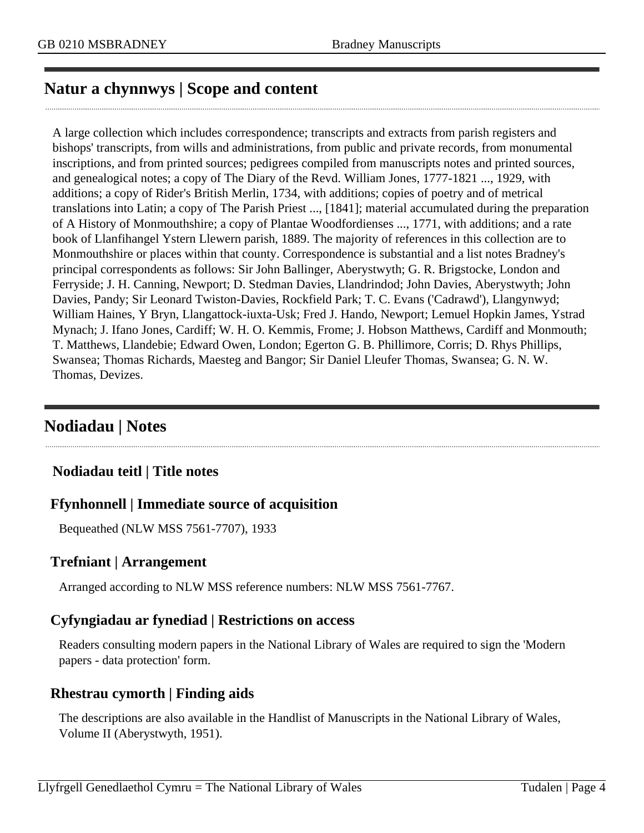## <span id="page-3-0"></span>**Natur a chynnwys | Scope and content**

A large collection which includes correspondence; transcripts and extracts from parish registers and bishops' transcripts, from wills and administrations, from public and private records, from monumental inscriptions, and from printed sources; pedigrees compiled from manuscripts notes and printed sources, and genealogical notes; a copy of The Diary of the Revd. William Jones, 1777-1821 ..., 1929, with additions; a copy of Rider's British Merlin, 1734, with additions; copies of poetry and of metrical translations into Latin; a copy of The Parish Priest ..., [1841]; material accumulated during the preparation of A History of Monmouthshire; a copy of Plantae Woodfordienses ..., 1771, with additions; and a rate book of Llanfihangel Ystern Llewern parish, 1889. The majority of references in this collection are to Monmouthshire or places within that county. Correspondence is substantial and a list notes Bradney's principal correspondents as follows: Sir John Ballinger, Aberystwyth; G. R. Brigstocke, London and Ferryside; J. H. Canning, Newport; D. Stedman Davies, Llandrindod; John Davies, Aberystwyth; John Davies, Pandy; Sir Leonard Twiston-Davies, Rockfield Park; T. C. Evans ('Cadrawd'), Llangynwyd; William Haines, Y Bryn, Llangattock-iuxta-Usk; Fred J. Hando, Newport; Lemuel Hopkin James, Ystrad Mynach; J. Ifano Jones, Cardiff; W. H. O. Kemmis, Frome; J. Hobson Matthews, Cardiff and Monmouth; T. Matthews, Llandebie; Edward Owen, London; Egerton G. B. Phillimore, Corris; D. Rhys Phillips, Swansea; Thomas Richards, Maesteg and Bangor; Sir Daniel Lleufer Thomas, Swansea; G. N. W. Thomas, Devizes.

## <span id="page-3-1"></span>**Nodiadau | Notes**

### **Nodiadau teitl | Title notes**

### **Ffynhonnell | Immediate source of acquisition**

Bequeathed (NLW MSS 7561-7707), 1933

### **Trefniant | Arrangement**

Arranged according to NLW MSS reference numbers: NLW MSS 7561-7767.

### **Cyfyngiadau ar fynediad | Restrictions on access**

Readers consulting modern papers in the National Library of Wales are required to sign the 'Modern papers - data protection' form.

### **Rhestrau cymorth | Finding aids**

The descriptions are also available in the Handlist of Manuscripts in the National Library of Wales, Volume II (Aberystwyth, 1951).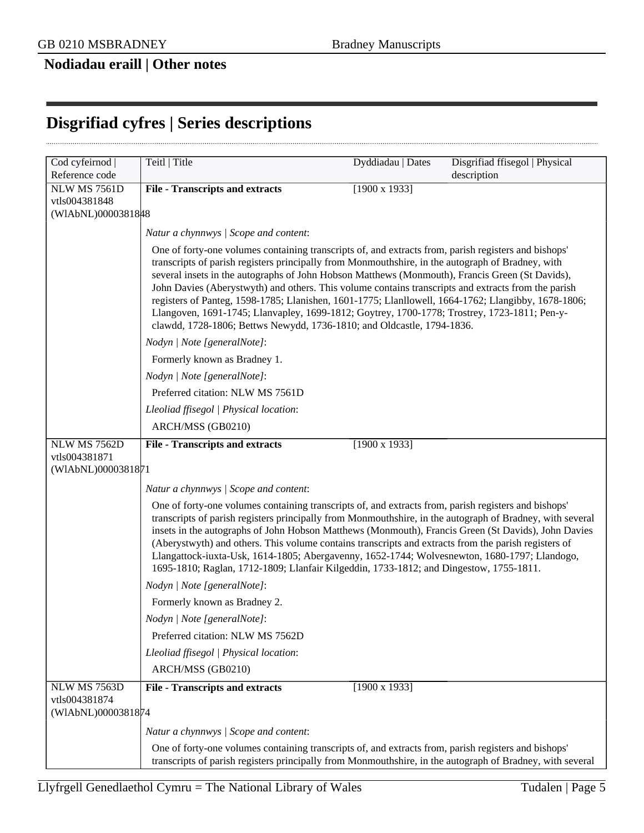## **Nodiadau eraill | Other notes**

## <span id="page-4-0"></span>**Disgrifiad cyfres | Series descriptions**

| Cod cyfeirnod                                              | Teitl   Title                                                                                                                                                                                                                                                                                                                                                                                                                                                                                                                                                                                                                                                                                        | Dyddiadau   Dates    | Disgrifiad ffisegol   Physical |
|------------------------------------------------------------|------------------------------------------------------------------------------------------------------------------------------------------------------------------------------------------------------------------------------------------------------------------------------------------------------------------------------------------------------------------------------------------------------------------------------------------------------------------------------------------------------------------------------------------------------------------------------------------------------------------------------------------------------------------------------------------------------|----------------------|--------------------------------|
| Reference code                                             |                                                                                                                                                                                                                                                                                                                                                                                                                                                                                                                                                                                                                                                                                                      |                      | description                    |
| <b>NLW MS 7561D</b>                                        | <b>File - Transcripts and extracts</b>                                                                                                                                                                                                                                                                                                                                                                                                                                                                                                                                                                                                                                                               | $[1900 \times 1933]$ |                                |
| vtls004381848<br>(WIAbNL)0000381848                        |                                                                                                                                                                                                                                                                                                                                                                                                                                                                                                                                                                                                                                                                                                      |                      |                                |
|                                                            |                                                                                                                                                                                                                                                                                                                                                                                                                                                                                                                                                                                                                                                                                                      |                      |                                |
|                                                            | Natur a chynnwys / Scope and content:                                                                                                                                                                                                                                                                                                                                                                                                                                                                                                                                                                                                                                                                |                      |                                |
|                                                            | One of forty-one volumes containing transcripts of, and extracts from, parish registers and bishops'<br>transcripts of parish registers principally from Monmouthshire, in the autograph of Bradney, with<br>several insets in the autographs of John Hobson Matthews (Monmouth), Francis Green (St Davids),<br>John Davies (Aberystwyth) and others. This volume contains transcripts and extracts from the parish<br>registers of Panteg, 1598-1785; Llanishen, 1601-1775; Llanllowell, 1664-1762; Llangibby, 1678-1806;<br>Llangoven, 1691-1745; Llanvapley, 1699-1812; Goytrey, 1700-1778; Trostrey, 1723-1811; Pen-y-<br>clawdd, 1728-1806; Bettws Newydd, 1736-1810; and Oldcastle, 1794-1836. |                      |                                |
|                                                            | Nodyn   Note [generalNote]:                                                                                                                                                                                                                                                                                                                                                                                                                                                                                                                                                                                                                                                                          |                      |                                |
|                                                            | Formerly known as Bradney 1.                                                                                                                                                                                                                                                                                                                                                                                                                                                                                                                                                                                                                                                                         |                      |                                |
|                                                            | Nodyn   Note [generalNote]:                                                                                                                                                                                                                                                                                                                                                                                                                                                                                                                                                                                                                                                                          |                      |                                |
|                                                            | Preferred citation: NLW MS 7561D                                                                                                                                                                                                                                                                                                                                                                                                                                                                                                                                                                                                                                                                     |                      |                                |
|                                                            | Lleoliad ffisegol   Physical location:                                                                                                                                                                                                                                                                                                                                                                                                                                                                                                                                                                                                                                                               |                      |                                |
|                                                            | ARCH/MSS (GB0210)                                                                                                                                                                                                                                                                                                                                                                                                                                                                                                                                                                                                                                                                                    |                      |                                |
| <b>NLW MS 7562D</b><br>vtls004381871<br>(WIAbNL)0000381871 | <b>File - Transcripts and extracts</b><br>Natur a chynnwys / Scope and content:                                                                                                                                                                                                                                                                                                                                                                                                                                                                                                                                                                                                                      | $[1900 \times 1933]$ |                                |
|                                                            | One of forty-one volumes containing transcripts of, and extracts from, parish registers and bishops'<br>transcripts of parish registers principally from Monmouthshire, in the autograph of Bradney, with several<br>insets in the autographs of John Hobson Matthews (Monmouth), Francis Green (St Davids), John Davies<br>(Aberystwyth) and others. This volume contains transcripts and extracts from the parish registers of<br>Llangattock-iuxta-Usk, 1614-1805; Abergavenny, 1652-1744; Wolvesnewton, 1680-1797; Llandogo,<br>1695-1810; Raglan, 1712-1809; Llanfair Kilgeddin, 1733-1812; and Dingestow, 1755-1811.                                                                           |                      |                                |
|                                                            | Nodyn   Note [generalNote]:                                                                                                                                                                                                                                                                                                                                                                                                                                                                                                                                                                                                                                                                          |                      |                                |
|                                                            | Formerly known as Bradney 2.                                                                                                                                                                                                                                                                                                                                                                                                                                                                                                                                                                                                                                                                         |                      |                                |
|                                                            | Nodyn   Note [generalNote]:                                                                                                                                                                                                                                                                                                                                                                                                                                                                                                                                                                                                                                                                          |                      |                                |
|                                                            | Preferred citation: NLW MS 7562D                                                                                                                                                                                                                                                                                                                                                                                                                                                                                                                                                                                                                                                                     |                      |                                |
|                                                            | Lleoliad ffisegol   Physical location:                                                                                                                                                                                                                                                                                                                                                                                                                                                                                                                                                                                                                                                               |                      |                                |
|                                                            | ARCH/MSS (GB0210)                                                                                                                                                                                                                                                                                                                                                                                                                                                                                                                                                                                                                                                                                    |                      |                                |
| <b>NLW MS 7563D</b><br>vtls004381874<br>(WIAbNL)0000381874 | <b>File - Transcripts and extracts</b>                                                                                                                                                                                                                                                                                                                                                                                                                                                                                                                                                                                                                                                               | $[1900 \times 1933]$ |                                |
|                                                            |                                                                                                                                                                                                                                                                                                                                                                                                                                                                                                                                                                                                                                                                                                      |                      |                                |
|                                                            | Natur a chynnwys / Scope and content:<br>One of forty-one volumes containing transcripts of, and extracts from, parish registers and bishops'                                                                                                                                                                                                                                                                                                                                                                                                                                                                                                                                                        |                      |                                |
|                                                            | transcripts of parish registers principally from Monmouthshire, in the autograph of Bradney, with several                                                                                                                                                                                                                                                                                                                                                                                                                                                                                                                                                                                            |                      |                                |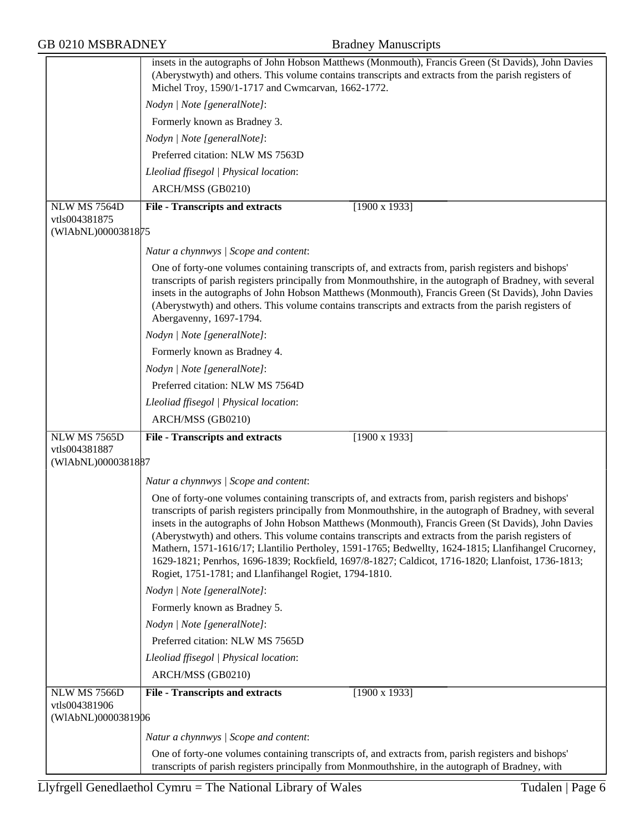| <b>GB 0210 MSBRADNEY</b>                            | <b>Bradney Manuscripts</b>                                                                                                                                                                                                                                                                                                                                                                                                                                                                                                                                                                                                                                                                              |
|-----------------------------------------------------|---------------------------------------------------------------------------------------------------------------------------------------------------------------------------------------------------------------------------------------------------------------------------------------------------------------------------------------------------------------------------------------------------------------------------------------------------------------------------------------------------------------------------------------------------------------------------------------------------------------------------------------------------------------------------------------------------------|
|                                                     | insets in the autographs of John Hobson Matthews (Monmouth), Francis Green (St Davids), John Davies<br>(Aberystwyth) and others. This volume contains transcripts and extracts from the parish registers of<br>Michel Troy, 1590/1-1717 and Cwmcarvan, 1662-1772.                                                                                                                                                                                                                                                                                                                                                                                                                                       |
|                                                     | Nodyn   Note [generalNote]:                                                                                                                                                                                                                                                                                                                                                                                                                                                                                                                                                                                                                                                                             |
|                                                     | Formerly known as Bradney 3.                                                                                                                                                                                                                                                                                                                                                                                                                                                                                                                                                                                                                                                                            |
|                                                     | Nodyn   Note [generalNote]:                                                                                                                                                                                                                                                                                                                                                                                                                                                                                                                                                                                                                                                                             |
|                                                     | Preferred citation: NLW MS 7563D                                                                                                                                                                                                                                                                                                                                                                                                                                                                                                                                                                                                                                                                        |
|                                                     | Lleoliad ffisegol   Physical location:                                                                                                                                                                                                                                                                                                                                                                                                                                                                                                                                                                                                                                                                  |
|                                                     | ARCH/MSS (GB0210)                                                                                                                                                                                                                                                                                                                                                                                                                                                                                                                                                                                                                                                                                       |
| NLW MS 7564D                                        | <b>File - Transcripts and extracts</b><br>$[1900 \times 1933]$                                                                                                                                                                                                                                                                                                                                                                                                                                                                                                                                                                                                                                          |
| vtls004381875<br>(WIAbNL)0000381875                 |                                                                                                                                                                                                                                                                                                                                                                                                                                                                                                                                                                                                                                                                                                         |
|                                                     | Natur a chynnwys / Scope and content:                                                                                                                                                                                                                                                                                                                                                                                                                                                                                                                                                                                                                                                                   |
|                                                     | One of forty-one volumes containing transcripts of, and extracts from, parish registers and bishops'<br>transcripts of parish registers principally from Monmouthshire, in the autograph of Bradney, with several<br>insets in the autographs of John Hobson Matthews (Monmouth), Francis Green (St Davids), John Davies<br>(Aberystwyth) and others. This volume contains transcripts and extracts from the parish registers of<br>Abergavenny, 1697-1794.                                                                                                                                                                                                                                             |
|                                                     | Nodyn   Note [generalNote]:                                                                                                                                                                                                                                                                                                                                                                                                                                                                                                                                                                                                                                                                             |
|                                                     | Formerly known as Bradney 4.                                                                                                                                                                                                                                                                                                                                                                                                                                                                                                                                                                                                                                                                            |
|                                                     | Nodyn   Note [generalNote]:                                                                                                                                                                                                                                                                                                                                                                                                                                                                                                                                                                                                                                                                             |
|                                                     | Preferred citation: NLW MS 7564D                                                                                                                                                                                                                                                                                                                                                                                                                                                                                                                                                                                                                                                                        |
|                                                     | Lleoliad ffisegol   Physical location:                                                                                                                                                                                                                                                                                                                                                                                                                                                                                                                                                                                                                                                                  |
|                                                     | ARCH/MSS (GB0210)                                                                                                                                                                                                                                                                                                                                                                                                                                                                                                                                                                                                                                                                                       |
| NLW MS 7565D                                        | $[1900 \times 1933]$<br><b>File - Transcripts and extracts</b>                                                                                                                                                                                                                                                                                                                                                                                                                                                                                                                                                                                                                                          |
| vtls004381887<br>(WIAbNL)0000381887                 |                                                                                                                                                                                                                                                                                                                                                                                                                                                                                                                                                                                                                                                                                                         |
|                                                     | Natur a chynnwys / Scope and content:                                                                                                                                                                                                                                                                                                                                                                                                                                                                                                                                                                                                                                                                   |
|                                                     | One of forty-one volumes containing transcripts of, and extracts from, parish registers and bishops'<br>transcripts of parish registers principally from Monmouthshire, in the autograph of Bradney, with several<br>insets in the autographs of John Hobson Matthews (Monmouth), Francis Green (St Davids), John Davies<br>(Aberystwyth) and others. This volume contains transcripts and extracts from the parish registers of<br>Mathern, 1571-1616/17; Llantilio Pertholey, 1591-1765; Bedwellty, 1624-1815; Llanfihangel Crucorney,<br>1629-1821; Penrhos, 1696-1839; Rockfield, 1697/8-1827; Caldicot, 1716-1820; Llanfoist, 1736-1813;<br>Rogiet, 1751-1781; and Llanfihangel Rogiet, 1794-1810. |
|                                                     | Nodyn   Note [generalNote]:                                                                                                                                                                                                                                                                                                                                                                                                                                                                                                                                                                                                                                                                             |
|                                                     | Formerly known as Bradney 5.                                                                                                                                                                                                                                                                                                                                                                                                                                                                                                                                                                                                                                                                            |
|                                                     | Nodyn   Note [generalNote]:                                                                                                                                                                                                                                                                                                                                                                                                                                                                                                                                                                                                                                                                             |
|                                                     | Preferred citation: NLW MS 7565D                                                                                                                                                                                                                                                                                                                                                                                                                                                                                                                                                                                                                                                                        |
|                                                     | Lleoliad ffisegol   Physical location:                                                                                                                                                                                                                                                                                                                                                                                                                                                                                                                                                                                                                                                                  |
|                                                     | ARCH/MSS (GB0210)                                                                                                                                                                                                                                                                                                                                                                                                                                                                                                                                                                                                                                                                                       |
| NLW MS 7566D<br>vtls004381906<br>(WIAbNL)0000381906 | <b>File - Transcripts and extracts</b><br>$[1900 \times 1933]$                                                                                                                                                                                                                                                                                                                                                                                                                                                                                                                                                                                                                                          |
|                                                     | Natur a chynnwys / Scope and content:                                                                                                                                                                                                                                                                                                                                                                                                                                                                                                                                                                                                                                                                   |
|                                                     | One of forty-one volumes containing transcripts of, and extracts from, parish registers and bishops'<br>transcripts of parish registers principally from Monmouthshire, in the autograph of Bradney, with                                                                                                                                                                                                                                                                                                                                                                                                                                                                                               |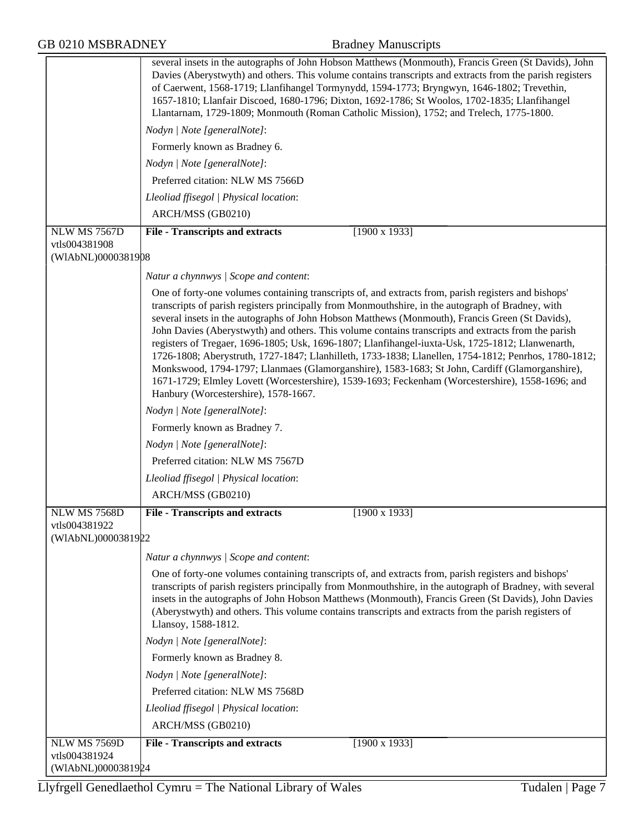| <b>GB 0210 MSBRADNEY</b>                            | <b>Bradney Manuscripts</b>                                                                                                                                                                                                                                                                                                                                                                                                                                                                                                                                                                                                                                                                                                                                                                                                                                                    |
|-----------------------------------------------------|-------------------------------------------------------------------------------------------------------------------------------------------------------------------------------------------------------------------------------------------------------------------------------------------------------------------------------------------------------------------------------------------------------------------------------------------------------------------------------------------------------------------------------------------------------------------------------------------------------------------------------------------------------------------------------------------------------------------------------------------------------------------------------------------------------------------------------------------------------------------------------|
|                                                     | several insets in the autographs of John Hobson Matthews (Monmouth), Francis Green (St Davids), John<br>Davies (Aberystwyth) and others. This volume contains transcripts and extracts from the parish registers<br>of Caerwent, 1568-1719; Llanfihangel Tormynydd, 1594-1773; Bryngwyn, 1646-1802; Trevethin,<br>1657-1810; Llanfair Discoed, 1680-1796; Dixton, 1692-1786; St Woolos, 1702-1835; Llanfihangel<br>Llantarnam, 1729-1809; Monmouth (Roman Catholic Mission), 1752; and Trelech, 1775-1800.                                                                                                                                                                                                                                                                                                                                                                    |
|                                                     | Nodyn   Note [generalNote]:                                                                                                                                                                                                                                                                                                                                                                                                                                                                                                                                                                                                                                                                                                                                                                                                                                                   |
|                                                     | Formerly known as Bradney 6.                                                                                                                                                                                                                                                                                                                                                                                                                                                                                                                                                                                                                                                                                                                                                                                                                                                  |
|                                                     | Nodyn   Note [generalNote]:                                                                                                                                                                                                                                                                                                                                                                                                                                                                                                                                                                                                                                                                                                                                                                                                                                                   |
|                                                     | Preferred citation: NLW MS 7566D                                                                                                                                                                                                                                                                                                                                                                                                                                                                                                                                                                                                                                                                                                                                                                                                                                              |
|                                                     | Lleoliad ffisegol   Physical location:                                                                                                                                                                                                                                                                                                                                                                                                                                                                                                                                                                                                                                                                                                                                                                                                                                        |
|                                                     | ARCH/MSS (GB0210)                                                                                                                                                                                                                                                                                                                                                                                                                                                                                                                                                                                                                                                                                                                                                                                                                                                             |
| NLW MS 7567D<br>vtls004381908<br>(WIAbNL)0000381908 | <b>File - Transcripts and extracts</b><br>$[1900 \times 1933]$                                                                                                                                                                                                                                                                                                                                                                                                                                                                                                                                                                                                                                                                                                                                                                                                                |
|                                                     | Natur a chynnwys / Scope and content:                                                                                                                                                                                                                                                                                                                                                                                                                                                                                                                                                                                                                                                                                                                                                                                                                                         |
|                                                     | One of forty-one volumes containing transcripts of, and extracts from, parish registers and bishops'<br>transcripts of parish registers principally from Monmouthshire, in the autograph of Bradney, with<br>several insets in the autographs of John Hobson Matthews (Monmouth), Francis Green (St Davids),<br>John Davies (Aberystwyth) and others. This volume contains transcripts and extracts from the parish<br>registers of Tregaer, 1696-1805; Usk, 1696-1807; Llanfihangel-iuxta-Usk, 1725-1812; Llanwenarth,<br>1726-1808; Aberystruth, 1727-1847; Llanhilleth, 1733-1838; Llanellen, 1754-1812; Penrhos, 1780-1812;<br>Monkswood, 1794-1797; Llanmaes (Glamorganshire), 1583-1683; St John, Cardiff (Glamorganshire),<br>1671-1729; Elmley Lovett (Worcestershire), 1539-1693; Feckenham (Worcestershire), 1558-1696; and<br>Hanbury (Worcestershire), 1578-1667. |
|                                                     | Nodyn   Note [generalNote]:                                                                                                                                                                                                                                                                                                                                                                                                                                                                                                                                                                                                                                                                                                                                                                                                                                                   |
|                                                     | Formerly known as Bradney 7.                                                                                                                                                                                                                                                                                                                                                                                                                                                                                                                                                                                                                                                                                                                                                                                                                                                  |
|                                                     | Nodyn   Note [generalNote]:                                                                                                                                                                                                                                                                                                                                                                                                                                                                                                                                                                                                                                                                                                                                                                                                                                                   |
|                                                     | Preferred citation: NLW MS 7567D                                                                                                                                                                                                                                                                                                                                                                                                                                                                                                                                                                                                                                                                                                                                                                                                                                              |
|                                                     | Lleoliad ffisegol   Physical location:                                                                                                                                                                                                                                                                                                                                                                                                                                                                                                                                                                                                                                                                                                                                                                                                                                        |
|                                                     | ARCH/MSS (GB0210)                                                                                                                                                                                                                                                                                                                                                                                                                                                                                                                                                                                                                                                                                                                                                                                                                                                             |
| <b>NLW MS 7568D</b>                                 | $[1900 \times 1933]$<br><b>File - Transcripts and extracts</b>                                                                                                                                                                                                                                                                                                                                                                                                                                                                                                                                                                                                                                                                                                                                                                                                                |
| vtls004381922<br>(WIAbNL)0000381922                 |                                                                                                                                                                                                                                                                                                                                                                                                                                                                                                                                                                                                                                                                                                                                                                                                                                                                               |
|                                                     | Natur a chynnwys / Scope and content:                                                                                                                                                                                                                                                                                                                                                                                                                                                                                                                                                                                                                                                                                                                                                                                                                                         |
|                                                     | One of forty-one volumes containing transcripts of, and extracts from, parish registers and bishops'<br>transcripts of parish registers principally from Monmouthshire, in the autograph of Bradney, with several<br>insets in the autographs of John Hobson Matthews (Monmouth), Francis Green (St Davids), John Davies<br>(Aberystwyth) and others. This volume contains transcripts and extracts from the parish registers of<br>Llansoy, 1588-1812.                                                                                                                                                                                                                                                                                                                                                                                                                       |
|                                                     | Nodyn   Note [generalNote]:                                                                                                                                                                                                                                                                                                                                                                                                                                                                                                                                                                                                                                                                                                                                                                                                                                                   |
|                                                     | Formerly known as Bradney 8.                                                                                                                                                                                                                                                                                                                                                                                                                                                                                                                                                                                                                                                                                                                                                                                                                                                  |
|                                                     | Nodyn   Note [generalNote]:                                                                                                                                                                                                                                                                                                                                                                                                                                                                                                                                                                                                                                                                                                                                                                                                                                                   |
|                                                     | Preferred citation: NLW MS 7568D                                                                                                                                                                                                                                                                                                                                                                                                                                                                                                                                                                                                                                                                                                                                                                                                                                              |
|                                                     | Lleoliad ffisegol   Physical location:                                                                                                                                                                                                                                                                                                                                                                                                                                                                                                                                                                                                                                                                                                                                                                                                                                        |
|                                                     | ARCH/MSS (GB0210)                                                                                                                                                                                                                                                                                                                                                                                                                                                                                                                                                                                                                                                                                                                                                                                                                                                             |
| NLW MS 7569D                                        | $[1900 \times 1933]$<br><b>File - Transcripts and extracts</b>                                                                                                                                                                                                                                                                                                                                                                                                                                                                                                                                                                                                                                                                                                                                                                                                                |
| vtls004381924<br>(WIAbNL)0000381924                 |                                                                                                                                                                                                                                                                                                                                                                                                                                                                                                                                                                                                                                                                                                                                                                                                                                                                               |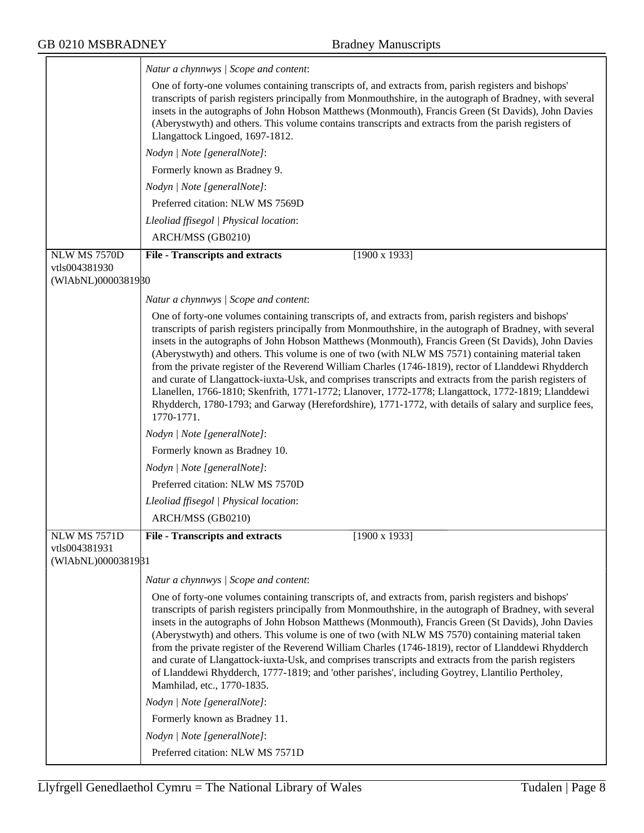|                                                            | Natur a chynnwys / Scope and content:                                                                                                                                                                                                                                                                                                                                                                                                                                                                                                                                                                                                                                                                                                                                                                                                                                          |
|------------------------------------------------------------|--------------------------------------------------------------------------------------------------------------------------------------------------------------------------------------------------------------------------------------------------------------------------------------------------------------------------------------------------------------------------------------------------------------------------------------------------------------------------------------------------------------------------------------------------------------------------------------------------------------------------------------------------------------------------------------------------------------------------------------------------------------------------------------------------------------------------------------------------------------------------------|
|                                                            | One of forty-one volumes containing transcripts of, and extracts from, parish registers and bishops'<br>transcripts of parish registers principally from Monmouthshire, in the autograph of Bradney, with several<br>insets in the autographs of John Hobson Matthews (Monmouth), Francis Green (St Davids), John Davies<br>(Aberystwyth) and others. This volume contains transcripts and extracts from the parish registers of<br>Llangattock Lingoed, 1697-1812.                                                                                                                                                                                                                                                                                                                                                                                                            |
|                                                            | Nodyn   Note [generalNote]:                                                                                                                                                                                                                                                                                                                                                                                                                                                                                                                                                                                                                                                                                                                                                                                                                                                    |
|                                                            | Formerly known as Bradney 9.                                                                                                                                                                                                                                                                                                                                                                                                                                                                                                                                                                                                                                                                                                                                                                                                                                                   |
|                                                            | Nodyn   Note [generalNote]:                                                                                                                                                                                                                                                                                                                                                                                                                                                                                                                                                                                                                                                                                                                                                                                                                                                    |
|                                                            | Preferred citation: NLW MS 7569D                                                                                                                                                                                                                                                                                                                                                                                                                                                                                                                                                                                                                                                                                                                                                                                                                                               |
|                                                            | Lleoliad ffisegol   Physical location:                                                                                                                                                                                                                                                                                                                                                                                                                                                                                                                                                                                                                                                                                                                                                                                                                                         |
|                                                            | ARCH/MSS (GB0210)                                                                                                                                                                                                                                                                                                                                                                                                                                                                                                                                                                                                                                                                                                                                                                                                                                                              |
| <b>NLW MS 7570D</b>                                        | $[1900 \times 1933]$<br><b>File - Transcripts and extracts</b>                                                                                                                                                                                                                                                                                                                                                                                                                                                                                                                                                                                                                                                                                                                                                                                                                 |
| vtls004381930<br>(WIAbNL)0000381980                        |                                                                                                                                                                                                                                                                                                                                                                                                                                                                                                                                                                                                                                                                                                                                                                                                                                                                                |
|                                                            |                                                                                                                                                                                                                                                                                                                                                                                                                                                                                                                                                                                                                                                                                                                                                                                                                                                                                |
|                                                            | Natur a chynnwys   Scope and content:                                                                                                                                                                                                                                                                                                                                                                                                                                                                                                                                                                                                                                                                                                                                                                                                                                          |
|                                                            | One of forty-one volumes containing transcripts of, and extracts from, parish registers and bishops'<br>transcripts of parish registers principally from Monmouthshire, in the autograph of Bradney, with several<br>insets in the autographs of John Hobson Matthews (Monmouth), Francis Green (St Davids), John Davies<br>(Aberystwyth) and others. This volume is one of two (with NLW MS 7571) containing material taken<br>from the private register of the Reverend William Charles (1746-1819), rector of Llanddewi Rhydderch<br>and curate of Llangattock-iuxta-Usk, and comprises transcripts and extracts from the parish registers of<br>Llanellen, 1766-1810; Skenfrith, 1771-1772; Llanover, 1772-1778; Llangattock, 1772-1819; Llanddewi<br>Rhydderch, 1780-1793; and Garway (Herefordshire), 1771-1772, with details of salary and surplice fees,<br>1770-1771. |
|                                                            | Nodyn   Note [generalNote]:                                                                                                                                                                                                                                                                                                                                                                                                                                                                                                                                                                                                                                                                                                                                                                                                                                                    |
|                                                            | Formerly known as Bradney 10.                                                                                                                                                                                                                                                                                                                                                                                                                                                                                                                                                                                                                                                                                                                                                                                                                                                  |
|                                                            | Nodyn   Note [generalNote]:                                                                                                                                                                                                                                                                                                                                                                                                                                                                                                                                                                                                                                                                                                                                                                                                                                                    |
|                                                            | Preferred citation: NLW MS 7570D                                                                                                                                                                                                                                                                                                                                                                                                                                                                                                                                                                                                                                                                                                                                                                                                                                               |
|                                                            | Lleoliad ffisegol   Physical location:                                                                                                                                                                                                                                                                                                                                                                                                                                                                                                                                                                                                                                                                                                                                                                                                                                         |
|                                                            | ARCH/MSS (GB0210)                                                                                                                                                                                                                                                                                                                                                                                                                                                                                                                                                                                                                                                                                                                                                                                                                                                              |
| <b>NLW MS 7571D</b><br>vtls004381931<br>(WIAbNL)0000381981 | <b>File - Transcripts and extracts</b><br>$[1900 \times 1933]$                                                                                                                                                                                                                                                                                                                                                                                                                                                                                                                                                                                                                                                                                                                                                                                                                 |
|                                                            | Natur a chynnwys / Scope and content:                                                                                                                                                                                                                                                                                                                                                                                                                                                                                                                                                                                                                                                                                                                                                                                                                                          |
|                                                            | One of forty-one volumes containing transcripts of, and extracts from, parish registers and bishops'<br>transcripts of parish registers principally from Monmouthshire, in the autograph of Bradney, with several<br>insets in the autographs of John Hobson Matthews (Monmouth), Francis Green (St Davids), John Davies<br>(Aberystwyth) and others. This volume is one of two (with NLW MS 7570) containing material taken<br>from the private register of the Reverend William Charles (1746-1819), rector of Llanddewi Rhydderch<br>and curate of Llangattock-iuxta-Usk, and comprises transcripts and extracts from the parish registers<br>of Llanddewi Rhydderch, 1777-1819; and 'other parishes', including Goytrey, Llantilio Pertholey,<br>Mamhilad, etc., 1770-1835.                                                                                                |
|                                                            | Nodyn   Note [generalNote]:                                                                                                                                                                                                                                                                                                                                                                                                                                                                                                                                                                                                                                                                                                                                                                                                                                                    |
|                                                            | Formerly known as Bradney 11.                                                                                                                                                                                                                                                                                                                                                                                                                                                                                                                                                                                                                                                                                                                                                                                                                                                  |
|                                                            | Nodyn   Note [generalNote]:                                                                                                                                                                                                                                                                                                                                                                                                                                                                                                                                                                                                                                                                                                                                                                                                                                                    |
|                                                            | Preferred citation: NLW MS 7571D                                                                                                                                                                                                                                                                                                                                                                                                                                                                                                                                                                                                                                                                                                                                                                                                                                               |

╕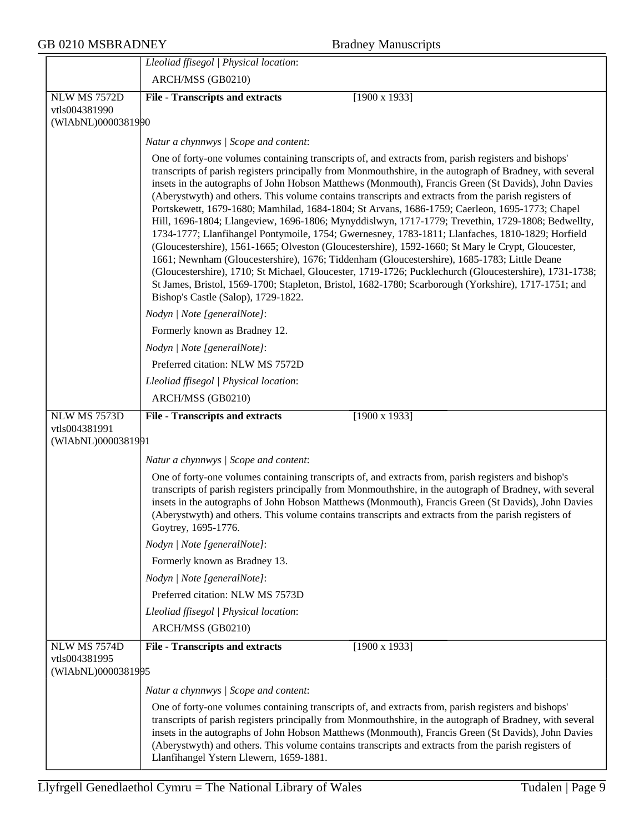|                                                            | Lleoliad ffisegol   Physical location:                                                                                                                                                                                                                                                                                                                                                                                                                                                                                                                                                                                                                                                                                                                                                                                                                                                                                                                                                                                                                                                                                                                                                                    |
|------------------------------------------------------------|-----------------------------------------------------------------------------------------------------------------------------------------------------------------------------------------------------------------------------------------------------------------------------------------------------------------------------------------------------------------------------------------------------------------------------------------------------------------------------------------------------------------------------------------------------------------------------------------------------------------------------------------------------------------------------------------------------------------------------------------------------------------------------------------------------------------------------------------------------------------------------------------------------------------------------------------------------------------------------------------------------------------------------------------------------------------------------------------------------------------------------------------------------------------------------------------------------------|
|                                                            | ARCH/MSS (GB0210)                                                                                                                                                                                                                                                                                                                                                                                                                                                                                                                                                                                                                                                                                                                                                                                                                                                                                                                                                                                                                                                                                                                                                                                         |
| <b>NLW MS 7572D</b>                                        | $[1900 \times 1933]$<br><b>File - Transcripts and extracts</b>                                                                                                                                                                                                                                                                                                                                                                                                                                                                                                                                                                                                                                                                                                                                                                                                                                                                                                                                                                                                                                                                                                                                            |
| vtls004381990<br>(WIAbNL)0000381990                        |                                                                                                                                                                                                                                                                                                                                                                                                                                                                                                                                                                                                                                                                                                                                                                                                                                                                                                                                                                                                                                                                                                                                                                                                           |
|                                                            |                                                                                                                                                                                                                                                                                                                                                                                                                                                                                                                                                                                                                                                                                                                                                                                                                                                                                                                                                                                                                                                                                                                                                                                                           |
|                                                            | Natur a chynnwys / Scope and content:                                                                                                                                                                                                                                                                                                                                                                                                                                                                                                                                                                                                                                                                                                                                                                                                                                                                                                                                                                                                                                                                                                                                                                     |
|                                                            | One of forty-one volumes containing transcripts of, and extracts from, parish registers and bishops'<br>transcripts of parish registers principally from Monmouthshire, in the autograph of Bradney, with several<br>insets in the autographs of John Hobson Matthews (Monmouth), Francis Green (St Davids), John Davies<br>(Aberystwyth) and others. This volume contains transcripts and extracts from the parish registers of<br>Portskewett, 1679-1680; Mamhilad, 1684-1804; St Arvans, 1686-1759; Caerleon, 1695-1773; Chapel<br>Hill, 1696-1804; Llangeview, 1696-1806; Mynyddislwyn, 1717-1779; Trevethin, 1729-1808; Bedwellty,<br>1734-1777; Llanfihangel Pontymoile, 1754; Gwernesney, 1783-1811; Llanfaches, 1810-1829; Horfield<br>(Gloucestershire), 1561-1665; Olveston (Gloucestershire), 1592-1660; St Mary le Crypt, Gloucester,<br>1661; Newnham (Gloucestershire), 1676; Tiddenham (Gloucestershire), 1685-1783; Little Deane<br>(Gloucestershire), 1710; St Michael, Gloucester, 1719-1726; Pucklechurch (Gloucestershire), 1731-1738;<br>St James, Bristol, 1569-1700; Stapleton, Bristol, 1682-1780; Scarborough (Yorkshire), 1717-1751; and<br>Bishop's Castle (Salop), 1729-1822. |
|                                                            | Nodyn   Note [generalNote]:                                                                                                                                                                                                                                                                                                                                                                                                                                                                                                                                                                                                                                                                                                                                                                                                                                                                                                                                                                                                                                                                                                                                                                               |
|                                                            | Formerly known as Bradney 12.                                                                                                                                                                                                                                                                                                                                                                                                                                                                                                                                                                                                                                                                                                                                                                                                                                                                                                                                                                                                                                                                                                                                                                             |
|                                                            | Nodyn   Note [generalNote]:                                                                                                                                                                                                                                                                                                                                                                                                                                                                                                                                                                                                                                                                                                                                                                                                                                                                                                                                                                                                                                                                                                                                                                               |
|                                                            | Preferred citation: NLW MS 7572D                                                                                                                                                                                                                                                                                                                                                                                                                                                                                                                                                                                                                                                                                                                                                                                                                                                                                                                                                                                                                                                                                                                                                                          |
|                                                            | Lleoliad ffisegol   Physical location:                                                                                                                                                                                                                                                                                                                                                                                                                                                                                                                                                                                                                                                                                                                                                                                                                                                                                                                                                                                                                                                                                                                                                                    |
|                                                            | ARCH/MSS (GB0210)                                                                                                                                                                                                                                                                                                                                                                                                                                                                                                                                                                                                                                                                                                                                                                                                                                                                                                                                                                                                                                                                                                                                                                                         |
| NLW MS 7573D                                               | <b>File - Transcripts and extracts</b><br>$[1900 \times 1933]$                                                                                                                                                                                                                                                                                                                                                                                                                                                                                                                                                                                                                                                                                                                                                                                                                                                                                                                                                                                                                                                                                                                                            |
| vtls004381991<br>(WIAbNL)0000381991                        |                                                                                                                                                                                                                                                                                                                                                                                                                                                                                                                                                                                                                                                                                                                                                                                                                                                                                                                                                                                                                                                                                                                                                                                                           |
|                                                            | Natur a chynnwys / Scope and content:                                                                                                                                                                                                                                                                                                                                                                                                                                                                                                                                                                                                                                                                                                                                                                                                                                                                                                                                                                                                                                                                                                                                                                     |
|                                                            | One of forty-one volumes containing transcripts of, and extracts from, parish registers and bishop's<br>transcripts of parish registers principally from Monmouthshire, in the autograph of Bradney, with several<br>insets in the autographs of John Hobson Matthews (Monmouth), Francis Green (St Davids), John Davies<br>(Aberystwyth) and others. This volume contains transcripts and extracts from the parish registers of<br>Goytrey, 1695-1776.                                                                                                                                                                                                                                                                                                                                                                                                                                                                                                                                                                                                                                                                                                                                                   |
|                                                            | Nodyn   Note [generalNote]:                                                                                                                                                                                                                                                                                                                                                                                                                                                                                                                                                                                                                                                                                                                                                                                                                                                                                                                                                                                                                                                                                                                                                                               |
|                                                            | Formerly known as Bradney 13.                                                                                                                                                                                                                                                                                                                                                                                                                                                                                                                                                                                                                                                                                                                                                                                                                                                                                                                                                                                                                                                                                                                                                                             |
|                                                            | Nodyn   Note [generalNote]:                                                                                                                                                                                                                                                                                                                                                                                                                                                                                                                                                                                                                                                                                                                                                                                                                                                                                                                                                                                                                                                                                                                                                                               |
|                                                            | Preferred citation: NLW MS 7573D                                                                                                                                                                                                                                                                                                                                                                                                                                                                                                                                                                                                                                                                                                                                                                                                                                                                                                                                                                                                                                                                                                                                                                          |
|                                                            | Lleoliad ffisegol   Physical location:                                                                                                                                                                                                                                                                                                                                                                                                                                                                                                                                                                                                                                                                                                                                                                                                                                                                                                                                                                                                                                                                                                                                                                    |
|                                                            | ARCH/MSS (GB0210)                                                                                                                                                                                                                                                                                                                                                                                                                                                                                                                                                                                                                                                                                                                                                                                                                                                                                                                                                                                                                                                                                                                                                                                         |
| <b>NLW MS 7574D</b><br>vtls004381995<br>(WIAbNL)0000381995 | $[1900 \times 1933]$<br><b>File - Transcripts and extracts</b>                                                                                                                                                                                                                                                                                                                                                                                                                                                                                                                                                                                                                                                                                                                                                                                                                                                                                                                                                                                                                                                                                                                                            |
|                                                            | Natur a chynnwys / Scope and content:                                                                                                                                                                                                                                                                                                                                                                                                                                                                                                                                                                                                                                                                                                                                                                                                                                                                                                                                                                                                                                                                                                                                                                     |
|                                                            | One of forty-one volumes containing transcripts of, and extracts from, parish registers and bishops'<br>transcripts of parish registers principally from Monmouthshire, in the autograph of Bradney, with several<br>insets in the autographs of John Hobson Matthews (Monmouth), Francis Green (St Davids), John Davies<br>(Aberystwyth) and others. This volume contains transcripts and extracts from the parish registers of<br>Llanfihangel Ystern Llewern, 1659-1881.                                                                                                                                                                                                                                                                                                                                                                                                                                                                                                                                                                                                                                                                                                                               |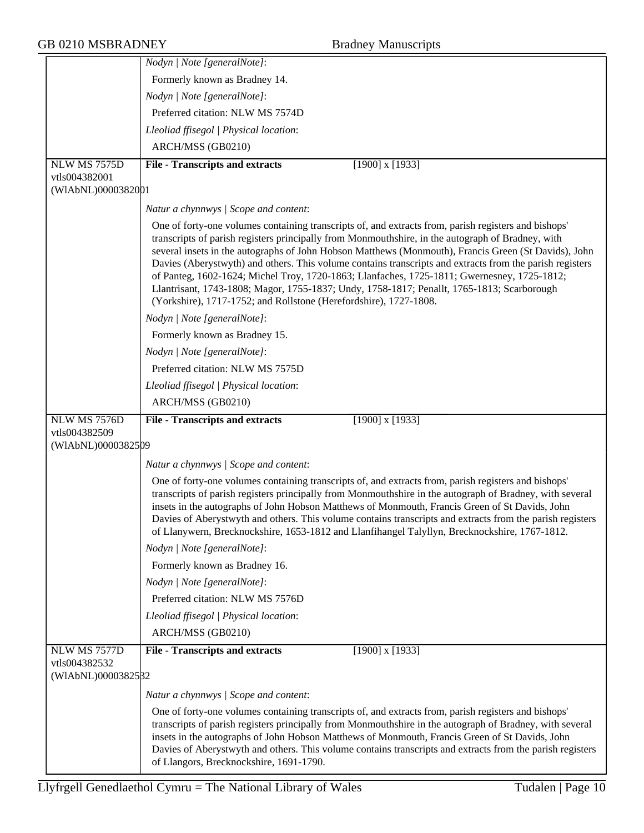| <b>GB 0210 MSBRADNEY</b>                            | <b>Bradney Manuscripts</b>                                                                                                                                                                                                                                                                                                                                                                                                                                                                                                                                                                                                                                                                      |
|-----------------------------------------------------|-------------------------------------------------------------------------------------------------------------------------------------------------------------------------------------------------------------------------------------------------------------------------------------------------------------------------------------------------------------------------------------------------------------------------------------------------------------------------------------------------------------------------------------------------------------------------------------------------------------------------------------------------------------------------------------------------|
|                                                     | Nodyn   Note [generalNote]:                                                                                                                                                                                                                                                                                                                                                                                                                                                                                                                                                                                                                                                                     |
|                                                     | Formerly known as Bradney 14.                                                                                                                                                                                                                                                                                                                                                                                                                                                                                                                                                                                                                                                                   |
|                                                     | Nodyn   Note [generalNote]:                                                                                                                                                                                                                                                                                                                                                                                                                                                                                                                                                                                                                                                                     |
|                                                     | Preferred citation: NLW MS 7574D                                                                                                                                                                                                                                                                                                                                                                                                                                                                                                                                                                                                                                                                |
|                                                     | Lleoliad ffisegol   Physical location:                                                                                                                                                                                                                                                                                                                                                                                                                                                                                                                                                                                                                                                          |
|                                                     | ARCH/MSS (GB0210)                                                                                                                                                                                                                                                                                                                                                                                                                                                                                                                                                                                                                                                                               |
| NLW MS 7575D                                        | $[1900]$ x $[1933]$<br><b>File - Transcripts and extracts</b>                                                                                                                                                                                                                                                                                                                                                                                                                                                                                                                                                                                                                                   |
| vtls004382001                                       |                                                                                                                                                                                                                                                                                                                                                                                                                                                                                                                                                                                                                                                                                                 |
| (WIAbNL)0000382001                                  |                                                                                                                                                                                                                                                                                                                                                                                                                                                                                                                                                                                                                                                                                                 |
|                                                     | Natur a chynnwys / Scope and content:                                                                                                                                                                                                                                                                                                                                                                                                                                                                                                                                                                                                                                                           |
|                                                     | One of forty-one volumes containing transcripts of, and extracts from, parish registers and bishops'<br>transcripts of parish registers principally from Monmouthshire, in the autograph of Bradney, with<br>several insets in the autographs of John Hobson Matthews (Monmouth), Francis Green (St Davids), John<br>Davies (Aberystwyth) and others. This volume contains transcripts and extracts from the parish registers<br>of Panteg, 1602-1624; Michel Troy, 1720-1863; Llanfaches, 1725-1811; Gwernesney, 1725-1812;<br>Llantrisant, 1743-1808; Magor, 1755-1837; Undy, 1758-1817; Penallt, 1765-1813; Scarborough<br>(Yorkshire), 1717-1752; and Rollstone (Herefordshire), 1727-1808. |
|                                                     | Nodyn   Note [generalNote]:                                                                                                                                                                                                                                                                                                                                                                                                                                                                                                                                                                                                                                                                     |
|                                                     | Formerly known as Bradney 15.                                                                                                                                                                                                                                                                                                                                                                                                                                                                                                                                                                                                                                                                   |
|                                                     | Nodyn   Note [generalNote]:                                                                                                                                                                                                                                                                                                                                                                                                                                                                                                                                                                                                                                                                     |
|                                                     | Preferred citation: NLW MS 7575D                                                                                                                                                                                                                                                                                                                                                                                                                                                                                                                                                                                                                                                                |
|                                                     | Lleoliad ffisegol   Physical location:                                                                                                                                                                                                                                                                                                                                                                                                                                                                                                                                                                                                                                                          |
|                                                     | ARCH/MSS (GB0210)                                                                                                                                                                                                                                                                                                                                                                                                                                                                                                                                                                                                                                                                               |
| NLW MS 7576D<br>vtls004382509                       | <b>File - Transcripts and extracts</b><br>$[1900]$ x $[1933]$                                                                                                                                                                                                                                                                                                                                                                                                                                                                                                                                                                                                                                   |
| (WIAbNL)0000382509                                  |                                                                                                                                                                                                                                                                                                                                                                                                                                                                                                                                                                                                                                                                                                 |
|                                                     | Natur a chynnwys / Scope and content:                                                                                                                                                                                                                                                                                                                                                                                                                                                                                                                                                                                                                                                           |
|                                                     | One of forty-one volumes containing transcripts of, and extracts from, parish registers and bishops'<br>transcripts of parish registers principally from Monmouthshire in the autograph of Bradney, with several<br>insets in the autographs of John Hobson Matthews of Monmouth, Francis Green of St Davids, John<br>Davies of Aberystwyth and others. This volume contains transcripts and extracts from the parish registers<br>of Llanywern, Brecknockshire, 1653-1812 and Llanfihangel Talyllyn, Brecknockshire, 1767-1812.                                                                                                                                                                |
|                                                     | Nodyn   Note [generalNote]:                                                                                                                                                                                                                                                                                                                                                                                                                                                                                                                                                                                                                                                                     |
|                                                     | Formerly known as Bradney 16.                                                                                                                                                                                                                                                                                                                                                                                                                                                                                                                                                                                                                                                                   |
|                                                     | Nodyn   Note [generalNote]:                                                                                                                                                                                                                                                                                                                                                                                                                                                                                                                                                                                                                                                                     |
|                                                     | Preferred citation: NLW MS 7576D                                                                                                                                                                                                                                                                                                                                                                                                                                                                                                                                                                                                                                                                |
|                                                     | Lleoliad ffisegol   Physical location:                                                                                                                                                                                                                                                                                                                                                                                                                                                                                                                                                                                                                                                          |
|                                                     | ARCH/MSS (GB0210)                                                                                                                                                                                                                                                                                                                                                                                                                                                                                                                                                                                                                                                                               |
| NLW MS 7577D<br>vtls004382532<br>(WIAbNL)0000382532 | $[1900]$ x $[1933]$<br><b>File - Transcripts and extracts</b>                                                                                                                                                                                                                                                                                                                                                                                                                                                                                                                                                                                                                                   |
|                                                     | Natur a chynnwys / Scope and content:                                                                                                                                                                                                                                                                                                                                                                                                                                                                                                                                                                                                                                                           |
|                                                     | One of forty-one volumes containing transcripts of, and extracts from, parish registers and bishops'<br>transcripts of parish registers principally from Monmouthshire in the autograph of Bradney, with several<br>insets in the autographs of John Hobson Matthews of Monmouth, Francis Green of St Davids, John<br>Davies of Aberystwyth and others. This volume contains transcripts and extracts from the parish registers<br>of Llangors, Brecknockshire, 1691-1790.                                                                                                                                                                                                                      |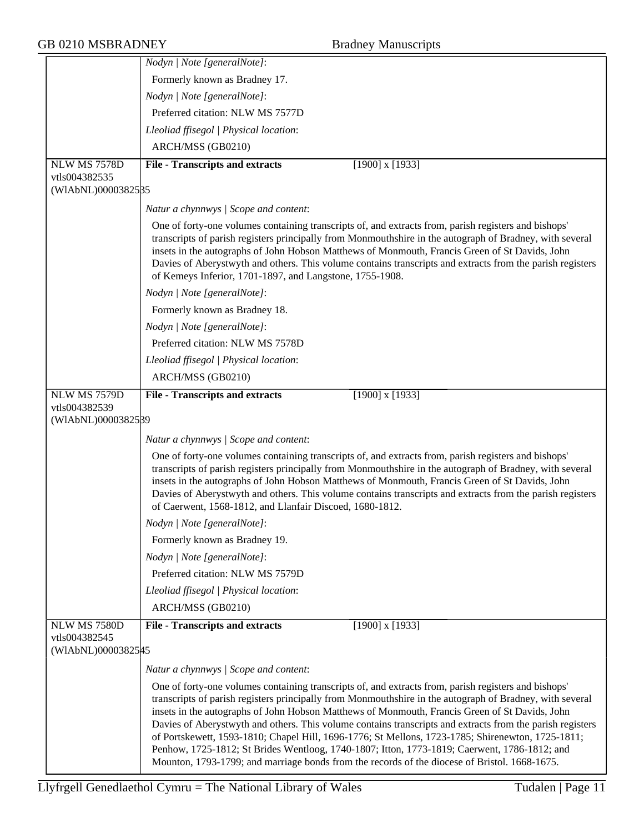|                                     | Nodyn   Note [generalNote]:                                                                                                                                                                                                                                                                                                                                                                                                                                                                                                                                                                                                                                                                                                           |
|-------------------------------------|---------------------------------------------------------------------------------------------------------------------------------------------------------------------------------------------------------------------------------------------------------------------------------------------------------------------------------------------------------------------------------------------------------------------------------------------------------------------------------------------------------------------------------------------------------------------------------------------------------------------------------------------------------------------------------------------------------------------------------------|
|                                     | Formerly known as Bradney 17.                                                                                                                                                                                                                                                                                                                                                                                                                                                                                                                                                                                                                                                                                                         |
|                                     | Nodyn   Note [generalNote]:                                                                                                                                                                                                                                                                                                                                                                                                                                                                                                                                                                                                                                                                                                           |
|                                     | Preferred citation: NLW MS 7577D                                                                                                                                                                                                                                                                                                                                                                                                                                                                                                                                                                                                                                                                                                      |
|                                     | Lleoliad ffisegol   Physical location:                                                                                                                                                                                                                                                                                                                                                                                                                                                                                                                                                                                                                                                                                                |
|                                     | ARCH/MSS (GB0210)                                                                                                                                                                                                                                                                                                                                                                                                                                                                                                                                                                                                                                                                                                                     |
| NLW MS 7578D                        | <b>File - Transcripts and extracts</b><br>$[1900]$ x $[1933]$                                                                                                                                                                                                                                                                                                                                                                                                                                                                                                                                                                                                                                                                         |
| vtls004382535                       |                                                                                                                                                                                                                                                                                                                                                                                                                                                                                                                                                                                                                                                                                                                                       |
| (WIAbNL)0000382585                  |                                                                                                                                                                                                                                                                                                                                                                                                                                                                                                                                                                                                                                                                                                                                       |
|                                     | Natur a chynnwys / Scope and content:                                                                                                                                                                                                                                                                                                                                                                                                                                                                                                                                                                                                                                                                                                 |
|                                     | One of forty-one volumes containing transcripts of, and extracts from, parish registers and bishops'<br>transcripts of parish registers principally from Monmouthshire in the autograph of Bradney, with several<br>insets in the autographs of John Hobson Matthews of Monmouth, Francis Green of St Davids, John<br>Davies of Aberystwyth and others. This volume contains transcripts and extracts from the parish registers<br>of Kemeys Inferior, 1701-1897, and Langstone, 1755-1908.                                                                                                                                                                                                                                           |
|                                     | Nodyn   Note [generalNote]:                                                                                                                                                                                                                                                                                                                                                                                                                                                                                                                                                                                                                                                                                                           |
|                                     | Formerly known as Bradney 18.                                                                                                                                                                                                                                                                                                                                                                                                                                                                                                                                                                                                                                                                                                         |
|                                     | Nodyn   Note [generalNote]:                                                                                                                                                                                                                                                                                                                                                                                                                                                                                                                                                                                                                                                                                                           |
|                                     | Preferred citation: NLW MS 7578D                                                                                                                                                                                                                                                                                                                                                                                                                                                                                                                                                                                                                                                                                                      |
|                                     | Lleoliad ffisegol   Physical location:                                                                                                                                                                                                                                                                                                                                                                                                                                                                                                                                                                                                                                                                                                |
|                                     | ARCH/MSS (GB0210)                                                                                                                                                                                                                                                                                                                                                                                                                                                                                                                                                                                                                                                                                                                     |
| <b>NLW MS 7579D</b>                 | $[1900]$ x $[1933]$<br><b>File - Transcripts and extracts</b>                                                                                                                                                                                                                                                                                                                                                                                                                                                                                                                                                                                                                                                                         |
| vtls004382539                       |                                                                                                                                                                                                                                                                                                                                                                                                                                                                                                                                                                                                                                                                                                                                       |
| (WIAbNL)0000382589                  |                                                                                                                                                                                                                                                                                                                                                                                                                                                                                                                                                                                                                                                                                                                                       |
|                                     | Natur a chynnwys / Scope and content:                                                                                                                                                                                                                                                                                                                                                                                                                                                                                                                                                                                                                                                                                                 |
|                                     | One of forty-one volumes containing transcripts of, and extracts from, parish registers and bishops'<br>transcripts of parish registers principally from Monmouthshire in the autograph of Bradney, with several<br>insets in the autographs of John Hobson Matthews of Monmouth, Francis Green of St Davids, John<br>Davies of Aberystwyth and others. This volume contains transcripts and extracts from the parish registers<br>of Caerwent, 1568-1812, and Llanfair Discoed, 1680-1812.                                                                                                                                                                                                                                           |
|                                     | Nodyn   Note [generalNote]:                                                                                                                                                                                                                                                                                                                                                                                                                                                                                                                                                                                                                                                                                                           |
|                                     | Formerly known as Bradney 19.                                                                                                                                                                                                                                                                                                                                                                                                                                                                                                                                                                                                                                                                                                         |
|                                     | Nodyn   Note [generalNote]:                                                                                                                                                                                                                                                                                                                                                                                                                                                                                                                                                                                                                                                                                                           |
|                                     | Preferred citation: NLW MS 7579D                                                                                                                                                                                                                                                                                                                                                                                                                                                                                                                                                                                                                                                                                                      |
|                                     | Lleoliad ffisegol   Physical location:                                                                                                                                                                                                                                                                                                                                                                                                                                                                                                                                                                                                                                                                                                |
|                                     | ARCH/MSS (GB0210)                                                                                                                                                                                                                                                                                                                                                                                                                                                                                                                                                                                                                                                                                                                     |
| <b>NLW MS 7580D</b>                 | <b>File - Transcripts and extracts</b><br>$[1900]$ x $[1933]$                                                                                                                                                                                                                                                                                                                                                                                                                                                                                                                                                                                                                                                                         |
| vtls004382545<br>(WIAbNL)00003825#5 |                                                                                                                                                                                                                                                                                                                                                                                                                                                                                                                                                                                                                                                                                                                                       |
|                                     | Natur a chynnwys / Scope and content:                                                                                                                                                                                                                                                                                                                                                                                                                                                                                                                                                                                                                                                                                                 |
|                                     | One of forty-one volumes containing transcripts of, and extracts from, parish registers and bishops'<br>transcripts of parish registers principally from Monmouthshire in the autograph of Bradney, with several<br>insets in the autographs of John Hobson Matthews of Monmouth, Francis Green of St Davids, John<br>Davies of Aberystwyth and others. This volume contains transcripts and extracts from the parish registers<br>of Portskewett, 1593-1810; Chapel Hill, 1696-1776; St Mellons, 1723-1785; Shirenewton, 1725-1811;<br>Penhow, 1725-1812; St Brides Wentloog, 1740-1807; Itton, 1773-1819; Caerwent, 1786-1812; and<br>Mounton, 1793-1799; and marriage bonds from the records of the diocese of Bristol. 1668-1675. |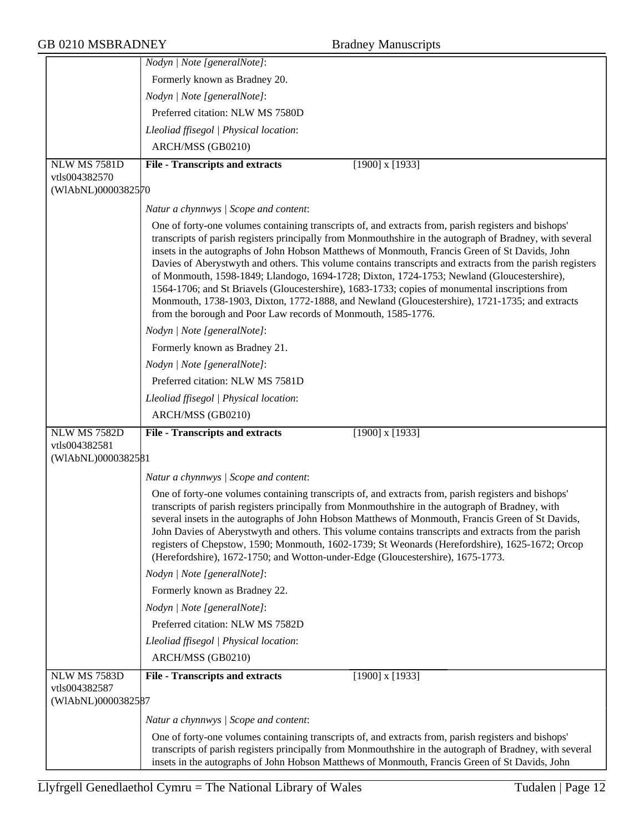|                                                            | Nodyn   Note [generalNote]:                                                                                                                                                                                                                                                                                                                                                                                                                                                                                                                                                                                                                                                                                                                                                                         |
|------------------------------------------------------------|-----------------------------------------------------------------------------------------------------------------------------------------------------------------------------------------------------------------------------------------------------------------------------------------------------------------------------------------------------------------------------------------------------------------------------------------------------------------------------------------------------------------------------------------------------------------------------------------------------------------------------------------------------------------------------------------------------------------------------------------------------------------------------------------------------|
|                                                            | Formerly known as Bradney 20.                                                                                                                                                                                                                                                                                                                                                                                                                                                                                                                                                                                                                                                                                                                                                                       |
|                                                            | Nodyn   Note [generalNote]:                                                                                                                                                                                                                                                                                                                                                                                                                                                                                                                                                                                                                                                                                                                                                                         |
|                                                            | Preferred citation: NLW MS 7580D                                                                                                                                                                                                                                                                                                                                                                                                                                                                                                                                                                                                                                                                                                                                                                    |
|                                                            | Lleoliad ffisegol   Physical location:                                                                                                                                                                                                                                                                                                                                                                                                                                                                                                                                                                                                                                                                                                                                                              |
|                                                            | ARCH/MSS (GB0210)                                                                                                                                                                                                                                                                                                                                                                                                                                                                                                                                                                                                                                                                                                                                                                                   |
| <b>NLW MS 7581D</b>                                        | $[1900]$ x $[1933]$<br><b>File - Transcripts and extracts</b>                                                                                                                                                                                                                                                                                                                                                                                                                                                                                                                                                                                                                                                                                                                                       |
| vtls004382570                                              |                                                                                                                                                                                                                                                                                                                                                                                                                                                                                                                                                                                                                                                                                                                                                                                                     |
| (WIAbNL)0000382570                                         |                                                                                                                                                                                                                                                                                                                                                                                                                                                                                                                                                                                                                                                                                                                                                                                                     |
|                                                            | Natur a chynnwys / Scope and content:                                                                                                                                                                                                                                                                                                                                                                                                                                                                                                                                                                                                                                                                                                                                                               |
|                                                            | One of forty-one volumes containing transcripts of, and extracts from, parish registers and bishops'<br>transcripts of parish registers principally from Monmouthshire in the autograph of Bradney, with several<br>insets in the autographs of John Hobson Matthews of Monmouth, Francis Green of St Davids, John<br>Davies of Aberystwyth and others. This volume contains transcripts and extracts from the parish registers<br>of Monmouth, 1598-1849; Llandogo, 1694-1728; Dixton, 1724-1753; Newland (Gloucestershire),<br>1564-1706; and St Briavels (Gloucestershire), 1683-1733; copies of monumental inscriptions from<br>Monmouth, 1738-1903, Dixton, 1772-1888, and Newland (Gloucestershire), 1721-1735; and extracts<br>from the borough and Poor Law records of Monmouth, 1585-1776. |
|                                                            | Nodyn   Note [generalNote]:                                                                                                                                                                                                                                                                                                                                                                                                                                                                                                                                                                                                                                                                                                                                                                         |
|                                                            | Formerly known as Bradney 21.                                                                                                                                                                                                                                                                                                                                                                                                                                                                                                                                                                                                                                                                                                                                                                       |
|                                                            | Nodyn   Note [generalNote]:                                                                                                                                                                                                                                                                                                                                                                                                                                                                                                                                                                                                                                                                                                                                                                         |
|                                                            | Preferred citation: NLW MS 7581D                                                                                                                                                                                                                                                                                                                                                                                                                                                                                                                                                                                                                                                                                                                                                                    |
|                                                            | Lleoliad ffisegol   Physical location:                                                                                                                                                                                                                                                                                                                                                                                                                                                                                                                                                                                                                                                                                                                                                              |
|                                                            | ARCH/MSS (GB0210)                                                                                                                                                                                                                                                                                                                                                                                                                                                                                                                                                                                                                                                                                                                                                                                   |
| <b>NLW MS 7582D</b>                                        | $[1900]$ x $[1933]$<br><b>File - Transcripts and extracts</b>                                                                                                                                                                                                                                                                                                                                                                                                                                                                                                                                                                                                                                                                                                                                       |
| vtls004382581                                              |                                                                                                                                                                                                                                                                                                                                                                                                                                                                                                                                                                                                                                                                                                                                                                                                     |
| (WIAbNL)0000382581                                         |                                                                                                                                                                                                                                                                                                                                                                                                                                                                                                                                                                                                                                                                                                                                                                                                     |
|                                                            | Natur a chynnwys   Scope and content:                                                                                                                                                                                                                                                                                                                                                                                                                                                                                                                                                                                                                                                                                                                                                               |
|                                                            | One of forty-one volumes containing transcripts of, and extracts from, parish registers and bishops'<br>transcripts of parish registers principally from Monmouthshire in the autograph of Bradney, with<br>several insets in the autographs of John Hobson Matthews of Monmouth, Francis Green of St Davids,<br>John Davies of Aberystwyth and others. This volume contains transcripts and extracts from the parish<br>registers of Chepstow, 1590; Monmouth, 1602-1739; St Weonards (Herefordshire), 1625-1672; Orcop<br>(Herefordshire), 1672-1750; and Wotton-under-Edge (Gloucestershire), 1675-1773.                                                                                                                                                                                         |
|                                                            | Nodyn   Note [generalNote]:                                                                                                                                                                                                                                                                                                                                                                                                                                                                                                                                                                                                                                                                                                                                                                         |
|                                                            | Formerly known as Bradney 22.                                                                                                                                                                                                                                                                                                                                                                                                                                                                                                                                                                                                                                                                                                                                                                       |
|                                                            | Nodyn   Note [generalNote]:                                                                                                                                                                                                                                                                                                                                                                                                                                                                                                                                                                                                                                                                                                                                                                         |
|                                                            | Preferred citation: NLW MS 7582D                                                                                                                                                                                                                                                                                                                                                                                                                                                                                                                                                                                                                                                                                                                                                                    |
|                                                            | Lleoliad ffisegol   Physical location:                                                                                                                                                                                                                                                                                                                                                                                                                                                                                                                                                                                                                                                                                                                                                              |
|                                                            | ARCH/MSS (GB0210)                                                                                                                                                                                                                                                                                                                                                                                                                                                                                                                                                                                                                                                                                                                                                                                   |
| <b>NLW MS 7583D</b><br>vtls004382587<br>(WIAbNL)0000382587 | <b>File - Transcripts and extracts</b><br>$[1900]$ x $[1933]$                                                                                                                                                                                                                                                                                                                                                                                                                                                                                                                                                                                                                                                                                                                                       |
|                                                            | Natur a chynnwys / Scope and content:                                                                                                                                                                                                                                                                                                                                                                                                                                                                                                                                                                                                                                                                                                                                                               |
|                                                            | One of forty-one volumes containing transcripts of, and extracts from, parish registers and bishops'                                                                                                                                                                                                                                                                                                                                                                                                                                                                                                                                                                                                                                                                                                |
|                                                            | transcripts of parish registers principally from Monmouthshire in the autograph of Bradney, with several<br>insets in the autographs of John Hobson Matthews of Monmouth, Francis Green of St Davids, John                                                                                                                                                                                                                                                                                                                                                                                                                                                                                                                                                                                          |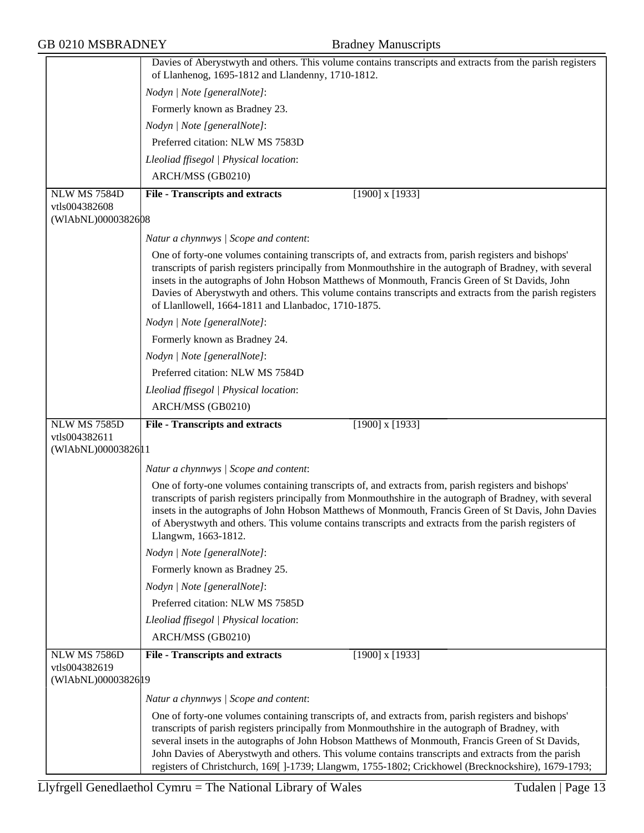|                                      | Davies of Aberystwyth and others. This volume contains transcripts and extracts from the parish registers<br>of Llanhenog, 1695-1812 and Llandenny, 1710-1812.                                                                                                                                                                                                                                                                                                                         |
|--------------------------------------|----------------------------------------------------------------------------------------------------------------------------------------------------------------------------------------------------------------------------------------------------------------------------------------------------------------------------------------------------------------------------------------------------------------------------------------------------------------------------------------|
|                                      | Nodyn   Note [generalNote]:                                                                                                                                                                                                                                                                                                                                                                                                                                                            |
|                                      | Formerly known as Bradney 23.                                                                                                                                                                                                                                                                                                                                                                                                                                                          |
|                                      | Nodyn   Note [generalNote]:                                                                                                                                                                                                                                                                                                                                                                                                                                                            |
|                                      | Preferred citation: NLW MS 7583D                                                                                                                                                                                                                                                                                                                                                                                                                                                       |
|                                      | Lleoliad ffisegol   Physical location:                                                                                                                                                                                                                                                                                                                                                                                                                                                 |
|                                      | ARCH/MSS (GB0210)                                                                                                                                                                                                                                                                                                                                                                                                                                                                      |
| <b>NLW MS 7584D</b>                  | <b>File - Transcripts and extracts</b><br>$[1900]$ x $[1933]$                                                                                                                                                                                                                                                                                                                                                                                                                          |
| vtls004382608                        |                                                                                                                                                                                                                                                                                                                                                                                                                                                                                        |
| (WIAbNL)0000382608                   |                                                                                                                                                                                                                                                                                                                                                                                                                                                                                        |
|                                      | Natur a chynnwys / Scope and content:                                                                                                                                                                                                                                                                                                                                                                                                                                                  |
|                                      | One of forty-one volumes containing transcripts of, and extracts from, parish registers and bishops'<br>transcripts of parish registers principally from Monmouthshire in the autograph of Bradney, with several<br>insets in the autographs of John Hobson Matthews of Monmouth, Francis Green of St Davids, John<br>Davies of Aberystwyth and others. This volume contains transcripts and extracts from the parish registers<br>of Llanllowell, 1664-1811 and Llanbadoc, 1710-1875. |
|                                      | Nodyn   Note [generalNote]:                                                                                                                                                                                                                                                                                                                                                                                                                                                            |
|                                      | Formerly known as Bradney 24.                                                                                                                                                                                                                                                                                                                                                                                                                                                          |
|                                      | Nodyn   Note [generalNote]:                                                                                                                                                                                                                                                                                                                                                                                                                                                            |
|                                      | Preferred citation: NLW MS 7584D                                                                                                                                                                                                                                                                                                                                                                                                                                                       |
|                                      | Lleoliad ffisegol   Physical location:                                                                                                                                                                                                                                                                                                                                                                                                                                                 |
|                                      | ARCH/MSS (GB0210)                                                                                                                                                                                                                                                                                                                                                                                                                                                                      |
| NLW MS 7585D                         |                                                                                                                                                                                                                                                                                                                                                                                                                                                                                        |
|                                      | $[1900]$ x $[1933]$<br><b>File - Transcripts and extracts</b>                                                                                                                                                                                                                                                                                                                                                                                                                          |
| vtls004382611                        |                                                                                                                                                                                                                                                                                                                                                                                                                                                                                        |
| (WIAbNL)00003826 1                   |                                                                                                                                                                                                                                                                                                                                                                                                                                                                                        |
|                                      | Natur a chynnwys / Scope and content:                                                                                                                                                                                                                                                                                                                                                                                                                                                  |
|                                      | One of forty-one volumes containing transcripts of, and extracts from, parish registers and bishops'<br>transcripts of parish registers principally from Monmouthshire in the autograph of Bradney, with several<br>insets in the autographs of John Hobson Matthews of Monmouth, Francis Green of St Davis, John Davies<br>of Aberystwyth and others. This volume contains transcripts and extracts from the parish registers of<br>Llangwm, 1663-1812.                               |
|                                      | Nodyn   Note [generalNote]:                                                                                                                                                                                                                                                                                                                                                                                                                                                            |
|                                      | Formerly known as Bradney 25.                                                                                                                                                                                                                                                                                                                                                                                                                                                          |
|                                      | Nodyn   Note [generalNote]:                                                                                                                                                                                                                                                                                                                                                                                                                                                            |
|                                      | Preferred citation: NLW MS 7585D                                                                                                                                                                                                                                                                                                                                                                                                                                                       |
|                                      | Lleoliad ffisegol   Physical location:                                                                                                                                                                                                                                                                                                                                                                                                                                                 |
|                                      | ARCH/MSS (GB0210)                                                                                                                                                                                                                                                                                                                                                                                                                                                                      |
| <b>NLW MS 7586D</b>                  | $\overline{[1900]}$ x $[1933]$<br><b>File - Transcripts and extracts</b>                                                                                                                                                                                                                                                                                                                                                                                                               |
| vtls004382619<br>(WIAbNL)00003826 19 |                                                                                                                                                                                                                                                                                                                                                                                                                                                                                        |
|                                      | Natur a chynnwys / Scope and content:                                                                                                                                                                                                                                                                                                                                                                                                                                                  |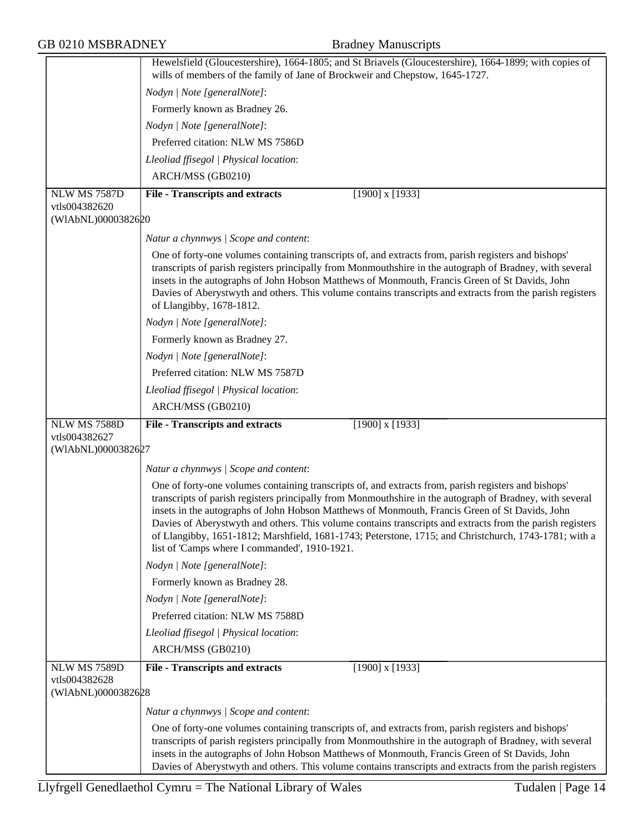|                                     | Hewelsfield (Gloucestershire), 1664-1805; and St Briavels (Gloucestershire), 1664-1899; with copies of<br>wills of members of the family of Jane of Brockweir and Chepstow, 1645-1727.                                                                                                                                                                                                                                                                                                                                                                                                    |
|-------------------------------------|-------------------------------------------------------------------------------------------------------------------------------------------------------------------------------------------------------------------------------------------------------------------------------------------------------------------------------------------------------------------------------------------------------------------------------------------------------------------------------------------------------------------------------------------------------------------------------------------|
|                                     | Nodyn   Note [generalNote]:                                                                                                                                                                                                                                                                                                                                                                                                                                                                                                                                                               |
|                                     | Formerly known as Bradney 26.                                                                                                                                                                                                                                                                                                                                                                                                                                                                                                                                                             |
|                                     | Nodyn   Note [generalNote]:                                                                                                                                                                                                                                                                                                                                                                                                                                                                                                                                                               |
|                                     | Preferred citation: NLW MS 7586D                                                                                                                                                                                                                                                                                                                                                                                                                                                                                                                                                          |
|                                     | Lleoliad ffisegol   Physical location:                                                                                                                                                                                                                                                                                                                                                                                                                                                                                                                                                    |
|                                     | ARCH/MSS (GB0210)                                                                                                                                                                                                                                                                                                                                                                                                                                                                                                                                                                         |
| NLW MS 7587D                        |                                                                                                                                                                                                                                                                                                                                                                                                                                                                                                                                                                                           |
| vtls004382620                       | <b>File - Transcripts and extracts</b><br>$[1900]$ x $[1933]$                                                                                                                                                                                                                                                                                                                                                                                                                                                                                                                             |
| (WIAbNL)0000382620                  |                                                                                                                                                                                                                                                                                                                                                                                                                                                                                                                                                                                           |
|                                     | Natur a chynnwys / Scope and content:                                                                                                                                                                                                                                                                                                                                                                                                                                                                                                                                                     |
|                                     | One of forty-one volumes containing transcripts of, and extracts from, parish registers and bishops'<br>transcripts of parish registers principally from Monmouthshire in the autograph of Bradney, with several<br>insets in the autographs of John Hobson Matthews of Monmouth, Francis Green of St Davids, John<br>Davies of Aberystwyth and others. This volume contains transcripts and extracts from the parish registers<br>of Llangibby, 1678-1812.                                                                                                                               |
|                                     | Nodyn   Note [generalNote]:                                                                                                                                                                                                                                                                                                                                                                                                                                                                                                                                                               |
|                                     | Formerly known as Bradney 27.                                                                                                                                                                                                                                                                                                                                                                                                                                                                                                                                                             |
|                                     | Nodyn   Note [generalNote]:                                                                                                                                                                                                                                                                                                                                                                                                                                                                                                                                                               |
|                                     | Preferred citation: NLW MS 7587D                                                                                                                                                                                                                                                                                                                                                                                                                                                                                                                                                          |
|                                     | Lleoliad ffisegol   Physical location:                                                                                                                                                                                                                                                                                                                                                                                                                                                                                                                                                    |
|                                     | ARCH/MSS (GB0210)                                                                                                                                                                                                                                                                                                                                                                                                                                                                                                                                                                         |
| NLW MS 7588D                        | $[1900]$ x $[1933]$<br><b>File - Transcripts and extracts</b>                                                                                                                                                                                                                                                                                                                                                                                                                                                                                                                             |
| vtls004382627<br>(WIAbNL)0000382627 |                                                                                                                                                                                                                                                                                                                                                                                                                                                                                                                                                                                           |
|                                     |                                                                                                                                                                                                                                                                                                                                                                                                                                                                                                                                                                                           |
|                                     | Natur a chynnwys / Scope and content:                                                                                                                                                                                                                                                                                                                                                                                                                                                                                                                                                     |
|                                     | One of forty-one volumes containing transcripts of, and extracts from, parish registers and bishops'<br>transcripts of parish registers principally from Monmouthshire in the autograph of Bradney, with several<br>insets in the autographs of John Hobson Matthews of Monmouth, Francis Green of St Davids, John<br>Davies of Aberystwyth and others. This volume contains transcripts and extracts from the parish registers<br>of Llangibby, 1651-1812; Marshfield, 1681-1743; Peterstone, 1715; and Christchurch, 1743-1781; with a<br>list of 'Camps where I commanded', 1910-1921. |
|                                     | Nodyn   Note [generalNote]:                                                                                                                                                                                                                                                                                                                                                                                                                                                                                                                                                               |
|                                     | Formerly known as Bradney 28.                                                                                                                                                                                                                                                                                                                                                                                                                                                                                                                                                             |
|                                     | Nodyn   Note [generalNote]:                                                                                                                                                                                                                                                                                                                                                                                                                                                                                                                                                               |
|                                     | Preferred citation: NLW MS 7588D                                                                                                                                                                                                                                                                                                                                                                                                                                                                                                                                                          |
|                                     | Lleoliad ffisegol   Physical location:                                                                                                                                                                                                                                                                                                                                                                                                                                                                                                                                                    |
|                                     | ARCH/MSS (GB0210)                                                                                                                                                                                                                                                                                                                                                                                                                                                                                                                                                                         |
| <b>NLW MS 7589D</b>                 | <b>File - Transcripts and extracts</b><br>$[1900]$ x $[1933]$                                                                                                                                                                                                                                                                                                                                                                                                                                                                                                                             |
| vtls004382628                       |                                                                                                                                                                                                                                                                                                                                                                                                                                                                                                                                                                                           |
| (WIAbNL)0000382628                  |                                                                                                                                                                                                                                                                                                                                                                                                                                                                                                                                                                                           |
|                                     |                                                                                                                                                                                                                                                                                                                                                                                                                                                                                                                                                                                           |
|                                     | Natur a chynnwys / Scope and content:<br>One of forty-one volumes containing transcripts of, and extracts from, parish registers and bishops'                                                                                                                                                                                                                                                                                                                                                                                                                                             |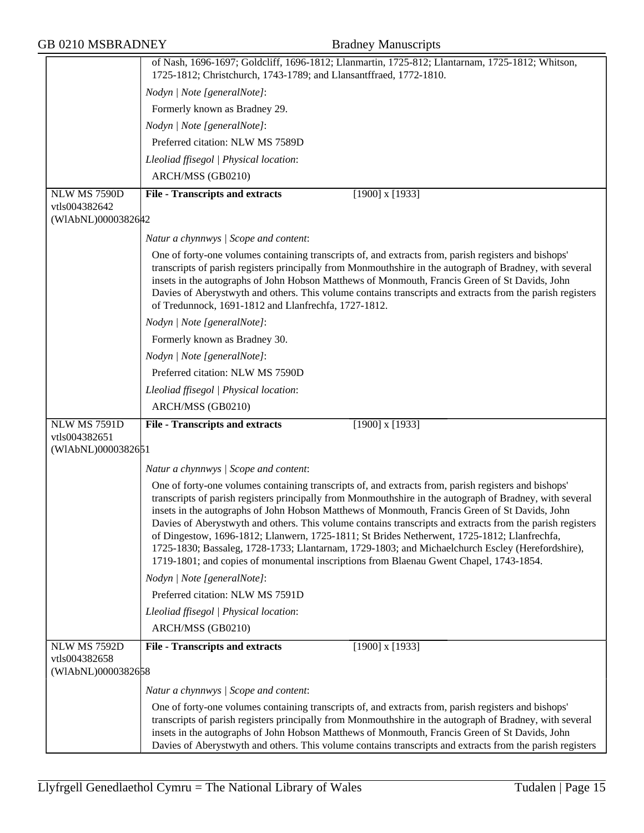|                                                            | of Nash, 1696-1697; Goldcliff, 1696-1812; Llanmartin, 1725-812; Llantarnam, 1725-1812; Whitson,<br>1725-1812; Christchurch, 1743-1789; and Llansantffraed, 1772-1810.                                                                                                                                                                                                                                                                                                                                                                                                                                                                                                                                                        |
|------------------------------------------------------------|------------------------------------------------------------------------------------------------------------------------------------------------------------------------------------------------------------------------------------------------------------------------------------------------------------------------------------------------------------------------------------------------------------------------------------------------------------------------------------------------------------------------------------------------------------------------------------------------------------------------------------------------------------------------------------------------------------------------------|
|                                                            |                                                                                                                                                                                                                                                                                                                                                                                                                                                                                                                                                                                                                                                                                                                              |
|                                                            | Nodyn   Note [generalNote]:                                                                                                                                                                                                                                                                                                                                                                                                                                                                                                                                                                                                                                                                                                  |
|                                                            | Formerly known as Bradney 29.                                                                                                                                                                                                                                                                                                                                                                                                                                                                                                                                                                                                                                                                                                |
|                                                            | Nodyn   Note [generalNote]:                                                                                                                                                                                                                                                                                                                                                                                                                                                                                                                                                                                                                                                                                                  |
|                                                            | Preferred citation: NLW MS 7589D                                                                                                                                                                                                                                                                                                                                                                                                                                                                                                                                                                                                                                                                                             |
|                                                            | Lleoliad ffisegol   Physical location:                                                                                                                                                                                                                                                                                                                                                                                                                                                                                                                                                                                                                                                                                       |
|                                                            | ARCH/MSS (GB0210)                                                                                                                                                                                                                                                                                                                                                                                                                                                                                                                                                                                                                                                                                                            |
| <b>NLW MS 7590D</b>                                        | $[1900]$ x $[1933]$<br><b>File - Transcripts and extracts</b>                                                                                                                                                                                                                                                                                                                                                                                                                                                                                                                                                                                                                                                                |
| vtls004382642<br>(WIAbNL)0000382642                        |                                                                                                                                                                                                                                                                                                                                                                                                                                                                                                                                                                                                                                                                                                                              |
|                                                            | Natur a chynnwys / Scope and content:                                                                                                                                                                                                                                                                                                                                                                                                                                                                                                                                                                                                                                                                                        |
|                                                            | One of forty-one volumes containing transcripts of, and extracts from, parish registers and bishops'<br>transcripts of parish registers principally from Monmouthshire in the autograph of Bradney, with several<br>insets in the autographs of John Hobson Matthews of Monmouth, Francis Green of St Davids, John<br>Davies of Aberystwyth and others. This volume contains transcripts and extracts from the parish registers<br>of Tredunnock, 1691-1812 and Llanfrechfa, 1727-1812.                                                                                                                                                                                                                                      |
|                                                            | Nodyn   Note [generalNote]:                                                                                                                                                                                                                                                                                                                                                                                                                                                                                                                                                                                                                                                                                                  |
|                                                            | Formerly known as Bradney 30.                                                                                                                                                                                                                                                                                                                                                                                                                                                                                                                                                                                                                                                                                                |
|                                                            | Nodyn   Note [generalNote]:                                                                                                                                                                                                                                                                                                                                                                                                                                                                                                                                                                                                                                                                                                  |
|                                                            | Preferred citation: NLW MS 7590D                                                                                                                                                                                                                                                                                                                                                                                                                                                                                                                                                                                                                                                                                             |
|                                                            | Lleoliad ffisegol   Physical location:                                                                                                                                                                                                                                                                                                                                                                                                                                                                                                                                                                                                                                                                                       |
|                                                            | ARCH/MSS (GB0210)                                                                                                                                                                                                                                                                                                                                                                                                                                                                                                                                                                                                                                                                                                            |
| NLW MS 7591D                                               | <b>File - Transcripts and extracts</b><br>$[1900]$ x $[1933]$                                                                                                                                                                                                                                                                                                                                                                                                                                                                                                                                                                                                                                                                |
| vtls004382651                                              |                                                                                                                                                                                                                                                                                                                                                                                                                                                                                                                                                                                                                                                                                                                              |
| (WIAbNL)0000382651                                         |                                                                                                                                                                                                                                                                                                                                                                                                                                                                                                                                                                                                                                                                                                                              |
|                                                            | Natur a chynnwys / Scope and content:                                                                                                                                                                                                                                                                                                                                                                                                                                                                                                                                                                                                                                                                                        |
|                                                            | One of forty-one volumes containing transcripts of, and extracts from, parish registers and bishops'<br>transcripts of parish registers principally from Monmouthshire in the autograph of Bradney, with several<br>insets in the autographs of John Hobson Matthews of Monmouth, Francis Green of St Davids, John<br>Davies of Aberystwyth and others. This volume contains transcripts and extracts from the parish registers<br>of Dingestow, 1696-1812; Llanwern, 1725-1811; St Brides Netherwent, 1725-1812; Llanfrechfa,<br>1725-1830; Bassaleg, 1728-1733; Llantarnam, 1729-1803; and Michaelchurch Escley (Herefordshire),<br>1719-1801; and copies of monumental inscriptions from Blaenau Gwent Chapel, 1743-1854. |
|                                                            | Nodyn   Note [generalNote]:                                                                                                                                                                                                                                                                                                                                                                                                                                                                                                                                                                                                                                                                                                  |
|                                                            | Preferred citation: NLW MS 7591D                                                                                                                                                                                                                                                                                                                                                                                                                                                                                                                                                                                                                                                                                             |
|                                                            | Lleoliad ffisegol   Physical location:                                                                                                                                                                                                                                                                                                                                                                                                                                                                                                                                                                                                                                                                                       |
|                                                            | ARCH/MSS (GB0210)                                                                                                                                                                                                                                                                                                                                                                                                                                                                                                                                                                                                                                                                                                            |
| <b>NLW MS 7592D</b><br>vtls004382658<br>(WIAbNL)0000382658 | <b>File - Transcripts and extracts</b><br>$[1900]$ x $[1933]$                                                                                                                                                                                                                                                                                                                                                                                                                                                                                                                                                                                                                                                                |
|                                                            | Natur a chynnwys / Scope and content:                                                                                                                                                                                                                                                                                                                                                                                                                                                                                                                                                                                                                                                                                        |
|                                                            | One of forty-one volumes containing transcripts of, and extracts from, parish registers and bishops'<br>transcripts of parish registers principally from Monmouthshire in the autograph of Bradney, with several<br>insets in the autographs of John Hobson Matthews of Monmouth, Francis Green of St Davids, John<br>Davies of Aberystwyth and others. This volume contains transcripts and extracts from the parish registers                                                                                                                                                                                                                                                                                              |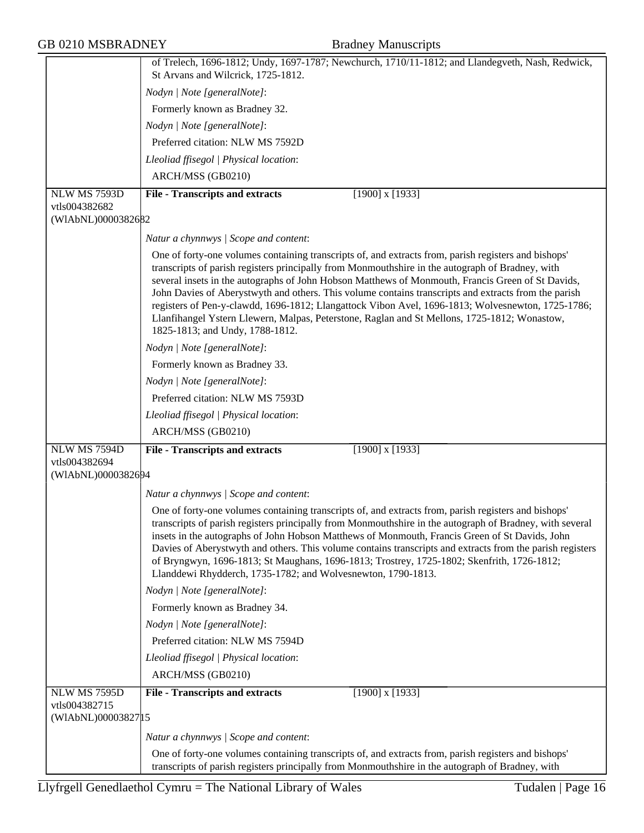|                                                             | of Trelech, 1696-1812; Undy, 1697-1787; Newchurch, 1710/11-1812; and Llandegveth, Nash, Redwick,                                                                                                                                                                                                                                                                                                                                                                                                                                                                                                                                                              |
|-------------------------------------------------------------|---------------------------------------------------------------------------------------------------------------------------------------------------------------------------------------------------------------------------------------------------------------------------------------------------------------------------------------------------------------------------------------------------------------------------------------------------------------------------------------------------------------------------------------------------------------------------------------------------------------------------------------------------------------|
|                                                             | St Arvans and Wilcrick, 1725-1812.                                                                                                                                                                                                                                                                                                                                                                                                                                                                                                                                                                                                                            |
|                                                             | Nodyn   Note [generalNote]:                                                                                                                                                                                                                                                                                                                                                                                                                                                                                                                                                                                                                                   |
|                                                             | Formerly known as Bradney 32.                                                                                                                                                                                                                                                                                                                                                                                                                                                                                                                                                                                                                                 |
|                                                             | Nodyn   Note [generalNote]:                                                                                                                                                                                                                                                                                                                                                                                                                                                                                                                                                                                                                                   |
|                                                             | Preferred citation: NLW MS 7592D                                                                                                                                                                                                                                                                                                                                                                                                                                                                                                                                                                                                                              |
|                                                             | Lleoliad ffisegol   Physical location:                                                                                                                                                                                                                                                                                                                                                                                                                                                                                                                                                                                                                        |
|                                                             | ARCH/MSS (GB0210)                                                                                                                                                                                                                                                                                                                                                                                                                                                                                                                                                                                                                                             |
| <b>NLW MS 7593D</b>                                         | <b>File - Transcripts and extracts</b><br>$[1900]$ x $[1933]$                                                                                                                                                                                                                                                                                                                                                                                                                                                                                                                                                                                                 |
| vtls004382682<br>(WIAbNL)0000382682                         |                                                                                                                                                                                                                                                                                                                                                                                                                                                                                                                                                                                                                                                               |
|                                                             | Natur a chynnwys / Scope and content:                                                                                                                                                                                                                                                                                                                                                                                                                                                                                                                                                                                                                         |
|                                                             | One of forty-one volumes containing transcripts of, and extracts from, parish registers and bishops'<br>transcripts of parish registers principally from Monmouthshire in the autograph of Bradney, with<br>several insets in the autographs of John Hobson Matthews of Monmouth, Francis Green of St Davids,<br>John Davies of Aberystwyth and others. This volume contains transcripts and extracts from the parish<br>registers of Pen-y-clawdd, 1696-1812; Llangattock Vibon Avel, 1696-1813; Wolvesnewton, 1725-1786;<br>Llanfihangel Ystern Llewern, Malpas, Peterstone, Raglan and St Mellons, 1725-1812; Wonastow,<br>1825-1813; and Undy, 1788-1812. |
|                                                             | Nodyn   Note [generalNote]:                                                                                                                                                                                                                                                                                                                                                                                                                                                                                                                                                                                                                                   |
|                                                             | Formerly known as Bradney 33.                                                                                                                                                                                                                                                                                                                                                                                                                                                                                                                                                                                                                                 |
|                                                             | Nodyn   Note [generalNote]:                                                                                                                                                                                                                                                                                                                                                                                                                                                                                                                                                                                                                                   |
|                                                             | Preferred citation: NLW MS 7593D                                                                                                                                                                                                                                                                                                                                                                                                                                                                                                                                                                                                                              |
|                                                             | Lleoliad ffisegol   Physical location:                                                                                                                                                                                                                                                                                                                                                                                                                                                                                                                                                                                                                        |
|                                                             | ARCH/MSS (GB0210)                                                                                                                                                                                                                                                                                                                                                                                                                                                                                                                                                                                                                                             |
| NLW MS 7594D                                                | $[1900]$ x $[1933]$<br><b>File - Transcripts and extracts</b>                                                                                                                                                                                                                                                                                                                                                                                                                                                                                                                                                                                                 |
| vtls004382694<br>(WIAbNL)0000382694                         |                                                                                                                                                                                                                                                                                                                                                                                                                                                                                                                                                                                                                                                               |
|                                                             |                                                                                                                                                                                                                                                                                                                                                                                                                                                                                                                                                                                                                                                               |
|                                                             | Natur a chynnwys / Scope and content:                                                                                                                                                                                                                                                                                                                                                                                                                                                                                                                                                                                                                         |
|                                                             | One of forty-one volumes containing transcripts of, and extracts from, parish registers and bishops'<br>transcripts of parish registers principally from Monmouthshire in the autograph of Bradney, with several<br>insets in the autographs of John Hobson Matthews of Monmouth, Francis Green of St Davids, John<br>Davies of Aberystwyth and others. This volume contains transcripts and extracts from the parish registers<br>of Bryngwyn, 1696-1813; St Maughans, 1696-1813; Trostrey, 1725-1802; Skenfrith, 1726-1812;<br>Llanddewi Rhydderch, 1735-1782; and Wolvesnewton, 1790-1813.                                                                 |
|                                                             | Nodyn   Note [generalNote]:                                                                                                                                                                                                                                                                                                                                                                                                                                                                                                                                                                                                                                   |
|                                                             | Formerly known as Bradney 34.                                                                                                                                                                                                                                                                                                                                                                                                                                                                                                                                                                                                                                 |
|                                                             | Nodyn   Note [generalNote]:                                                                                                                                                                                                                                                                                                                                                                                                                                                                                                                                                                                                                                   |
|                                                             | Preferred citation: NLW MS 7594D                                                                                                                                                                                                                                                                                                                                                                                                                                                                                                                                                                                                                              |
|                                                             | Lleoliad ffisegol   Physical location:                                                                                                                                                                                                                                                                                                                                                                                                                                                                                                                                                                                                                        |
|                                                             | ARCH/MSS (GB0210)                                                                                                                                                                                                                                                                                                                                                                                                                                                                                                                                                                                                                                             |
| <b>NLW MS 7595D</b><br>vtls004382715<br>(WIAbNL)00003827 15 | <b>File - Transcripts and extracts</b><br>$[1900]$ x $[1933]$<br>Natur a chynnwys / Scope and content:                                                                                                                                                                                                                                                                                                                                                                                                                                                                                                                                                        |
|                                                             | One of forty-one volumes containing transcripts of, and extracts from, parish registers and bishops'                                                                                                                                                                                                                                                                                                                                                                                                                                                                                                                                                          |
|                                                             | transcripts of parish registers principally from Monmouthshire in the autograph of Bradney, with                                                                                                                                                                                                                                                                                                                                                                                                                                                                                                                                                              |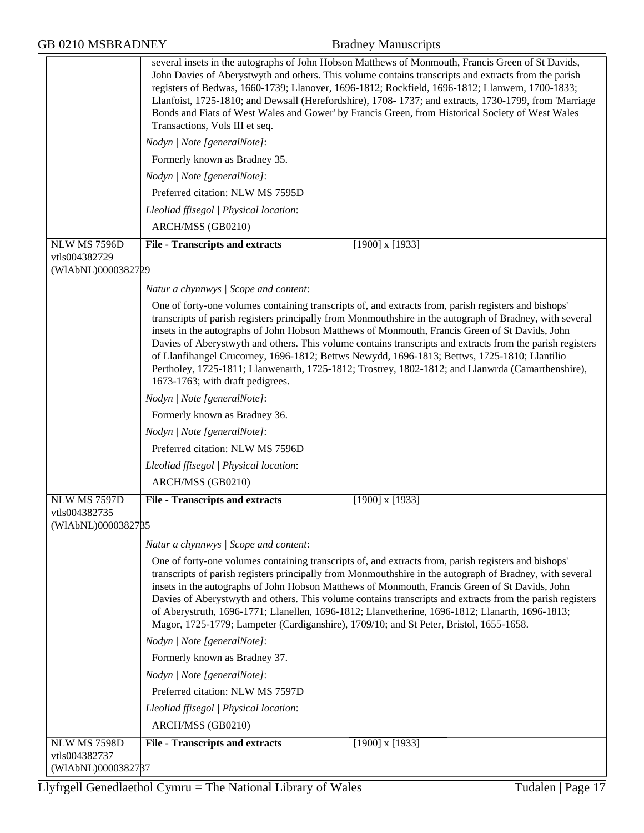|                                                     | several insets in the autographs of John Hobson Matthews of Monmouth, Francis Green of St Davids,<br>John Davies of Aberystwyth and others. This volume contains transcripts and extracts from the parish<br>registers of Bedwas, 1660-1739; Llanover, 1696-1812; Rockfield, 1696-1812; Llanwern, 1700-1833;<br>Llanfoist, 1725-1810; and Dewsall (Herefordshire), 1708-1737; and extracts, 1730-1799, from 'Marriage<br>Bonds and Fiats of West Wales and Gower' by Francis Green, from Historical Society of West Wales<br>Transactions, Vols III et seq.                                                                                                              |
|-----------------------------------------------------|--------------------------------------------------------------------------------------------------------------------------------------------------------------------------------------------------------------------------------------------------------------------------------------------------------------------------------------------------------------------------------------------------------------------------------------------------------------------------------------------------------------------------------------------------------------------------------------------------------------------------------------------------------------------------|
|                                                     | Nodyn   Note [generalNote]:                                                                                                                                                                                                                                                                                                                                                                                                                                                                                                                                                                                                                                              |
|                                                     | Formerly known as Bradney 35.                                                                                                                                                                                                                                                                                                                                                                                                                                                                                                                                                                                                                                            |
|                                                     | Nodyn   Note [generalNote]:                                                                                                                                                                                                                                                                                                                                                                                                                                                                                                                                                                                                                                              |
|                                                     | Preferred citation: NLW MS 7595D                                                                                                                                                                                                                                                                                                                                                                                                                                                                                                                                                                                                                                         |
|                                                     | Lleoliad ffisegol   Physical location:                                                                                                                                                                                                                                                                                                                                                                                                                                                                                                                                                                                                                                   |
|                                                     | ARCH/MSS (GB0210)                                                                                                                                                                                                                                                                                                                                                                                                                                                                                                                                                                                                                                                        |
| NLW MS 7596D                                        | $[1900]$ x $[1933]$<br><b>File - Transcripts and extracts</b>                                                                                                                                                                                                                                                                                                                                                                                                                                                                                                                                                                                                            |
| vtls004382729<br>(WIAbNL)0000382729                 |                                                                                                                                                                                                                                                                                                                                                                                                                                                                                                                                                                                                                                                                          |
|                                                     | Natur a chynnwys / Scope and content:                                                                                                                                                                                                                                                                                                                                                                                                                                                                                                                                                                                                                                    |
|                                                     | One of forty-one volumes containing transcripts of, and extracts from, parish registers and bishops'<br>transcripts of parish registers principally from Monmouthshire in the autograph of Bradney, with several<br>insets in the autographs of John Hobson Matthews of Monmouth, Francis Green of St Davids, John<br>Davies of Aberystwyth and others. This volume contains transcripts and extracts from the parish registers<br>of Llanfihangel Crucorney, 1696-1812; Bettws Newydd, 1696-1813; Bettws, 1725-1810; Llantilio<br>Pertholey, 1725-1811; Llanwenarth, 1725-1812; Trostrey, 1802-1812; and Llanwrda (Camarthenshire),<br>1673-1763; with draft pedigrees. |
|                                                     | Nodyn   Note [generalNote]:                                                                                                                                                                                                                                                                                                                                                                                                                                                                                                                                                                                                                                              |
|                                                     | Formerly known as Bradney 36.                                                                                                                                                                                                                                                                                                                                                                                                                                                                                                                                                                                                                                            |
|                                                     | Nodyn   Note [generalNote]:                                                                                                                                                                                                                                                                                                                                                                                                                                                                                                                                                                                                                                              |
|                                                     | Preferred citation: NLW MS 7596D                                                                                                                                                                                                                                                                                                                                                                                                                                                                                                                                                                                                                                         |
|                                                     | Lleoliad ffisegol   Physical location:                                                                                                                                                                                                                                                                                                                                                                                                                                                                                                                                                                                                                                   |
|                                                     | ARCH/MSS (GB0210)                                                                                                                                                                                                                                                                                                                                                                                                                                                                                                                                                                                                                                                        |
| <b>NLW MS 7597D</b>                                 | <b>File - Transcripts and extracts</b><br>$[1900]$ x $[1933]$                                                                                                                                                                                                                                                                                                                                                                                                                                                                                                                                                                                                            |
| vtls004382735<br>(WIAbNL)0000382785                 |                                                                                                                                                                                                                                                                                                                                                                                                                                                                                                                                                                                                                                                                          |
|                                                     | Natur a chynnwys / Scope and content:                                                                                                                                                                                                                                                                                                                                                                                                                                                                                                                                                                                                                                    |
|                                                     | One of forty-one volumes containing transcripts of, and extracts from, parish registers and bishops'<br>transcripts of parish registers principally from Monmouthshire in the autograph of Bradney, with several<br>insets in the autographs of John Hobson Matthews of Monmouth, Francis Green of St Davids, John<br>Davies of Aberystwyth and others. This volume contains transcripts and extracts from the parish registers<br>of Aberystruth, 1696-1771; Llanellen, 1696-1812; Llanvetherine, 1696-1812; Llanarth, 1696-1813;<br>Magor, 1725-1779; Lampeter (Cardiganshire), 1709/10; and St Peter, Bristol, 1655-1658.                                             |
|                                                     | Nodyn   Note [generalNote]:                                                                                                                                                                                                                                                                                                                                                                                                                                                                                                                                                                                                                                              |
|                                                     | Formerly known as Bradney 37.                                                                                                                                                                                                                                                                                                                                                                                                                                                                                                                                                                                                                                            |
|                                                     | Nodyn   Note [generalNote]:                                                                                                                                                                                                                                                                                                                                                                                                                                                                                                                                                                                                                                              |
|                                                     | Preferred citation: NLW MS 7597D                                                                                                                                                                                                                                                                                                                                                                                                                                                                                                                                                                                                                                         |
|                                                     | Lleoliad ffisegol   Physical location:                                                                                                                                                                                                                                                                                                                                                                                                                                                                                                                                                                                                                                   |
|                                                     | ARCH/MSS (GB0210)                                                                                                                                                                                                                                                                                                                                                                                                                                                                                                                                                                                                                                                        |
| NLW MS 7598D<br>vtls004382737<br>(WIAbNL)0000382787 | $[1900]$ x $[1933]$<br><b>File - Transcripts and extracts</b>                                                                                                                                                                                                                                                                                                                                                                                                                                                                                                                                                                                                            |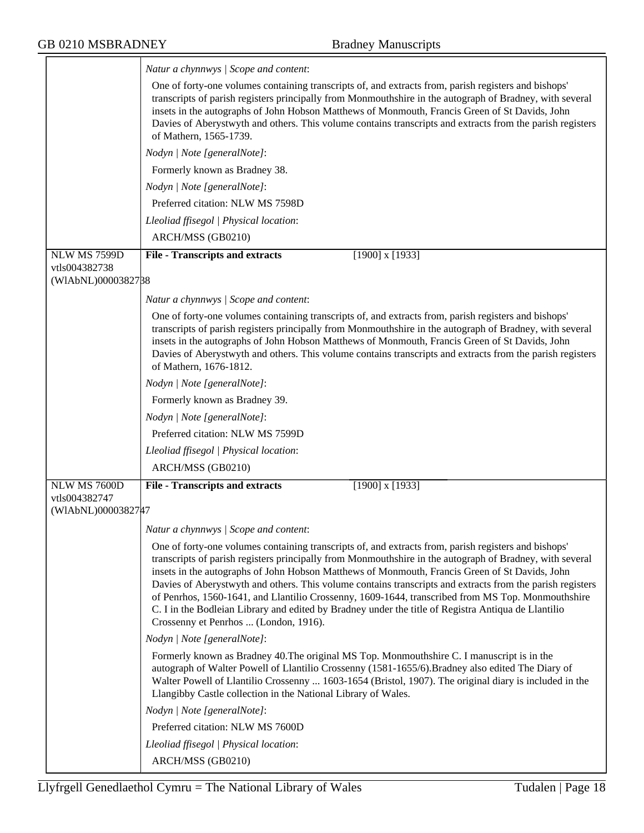|                                     | Natur a chynnwys / Scope and content:                                                                                                                                                                                                                                                                                                                                                                                                                                                                                                                                                                                                                                                |
|-------------------------------------|--------------------------------------------------------------------------------------------------------------------------------------------------------------------------------------------------------------------------------------------------------------------------------------------------------------------------------------------------------------------------------------------------------------------------------------------------------------------------------------------------------------------------------------------------------------------------------------------------------------------------------------------------------------------------------------|
|                                     | One of forty-one volumes containing transcripts of, and extracts from, parish registers and bishops'<br>transcripts of parish registers principally from Monmouthshire in the autograph of Bradney, with several<br>insets in the autographs of John Hobson Matthews of Monmouth, Francis Green of St Davids, John<br>Davies of Aberystwyth and others. This volume contains transcripts and extracts from the parish registers<br>of Mathern, 1565-1739.                                                                                                                                                                                                                            |
|                                     | Nodyn   Note [generalNote]:                                                                                                                                                                                                                                                                                                                                                                                                                                                                                                                                                                                                                                                          |
|                                     | Formerly known as Bradney 38.                                                                                                                                                                                                                                                                                                                                                                                                                                                                                                                                                                                                                                                        |
|                                     | Nodyn   Note [generalNote]:                                                                                                                                                                                                                                                                                                                                                                                                                                                                                                                                                                                                                                                          |
|                                     | Preferred citation: NLW MS 7598D                                                                                                                                                                                                                                                                                                                                                                                                                                                                                                                                                                                                                                                     |
|                                     | Lleoliad ffisegol   Physical location:                                                                                                                                                                                                                                                                                                                                                                                                                                                                                                                                                                                                                                               |
|                                     | ARCH/MSS (GB0210)                                                                                                                                                                                                                                                                                                                                                                                                                                                                                                                                                                                                                                                                    |
| <b>NLW MS 7599D</b>                 | <b>File - Transcripts and extracts</b><br>$[1900]$ x $[1933]$                                                                                                                                                                                                                                                                                                                                                                                                                                                                                                                                                                                                                        |
| vtls004382738<br>(WIAbNL)0000382788 |                                                                                                                                                                                                                                                                                                                                                                                                                                                                                                                                                                                                                                                                                      |
|                                     |                                                                                                                                                                                                                                                                                                                                                                                                                                                                                                                                                                                                                                                                                      |
|                                     | Natur a chynnwys / Scope and content:                                                                                                                                                                                                                                                                                                                                                                                                                                                                                                                                                                                                                                                |
|                                     | One of forty-one volumes containing transcripts of, and extracts from, parish registers and bishops'<br>transcripts of parish registers principally from Monmouthshire in the autograph of Bradney, with several<br>insets in the autographs of John Hobson Matthews of Monmouth, Francis Green of St Davids, John<br>Davies of Aberystwyth and others. This volume contains transcripts and extracts from the parish registers<br>of Mathern, 1676-1812.                                                                                                                                                                                                                            |
|                                     | Nodyn   Note [generalNote]:                                                                                                                                                                                                                                                                                                                                                                                                                                                                                                                                                                                                                                                          |
|                                     | Formerly known as Bradney 39.                                                                                                                                                                                                                                                                                                                                                                                                                                                                                                                                                                                                                                                        |
|                                     | Nodyn   Note [generalNote]:                                                                                                                                                                                                                                                                                                                                                                                                                                                                                                                                                                                                                                                          |
|                                     | Preferred citation: NLW MS 7599D                                                                                                                                                                                                                                                                                                                                                                                                                                                                                                                                                                                                                                                     |
|                                     | Lleoliad ffisegol   Physical location:                                                                                                                                                                                                                                                                                                                                                                                                                                                                                                                                                                                                                                               |
|                                     | ARCH/MSS (GB0210)                                                                                                                                                                                                                                                                                                                                                                                                                                                                                                                                                                                                                                                                    |
| NLW MS 7600D                        | <b>File - Transcripts and extracts</b><br>$[1900]$ x $[1933]$                                                                                                                                                                                                                                                                                                                                                                                                                                                                                                                                                                                                                        |
| vtls004382747<br>(WIAbNL)0000382747 |                                                                                                                                                                                                                                                                                                                                                                                                                                                                                                                                                                                                                                                                                      |
|                                     | Natur a chynnwys / Scope and content:                                                                                                                                                                                                                                                                                                                                                                                                                                                                                                                                                                                                                                                |
|                                     | One of forty-one volumes containing transcripts of, and extracts from, parish registers and bishops'<br>transcripts of parish registers principally from Monmouthshire in the autograph of Bradney, with several<br>insets in the autographs of John Hobson Matthews of Monmouth, Francis Green of St Davids, John<br>Davies of Aberystwyth and others. This volume contains transcripts and extracts from the parish registers<br>of Penrhos, 1560-1641, and Llantilio Crossenny, 1609-1644, transcribed from MS Top. Monmouthshire<br>C. I in the Bodleian Library and edited by Bradney under the title of Registra Antiqua de Llantilio<br>Crossenny et Penrhos  (London, 1916). |
|                                     | Nodyn   Note [generalNote]:                                                                                                                                                                                                                                                                                                                                                                                                                                                                                                                                                                                                                                                          |
|                                     | Formerly known as Bradney 40. The original MS Top. Monmouthshire C. I manuscript is in the<br>autograph of Walter Powell of Llantilio Crossenny (1581-1655/6). Bradney also edited The Diary of<br>Walter Powell of Llantilio Crossenny  1603-1654 (Bristol, 1907). The original diary is included in the<br>Llangibby Castle collection in the National Library of Wales.                                                                                                                                                                                                                                                                                                           |
|                                     | Nodyn   Note [generalNote]:                                                                                                                                                                                                                                                                                                                                                                                                                                                                                                                                                                                                                                                          |
|                                     | Preferred citation: NLW MS 7600D                                                                                                                                                                                                                                                                                                                                                                                                                                                                                                                                                                                                                                                     |
|                                     | Lleoliad ffisegol   Physical location:                                                                                                                                                                                                                                                                                                                                                                                                                                                                                                                                                                                                                                               |
|                                     | ARCH/MSS (GB0210)                                                                                                                                                                                                                                                                                                                                                                                                                                                                                                                                                                                                                                                                    |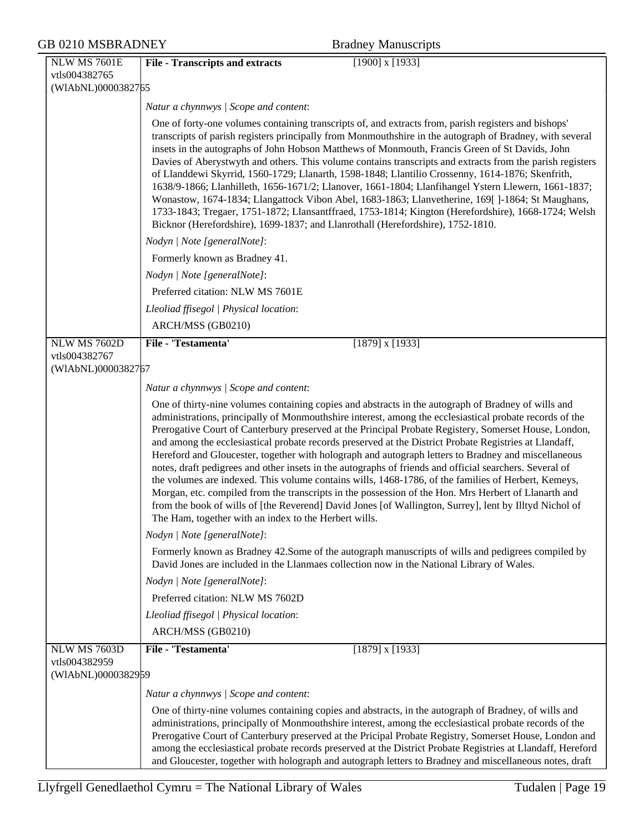| GB 0210 MSBRADNEY                                          | <b>Bradney Manuscripts</b>                                                                                                                                                                                                                                                                                                                                                                                                                                                                                                                                                                                                                                                                                                                                                                                                                                                                                                                                                                                                            |
|------------------------------------------------------------|---------------------------------------------------------------------------------------------------------------------------------------------------------------------------------------------------------------------------------------------------------------------------------------------------------------------------------------------------------------------------------------------------------------------------------------------------------------------------------------------------------------------------------------------------------------------------------------------------------------------------------------------------------------------------------------------------------------------------------------------------------------------------------------------------------------------------------------------------------------------------------------------------------------------------------------------------------------------------------------------------------------------------------------|
| NLW MS 7601E<br>vtls004382765<br>(WIAbNL)0000382765        | $[1900]$ x $[1933]$<br><b>File - Transcripts and extracts</b>                                                                                                                                                                                                                                                                                                                                                                                                                                                                                                                                                                                                                                                                                                                                                                                                                                                                                                                                                                         |
|                                                            | Natur a chynnwys / Scope and content:                                                                                                                                                                                                                                                                                                                                                                                                                                                                                                                                                                                                                                                                                                                                                                                                                                                                                                                                                                                                 |
|                                                            | One of forty-one volumes containing transcripts of, and extracts from, parish registers and bishops'<br>transcripts of parish registers principally from Monmouthshire in the autograph of Bradney, with several<br>insets in the autographs of John Hobson Matthews of Monmouth, Francis Green of St Davids, John<br>Davies of Aberystwyth and others. This volume contains transcripts and extracts from the parish registers<br>of Llanddewi Skyrrid, 1560-1729; Llanarth, 1598-1848; Llantilio Crossenny, 1614-1876; Skenfrith,<br>1638/9-1866; Llanhilleth, 1656-1671/2; Llanover, 1661-1804; Llanfihangel Ystern Llewern, 1661-1837;<br>Wonastow, 1674-1834; Llangattock Vibon Abel, 1683-1863; Llanvetherine, 169[]-1864; St Maughans,<br>1733-1843; Tregaer, 1751-1872; Llansantffraed, 1753-1814; Kington (Herefordshire), 1668-1724; Welsh<br>Bicknor (Herefordshire), 1699-1837; and Llanrothall (Herefordshire), 1752-1810.                                                                                               |
|                                                            | Nodyn   Note [generalNote]:                                                                                                                                                                                                                                                                                                                                                                                                                                                                                                                                                                                                                                                                                                                                                                                                                                                                                                                                                                                                           |
|                                                            | Formerly known as Bradney 41.                                                                                                                                                                                                                                                                                                                                                                                                                                                                                                                                                                                                                                                                                                                                                                                                                                                                                                                                                                                                         |
|                                                            | Nodyn   Note [generalNote]:                                                                                                                                                                                                                                                                                                                                                                                                                                                                                                                                                                                                                                                                                                                                                                                                                                                                                                                                                                                                           |
|                                                            | Preferred citation: NLW MS 7601E                                                                                                                                                                                                                                                                                                                                                                                                                                                                                                                                                                                                                                                                                                                                                                                                                                                                                                                                                                                                      |
|                                                            | Lleoliad ffisegol   Physical location:                                                                                                                                                                                                                                                                                                                                                                                                                                                                                                                                                                                                                                                                                                                                                                                                                                                                                                                                                                                                |
|                                                            | ARCH/MSS (GB0210)                                                                                                                                                                                                                                                                                                                                                                                                                                                                                                                                                                                                                                                                                                                                                                                                                                                                                                                                                                                                                     |
| <b>NLW MS 7602D</b><br>vtls004382767<br>(WIAbNL)0000382767 | File - 'Testamenta'<br>$[1879]$ x $[1933]$                                                                                                                                                                                                                                                                                                                                                                                                                                                                                                                                                                                                                                                                                                                                                                                                                                                                                                                                                                                            |
|                                                            | Natur a chynnwys / Scope and content:                                                                                                                                                                                                                                                                                                                                                                                                                                                                                                                                                                                                                                                                                                                                                                                                                                                                                                                                                                                                 |
|                                                            | One of thirty-nine volumes containing copies and abstracts in the autograph of Bradney of wills and<br>administrations, principally of Monmouthshire interest, among the ecclesiastical probate records of the<br>Prerogative Court of Canterbury preserved at the Principal Probate Registery, Somerset House, London,<br>and among the ecclesiastical probate records preserved at the District Probate Registries at Llandaff,<br>Hereford and Gloucester, together with holograph and autograph letters to Bradney and miscellaneous<br>notes, draft pedigrees and other insets in the autographs of friends and official searchers. Several of<br>the volumes are indexed. This volume contains wills, 1468-1786, of the families of Herbert, Kemeys,<br>Morgan, etc. compiled from the transcripts in the possession of the Hon. Mrs Herbert of Llanarth and<br>from the book of wills of [the Reverend] David Jones [of Wallington, Surrey], lent by Illtyd Nichol of<br>The Ham, together with an index to the Herbert wills. |
|                                                            | Nodyn   Note [generalNote]:                                                                                                                                                                                                                                                                                                                                                                                                                                                                                                                                                                                                                                                                                                                                                                                                                                                                                                                                                                                                           |
|                                                            | Formerly known as Bradney 42.Some of the autograph manuscripts of wills and pedigrees compiled by<br>David Jones are included in the Llanmaes collection now in the National Library of Wales.                                                                                                                                                                                                                                                                                                                                                                                                                                                                                                                                                                                                                                                                                                                                                                                                                                        |
|                                                            | Nodyn   Note [generalNote]:                                                                                                                                                                                                                                                                                                                                                                                                                                                                                                                                                                                                                                                                                                                                                                                                                                                                                                                                                                                                           |
|                                                            | Preferred citation: NLW MS 7602D                                                                                                                                                                                                                                                                                                                                                                                                                                                                                                                                                                                                                                                                                                                                                                                                                                                                                                                                                                                                      |
|                                                            | Lleoliad ffisegol   Physical location:                                                                                                                                                                                                                                                                                                                                                                                                                                                                                                                                                                                                                                                                                                                                                                                                                                                                                                                                                                                                |
|                                                            | ARCH/MSS (GB0210)                                                                                                                                                                                                                                                                                                                                                                                                                                                                                                                                                                                                                                                                                                                                                                                                                                                                                                                                                                                                                     |
| <b>NLW MS 7603D</b><br>vtls004382959<br>(WIAbNL)0000382959 | File - 'Testamenta'<br>$[1879]$ x $[1933]$                                                                                                                                                                                                                                                                                                                                                                                                                                                                                                                                                                                                                                                                                                                                                                                                                                                                                                                                                                                            |
|                                                            | Natur a chynnwys / Scope and content:                                                                                                                                                                                                                                                                                                                                                                                                                                                                                                                                                                                                                                                                                                                                                                                                                                                                                                                                                                                                 |
|                                                            | One of thirty-nine volumes containing copies and abstracts, in the autograph of Bradney, of wills and<br>administrations, principally of Monmouthshire interest, among the ecclesiastical probate records of the<br>Prerogative Court of Canterbury preserved at the Pricipal Probate Registry, Somerset House, London and<br>among the ecclesiastical probate records preserved at the District Probate Registries at Llandaff, Hereford<br>and Gloucester, together with holograph and autograph letters to Bradney and miscellaneous notes, draft                                                                                                                                                                                                                                                                                                                                                                                                                                                                                  |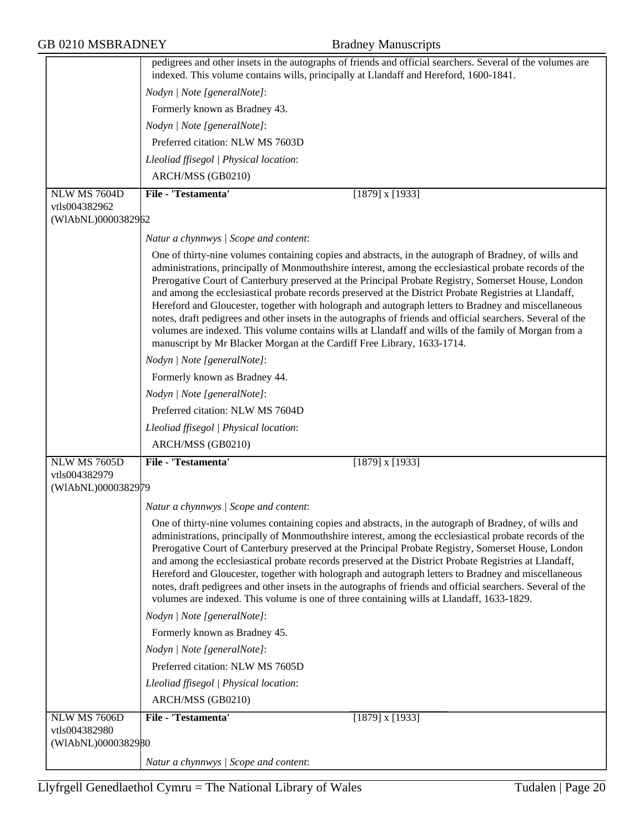|                    | pedigrees and other insets in the autographs of friends and official searchers. Several of the volumes are<br>indexed. This volume contains wills, principally at Llandaff and Hereford, 1600-1841.                                                                                                                                                                                                                                                                                                                                                                                                                                                                                                                                                                                                                                        |
|--------------------|--------------------------------------------------------------------------------------------------------------------------------------------------------------------------------------------------------------------------------------------------------------------------------------------------------------------------------------------------------------------------------------------------------------------------------------------------------------------------------------------------------------------------------------------------------------------------------------------------------------------------------------------------------------------------------------------------------------------------------------------------------------------------------------------------------------------------------------------|
|                    | Nodyn   Note [generalNote]:                                                                                                                                                                                                                                                                                                                                                                                                                                                                                                                                                                                                                                                                                                                                                                                                                |
|                    | Formerly known as Bradney 43.                                                                                                                                                                                                                                                                                                                                                                                                                                                                                                                                                                                                                                                                                                                                                                                                              |
|                    | Nodyn   Note [generalNote]:                                                                                                                                                                                                                                                                                                                                                                                                                                                                                                                                                                                                                                                                                                                                                                                                                |
|                    | Preferred citation: NLW MS 7603D                                                                                                                                                                                                                                                                                                                                                                                                                                                                                                                                                                                                                                                                                                                                                                                                           |
|                    | Lleoliad ffisegol   Physical location:                                                                                                                                                                                                                                                                                                                                                                                                                                                                                                                                                                                                                                                                                                                                                                                                     |
|                    | ARCH/MSS (GB0210)                                                                                                                                                                                                                                                                                                                                                                                                                                                                                                                                                                                                                                                                                                                                                                                                                          |
| NLW MS 7604D       | File - 'Testamenta'<br>$[1879]$ x $[1933]$                                                                                                                                                                                                                                                                                                                                                                                                                                                                                                                                                                                                                                                                                                                                                                                                 |
| vtls004382962      |                                                                                                                                                                                                                                                                                                                                                                                                                                                                                                                                                                                                                                                                                                                                                                                                                                            |
| (WIAbNL)0000382962 |                                                                                                                                                                                                                                                                                                                                                                                                                                                                                                                                                                                                                                                                                                                                                                                                                                            |
|                    | Natur a chynnwys / Scope and content:                                                                                                                                                                                                                                                                                                                                                                                                                                                                                                                                                                                                                                                                                                                                                                                                      |
|                    | One of thirty-nine volumes containing copies and abstracts, in the autograph of Bradney, of wills and<br>administrations, principally of Monmouthshire interest, among the ecclesiastical probate records of the<br>Prerogative Court of Canterbury preserved at the Principal Probate Registry, Somerset House, London<br>and among the ecclesiastical probate records preserved at the District Probate Registries at Llandaff,<br>Hereford and Gloucester, together with holograph and autograph letters to Bradney and miscellaneous<br>notes, draft pedigrees and other insets in the autographs of friends and official searchers. Several of the<br>volumes are indexed. This volume contains wills at Llandaff and wills of the family of Morgan from a<br>manuscript by Mr Blacker Morgan at the Cardiff Free Library, 1633-1714. |
|                    | Nodyn   Note [generalNote]:                                                                                                                                                                                                                                                                                                                                                                                                                                                                                                                                                                                                                                                                                                                                                                                                                |
|                    | Formerly known as Bradney 44.                                                                                                                                                                                                                                                                                                                                                                                                                                                                                                                                                                                                                                                                                                                                                                                                              |
|                    | Nodyn   Note [generalNote]:                                                                                                                                                                                                                                                                                                                                                                                                                                                                                                                                                                                                                                                                                                                                                                                                                |
|                    | Preferred citation: NLW MS 7604D                                                                                                                                                                                                                                                                                                                                                                                                                                                                                                                                                                                                                                                                                                                                                                                                           |
|                    | Lleoliad ffisegol   Physical location:                                                                                                                                                                                                                                                                                                                                                                                                                                                                                                                                                                                                                                                                                                                                                                                                     |
|                    | ARCH/MSS (GB0210)                                                                                                                                                                                                                                                                                                                                                                                                                                                                                                                                                                                                                                                                                                                                                                                                                          |
| NLW MS 7605D       | File - 'Testamenta'<br>$[1879]$ x $[1933]$                                                                                                                                                                                                                                                                                                                                                                                                                                                                                                                                                                                                                                                                                                                                                                                                 |
| vtls004382979      |                                                                                                                                                                                                                                                                                                                                                                                                                                                                                                                                                                                                                                                                                                                                                                                                                                            |
| (WIAbNL)0000382979 |                                                                                                                                                                                                                                                                                                                                                                                                                                                                                                                                                                                                                                                                                                                                                                                                                                            |
|                    | Natur a chynnwys / Scope and content:                                                                                                                                                                                                                                                                                                                                                                                                                                                                                                                                                                                                                                                                                                                                                                                                      |
|                    | One of thirty-nine volumes containing copies and abstracts, in the autograph of Bradney, of wills and<br>administrations, principally of Monmouthshire interest, among the ecclesiastical probate records of the<br>Prerogative Court of Canterbury preserved at the Principal Probate Registry, Somerset House, London<br>and among the ecclesiastical probate records preserved at the District Probate Registries at Llandaff,<br>Hereford and Gloucester, together with holograph and autograph letters to Bradney and miscellaneous<br>notes, draft pedigrees and other insets in the autographs of friends and official searchers. Several of the<br>volumes are indexed. This volume is one of three containing wills at Llandaff, 1633-1829.                                                                                       |
|                    | Nodyn   Note [generalNote]:                                                                                                                                                                                                                                                                                                                                                                                                                                                                                                                                                                                                                                                                                                                                                                                                                |
|                    | Formerly known as Bradney 45.                                                                                                                                                                                                                                                                                                                                                                                                                                                                                                                                                                                                                                                                                                                                                                                                              |
|                    | Nodyn   Note [generalNote]:                                                                                                                                                                                                                                                                                                                                                                                                                                                                                                                                                                                                                                                                                                                                                                                                                |
|                    | Preferred citation: NLW MS 7605D                                                                                                                                                                                                                                                                                                                                                                                                                                                                                                                                                                                                                                                                                                                                                                                                           |
|                    | Lleoliad ffisegol   Physical location:                                                                                                                                                                                                                                                                                                                                                                                                                                                                                                                                                                                                                                                                                                                                                                                                     |
|                    | ARCH/MSS (GB0210)                                                                                                                                                                                                                                                                                                                                                                                                                                                                                                                                                                                                                                                                                                                                                                                                                          |
| NLW MS 7606D       | File - 'Testamenta'<br>$[1879]$ x $[1933]$                                                                                                                                                                                                                                                                                                                                                                                                                                                                                                                                                                                                                                                                                                                                                                                                 |
| vtls004382980      |                                                                                                                                                                                                                                                                                                                                                                                                                                                                                                                                                                                                                                                                                                                                                                                                                                            |
| (WIAbNL)0000382980 |                                                                                                                                                                                                                                                                                                                                                                                                                                                                                                                                                                                                                                                                                                                                                                                                                                            |
|                    | Natur a chynnwys / Scope and content:                                                                                                                                                                                                                                                                                                                                                                                                                                                                                                                                                                                                                                                                                                                                                                                                      |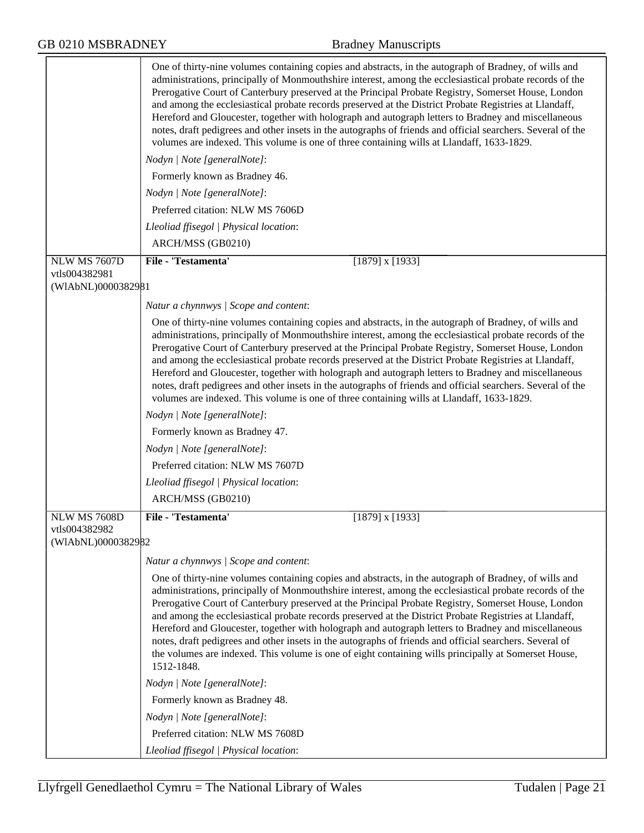|                                     | One of thirty-nine volumes containing copies and abstracts, in the autograph of Bradney, of wills and<br>administrations, principally of Monmouthshire interest, among the ecclesiastical probate records of the<br>Prerogative Court of Canterbury preserved at the Principal Probate Registry, Somerset House, London<br>and among the ecclesiastical probate records preserved at the District Probate Registries at Llandaff,<br>Hereford and Gloucester, together with holograph and autograph letters to Bradney and miscellaneous<br>notes, draft pedigrees and other insets in the autographs of friends and official searchers. Several of the<br>volumes are indexed. This volume is one of three containing wills at Llandaff, 1633-1829.                      |
|-------------------------------------|---------------------------------------------------------------------------------------------------------------------------------------------------------------------------------------------------------------------------------------------------------------------------------------------------------------------------------------------------------------------------------------------------------------------------------------------------------------------------------------------------------------------------------------------------------------------------------------------------------------------------------------------------------------------------------------------------------------------------------------------------------------------------|
|                                     | Nodyn   Note [generalNote]:                                                                                                                                                                                                                                                                                                                                                                                                                                                                                                                                                                                                                                                                                                                                               |
|                                     | Formerly known as Bradney 46.                                                                                                                                                                                                                                                                                                                                                                                                                                                                                                                                                                                                                                                                                                                                             |
|                                     | Nodyn   Note [generalNote]:                                                                                                                                                                                                                                                                                                                                                                                                                                                                                                                                                                                                                                                                                                                                               |
|                                     | Preferred citation: NLW MS 7606D                                                                                                                                                                                                                                                                                                                                                                                                                                                                                                                                                                                                                                                                                                                                          |
|                                     | Lleoliad ffisegol   Physical location:                                                                                                                                                                                                                                                                                                                                                                                                                                                                                                                                                                                                                                                                                                                                    |
|                                     | ARCH/MSS (GB0210)                                                                                                                                                                                                                                                                                                                                                                                                                                                                                                                                                                                                                                                                                                                                                         |
| <b>NLW MS 7607D</b>                 | File - 'Testamenta'<br>$[1879]$ x $[1933]$                                                                                                                                                                                                                                                                                                                                                                                                                                                                                                                                                                                                                                                                                                                                |
| vtls004382981                       |                                                                                                                                                                                                                                                                                                                                                                                                                                                                                                                                                                                                                                                                                                                                                                           |
| (WIAbNL)0000382981                  |                                                                                                                                                                                                                                                                                                                                                                                                                                                                                                                                                                                                                                                                                                                                                                           |
|                                     | Natur a chynnwys / Scope and content:                                                                                                                                                                                                                                                                                                                                                                                                                                                                                                                                                                                                                                                                                                                                     |
|                                     | One of thirty-nine volumes containing copies and abstracts, in the autograph of Bradney, of wills and<br>administrations, principally of Monmouthshire interest, among the ecclesiastical probate records of the<br>Prerogative Court of Canterbury preserved at the Principal Probate Registry, Somerset House, London<br>and among the ecclesiastical probate records preserved at the District Probate Registries at Llandaff,<br>Hereford and Gloucester, together with holograph and autograph letters to Bradney and miscellaneous<br>notes, draft pedigrees and other insets in the autographs of friends and official searchers. Several of the<br>volumes are indexed. This volume is one of three containing wills at Llandaff, 1633-1829.                      |
|                                     | Nodyn   Note [generalNote]:                                                                                                                                                                                                                                                                                                                                                                                                                                                                                                                                                                                                                                                                                                                                               |
|                                     | Formerly known as Bradney 47.                                                                                                                                                                                                                                                                                                                                                                                                                                                                                                                                                                                                                                                                                                                                             |
|                                     | Nodyn   Note [generalNote]:                                                                                                                                                                                                                                                                                                                                                                                                                                                                                                                                                                                                                                                                                                                                               |
|                                     | Preferred citation: NLW MS 7607D                                                                                                                                                                                                                                                                                                                                                                                                                                                                                                                                                                                                                                                                                                                                          |
|                                     | Lleoliad ffisegol   Physical location:                                                                                                                                                                                                                                                                                                                                                                                                                                                                                                                                                                                                                                                                                                                                    |
|                                     | ARCH/MSS (GB0210)                                                                                                                                                                                                                                                                                                                                                                                                                                                                                                                                                                                                                                                                                                                                                         |
| <b>NLW MS 7608D</b>                 | File - 'Testamenta'<br>$[1879]$ x $[1933]$                                                                                                                                                                                                                                                                                                                                                                                                                                                                                                                                                                                                                                                                                                                                |
| vtls004382982<br>(WIAbNL)0000382982 |                                                                                                                                                                                                                                                                                                                                                                                                                                                                                                                                                                                                                                                                                                                                                                           |
|                                     |                                                                                                                                                                                                                                                                                                                                                                                                                                                                                                                                                                                                                                                                                                                                                                           |
|                                     | Natur a chynnwys / Scope and content:                                                                                                                                                                                                                                                                                                                                                                                                                                                                                                                                                                                                                                                                                                                                     |
|                                     | One of thirty-nine volumes containing copies and abstracts, in the autograph of Bradney, of wills and<br>administrations, principally of Monmouthshire interest, among the ecclesiastical probate records of the<br>Prerogative Court of Canterbury preserved at the Principal Probate Registry, Somerset House, London<br>and among the ecclesiastical probate records preserved at the District Probate Registries at Llandaff,<br>Hereford and Gloucester, together with holograph and autograph letters to Bradney and miscellaneous<br>notes, draft pedigrees and other insets in the autographs of friends and official searchers. Several of<br>the volumes are indexed. This volume is one of eight containing wills principally at Somerset House,<br>1512-1848. |
|                                     | Nodyn   Note [generalNote]:                                                                                                                                                                                                                                                                                                                                                                                                                                                                                                                                                                                                                                                                                                                                               |
|                                     | Formerly known as Bradney 48.                                                                                                                                                                                                                                                                                                                                                                                                                                                                                                                                                                                                                                                                                                                                             |
|                                     | Nodyn   Note [generalNote]:                                                                                                                                                                                                                                                                                                                                                                                                                                                                                                                                                                                                                                                                                                                                               |
|                                     | Preferred citation: NLW MS 7608D                                                                                                                                                                                                                                                                                                                                                                                                                                                                                                                                                                                                                                                                                                                                          |
|                                     | Lleoliad ffisegol   Physical location:                                                                                                                                                                                                                                                                                                                                                                                                                                                                                                                                                                                                                                                                                                                                    |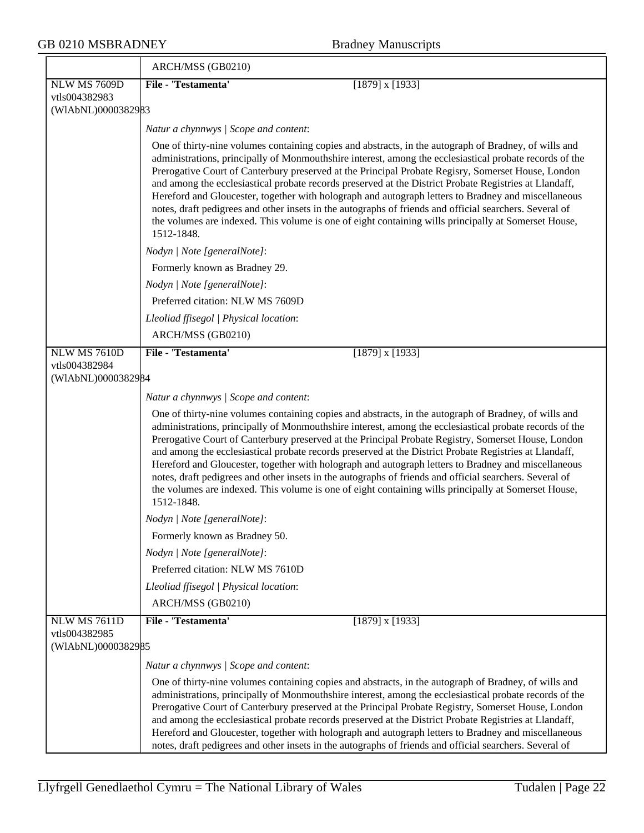|                                     | ARCH/MSS (GB0210)                                                                                                                                                                                                                                                                                                                                                                                                                                                                                                                                                                                                                                                                                                                                                         |
|-------------------------------------|---------------------------------------------------------------------------------------------------------------------------------------------------------------------------------------------------------------------------------------------------------------------------------------------------------------------------------------------------------------------------------------------------------------------------------------------------------------------------------------------------------------------------------------------------------------------------------------------------------------------------------------------------------------------------------------------------------------------------------------------------------------------------|
| <b>NLW MS 7609D</b>                 | File - 'Testamenta'<br>$[1879]$ x $[1933]$                                                                                                                                                                                                                                                                                                                                                                                                                                                                                                                                                                                                                                                                                                                                |
| vtls004382983                       |                                                                                                                                                                                                                                                                                                                                                                                                                                                                                                                                                                                                                                                                                                                                                                           |
| (WIAbNL)0000382983                  |                                                                                                                                                                                                                                                                                                                                                                                                                                                                                                                                                                                                                                                                                                                                                                           |
|                                     | Natur a chynnwys / Scope and content:                                                                                                                                                                                                                                                                                                                                                                                                                                                                                                                                                                                                                                                                                                                                     |
|                                     | One of thirty-nine volumes containing copies and abstracts, in the autograph of Bradney, of wills and<br>administrations, principally of Monmouthshire interest, among the ecclesiastical probate records of the<br>Prerogative Court of Canterbury preserved at the Principal Probate Regisry, Somerset House, London<br>and among the ecclesiastical probate records preserved at the District Probate Registries at Llandaff,<br>Hereford and Gloucester, together with holograph and autograph letters to Bradney and miscellaneous<br>notes, draft pedigrees and other insets in the autographs of friends and official searchers. Several of<br>the volumes are indexed. This volume is one of eight containing wills principally at Somerset House,<br>1512-1848.  |
|                                     | Nodyn   Note [generalNote]:                                                                                                                                                                                                                                                                                                                                                                                                                                                                                                                                                                                                                                                                                                                                               |
|                                     | Formerly known as Bradney 29.                                                                                                                                                                                                                                                                                                                                                                                                                                                                                                                                                                                                                                                                                                                                             |
|                                     | Nodyn   Note [generalNote]:                                                                                                                                                                                                                                                                                                                                                                                                                                                                                                                                                                                                                                                                                                                                               |
|                                     | Preferred citation: NLW MS 7609D                                                                                                                                                                                                                                                                                                                                                                                                                                                                                                                                                                                                                                                                                                                                          |
|                                     | Lleoliad ffisegol   Physical location:                                                                                                                                                                                                                                                                                                                                                                                                                                                                                                                                                                                                                                                                                                                                    |
|                                     | ARCH/MSS (GB0210)                                                                                                                                                                                                                                                                                                                                                                                                                                                                                                                                                                                                                                                                                                                                                         |
| <b>NLW MS 7610D</b>                 | File - 'Testamenta'<br>$[1879]$ x $[1933]$                                                                                                                                                                                                                                                                                                                                                                                                                                                                                                                                                                                                                                                                                                                                |
| vtls004382984                       |                                                                                                                                                                                                                                                                                                                                                                                                                                                                                                                                                                                                                                                                                                                                                                           |
| (WIAbNL)0000382984                  |                                                                                                                                                                                                                                                                                                                                                                                                                                                                                                                                                                                                                                                                                                                                                                           |
|                                     | Natur a chynnwys / Scope and content:                                                                                                                                                                                                                                                                                                                                                                                                                                                                                                                                                                                                                                                                                                                                     |
|                                     | One of thirty-nine volumes containing copies and abstracts, in the autograph of Bradney, of wills and<br>administrations, principally of Monmouthshire interest, among the ecclesiastical probate records of the<br>Prerogative Court of Canterbury preserved at the Principal Probate Registry, Somerset House, London<br>and among the ecclesiastical probate records preserved at the District Probate Registries at Llandaff,<br>Hereford and Gloucester, together with holograph and autograph letters to Bradney and miscellaneous<br>notes, draft pedigrees and other insets in the autographs of friends and official searchers. Several of<br>the volumes are indexed. This volume is one of eight containing wills principally at Somerset House,<br>1512-1848. |
|                                     | Nodyn   Note [generalNote]:                                                                                                                                                                                                                                                                                                                                                                                                                                                                                                                                                                                                                                                                                                                                               |
|                                     | Formerly known as Bradney 50.                                                                                                                                                                                                                                                                                                                                                                                                                                                                                                                                                                                                                                                                                                                                             |
|                                     | Nodyn   Note [generalNote]:                                                                                                                                                                                                                                                                                                                                                                                                                                                                                                                                                                                                                                                                                                                                               |
|                                     | Preferred citation: NLW MS 7610D                                                                                                                                                                                                                                                                                                                                                                                                                                                                                                                                                                                                                                                                                                                                          |
|                                     | Lleoliad ffisegol   Physical location:                                                                                                                                                                                                                                                                                                                                                                                                                                                                                                                                                                                                                                                                                                                                    |
|                                     | ARCH/MSS (GB0210)                                                                                                                                                                                                                                                                                                                                                                                                                                                                                                                                                                                                                                                                                                                                                         |
| NLW MS 7611D                        | File - 'Testamenta'<br>$[1879]$ x $[1933]$                                                                                                                                                                                                                                                                                                                                                                                                                                                                                                                                                                                                                                                                                                                                |
| vtls004382985<br>(WIAbNL)0000382985 |                                                                                                                                                                                                                                                                                                                                                                                                                                                                                                                                                                                                                                                                                                                                                                           |
|                                     | Natur a chynnwys / Scope and content:                                                                                                                                                                                                                                                                                                                                                                                                                                                                                                                                                                                                                                                                                                                                     |
|                                     | One of thirty-nine volumes containing copies and abstracts, in the autograph of Bradney, of wills and<br>administrations, principally of Monmouthshire interest, among the ecclesiastical probate records of the<br>Prerogative Court of Canterbury preserved at the Principal Probate Registry, Somerset House, London<br>and among the ecclesiastical probate records preserved at the District Probate Registries at Llandaff,<br>Hereford and Gloucester, together with holograph and autograph letters to Bradney and miscellaneous<br>notes, draft pedigrees and other insets in the autographs of friends and official searchers. Several of                                                                                                                       |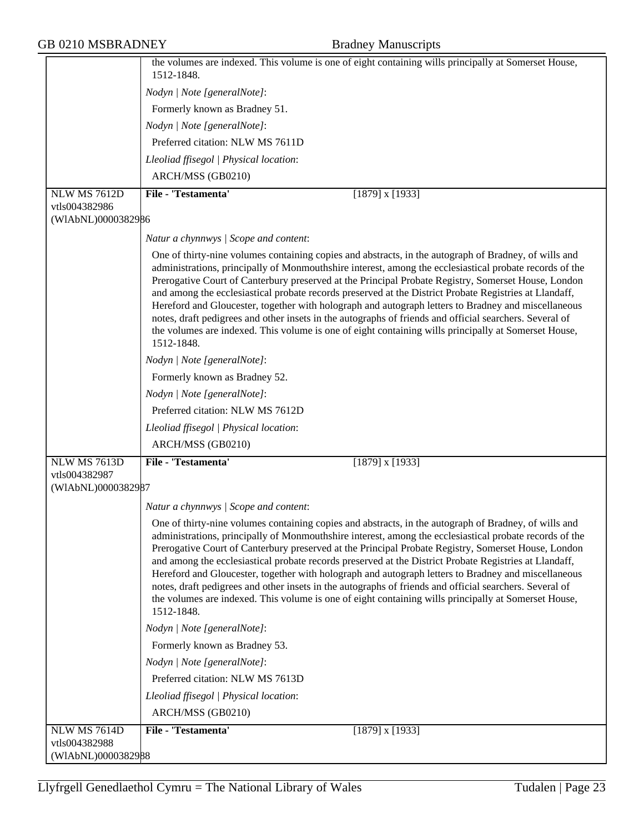|                                     | the volumes are indexed. This volume is one of eight containing wills principally at Somerset House,<br>1512-1848.                                                                                                                                                                                                                                                                                                                                                                                                                                                                                                                                                                                                                                                        |
|-------------------------------------|---------------------------------------------------------------------------------------------------------------------------------------------------------------------------------------------------------------------------------------------------------------------------------------------------------------------------------------------------------------------------------------------------------------------------------------------------------------------------------------------------------------------------------------------------------------------------------------------------------------------------------------------------------------------------------------------------------------------------------------------------------------------------|
|                                     | Nodyn   Note [generalNote]:                                                                                                                                                                                                                                                                                                                                                                                                                                                                                                                                                                                                                                                                                                                                               |
|                                     | Formerly known as Bradney 51.                                                                                                                                                                                                                                                                                                                                                                                                                                                                                                                                                                                                                                                                                                                                             |
|                                     | Nodyn   Note [generalNote]:                                                                                                                                                                                                                                                                                                                                                                                                                                                                                                                                                                                                                                                                                                                                               |
|                                     | Preferred citation: NLW MS 7611D                                                                                                                                                                                                                                                                                                                                                                                                                                                                                                                                                                                                                                                                                                                                          |
|                                     | Lleoliad ffisegol   Physical location:                                                                                                                                                                                                                                                                                                                                                                                                                                                                                                                                                                                                                                                                                                                                    |
|                                     | ARCH/MSS (GB0210)                                                                                                                                                                                                                                                                                                                                                                                                                                                                                                                                                                                                                                                                                                                                                         |
| <b>NLW MS 7612D</b>                 | File - 'Testamenta'<br>$[1879]$ x $[1933]$                                                                                                                                                                                                                                                                                                                                                                                                                                                                                                                                                                                                                                                                                                                                |
| vtls004382986                       |                                                                                                                                                                                                                                                                                                                                                                                                                                                                                                                                                                                                                                                                                                                                                                           |
| (WIAbNL)0000382986                  |                                                                                                                                                                                                                                                                                                                                                                                                                                                                                                                                                                                                                                                                                                                                                                           |
|                                     | Natur a chynnwys / Scope and content:                                                                                                                                                                                                                                                                                                                                                                                                                                                                                                                                                                                                                                                                                                                                     |
|                                     | One of thirty-nine volumes containing copies and abstracts, in the autograph of Bradney, of wills and<br>administrations, principally of Monmouthshire interest, among the ecclesiastical probate records of the<br>Prerogative Court of Canterbury preserved at the Principal Probate Registry, Somerset House, London<br>and among the ecclesiastical probate records preserved at the District Probate Registries at Llandaff,<br>Hereford and Gloucester, together with holograph and autograph letters to Bradney and miscellaneous<br>notes, draft pedigrees and other insets in the autographs of friends and official searchers. Several of<br>the volumes are indexed. This volume is one of eight containing wills principally at Somerset House,<br>1512-1848. |
|                                     | Nodyn   Note [generalNote]:                                                                                                                                                                                                                                                                                                                                                                                                                                                                                                                                                                                                                                                                                                                                               |
|                                     | Formerly known as Bradney 52.                                                                                                                                                                                                                                                                                                                                                                                                                                                                                                                                                                                                                                                                                                                                             |
|                                     | Nodyn   Note [generalNote]:                                                                                                                                                                                                                                                                                                                                                                                                                                                                                                                                                                                                                                                                                                                                               |
|                                     | Preferred citation: NLW MS 7612D                                                                                                                                                                                                                                                                                                                                                                                                                                                                                                                                                                                                                                                                                                                                          |
|                                     | Lleoliad ffisegol   Physical location:                                                                                                                                                                                                                                                                                                                                                                                                                                                                                                                                                                                                                                                                                                                                    |
|                                     | ARCH/MSS (GB0210)                                                                                                                                                                                                                                                                                                                                                                                                                                                                                                                                                                                                                                                                                                                                                         |
| NLW MS 7613D                        | File - 'Testamenta'<br>$[1879]$ x $[1933]$                                                                                                                                                                                                                                                                                                                                                                                                                                                                                                                                                                                                                                                                                                                                |
| vtls004382987                       |                                                                                                                                                                                                                                                                                                                                                                                                                                                                                                                                                                                                                                                                                                                                                                           |
| (WIAbNL)0000382987                  |                                                                                                                                                                                                                                                                                                                                                                                                                                                                                                                                                                                                                                                                                                                                                                           |
|                                     | Natur a chynnwys / Scope and content:                                                                                                                                                                                                                                                                                                                                                                                                                                                                                                                                                                                                                                                                                                                                     |
|                                     | One of thirty-nine volumes containing copies and abstracts, in the autograph of Bradney, of wills and<br>administrations, principally of Monmouthshire interest, among the ecclesiastical probate records of the<br>Prerogative Court of Canterbury preserved at the Principal Probate Registry, Somerset House, London<br>and among the ecclesiastical probate records preserved at the District Probate Registries at Llandaff,<br>Hereford and Gloucester, together with holograph and autograph letters to Bradney and miscellaneous<br>notes, draft pedigrees and other insets in the autographs of friends and official searchers. Several of<br>the volumes are indexed. This volume is one of eight containing wills principally at Somerset House,<br>1512-1848. |
|                                     | Nodyn   Note [generalNote]:                                                                                                                                                                                                                                                                                                                                                                                                                                                                                                                                                                                                                                                                                                                                               |
|                                     | Formerly known as Bradney 53.                                                                                                                                                                                                                                                                                                                                                                                                                                                                                                                                                                                                                                                                                                                                             |
|                                     | Nodyn   Note [generalNote]:                                                                                                                                                                                                                                                                                                                                                                                                                                                                                                                                                                                                                                                                                                                                               |
|                                     | Preferred citation: NLW MS 7613D                                                                                                                                                                                                                                                                                                                                                                                                                                                                                                                                                                                                                                                                                                                                          |
|                                     | Lleoliad ffisegol   Physical location:                                                                                                                                                                                                                                                                                                                                                                                                                                                                                                                                                                                                                                                                                                                                    |
|                                     | ARCH/MSS (GB0210)                                                                                                                                                                                                                                                                                                                                                                                                                                                                                                                                                                                                                                                                                                                                                         |
| <b>NLW MS 7614D</b>                 | File - 'Testamenta'<br>$[1879]$ x $[1933]$                                                                                                                                                                                                                                                                                                                                                                                                                                                                                                                                                                                                                                                                                                                                |
| vtls004382988<br>(W1AbNL)0000382988 |                                                                                                                                                                                                                                                                                                                                                                                                                                                                                                                                                                                                                                                                                                                                                                           |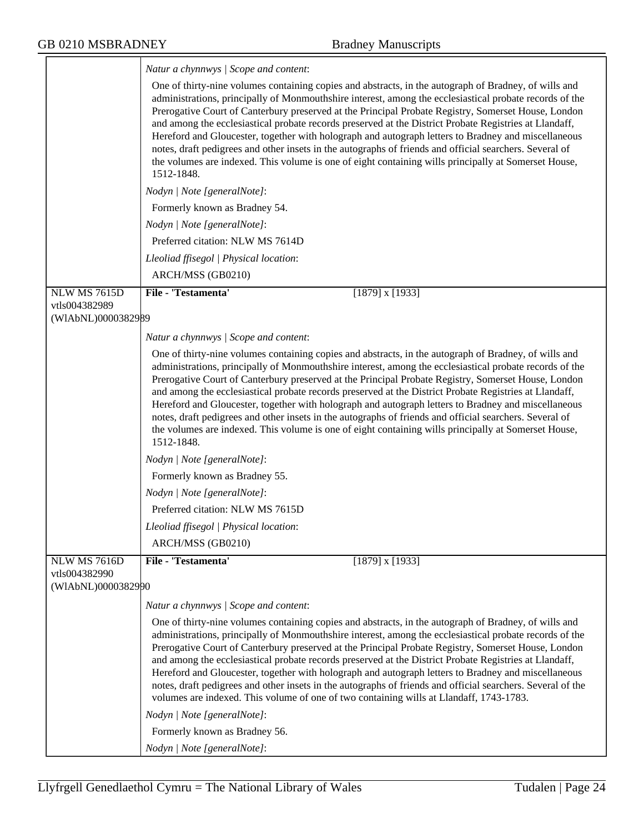|                                                            | Natur a chynnwys / Scope and content:                                                                                                                                                                                                                                                                                                                                                                                                                                                                                                                                                                                                                                                                                                                                     |
|------------------------------------------------------------|---------------------------------------------------------------------------------------------------------------------------------------------------------------------------------------------------------------------------------------------------------------------------------------------------------------------------------------------------------------------------------------------------------------------------------------------------------------------------------------------------------------------------------------------------------------------------------------------------------------------------------------------------------------------------------------------------------------------------------------------------------------------------|
|                                                            | One of thirty-nine volumes containing copies and abstracts, in the autograph of Bradney, of wills and<br>administrations, principally of Monmouthshire interest, among the ecclesiastical probate records of the<br>Prerogative Court of Canterbury preserved at the Principal Probate Registry, Somerset House, London<br>and among the ecclesiastical probate records preserved at the District Probate Registries at Llandaff,<br>Hereford and Gloucester, together with holograph and autograph letters to Bradney and miscellaneous<br>notes, draft pedigrees and other insets in the autographs of friends and official searchers. Several of<br>the volumes are indexed. This volume is one of eight containing wills principally at Somerset House,<br>1512-1848. |
|                                                            | Nodyn   Note [generalNote]:                                                                                                                                                                                                                                                                                                                                                                                                                                                                                                                                                                                                                                                                                                                                               |
|                                                            | Formerly known as Bradney 54.                                                                                                                                                                                                                                                                                                                                                                                                                                                                                                                                                                                                                                                                                                                                             |
|                                                            | Nodyn   Note [generalNote]:                                                                                                                                                                                                                                                                                                                                                                                                                                                                                                                                                                                                                                                                                                                                               |
|                                                            | Preferred citation: NLW MS 7614D                                                                                                                                                                                                                                                                                                                                                                                                                                                                                                                                                                                                                                                                                                                                          |
|                                                            | Lleoliad ffisegol   Physical location:                                                                                                                                                                                                                                                                                                                                                                                                                                                                                                                                                                                                                                                                                                                                    |
|                                                            | ARCH/MSS (GB0210)                                                                                                                                                                                                                                                                                                                                                                                                                                                                                                                                                                                                                                                                                                                                                         |
| <b>NLW MS 7615D</b>                                        | File - 'Testamenta'<br>$[1879]$ x $[1933]$                                                                                                                                                                                                                                                                                                                                                                                                                                                                                                                                                                                                                                                                                                                                |
| vtls004382989<br>(WIAbNL)0000382989                        |                                                                                                                                                                                                                                                                                                                                                                                                                                                                                                                                                                                                                                                                                                                                                                           |
|                                                            |                                                                                                                                                                                                                                                                                                                                                                                                                                                                                                                                                                                                                                                                                                                                                                           |
|                                                            | Natur a chynnwys / Scope and content:<br>One of thirty-nine volumes containing copies and abstracts, in the autograph of Bradney, of wills and                                                                                                                                                                                                                                                                                                                                                                                                                                                                                                                                                                                                                            |
|                                                            | administrations, principally of Monmouthshire interest, among the ecclesiastical probate records of the<br>Prerogative Court of Canterbury preserved at the Principal Probate Registry, Somerset House, London<br>and among the ecclesiastical probate records preserved at the District Probate Registries at Llandaff,<br>Hereford and Gloucester, together with holograph and autograph letters to Bradney and miscellaneous<br>notes, draft pedigrees and other insets in the autographs of friends and official searchers. Several of<br>the volumes are indexed. This volume is one of eight containing wills principally at Somerset House,<br>1512-1848.                                                                                                          |
|                                                            | Nodyn   Note [generalNote]:                                                                                                                                                                                                                                                                                                                                                                                                                                                                                                                                                                                                                                                                                                                                               |
|                                                            | Formerly known as Bradney 55.                                                                                                                                                                                                                                                                                                                                                                                                                                                                                                                                                                                                                                                                                                                                             |
|                                                            | Nodyn   Note [generalNote]:                                                                                                                                                                                                                                                                                                                                                                                                                                                                                                                                                                                                                                                                                                                                               |
|                                                            | Preferred citation: NLW MS 7615D                                                                                                                                                                                                                                                                                                                                                                                                                                                                                                                                                                                                                                                                                                                                          |
|                                                            | Lleoliad ffisegol   Physical location:                                                                                                                                                                                                                                                                                                                                                                                                                                                                                                                                                                                                                                                                                                                                    |
|                                                            | ARCH/MSS (GB0210)                                                                                                                                                                                                                                                                                                                                                                                                                                                                                                                                                                                                                                                                                                                                                         |
| <b>NLW MS 7616D</b><br>vtls004382990<br>(WIAbNL)0000382990 | File - 'Testamenta'<br>$[1879]$ x $[1933]$                                                                                                                                                                                                                                                                                                                                                                                                                                                                                                                                                                                                                                                                                                                                |
|                                                            | Natur a chynnwys / Scope and content:                                                                                                                                                                                                                                                                                                                                                                                                                                                                                                                                                                                                                                                                                                                                     |
|                                                            | One of thirty-nine volumes containing copies and abstracts, in the autograph of Bradney, of wills and<br>administrations, principally of Monmouthshire interest, among the ecclesiastical probate records of the<br>Prerogative Court of Canterbury preserved at the Principal Probate Registry, Somerset House, London<br>and among the ecclesiastical probate records preserved at the District Probate Registries at Llandaff,<br>Hereford and Gloucester, together with holograph and autograph letters to Bradney and miscellaneous<br>notes, draft pedigrees and other insets in the autographs of friends and official searchers. Several of the<br>volumes are indexed. This volume of one of two containing wills at Llandaff, 1743-1783.                        |
|                                                            | Nodyn   Note [generalNote]:                                                                                                                                                                                                                                                                                                                                                                                                                                                                                                                                                                                                                                                                                                                                               |
|                                                            | Formerly known as Bradney 56.                                                                                                                                                                                                                                                                                                                                                                                                                                                                                                                                                                                                                                                                                                                                             |
|                                                            | Nodyn   Note [generalNote]:                                                                                                                                                                                                                                                                                                                                                                                                                                                                                                                                                                                                                                                                                                                                               |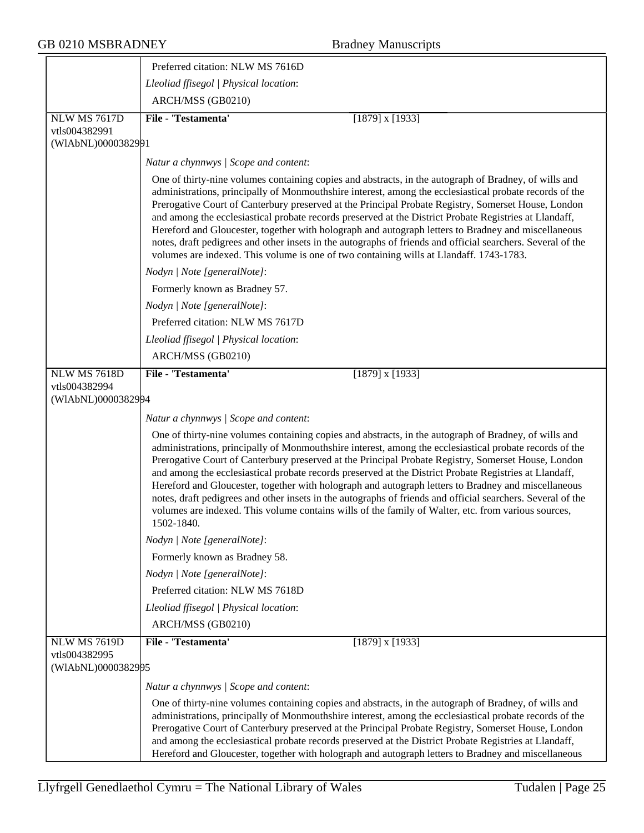|                                                     | Preferred citation: NLW MS 7616D                                                                                                                                                                                                                                                                                                                                                                                                                                                                                                                                                                                                                                                                                                                                             |
|-----------------------------------------------------|------------------------------------------------------------------------------------------------------------------------------------------------------------------------------------------------------------------------------------------------------------------------------------------------------------------------------------------------------------------------------------------------------------------------------------------------------------------------------------------------------------------------------------------------------------------------------------------------------------------------------------------------------------------------------------------------------------------------------------------------------------------------------|
|                                                     | Lleoliad ffisegol   Physical location:                                                                                                                                                                                                                                                                                                                                                                                                                                                                                                                                                                                                                                                                                                                                       |
|                                                     | ARCH/MSS (GB0210)                                                                                                                                                                                                                                                                                                                                                                                                                                                                                                                                                                                                                                                                                                                                                            |
| <b>NLW MS 7617D</b>                                 | File - 'Testamenta'<br>$[1879]$ x $[1933]$                                                                                                                                                                                                                                                                                                                                                                                                                                                                                                                                                                                                                                                                                                                                   |
| vtls004382991                                       |                                                                                                                                                                                                                                                                                                                                                                                                                                                                                                                                                                                                                                                                                                                                                                              |
| (WIAbNL)0000382991                                  |                                                                                                                                                                                                                                                                                                                                                                                                                                                                                                                                                                                                                                                                                                                                                                              |
|                                                     | Natur a chynnwys / Scope and content:                                                                                                                                                                                                                                                                                                                                                                                                                                                                                                                                                                                                                                                                                                                                        |
|                                                     | One of thirty-nine volumes containing copies and abstracts, in the autograph of Bradney, of wills and<br>administrations, principally of Monmouthshire interest, among the ecclesiastical probate records of the<br>Prerogative Court of Canterbury preserved at the Principal Probate Registry, Somerset House, London<br>and among the ecclesiastical probate records preserved at the District Probate Registries at Llandaff,<br>Hereford and Gloucester, together with holograph and autograph letters to Bradney and miscellaneous<br>notes, draft pedigrees and other insets in the autographs of friends and official searchers. Several of the<br>volumes are indexed. This volume is one of two containing wills at Llandaff. 1743-1783.                           |
|                                                     | Nodyn   Note [generalNote]:                                                                                                                                                                                                                                                                                                                                                                                                                                                                                                                                                                                                                                                                                                                                                  |
|                                                     | Formerly known as Bradney 57.                                                                                                                                                                                                                                                                                                                                                                                                                                                                                                                                                                                                                                                                                                                                                |
|                                                     | Nodyn   Note [generalNote]:                                                                                                                                                                                                                                                                                                                                                                                                                                                                                                                                                                                                                                                                                                                                                  |
|                                                     | Preferred citation: NLW MS 7617D                                                                                                                                                                                                                                                                                                                                                                                                                                                                                                                                                                                                                                                                                                                                             |
|                                                     | Lleoliad ffisegol   Physical location:                                                                                                                                                                                                                                                                                                                                                                                                                                                                                                                                                                                                                                                                                                                                       |
|                                                     | ARCH/MSS (GB0210)                                                                                                                                                                                                                                                                                                                                                                                                                                                                                                                                                                                                                                                                                                                                                            |
| NLW MS 7618D                                        | File - 'Testamenta'<br>$[1879]$ x $[1933]$                                                                                                                                                                                                                                                                                                                                                                                                                                                                                                                                                                                                                                                                                                                                   |
| vtls004382994<br>(WIAbNL)0000382994                 |                                                                                                                                                                                                                                                                                                                                                                                                                                                                                                                                                                                                                                                                                                                                                                              |
|                                                     | Natur a chynnwys / Scope and content:                                                                                                                                                                                                                                                                                                                                                                                                                                                                                                                                                                                                                                                                                                                                        |
|                                                     | One of thirty-nine volumes containing copies and abstracts, in the autograph of Bradney, of wills and<br>administrations, principally of Monmouthshire interest, among the ecclesiastical probate records of the<br>Prerogative Court of Canterbury preserved at the Principal Probate Registry, Somerset House, London<br>and among the ecclesiastical probate records preserved at the District Probate Registries at Llandaff,<br>Hereford and Gloucester, together with holograph and autograph letters to Bradney and miscellaneous<br>notes, draft pedigrees and other insets in the autographs of friends and official searchers. Several of the<br>volumes are indexed. This volume contains wills of the family of Walter, etc. from various sources,<br>1502-1840. |
|                                                     | Nodyn   Note [generalNote]:                                                                                                                                                                                                                                                                                                                                                                                                                                                                                                                                                                                                                                                                                                                                                  |
|                                                     | Formerly known as Bradney 58.                                                                                                                                                                                                                                                                                                                                                                                                                                                                                                                                                                                                                                                                                                                                                |
|                                                     | Nodyn   Note [generalNote]:                                                                                                                                                                                                                                                                                                                                                                                                                                                                                                                                                                                                                                                                                                                                                  |
|                                                     | Preferred citation: NLW MS 7618D                                                                                                                                                                                                                                                                                                                                                                                                                                                                                                                                                                                                                                                                                                                                             |
|                                                     | Lleoliad ffisegol   Physical location:                                                                                                                                                                                                                                                                                                                                                                                                                                                                                                                                                                                                                                                                                                                                       |
|                                                     | ARCH/MSS (GB0210)                                                                                                                                                                                                                                                                                                                                                                                                                                                                                                                                                                                                                                                                                                                                                            |
| NLW MS 7619D<br>vtls004382995<br>(WIAbNL)0000382995 | File - 'Testamenta'<br>$[1879]$ x $[1933]$                                                                                                                                                                                                                                                                                                                                                                                                                                                                                                                                                                                                                                                                                                                                   |
|                                                     | Natur a chynnwys / Scope and content:                                                                                                                                                                                                                                                                                                                                                                                                                                                                                                                                                                                                                                                                                                                                        |
|                                                     | One of thirty-nine volumes containing copies and abstracts, in the autograph of Bradney, of wills and<br>administrations, principally of Monmouthshire interest, among the ecclesiastical probate records of the<br>Prerogative Court of Canterbury preserved at the Principal Probate Registry, Somerset House, London<br>and among the ecclesiastical probate records preserved at the District Probate Registries at Llandaff,<br>Hereford and Gloucester, together with holograph and autograph letters to Bradney and miscellaneous                                                                                                                                                                                                                                     |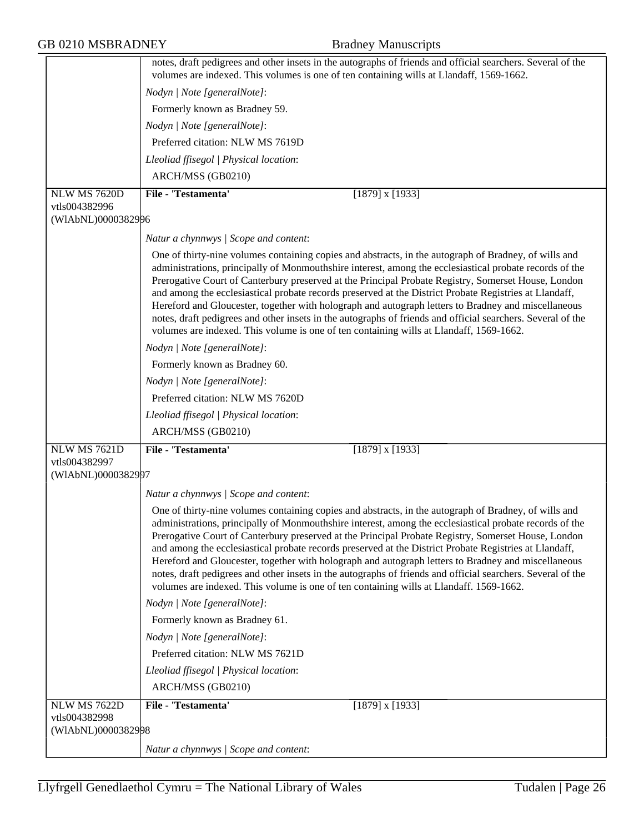|                                     | notes, draft pedigrees and other insets in the autographs of friends and official searchers. Several of the<br>volumes are indexed. This volumes is one of ten containing wills at Llandaff, 1569-1662.                                                                                                                                                                                                                                                                                                                                                                                                                                                                                                                                            |
|-------------------------------------|----------------------------------------------------------------------------------------------------------------------------------------------------------------------------------------------------------------------------------------------------------------------------------------------------------------------------------------------------------------------------------------------------------------------------------------------------------------------------------------------------------------------------------------------------------------------------------------------------------------------------------------------------------------------------------------------------------------------------------------------------|
|                                     | Nodyn   Note [generalNote]:                                                                                                                                                                                                                                                                                                                                                                                                                                                                                                                                                                                                                                                                                                                        |
|                                     | Formerly known as Bradney 59.                                                                                                                                                                                                                                                                                                                                                                                                                                                                                                                                                                                                                                                                                                                      |
|                                     | Nodyn   Note [generalNote]:                                                                                                                                                                                                                                                                                                                                                                                                                                                                                                                                                                                                                                                                                                                        |
|                                     | Preferred citation: NLW MS 7619D                                                                                                                                                                                                                                                                                                                                                                                                                                                                                                                                                                                                                                                                                                                   |
|                                     | Lleoliad ffisegol   Physical location:                                                                                                                                                                                                                                                                                                                                                                                                                                                                                                                                                                                                                                                                                                             |
|                                     | ARCH/MSS (GB0210)                                                                                                                                                                                                                                                                                                                                                                                                                                                                                                                                                                                                                                                                                                                                  |
| NLW MS 7620D                        | File - 'Testamenta'<br>$[1879]$ x $[1933]$                                                                                                                                                                                                                                                                                                                                                                                                                                                                                                                                                                                                                                                                                                         |
| vtls004382996                       |                                                                                                                                                                                                                                                                                                                                                                                                                                                                                                                                                                                                                                                                                                                                                    |
| (WIAbNL)0000382996                  |                                                                                                                                                                                                                                                                                                                                                                                                                                                                                                                                                                                                                                                                                                                                                    |
|                                     | Natur a chynnwys / Scope and content:                                                                                                                                                                                                                                                                                                                                                                                                                                                                                                                                                                                                                                                                                                              |
|                                     | One of thirty-nine volumes containing copies and abstracts, in the autograph of Bradney, of wills and<br>administrations, principally of Monmouthshire interest, among the ecclesiastical probate records of the<br>Prerogative Court of Canterbury preserved at the Principal Probate Registry, Somerset House, London<br>and among the ecclesiastical probate records preserved at the District Probate Registries at Llandaff,<br>Hereford and Gloucester, together with holograph and autograph letters to Bradney and miscellaneous<br>notes, draft pedigrees and other insets in the autographs of friends and official searchers. Several of the<br>volumes are indexed. This volume is one of ten containing wills at Llandaff, 1569-1662. |
|                                     | Nodyn   Note [generalNote]:                                                                                                                                                                                                                                                                                                                                                                                                                                                                                                                                                                                                                                                                                                                        |
|                                     | Formerly known as Bradney 60.                                                                                                                                                                                                                                                                                                                                                                                                                                                                                                                                                                                                                                                                                                                      |
|                                     | Nodyn   Note [generalNote]:                                                                                                                                                                                                                                                                                                                                                                                                                                                                                                                                                                                                                                                                                                                        |
|                                     | Preferred citation: NLW MS 7620D                                                                                                                                                                                                                                                                                                                                                                                                                                                                                                                                                                                                                                                                                                                   |
|                                     | Lleoliad ffisegol   Physical location:                                                                                                                                                                                                                                                                                                                                                                                                                                                                                                                                                                                                                                                                                                             |
|                                     | ARCH/MSS (GB0210)                                                                                                                                                                                                                                                                                                                                                                                                                                                                                                                                                                                                                                                                                                                                  |
| NLW MS 7621D                        | File - 'Testamenta'<br>$[1879]$ x $[1933]$                                                                                                                                                                                                                                                                                                                                                                                                                                                                                                                                                                                                                                                                                                         |
| vtls004382997<br>(WIAbNL)0000382997 |                                                                                                                                                                                                                                                                                                                                                                                                                                                                                                                                                                                                                                                                                                                                                    |
|                                     | Natur a chynnwys / Scope and content:                                                                                                                                                                                                                                                                                                                                                                                                                                                                                                                                                                                                                                                                                                              |
|                                     | One of thirty-nine volumes containing copies and abstracts, in the autograph of Bradney, of wills and<br>administrations, principally of Monmouthshire interest, among the ecclesiastical probate records of the<br>Prerogative Court of Canterbury preserved at the Principal Probate Registry, Somerset House, London<br>and among the ecclesiastical probate records preserved at the District Probate Registries at Llandaff,<br>Hereford and Gloucester, together with holograph and autograph letters to Bradney and miscellaneous<br>notes, draft pedigrees and other insets in the autographs of friends and official searchers. Several of the<br>volumes are indexed. This volume is one of ten containing wills at Llandaff. 1569-1662. |
|                                     | Nodyn   Note [generalNote]:                                                                                                                                                                                                                                                                                                                                                                                                                                                                                                                                                                                                                                                                                                                        |
|                                     | Formerly known as Bradney 61.                                                                                                                                                                                                                                                                                                                                                                                                                                                                                                                                                                                                                                                                                                                      |
|                                     | Nodyn   Note [generalNote]:                                                                                                                                                                                                                                                                                                                                                                                                                                                                                                                                                                                                                                                                                                                        |
|                                     | Preferred citation: NLW MS 7621D                                                                                                                                                                                                                                                                                                                                                                                                                                                                                                                                                                                                                                                                                                                   |
|                                     | Lleoliad ffisegol   Physical location:                                                                                                                                                                                                                                                                                                                                                                                                                                                                                                                                                                                                                                                                                                             |
|                                     | ARCH/MSS (GB0210)                                                                                                                                                                                                                                                                                                                                                                                                                                                                                                                                                                                                                                                                                                                                  |
| NLW MS 7622D                        | File - 'Testamenta'<br>$[1879]$ x $[1933]$                                                                                                                                                                                                                                                                                                                                                                                                                                                                                                                                                                                                                                                                                                         |
| vtls004382998<br>(WIAbNL)0000382998 |                                                                                                                                                                                                                                                                                                                                                                                                                                                                                                                                                                                                                                                                                                                                                    |
|                                     | Natur a chynnwys / Scope and content:                                                                                                                                                                                                                                                                                                                                                                                                                                                                                                                                                                                                                                                                                                              |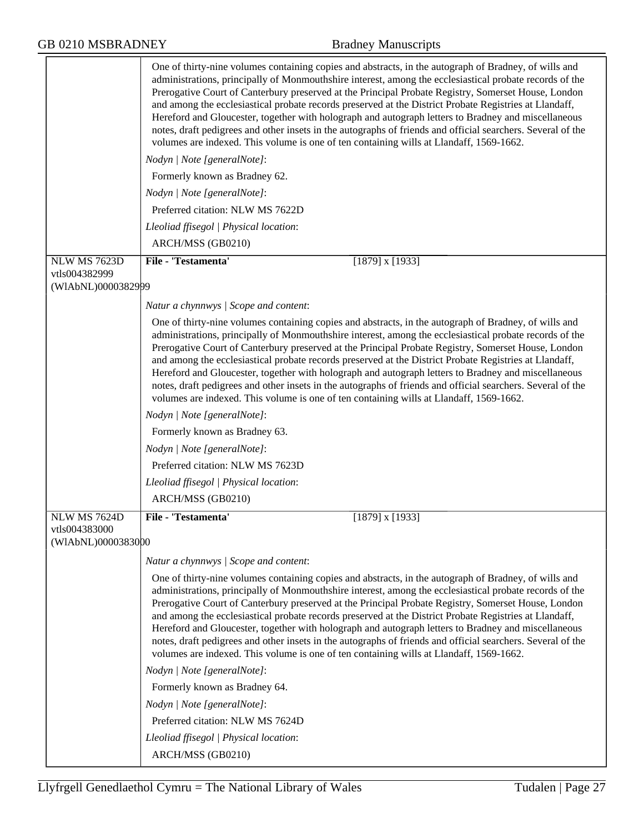|                     | One of thirty-nine volumes containing copies and abstracts, in the autograph of Bradney, of wills and<br>administrations, principally of Monmouthshire interest, among the ecclesiastical probate records of the<br>Prerogative Court of Canterbury preserved at the Principal Probate Registry, Somerset House, London<br>and among the ecclesiastical probate records preserved at the District Probate Registries at Llandaff,<br>Hereford and Gloucester, together with holograph and autograph letters to Bradney and miscellaneous<br>notes, draft pedigrees and other insets in the autographs of friends and official searchers. Several of the<br>volumes are indexed. This volume is one of ten containing wills at Llandaff, 1569-1662. |
|---------------------|----------------------------------------------------------------------------------------------------------------------------------------------------------------------------------------------------------------------------------------------------------------------------------------------------------------------------------------------------------------------------------------------------------------------------------------------------------------------------------------------------------------------------------------------------------------------------------------------------------------------------------------------------------------------------------------------------------------------------------------------------|
|                     | Nodyn   Note [generalNote]:                                                                                                                                                                                                                                                                                                                                                                                                                                                                                                                                                                                                                                                                                                                        |
|                     | Formerly known as Bradney 62.                                                                                                                                                                                                                                                                                                                                                                                                                                                                                                                                                                                                                                                                                                                      |
|                     | Nodyn   Note [generalNote]:                                                                                                                                                                                                                                                                                                                                                                                                                                                                                                                                                                                                                                                                                                                        |
|                     | Preferred citation: NLW MS 7622D                                                                                                                                                                                                                                                                                                                                                                                                                                                                                                                                                                                                                                                                                                                   |
|                     | Lleoliad ffisegol   Physical location:                                                                                                                                                                                                                                                                                                                                                                                                                                                                                                                                                                                                                                                                                                             |
|                     | ARCH/MSS (GB0210)                                                                                                                                                                                                                                                                                                                                                                                                                                                                                                                                                                                                                                                                                                                                  |
| <b>NLW MS 7623D</b> | File - 'Testamenta'<br>$[1879]$ x $[1933]$                                                                                                                                                                                                                                                                                                                                                                                                                                                                                                                                                                                                                                                                                                         |
| vtls004382999       |                                                                                                                                                                                                                                                                                                                                                                                                                                                                                                                                                                                                                                                                                                                                                    |
| (WIAbNL)0000382999  |                                                                                                                                                                                                                                                                                                                                                                                                                                                                                                                                                                                                                                                                                                                                                    |
|                     | Natur a chynnwys / Scope and content:                                                                                                                                                                                                                                                                                                                                                                                                                                                                                                                                                                                                                                                                                                              |
|                     | One of thirty-nine volumes containing copies and abstracts, in the autograph of Bradney, of wills and<br>administrations, principally of Monmouthshire interest, among the ecclesiastical probate records of the<br>Prerogative Court of Canterbury preserved at the Principal Probate Registry, Somerset House, London<br>and among the ecclesiastical probate records preserved at the District Probate Registries at Llandaff,<br>Hereford and Gloucester, together with holograph and autograph letters to Bradney and miscellaneous<br>notes, draft pedigrees and other insets in the autographs of friends and official searchers. Several of the<br>volumes are indexed. This volume is one of ten containing wills at Llandaff, 1569-1662. |
|                     | Nodyn   Note [generalNote]:                                                                                                                                                                                                                                                                                                                                                                                                                                                                                                                                                                                                                                                                                                                        |
|                     | Formerly known as Bradney 63.                                                                                                                                                                                                                                                                                                                                                                                                                                                                                                                                                                                                                                                                                                                      |
|                     | Nodyn   Note [generalNote]:                                                                                                                                                                                                                                                                                                                                                                                                                                                                                                                                                                                                                                                                                                                        |
|                     | Preferred citation: NLW MS 7623D                                                                                                                                                                                                                                                                                                                                                                                                                                                                                                                                                                                                                                                                                                                   |
|                     | Lleoliad ffisegol   Physical location:                                                                                                                                                                                                                                                                                                                                                                                                                                                                                                                                                                                                                                                                                                             |
|                     | ARCH/MSS (GB0210)                                                                                                                                                                                                                                                                                                                                                                                                                                                                                                                                                                                                                                                                                                                                  |
| NLW MS 7624D        | File - 'Testamenta'<br>$[1879]$ x $[1933]$                                                                                                                                                                                                                                                                                                                                                                                                                                                                                                                                                                                                                                                                                                         |
| vtls004383000       |                                                                                                                                                                                                                                                                                                                                                                                                                                                                                                                                                                                                                                                                                                                                                    |
| (WIAbNL)0000383000  |                                                                                                                                                                                                                                                                                                                                                                                                                                                                                                                                                                                                                                                                                                                                                    |
|                     | Natur a chynnwys / Scope and content:                                                                                                                                                                                                                                                                                                                                                                                                                                                                                                                                                                                                                                                                                                              |
|                     | One of thirty-nine volumes containing copies and abstracts, in the autograph of Bradney, of wills and<br>administrations, principally of Monmouthshire interest, among the ecclesiastical probate records of the<br>Prerogative Court of Canterbury preserved at the Principal Probate Registry, Somerset House, London<br>and among the ecclesiastical probate records preserved at the District Probate Registries at Llandaff,<br>Hereford and Gloucester, together with holograph and autograph letters to Bradney and miscellaneous<br>notes, draft pedigrees and other insets in the autographs of friends and official searchers. Several of the<br>volumes are indexed. This volume is one of ten containing wills at Llandaff, 1569-1662. |
|                     | Nodyn   Note [generalNote]:                                                                                                                                                                                                                                                                                                                                                                                                                                                                                                                                                                                                                                                                                                                        |
|                     | Formerly known as Bradney 64.                                                                                                                                                                                                                                                                                                                                                                                                                                                                                                                                                                                                                                                                                                                      |
|                     | Nodyn   Note [generalNote]:                                                                                                                                                                                                                                                                                                                                                                                                                                                                                                                                                                                                                                                                                                                        |
|                     | Preferred citation: NLW MS 7624D                                                                                                                                                                                                                                                                                                                                                                                                                                                                                                                                                                                                                                                                                                                   |
|                     | Lleoliad ffisegol   Physical location:                                                                                                                                                                                                                                                                                                                                                                                                                                                                                                                                                                                                                                                                                                             |
|                     | ARCH/MSS (GB0210)                                                                                                                                                                                                                                                                                                                                                                                                                                                                                                                                                                                                                                                                                                                                  |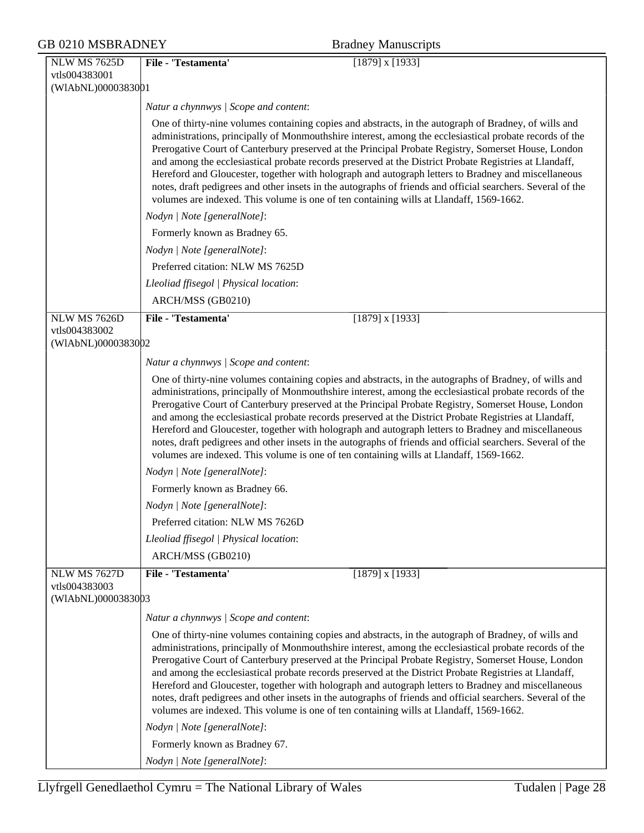| <b>NLW MS 7625D</b>                                        | File - 'Testamenta'<br>$[1879]$ x $[1933]$                                                                                                                                                                                                                                                                                                                                                                                                                                                                                                                                                                                                                                                                                                                                                                         |  |
|------------------------------------------------------------|--------------------------------------------------------------------------------------------------------------------------------------------------------------------------------------------------------------------------------------------------------------------------------------------------------------------------------------------------------------------------------------------------------------------------------------------------------------------------------------------------------------------------------------------------------------------------------------------------------------------------------------------------------------------------------------------------------------------------------------------------------------------------------------------------------------------|--|
| vtls004383001                                              |                                                                                                                                                                                                                                                                                                                                                                                                                                                                                                                                                                                                                                                                                                                                                                                                                    |  |
| (WIAbNL)0000383001                                         |                                                                                                                                                                                                                                                                                                                                                                                                                                                                                                                                                                                                                                                                                                                                                                                                                    |  |
|                                                            | Natur a chynnwys / Scope and content:                                                                                                                                                                                                                                                                                                                                                                                                                                                                                                                                                                                                                                                                                                                                                                              |  |
|                                                            | One of thirty-nine volumes containing copies and abstracts, in the autograph of Bradney, of wills and<br>administrations, principally of Monmouthshire interest, among the ecclesiastical probate records of the<br>Prerogative Court of Canterbury preserved at the Principal Probate Registry, Somerset House, London<br>and among the ecclesiastical probate records preserved at the District Probate Registries at Llandaff,<br>Hereford and Gloucester, together with holograph and autograph letters to Bradney and miscellaneous<br>notes, draft pedigrees and other insets in the autographs of friends and official searchers. Several of the<br>volumes are indexed. This volume is one of ten containing wills at Llandaff, 1569-1662.                                                                 |  |
|                                                            | Nodyn   Note [generalNote]:                                                                                                                                                                                                                                                                                                                                                                                                                                                                                                                                                                                                                                                                                                                                                                                        |  |
|                                                            | Formerly known as Bradney 65.                                                                                                                                                                                                                                                                                                                                                                                                                                                                                                                                                                                                                                                                                                                                                                                      |  |
|                                                            | Nodyn   Note [generalNote]:                                                                                                                                                                                                                                                                                                                                                                                                                                                                                                                                                                                                                                                                                                                                                                                        |  |
|                                                            | Preferred citation: NLW MS 7625D                                                                                                                                                                                                                                                                                                                                                                                                                                                                                                                                                                                                                                                                                                                                                                                   |  |
|                                                            | Lleoliad ffisegol   Physical location:                                                                                                                                                                                                                                                                                                                                                                                                                                                                                                                                                                                                                                                                                                                                                                             |  |
|                                                            | ARCH/MSS (GB0210)                                                                                                                                                                                                                                                                                                                                                                                                                                                                                                                                                                                                                                                                                                                                                                                                  |  |
| <b>NLW MS 7626D</b>                                        | File - 'Testamenta'<br>$[1879]$ x $[1933]$                                                                                                                                                                                                                                                                                                                                                                                                                                                                                                                                                                                                                                                                                                                                                                         |  |
| vtls004383002                                              |                                                                                                                                                                                                                                                                                                                                                                                                                                                                                                                                                                                                                                                                                                                                                                                                                    |  |
| (WIAbNL)0000383002                                         |                                                                                                                                                                                                                                                                                                                                                                                                                                                                                                                                                                                                                                                                                                                                                                                                                    |  |
|                                                            | Natur a chynnwys / Scope and content:                                                                                                                                                                                                                                                                                                                                                                                                                                                                                                                                                                                                                                                                                                                                                                              |  |
|                                                            | One of thirty-nine volumes containing copies and abstracts, in the autographs of Bradney, of wills and<br>administrations, principally of Monmouthshire interest, among the ecclesiastical probate records of the<br>Prerogative Court of Canterbury preserved at the Principal Probate Registry, Somerset House, London<br>and among the ecclesiastical probate records preserved at the District Probate Registries at Llandaff,<br>Hereford and Gloucester, together with holograph and autograph letters to Bradney and miscellaneous<br>notes, draft pedigrees and other insets in the autographs of friends and official searchers. Several of the<br>volumes are indexed. This volume is one of ten containing wills at Llandaff, 1569-1662.                                                                |  |
|                                                            | Nodyn   Note [generalNote]:                                                                                                                                                                                                                                                                                                                                                                                                                                                                                                                                                                                                                                                                                                                                                                                        |  |
|                                                            | Formerly known as Bradney 66.                                                                                                                                                                                                                                                                                                                                                                                                                                                                                                                                                                                                                                                                                                                                                                                      |  |
|                                                            | Nodyn   Note [generalNote]:                                                                                                                                                                                                                                                                                                                                                                                                                                                                                                                                                                                                                                                                                                                                                                                        |  |
|                                                            | Preferred citation: NLW MS 7626D                                                                                                                                                                                                                                                                                                                                                                                                                                                                                                                                                                                                                                                                                                                                                                                   |  |
|                                                            | Lleoliad ffisegol   Physical location:                                                                                                                                                                                                                                                                                                                                                                                                                                                                                                                                                                                                                                                                                                                                                                             |  |
|                                                            | ARCH/MSS (GB0210)                                                                                                                                                                                                                                                                                                                                                                                                                                                                                                                                                                                                                                                                                                                                                                                                  |  |
| <b>NLW MS 7627D</b><br>vtls004383003<br>(WIAbNL)0000383003 | File - 'Testamenta'<br>$[1879]$ x $[1933]$                                                                                                                                                                                                                                                                                                                                                                                                                                                                                                                                                                                                                                                                                                                                                                         |  |
|                                                            | Natur a chynnwys / Scope and content:                                                                                                                                                                                                                                                                                                                                                                                                                                                                                                                                                                                                                                                                                                                                                                              |  |
|                                                            | One of thirty-nine volumes containing copies and abstracts, in the autograph of Bradney, of wills and<br>administrations, principally of Monmouthshire interest, among the ecclesiastical probate records of the<br>Prerogative Court of Canterbury preserved at the Principal Probate Registry, Somerset House, London<br>and among the ecclesiastical probate records preserved at the District Probate Registries at Llandaff,<br>Hereford and Gloucester, together with holograph and autograph letters to Bradney and miscellaneous<br>notes, draft pedigrees and other insets in the autographs of friends and official searchers. Several of the<br>volumes are indexed. This volume is one of ten containing wills at Llandaff, 1569-1662.<br>Nodyn   Note [generalNote]:<br>Formerly known as Bradney 67. |  |
|                                                            | Nodyn   Note [generalNote]:                                                                                                                                                                                                                                                                                                                                                                                                                                                                                                                                                                                                                                                                                                                                                                                        |  |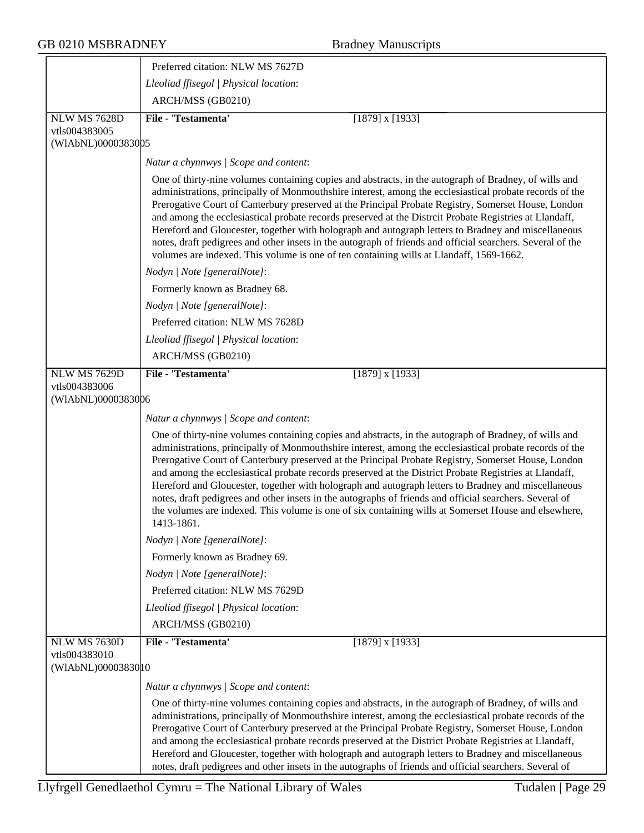|                                      | Preferred citation: NLW MS 7627D                                                                                                                                                                                                                                                                                                                                                                                                                                                                                                                                                                                                                                                                                                                                          |
|--------------------------------------|---------------------------------------------------------------------------------------------------------------------------------------------------------------------------------------------------------------------------------------------------------------------------------------------------------------------------------------------------------------------------------------------------------------------------------------------------------------------------------------------------------------------------------------------------------------------------------------------------------------------------------------------------------------------------------------------------------------------------------------------------------------------------|
|                                      | Lleoliad ffisegol   Physical location:                                                                                                                                                                                                                                                                                                                                                                                                                                                                                                                                                                                                                                                                                                                                    |
|                                      | ARCH/MSS (GB0210)                                                                                                                                                                                                                                                                                                                                                                                                                                                                                                                                                                                                                                                                                                                                                         |
| <b>NLW MS 7628D</b>                  | File - 'Testamenta'<br>$[1879]$ x $[1933]$                                                                                                                                                                                                                                                                                                                                                                                                                                                                                                                                                                                                                                                                                                                                |
| vtls004383005<br>(WIAbNL)0000383005  |                                                                                                                                                                                                                                                                                                                                                                                                                                                                                                                                                                                                                                                                                                                                                                           |
|                                      | Natur a chynnwys / Scope and content:                                                                                                                                                                                                                                                                                                                                                                                                                                                                                                                                                                                                                                                                                                                                     |
|                                      | One of thirty-nine volumes containing copies and abstracts, in the autograph of Bradney, of wills and<br>administrations, principally of Monmouthshire interest, among the ecclesiastical probate records of the<br>Prerogative Court of Canterbury preserved at the Principal Probate Registry, Somerset House, London<br>and among the ecclesiastical probate records preserved at the Distrcit Probate Registries at Llandaff,<br>Hereford and Gloucester, together with holograph and autograph letters to Bradney and miscellaneous<br>notes, draft pedigrees and other insets in the autograph of friends and official searchers. Several of the<br>volumes are indexed. This volume is one of ten containing wills at Llandaff, 1569-1662.                         |
|                                      | Nodyn   Note [generalNote]:                                                                                                                                                                                                                                                                                                                                                                                                                                                                                                                                                                                                                                                                                                                                               |
|                                      | Formerly known as Bradney 68.                                                                                                                                                                                                                                                                                                                                                                                                                                                                                                                                                                                                                                                                                                                                             |
|                                      | Nodyn   Note [generalNote]:                                                                                                                                                                                                                                                                                                                                                                                                                                                                                                                                                                                                                                                                                                                                               |
|                                      | Preferred citation: NLW MS 7628D                                                                                                                                                                                                                                                                                                                                                                                                                                                                                                                                                                                                                                                                                                                                          |
|                                      | Lleoliad ffisegol   Physical location:                                                                                                                                                                                                                                                                                                                                                                                                                                                                                                                                                                                                                                                                                                                                    |
|                                      | ARCH/MSS (GB0210)                                                                                                                                                                                                                                                                                                                                                                                                                                                                                                                                                                                                                                                                                                                                                         |
| <b>NLW MS 7629D</b><br>vtls004383006 | File - 'Testamenta'<br>$[1879]$ x $[1933]$                                                                                                                                                                                                                                                                                                                                                                                                                                                                                                                                                                                                                                                                                                                                |
| (WIAbNL)0000383006                   |                                                                                                                                                                                                                                                                                                                                                                                                                                                                                                                                                                                                                                                                                                                                                                           |
|                                      | Natur a chynnwys / Scope and content:                                                                                                                                                                                                                                                                                                                                                                                                                                                                                                                                                                                                                                                                                                                                     |
|                                      | One of thirty-nine volumes containing copies and abstracts, in the autograph of Bradney, of wills and<br>administrations, principally of Monmouthshire interest, among the ecclesiastical probate records of the<br>Prerogative Court of Canterbury preserved at the Principal Probate Registry, Somerset House, London<br>and among the ecclesiastical probate records preserved at the District Probate Registries at Llandaff,<br>Hereford and Gloucester, together with holograph and autograph letters to Bradney and miscellaneous<br>notes, draft pedigrees and other insets in the autographs of friends and official searchers. Several of<br>the volumes are indexed. This volume is one of six containing wills at Somerset House and elsewhere,<br>1413-1861. |
|                                      | Nodyn   Note [generalNote]:                                                                                                                                                                                                                                                                                                                                                                                                                                                                                                                                                                                                                                                                                                                                               |
|                                      | Formerly known as Bradney 69.                                                                                                                                                                                                                                                                                                                                                                                                                                                                                                                                                                                                                                                                                                                                             |
|                                      | Nodyn   Note [generalNote]:                                                                                                                                                                                                                                                                                                                                                                                                                                                                                                                                                                                                                                                                                                                                               |
|                                      | Preferred citation: NLW MS 7629D                                                                                                                                                                                                                                                                                                                                                                                                                                                                                                                                                                                                                                                                                                                                          |
|                                      | Lleoliad ffisegol   Physical location:                                                                                                                                                                                                                                                                                                                                                                                                                                                                                                                                                                                                                                                                                                                                    |
|                                      | ARCH/MSS (GB0210)                                                                                                                                                                                                                                                                                                                                                                                                                                                                                                                                                                                                                                                                                                                                                         |
| NLW MS 7630D                         | File - 'Testamenta'<br>$[1879]$ x $[1933]$                                                                                                                                                                                                                                                                                                                                                                                                                                                                                                                                                                                                                                                                                                                                |
| vtls004383010<br>(WIAbNL)0000383010  |                                                                                                                                                                                                                                                                                                                                                                                                                                                                                                                                                                                                                                                                                                                                                                           |
|                                      | Natur a chynnwys / Scope and content:                                                                                                                                                                                                                                                                                                                                                                                                                                                                                                                                                                                                                                                                                                                                     |
|                                      | One of thirty-nine volumes containing copies and abstracts, in the autograph of Bradney, of wills and<br>administrations, principally of Monmouthshire interest, among the ecclesiastical probate records of the<br>Prerogative Court of Canterbury preserved at the Principal Probate Registry, Somerset House, London<br>and among the ecclesiastical probate records preserved at the District Probate Registries at Llandaff,<br>Hereford and Gloucester, together with holograph and autograph letters to Bradney and miscellaneous<br>notes, draft pedigrees and other insets in the autographs of friends and official searchers. Several of                                                                                                                       |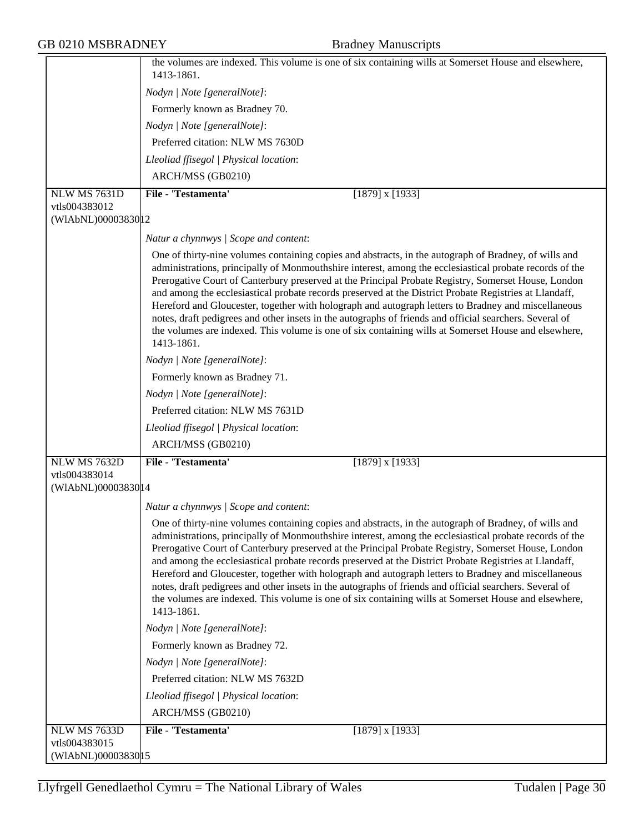|                                      | the volumes are indexed. This volume is one of six containing wills at Somerset House and elsewhere,<br>1413-1861.                                                                                                                                                                                                                                                                                                                                                                                                                                                                                                                                                                                                                                                        |
|--------------------------------------|---------------------------------------------------------------------------------------------------------------------------------------------------------------------------------------------------------------------------------------------------------------------------------------------------------------------------------------------------------------------------------------------------------------------------------------------------------------------------------------------------------------------------------------------------------------------------------------------------------------------------------------------------------------------------------------------------------------------------------------------------------------------------|
|                                      | Nodyn   Note [generalNote]:                                                                                                                                                                                                                                                                                                                                                                                                                                                                                                                                                                                                                                                                                                                                               |
|                                      | Formerly known as Bradney 70.                                                                                                                                                                                                                                                                                                                                                                                                                                                                                                                                                                                                                                                                                                                                             |
|                                      | Nodyn   Note [generalNote]:                                                                                                                                                                                                                                                                                                                                                                                                                                                                                                                                                                                                                                                                                                                                               |
|                                      | Preferred citation: NLW MS 7630D                                                                                                                                                                                                                                                                                                                                                                                                                                                                                                                                                                                                                                                                                                                                          |
|                                      | Lleoliad ffisegol   Physical location:                                                                                                                                                                                                                                                                                                                                                                                                                                                                                                                                                                                                                                                                                                                                    |
|                                      | ARCH/MSS (GB0210)                                                                                                                                                                                                                                                                                                                                                                                                                                                                                                                                                                                                                                                                                                                                                         |
| <b>NLW MS 7631D</b>                  | File - 'Testamenta'<br>$[1879]$ x $[1933]$                                                                                                                                                                                                                                                                                                                                                                                                                                                                                                                                                                                                                                                                                                                                |
| vtls004383012                        |                                                                                                                                                                                                                                                                                                                                                                                                                                                                                                                                                                                                                                                                                                                                                                           |
| (WIAbNL)00003830 12                  |                                                                                                                                                                                                                                                                                                                                                                                                                                                                                                                                                                                                                                                                                                                                                                           |
|                                      | Natur a chynnwys / Scope and content:                                                                                                                                                                                                                                                                                                                                                                                                                                                                                                                                                                                                                                                                                                                                     |
|                                      | One of thirty-nine volumes containing copies and abstracts, in the autograph of Bradney, of wills and<br>administrations, principally of Monmouthshire interest, among the ecclesiastical probate records of the<br>Prerogative Court of Canterbury preserved at the Principal Probate Registry, Somerset House, London<br>and among the ecclesiastical probate records preserved at the District Probate Registries at Llandaff,<br>Hereford and Gloucester, together with holograph and autograph letters to Bradney and miscellaneous<br>notes, draft pedigrees and other insets in the autographs of friends and official searchers. Several of<br>the volumes are indexed. This volume is one of six containing wills at Somerset House and elsewhere,<br>1413-1861. |
|                                      | Nodyn   Note [generalNote]:                                                                                                                                                                                                                                                                                                                                                                                                                                                                                                                                                                                                                                                                                                                                               |
|                                      | Formerly known as Bradney 71.                                                                                                                                                                                                                                                                                                                                                                                                                                                                                                                                                                                                                                                                                                                                             |
|                                      | Nodyn   Note [generalNote]:                                                                                                                                                                                                                                                                                                                                                                                                                                                                                                                                                                                                                                                                                                                                               |
|                                      | Preferred citation: NLW MS 7631D                                                                                                                                                                                                                                                                                                                                                                                                                                                                                                                                                                                                                                                                                                                                          |
|                                      | Lleoliad ffisegol   Physical location:                                                                                                                                                                                                                                                                                                                                                                                                                                                                                                                                                                                                                                                                                                                                    |
|                                      | ARCH/MSS (GB0210)                                                                                                                                                                                                                                                                                                                                                                                                                                                                                                                                                                                                                                                                                                                                                         |
| NLW MS 7632D                         | File - 'Testamenta'<br>$[1879]$ x $[1933]$                                                                                                                                                                                                                                                                                                                                                                                                                                                                                                                                                                                                                                                                                                                                |
| vtls004383014                        |                                                                                                                                                                                                                                                                                                                                                                                                                                                                                                                                                                                                                                                                                                                                                                           |
| (WIAbNL)00003830 14                  |                                                                                                                                                                                                                                                                                                                                                                                                                                                                                                                                                                                                                                                                                                                                                                           |
|                                      | Natur a chynnwys / Scope and content:                                                                                                                                                                                                                                                                                                                                                                                                                                                                                                                                                                                                                                                                                                                                     |
|                                      | One of thirty-nine volumes containing copies and abstracts, in the autograph of Bradney, of wills and<br>administrations, principally of Monmouthshire interest, among the ecclesiastical probate records of the<br>Prerogative Court of Canterbury preserved at the Principal Probate Registry, Somerset House, London<br>and among the ecclesiastical probate records preserved at the District Probate Registries at Llandaff,<br>Hereford and Gloucester, together with holograph and autograph letters to Bradney and miscellaneous<br>notes, draft pedigrees and other insets in the autographs of friends and official searchers. Several of<br>the volumes are indexed. This volume is one of six containing wills at Somerset House and elsewhere,<br>1413-1861. |
|                                      | Nodyn   Note [generalNote]:                                                                                                                                                                                                                                                                                                                                                                                                                                                                                                                                                                                                                                                                                                                                               |
|                                      | Formerly known as Bradney 72.                                                                                                                                                                                                                                                                                                                                                                                                                                                                                                                                                                                                                                                                                                                                             |
|                                      | Nodyn   Note [generalNote]:                                                                                                                                                                                                                                                                                                                                                                                                                                                                                                                                                                                                                                                                                                                                               |
|                                      | Preferred citation: NLW MS 7632D                                                                                                                                                                                                                                                                                                                                                                                                                                                                                                                                                                                                                                                                                                                                          |
|                                      | Lleoliad ffisegol   Physical location:                                                                                                                                                                                                                                                                                                                                                                                                                                                                                                                                                                                                                                                                                                                                    |
|                                      | ARCH/MSS (GB0210)                                                                                                                                                                                                                                                                                                                                                                                                                                                                                                                                                                                                                                                                                                                                                         |
| <b>NLW MS 7633D</b>                  | File - 'Testamenta'<br>$[1879]$ x $[1933]$                                                                                                                                                                                                                                                                                                                                                                                                                                                                                                                                                                                                                                                                                                                                |
| vtls004383015<br>(WIAbNL)00003830 15 |                                                                                                                                                                                                                                                                                                                                                                                                                                                                                                                                                                                                                                                                                                                                                                           |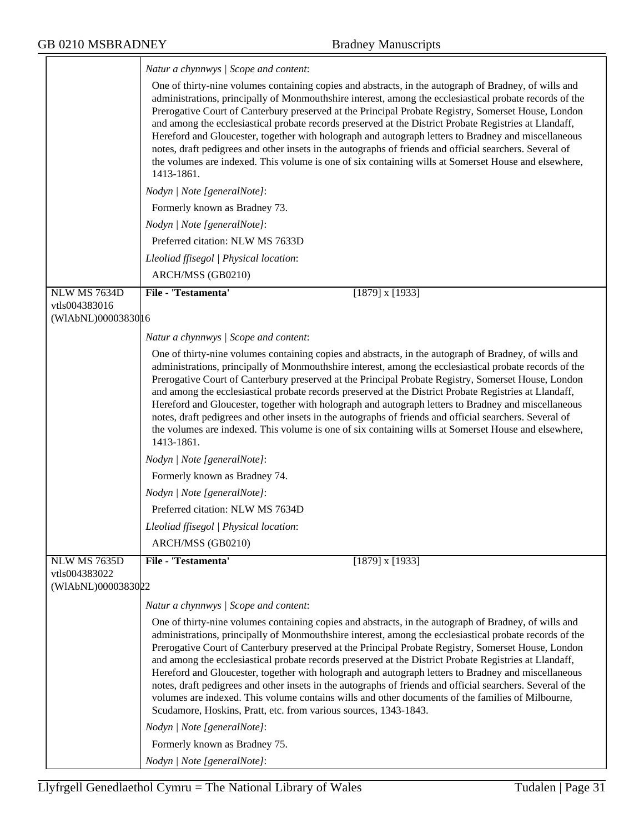|                                     | Natur a chynnwys / Scope and content:                                                                                                                                                                                                                                                                                                                                                                                                                                                                                                                                                                                                                                                                                                                                                                                                                           |
|-------------------------------------|-----------------------------------------------------------------------------------------------------------------------------------------------------------------------------------------------------------------------------------------------------------------------------------------------------------------------------------------------------------------------------------------------------------------------------------------------------------------------------------------------------------------------------------------------------------------------------------------------------------------------------------------------------------------------------------------------------------------------------------------------------------------------------------------------------------------------------------------------------------------|
|                                     | One of thirty-nine volumes containing copies and abstracts, in the autograph of Bradney, of wills and<br>administrations, principally of Monmouthshire interest, among the ecclesiastical probate records of the<br>Prerogative Court of Canterbury preserved at the Principal Probate Registry, Somerset House, London<br>and among the ecclesiastical probate records preserved at the District Probate Registries at Llandaff,<br>Hereford and Gloucester, together with holograph and autograph letters to Bradney and miscellaneous<br>notes, draft pedigrees and other insets in the autographs of friends and official searchers. Several of<br>the volumes are indexed. This volume is one of six containing wills at Somerset House and elsewhere,<br>1413-1861.                                                                                       |
|                                     | Nodyn   Note [generalNote]:                                                                                                                                                                                                                                                                                                                                                                                                                                                                                                                                                                                                                                                                                                                                                                                                                                     |
|                                     | Formerly known as Bradney 73.                                                                                                                                                                                                                                                                                                                                                                                                                                                                                                                                                                                                                                                                                                                                                                                                                                   |
|                                     | Nodyn   Note [generalNote]:                                                                                                                                                                                                                                                                                                                                                                                                                                                                                                                                                                                                                                                                                                                                                                                                                                     |
|                                     | Preferred citation: NLW MS 7633D                                                                                                                                                                                                                                                                                                                                                                                                                                                                                                                                                                                                                                                                                                                                                                                                                                |
|                                     | Lleoliad ffisegol   Physical location:                                                                                                                                                                                                                                                                                                                                                                                                                                                                                                                                                                                                                                                                                                                                                                                                                          |
|                                     | ARCH/MSS (GB0210)                                                                                                                                                                                                                                                                                                                                                                                                                                                                                                                                                                                                                                                                                                                                                                                                                                               |
| <b>NLW MS 7634D</b>                 | File - 'Testamenta'<br>$[1879]$ x $[1933]$                                                                                                                                                                                                                                                                                                                                                                                                                                                                                                                                                                                                                                                                                                                                                                                                                      |
| vtls004383016                       |                                                                                                                                                                                                                                                                                                                                                                                                                                                                                                                                                                                                                                                                                                                                                                                                                                                                 |
| (WIAbNL)0000383016                  |                                                                                                                                                                                                                                                                                                                                                                                                                                                                                                                                                                                                                                                                                                                                                                                                                                                                 |
|                                     | Natur a chynnwys / Scope and content:                                                                                                                                                                                                                                                                                                                                                                                                                                                                                                                                                                                                                                                                                                                                                                                                                           |
|                                     | One of thirty-nine volumes containing copies and abstracts, in the autograph of Bradney, of wills and<br>administrations, principally of Monmouthshire interest, among the ecclesiastical probate records of the<br>Prerogative Court of Canterbury preserved at the Principal Probate Registry, Somerset House, London<br>and among the ecclesiastical probate records preserved at the District Probate Registries at Llandaff,<br>Hereford and Gloucester, together with holograph and autograph letters to Bradney and miscellaneous<br>notes, draft pedigrees and other insets in the autographs of friends and official searchers. Several of<br>the volumes are indexed. This volume is one of six containing wills at Somerset House and elsewhere,<br>1413-1861.                                                                                       |
|                                     | Nodyn   Note [generalNote]:                                                                                                                                                                                                                                                                                                                                                                                                                                                                                                                                                                                                                                                                                                                                                                                                                                     |
|                                     | Formerly known as Bradney 74.                                                                                                                                                                                                                                                                                                                                                                                                                                                                                                                                                                                                                                                                                                                                                                                                                                   |
|                                     | Nodyn   Note [generalNote]:                                                                                                                                                                                                                                                                                                                                                                                                                                                                                                                                                                                                                                                                                                                                                                                                                                     |
|                                     | Preferred citation: NLW MS 7634D                                                                                                                                                                                                                                                                                                                                                                                                                                                                                                                                                                                                                                                                                                                                                                                                                                |
|                                     | Lleoliad ffisegol   Physical location:                                                                                                                                                                                                                                                                                                                                                                                                                                                                                                                                                                                                                                                                                                                                                                                                                          |
|                                     | ARCH/MSS (GB0210)                                                                                                                                                                                                                                                                                                                                                                                                                                                                                                                                                                                                                                                                                                                                                                                                                                               |
| <b>NLW MS 7635D</b>                 | <b>File - 'Testamenta'</b><br>$[1879]$ x $[1933]$                                                                                                                                                                                                                                                                                                                                                                                                                                                                                                                                                                                                                                                                                                                                                                                                               |
| vtls004383022<br>(WIAbNL)0000383022 |                                                                                                                                                                                                                                                                                                                                                                                                                                                                                                                                                                                                                                                                                                                                                                                                                                                                 |
|                                     | Natur a chynnwys / Scope and content:                                                                                                                                                                                                                                                                                                                                                                                                                                                                                                                                                                                                                                                                                                                                                                                                                           |
|                                     | One of thirty-nine volumes containing copies and abstracts, in the autograph of Bradney, of wills and<br>administrations, principally of Monmouthshire interest, among the ecclesiastical probate records of the<br>Prerogative Court of Canterbury preserved at the Principal Probate Registry, Somerset House, London<br>and among the ecclesiastical probate records preserved at the District Probate Registries at Llandaff,<br>Hereford and Gloucester, together with holograph and autograph letters to Bradney and miscellaneous<br>notes, draft pedigrees and other insets in the autographs of friends and official searchers. Several of the<br>volumes are indexed. This volume contains wills and other documents of the families of Milbourne,<br>Scudamore, Hoskins, Pratt, etc. from various sources, 1343-1843.<br>Nodyn   Note [generalNote]: |
|                                     | Formerly known as Bradney 75.                                                                                                                                                                                                                                                                                                                                                                                                                                                                                                                                                                                                                                                                                                                                                                                                                                   |
|                                     | Nodyn   Note [generalNote]:                                                                                                                                                                                                                                                                                                                                                                                                                                                                                                                                                                                                                                                                                                                                                                                                                                     |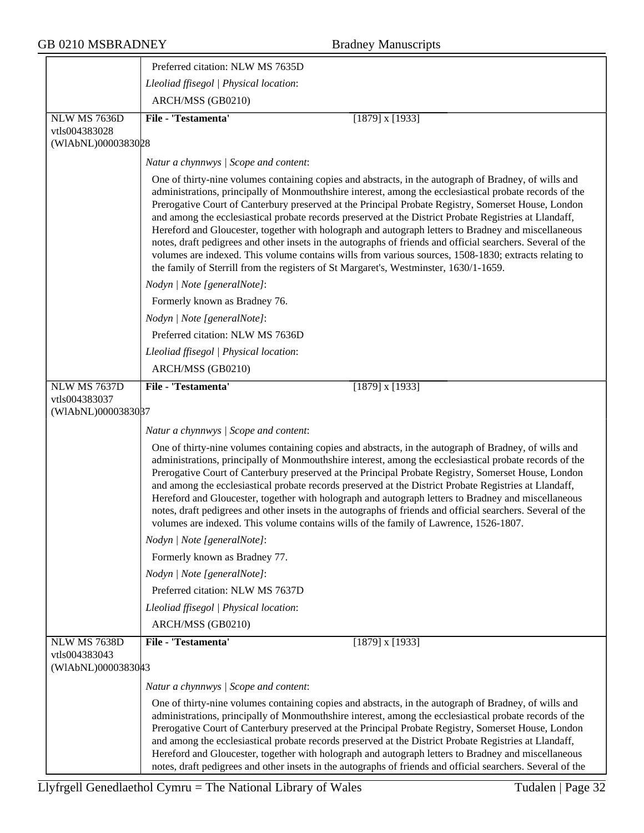|                                     | Preferred citation: NLW MS 7635D                                                                                                                                                                                                                                                                                                                                                                                                                                                                                                                                                                                                                                                                                                                                                                                                                          |
|-------------------------------------|-----------------------------------------------------------------------------------------------------------------------------------------------------------------------------------------------------------------------------------------------------------------------------------------------------------------------------------------------------------------------------------------------------------------------------------------------------------------------------------------------------------------------------------------------------------------------------------------------------------------------------------------------------------------------------------------------------------------------------------------------------------------------------------------------------------------------------------------------------------|
|                                     | Lleoliad ffisegol   Physical location:                                                                                                                                                                                                                                                                                                                                                                                                                                                                                                                                                                                                                                                                                                                                                                                                                    |
|                                     | ARCH/MSS (GB0210)                                                                                                                                                                                                                                                                                                                                                                                                                                                                                                                                                                                                                                                                                                                                                                                                                                         |
| NLW MS 7636D                        | File - 'Testamenta'<br>$[1879]$ x $[1933]$                                                                                                                                                                                                                                                                                                                                                                                                                                                                                                                                                                                                                                                                                                                                                                                                                |
| vtls004383028                       |                                                                                                                                                                                                                                                                                                                                                                                                                                                                                                                                                                                                                                                                                                                                                                                                                                                           |
| (WIAbNL)0000383028                  |                                                                                                                                                                                                                                                                                                                                                                                                                                                                                                                                                                                                                                                                                                                                                                                                                                                           |
|                                     | Natur a chynnwys / Scope and content:                                                                                                                                                                                                                                                                                                                                                                                                                                                                                                                                                                                                                                                                                                                                                                                                                     |
|                                     | One of thirty-nine volumes containing copies and abstracts, in the autograph of Bradney, of wills and<br>administrations, principally of Monmouthshire interest, among the ecclesiastical probate records of the<br>Prerogative Court of Canterbury preserved at the Principal Probate Registry, Somerset House, London<br>and among the ecclesiastical probate records preserved at the District Probate Registries at Llandaff,<br>Hereford and Gloucester, together with holograph and autograph letters to Bradney and miscellaneous<br>notes, draft pedigrees and other insets in the autographs of friends and official searchers. Several of the<br>volumes are indexed. This volume contains wills from various sources, 1508-1830; extracts relating to<br>the family of Sterrill from the registers of St Margaret's, Westminster, 1630/1-1659. |
|                                     | Nodyn   Note [generalNote]:                                                                                                                                                                                                                                                                                                                                                                                                                                                                                                                                                                                                                                                                                                                                                                                                                               |
|                                     | Formerly known as Bradney 76.                                                                                                                                                                                                                                                                                                                                                                                                                                                                                                                                                                                                                                                                                                                                                                                                                             |
|                                     | Nodyn   Note [generalNote]:                                                                                                                                                                                                                                                                                                                                                                                                                                                                                                                                                                                                                                                                                                                                                                                                                               |
|                                     | Preferred citation: NLW MS 7636D                                                                                                                                                                                                                                                                                                                                                                                                                                                                                                                                                                                                                                                                                                                                                                                                                          |
|                                     | Lleoliad ffisegol   Physical location:                                                                                                                                                                                                                                                                                                                                                                                                                                                                                                                                                                                                                                                                                                                                                                                                                    |
|                                     | ARCH/MSS (GB0210)                                                                                                                                                                                                                                                                                                                                                                                                                                                                                                                                                                                                                                                                                                                                                                                                                                         |
| NLW MS 7637D                        | File - 'Testamenta'<br>$[1879]$ x $[1933]$                                                                                                                                                                                                                                                                                                                                                                                                                                                                                                                                                                                                                                                                                                                                                                                                                |
| vtls004383037<br>(WIAbNL)0000383087 |                                                                                                                                                                                                                                                                                                                                                                                                                                                                                                                                                                                                                                                                                                                                                                                                                                                           |
|                                     | Natur a chynnwys / Scope and content:                                                                                                                                                                                                                                                                                                                                                                                                                                                                                                                                                                                                                                                                                                                                                                                                                     |
|                                     | One of thirty-nine volumes containing copies and abstracts, in the autograph of Bradney, of wills and<br>administrations, principally of Monmouthshire interest, among the ecclesiastical probate records of the<br>Prerogative Court of Canterbury preserved at the Principal Probate Registry, Somerset House, London<br>and among the ecclesiastical probate records preserved at the District Probate Registries at Llandaff,<br>Hereford and Gloucester, together with holograph and autograph letters to Bradney and miscellaneous<br>notes, draft pedigrees and other insets in the autographs of friends and official searchers. Several of the<br>volumes are indexed. This volume contains wills of the family of Lawrence, 1526-1807.                                                                                                          |
|                                     | Nodyn   Note [generalNote]:                                                                                                                                                                                                                                                                                                                                                                                                                                                                                                                                                                                                                                                                                                                                                                                                                               |
|                                     | Formerly known as Bradney 77.                                                                                                                                                                                                                                                                                                                                                                                                                                                                                                                                                                                                                                                                                                                                                                                                                             |
|                                     | Nodyn   Note [generalNote]:                                                                                                                                                                                                                                                                                                                                                                                                                                                                                                                                                                                                                                                                                                                                                                                                                               |
|                                     | Preferred citation: NLW MS 7637D                                                                                                                                                                                                                                                                                                                                                                                                                                                                                                                                                                                                                                                                                                                                                                                                                          |
|                                     | Lleoliad ffisegol   Physical location:                                                                                                                                                                                                                                                                                                                                                                                                                                                                                                                                                                                                                                                                                                                                                                                                                    |
|                                     | ARCH/MSS (GB0210)                                                                                                                                                                                                                                                                                                                                                                                                                                                                                                                                                                                                                                                                                                                                                                                                                                         |
| <b>NLW MS 7638D</b>                 | File - 'Testamenta'<br>$[1879]$ x $[1933]$                                                                                                                                                                                                                                                                                                                                                                                                                                                                                                                                                                                                                                                                                                                                                                                                                |
| vtls004383043<br>(WIAbNL)0000383043 |                                                                                                                                                                                                                                                                                                                                                                                                                                                                                                                                                                                                                                                                                                                                                                                                                                                           |
|                                     | Natur a chynnwys / Scope and content:                                                                                                                                                                                                                                                                                                                                                                                                                                                                                                                                                                                                                                                                                                                                                                                                                     |
|                                     | One of thirty-nine volumes containing copies and abstracts, in the autograph of Bradney, of wills and<br>administrations, principally of Monmouthshire interest, among the ecclesiastical probate records of the<br>Prerogative Court of Canterbury preserved at the Principal Probate Registry, Somerset House, London<br>and among the ecclesiastical probate records preserved at the District Probate Registries at Llandaff,<br>Hereford and Gloucester, together with holograph and autograph letters to Bradney and miscellaneous<br>notes, draft pedigrees and other insets in the autographs of friends and official searchers. Several of the                                                                                                                                                                                                   |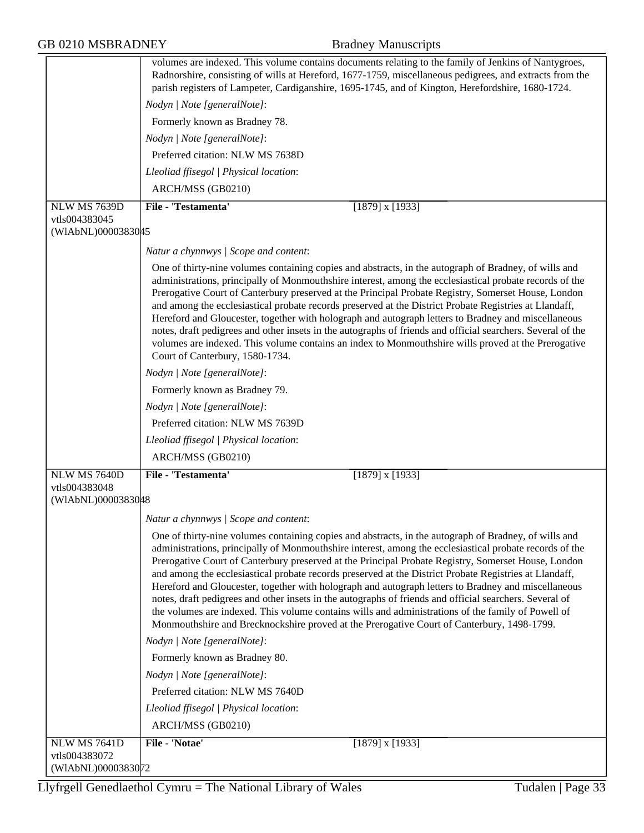|                     | volumes are indexed. This volume contains documents relating to the family of Jenkins of Nantygroes,<br>Radnorshire, consisting of wills at Hereford, 1677-1759, miscellaneous pedigrees, and extracts from the                                                                                                                                                                                                                                                                                                                                                                                                                                                                                                                                                                                                                                         |
|---------------------|---------------------------------------------------------------------------------------------------------------------------------------------------------------------------------------------------------------------------------------------------------------------------------------------------------------------------------------------------------------------------------------------------------------------------------------------------------------------------------------------------------------------------------------------------------------------------------------------------------------------------------------------------------------------------------------------------------------------------------------------------------------------------------------------------------------------------------------------------------|
|                     | parish registers of Lampeter, Cardiganshire, 1695-1745, and of Kington, Herefordshire, 1680-1724.                                                                                                                                                                                                                                                                                                                                                                                                                                                                                                                                                                                                                                                                                                                                                       |
|                     | Nodyn   Note [generalNote]:                                                                                                                                                                                                                                                                                                                                                                                                                                                                                                                                                                                                                                                                                                                                                                                                                             |
|                     | Formerly known as Bradney 78.                                                                                                                                                                                                                                                                                                                                                                                                                                                                                                                                                                                                                                                                                                                                                                                                                           |
|                     | Nodyn   Note [generalNote]:                                                                                                                                                                                                                                                                                                                                                                                                                                                                                                                                                                                                                                                                                                                                                                                                                             |
|                     | Preferred citation: NLW MS 7638D                                                                                                                                                                                                                                                                                                                                                                                                                                                                                                                                                                                                                                                                                                                                                                                                                        |
|                     | Lleoliad ffisegol   Physical location:                                                                                                                                                                                                                                                                                                                                                                                                                                                                                                                                                                                                                                                                                                                                                                                                                  |
|                     | ARCH/MSS (GB0210)                                                                                                                                                                                                                                                                                                                                                                                                                                                                                                                                                                                                                                                                                                                                                                                                                                       |
| <b>NLW MS 7639D</b> | File - 'Testamenta'<br>$[1879]$ x $[1933]$                                                                                                                                                                                                                                                                                                                                                                                                                                                                                                                                                                                                                                                                                                                                                                                                              |
| vtls004383045       |                                                                                                                                                                                                                                                                                                                                                                                                                                                                                                                                                                                                                                                                                                                                                                                                                                                         |
| (WIAbNL)0000383045  |                                                                                                                                                                                                                                                                                                                                                                                                                                                                                                                                                                                                                                                                                                                                                                                                                                                         |
|                     | Natur a chynnwys / Scope and content:                                                                                                                                                                                                                                                                                                                                                                                                                                                                                                                                                                                                                                                                                                                                                                                                                   |
|                     | One of thirty-nine volumes containing copies and abstracts, in the autograph of Bradney, of wills and<br>administrations, principally of Monmouthshire interest, among the ecclesiastical probate records of the<br>Prerogative Court of Canterbury preserved at the Principal Probate Registry, Somerset House, London<br>and among the ecclesiastical probate records preserved at the District Probate Registries at Llandaff,<br>Hereford and Gloucester, together with holograph and autograph letters to Bradney and miscellaneous<br>notes, draft pedigrees and other insets in the autographs of friends and official searchers. Several of the<br>volumes are indexed. This volume contains an index to Monmouthshire wills proved at the Prerogative<br>Court of Canterbury, 1580-1734.                                                       |
|                     | Nodyn   Note [generalNote]:                                                                                                                                                                                                                                                                                                                                                                                                                                                                                                                                                                                                                                                                                                                                                                                                                             |
|                     | Formerly known as Bradney 79.                                                                                                                                                                                                                                                                                                                                                                                                                                                                                                                                                                                                                                                                                                                                                                                                                           |
|                     | Nodyn   Note [generalNote]:                                                                                                                                                                                                                                                                                                                                                                                                                                                                                                                                                                                                                                                                                                                                                                                                                             |
|                     | Preferred citation: NLW MS 7639D                                                                                                                                                                                                                                                                                                                                                                                                                                                                                                                                                                                                                                                                                                                                                                                                                        |
|                     | Lleoliad ffisegol   Physical location:                                                                                                                                                                                                                                                                                                                                                                                                                                                                                                                                                                                                                                                                                                                                                                                                                  |
|                     | ARCH/MSS (GB0210)                                                                                                                                                                                                                                                                                                                                                                                                                                                                                                                                                                                                                                                                                                                                                                                                                                       |
| NLW MS 7640D        | File - 'Testamenta'<br>$[1879]$ x $[1933]$                                                                                                                                                                                                                                                                                                                                                                                                                                                                                                                                                                                                                                                                                                                                                                                                              |
| vtls004383048       |                                                                                                                                                                                                                                                                                                                                                                                                                                                                                                                                                                                                                                                                                                                                                                                                                                                         |
| (WIAbNL)0000383048  |                                                                                                                                                                                                                                                                                                                                                                                                                                                                                                                                                                                                                                                                                                                                                                                                                                                         |
|                     | Natur a chynnwys / Scope and content:                                                                                                                                                                                                                                                                                                                                                                                                                                                                                                                                                                                                                                                                                                                                                                                                                   |
|                     | One of thirty-nine volumes containing copies and abstracts, in the autograph of Bradney, of wills and<br>administrations, principally of Monmouthshire interest, among the ecclesiastical probate records of the<br>Prerogative Court of Canterbury preserved at the Principal Probate Registry, Somerset House, London<br>and among the ecclesiastical probate records preserved at the District Probate Registries at Llandaff,<br>Hereford and Gloucester, together with holograph and autograph letters to Bradney and miscellaneous<br>notes, draft pedigrees and other insets in the autographs of friends and official searchers. Several of<br>the volumes are indexed. This volume contains wills and administrations of the family of Powell of<br>Monmouthshire and Brecknockshire proved at the Prerogative Court of Canterbury, 1498-1799. |
|                     | Nodyn   Note [generalNote]:                                                                                                                                                                                                                                                                                                                                                                                                                                                                                                                                                                                                                                                                                                                                                                                                                             |
|                     | Formerly known as Bradney 80.                                                                                                                                                                                                                                                                                                                                                                                                                                                                                                                                                                                                                                                                                                                                                                                                                           |
|                     | Nodyn   Note [generalNote]:                                                                                                                                                                                                                                                                                                                                                                                                                                                                                                                                                                                                                                                                                                                                                                                                                             |
|                     | Preferred citation: NLW MS 7640D                                                                                                                                                                                                                                                                                                                                                                                                                                                                                                                                                                                                                                                                                                                                                                                                                        |
|                     | Lleoliad ffisegol   Physical location:                                                                                                                                                                                                                                                                                                                                                                                                                                                                                                                                                                                                                                                                                                                                                                                                                  |
|                     | ARCH/MSS (GB0210)                                                                                                                                                                                                                                                                                                                                                                                                                                                                                                                                                                                                                                                                                                                                                                                                                                       |
| <b>NLW MS 7641D</b> | File - 'Notae'<br>$[1879]$ x $[1933]$                                                                                                                                                                                                                                                                                                                                                                                                                                                                                                                                                                                                                                                                                                                                                                                                                   |
| vtls004383072       |                                                                                                                                                                                                                                                                                                                                                                                                                                                                                                                                                                                                                                                                                                                                                                                                                                                         |
| (WIAbNL)0000383072  |                                                                                                                                                                                                                                                                                                                                                                                                                                                                                                                                                                                                                                                                                                                                                                                                                                                         |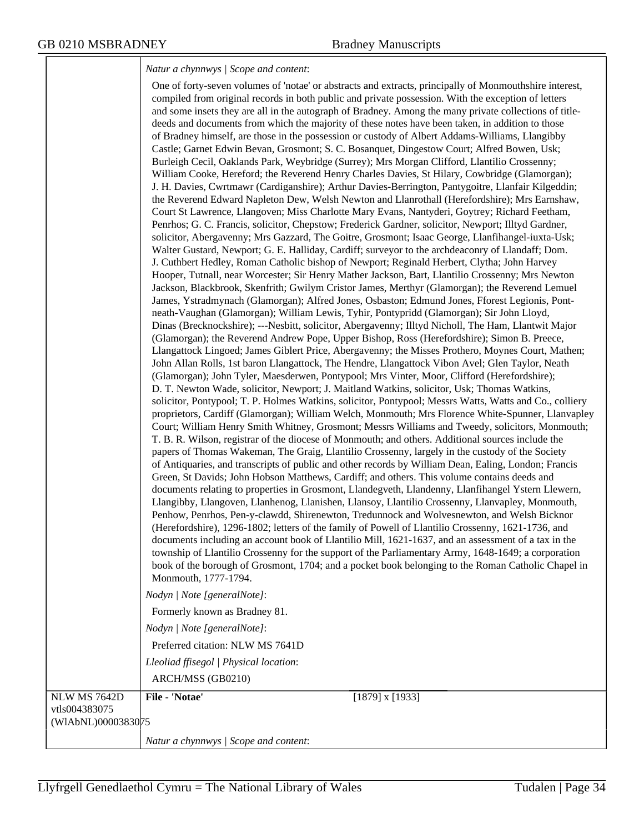### *Natur a chynnwys | Scope and content*:

| ARCH/MSS (GB0210)<br>File - 'Notae'<br>$[1879]$ x $[1933]$<br>(WIAbNL)0000383075 |                     | One of forty-seven volumes of 'notae' or abstracts and extracts, principally of Monmouthshire interest,<br>compiled from original records in both public and private possession. With the exception of letters<br>and some insets they are all in the autograph of Bradney. Among the many private collections of title-<br>deeds and documents from which the majority of these notes have been taken, in addition to those<br>of Bradney himself, are those in the possession or custody of Albert Addams-Williams, Llangibby<br>Castle; Garnet Edwin Bevan, Grosmont; S. C. Bosanquet, Dingestow Court; Alfred Bowen, Usk;<br>Burleigh Cecil, Oaklands Park, Weybridge (Surrey); Mrs Morgan Clifford, Llantilio Crossenny;<br>William Cooke, Hereford; the Reverend Henry Charles Davies, St Hilary, Cowbridge (Glamorgan);<br>J. H. Davies, Cwrtmawr (Cardiganshire); Arthur Davies-Berrington, Pantygoitre, Llanfair Kilgeddin;<br>the Reverend Edward Napleton Dew, Welsh Newton and Llanrothall (Herefordshire); Mrs Earnshaw,<br>Court St Lawrence, Llangoven; Miss Charlotte Mary Evans, Nantyderi, Goytrey; Richard Feetham,<br>Penrhos; G. C. Francis, solicitor, Chepstow; Frederick Gardner, solicitor, Newport; Illtyd Gardner,<br>solicitor, Abergavenny; Mrs Gazzard, The Goitre, Grosmont; Isaac George, Llanfihangel-iuxta-Usk;<br>Walter Gustard, Newport; G. E. Halliday, Cardiff; surveyor to the archdeaconry of Llandaff; Dom.<br>J. Cuthbert Hedley, Roman Catholic bishop of Newport; Reginald Herbert, Clytha; John Harvey<br>Hooper, Tutnall, near Worcester; Sir Henry Mather Jackson, Bart, Llantilio Crossenny; Mrs Newton<br>Jackson, Blackbrook, Skenfrith; Gwilym Cristor James, Merthyr (Glamorgan); the Reverend Lemuel<br>James, Ystradmynach (Glamorgan); Alfred Jones, Osbaston; Edmund Jones, Fforest Legionis, Pont-<br>neath-Vaughan (Glamorgan); William Lewis, Tyhir, Pontypridd (Glamorgan); Sir John Lloyd,<br>Dinas (Brecknockshire); ---Nesbitt, solicitor, Abergavenny; Illtyd Nicholl, The Ham, Llantwit Major<br>(Glamorgan); the Reverend Andrew Pope, Upper Bishop, Ross (Herefordshire); Simon B. Preece,<br>Llangattock Lingoed; James Giblert Price, Abergavenny; the Misses Prothero, Moynes Court, Mathen;<br>John Allan Rolls, 1st baron Llangattock, The Hendre, Llangattock Vibon Avel; Glen Taylor, Neath<br>(Glamorgan); John Tyler, Maesderwen, Pontypool; Mrs Vinter, Moor, Clifford (Herefordshire);<br>D. T. Newton Wade, solicitor, Newport; J. Maitland Watkins, solicitor, Usk; Thomas Watkins,<br>solicitor, Pontypool; T. P. Holmes Watkins, solicitor, Pontypool; Messrs Watts, Watts and Co., colliery<br>proprietors, Cardiff (Glamorgan); William Welch, Monmouth; Mrs Florence White-Spunner, Llanvapley<br>Court; William Henry Smith Whitney, Grosmont; Messrs Williams and Tweedy, solicitors, Monmouth;<br>T. B. R. Wilson, registrar of the diocese of Monmouth; and others. Additional sources include the<br>papers of Thomas Wakeman, The Graig, Llantilio Crossenny, largely in the custody of the Society<br>of Antiquaries, and transcripts of public and other records by William Dean, Ealing, London; Francis<br>Green, St Davids; John Hobson Matthews, Cardiff; and others. This volume contains deeds and<br>documents relating to properties in Grosmont, Llandegveth, Llandenny, Llanfihangel Ystern Llewern,<br>Llangibby, Llangoven, Llanhenog, Llanishen, Llansoy, Llantilio Crossenny, Llanvapley, Monmouth,<br>Penhow, Penrhos, Pen-y-clawdd, Shirenewton, Tredunnock and Wolvesnewton, and Welsh Bicknor<br>(Herefordshire), 1296-1802; letters of the family of Powell of Llantilio Crossenny, 1621-1736, and<br>documents including an account book of Llantilio Mill, 1621-1637, and an assessment of a tax in the<br>township of Llantilio Crossenny for the support of the Parliamentary Army, 1648-1649; a corporation<br>book of the borough of Grosmont, 1704; and a pocket book belonging to the Roman Catholic Chapel in<br>Monmouth, 1777-1794.<br>Nodyn   Note [generalNote]:<br>Formerly known as Bradney 81.<br>Nodyn   Note [generalNote]:<br>Preferred citation: NLW MS 7641D<br>Lleoliad ffisegol   Physical location: |
|----------------------------------------------------------------------------------|---------------------|----------------------------------------------------------------------------------------------------------------------------------------------------------------------------------------------------------------------------------------------------------------------------------------------------------------------------------------------------------------------------------------------------------------------------------------------------------------------------------------------------------------------------------------------------------------------------------------------------------------------------------------------------------------------------------------------------------------------------------------------------------------------------------------------------------------------------------------------------------------------------------------------------------------------------------------------------------------------------------------------------------------------------------------------------------------------------------------------------------------------------------------------------------------------------------------------------------------------------------------------------------------------------------------------------------------------------------------------------------------------------------------------------------------------------------------------------------------------------------------------------------------------------------------------------------------------------------------------------------------------------------------------------------------------------------------------------------------------------------------------------------------------------------------------------------------------------------------------------------------------------------------------------------------------------------------------------------------------------------------------------------------------------------------------------------------------------------------------------------------------------------------------------------------------------------------------------------------------------------------------------------------------------------------------------------------------------------------------------------------------------------------------------------------------------------------------------------------------------------------------------------------------------------------------------------------------------------------------------------------------------------------------------------------------------------------------------------------------------------------------------------------------------------------------------------------------------------------------------------------------------------------------------------------------------------------------------------------------------------------------------------------------------------------------------------------------------------------------------------------------------------------------------------------------------------------------------------------------------------------------------------------------------------------------------------------------------------------------------------------------------------------------------------------------------------------------------------------------------------------------------------------------------------------------------------------------------------------------------------------------------------------------------------------------------------------------------------------------------------------------------------------------------------------------------------------------------------------------------------------------------------------------------------------------------------------------------------------------------------------------------------------------------------------------------------------------------------------------------------------------------------------------------------------------------------------------------------------------------------------------|
|                                                                                  |                     |                                                                                                                                                                                                                                                                                                                                                                                                                                                                                                                                                                                                                                                                                                                                                                                                                                                                                                                                                                                                                                                                                                                                                                                                                                                                                                                                                                                                                                                                                                                                                                                                                                                                                                                                                                                                                                                                                                                                                                                                                                                                                                                                                                                                                                                                                                                                                                                                                                                                                                                                                                                                                                                                                                                                                                                                                                                                                                                                                                                                                                                                                                                                                                                                                                                                                                                                                                                                                                                                                                                                                                                                                                                                                                                                                                                                                                                                                                                                                                                                                                                                                                                                                                                                                                              |
|                                                                                  | <b>NLW MS 7642D</b> |                                                                                                                                                                                                                                                                                                                                                                                                                                                                                                                                                                                                                                                                                                                                                                                                                                                                                                                                                                                                                                                                                                                                                                                                                                                                                                                                                                                                                                                                                                                                                                                                                                                                                                                                                                                                                                                                                                                                                                                                                                                                                                                                                                                                                                                                                                                                                                                                                                                                                                                                                                                                                                                                                                                                                                                                                                                                                                                                                                                                                                                                                                                                                                                                                                                                                                                                                                                                                                                                                                                                                                                                                                                                                                                                                                                                                                                                                                                                                                                                                                                                                                                                                                                                                                              |
| Natur a chynnwys / Scope and content:                                            | vtls004383075       |                                                                                                                                                                                                                                                                                                                                                                                                                                                                                                                                                                                                                                                                                                                                                                                                                                                                                                                                                                                                                                                                                                                                                                                                                                                                                                                                                                                                                                                                                                                                                                                                                                                                                                                                                                                                                                                                                                                                                                                                                                                                                                                                                                                                                                                                                                                                                                                                                                                                                                                                                                                                                                                                                                                                                                                                                                                                                                                                                                                                                                                                                                                                                                                                                                                                                                                                                                                                                                                                                                                                                                                                                                                                                                                                                                                                                                                                                                                                                                                                                                                                                                                                                                                                                                              |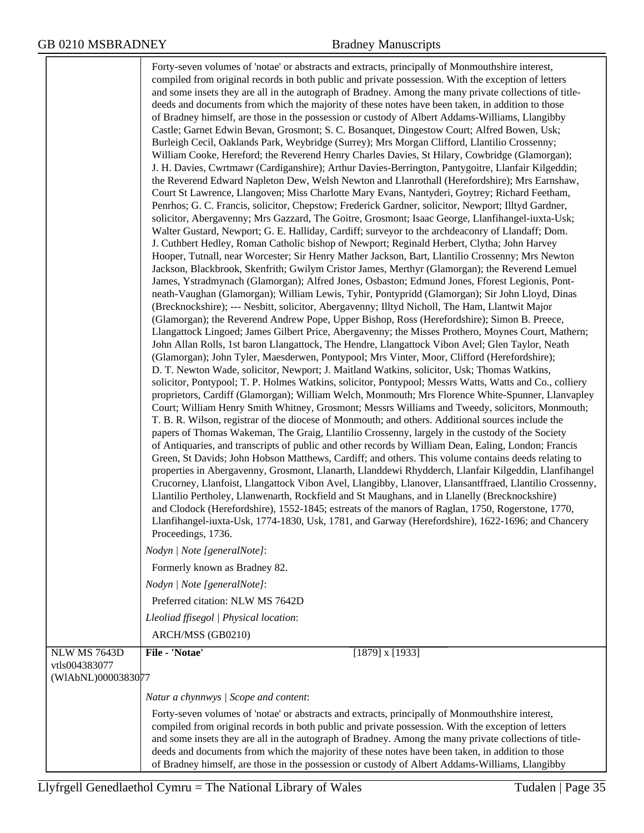|                                     | Forty-seven volumes of 'notae' or abstracts and extracts, principally of Monmouthshire interest,<br>compiled from original records in both public and private possession. With the exception of letters<br>and some insets they are all in the autograph of Bradney. Among the many private collections of title-<br>deeds and documents from which the majority of these notes have been taken, in addition to those<br>of Bradney himself, are those in the possession or custody of Albert Addams-Williams, Llangibby<br>Castle; Garnet Edwin Bevan, Grosmont; S. C. Bosanquet, Dingestow Court; Alfred Bowen, Usk;<br>Burleigh Cecil, Oaklands Park, Weybridge (Surrey); Mrs Morgan Clifford, Llantilio Crossenny;<br>William Cooke, Hereford; the Reverend Henry Charles Davies, St Hilary, Cowbridge (Glamorgan);<br>J. H. Davies, Cwrtmawr (Cardiganshire); Arthur Davies-Berrington, Pantygoitre, Llanfair Kilgeddin;<br>the Reverend Edward Napleton Dew, Welsh Newton and Llanrothall (Herefordshire); Mrs Earnshaw,<br>Court St Lawrence, Llangoven; Miss Charlotte Mary Evans, Nantyderi, Goytrey; Richard Feetham,<br>Penrhos; G. C. Francis, solicitor, Chepstow; Frederick Gardner, solicitor, Newport; Illtyd Gardner,<br>solicitor, Abergavenny; Mrs Gazzard, The Goitre, Grosmont; Isaac George, Llanfihangel-iuxta-Usk;<br>Walter Gustard, Newport; G. E. Halliday, Cardiff; surveyor to the archdeaconry of Llandaff; Dom.<br>J. Cuthbert Hedley, Roman Catholic bishop of Newport; Reginald Herbert, Clytha; John Harvey<br>Hooper, Tutnall, near Worcester; Sir Henry Mather Jackson, Bart, Llantilio Crossenny; Mrs Newton<br>Jackson, Blackbrook, Skenfrith; Gwilym Cristor James, Merthyr (Glamorgan); the Reverend Lemuel<br>James, Ystradmynach (Glamorgan); Alfred Jones, Osbaston; Edmund Jones, Fforest Legionis, Pont-<br>neath-Vaughan (Glamorgan); William Lewis, Tyhir, Pontypridd (Glamorgan); Sir John Lloyd, Dinas<br>(Brecknockshire); --- Nesbitt, solicitor, Abergavenny; Illtyd Nicholl, The Ham, Llantwit Major<br>(Glamorgan); the Reverend Andrew Pope, Upper Bishop, Ross (Herefordshire); Simon B. Preece,<br>Llangattock Lingoed; James Gilbert Price, Abergavenny; the Misses Prothero, Moynes Court, Mathern;<br>John Allan Rolls, 1st baron Llangattock, The Hendre, Llangattock Vibon Avel; Glen Taylor, Neath<br>(Glamorgan); John Tyler, Maesderwen, Pontypool; Mrs Vinter, Moor, Clifford (Herefordshire);<br>D. T. Newton Wade, solicitor, Newport; J. Maitland Watkins, solicitor, Usk; Thomas Watkins,<br>solicitor, Pontypool; T. P. Holmes Watkins, solicitor, Pontypool; Messrs Watts, Watts and Co., colliery<br>proprietors, Cardiff (Glamorgan); William Welch, Monmouth; Mrs Florence White-Spunner, Llanvapley<br>Court; William Henry Smith Whitney, Grosmont; Messrs Williams and Tweedy, solicitors, Monmouth;<br>T. B. R. Wilson, registrar of the diocese of Monmouth; and others. Additional sources include the<br>papers of Thomas Wakeman, The Graig, Llantilio Crossenny, largely in the custody of the Society<br>of Antiquaries, and transcripts of public and other records by William Dean, Ealing, London; Francis<br>Green, St Davids; John Hobson Matthews, Cardiff; and others. This volume contains deeds relating to<br>properties in Abergavenny, Grosmont, Llanarth, Llanddewi Rhydderch, Llanfair Kilgeddin, Llanfihangel<br>Crucorney, Llanfoist, Llangattock Vibon Avel, Llangibby, Llanover, Llansantffraed, Llantilio Crossenny,<br>Llantilio Pertholey, Llanwenarth, Rockfield and St Maughans, and in Llanelly (Brecknockshire)<br>and Clodock (Herefordshire), 1552-1845; estreats of the manors of Raglan, 1750, Rogerstone, 1770,<br>Llanfihangel-iuxta-Usk, 1774-1830, Usk, 1781, and Garway (Herefordshire), 1622-1696; and Chancery<br>Proceedings, 1736.<br>Nodyn   Note [generalNote]:<br>Formerly known as Bradney 82.<br>Nodyn   Note [generalNote]:<br>Preferred citation: NLW MS 7642D<br>Lleoliad ffisegol   Physical location:<br>ARCH/MSS (GB0210) |
|-------------------------------------|-----------------------------------------------------------------------------------------------------------------------------------------------------------------------------------------------------------------------------------------------------------------------------------------------------------------------------------------------------------------------------------------------------------------------------------------------------------------------------------------------------------------------------------------------------------------------------------------------------------------------------------------------------------------------------------------------------------------------------------------------------------------------------------------------------------------------------------------------------------------------------------------------------------------------------------------------------------------------------------------------------------------------------------------------------------------------------------------------------------------------------------------------------------------------------------------------------------------------------------------------------------------------------------------------------------------------------------------------------------------------------------------------------------------------------------------------------------------------------------------------------------------------------------------------------------------------------------------------------------------------------------------------------------------------------------------------------------------------------------------------------------------------------------------------------------------------------------------------------------------------------------------------------------------------------------------------------------------------------------------------------------------------------------------------------------------------------------------------------------------------------------------------------------------------------------------------------------------------------------------------------------------------------------------------------------------------------------------------------------------------------------------------------------------------------------------------------------------------------------------------------------------------------------------------------------------------------------------------------------------------------------------------------------------------------------------------------------------------------------------------------------------------------------------------------------------------------------------------------------------------------------------------------------------------------------------------------------------------------------------------------------------------------------------------------------------------------------------------------------------------------------------------------------------------------------------------------------------------------------------------------------------------------------------------------------------------------------------------------------------------------------------------------------------------------------------------------------------------------------------------------------------------------------------------------------------------------------------------------------------------------------------------------------------------------------------------------------------------------------------------------------------------------------------------------------------------------------------------------------------------------------------------------------------------------------------------------------------------------------------------------------------------------------------------------------------|
| NLW MS 7643D                        | File - 'Notae'<br>$[1879]$ x $[1933]$                                                                                                                                                                                                                                                                                                                                                                                                                                                                                                                                                                                                                                                                                                                                                                                                                                                                                                                                                                                                                                                                                                                                                                                                                                                                                                                                                                                                                                                                                                                                                                                                                                                                                                                                                                                                                                                                                                                                                                                                                                                                                                                                                                                                                                                                                                                                                                                                                                                                                                                                                                                                                                                                                                                                                                                                                                                                                                                                                                                                                                                                                                                                                                                                                                                                                                                                                                                                                                                                                                                                                                                                                                                                                                                                                                                                                                                                                                                                                                                                                           |
| vtls004383077<br>(WIAbNL)0000383077 |                                                                                                                                                                                                                                                                                                                                                                                                                                                                                                                                                                                                                                                                                                                                                                                                                                                                                                                                                                                                                                                                                                                                                                                                                                                                                                                                                                                                                                                                                                                                                                                                                                                                                                                                                                                                                                                                                                                                                                                                                                                                                                                                                                                                                                                                                                                                                                                                                                                                                                                                                                                                                                                                                                                                                                                                                                                                                                                                                                                                                                                                                                                                                                                                                                                                                                                                                                                                                                                                                                                                                                                                                                                                                                                                                                                                                                                                                                                                                                                                                                                                 |
|                                     | Natur a chynnwys   Scope and content:                                                                                                                                                                                                                                                                                                                                                                                                                                                                                                                                                                                                                                                                                                                                                                                                                                                                                                                                                                                                                                                                                                                                                                                                                                                                                                                                                                                                                                                                                                                                                                                                                                                                                                                                                                                                                                                                                                                                                                                                                                                                                                                                                                                                                                                                                                                                                                                                                                                                                                                                                                                                                                                                                                                                                                                                                                                                                                                                                                                                                                                                                                                                                                                                                                                                                                                                                                                                                                                                                                                                                                                                                                                                                                                                                                                                                                                                                                                                                                                                                           |
|                                     | Forty-seven volumes of 'notae' or abstracts and extracts, principally of Monmouthshire interest,<br>compiled from original records in both public and private possession. With the exception of letters<br>and some insets they are all in the autograph of Bradney. Among the many private collections of title-<br>deeds and documents from which the majority of these notes have been taken, in addition to those<br>of Bradney himself, are those in the possession or custody of Albert Addams-Williams, Llangibby                                                                                                                                                                                                                                                                                                                                                                                                                                                                                                                                                                                                                                                                                                                                                                                                                                                                                                                                                                                                                                                                                                                                                                                                                                                                                                                                                                                                                                                                                                                                                                                                                                                                                                                                                                                                                                                                                                                                                                                                                                                                                                                                                                                                                                                                                                                                                                                                                                                                                                                                                                                                                                                                                                                                                                                                                                                                                                                                                                                                                                                                                                                                                                                                                                                                                                                                                                                                                                                                                                                                        |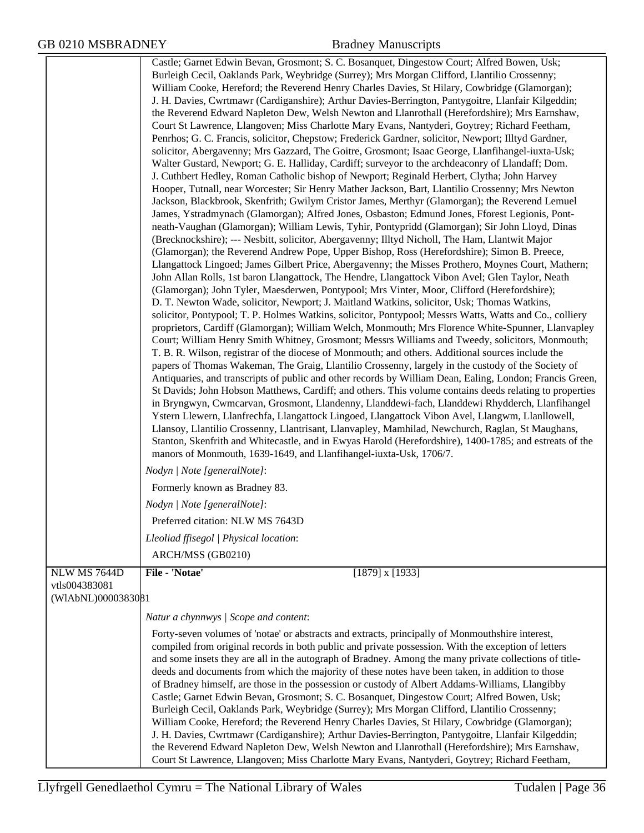|                     | Castle; Garnet Edwin Bevan, Grosmont; S. C. Bosanquet, Dingestow Court; Alfred Bowen, Usk;                                                                                                                |
|---------------------|-----------------------------------------------------------------------------------------------------------------------------------------------------------------------------------------------------------|
|                     | Burleigh Cecil, Oaklands Park, Weybridge (Surrey); Mrs Morgan Clifford, Llantilio Crossenny;                                                                                                              |
|                     | William Cooke, Hereford; the Reverend Henry Charles Davies, St Hilary, Cowbridge (Glamorgan);                                                                                                             |
|                     | J. H. Davies, Cwrtmawr (Cardiganshire); Arthur Davies-Berrington, Pantygoitre, Llanfair Kilgeddin;                                                                                                        |
|                     | the Reverend Edward Napleton Dew, Welsh Newton and Llanrothall (Herefordshire); Mrs Earnshaw,                                                                                                             |
|                     | Court St Lawrence, Llangoven; Miss Charlotte Mary Evans, Nantyderi, Goytrey; Richard Feetham,                                                                                                             |
|                     | Penrhos; G. C. Francis, solicitor, Chepstow; Frederick Gardner, solicitor, Newport; Illtyd Gardner,                                                                                                       |
|                     | solicitor, Abergavenny; Mrs Gazzard, The Goitre, Grosmont; Isaac George, Llanfihangel-iuxta-Usk;                                                                                                          |
|                     | Walter Gustard, Newport; G. E. Halliday, Cardiff; surveyor to the archdeaconry of Llandaff; Dom.                                                                                                          |
|                     | J. Cuthbert Hedley, Roman Catholic bishop of Newport; Reginald Herbert, Clytha; John Harvey                                                                                                               |
|                     | Hooper, Tutnall, near Worcester; Sir Henry Mather Jackson, Bart, Llantilio Crossenny; Mrs Newton                                                                                                          |
|                     | Jackson, Blackbrook, Skenfrith; Gwilym Cristor James, Merthyr (Glamorgan); the Reverend Lemuel                                                                                                            |
|                     | James, Ystradmynach (Glamorgan); Alfred Jones, Osbaston; Edmund Jones, Fforest Legionis, Pont-<br>neath-Vaughan (Glamorgan); William Lewis, Tyhir, Pontypridd (Glamorgan); Sir John Lloyd, Dinas          |
|                     | (Brecknockshire); --- Nesbitt, solicitor, Abergavenny; Illtyd Nicholl, The Ham, Llantwit Major                                                                                                            |
|                     | (Glamorgan); the Reverend Andrew Pope, Upper Bishop, Ross (Herefordshire); Simon B. Preece,                                                                                                               |
|                     | Llangattock Lingoed; James Gilbert Price, Abergavenny; the Misses Prothero, Moynes Court, Mathern;                                                                                                        |
|                     | John Allan Rolls, 1st baron Llangattock, The Hendre, Llangattock Vibon Avel; Glen Taylor, Neath                                                                                                           |
|                     | (Glamorgan); John Tyler, Maesderwen, Pontypool; Mrs Vinter, Moor, Clifford (Herefordshire);                                                                                                               |
|                     | D. T. Newton Wade, solicitor, Newport; J. Maitland Watkins, solicitor, Usk; Thomas Watkins,                                                                                                               |
|                     | solicitor, Pontypool; T. P. Holmes Watkins, solicitor, Pontypool; Messrs Watts, Watts and Co., colliery                                                                                                   |
|                     | proprietors, Cardiff (Glamorgan); William Welch, Monmouth; Mrs Florence White-Spunner, Llanvapley                                                                                                         |
|                     | Court; William Henry Smith Whitney, Grosmont; Messrs Williams and Tweedy, solicitors, Monmouth;                                                                                                           |
|                     | T. B. R. Wilson, registrar of the diocese of Monmouth; and others. Additional sources include the                                                                                                         |
|                     | papers of Thomas Wakeman, The Graig, Llantilio Crossenny, largely in the custody of the Society of                                                                                                        |
|                     | Antiquaries, and transcripts of public and other records by William Dean, Ealing, London; Francis Green,                                                                                                  |
|                     | St Davids; John Hobson Matthews, Cardiff; and others. This volume contains deeds relating to properties<br>in Bryngwyn, Cwmcarvan, Grosmont, Llandenny, Llanddewi-fach, Llanddewi Rhydderch, Llanfihangel |
|                     | Ystern Llewern, Llanfrechfa, Llangattock Lingoed, Llangattock Vibon Avel, Llangwm, Llanllowell,                                                                                                           |
|                     | Llansoy, Llantilio Crossenny, Llantrisant, Llanvapley, Mamhilad, Newchurch, Raglan, St Maughans,                                                                                                          |
|                     | Stanton, Skenfrith and Whitecastle, and in Ewyas Harold (Herefordshire), 1400-1785; and estreats of the                                                                                                   |
|                     | manors of Monmouth, 1639-1649, and Llanfihangel-iuxta-Usk, 1706/7.                                                                                                                                        |
|                     | Nodyn   Note [generalNote]:                                                                                                                                                                               |
|                     | Formerly known as Bradney 83.                                                                                                                                                                             |
|                     | Nodyn   Note [generalNote]:                                                                                                                                                                               |
|                     | Preferred citation: NLW MS 7643D                                                                                                                                                                          |
|                     | Lleoliad ffisegol   Physical location:                                                                                                                                                                    |
|                     | ARCH/MSS (GB0210)                                                                                                                                                                                         |
| <b>NLW MS 7644D</b> | File - 'Notae'<br>$[1879]$ x $[1933]$                                                                                                                                                                     |
| vtls004383081       |                                                                                                                                                                                                           |
| (WIAbNL)0000383081  |                                                                                                                                                                                                           |
|                     | Natur a chynnwys / Scope and content:                                                                                                                                                                     |
|                     | Forty-seven volumes of 'notae' or abstracts and extracts, principally of Monmouthshire interest,                                                                                                          |
|                     | compiled from original records in both public and private possession. With the exception of letters                                                                                                       |
|                     | and some insets they are all in the autograph of Bradney. Among the many private collections of title-                                                                                                    |
|                     | deeds and documents from which the majority of these notes have been taken, in addition to those                                                                                                          |
|                     | of Bradney himself, are those in the possession or custody of Albert Addams-Williams, Llangibby                                                                                                           |
|                     | Castle; Garnet Edwin Bevan, Grosmont; S. C. Bosanquet, Dingestow Court; Alfred Bowen, Usk;                                                                                                                |
|                     | Burleigh Cecil, Oaklands Park, Weybridge (Surrey); Mrs Morgan Clifford, Llantilio Crossenny;                                                                                                              |
|                     | William Cooke, Hereford; the Reverend Henry Charles Davies, St Hilary, Cowbridge (Glamorgan);                                                                                                             |
|                     | J. H. Davies, Cwrtmawr (Cardiganshire); Arthur Davies-Berrington, Pantygoitre, Llanfair Kilgeddin;<br>the Reverend Edward Napleton Dew, Welsh Newton and Llanrothall (Herefordshire); Mrs Earnshaw,       |
|                     | Court St Lawrence, Llangoven; Miss Charlotte Mary Evans, Nantyderi, Goytrey; Richard Feetham,                                                                                                             |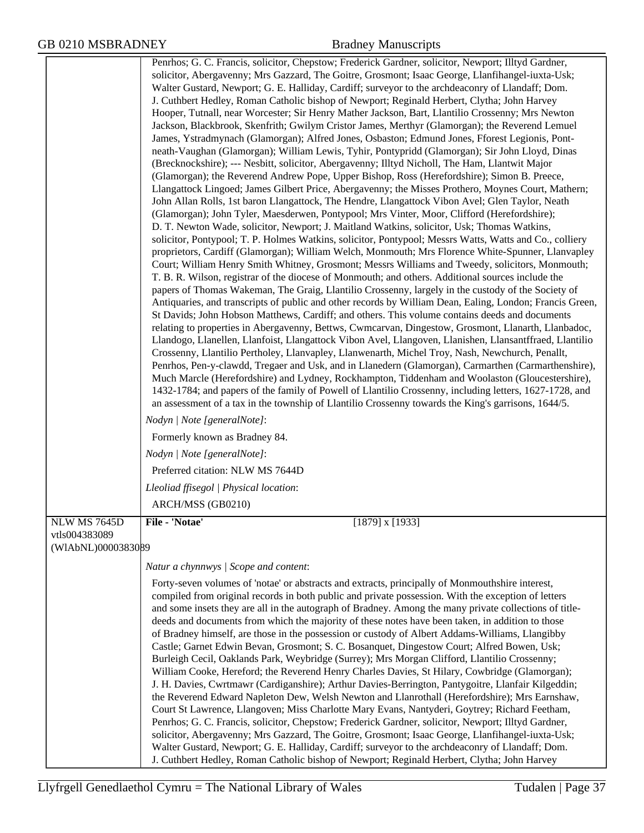|                    | Penrhos; G. C. Francis, solicitor, Chepstow; Frederick Gardner, solicitor, Newport; Illtyd Gardner,<br>solicitor, Abergavenny; Mrs Gazzard, The Goitre, Grosmont; Isaac George, Llanfihangel-iuxta-Usk;<br>Walter Gustard, Newport; G. E. Halliday, Cardiff; surveyor to the archdeaconry of Llandaff; Dom.<br>J. Cuthbert Hedley, Roman Catholic bishop of Newport; Reginald Herbert, Clytha; John Harvey<br>Hooper, Tutnall, near Worcester; Sir Henry Mather Jackson, Bart, Llantilio Crossenny; Mrs Newton<br>Jackson, Blackbrook, Skenfrith; Gwilym Cristor James, Merthyr (Glamorgan); the Reverend Lemuel<br>James, Ystradmynach (Glamorgan); Alfred Jones, Osbaston; Edmund Jones, Fforest Legionis, Pont-<br>neath-Vaughan (Glamorgan); William Lewis, Tyhir, Pontypridd (Glamorgan); Sir John Lloyd, Dinas<br>(Brecknockshire); --- Nesbitt, solicitor, Abergavenny; Illtyd Nicholl, The Ham, Llantwit Major<br>(Glamorgan); the Reverend Andrew Pope, Upper Bishop, Ross (Herefordshire); Simon B. Preece,<br>Llangattock Lingoed; James Gilbert Price, Abergavenny; the Misses Prothero, Moynes Court, Mathern;<br>John Allan Rolls, 1st baron Llangattock, The Hendre, Llangattock Vibon Avel; Glen Taylor, Neath<br>(Glamorgan); John Tyler, Maesderwen, Pontypool; Mrs Vinter, Moor, Clifford (Herefordshire);<br>D. T. Newton Wade, solicitor, Newport; J. Maitland Watkins, solicitor, Usk; Thomas Watkins,<br>solicitor, Pontypool; T. P. Holmes Watkins, solicitor, Pontypool; Messrs Watts, Watts and Co., colliery<br>proprietors, Cardiff (Glamorgan); William Welch, Monmouth; Mrs Florence White-Spunner, Llanvapley<br>Court; William Henry Smith Whitney, Grosmont; Messrs Williams and Tweedy, solicitors, Monmouth;<br>T. B. R. Wilson, registrar of the diocese of Monmouth; and others. Additional sources include the<br>papers of Thomas Wakeman, The Graig, Llantilio Crossenny, largely in the custody of the Society of<br>Antiquaries, and transcripts of public and other records by William Dean, Ealing, London; Francis Green,<br>St Davids; John Hobson Matthews, Cardiff; and others. This volume contains deeds and documents<br>relating to properties in Abergavenny, Bettws, Cwmcarvan, Dingestow, Grosmont, Llanarth, Llanbadoc,<br>Llandogo, Llanellen, Llanfoist, Llangattock Vibon Avel, Llangoven, Llanishen, Llansantffraed, Llantilio<br>Crossenny, Llantilio Pertholey, Llanvapley, Llanwenarth, Michel Troy, Nash, Newchurch, Penallt,<br>Penrhos, Pen-y-clawdd, Tregaer and Usk, and in Llanedern (Glamorgan), Carmarthen (Carmarthenshire),<br>Much Marcle (Herefordshire) and Lydney, Rockhampton, Tiddenham and Woolaston (Gloucestershire),<br>1432-1784; and papers of the family of Powell of Llantilio Crossenny, including letters, 1627-1728, and<br>an assessment of a tax in the township of Llantilio Crossenny towards the King's garrisons, 1644/5.<br>Nodyn   Note [generalNote]:<br>Formerly known as Bradney 84.<br>Nodyn   Note [generalNote]: |
|--------------------|--------------------------------------------------------------------------------------------------------------------------------------------------------------------------------------------------------------------------------------------------------------------------------------------------------------------------------------------------------------------------------------------------------------------------------------------------------------------------------------------------------------------------------------------------------------------------------------------------------------------------------------------------------------------------------------------------------------------------------------------------------------------------------------------------------------------------------------------------------------------------------------------------------------------------------------------------------------------------------------------------------------------------------------------------------------------------------------------------------------------------------------------------------------------------------------------------------------------------------------------------------------------------------------------------------------------------------------------------------------------------------------------------------------------------------------------------------------------------------------------------------------------------------------------------------------------------------------------------------------------------------------------------------------------------------------------------------------------------------------------------------------------------------------------------------------------------------------------------------------------------------------------------------------------------------------------------------------------------------------------------------------------------------------------------------------------------------------------------------------------------------------------------------------------------------------------------------------------------------------------------------------------------------------------------------------------------------------------------------------------------------------------------------------------------------------------------------------------------------------------------------------------------------------------------------------------------------------------------------------------------------------------------------------------------------------------------------------------------------------------------------------------------------------------------------------------------------------------------------------------------------------------------------------------------------------------------------------------------------------------------------------------------|
|                    | Preferred citation: NLW MS 7644D                                                                                                                                                                                                                                                                                                                                                                                                                                                                                                                                                                                                                                                                                                                                                                                                                                                                                                                                                                                                                                                                                                                                                                                                                                                                                                                                                                                                                                                                                                                                                                                                                                                                                                                                                                                                                                                                                                                                                                                                                                                                                                                                                                                                                                                                                                                                                                                                                                                                                                                                                                                                                                                                                                                                                                                                                                                                                                                                                                                         |
|                    | Lleoliad ffisegol   Physical location:                                                                                                                                                                                                                                                                                                                                                                                                                                                                                                                                                                                                                                                                                                                                                                                                                                                                                                                                                                                                                                                                                                                                                                                                                                                                                                                                                                                                                                                                                                                                                                                                                                                                                                                                                                                                                                                                                                                                                                                                                                                                                                                                                                                                                                                                                                                                                                                                                                                                                                                                                                                                                                                                                                                                                                                                                                                                                                                                                                                   |
|                    | ARCH/MSS (GB0210)                                                                                                                                                                                                                                                                                                                                                                                                                                                                                                                                                                                                                                                                                                                                                                                                                                                                                                                                                                                                                                                                                                                                                                                                                                                                                                                                                                                                                                                                                                                                                                                                                                                                                                                                                                                                                                                                                                                                                                                                                                                                                                                                                                                                                                                                                                                                                                                                                                                                                                                                                                                                                                                                                                                                                                                                                                                                                                                                                                                                        |
| NLW MS 7645D       | File - 'Notae'<br>$[1879]$ x $[1933]$                                                                                                                                                                                                                                                                                                                                                                                                                                                                                                                                                                                                                                                                                                                                                                                                                                                                                                                                                                                                                                                                                                                                                                                                                                                                                                                                                                                                                                                                                                                                                                                                                                                                                                                                                                                                                                                                                                                                                                                                                                                                                                                                                                                                                                                                                                                                                                                                                                                                                                                                                                                                                                                                                                                                                                                                                                                                                                                                                                                    |
| vtls004383089      |                                                                                                                                                                                                                                                                                                                                                                                                                                                                                                                                                                                                                                                                                                                                                                                                                                                                                                                                                                                                                                                                                                                                                                                                                                                                                                                                                                                                                                                                                                                                                                                                                                                                                                                                                                                                                                                                                                                                                                                                                                                                                                                                                                                                                                                                                                                                                                                                                                                                                                                                                                                                                                                                                                                                                                                                                                                                                                                                                                                                                          |
| (WIAbNL)0000383089 |                                                                                                                                                                                                                                                                                                                                                                                                                                                                                                                                                                                                                                                                                                                                                                                                                                                                                                                                                                                                                                                                                                                                                                                                                                                                                                                                                                                                                                                                                                                                                                                                                                                                                                                                                                                                                                                                                                                                                                                                                                                                                                                                                                                                                                                                                                                                                                                                                                                                                                                                                                                                                                                                                                                                                                                                                                                                                                                                                                                                                          |
|                    | Natur a chynnwys / Scope and content:                                                                                                                                                                                                                                                                                                                                                                                                                                                                                                                                                                                                                                                                                                                                                                                                                                                                                                                                                                                                                                                                                                                                                                                                                                                                                                                                                                                                                                                                                                                                                                                                                                                                                                                                                                                                                                                                                                                                                                                                                                                                                                                                                                                                                                                                                                                                                                                                                                                                                                                                                                                                                                                                                                                                                                                                                                                                                                                                                                                    |
|                    | Forty-seven volumes of 'notae' or abstracts and extracts, principally of Monmouthshire interest,<br>compiled from original records in both public and private possession. With the exception of letters<br>and some insets they are all in the autograph of Bradney. Among the many private collections of title-<br>deeds and documents from which the majority of these notes have been taken, in addition to those<br>of Bradney himself, are those in the possession or custody of Albert Addams-Williams, Llangibby<br>Castle; Garnet Edwin Bevan, Grosmont; S. C. Bosanquet, Dingestow Court; Alfred Bowen, Usk;<br>Burleigh Cecil, Oaklands Park, Weybridge (Surrey); Mrs Morgan Clifford, Llantilio Crossenny;<br>William Cooke, Hereford; the Reverend Henry Charles Davies, St Hilary, Cowbridge (Glamorgan);<br>J. H. Davies, Cwrtmawr (Cardiganshire); Arthur Davies-Berrington, Pantygoitre, Llanfair Kilgeddin;<br>the Reverend Edward Napleton Dew, Welsh Newton and Llanrothall (Herefordshire); Mrs Earnshaw,<br>Court St Lawrence, Llangoven; Miss Charlotte Mary Evans, Nantyderi, Goytrey; Richard Feetham,<br>Penrhos; G. C. Francis, solicitor, Chepstow; Frederick Gardner, solicitor, Newport; Illtyd Gardner,<br>solicitor, Abergavenny; Mrs Gazzard, The Goitre, Grosmont; Isaac George, Llanfihangel-iuxta-Usk;<br>Walter Gustard, Newport; G. E. Halliday, Cardiff; surveyor to the archdeaconry of Llandaff; Dom.                                                                                                                                                                                                                                                                                                                                                                                                                                                                                                                                                                                                                                                                                                                                                                                                                                                                                                                                                                                                                                                                                                                                                                                                                                                                                                                                                                                                                                                                                                                                                                           |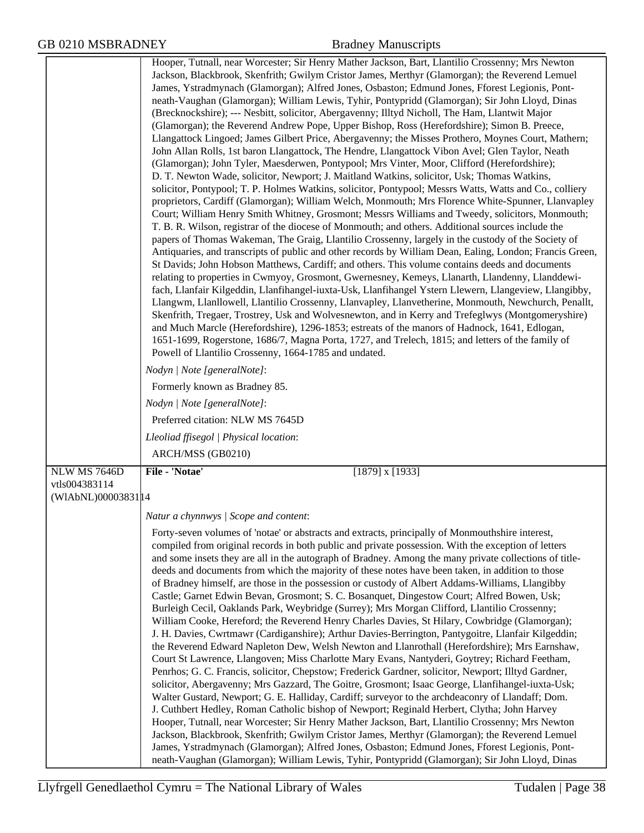|                     | Hooper, Tutnall, near Worcester; Sir Henry Mather Jackson, Bart, Llantilio Crossenny; Mrs Newton<br>Jackson, Blackbrook, Skenfrith; Gwilym Cristor James, Merthyr (Glamorgan); the Reverend Lemuel<br>James, Ystradmynach (Glamorgan); Alfred Jones, Osbaston; Edmund Jones, Fforest Legionis, Pont-<br>neath-Vaughan (Glamorgan); William Lewis, Tyhir, Pontypridd (Glamorgan); Sir John Lloyd, Dinas<br>(Brecknockshire); --- Nesbitt, solicitor, Abergavenny; Illtyd Nicholl, The Ham, Llantwit Major<br>(Glamorgan); the Reverend Andrew Pope, Upper Bishop, Ross (Herefordshire); Simon B. Preece,<br>Llangattock Lingoed; James Gilbert Price, Abergavenny; the Misses Prothero, Moynes Court, Mathern;<br>John Allan Rolls, 1st baron Llangattock, The Hendre, Llangattock Vibon Avel; Glen Taylor, Neath<br>(Glamorgan); John Tyler, Maesderwen, Pontypool; Mrs Vinter, Moor, Clifford (Herefordshire);<br>D. T. Newton Wade, solicitor, Newport; J. Maitland Watkins, solicitor, Usk; Thomas Watkins,<br>solicitor, Pontypool; T. P. Holmes Watkins, solicitor, Pontypool; Messrs Watts, Watts and Co., colliery<br>proprietors, Cardiff (Glamorgan); William Welch, Monmouth; Mrs Florence White-Spunner, Llanvapley<br>Court; William Henry Smith Whitney, Grosmont; Messrs Williams and Tweedy, solicitors, Monmouth;<br>T. B. R. Wilson, registrar of the diocese of Monmouth; and others. Additional sources include the<br>papers of Thomas Wakeman, The Graig, Llantilio Crossenny, largely in the custody of the Society of<br>Antiquaries, and transcripts of public and other records by William Dean, Ealing, London; Francis Green,<br>St Davids; John Hobson Matthews, Cardiff; and others. This volume contains deeds and documents<br>relating to properties in Cwmyoy, Grosmont, Gwernesney, Kemeys, Llanarth, Llandenny, Llanddewi-<br>fach, Llanfair Kilgeddin, Llanfihangel-iuxta-Usk, Llanfihangel Ystern Llewern, Llangeview, Llangibby,<br>Llangwm, Llanllowell, Llantilio Crossenny, Llanvapley, Llanvetherine, Monmouth, Newchurch, Penallt,<br>Skenfrith, Tregaer, Trostrey, Usk and Wolvesnewton, and in Kerry and Trefeglwys (Montgomeryshire)<br>and Much Marcle (Herefordshire), 1296-1853; estreats of the manors of Hadnock, 1641, Edlogan,<br>1651-1699, Rogerstone, 1686/7, Magna Porta, 1727, and Trelech, 1815; and letters of the family of<br>Powell of Llantilio Crossenny, 1664-1785 and undated.<br>Nodyn   Note [generalNote]:<br>Formerly known as Bradney 85.<br>Nodyn   Note [generalNote]:<br>Preferred citation: NLW MS 7645D<br>Lleoliad ffisegol   Physical location: |
|---------------------|--------------------------------------------------------------------------------------------------------------------------------------------------------------------------------------------------------------------------------------------------------------------------------------------------------------------------------------------------------------------------------------------------------------------------------------------------------------------------------------------------------------------------------------------------------------------------------------------------------------------------------------------------------------------------------------------------------------------------------------------------------------------------------------------------------------------------------------------------------------------------------------------------------------------------------------------------------------------------------------------------------------------------------------------------------------------------------------------------------------------------------------------------------------------------------------------------------------------------------------------------------------------------------------------------------------------------------------------------------------------------------------------------------------------------------------------------------------------------------------------------------------------------------------------------------------------------------------------------------------------------------------------------------------------------------------------------------------------------------------------------------------------------------------------------------------------------------------------------------------------------------------------------------------------------------------------------------------------------------------------------------------------------------------------------------------------------------------------------------------------------------------------------------------------------------------------------------------------------------------------------------------------------------------------------------------------------------------------------------------------------------------------------------------------------------------------------------------------------------------------------------------------------------------------------------------------------------------------------------------------------------|
|                     | ARCH/MSS (GB0210)                                                                                                                                                                                                                                                                                                                                                                                                                                                                                                                                                                                                                                                                                                                                                                                                                                                                                                                                                                                                                                                                                                                                                                                                                                                                                                                                                                                                                                                                                                                                                                                                                                                                                                                                                                                                                                                                                                                                                                                                                                                                                                                                                                                                                                                                                                                                                                                                                                                                                                                                                                                                              |
| NLW MS 7646D        | File - 'Notae'<br>$[1879]$ x $[1933]$                                                                                                                                                                                                                                                                                                                                                                                                                                                                                                                                                                                                                                                                                                                                                                                                                                                                                                                                                                                                                                                                                                                                                                                                                                                                                                                                                                                                                                                                                                                                                                                                                                                                                                                                                                                                                                                                                                                                                                                                                                                                                                                                                                                                                                                                                                                                                                                                                                                                                                                                                                                          |
| vtls004383114       |                                                                                                                                                                                                                                                                                                                                                                                                                                                                                                                                                                                                                                                                                                                                                                                                                                                                                                                                                                                                                                                                                                                                                                                                                                                                                                                                                                                                                                                                                                                                                                                                                                                                                                                                                                                                                                                                                                                                                                                                                                                                                                                                                                                                                                                                                                                                                                                                                                                                                                                                                                                                                                |
| (WIAbNL)00003831 14 |                                                                                                                                                                                                                                                                                                                                                                                                                                                                                                                                                                                                                                                                                                                                                                                                                                                                                                                                                                                                                                                                                                                                                                                                                                                                                                                                                                                                                                                                                                                                                                                                                                                                                                                                                                                                                                                                                                                                                                                                                                                                                                                                                                                                                                                                                                                                                                                                                                                                                                                                                                                                                                |
|                     | Natur a chynnwys / Scope and content:                                                                                                                                                                                                                                                                                                                                                                                                                                                                                                                                                                                                                                                                                                                                                                                                                                                                                                                                                                                                                                                                                                                                                                                                                                                                                                                                                                                                                                                                                                                                                                                                                                                                                                                                                                                                                                                                                                                                                                                                                                                                                                                                                                                                                                                                                                                                                                                                                                                                                                                                                                                          |
|                     | Forty-seven volumes of 'notae' or abstracts and extracts, principally of Monmouthshire interest,<br>compiled from original records in both public and private possession. With the exception of letters<br>and some insets they are all in the autograph of Bradney. Among the many private collections of title-<br>deeds and documents from which the majority of these notes have been taken, in addition to those<br>of Bradney himself, are those in the possession or custody of Albert Addams-Williams, Llangibby<br>Castle; Garnet Edwin Bevan, Grosmont; S. C. Bosanquet, Dingestow Court; Alfred Bowen, Usk;<br>Burleigh Cecil, Oaklands Park, Weybridge (Surrey); Mrs Morgan Clifford, Llantilio Crossenny;<br>William Cooke, Hereford; the Reverend Henry Charles Davies, St Hilary, Cowbridge (Glamorgan);<br>J. H. Davies, Cwrtmawr (Cardiganshire); Arthur Davies-Berrington, Pantygoitre, Llanfair Kilgeddin;<br>the Reverend Edward Napleton Dew, Welsh Newton and Llanrothall (Herefordshire); Mrs Earnshaw,<br>Court St Lawrence, Llangoven; Miss Charlotte Mary Evans, Nantyderi, Goytrey; Richard Feetham,<br>Penrhos; G. C. Francis, solicitor, Chepstow; Frederick Gardner, solicitor, Newport; Illtyd Gardner,<br>solicitor, Abergavenny; Mrs Gazzard, The Goitre, Grosmont; Isaac George, Llanfihangel-iuxta-Usk;<br>Walter Gustard, Newport; G. E. Halliday, Cardiff; surveyor to the archdeaconry of Llandaff; Dom.<br>J. Cuthbert Hedley, Roman Catholic bishop of Newport; Reginald Herbert, Clytha; John Harvey<br>Hooper, Tutnall, near Worcester; Sir Henry Mather Jackson, Bart, Llantilio Crossenny; Mrs Newton<br>Jackson, Blackbrook, Skenfrith; Gwilym Cristor James, Merthyr (Glamorgan); the Reverend Lemuel<br>James, Ystradmynach (Glamorgan); Alfred Jones, Osbaston; Edmund Jones, Fforest Legionis, Pont-<br>neath-Vaughan (Glamorgan); William Lewis, Tyhir, Pontypridd (Glamorgan); Sir John Lloyd, Dinas                                                                                                                                                                                                                                                                                                                                                                                                                                                                                                                                                                                                                                                                        |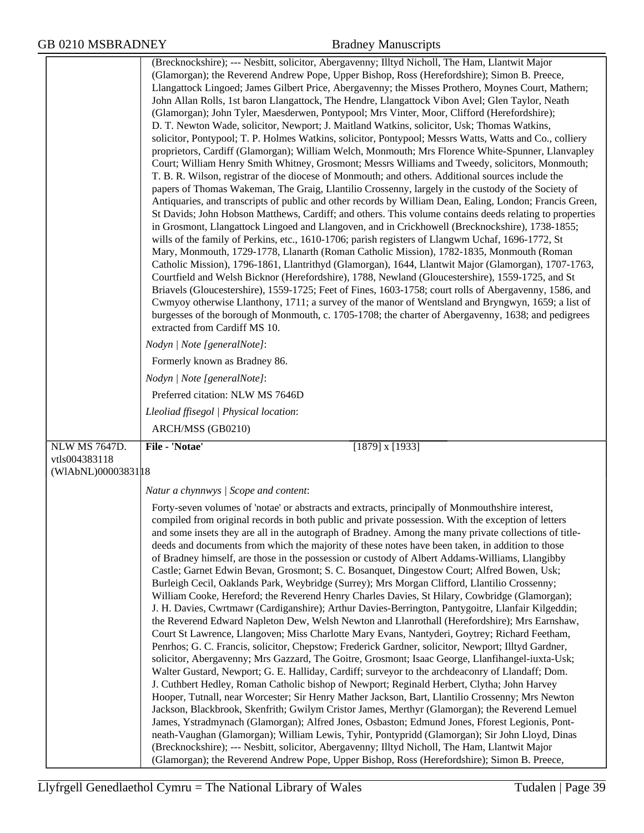|                                                              | (Brecknockshire); --- Nesbitt, solicitor, Abergavenny; Illtyd Nicholl, The Ham, Llantwit Major<br>(Glamorgan); the Reverend Andrew Pope, Upper Bishop, Ross (Herefordshire); Simon B. Preece,<br>Llangattock Lingoed; James Gilbert Price, Abergavenny; the Misses Prothero, Moynes Court, Mathern;<br>John Allan Rolls, 1st baron Llangattock, The Hendre, Llangattock Vibon Avel; Glen Taylor, Neath<br>(Glamorgan); John Tyler, Maesderwen, Pontypool; Mrs Vinter, Moor, Clifford (Herefordshire);<br>D. T. Newton Wade, solicitor, Newport; J. Maitland Watkins, solicitor, Usk; Thomas Watkins,<br>solicitor, Pontypool; T. P. Holmes Watkins, solicitor, Pontypool; Messrs Watts, Watts and Co., colliery<br>proprietors, Cardiff (Glamorgan); William Welch, Monmouth; Mrs Florence White-Spunner, Llanvapley<br>Court; William Henry Smith Whitney, Grosmont; Messrs Williams and Tweedy, solicitors, Monmouth;<br>T. B. R. Wilson, registrar of the diocese of Monmouth; and others. Additional sources include the<br>papers of Thomas Wakeman, The Graig, Llantilio Crossenny, largely in the custody of the Society of<br>Antiquaries, and transcripts of public and other records by William Dean, Ealing, London; Francis Green,<br>St Davids; John Hobson Matthews, Cardiff; and others. This volume contains deeds relating to properties<br>in Grosmont, Llangattock Lingoed and Llangoven, and in Crickhowell (Brecknockshire), 1738-1855;<br>wills of the family of Perkins, etc., 1610-1706; parish registers of Llangwm Uchaf, 1696-1772, St<br>Mary, Monmouth, 1729-1778, Llanarth (Roman Catholic Mission), 1782-1835, Monmouth (Roman<br>Catholic Mission), 1796-1861, Llantrithyd (Glamorgan), 1644, Llantwit Major (Glamorgan), 1707-1763,<br>Courtfield and Welsh Bicknor (Herefordshire), 1788, Newland (Gloucestershire), 1559-1725, and St<br>Briavels (Gloucestershire), 1559-1725; Feet of Fines, 1603-1758; court rolls of Abergavenny, 1586, and<br>Cwmyoy otherwise Llanthony, 1711; a survey of the manor of Wentsland and Bryngwyn, 1659; a list of<br>burgesses of the borough of Monmouth, c. 1705-1708; the charter of Abergavenny, 1638; and pedigrees<br>extracted from Cardiff MS 10. |
|--------------------------------------------------------------|----------------------------------------------------------------------------------------------------------------------------------------------------------------------------------------------------------------------------------------------------------------------------------------------------------------------------------------------------------------------------------------------------------------------------------------------------------------------------------------------------------------------------------------------------------------------------------------------------------------------------------------------------------------------------------------------------------------------------------------------------------------------------------------------------------------------------------------------------------------------------------------------------------------------------------------------------------------------------------------------------------------------------------------------------------------------------------------------------------------------------------------------------------------------------------------------------------------------------------------------------------------------------------------------------------------------------------------------------------------------------------------------------------------------------------------------------------------------------------------------------------------------------------------------------------------------------------------------------------------------------------------------------------------------------------------------------------------------------------------------------------------------------------------------------------------------------------------------------------------------------------------------------------------------------------------------------------------------------------------------------------------------------------------------------------------------------------------------------------------------------------------------------------------------------------------------------------------------------------|
|                                                              | Nodyn   Note [generalNote]:                                                                                                                                                                                                                                                                                                                                                                                                                                                                                                                                                                                                                                                                                                                                                                                                                                                                                                                                                                                                                                                                                                                                                                                                                                                                                                                                                                                                                                                                                                                                                                                                                                                                                                                                                                                                                                                                                                                                                                                                                                                                                                                                                                                                      |
|                                                              | Formerly known as Bradney 86.                                                                                                                                                                                                                                                                                                                                                                                                                                                                                                                                                                                                                                                                                                                                                                                                                                                                                                                                                                                                                                                                                                                                                                                                                                                                                                                                                                                                                                                                                                                                                                                                                                                                                                                                                                                                                                                                                                                                                                                                                                                                                                                                                                                                    |
|                                                              | Nodyn   Note [generalNote]:                                                                                                                                                                                                                                                                                                                                                                                                                                                                                                                                                                                                                                                                                                                                                                                                                                                                                                                                                                                                                                                                                                                                                                                                                                                                                                                                                                                                                                                                                                                                                                                                                                                                                                                                                                                                                                                                                                                                                                                                                                                                                                                                                                                                      |
|                                                              | Preferred citation: NLW MS 7646D                                                                                                                                                                                                                                                                                                                                                                                                                                                                                                                                                                                                                                                                                                                                                                                                                                                                                                                                                                                                                                                                                                                                                                                                                                                                                                                                                                                                                                                                                                                                                                                                                                                                                                                                                                                                                                                                                                                                                                                                                                                                                                                                                                                                 |
|                                                              | Lleoliad ffisegol   Physical location:                                                                                                                                                                                                                                                                                                                                                                                                                                                                                                                                                                                                                                                                                                                                                                                                                                                                                                                                                                                                                                                                                                                                                                                                                                                                                                                                                                                                                                                                                                                                                                                                                                                                                                                                                                                                                                                                                                                                                                                                                                                                                                                                                                                           |
|                                                              | ARCH/MSS (GB0210)                                                                                                                                                                                                                                                                                                                                                                                                                                                                                                                                                                                                                                                                                                                                                                                                                                                                                                                                                                                                                                                                                                                                                                                                                                                                                                                                                                                                                                                                                                                                                                                                                                                                                                                                                                                                                                                                                                                                                                                                                                                                                                                                                                                                                |
| <b>NLW MS 7647D.</b><br>vtls004383118<br>(WIAbNL)00003831 18 | File - 'Notae'<br>$[1879]$ x $[1933]$                                                                                                                                                                                                                                                                                                                                                                                                                                                                                                                                                                                                                                                                                                                                                                                                                                                                                                                                                                                                                                                                                                                                                                                                                                                                                                                                                                                                                                                                                                                                                                                                                                                                                                                                                                                                                                                                                                                                                                                                                                                                                                                                                                                            |
|                                                              | Natur a chynnwys / Scope and content:                                                                                                                                                                                                                                                                                                                                                                                                                                                                                                                                                                                                                                                                                                                                                                                                                                                                                                                                                                                                                                                                                                                                                                                                                                                                                                                                                                                                                                                                                                                                                                                                                                                                                                                                                                                                                                                                                                                                                                                                                                                                                                                                                                                            |
|                                                              | Forty-seven volumes of 'notae' or abstracts and extracts, principally of Monmouthshire interest,<br>compiled from original records in both public and private possession. With the exception of letters<br>and some insets they are all in the autograph of Bradney. Among the many private collections of title-<br>deeds and documents from which the majority of these notes have been taken, in addition to those<br>of Bradney himself, are those in the possession or custody of Albert Addams-Williams, Llangibby<br>Castle; Garnet Edwin Bevan, Grosmont; S. C. Bosanquet, Dingestow Court; Alfred Bowen, Usk;<br>Burleigh Cecil, Oaklands Park, Weybridge (Surrey); Mrs Morgan Clifford, Llantilio Crossenny;<br>William Cooke, Hereford; the Reverend Henry Charles Davies, St Hilary, Cowbridge (Glamorgan);<br>J. H. Davies, Cwrtmawr (Cardiganshire); Arthur Davies-Berrington, Pantygoitre, Llanfair Kilgeddin;<br>the Reverend Edward Napleton Dew, Welsh Newton and Llanrothall (Herefordshire); Mrs Earnshaw,<br>Court St Lawrence, Llangoven; Miss Charlotte Mary Evans, Nantyderi, Goytrey; Richard Feetham,<br>Penrhos; G. C. Francis, solicitor, Chepstow; Frederick Gardner, solicitor, Newport; Illtyd Gardner,<br>solicitor, Abergavenny; Mrs Gazzard, The Goitre, Grosmont; Isaac George, Llanfihangel-iuxta-Usk;<br>Walter Gustard, Newport; G. E. Halliday, Cardiff; surveyor to the archdeaconry of Llandaff; Dom.<br>J. Cuthbert Hedley, Roman Catholic bishop of Newport; Reginald Herbert, Clytha; John Harvey<br>Hooper, Tutnall, near Worcester; Sir Henry Mather Jackson, Bart, Llantilio Crossenny; Mrs Newton<br>Jackson, Blackbrook, Skenfrith; Gwilym Cristor James, Merthyr (Glamorgan); the Reverend Lemuel<br>James, Ystradmynach (Glamorgan); Alfred Jones, Osbaston; Edmund Jones, Fforest Legionis, Pont-<br>neath-Vaughan (Glamorgan); William Lewis, Tyhir, Pontypridd (Glamorgan); Sir John Lloyd, Dinas                                                                                                                                                                                                                                                                          |
|                                                              | (Brecknockshire); --- Nesbitt, solicitor, Abergavenny; Illtyd Nicholl, The Ham, Llantwit Major<br>(Glamorgan); the Reverend Andrew Pope, Upper Bishop, Ross (Herefordshire); Simon B. Preece,                                                                                                                                                                                                                                                                                                                                                                                                                                                                                                                                                                                                                                                                                                                                                                                                                                                                                                                                                                                                                                                                                                                                                                                                                                                                                                                                                                                                                                                                                                                                                                                                                                                                                                                                                                                                                                                                                                                                                                                                                                    |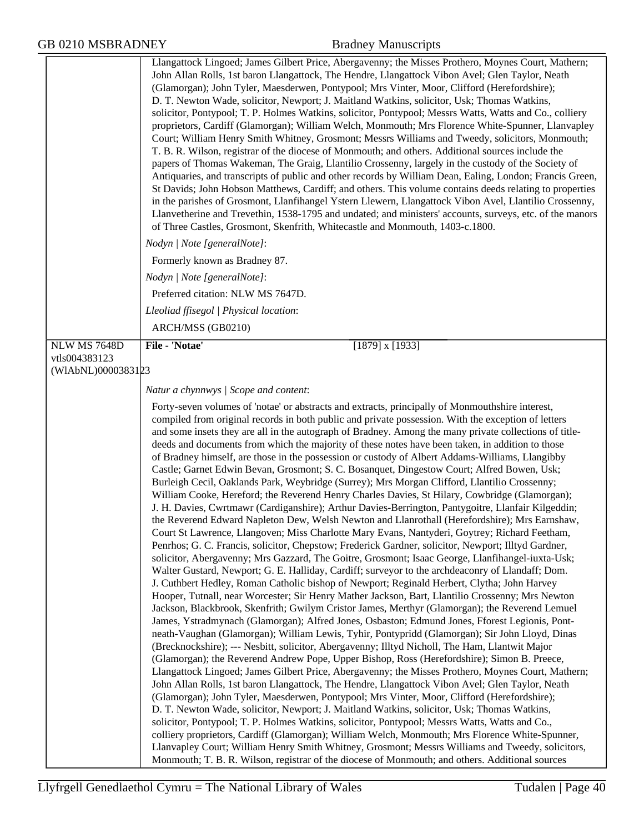|                     | Llangattock Lingoed; James Gilbert Price, Abergavenny; the Misses Prothero, Moynes Court, Mathern;<br>John Allan Rolls, 1st baron Llangattock, The Hendre, Llangattock Vibon Avel; Glen Taylor, Neath<br>(Glamorgan); John Tyler, Maesderwen, Pontypool; Mrs Vinter, Moor, Clifford (Herefordshire);<br>D. T. Newton Wade, solicitor, Newport; J. Maitland Watkins, solicitor, Usk; Thomas Watkins,<br>solicitor, Pontypool; T. P. Holmes Watkins, solicitor, Pontypool; Messrs Watts, Watts and Co., colliery<br>proprietors, Cardiff (Glamorgan); William Welch, Monmouth; Mrs Florence White-Spunner, Llanvapley<br>Court; William Henry Smith Whitney, Grosmont; Messrs Williams and Tweedy, solicitors, Monmouth;<br>T. B. R. Wilson, registrar of the diocese of Monmouth; and others. Additional sources include the<br>papers of Thomas Wakeman, The Graig, Llantilio Crossenny, largely in the custody of the Society of<br>Antiquaries, and transcripts of public and other records by William Dean, Ealing, London; Francis Green,<br>St Davids; John Hobson Matthews, Cardiff; and others. This volume contains deeds relating to properties<br>in the parishes of Grosmont, Llanfihangel Ystern Llewern, Llangattock Vibon Avel, Llantilio Crossenny,<br>Llanvetherine and Trevethin, 1538-1795 and undated; and ministers' accounts, surveys, etc. of the manors<br>of Three Castles, Grosmont, Skenfrith, Whitecastle and Monmouth, 1403-c.1800.                                                                                                                                                                                                                                                                                                                                                                                                                                                                                                                                                                                                                                                                                                                                                                                                                                                                                                                                                                                                                                                                                                                                                                                                                                                                                                                                                                                                                                                                                                             |
|---------------------|-----------------------------------------------------------------------------------------------------------------------------------------------------------------------------------------------------------------------------------------------------------------------------------------------------------------------------------------------------------------------------------------------------------------------------------------------------------------------------------------------------------------------------------------------------------------------------------------------------------------------------------------------------------------------------------------------------------------------------------------------------------------------------------------------------------------------------------------------------------------------------------------------------------------------------------------------------------------------------------------------------------------------------------------------------------------------------------------------------------------------------------------------------------------------------------------------------------------------------------------------------------------------------------------------------------------------------------------------------------------------------------------------------------------------------------------------------------------------------------------------------------------------------------------------------------------------------------------------------------------------------------------------------------------------------------------------------------------------------------------------------------------------------------------------------------------------------------------------------------------------------------------------------------------------------------------------------------------------------------------------------------------------------------------------------------------------------------------------------------------------------------------------------------------------------------------------------------------------------------------------------------------------------------------------------------------------------------------------------------------------------------------------------------------------------------------------------------------------------------------------------------------------------------------------------------------------------------------------------------------------------------------------------------------------------------------------------------------------------------------------------------------------------------------------------------------------------------------------------------------------------------------------------------------------------------------------------------------------------|
|                     | Nodyn   Note [generalNote]:                                                                                                                                                                                                                                                                                                                                                                                                                                                                                                                                                                                                                                                                                                                                                                                                                                                                                                                                                                                                                                                                                                                                                                                                                                                                                                                                                                                                                                                                                                                                                                                                                                                                                                                                                                                                                                                                                                                                                                                                                                                                                                                                                                                                                                                                                                                                                                                                                                                                                                                                                                                                                                                                                                                                                                                                                                                                                                                                                 |
|                     | Formerly known as Bradney 87.                                                                                                                                                                                                                                                                                                                                                                                                                                                                                                                                                                                                                                                                                                                                                                                                                                                                                                                                                                                                                                                                                                                                                                                                                                                                                                                                                                                                                                                                                                                                                                                                                                                                                                                                                                                                                                                                                                                                                                                                                                                                                                                                                                                                                                                                                                                                                                                                                                                                                                                                                                                                                                                                                                                                                                                                                                                                                                                                               |
|                     | Nodyn   Note [generalNote]:                                                                                                                                                                                                                                                                                                                                                                                                                                                                                                                                                                                                                                                                                                                                                                                                                                                                                                                                                                                                                                                                                                                                                                                                                                                                                                                                                                                                                                                                                                                                                                                                                                                                                                                                                                                                                                                                                                                                                                                                                                                                                                                                                                                                                                                                                                                                                                                                                                                                                                                                                                                                                                                                                                                                                                                                                                                                                                                                                 |
|                     | Preferred citation: NLW MS 7647D.                                                                                                                                                                                                                                                                                                                                                                                                                                                                                                                                                                                                                                                                                                                                                                                                                                                                                                                                                                                                                                                                                                                                                                                                                                                                                                                                                                                                                                                                                                                                                                                                                                                                                                                                                                                                                                                                                                                                                                                                                                                                                                                                                                                                                                                                                                                                                                                                                                                                                                                                                                                                                                                                                                                                                                                                                                                                                                                                           |
|                     | Lleoliad ffisegol   Physical location:                                                                                                                                                                                                                                                                                                                                                                                                                                                                                                                                                                                                                                                                                                                                                                                                                                                                                                                                                                                                                                                                                                                                                                                                                                                                                                                                                                                                                                                                                                                                                                                                                                                                                                                                                                                                                                                                                                                                                                                                                                                                                                                                                                                                                                                                                                                                                                                                                                                                                                                                                                                                                                                                                                                                                                                                                                                                                                                                      |
|                     | ARCH/MSS (GB0210)                                                                                                                                                                                                                                                                                                                                                                                                                                                                                                                                                                                                                                                                                                                                                                                                                                                                                                                                                                                                                                                                                                                                                                                                                                                                                                                                                                                                                                                                                                                                                                                                                                                                                                                                                                                                                                                                                                                                                                                                                                                                                                                                                                                                                                                                                                                                                                                                                                                                                                                                                                                                                                                                                                                                                                                                                                                                                                                                                           |
| <b>NLW MS 7648D</b> | File - 'Notae'<br>$[1879]$ x $[1933]$                                                                                                                                                                                                                                                                                                                                                                                                                                                                                                                                                                                                                                                                                                                                                                                                                                                                                                                                                                                                                                                                                                                                                                                                                                                                                                                                                                                                                                                                                                                                                                                                                                                                                                                                                                                                                                                                                                                                                                                                                                                                                                                                                                                                                                                                                                                                                                                                                                                                                                                                                                                                                                                                                                                                                                                                                                                                                                                                       |
| vtls004383123       |                                                                                                                                                                                                                                                                                                                                                                                                                                                                                                                                                                                                                                                                                                                                                                                                                                                                                                                                                                                                                                                                                                                                                                                                                                                                                                                                                                                                                                                                                                                                                                                                                                                                                                                                                                                                                                                                                                                                                                                                                                                                                                                                                                                                                                                                                                                                                                                                                                                                                                                                                                                                                                                                                                                                                                                                                                                                                                                                                                             |
| (WIAbNL)0000383123  |                                                                                                                                                                                                                                                                                                                                                                                                                                                                                                                                                                                                                                                                                                                                                                                                                                                                                                                                                                                                                                                                                                                                                                                                                                                                                                                                                                                                                                                                                                                                                                                                                                                                                                                                                                                                                                                                                                                                                                                                                                                                                                                                                                                                                                                                                                                                                                                                                                                                                                                                                                                                                                                                                                                                                                                                                                                                                                                                                                             |
|                     | Natur a chynnwys / Scope and content:                                                                                                                                                                                                                                                                                                                                                                                                                                                                                                                                                                                                                                                                                                                                                                                                                                                                                                                                                                                                                                                                                                                                                                                                                                                                                                                                                                                                                                                                                                                                                                                                                                                                                                                                                                                                                                                                                                                                                                                                                                                                                                                                                                                                                                                                                                                                                                                                                                                                                                                                                                                                                                                                                                                                                                                                                                                                                                                                       |
|                     | Forty-seven volumes of 'notae' or abstracts and extracts, principally of Monmouthshire interest,<br>compiled from original records in both public and private possession. With the exception of letters<br>and some insets they are all in the autograph of Bradney. Among the many private collections of title-<br>deeds and documents from which the majority of these notes have been taken, in addition to those<br>of Bradney himself, are those in the possession or custody of Albert Addams-Williams, Llangibby<br>Castle; Garnet Edwin Bevan, Grosmont; S. C. Bosanquet, Dingestow Court; Alfred Bowen, Usk;<br>Burleigh Cecil, Oaklands Park, Weybridge (Surrey); Mrs Morgan Clifford, Llantilio Crossenny;<br>William Cooke, Hereford; the Reverend Henry Charles Davies, St Hilary, Cowbridge (Glamorgan);<br>J. H. Davies, Cwrtmawr (Cardiganshire); Arthur Davies-Berrington, Pantygoitre, Llanfair Kilgeddin;<br>the Reverend Edward Napleton Dew, Welsh Newton and Llanrothall (Herefordshire); Mrs Earnshaw,<br>Court St Lawrence, Llangoven; Miss Charlotte Mary Evans, Nantyderi, Goytrey; Richard Feetham,<br>Penrhos; G. C. Francis, solicitor, Chepstow; Frederick Gardner, solicitor, Newport; Illtyd Gardner,<br>solicitor, Abergavenny; Mrs Gazzard, The Goitre, Grosmont; Isaac George, Llanfihangel-iuxta-Usk;<br>Walter Gustard, Newport; G. E. Halliday, Cardiff; surveyor to the archdeaconry of Llandaff; Dom.<br>J. Cuthbert Hedley, Roman Catholic bishop of Newport; Reginald Herbert, Clytha; John Harvey<br>Hooper, Tutnall, near Worcester; Sir Henry Mather Jackson, Bart, Llantilio Crossenny; Mrs Newton<br>Jackson, Blackbrook, Skenfrith; Gwilym Cristor James, Merthyr (Glamorgan); the Reverend Lemuel<br>James, Ystradmynach (Glamorgan); Alfred Jones, Osbaston; Edmund Jones, Fforest Legionis, Pont-<br>neath-Vaughan (Glamorgan); William Lewis, Tyhir, Pontypridd (Glamorgan); Sir John Lloyd, Dinas<br>(Brecknockshire); --- Nesbitt, solicitor, Abergavenny; Illtyd Nicholl, The Ham, Llantwit Major<br>(Glamorgan); the Reverend Andrew Pope, Upper Bishop, Ross (Herefordshire); Simon B. Preece,<br>Llangattock Lingoed; James Gilbert Price, Abergavenny; the Misses Prothero, Moynes Court, Mathern;<br>John Allan Rolls, 1st baron Llangattock, The Hendre, Llangattock Vibon Avel; Glen Taylor, Neath<br>(Glamorgan); John Tyler, Maesderwen, Pontypool; Mrs Vinter, Moor, Clifford (Herefordshire);<br>D. T. Newton Wade, solicitor, Newport; J. Maitland Watkins, solicitor, Usk; Thomas Watkins,<br>solicitor, Pontypool; T. P. Holmes Watkins, solicitor, Pontypool; Messrs Watts, Watts and Co.,<br>colliery proprietors, Cardiff (Glamorgan); William Welch, Monmouth; Mrs Florence White-Spunner,<br>Llanvapley Court; William Henry Smith Whitney, Grosmont; Messrs Williams and Tweedy, solicitors,<br>Monmouth; T. B. R. Wilson, registrar of the diocese of Monmouth; and others. Additional sources |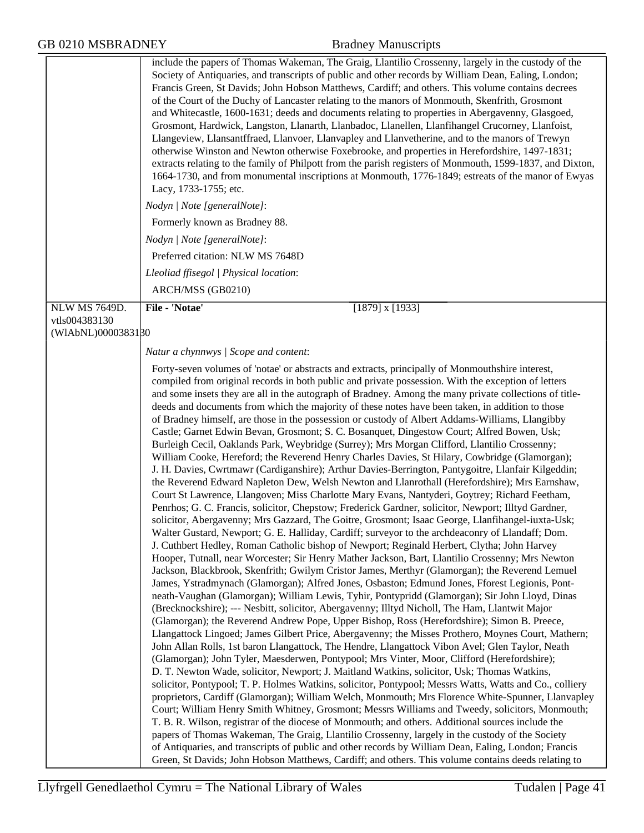|                                     | include the papers of Thomas Wakeman, The Graig, Llantilio Crossenny, largely in the custody of the<br>Society of Antiquaries, and transcripts of public and other records by William Dean, Ealing, London;<br>Francis Green, St Davids; John Hobson Matthews, Cardiff; and others. This volume contains decrees<br>of the Court of the Duchy of Lancaster relating to the manors of Monmouth, Skenfrith, Grosmont<br>and Whitecastle, 1600-1631; deeds and documents relating to properties in Abergavenny, Glasgoed,<br>Grosmont, Hardwick, Langston, Llanarth, Llanbadoc, Llanellen, Llanfihangel Crucorney, Llanfoist,<br>Llangeview, Llansantffraed, Llanvoer, Llanvapley and Llanvetherine, and to the manors of Trewyn<br>otherwise Winston and Newton otherwise Foxebrooke, and properties in Herefordshire, 1497-1831;<br>extracts relating to the family of Philpott from the parish registers of Monmouth, 1599-1837, and Dixton,<br>1664-1730, and from monumental inscriptions at Monmouth, 1776-1849; estreats of the manor of Ewyas<br>Lacy, 1733-1755; etc.<br>Nodyn   Note [generalNote]:<br>Formerly known as Bradney 88.                                                                                                                                                                                                                                                                                                                                                                                                                                                                                                                                                                                                                                                                                                                                                                                                                                                                                                                                                                                                                                                                                                                                                                                                                                                                                                                                                                                                                                                                                                                                                                                                                                                                                                                                                                                                                                                                                                                                                                                                                                                                                                                                                               |
|-------------------------------------|-----------------------------------------------------------------------------------------------------------------------------------------------------------------------------------------------------------------------------------------------------------------------------------------------------------------------------------------------------------------------------------------------------------------------------------------------------------------------------------------------------------------------------------------------------------------------------------------------------------------------------------------------------------------------------------------------------------------------------------------------------------------------------------------------------------------------------------------------------------------------------------------------------------------------------------------------------------------------------------------------------------------------------------------------------------------------------------------------------------------------------------------------------------------------------------------------------------------------------------------------------------------------------------------------------------------------------------------------------------------------------------------------------------------------------------------------------------------------------------------------------------------------------------------------------------------------------------------------------------------------------------------------------------------------------------------------------------------------------------------------------------------------------------------------------------------------------------------------------------------------------------------------------------------------------------------------------------------------------------------------------------------------------------------------------------------------------------------------------------------------------------------------------------------------------------------------------------------------------------------------------------------------------------------------------------------------------------------------------------------------------------------------------------------------------------------------------------------------------------------------------------------------------------------------------------------------------------------------------------------------------------------------------------------------------------------------------------------------------------------------------------------------------------------------------------------------------------------------------------------------------------------------------------------------------------------------------------------------------------------------------------------------------------------------------------------------------------------------------------------------------------------------------------------------------------------------------------------------------------------------------------------------------------------------------------|
|                                     | Nodyn   Note [generalNote]:                                                                                                                                                                                                                                                                                                                                                                                                                                                                                                                                                                                                                                                                                                                                                                                                                                                                                                                                                                                                                                                                                                                                                                                                                                                                                                                                                                                                                                                                                                                                                                                                                                                                                                                                                                                                                                                                                                                                                                                                                                                                                                                                                                                                                                                                                                                                                                                                                                                                                                                                                                                                                                                                                                                                                                                                                                                                                                                                                                                                                                                                                                                                                                                                                                                                               |
|                                     | Preferred citation: NLW MS 7648D                                                                                                                                                                                                                                                                                                                                                                                                                                                                                                                                                                                                                                                                                                                                                                                                                                                                                                                                                                                                                                                                                                                                                                                                                                                                                                                                                                                                                                                                                                                                                                                                                                                                                                                                                                                                                                                                                                                                                                                                                                                                                                                                                                                                                                                                                                                                                                                                                                                                                                                                                                                                                                                                                                                                                                                                                                                                                                                                                                                                                                                                                                                                                                                                                                                                          |
|                                     | Lleoliad ffisegol   Physical location:                                                                                                                                                                                                                                                                                                                                                                                                                                                                                                                                                                                                                                                                                                                                                                                                                                                                                                                                                                                                                                                                                                                                                                                                                                                                                                                                                                                                                                                                                                                                                                                                                                                                                                                                                                                                                                                                                                                                                                                                                                                                                                                                                                                                                                                                                                                                                                                                                                                                                                                                                                                                                                                                                                                                                                                                                                                                                                                                                                                                                                                                                                                                                                                                                                                                    |
|                                     | ARCH/MSS (GB0210)                                                                                                                                                                                                                                                                                                                                                                                                                                                                                                                                                                                                                                                                                                                                                                                                                                                                                                                                                                                                                                                                                                                                                                                                                                                                                                                                                                                                                                                                                                                                                                                                                                                                                                                                                                                                                                                                                                                                                                                                                                                                                                                                                                                                                                                                                                                                                                                                                                                                                                                                                                                                                                                                                                                                                                                                                                                                                                                                                                                                                                                                                                                                                                                                                                                                                         |
| <b>NLW MS 7649D.</b>                | File - 'Notae'<br>$[1879]$ x $[1933]$                                                                                                                                                                                                                                                                                                                                                                                                                                                                                                                                                                                                                                                                                                                                                                                                                                                                                                                                                                                                                                                                                                                                                                                                                                                                                                                                                                                                                                                                                                                                                                                                                                                                                                                                                                                                                                                                                                                                                                                                                                                                                                                                                                                                                                                                                                                                                                                                                                                                                                                                                                                                                                                                                                                                                                                                                                                                                                                                                                                                                                                                                                                                                                                                                                                                     |
| vtls004383130<br>(WIAbNL)0000383180 |                                                                                                                                                                                                                                                                                                                                                                                                                                                                                                                                                                                                                                                                                                                                                                                                                                                                                                                                                                                                                                                                                                                                                                                                                                                                                                                                                                                                                                                                                                                                                                                                                                                                                                                                                                                                                                                                                                                                                                                                                                                                                                                                                                                                                                                                                                                                                                                                                                                                                                                                                                                                                                                                                                                                                                                                                                                                                                                                                                                                                                                                                                                                                                                                                                                                                                           |
|                                     |                                                                                                                                                                                                                                                                                                                                                                                                                                                                                                                                                                                                                                                                                                                                                                                                                                                                                                                                                                                                                                                                                                                                                                                                                                                                                                                                                                                                                                                                                                                                                                                                                                                                                                                                                                                                                                                                                                                                                                                                                                                                                                                                                                                                                                                                                                                                                                                                                                                                                                                                                                                                                                                                                                                                                                                                                                                                                                                                                                                                                                                                                                                                                                                                                                                                                                           |
|                                     | Natur a chynnwys / Scope and content:                                                                                                                                                                                                                                                                                                                                                                                                                                                                                                                                                                                                                                                                                                                                                                                                                                                                                                                                                                                                                                                                                                                                                                                                                                                                                                                                                                                                                                                                                                                                                                                                                                                                                                                                                                                                                                                                                                                                                                                                                                                                                                                                                                                                                                                                                                                                                                                                                                                                                                                                                                                                                                                                                                                                                                                                                                                                                                                                                                                                                                                                                                                                                                                                                                                                     |
|                                     | Forty-seven volumes of 'notae' or abstracts and extracts, principally of Monmouthshire interest,<br>compiled from original records in both public and private possession. With the exception of letters<br>and some insets they are all in the autograph of Bradney. Among the many private collections of title-<br>deeds and documents from which the majority of these notes have been taken, in addition to those<br>of Bradney himself, are those in the possession or custody of Albert Addams-Williams, Llangibby<br>Castle; Garnet Edwin Bevan, Grosmont; S. C. Bosanquet, Dingestow Court; Alfred Bowen, Usk;<br>Burleigh Cecil, Oaklands Park, Weybridge (Surrey); Mrs Morgan Clifford, Llantilio Crossenny;<br>William Cooke, Hereford; the Reverend Henry Charles Davies, St Hilary, Cowbridge (Glamorgan);<br>J. H. Davies, Cwrtmawr (Cardiganshire); Arthur Davies-Berrington, Pantygoitre, Llanfair Kilgeddin;<br>the Reverend Edward Napleton Dew, Welsh Newton and Llanrothall (Herefordshire); Mrs Earnshaw,<br>Court St Lawrence, Llangoven; Miss Charlotte Mary Evans, Nantyderi, Goytrey; Richard Feetham,<br>Penrhos; G. C. Francis, solicitor, Chepstow; Frederick Gardner, solicitor, Newport; Illtyd Gardner,<br>solicitor, Abergavenny; Mrs Gazzard, The Goitre, Grosmont; Isaac George, Llanfihangel-iuxta-Usk;<br>Walter Gustard, Newport; G. E. Halliday, Cardiff; surveyor to the archdeaconry of Llandaff; Dom.<br>J. Cuthbert Hedley, Roman Catholic bishop of Newport; Reginald Herbert, Clytha; John Harvey<br>Hooper, Tutnall, near Worcester; Sir Henry Mather Jackson, Bart, Llantilio Crossenny; Mrs Newton<br>Jackson, Blackbrook, Skenfrith; Gwilym Cristor James, Merthyr (Glamorgan); the Reverend Lemuel<br>James, Ystradmynach (Glamorgan); Alfred Jones, Osbaston; Edmund Jones, Fforest Legionis, Pont-<br>neath-Vaughan (Glamorgan); William Lewis, Tyhir, Pontypridd (Glamorgan); Sir John Lloyd, Dinas<br>(Brecknockshire); --- Nesbitt, solicitor, Abergavenny; Illtyd Nicholl, The Ham, Llantwit Major<br>(Glamorgan); the Reverend Andrew Pope, Upper Bishop, Ross (Herefordshire); Simon B. Preece,<br>Llangattock Lingoed; James Gilbert Price, Abergavenny; the Misses Prothero, Moynes Court, Mathern;<br>John Allan Rolls, 1st baron Llangattock, The Hendre, Llangattock Vibon Avel; Glen Taylor, Neath<br>(Glamorgan); John Tyler, Maesderwen, Pontypool; Mrs Vinter, Moor, Clifford (Herefordshire);<br>D. T. Newton Wade, solicitor, Newport; J. Maitland Watkins, solicitor, Usk; Thomas Watkins,<br>solicitor, Pontypool; T. P. Holmes Watkins, solicitor, Pontypool; Messrs Watts, Watts and Co., colliery<br>proprietors, Cardiff (Glamorgan); William Welch, Monmouth; Mrs Florence White-Spunner, Llanvapley<br>Court; William Henry Smith Whitney, Grosmont; Messrs Williams and Tweedy, solicitors, Monmouth;<br>T. B. R. Wilson, registrar of the diocese of Monmouth; and others. Additional sources include the<br>papers of Thomas Wakeman, The Graig, Llantilio Crossenny, largely in the custody of the Society<br>of Antiquaries, and transcripts of public and other records by William Dean, Ealing, London; Francis<br>Green, St Davids; John Hobson Matthews, Cardiff; and others. This volume contains deeds relating to |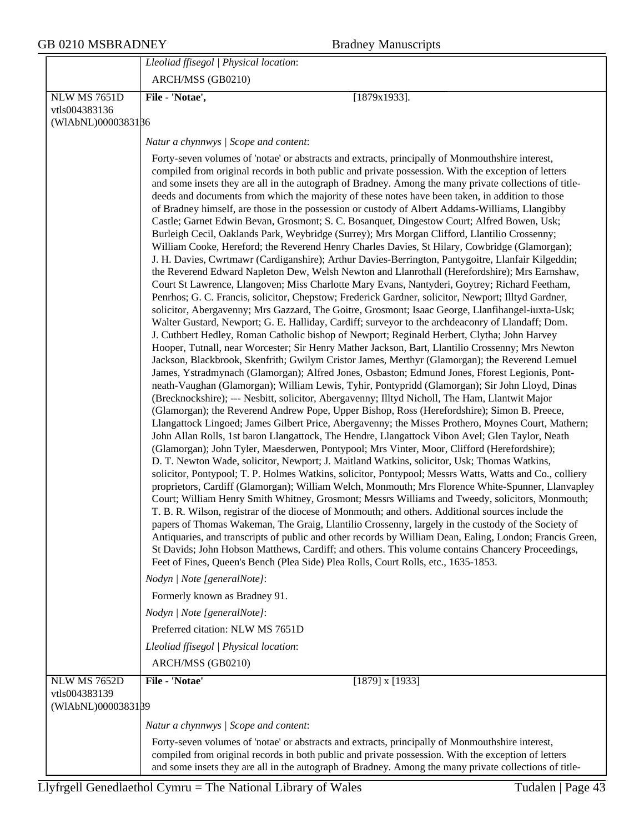| <b>GB 0210 MSBRADNEY</b>                                   | <b>Bradney Manuscripts</b>                                                                                                                                                                                                                                                                                                                                                                                                                                                                                                                                                                                                                                                                                                                                                                                                                                                                                                                                                                                                                                                                                                                                                                                                                                                                                                                                                                                                                                                                                                                                                                                                                                                                                                                                                                                                                                                                                                                                                                                                                                                                                                                                                                                                                                                                                                                                                                                                                                                                                                                                                                                                                                                                                                                                                                                                                                                                                                                                                                                                                                                                                                                                                                                                                                                                                                                                                                          |
|------------------------------------------------------------|-----------------------------------------------------------------------------------------------------------------------------------------------------------------------------------------------------------------------------------------------------------------------------------------------------------------------------------------------------------------------------------------------------------------------------------------------------------------------------------------------------------------------------------------------------------------------------------------------------------------------------------------------------------------------------------------------------------------------------------------------------------------------------------------------------------------------------------------------------------------------------------------------------------------------------------------------------------------------------------------------------------------------------------------------------------------------------------------------------------------------------------------------------------------------------------------------------------------------------------------------------------------------------------------------------------------------------------------------------------------------------------------------------------------------------------------------------------------------------------------------------------------------------------------------------------------------------------------------------------------------------------------------------------------------------------------------------------------------------------------------------------------------------------------------------------------------------------------------------------------------------------------------------------------------------------------------------------------------------------------------------------------------------------------------------------------------------------------------------------------------------------------------------------------------------------------------------------------------------------------------------------------------------------------------------------------------------------------------------------------------------------------------------------------------------------------------------------------------------------------------------------------------------------------------------------------------------------------------------------------------------------------------------------------------------------------------------------------------------------------------------------------------------------------------------------------------------------------------------------------------------------------------------------------------------------------------------------------------------------------------------------------------------------------------------------------------------------------------------------------------------------------------------------------------------------------------------------------------------------------------------------------------------------------------------------------------------------------------------------------------------------------------------|
|                                                            | Lleoliad ffisegol   Physical location:                                                                                                                                                                                                                                                                                                                                                                                                                                                                                                                                                                                                                                                                                                                                                                                                                                                                                                                                                                                                                                                                                                                                                                                                                                                                                                                                                                                                                                                                                                                                                                                                                                                                                                                                                                                                                                                                                                                                                                                                                                                                                                                                                                                                                                                                                                                                                                                                                                                                                                                                                                                                                                                                                                                                                                                                                                                                                                                                                                                                                                                                                                                                                                                                                                                                                                                                                              |
|                                                            | ARCH/MSS (GB0210)                                                                                                                                                                                                                                                                                                                                                                                                                                                                                                                                                                                                                                                                                                                                                                                                                                                                                                                                                                                                                                                                                                                                                                                                                                                                                                                                                                                                                                                                                                                                                                                                                                                                                                                                                                                                                                                                                                                                                                                                                                                                                                                                                                                                                                                                                                                                                                                                                                                                                                                                                                                                                                                                                                                                                                                                                                                                                                                                                                                                                                                                                                                                                                                                                                                                                                                                                                                   |
| <b>NLW MS 7651D</b><br>vtls004383136<br>(WIAbNL)0000383186 | File - 'Notae',<br>$[1879x1933]$ .                                                                                                                                                                                                                                                                                                                                                                                                                                                                                                                                                                                                                                                                                                                                                                                                                                                                                                                                                                                                                                                                                                                                                                                                                                                                                                                                                                                                                                                                                                                                                                                                                                                                                                                                                                                                                                                                                                                                                                                                                                                                                                                                                                                                                                                                                                                                                                                                                                                                                                                                                                                                                                                                                                                                                                                                                                                                                                                                                                                                                                                                                                                                                                                                                                                                                                                                                                  |
|                                                            | Natur a chynnwys / Scope and content:                                                                                                                                                                                                                                                                                                                                                                                                                                                                                                                                                                                                                                                                                                                                                                                                                                                                                                                                                                                                                                                                                                                                                                                                                                                                                                                                                                                                                                                                                                                                                                                                                                                                                                                                                                                                                                                                                                                                                                                                                                                                                                                                                                                                                                                                                                                                                                                                                                                                                                                                                                                                                                                                                                                                                                                                                                                                                                                                                                                                                                                                                                                                                                                                                                                                                                                                                               |
|                                                            | Forty-seven volumes of 'notae' or abstracts and extracts, principally of Monmouthshire interest,<br>compiled from original records in both public and private possession. With the exception of letters<br>and some insets they are all in the autograph of Bradney. Among the many private collections of title-<br>deeds and documents from which the majority of these notes have been taken, in addition to those<br>of Bradney himself, are those in the possession or custody of Albert Addams-Williams, Llangibby<br>Castle; Garnet Edwin Bevan, Grosmont; S. C. Bosanquet, Dingestow Court; Alfred Bowen, Usk;<br>Burleigh Cecil, Oaklands Park, Weybridge (Surrey); Mrs Morgan Clifford, Llantilio Crossenny;<br>William Cooke, Hereford; the Reverend Henry Charles Davies, St Hilary, Cowbridge (Glamorgan);<br>J. H. Davies, Cwrtmawr (Cardiganshire); Arthur Davies-Berrington, Pantygoitre, Llanfair Kilgeddin;<br>the Reverend Edward Napleton Dew, Welsh Newton and Llanrothall (Herefordshire); Mrs Earnshaw,<br>Court St Lawrence, Llangoven; Miss Charlotte Mary Evans, Nantyderi, Goytrey; Richard Feetham,<br>Penrhos; G. C. Francis, solicitor, Chepstow; Frederick Gardner, solicitor, Newport; Illtyd Gardner,<br>solicitor, Abergavenny; Mrs Gazzard, The Goitre, Grosmont; Isaac George, Llanfihangel-iuxta-Usk;<br>Walter Gustard, Newport; G. E. Halliday, Cardiff; surveyor to the archdeaconry of Llandaff; Dom.<br>J. Cuthbert Hedley, Roman Catholic bishop of Newport; Reginald Herbert, Clytha; John Harvey<br>Hooper, Tutnall, near Worcester; Sir Henry Mather Jackson, Bart, Llantilio Crossenny; Mrs Newton<br>Jackson, Blackbrook, Skenfrith; Gwilym Cristor James, Merthyr (Glamorgan); the Reverend Lemuel<br>James, Ystradmynach (Glamorgan); Alfred Jones, Osbaston; Edmund Jones, Fforest Legionis, Pont-<br>neath-Vaughan (Glamorgan); William Lewis, Tyhir, Pontypridd (Glamorgan); Sir John Lloyd, Dinas<br>(Brecknockshire); --- Nesbitt, solicitor, Abergavenny; Illtyd Nicholl, The Ham, Llantwit Major<br>(Glamorgan); the Reverend Andrew Pope, Upper Bishop, Ross (Herefordshire); Simon B. Preece,<br>Llangattock Lingoed; James Gilbert Price, Abergavenny; the Misses Prothero, Moynes Court, Mathern;<br>John Allan Rolls, 1st baron Llangattock, The Hendre, Llangattock Vibon Avel; Glen Taylor, Neath<br>(Glamorgan); John Tyler, Maesderwen, Pontypool; Mrs Vinter, Moor, Clifford (Herefordshire);<br>D. T. Newton Wade, solicitor, Newport; J. Maitland Watkins, solicitor, Usk; Thomas Watkins,<br>solicitor, Pontypool; T. P. Holmes Watkins, solicitor, Pontypool; Messrs Watts, Watts and Co., colliery<br>proprietors, Cardiff (Glamorgan); William Welch, Monmouth; Mrs Florence White-Spunner, Llanvapley<br>Court; William Henry Smith Whitney, Grosmont; Messrs Williams and Tweedy, solicitors, Monmouth;<br>T. B. R. Wilson, registrar of the diocese of Monmouth; and others. Additional sources include the<br>papers of Thomas Wakeman, The Graig, Llantilio Crossenny, largely in the custody of the Society of<br>Antiquaries, and transcripts of public and other records by William Dean, Ealing, London; Francis Green,<br>St Davids; John Hobson Matthews, Cardiff; and others. This volume contains Chancery Proceedings,<br>Feet of Fines, Queen's Bench (Plea Side) Plea Rolls, Court Rolls, etc., 1635-1853. |
|                                                            | Nodyn   Note [generalNote]:<br>Formerly known as Bradney 91.                                                                                                                                                                                                                                                                                                                                                                                                                                                                                                                                                                                                                                                                                                                                                                                                                                                                                                                                                                                                                                                                                                                                                                                                                                                                                                                                                                                                                                                                                                                                                                                                                                                                                                                                                                                                                                                                                                                                                                                                                                                                                                                                                                                                                                                                                                                                                                                                                                                                                                                                                                                                                                                                                                                                                                                                                                                                                                                                                                                                                                                                                                                                                                                                                                                                                                                                        |
|                                                            | Nodyn   Note [generalNote]:                                                                                                                                                                                                                                                                                                                                                                                                                                                                                                                                                                                                                                                                                                                                                                                                                                                                                                                                                                                                                                                                                                                                                                                                                                                                                                                                                                                                                                                                                                                                                                                                                                                                                                                                                                                                                                                                                                                                                                                                                                                                                                                                                                                                                                                                                                                                                                                                                                                                                                                                                                                                                                                                                                                                                                                                                                                                                                                                                                                                                                                                                                                                                                                                                                                                                                                                                                         |
|                                                            | Preferred citation: NLW MS 7651D                                                                                                                                                                                                                                                                                                                                                                                                                                                                                                                                                                                                                                                                                                                                                                                                                                                                                                                                                                                                                                                                                                                                                                                                                                                                                                                                                                                                                                                                                                                                                                                                                                                                                                                                                                                                                                                                                                                                                                                                                                                                                                                                                                                                                                                                                                                                                                                                                                                                                                                                                                                                                                                                                                                                                                                                                                                                                                                                                                                                                                                                                                                                                                                                                                                                                                                                                                    |
|                                                            | Lleoliad ffisegol   Physical location:                                                                                                                                                                                                                                                                                                                                                                                                                                                                                                                                                                                                                                                                                                                                                                                                                                                                                                                                                                                                                                                                                                                                                                                                                                                                                                                                                                                                                                                                                                                                                                                                                                                                                                                                                                                                                                                                                                                                                                                                                                                                                                                                                                                                                                                                                                                                                                                                                                                                                                                                                                                                                                                                                                                                                                                                                                                                                                                                                                                                                                                                                                                                                                                                                                                                                                                                                              |
|                                                            | ARCH/MSS (GB0210)                                                                                                                                                                                                                                                                                                                                                                                                                                                                                                                                                                                                                                                                                                                                                                                                                                                                                                                                                                                                                                                                                                                                                                                                                                                                                                                                                                                                                                                                                                                                                                                                                                                                                                                                                                                                                                                                                                                                                                                                                                                                                                                                                                                                                                                                                                                                                                                                                                                                                                                                                                                                                                                                                                                                                                                                                                                                                                                                                                                                                                                                                                                                                                                                                                                                                                                                                                                   |
| <b>NLW MS 7652D</b><br>vtls004383139<br>(WIAbNL)0000383139 | File - 'Notae'<br>$[1879]$ x $[1933]$                                                                                                                                                                                                                                                                                                                                                                                                                                                                                                                                                                                                                                                                                                                                                                                                                                                                                                                                                                                                                                                                                                                                                                                                                                                                                                                                                                                                                                                                                                                                                                                                                                                                                                                                                                                                                                                                                                                                                                                                                                                                                                                                                                                                                                                                                                                                                                                                                                                                                                                                                                                                                                                                                                                                                                                                                                                                                                                                                                                                                                                                                                                                                                                                                                                                                                                                                               |
|                                                            | Natur a chynnwys / Scope and content:                                                                                                                                                                                                                                                                                                                                                                                                                                                                                                                                                                                                                                                                                                                                                                                                                                                                                                                                                                                                                                                                                                                                                                                                                                                                                                                                                                                                                                                                                                                                                                                                                                                                                                                                                                                                                                                                                                                                                                                                                                                                                                                                                                                                                                                                                                                                                                                                                                                                                                                                                                                                                                                                                                                                                                                                                                                                                                                                                                                                                                                                                                                                                                                                                                                                                                                                                               |
|                                                            | Forty-seven volumes of 'notae' or abstracts and extracts, principally of Monmouthshire interest,<br>compiled from original records in both public and private possession. With the exception of letters<br>and some insets they are all in the autograph of Bradney. Among the many private collections of title-                                                                                                                                                                                                                                                                                                                                                                                                                                                                                                                                                                                                                                                                                                                                                                                                                                                                                                                                                                                                                                                                                                                                                                                                                                                                                                                                                                                                                                                                                                                                                                                                                                                                                                                                                                                                                                                                                                                                                                                                                                                                                                                                                                                                                                                                                                                                                                                                                                                                                                                                                                                                                                                                                                                                                                                                                                                                                                                                                                                                                                                                                   |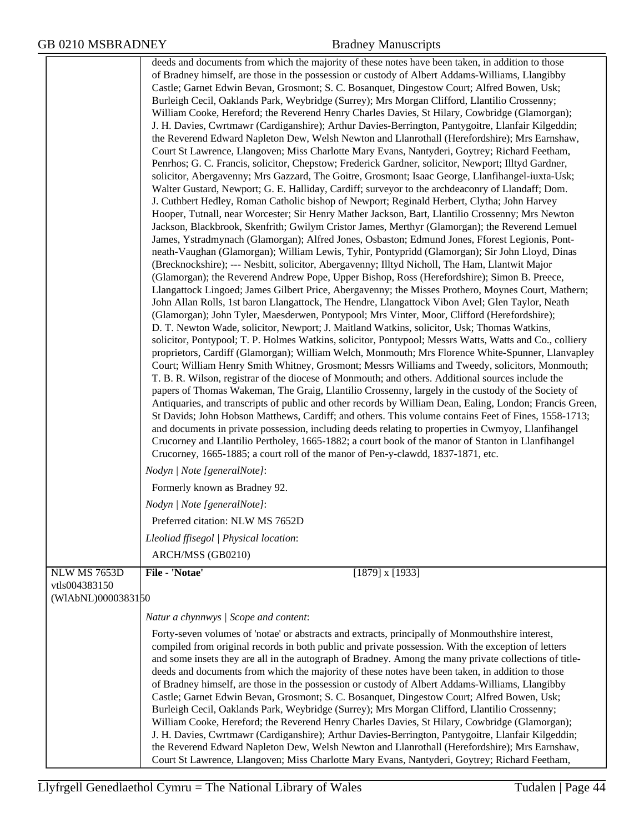|                                      | deeds and documents from which the majority of these notes have been taken, in addition to those<br>of Bradney himself, are those in the possession or custody of Albert Addams-Williams, Llangibby<br>Castle; Garnet Edwin Bevan, Grosmont; S. C. Bosanquet, Dingestow Court; Alfred Bowen, Usk;<br>Burleigh Cecil, Oaklands Park, Weybridge (Surrey); Mrs Morgan Clifford, Llantilio Crossenny;<br>William Cooke, Hereford; the Reverend Henry Charles Davies, St Hilary, Cowbridge (Glamorgan);<br>J. H. Davies, Cwrtmawr (Cardiganshire); Arthur Davies-Berrington, Pantygoitre, Llanfair Kilgeddin;<br>the Reverend Edward Napleton Dew, Welsh Newton and Llanrothall (Herefordshire); Mrs Earnshaw,<br>Court St Lawrence, Llangoven; Miss Charlotte Mary Evans, Nantyderi, Goytrey; Richard Feetham,<br>Penrhos; G. C. Francis, solicitor, Chepstow; Frederick Gardner, solicitor, Newport; Illtyd Gardner,<br>solicitor, Abergavenny; Mrs Gazzard, The Goitre, Grosmont; Isaac George, Llanfihangel-iuxta-Usk;<br>Walter Gustard, Newport; G. E. Halliday, Cardiff; surveyor to the archdeaconry of Llandaff; Dom.<br>J. Cuthbert Hedley, Roman Catholic bishop of Newport; Reginald Herbert, Clytha; John Harvey<br>Hooper, Tutnall, near Worcester; Sir Henry Mather Jackson, Bart, Llantilio Crossenny; Mrs Newton<br>Jackson, Blackbrook, Skenfrith; Gwilym Cristor James, Merthyr (Glamorgan); the Reverend Lemuel<br>James, Ystradmynach (Glamorgan); Alfred Jones, Osbaston; Edmund Jones, Fforest Legionis, Pont-<br>neath-Vaughan (Glamorgan); William Lewis, Tyhir, Pontypridd (Glamorgan); Sir John Lloyd, Dinas |  |
|--------------------------------------|------------------------------------------------------------------------------------------------------------------------------------------------------------------------------------------------------------------------------------------------------------------------------------------------------------------------------------------------------------------------------------------------------------------------------------------------------------------------------------------------------------------------------------------------------------------------------------------------------------------------------------------------------------------------------------------------------------------------------------------------------------------------------------------------------------------------------------------------------------------------------------------------------------------------------------------------------------------------------------------------------------------------------------------------------------------------------------------------------------------------------------------------------------------------------------------------------------------------------------------------------------------------------------------------------------------------------------------------------------------------------------------------------------------------------------------------------------------------------------------------------------------------------------------------------------------------------------------------------------------------------------|--|
|                                      | (Brecknockshire); --- Nesbitt, solicitor, Abergavenny; Illtyd Nicholl, The Ham, Llantwit Major<br>(Glamorgan); the Reverend Andrew Pope, Upper Bishop, Ross (Herefordshire); Simon B. Preece,<br>Llangattock Lingoed; James Gilbert Price, Abergavenny; the Misses Prothero, Moynes Court, Mathern;<br>John Allan Rolls, 1st baron Llangattock, The Hendre, Llangattock Vibon Avel; Glen Taylor, Neath<br>(Glamorgan); John Tyler, Maesderwen, Pontypool; Mrs Vinter, Moor, Clifford (Herefordshire);<br>D. T. Newton Wade, solicitor, Newport; J. Maitland Watkins, solicitor, Usk; Thomas Watkins,                                                                                                                                                                                                                                                                                                                                                                                                                                                                                                                                                                                                                                                                                                                                                                                                                                                                                                                                                                                                                               |  |
|                                      | solicitor, Pontypool; T. P. Holmes Watkins, solicitor, Pontypool; Messrs Watts, Watts and Co., colliery<br>proprietors, Cardiff (Glamorgan); William Welch, Monmouth; Mrs Florence White-Spunner, Llanvapley<br>Court; William Henry Smith Whitney, Grosmont; Messrs Williams and Tweedy, solicitors, Monmouth;<br>T. B. R. Wilson, registrar of the diocese of Monmouth; and others. Additional sources include the<br>papers of Thomas Wakeman, The Graig, Llantilio Crossenny, largely in the custody of the Society of<br>Antiquaries, and transcripts of public and other records by William Dean, Ealing, London; Francis Green,<br>St Davids; John Hobson Matthews, Cardiff; and others. This volume contains Feet of Fines, 1558-1713;<br>and documents in private possession, including deeds relating to properties in Cwmyoy, Llanfihangel<br>Crucorney and Llantilio Pertholey, 1665-1882; a court book of the manor of Stanton in Llanfihangel<br>Crucorney, 1665-1885; a court roll of the manor of Pen-y-clawdd, 1837-1871, etc.                                                                                                                                                                                                                                                                                                                                                                                                                                                                                                                                                                                    |  |
|                                      | Nodyn   Note [generalNote]:                                                                                                                                                                                                                                                                                                                                                                                                                                                                                                                                                                                                                                                                                                                                                                                                                                                                                                                                                                                                                                                                                                                                                                                                                                                                                                                                                                                                                                                                                                                                                                                                        |  |
|                                      | Formerly known as Bradney 92.                                                                                                                                                                                                                                                                                                                                                                                                                                                                                                                                                                                                                                                                                                                                                                                                                                                                                                                                                                                                                                                                                                                                                                                                                                                                                                                                                                                                                                                                                                                                                                                                      |  |
|                                      | Nodyn   Note [generalNote]:                                                                                                                                                                                                                                                                                                                                                                                                                                                                                                                                                                                                                                                                                                                                                                                                                                                                                                                                                                                                                                                                                                                                                                                                                                                                                                                                                                                                                                                                                                                                                                                                        |  |
|                                      | Preferred citation: NLW MS 7652D                                                                                                                                                                                                                                                                                                                                                                                                                                                                                                                                                                                                                                                                                                                                                                                                                                                                                                                                                                                                                                                                                                                                                                                                                                                                                                                                                                                                                                                                                                                                                                                                   |  |
|                                      | Lleoliad ffisegol   Physical location:                                                                                                                                                                                                                                                                                                                                                                                                                                                                                                                                                                                                                                                                                                                                                                                                                                                                                                                                                                                                                                                                                                                                                                                                                                                                                                                                                                                                                                                                                                                                                                                             |  |
|                                      | ARCH/MSS (GB0210)                                                                                                                                                                                                                                                                                                                                                                                                                                                                                                                                                                                                                                                                                                                                                                                                                                                                                                                                                                                                                                                                                                                                                                                                                                                                                                                                                                                                                                                                                                                                                                                                                  |  |
| <b>NLW MS 7653D</b><br>vtls004383150 | File - 'Notae'<br>$[1879]$ x $[1933]$                                                                                                                                                                                                                                                                                                                                                                                                                                                                                                                                                                                                                                                                                                                                                                                                                                                                                                                                                                                                                                                                                                                                                                                                                                                                                                                                                                                                                                                                                                                                                                                              |  |
| (WIAbNL)0000383150                   |                                                                                                                                                                                                                                                                                                                                                                                                                                                                                                                                                                                                                                                                                                                                                                                                                                                                                                                                                                                                                                                                                                                                                                                                                                                                                                                                                                                                                                                                                                                                                                                                                                    |  |
|                                      | Natur a chynnwys / Scope and content:                                                                                                                                                                                                                                                                                                                                                                                                                                                                                                                                                                                                                                                                                                                                                                                                                                                                                                                                                                                                                                                                                                                                                                                                                                                                                                                                                                                                                                                                                                                                                                                              |  |
|                                      | Forty-seven volumes of 'notae' or abstracts and extracts, principally of Monmouthshire interest,<br>compiled from original records in both public and private possession. With the exception of letters<br>and some insets they are all in the autograph of Bradney. Among the many private collections of title-<br>deeds and documents from which the majority of these notes have been taken, in addition to those<br>of Bradney himself, are those in the possession or custody of Albert Addams-Williams, Llangibby<br>Castle; Garnet Edwin Bevan, Grosmont; S. C. Bosanquet, Dingestow Court; Alfred Bowen, Usk;<br>Burleigh Cecil, Oaklands Park, Weybridge (Surrey); Mrs Morgan Clifford, Llantilio Crossenny;<br>William Cooke, Hereford; the Reverend Henry Charles Davies, St Hilary, Cowbridge (Glamorgan);<br>J. H. Davies, Cwrtmawr (Cardiganshire); Arthur Davies-Berrington, Pantygoitre, Llanfair Kilgeddin;<br>the Reverend Edward Napleton Dew, Welsh Newton and Llanrothall (Herefordshire); Mrs Earnshaw,<br>Court St Lawrence, Llangoven; Miss Charlotte Mary Evans, Nantyderi, Goytrey; Richard Feetham,                                                                                                                                                                                                                                                                                                                                                                                                                                                                                                    |  |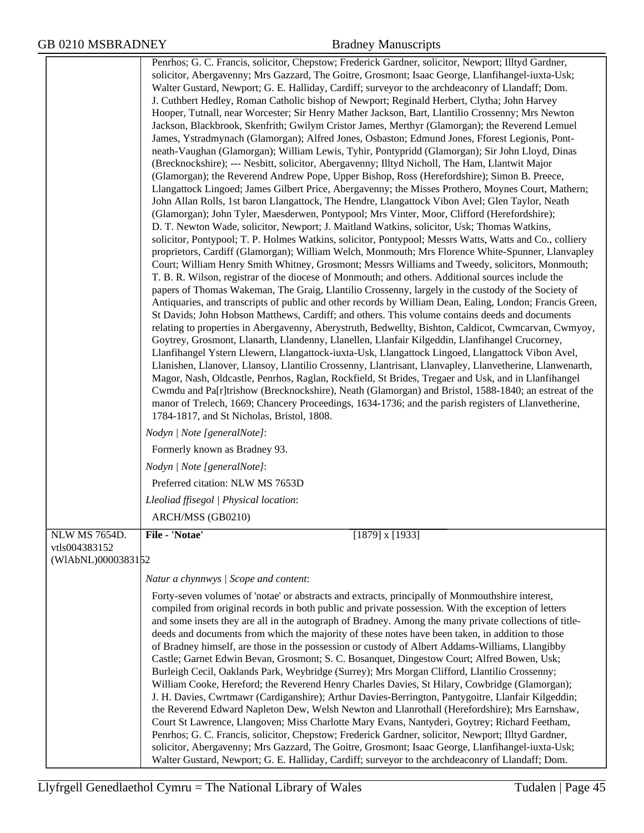|                                                      | Penrhos; G. C. Francis, solicitor, Chepstow; Frederick Gardner, solicitor, Newport; Illtyd Gardner,<br>solicitor, Abergavenny; Mrs Gazzard, The Goitre, Grosmont; Isaac George, Llanfihangel-iuxta-Usk;<br>Walter Gustard, Newport; G. E. Halliday, Cardiff; surveyor to the archdeaconry of Llandaff; Dom.<br>J. Cuthbert Hedley, Roman Catholic bishop of Newport; Reginald Herbert, Clytha; John Harvey<br>Hooper, Tutnall, near Worcester; Sir Henry Mather Jackson, Bart, Llantilio Crossenny; Mrs Newton<br>Jackson, Blackbrook, Skenfrith; Gwilym Cristor James, Merthyr (Glamorgan); the Reverend Lemuel<br>James, Ystradmynach (Glamorgan); Alfred Jones, Osbaston; Edmund Jones, Fforest Legionis, Pont-<br>neath-Vaughan (Glamorgan); William Lewis, Tyhir, Pontypridd (Glamorgan); Sir John Lloyd, Dinas<br>(Brecknockshire); --- Nesbitt, solicitor, Abergavenny; Illtyd Nicholl, The Ham, Llantwit Major<br>(Glamorgan); the Reverend Andrew Pope, Upper Bishop, Ross (Herefordshire); Simon B. Preece,<br>Llangattock Lingoed; James Gilbert Price, Abergavenny; the Misses Prothero, Moynes Court, Mathern;<br>John Allan Rolls, 1st baron Llangattock, The Hendre, Llangattock Vibon Avel; Glen Taylor, Neath<br>(Glamorgan); John Tyler, Maesderwen, Pontypool; Mrs Vinter, Moor, Clifford (Herefordshire);<br>D. T. Newton Wade, solicitor, Newport; J. Maitland Watkins, solicitor, Usk; Thomas Watkins,<br>solicitor, Pontypool; T. P. Holmes Watkins, solicitor, Pontypool; Messrs Watts, Watts and Co., colliery<br>proprietors, Cardiff (Glamorgan); William Welch, Monmouth; Mrs Florence White-Spunner, Llanvapley<br>Court; William Henry Smith Whitney, Grosmont; Messrs Williams and Tweedy, solicitors, Monmouth;<br>T. B. R. Wilson, registrar of the diocese of Monmouth; and others. Additional sources include the<br>papers of Thomas Wakeman, The Graig, Llantilio Crossenny, largely in the custody of the Society of<br>Antiquaries, and transcripts of public and other records by William Dean, Ealing, London; Francis Green,<br>St Davids; John Hobson Matthews, Cardiff; and others. This volume contains deeds and documents<br>relating to properties in Abergavenny, Aberystruth, Bedwellty, Bishton, Caldicot, Cwmcarvan, Cwmyoy,<br>Goytrey, Grosmont, Llanarth, Llandenny, Llanellen, Llanfair Kilgeddin, Llanfihangel Crucorney,<br>Llanfihangel Ystern Llewern, Llangattock-iuxta-Usk, Llangattock Lingoed, Llangattock Vibon Avel,<br>Llanishen, Llanover, Llansoy, Llantilio Crossenny, Llantrisant, Llanvapley, Llanvetherine, Llanwenarth,<br>Magor, Nash, Oldcastle, Penrhos, Raglan, Rockfield, St Brides, Tregaer and Usk, and in Llanfihangel<br>Cwmdu and Pa[r]trishow (Brecknockshire), Neath (Glamorgan) and Bristol, 1588-1840; an estreat of the<br>manor of Trelech, 1669; Chancery Proceedings, 1634-1736; and the parish registers of Llanvetherine,<br>1784-1817, and St Nicholas, Bristol, 1808. |
|------------------------------------------------------|-----------------------------------------------------------------------------------------------------------------------------------------------------------------------------------------------------------------------------------------------------------------------------------------------------------------------------------------------------------------------------------------------------------------------------------------------------------------------------------------------------------------------------------------------------------------------------------------------------------------------------------------------------------------------------------------------------------------------------------------------------------------------------------------------------------------------------------------------------------------------------------------------------------------------------------------------------------------------------------------------------------------------------------------------------------------------------------------------------------------------------------------------------------------------------------------------------------------------------------------------------------------------------------------------------------------------------------------------------------------------------------------------------------------------------------------------------------------------------------------------------------------------------------------------------------------------------------------------------------------------------------------------------------------------------------------------------------------------------------------------------------------------------------------------------------------------------------------------------------------------------------------------------------------------------------------------------------------------------------------------------------------------------------------------------------------------------------------------------------------------------------------------------------------------------------------------------------------------------------------------------------------------------------------------------------------------------------------------------------------------------------------------------------------------------------------------------------------------------------------------------------------------------------------------------------------------------------------------------------------------------------------------------------------------------------------------------------------------------------------------------------------------------------------------------------------------------------------------------------------------------------------------------------------------------------------------------------------------|
|                                                      | Nodyn   Note [generalNote]:                                                                                                                                                                                                                                                                                                                                                                                                                                                                                                                                                                                                                                                                                                                                                                                                                                                                                                                                                                                                                                                                                                                                                                                                                                                                                                                                                                                                                                                                                                                                                                                                                                                                                                                                                                                                                                                                                                                                                                                                                                                                                                                                                                                                                                                                                                                                                                                                                                                                                                                                                                                                                                                                                                                                                                                                                                                                                                                                           |
|                                                      | Formerly known as Bradney 93.                                                                                                                                                                                                                                                                                                                                                                                                                                                                                                                                                                                                                                                                                                                                                                                                                                                                                                                                                                                                                                                                                                                                                                                                                                                                                                                                                                                                                                                                                                                                                                                                                                                                                                                                                                                                                                                                                                                                                                                                                                                                                                                                                                                                                                                                                                                                                                                                                                                                                                                                                                                                                                                                                                                                                                                                                                                                                                                                         |
|                                                      | Nodyn   Note [generalNote]:                                                                                                                                                                                                                                                                                                                                                                                                                                                                                                                                                                                                                                                                                                                                                                                                                                                                                                                                                                                                                                                                                                                                                                                                                                                                                                                                                                                                                                                                                                                                                                                                                                                                                                                                                                                                                                                                                                                                                                                                                                                                                                                                                                                                                                                                                                                                                                                                                                                                                                                                                                                                                                                                                                                                                                                                                                                                                                                                           |
|                                                      | Preferred citation: NLW MS 7653D                                                                                                                                                                                                                                                                                                                                                                                                                                                                                                                                                                                                                                                                                                                                                                                                                                                                                                                                                                                                                                                                                                                                                                                                                                                                                                                                                                                                                                                                                                                                                                                                                                                                                                                                                                                                                                                                                                                                                                                                                                                                                                                                                                                                                                                                                                                                                                                                                                                                                                                                                                                                                                                                                                                                                                                                                                                                                                                                      |
|                                                      | Lleoliad ffisegol   Physical location:                                                                                                                                                                                                                                                                                                                                                                                                                                                                                                                                                                                                                                                                                                                                                                                                                                                                                                                                                                                                                                                                                                                                                                                                                                                                                                                                                                                                                                                                                                                                                                                                                                                                                                                                                                                                                                                                                                                                                                                                                                                                                                                                                                                                                                                                                                                                                                                                                                                                                                                                                                                                                                                                                                                                                                                                                                                                                                                                |
|                                                      | ARCH/MSS (GB0210)                                                                                                                                                                                                                                                                                                                                                                                                                                                                                                                                                                                                                                                                                                                                                                                                                                                                                                                                                                                                                                                                                                                                                                                                                                                                                                                                                                                                                                                                                                                                                                                                                                                                                                                                                                                                                                                                                                                                                                                                                                                                                                                                                                                                                                                                                                                                                                                                                                                                                                                                                                                                                                                                                                                                                                                                                                                                                                                                                     |
| NLW MS 7654D.<br>vtls004383152<br>(WIAbNL)0000383152 | File - 'Notae'<br>$[1879]$ x $[1933]$                                                                                                                                                                                                                                                                                                                                                                                                                                                                                                                                                                                                                                                                                                                                                                                                                                                                                                                                                                                                                                                                                                                                                                                                                                                                                                                                                                                                                                                                                                                                                                                                                                                                                                                                                                                                                                                                                                                                                                                                                                                                                                                                                                                                                                                                                                                                                                                                                                                                                                                                                                                                                                                                                                                                                                                                                                                                                                                                 |
|                                                      | Natur a chynnwys / Scope and content:                                                                                                                                                                                                                                                                                                                                                                                                                                                                                                                                                                                                                                                                                                                                                                                                                                                                                                                                                                                                                                                                                                                                                                                                                                                                                                                                                                                                                                                                                                                                                                                                                                                                                                                                                                                                                                                                                                                                                                                                                                                                                                                                                                                                                                                                                                                                                                                                                                                                                                                                                                                                                                                                                                                                                                                                                                                                                                                                 |
|                                                      | Forty-seven volumes of 'notae' or abstracts and extracts, principally of Monmouthshire interest,<br>compiled from original records in both public and private possession. With the exception of letters<br>and some insets they are all in the autograph of Bradney. Among the many private collections of title-<br>deeds and documents from which the majority of these notes have been taken, in addition to those<br>of Bradney himself, are those in the possession or custody of Albert Addams-Williams, Llangibby<br>Castle; Garnet Edwin Bevan, Grosmont; S. C. Bosanquet, Dingestow Court; Alfred Bowen, Usk;<br>Burleigh Cecil, Oaklands Park, Weybridge (Surrey); Mrs Morgan Clifford, Llantilio Crossenny;<br>William Cooke, Hereford; the Reverend Henry Charles Davies, St Hilary, Cowbridge (Glamorgan);<br>J. H. Davies, Cwrtmawr (Cardiganshire); Arthur Davies-Berrington, Pantygoitre, Llanfair Kilgeddin;<br>the Reverend Edward Napleton Dew, Welsh Newton and Llanrothall (Herefordshire); Mrs Earnshaw,<br>Court St Lawrence, Llangoven; Miss Charlotte Mary Evans, Nantyderi, Goytrey; Richard Feetham,<br>Penrhos; G. C. Francis, solicitor, Chepstow; Frederick Gardner, solicitor, Newport; Illtyd Gardner,<br>solicitor, Abergavenny; Mrs Gazzard, The Goitre, Grosmont; Isaac George, Llanfihangel-iuxta-Usk;<br>Walter Gustard, Newport; G. E. Halliday, Cardiff; surveyor to the archdeaconry of Llandaff; Dom.                                                                                                                                                                                                                                                                                                                                                                                                                                                                                                                                                                                                                                                                                                                                                                                                                                                                                                                                                                                                                                                                                                                                                                                                                                                                                                                                                                                                                                                                                                                        |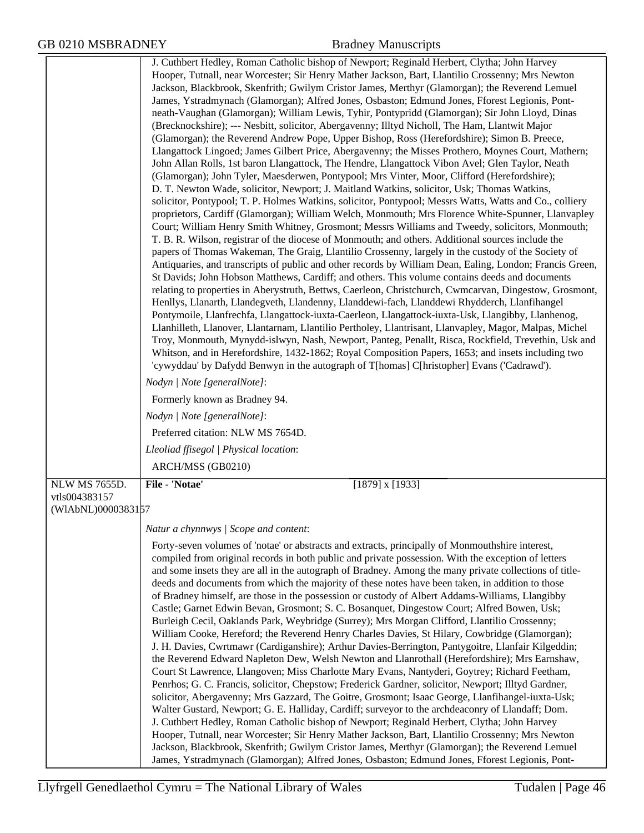|                                     | J. Cuthbert Hedley, Roman Catholic bishop of Newport; Reginald Herbert, Clytha; John Harvey<br>Hooper, Tutnall, near Worcester; Sir Henry Mather Jackson, Bart, Llantilio Crossenny; Mrs Newton            |
|-------------------------------------|------------------------------------------------------------------------------------------------------------------------------------------------------------------------------------------------------------|
|                                     | Jackson, Blackbrook, Skenfrith; Gwilym Cristor James, Merthyr (Glamorgan); the Reverend Lemuel                                                                                                             |
|                                     | James, Ystradmynach (Glamorgan); Alfred Jones, Osbaston; Edmund Jones, Fforest Legionis, Pont-                                                                                                             |
|                                     | neath-Vaughan (Glamorgan); William Lewis, Tyhir, Pontypridd (Glamorgan); Sir John Lloyd, Dinas                                                                                                             |
|                                     | (Brecknockshire); --- Nesbitt, solicitor, Abergavenny; Illtyd Nicholl, The Ham, Llantwit Major                                                                                                             |
|                                     | (Glamorgan); the Reverend Andrew Pope, Upper Bishop, Ross (Herefordshire); Simon B. Preece,                                                                                                                |
|                                     | Llangattock Lingoed; James Gilbert Price, Abergavenny; the Misses Prothero, Moynes Court, Mathern;                                                                                                         |
|                                     | John Allan Rolls, 1st baron Llangattock, The Hendre, Llangattock Vibon Avel; Glen Taylor, Neath<br>(Glamorgan); John Tyler, Maesderwen, Pontypool; Mrs Vinter, Moor, Clifford (Herefordshire);             |
|                                     | D. T. Newton Wade, solicitor, Newport; J. Maitland Watkins, solicitor, Usk; Thomas Watkins,                                                                                                                |
|                                     | solicitor, Pontypool; T. P. Holmes Watkins, solicitor, Pontypool; Messrs Watts, Watts and Co., colliery                                                                                                    |
|                                     | proprietors, Cardiff (Glamorgan); William Welch, Monmouth; Mrs Florence White-Spunner, Llanvapley                                                                                                          |
|                                     | Court; William Henry Smith Whitney, Grosmont; Messrs Williams and Tweedy, solicitors, Monmouth;                                                                                                            |
|                                     | T. B. R. Wilson, registrar of the diocese of Monmouth; and others. Additional sources include the                                                                                                          |
|                                     | papers of Thomas Wakeman, The Graig, Llantilio Crossenny, largely in the custody of the Society of                                                                                                         |
|                                     | Antiquaries, and transcripts of public and other records by William Dean, Ealing, London; Francis Green,<br>St Davids; John Hobson Matthews, Cardiff; and others. This volume contains deeds and documents |
|                                     | relating to properties in Aberystruth, Bettws, Caerleon, Christchurch, Cwmcarvan, Dingestow, Grosmont,                                                                                                     |
|                                     | Henllys, Llanarth, Llandegveth, Llandenny, Llanddewi-fach, Llanddewi Rhydderch, Llanfihangel                                                                                                               |
|                                     | Pontymoile, Llanfrechfa, Llangattock-iuxta-Caerleon, Llangattock-iuxta-Usk, Llangibby, Llanhenog,                                                                                                          |
|                                     | Llanhilleth, Llanover, Llantarnam, Llantilio Pertholey, Llantrisant, Llanvapley, Magor, Malpas, Michel                                                                                                     |
|                                     | Troy, Monmouth, Mynydd-islwyn, Nash, Newport, Panteg, Penallt, Risca, Rockfield, Trevethin, Usk and<br>Whitson, and in Herefordshire, 1432-1862; Royal Composition Papers, 1653; and insets including two  |
|                                     | 'cywyddau' by Dafydd Benwyn in the autograph of T[homas] C[hristopher] Evans ('Cadrawd').                                                                                                                  |
|                                     | Nodyn   Note [generalNote]:                                                                                                                                                                                |
|                                     | Formerly known as Bradney 94.                                                                                                                                                                              |
|                                     | Nodyn   Note [generalNote]:                                                                                                                                                                                |
|                                     | Preferred citation: NLW MS 7654D.                                                                                                                                                                          |
|                                     | Lleoliad ffisegol   Physical location:                                                                                                                                                                     |
|                                     | ARCH/MSS (GB0210)                                                                                                                                                                                          |
| <b>NLW MS 7655D.</b>                | File - 'Notae'<br>$[1879]$ x $[1933]$                                                                                                                                                                      |
| vtls004383157<br>(WIAbNL)0000383157 |                                                                                                                                                                                                            |
|                                     | Natur a chynnwys / Scope and content:                                                                                                                                                                      |
|                                     | Forty-seven volumes of 'notae' or abstracts and extracts, principally of Monmouthshire interest,                                                                                                           |
|                                     | compiled from original records in both public and private possession. With the exception of letters                                                                                                        |
|                                     | and some insets they are all in the autograph of Bradney. Among the many private collections of title-                                                                                                     |
|                                     | deeds and documents from which the majority of these notes have been taken, in addition to those                                                                                                           |
|                                     | of Bradney himself, are those in the possession or custody of Albert Addams-Williams, Llangibby<br>Castle; Garnet Edwin Bevan, Grosmont; S. C. Bosanquet, Dingestow Court; Alfred Bowen, Usk;              |
|                                     | Burleigh Cecil, Oaklands Park, Weybridge (Surrey); Mrs Morgan Clifford, Llantilio Crossenny;                                                                                                               |
|                                     | William Cooke, Hereford; the Reverend Henry Charles Davies, St Hilary, Cowbridge (Glamorgan);                                                                                                              |
|                                     | J. H. Davies, Cwrtmawr (Cardiganshire); Arthur Davies-Berrington, Pantygoitre, Llanfair Kilgeddin;                                                                                                         |
|                                     | the Reverend Edward Napleton Dew, Welsh Newton and Llanrothall (Herefordshire); Mrs Earnshaw,                                                                                                              |
|                                     | Court St Lawrence, Llangoven; Miss Charlotte Mary Evans, Nantyderi, Goytrey; Richard Feetham,<br>Penrhos; G. C. Francis, solicitor, Chepstow; Frederick Gardner, solicitor, Newport; Illtyd Gardner,       |
|                                     | solicitor, Abergavenny; Mrs Gazzard, The Goitre, Grosmont; Isaac George, Llanfihangel-iuxta-Usk;                                                                                                           |
|                                     | Walter Gustard, Newport; G. E. Halliday, Cardiff; surveyor to the archdeaconry of Llandaff; Dom.                                                                                                           |
|                                     | J. Cuthbert Hedley, Roman Catholic bishop of Newport; Reginald Herbert, Clytha; John Harvey                                                                                                                |
|                                     | Hooper, Tutnall, near Worcester; Sir Henry Mather Jackson, Bart, Llantilio Crossenny; Mrs Newton                                                                                                           |
|                                     | Jackson, Blackbrook, Skenfrith; Gwilym Cristor James, Merthyr (Glamorgan); the Reverend Lemuel<br>James, Ystradmynach (Glamorgan); Alfred Jones, Osbaston; Edmund Jones, Fforest Legionis, Pont-           |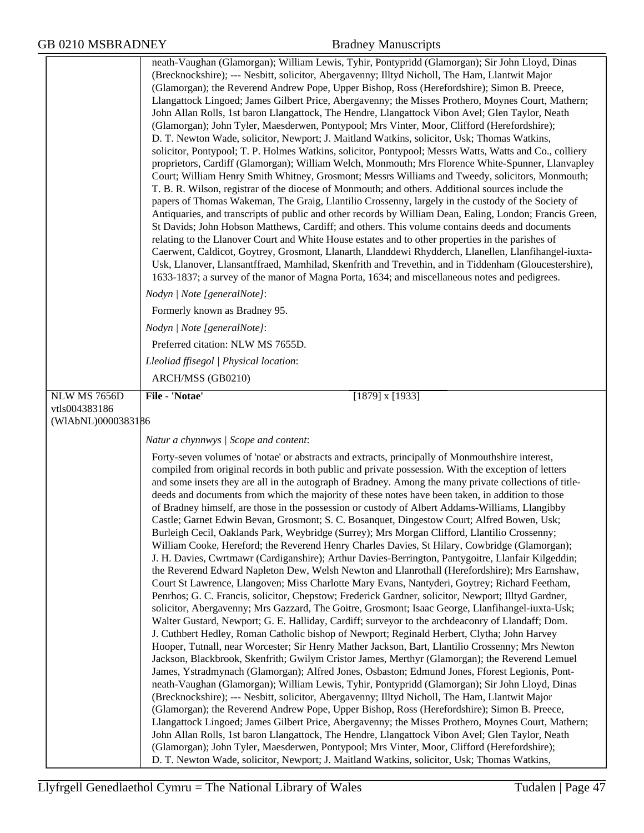|                                     | neath-Vaughan (Glamorgan); William Lewis, Tyhir, Pontypridd (Glamorgan); Sir John Lloyd, Dinas<br>(Brecknockshire); --- Nesbitt, solicitor, Abergavenny; Illtyd Nicholl, The Ham, Llantwit Major<br>(Glamorgan); the Reverend Andrew Pope, Upper Bishop, Ross (Herefordshire); Simon B. Preece,<br>Llangattock Lingoed; James Gilbert Price, Abergavenny; the Misses Prothero, Moynes Court, Mathern;<br>John Allan Rolls, 1st baron Llangattock, The Hendre, Llangattock Vibon Avel; Glen Taylor, Neath<br>(Glamorgan); John Tyler, Maesderwen, Pontypool; Mrs Vinter, Moor, Clifford (Herefordshire);<br>D. T. Newton Wade, solicitor, Newport; J. Maitland Watkins, solicitor, Usk; Thomas Watkins,<br>solicitor, Pontypool; T. P. Holmes Watkins, solicitor, Pontypool; Messrs Watts, Watts and Co., colliery<br>proprietors, Cardiff (Glamorgan); William Welch, Monmouth; Mrs Florence White-Spunner, Llanvapley<br>Court; William Henry Smith Whitney, Grosmont; Messrs Williams and Tweedy, solicitors, Monmouth;<br>T. B. R. Wilson, registrar of the diocese of Monmouth; and others. Additional sources include the<br>papers of Thomas Wakeman, The Graig, Llantilio Crossenny, largely in the custody of the Society of<br>Antiquaries, and transcripts of public and other records by William Dean, Ealing, London; Francis Green,<br>St Davids; John Hobson Matthews, Cardiff; and others. This volume contains deeds and documents<br>relating to the Llanover Court and White House estates and to other properties in the parishes of<br>Caerwent, Caldicot, Goytrey, Grosmont, Llanarth, Llanddewi Rhydderch, Llanellen, Llanfihangel-iuxta-<br>Usk, Llanover, Llansantffraed, Mamhilad, Skenfrith and Trevethin, and in Tiddenham (Gloucestershire),<br>1633-1837; a survey of the manor of Magna Porta, 1634; and miscellaneous notes and pedigrees.                                                                                                                                                                                                                                                                                                                                                                                                                                                                                                                                                                                                                                                                                       |
|-------------------------------------|-----------------------------------------------------------------------------------------------------------------------------------------------------------------------------------------------------------------------------------------------------------------------------------------------------------------------------------------------------------------------------------------------------------------------------------------------------------------------------------------------------------------------------------------------------------------------------------------------------------------------------------------------------------------------------------------------------------------------------------------------------------------------------------------------------------------------------------------------------------------------------------------------------------------------------------------------------------------------------------------------------------------------------------------------------------------------------------------------------------------------------------------------------------------------------------------------------------------------------------------------------------------------------------------------------------------------------------------------------------------------------------------------------------------------------------------------------------------------------------------------------------------------------------------------------------------------------------------------------------------------------------------------------------------------------------------------------------------------------------------------------------------------------------------------------------------------------------------------------------------------------------------------------------------------------------------------------------------------------------------------------------------------------------------------------------------------------------------------------------------------------------------------------------------------------------------------------------------------------------------------------------------------------------------------------------------------------------------------------------------------------------------------------------------------------------------------------------------------------------------------------------------------------------------------------------------|
|                                     | Nodyn   Note [generalNote]:                                                                                                                                                                                                                                                                                                                                                                                                                                                                                                                                                                                                                                                                                                                                                                                                                                                                                                                                                                                                                                                                                                                                                                                                                                                                                                                                                                                                                                                                                                                                                                                                                                                                                                                                                                                                                                                                                                                                                                                                                                                                                                                                                                                                                                                                                                                                                                                                                                                                                                                                     |
|                                     | Formerly known as Bradney 95.                                                                                                                                                                                                                                                                                                                                                                                                                                                                                                                                                                                                                                                                                                                                                                                                                                                                                                                                                                                                                                                                                                                                                                                                                                                                                                                                                                                                                                                                                                                                                                                                                                                                                                                                                                                                                                                                                                                                                                                                                                                                                                                                                                                                                                                                                                                                                                                                                                                                                                                                   |
|                                     | Nodyn   Note [generalNote]:                                                                                                                                                                                                                                                                                                                                                                                                                                                                                                                                                                                                                                                                                                                                                                                                                                                                                                                                                                                                                                                                                                                                                                                                                                                                                                                                                                                                                                                                                                                                                                                                                                                                                                                                                                                                                                                                                                                                                                                                                                                                                                                                                                                                                                                                                                                                                                                                                                                                                                                                     |
|                                     | Preferred citation: NLW MS 7655D.                                                                                                                                                                                                                                                                                                                                                                                                                                                                                                                                                                                                                                                                                                                                                                                                                                                                                                                                                                                                                                                                                                                                                                                                                                                                                                                                                                                                                                                                                                                                                                                                                                                                                                                                                                                                                                                                                                                                                                                                                                                                                                                                                                                                                                                                                                                                                                                                                                                                                                                               |
|                                     | Lleoliad ffisegol   Physical location:                                                                                                                                                                                                                                                                                                                                                                                                                                                                                                                                                                                                                                                                                                                                                                                                                                                                                                                                                                                                                                                                                                                                                                                                                                                                                                                                                                                                                                                                                                                                                                                                                                                                                                                                                                                                                                                                                                                                                                                                                                                                                                                                                                                                                                                                                                                                                                                                                                                                                                                          |
|                                     | ARCH/MSS (GB0210)                                                                                                                                                                                                                                                                                                                                                                                                                                                                                                                                                                                                                                                                                                                                                                                                                                                                                                                                                                                                                                                                                                                                                                                                                                                                                                                                                                                                                                                                                                                                                                                                                                                                                                                                                                                                                                                                                                                                                                                                                                                                                                                                                                                                                                                                                                                                                                                                                                                                                                                                               |
| <b>NLW MS 7656D</b>                 | File - 'Notae'<br>$[1879]$ x $[1933]$                                                                                                                                                                                                                                                                                                                                                                                                                                                                                                                                                                                                                                                                                                                                                                                                                                                                                                                                                                                                                                                                                                                                                                                                                                                                                                                                                                                                                                                                                                                                                                                                                                                                                                                                                                                                                                                                                                                                                                                                                                                                                                                                                                                                                                                                                                                                                                                                                                                                                                                           |
| vtls004383186<br>(WIAbNL)0000383186 |                                                                                                                                                                                                                                                                                                                                                                                                                                                                                                                                                                                                                                                                                                                                                                                                                                                                                                                                                                                                                                                                                                                                                                                                                                                                                                                                                                                                                                                                                                                                                                                                                                                                                                                                                                                                                                                                                                                                                                                                                                                                                                                                                                                                                                                                                                                                                                                                                                                                                                                                                                 |
|                                     | Natur a chynnwys / Scope and content:                                                                                                                                                                                                                                                                                                                                                                                                                                                                                                                                                                                                                                                                                                                                                                                                                                                                                                                                                                                                                                                                                                                                                                                                                                                                                                                                                                                                                                                                                                                                                                                                                                                                                                                                                                                                                                                                                                                                                                                                                                                                                                                                                                                                                                                                                                                                                                                                                                                                                                                           |
|                                     |                                                                                                                                                                                                                                                                                                                                                                                                                                                                                                                                                                                                                                                                                                                                                                                                                                                                                                                                                                                                                                                                                                                                                                                                                                                                                                                                                                                                                                                                                                                                                                                                                                                                                                                                                                                                                                                                                                                                                                                                                                                                                                                                                                                                                                                                                                                                                                                                                                                                                                                                                                 |
|                                     | Forty-seven volumes of 'notae' or abstracts and extracts, principally of Monmouthshire interest,<br>compiled from original records in both public and private possession. With the exception of letters<br>and some insets they are all in the autograph of Bradney. Among the many private collections of title-<br>deeds and documents from which the majority of these notes have been taken, in addition to those<br>of Bradney himself, are those in the possession or custody of Albert Addams-Williams, Llangibby<br>Castle; Garnet Edwin Bevan, Grosmont; S. C. Bosanquet, Dingestow Court; Alfred Bowen, Usk;<br>Burleigh Cecil, Oaklands Park, Weybridge (Surrey); Mrs Morgan Clifford, Llantilio Crossenny;<br>William Cooke, Hereford; the Reverend Henry Charles Davies, St Hilary, Cowbridge (Glamorgan);<br>J. H. Davies, Cwrtmawr (Cardiganshire); Arthur Davies-Berrington, Pantygoitre, Llanfair Kilgeddin;<br>the Reverend Edward Napleton Dew, Welsh Newton and Llanrothall (Herefordshire); Mrs Earnshaw,<br>Court St Lawrence, Llangoven; Miss Charlotte Mary Evans, Nantyderi, Goytrey; Richard Feetham,<br>Penrhos; G. C. Francis, solicitor, Chepstow; Frederick Gardner, solicitor, Newport; Illtyd Gardner,<br>solicitor, Abergavenny; Mrs Gazzard, The Goitre, Grosmont; Isaac George, Llanfihangel-iuxta-Usk;<br>Walter Gustard, Newport; G. E. Halliday, Cardiff; surveyor to the archdeaconry of Llandaff; Dom.<br>J. Cuthbert Hedley, Roman Catholic bishop of Newport; Reginald Herbert, Clytha; John Harvey<br>Hooper, Tutnall, near Worcester; Sir Henry Mather Jackson, Bart, Llantilio Crossenny; Mrs Newton<br>Jackson, Blackbrook, Skenfrith; Gwilym Cristor James, Merthyr (Glamorgan); the Reverend Lemuel<br>James, Ystradmynach (Glamorgan); Alfred Jones, Osbaston; Edmund Jones, Fforest Legionis, Pont-<br>neath-Vaughan (Glamorgan); William Lewis, Tyhir, Pontypridd (Glamorgan); Sir John Lloyd, Dinas<br>(Brecknockshire); --- Nesbitt, solicitor, Abergavenny; Illtyd Nicholl, The Ham, Llantwit Major<br>(Glamorgan); the Reverend Andrew Pope, Upper Bishop, Ross (Herefordshire); Simon B. Preece,<br>Llangattock Lingoed; James Gilbert Price, Abergavenny; the Misses Prothero, Moynes Court, Mathern;<br>John Allan Rolls, 1st baron Llangattock, The Hendre, Llangattock Vibon Avel; Glen Taylor, Neath<br>(Glamorgan); John Tyler, Maesderwen, Pontypool; Mrs Vinter, Moor, Clifford (Herefordshire);<br>D. T. Newton Wade, solicitor, Newport; J. Maitland Watkins, solicitor, Usk; Thomas Watkins, |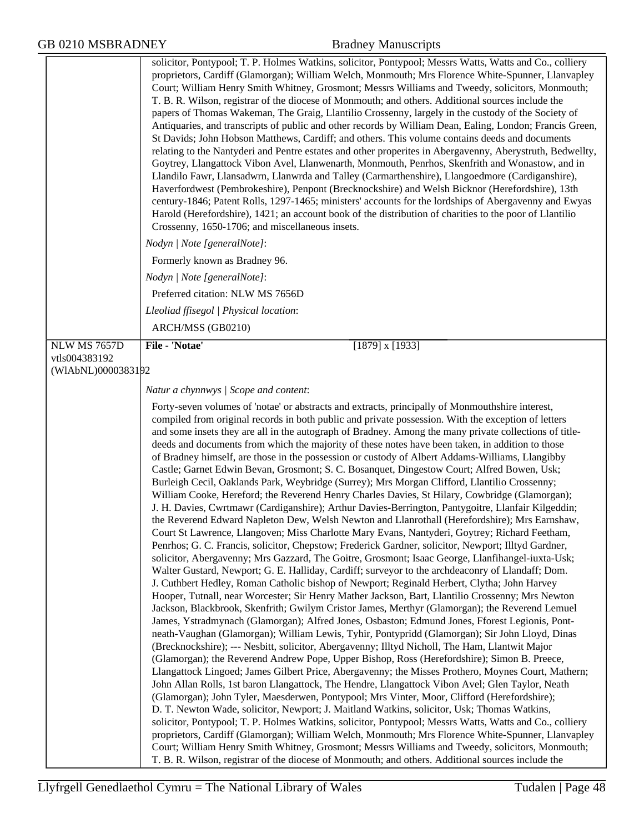|                               | solicitor, Pontypool; T. P. Holmes Watkins, solicitor, Pontypool; Messrs Watts, Watts and Co., colliery<br>proprietors, Cardiff (Glamorgan); William Welch, Monmouth; Mrs Florence White-Spunner, Llanvapley<br>Court; William Henry Smith Whitney, Grosmont; Messrs Williams and Tweedy, solicitors, Monmouth;<br>T. B. R. Wilson, registrar of the diocese of Monmouth; and others. Additional sources include the<br>papers of Thomas Wakeman, The Graig, Llantilio Crossenny, largely in the custody of the Society of<br>Antiquaries, and transcripts of public and other records by William Dean, Ealing, London; Francis Green,<br>St Davids; John Hobson Matthews, Cardiff; and others. This volume contains deeds and documents<br>relating to the Nantyderi and Pentre estates and other properites in Abergavenny, Aberystruth, Bedwellty,<br>Goytrey, Llangattock Vibon Avel, Llanwenarth, Monmouth, Penrhos, Skenfrith and Wonastow, and in<br>Llandilo Fawr, Llansadwrn, Llanwrda and Talley (Carmarthenshire), Llangoedmore (Cardiganshire),<br>Haverfordwest (Pembrokeshire), Penpont (Brecknockshire) and Welsh Bicknor (Herefordshire), 13th<br>century-1846; Patent Rolls, 1297-1465; ministers' accounts for the lordships of Abergavenny and Ewyas<br>Harold (Herefordshire), 1421; an account book of the distribution of charities to the poor of Llantilio<br>Crossenny, 1650-1706; and miscellaneous insets.                                                                                                                                                                                                                                                                                                                                                                                                                                                                                                                                                                                                                                                                                                                                                                                                                                                                                                                                                                                                                                                                                                                                                                                                                                                                                                                                                                                                                                                                                                                                                   |
|-------------------------------|-----------------------------------------------------------------------------------------------------------------------------------------------------------------------------------------------------------------------------------------------------------------------------------------------------------------------------------------------------------------------------------------------------------------------------------------------------------------------------------------------------------------------------------------------------------------------------------------------------------------------------------------------------------------------------------------------------------------------------------------------------------------------------------------------------------------------------------------------------------------------------------------------------------------------------------------------------------------------------------------------------------------------------------------------------------------------------------------------------------------------------------------------------------------------------------------------------------------------------------------------------------------------------------------------------------------------------------------------------------------------------------------------------------------------------------------------------------------------------------------------------------------------------------------------------------------------------------------------------------------------------------------------------------------------------------------------------------------------------------------------------------------------------------------------------------------------------------------------------------------------------------------------------------------------------------------------------------------------------------------------------------------------------------------------------------------------------------------------------------------------------------------------------------------------------------------------------------------------------------------------------------------------------------------------------------------------------------------------------------------------------------------------------------------------------------------------------------------------------------------------------------------------------------------------------------------------------------------------------------------------------------------------------------------------------------------------------------------------------------------------------------------------------------------------------------------------------------------------------------------------------------------------------------------------------------------------------------------------------------------|
|                               | Nodyn   Note [generalNote]:                                                                                                                                                                                                                                                                                                                                                                                                                                                                                                                                                                                                                                                                                                                                                                                                                                                                                                                                                                                                                                                                                                                                                                                                                                                                                                                                                                                                                                                                                                                                                                                                                                                                                                                                                                                                                                                                                                                                                                                                                                                                                                                                                                                                                                                                                                                                                                                                                                                                                                                                                                                                                                                                                                                                                                                                                                                                                                                                                             |
|                               | Formerly known as Bradney 96.                                                                                                                                                                                                                                                                                                                                                                                                                                                                                                                                                                                                                                                                                                                                                                                                                                                                                                                                                                                                                                                                                                                                                                                                                                                                                                                                                                                                                                                                                                                                                                                                                                                                                                                                                                                                                                                                                                                                                                                                                                                                                                                                                                                                                                                                                                                                                                                                                                                                                                                                                                                                                                                                                                                                                                                                                                                                                                                                                           |
|                               | Nodyn   Note [generalNote]:                                                                                                                                                                                                                                                                                                                                                                                                                                                                                                                                                                                                                                                                                                                                                                                                                                                                                                                                                                                                                                                                                                                                                                                                                                                                                                                                                                                                                                                                                                                                                                                                                                                                                                                                                                                                                                                                                                                                                                                                                                                                                                                                                                                                                                                                                                                                                                                                                                                                                                                                                                                                                                                                                                                                                                                                                                                                                                                                                             |
|                               | Preferred citation: NLW MS 7656D                                                                                                                                                                                                                                                                                                                                                                                                                                                                                                                                                                                                                                                                                                                                                                                                                                                                                                                                                                                                                                                                                                                                                                                                                                                                                                                                                                                                                                                                                                                                                                                                                                                                                                                                                                                                                                                                                                                                                                                                                                                                                                                                                                                                                                                                                                                                                                                                                                                                                                                                                                                                                                                                                                                                                                                                                                                                                                                                                        |
|                               | Lleoliad ffisegol   Physical location:                                                                                                                                                                                                                                                                                                                                                                                                                                                                                                                                                                                                                                                                                                                                                                                                                                                                                                                                                                                                                                                                                                                                                                                                                                                                                                                                                                                                                                                                                                                                                                                                                                                                                                                                                                                                                                                                                                                                                                                                                                                                                                                                                                                                                                                                                                                                                                                                                                                                                                                                                                                                                                                                                                                                                                                                                                                                                                                                                  |
|                               | ARCH/MSS (GB0210)                                                                                                                                                                                                                                                                                                                                                                                                                                                                                                                                                                                                                                                                                                                                                                                                                                                                                                                                                                                                                                                                                                                                                                                                                                                                                                                                                                                                                                                                                                                                                                                                                                                                                                                                                                                                                                                                                                                                                                                                                                                                                                                                                                                                                                                                                                                                                                                                                                                                                                                                                                                                                                                                                                                                                                                                                                                                                                                                                                       |
| NLW MS 7657D<br>vtls004383192 | File - 'Notae'<br>$[1879]$ x $[1933]$                                                                                                                                                                                                                                                                                                                                                                                                                                                                                                                                                                                                                                                                                                                                                                                                                                                                                                                                                                                                                                                                                                                                                                                                                                                                                                                                                                                                                                                                                                                                                                                                                                                                                                                                                                                                                                                                                                                                                                                                                                                                                                                                                                                                                                                                                                                                                                                                                                                                                                                                                                                                                                                                                                                                                                                                                                                                                                                                                   |
| (WIAbNL)0000383192            |                                                                                                                                                                                                                                                                                                                                                                                                                                                                                                                                                                                                                                                                                                                                                                                                                                                                                                                                                                                                                                                                                                                                                                                                                                                                                                                                                                                                                                                                                                                                                                                                                                                                                                                                                                                                                                                                                                                                                                                                                                                                                                                                                                                                                                                                                                                                                                                                                                                                                                                                                                                                                                                                                                                                                                                                                                                                                                                                                                                         |
|                               | Natur a chynnwys / Scope and content:                                                                                                                                                                                                                                                                                                                                                                                                                                                                                                                                                                                                                                                                                                                                                                                                                                                                                                                                                                                                                                                                                                                                                                                                                                                                                                                                                                                                                                                                                                                                                                                                                                                                                                                                                                                                                                                                                                                                                                                                                                                                                                                                                                                                                                                                                                                                                                                                                                                                                                                                                                                                                                                                                                                                                                                                                                                                                                                                                   |
|                               | Forty-seven volumes of 'notae' or abstracts and extracts, principally of Monmouthshire interest,<br>compiled from original records in both public and private possession. With the exception of letters<br>and some insets they are all in the autograph of Bradney. Among the many private collections of title-<br>deeds and documents from which the majority of these notes have been taken, in addition to those<br>of Bradney himself, are those in the possession or custody of Albert Addams-Williams, Llangibby<br>Castle; Garnet Edwin Bevan, Grosmont; S. C. Bosanquet, Dingestow Court; Alfred Bowen, Usk;<br>Burleigh Cecil, Oaklands Park, Weybridge (Surrey); Mrs Morgan Clifford, Llantilio Crossenny;<br>William Cooke, Hereford; the Reverend Henry Charles Davies, St Hilary, Cowbridge (Glamorgan);<br>J. H. Davies, Cwrtmawr (Cardiganshire); Arthur Davies-Berrington, Pantygoitre, Llanfair Kilgeddin;<br>the Reverend Edward Napleton Dew, Welsh Newton and Llanrothall (Herefordshire); Mrs Earnshaw,<br>Court St Lawrence, Llangoven; Miss Charlotte Mary Evans, Nantyderi, Goytrey; Richard Feetham,<br>Penrhos; G. C. Francis, solicitor, Chepstow; Frederick Gardner, solicitor, Newport; Illtyd Gardner,<br>solicitor, Abergavenny; Mrs Gazzard, The Goitre, Grosmont; Isaac George, Llanfihangel-iuxta-Usk;<br>Walter Gustard, Newport; G. E. Halliday, Cardiff; surveyor to the archdeaconry of Llandaff; Dom.<br>J. Cuthbert Hedley, Roman Catholic bishop of Newport; Reginald Herbert, Clytha; John Harvey<br>Hooper, Tutnall, near Worcester; Sir Henry Mather Jackson, Bart, Llantilio Crossenny; Mrs Newton<br>Jackson, Blackbrook, Skenfrith; Gwilym Cristor James, Merthyr (Glamorgan); the Reverend Lemuel<br>James, Ystradmynach (Glamorgan); Alfred Jones, Osbaston; Edmund Jones, Fforest Legionis, Pont-<br>neath-Vaughan (Glamorgan); William Lewis, Tyhir, Pontypridd (Glamorgan); Sir John Lloyd, Dinas<br>(Brecknockshire); --- Nesbitt, solicitor, Abergavenny; Illtyd Nicholl, The Ham, Llantwit Major<br>(Glamorgan); the Reverend Andrew Pope, Upper Bishop, Ross (Herefordshire); Simon B. Preece,<br>Llangattock Lingoed; James Gilbert Price, Abergavenny; the Misses Prothero, Moynes Court, Mathern;<br>John Allan Rolls, 1st baron Llangattock, The Hendre, Llangattock Vibon Avel; Glen Taylor, Neath<br>(Glamorgan); John Tyler, Maesderwen, Pontypool; Mrs Vinter, Moor, Clifford (Herefordshire);<br>D. T. Newton Wade, solicitor, Newport; J. Maitland Watkins, solicitor, Usk; Thomas Watkins,<br>solicitor, Pontypool; T. P. Holmes Watkins, solicitor, Pontypool; Messrs Watts, Watts and Co., colliery<br>proprietors, Cardiff (Glamorgan); William Welch, Monmouth; Mrs Florence White-Spunner, Llanvapley<br>Court; William Henry Smith Whitney, Grosmont; Messrs Williams and Tweedy, solicitors, Monmouth;<br>T. B. R. Wilson, registrar of the diocese of Monmouth; and others. Additional sources include the |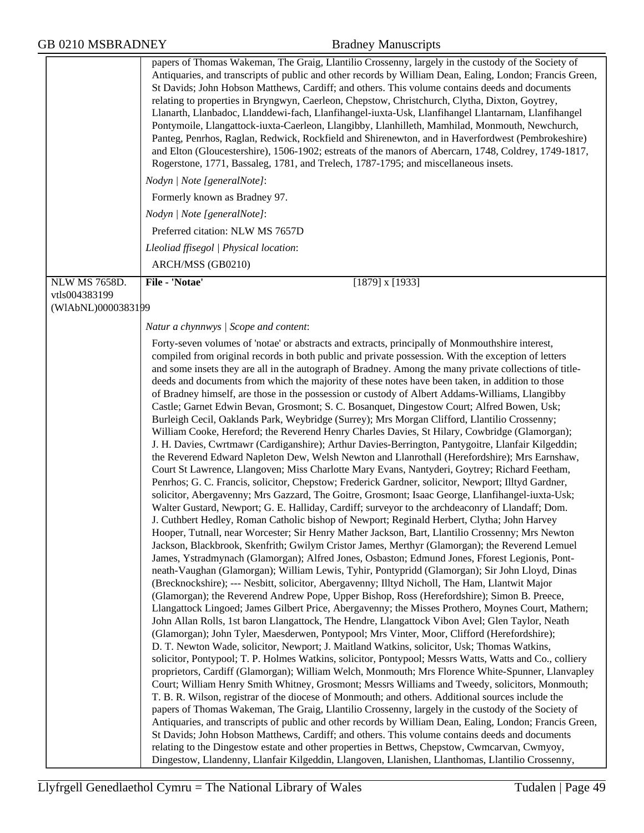|                      | Nodyn   Note [generalNote]:                                                                                                                                                                                                                                                                                                                                                                                                                                                                                                                                                                                                                                                                                                                                                                                                                                                                                                                                                                                                                                                                                                                                                                                                                                                                                                                                                                                                                                                                                                                                                                                                                                                                                                                                                                                                                                                                                                                                                                                                                                                                                                                                                                                                                                                                                                                                                                                                                                                                                                                                     |
|----------------------|-----------------------------------------------------------------------------------------------------------------------------------------------------------------------------------------------------------------------------------------------------------------------------------------------------------------------------------------------------------------------------------------------------------------------------------------------------------------------------------------------------------------------------------------------------------------------------------------------------------------------------------------------------------------------------------------------------------------------------------------------------------------------------------------------------------------------------------------------------------------------------------------------------------------------------------------------------------------------------------------------------------------------------------------------------------------------------------------------------------------------------------------------------------------------------------------------------------------------------------------------------------------------------------------------------------------------------------------------------------------------------------------------------------------------------------------------------------------------------------------------------------------------------------------------------------------------------------------------------------------------------------------------------------------------------------------------------------------------------------------------------------------------------------------------------------------------------------------------------------------------------------------------------------------------------------------------------------------------------------------------------------------------------------------------------------------------------------------------------------------------------------------------------------------------------------------------------------------------------------------------------------------------------------------------------------------------------------------------------------------------------------------------------------------------------------------------------------------------------------------------------------------------------------------------------------------|
|                      | Formerly known as Bradney 97.                                                                                                                                                                                                                                                                                                                                                                                                                                                                                                                                                                                                                                                                                                                                                                                                                                                                                                                                                                                                                                                                                                                                                                                                                                                                                                                                                                                                                                                                                                                                                                                                                                                                                                                                                                                                                                                                                                                                                                                                                                                                                                                                                                                                                                                                                                                                                                                                                                                                                                                                   |
|                      | Nodyn   Note [generalNote]:                                                                                                                                                                                                                                                                                                                                                                                                                                                                                                                                                                                                                                                                                                                                                                                                                                                                                                                                                                                                                                                                                                                                                                                                                                                                                                                                                                                                                                                                                                                                                                                                                                                                                                                                                                                                                                                                                                                                                                                                                                                                                                                                                                                                                                                                                                                                                                                                                                                                                                                                     |
|                      | Preferred citation: NLW MS 7657D                                                                                                                                                                                                                                                                                                                                                                                                                                                                                                                                                                                                                                                                                                                                                                                                                                                                                                                                                                                                                                                                                                                                                                                                                                                                                                                                                                                                                                                                                                                                                                                                                                                                                                                                                                                                                                                                                                                                                                                                                                                                                                                                                                                                                                                                                                                                                                                                                                                                                                                                |
|                      | Lleoliad ffisegol   Physical location:                                                                                                                                                                                                                                                                                                                                                                                                                                                                                                                                                                                                                                                                                                                                                                                                                                                                                                                                                                                                                                                                                                                                                                                                                                                                                                                                                                                                                                                                                                                                                                                                                                                                                                                                                                                                                                                                                                                                                                                                                                                                                                                                                                                                                                                                                                                                                                                                                                                                                                                          |
|                      | ARCH/MSS (GB0210)                                                                                                                                                                                                                                                                                                                                                                                                                                                                                                                                                                                                                                                                                                                                                                                                                                                                                                                                                                                                                                                                                                                                                                                                                                                                                                                                                                                                                                                                                                                                                                                                                                                                                                                                                                                                                                                                                                                                                                                                                                                                                                                                                                                                                                                                                                                                                                                                                                                                                                                                               |
| <b>NLW MS 7658D.</b> | File - 'Notae'<br>$[1879]$ x $[1933]$                                                                                                                                                                                                                                                                                                                                                                                                                                                                                                                                                                                                                                                                                                                                                                                                                                                                                                                                                                                                                                                                                                                                                                                                                                                                                                                                                                                                                                                                                                                                                                                                                                                                                                                                                                                                                                                                                                                                                                                                                                                                                                                                                                                                                                                                                                                                                                                                                                                                                                                           |
| vtls004383199        |                                                                                                                                                                                                                                                                                                                                                                                                                                                                                                                                                                                                                                                                                                                                                                                                                                                                                                                                                                                                                                                                                                                                                                                                                                                                                                                                                                                                                                                                                                                                                                                                                                                                                                                                                                                                                                                                                                                                                                                                                                                                                                                                                                                                                                                                                                                                                                                                                                                                                                                                                                 |
| (WIAbNL)0000383199   |                                                                                                                                                                                                                                                                                                                                                                                                                                                                                                                                                                                                                                                                                                                                                                                                                                                                                                                                                                                                                                                                                                                                                                                                                                                                                                                                                                                                                                                                                                                                                                                                                                                                                                                                                                                                                                                                                                                                                                                                                                                                                                                                                                                                                                                                                                                                                                                                                                                                                                                                                                 |
|                      | Natur a chynnwys / Scope and content:                                                                                                                                                                                                                                                                                                                                                                                                                                                                                                                                                                                                                                                                                                                                                                                                                                                                                                                                                                                                                                                                                                                                                                                                                                                                                                                                                                                                                                                                                                                                                                                                                                                                                                                                                                                                                                                                                                                                                                                                                                                                                                                                                                                                                                                                                                                                                                                                                                                                                                                           |
|                      | Forty-seven volumes of 'notae' or abstracts and extracts, principally of Monmouthshire interest,<br>compiled from original records in both public and private possession. With the exception of letters<br>and some insets they are all in the autograph of Bradney. Among the many private collections of title-<br>deeds and documents from which the majority of these notes have been taken, in addition to those<br>of Bradney himself, are those in the possession or custody of Albert Addams-Williams, Llangibby<br>Castle; Garnet Edwin Bevan, Grosmont; S. C. Bosanquet, Dingestow Court; Alfred Bowen, Usk;<br>Burleigh Cecil, Oaklands Park, Weybridge (Surrey); Mrs Morgan Clifford, Llantilio Crossenny;<br>William Cooke, Hereford; the Reverend Henry Charles Davies, St Hilary, Cowbridge (Glamorgan);<br>J. H. Davies, Cwrtmawr (Cardiganshire); Arthur Davies-Berrington, Pantygoitre, Llanfair Kilgeddin;<br>the Reverend Edward Napleton Dew, Welsh Newton and Llanrothall (Herefordshire); Mrs Earnshaw,<br>Court St Lawrence, Llangoven; Miss Charlotte Mary Evans, Nantyderi, Goytrey; Richard Feetham,<br>Penrhos; G. C. Francis, solicitor, Chepstow; Frederick Gardner, solicitor, Newport; Illtyd Gardner,<br>solicitor, Abergavenny; Mrs Gazzard, The Goitre, Grosmont; Isaac George, Llanfihangel-iuxta-Usk;<br>Walter Gustard, Newport; G. E. Halliday, Cardiff; surveyor to the archdeaconry of Llandaff; Dom.<br>J. Cuthbert Hedley, Roman Catholic bishop of Newport; Reginald Herbert, Clytha; John Harvey<br>Hooper, Tutnall, near Worcester; Sir Henry Mather Jackson, Bart, Llantilio Crossenny; Mrs Newton<br>Jackson, Blackbrook, Skenfrith; Gwilym Cristor James, Merthyr (Glamorgan); the Reverend Lemuel<br>James, Ystradmynach (Glamorgan); Alfred Jones, Osbaston; Edmund Jones, Fforest Legionis, Pont-<br>neath-Vaughan (Glamorgan); William Lewis, Tyhir, Pontypridd (Glamorgan); Sir John Lloyd, Dinas<br>(Brecknockshire); --- Nesbitt, solicitor, Abergavenny; Illtyd Nicholl, The Ham, Llantwit Major<br>(Glamorgan); the Reverend Andrew Pope, Upper Bishop, Ross (Herefordshire); Simon B. Preece,<br>Llangattock Lingoed; James Gilbert Price, Abergavenny; the Misses Prothero, Moynes Court, Mathern;<br>John Allan Rolls, 1st baron Llangattock, The Hendre, Llangattock Vibon Avel; Glen Taylor, Neath<br>(Glamorgan); John Tyler, Maesderwen, Pontypool; Mrs Vinter, Moor, Clifford (Herefordshire);<br>D. T. Newton Wade, solicitor, Newport; J. Maitland Watkins, solicitor, Usk; Thomas Watkins, |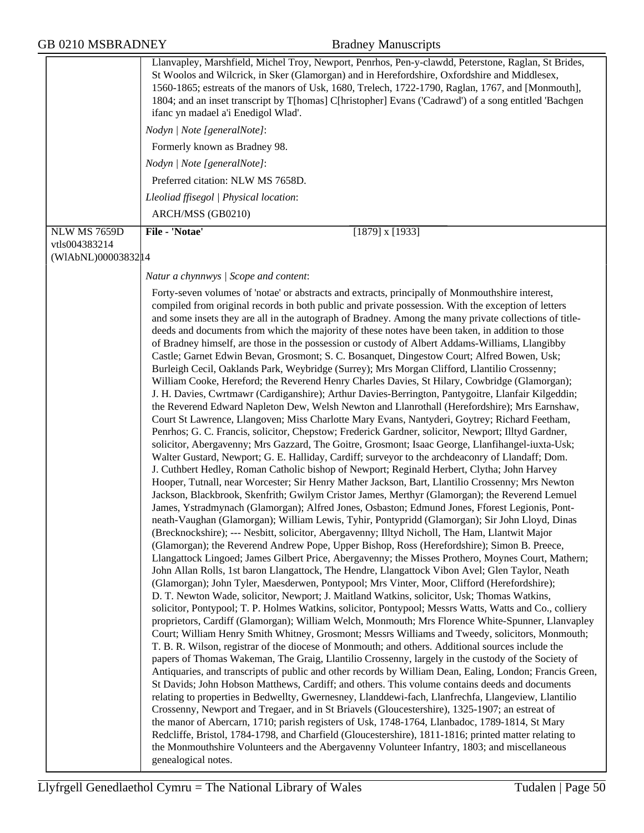| <b>NLW MS 7659D</b>                  | Llanvapley, Marshfield, Michel Troy, Newport, Penrhos, Pen-y-clawdd, Peterstone, Raglan, St Brides,<br>St Woolos and Wilcrick, in Sker (Glamorgan) and in Herefordshire, Oxfordshire and Middlesex,<br>1560-1865; estreats of the manors of Usk, 1680, Trelech, 1722-1790, Raglan, 1767, and [Monmouth],<br>1804; and an inset transcript by T[homas] C[hristopher] Evans ('Cadrawd') of a song entitled 'Bachgen<br>ifanc yn madael a'i Enedigol Wlad'.<br>Nodyn   Note [generalNote]:<br>Formerly known as Bradney 98.<br>Nodyn   Note [generalNote]:<br>Preferred citation: NLW MS 7658D.<br>Lleoliad ffisegol   Physical location:<br>ARCH/MSS (GB0210)<br>File - 'Notae'<br>$[1879]$ x $[1933]$                                                                                                                                                                                                                                                                                                                                                                                                                                                                                                                                                                                                                                                                                                                                                                                                                                                                                                                                                                                                                                                                                                                                                                                                                                                                                                                                                                                                                                                                                                                                                                                                                                                                                                                                                                                                                                                                                                                                                                                                                                                                                                                                                                                                                                                                                                                                                                                                                                                                                                                                                                                                                                                                                                                                                                                                                                                                                                                                                                                                                                                                                                                                                   |
|--------------------------------------|--------------------------------------------------------------------------------------------------------------------------------------------------------------------------------------------------------------------------------------------------------------------------------------------------------------------------------------------------------------------------------------------------------------------------------------------------------------------------------------------------------------------------------------------------------------------------------------------------------------------------------------------------------------------------------------------------------------------------------------------------------------------------------------------------------------------------------------------------------------------------------------------------------------------------------------------------------------------------------------------------------------------------------------------------------------------------------------------------------------------------------------------------------------------------------------------------------------------------------------------------------------------------------------------------------------------------------------------------------------------------------------------------------------------------------------------------------------------------------------------------------------------------------------------------------------------------------------------------------------------------------------------------------------------------------------------------------------------------------------------------------------------------------------------------------------------------------------------------------------------------------------------------------------------------------------------------------------------------------------------------------------------------------------------------------------------------------------------------------------------------------------------------------------------------------------------------------------------------------------------------------------------------------------------------------------------------------------------------------------------------------------------------------------------------------------------------------------------------------------------------------------------------------------------------------------------------------------------------------------------------------------------------------------------------------------------------------------------------------------------------------------------------------------------------------------------------------------------------------------------------------------------------------------------------------------------------------------------------------------------------------------------------------------------------------------------------------------------------------------------------------------------------------------------------------------------------------------------------------------------------------------------------------------------------------------------------------------------------------------------------------------------------------------------------------------------------------------------------------------------------------------------------------------------------------------------------------------------------------------------------------------------------------------------------------------------------------------------------------------------------------------------------------------------------------------------------------------------------------|
| vtls004383214<br>(WIAbNL)00003832 14 |                                                                                                                                                                                                                                                                                                                                                                                                                                                                                                                                                                                                                                                                                                                                                                                                                                                                                                                                                                                                                                                                                                                                                                                                                                                                                                                                                                                                                                                                                                                                                                                                                                                                                                                                                                                                                                                                                                                                                                                                                                                                                                                                                                                                                                                                                                                                                                                                                                                                                                                                                                                                                                                                                                                                                                                                                                                                                                                                                                                                                                                                                                                                                                                                                                                                                                                                                                                                                                                                                                                                                                                                                                                                                                                                                                                                                                                        |
|                                      | Natur a chynnwys / Scope and content:                                                                                                                                                                                                                                                                                                                                                                                                                                                                                                                                                                                                                                                                                                                                                                                                                                                                                                                                                                                                                                                                                                                                                                                                                                                                                                                                                                                                                                                                                                                                                                                                                                                                                                                                                                                                                                                                                                                                                                                                                                                                                                                                                                                                                                                                                                                                                                                                                                                                                                                                                                                                                                                                                                                                                                                                                                                                                                                                                                                                                                                                                                                                                                                                                                                                                                                                                                                                                                                                                                                                                                                                                                                                                                                                                                                                                  |
|                                      | Forty-seven volumes of 'notae' or abstracts and extracts, principally of Monmouthshire interest,<br>compiled from original records in both public and private possession. With the exception of letters<br>and some insets they are all in the autograph of Bradney. Among the many private collections of title-<br>deeds and documents from which the majority of these notes have been taken, in addition to those<br>of Bradney himself, are those in the possession or custody of Albert Addams-Williams, Llangibby<br>Castle; Garnet Edwin Bevan, Grosmont; S. C. Bosanquet, Dingestow Court; Alfred Bowen, Usk;<br>Burleigh Cecil, Oaklands Park, Weybridge (Surrey); Mrs Morgan Clifford, Llantilio Crossenny;<br>William Cooke, Hereford; the Reverend Henry Charles Davies, St Hilary, Cowbridge (Glamorgan);<br>J. H. Davies, Cwrtmawr (Cardiganshire); Arthur Davies-Berrington, Pantygoitre, Llanfair Kilgeddin;<br>the Reverend Edward Napleton Dew, Welsh Newton and Llanrothall (Herefordshire); Mrs Earnshaw,<br>Court St Lawrence, Llangoven; Miss Charlotte Mary Evans, Nantyderi, Goytrey; Richard Feetham,<br>Penrhos; G. C. Francis, solicitor, Chepstow; Frederick Gardner, solicitor, Newport; Illtyd Gardner,<br>solicitor, Abergavenny; Mrs Gazzard, The Goitre, Grosmont; Isaac George, Llanfihangel-iuxta-Usk;<br>Walter Gustard, Newport; G. E. Halliday, Cardiff; surveyor to the archdeaconry of Llandaff; Dom.<br>J. Cuthbert Hedley, Roman Catholic bishop of Newport; Reginald Herbert, Clytha; John Harvey<br>Hooper, Tutnall, near Worcester; Sir Henry Mather Jackson, Bart, Llantilio Crossenny; Mrs Newton<br>Jackson, Blackbrook, Skenfrith; Gwilym Cristor James, Merthyr (Glamorgan); the Reverend Lemuel<br>James, Ystradmynach (Glamorgan); Alfred Jones, Osbaston; Edmund Jones, Fforest Legionis, Pont-<br>neath-Vaughan (Glamorgan); William Lewis, Tyhir, Pontypridd (Glamorgan); Sir John Lloyd, Dinas<br>(Brecknockshire); --- Nesbitt, solicitor, Abergavenny; Illtyd Nicholl, The Ham, Llantwit Major<br>(Glamorgan); the Reverend Andrew Pope, Upper Bishop, Ross (Herefordshire); Simon B. Preece,<br>Llangattock Lingoed; James Gilbert Price, Abergavenny; the Misses Prothero, Moynes Court, Mathern;<br>John Allan Rolls, 1st baron Llangattock, The Hendre, Llangattock Vibon Avel; Glen Taylor, Neath<br>(Glamorgan); John Tyler, Maesderwen, Pontypool; Mrs Vinter, Moor, Clifford (Herefordshire);<br>D. T. Newton Wade, solicitor, Newport; J. Maitland Watkins, solicitor, Usk; Thomas Watkins,<br>solicitor, Pontypool; T. P. Holmes Watkins, solicitor, Pontypool; Messrs Watts, Watts and Co., colliery<br>proprietors, Cardiff (Glamorgan); William Welch, Monmouth; Mrs Florence White-Spunner, Llanvapley<br>Court; William Henry Smith Whitney, Grosmont; Messrs Williams and Tweedy, solicitors, Monmouth;<br>T. B. R. Wilson, registrar of the diocese of Monmouth; and others. Additional sources include the<br>papers of Thomas Wakeman, The Graig, Llantilio Crossenny, largely in the custody of the Society of<br>Antiquaries, and transcripts of public and other records by William Dean, Ealing, London; Francis Green,<br>St Davids; John Hobson Matthews, Cardiff; and others. This volume contains deeds and documents<br>relating to properties in Bedwellty, Gwernesney, Llanddewi-fach, Llanfrechfa, Llangeview, Llantilio<br>Crossenny, Newport and Tregaer, and in St Briavels (Gloucestershire), 1325-1907; an estreat of<br>the manor of Abercarn, 1710; parish registers of Usk, 1748-1764, Llanbadoc, 1789-1814, St Mary<br>Redcliffe, Bristol, 1784-1798, and Charfield (Gloucestershire), 1811-1816; printed matter relating to<br>the Monmouthshire Volunteers and the Abergavenny Volunteer Infantry, 1803; and miscellaneous<br>genealogical notes. |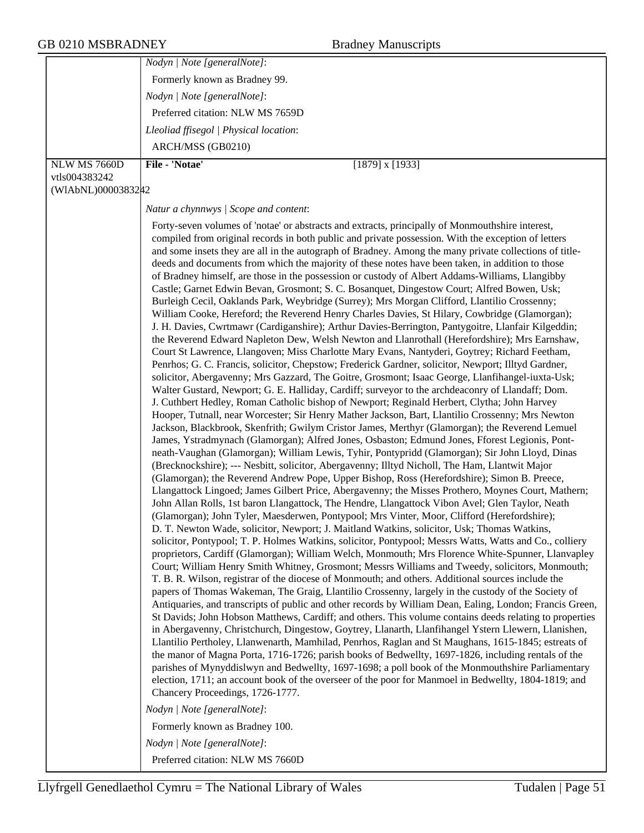|                    | Nodyn   Note [generalNote]:                                                                                                                                                                                                                                                                                                                                                                                                                                                                                                                                                                                                                                                                                                                                                                                                                                                                                                                                                                                                                                                                                                                                                                                                                                                                                                                                                                                                                                                                                                                                                                                                                                                                                                                                                                                                                                                                                                                                                                                                                                                                                                                                                                                                                                                                                                                                                                                                                                                                                                                                                                                                                                                                                                                                                                                                                                                                                                                                                                                                                                                                                                                                                                                                                                                                                                                                                                                                                                                                                                                                                                                                                                                                                                                                                                                                                                                                                                                                                                |
|--------------------|--------------------------------------------------------------------------------------------------------------------------------------------------------------------------------------------------------------------------------------------------------------------------------------------------------------------------------------------------------------------------------------------------------------------------------------------------------------------------------------------------------------------------------------------------------------------------------------------------------------------------------------------------------------------------------------------------------------------------------------------------------------------------------------------------------------------------------------------------------------------------------------------------------------------------------------------------------------------------------------------------------------------------------------------------------------------------------------------------------------------------------------------------------------------------------------------------------------------------------------------------------------------------------------------------------------------------------------------------------------------------------------------------------------------------------------------------------------------------------------------------------------------------------------------------------------------------------------------------------------------------------------------------------------------------------------------------------------------------------------------------------------------------------------------------------------------------------------------------------------------------------------------------------------------------------------------------------------------------------------------------------------------------------------------------------------------------------------------------------------------------------------------------------------------------------------------------------------------------------------------------------------------------------------------------------------------------------------------------------------------------------------------------------------------------------------------------------------------------------------------------------------------------------------------------------------------------------------------------------------------------------------------------------------------------------------------------------------------------------------------------------------------------------------------------------------------------------------------------------------------------------------------------------------------------------------------------------------------------------------------------------------------------------------------------------------------------------------------------------------------------------------------------------------------------------------------------------------------------------------------------------------------------------------------------------------------------------------------------------------------------------------------------------------------------------------------------------------------------------------------------------------------------------------------------------------------------------------------------------------------------------------------------------------------------------------------------------------------------------------------------------------------------------------------------------------------------------------------------------------------------------------------------------------------------------------------------------------------------------------------|
|                    | Formerly known as Bradney 99.                                                                                                                                                                                                                                                                                                                                                                                                                                                                                                                                                                                                                                                                                                                                                                                                                                                                                                                                                                                                                                                                                                                                                                                                                                                                                                                                                                                                                                                                                                                                                                                                                                                                                                                                                                                                                                                                                                                                                                                                                                                                                                                                                                                                                                                                                                                                                                                                                                                                                                                                                                                                                                                                                                                                                                                                                                                                                                                                                                                                                                                                                                                                                                                                                                                                                                                                                                                                                                                                                                                                                                                                                                                                                                                                                                                                                                                                                                                                                              |
|                    | Nodyn   Note [generalNote]:                                                                                                                                                                                                                                                                                                                                                                                                                                                                                                                                                                                                                                                                                                                                                                                                                                                                                                                                                                                                                                                                                                                                                                                                                                                                                                                                                                                                                                                                                                                                                                                                                                                                                                                                                                                                                                                                                                                                                                                                                                                                                                                                                                                                                                                                                                                                                                                                                                                                                                                                                                                                                                                                                                                                                                                                                                                                                                                                                                                                                                                                                                                                                                                                                                                                                                                                                                                                                                                                                                                                                                                                                                                                                                                                                                                                                                                                                                                                                                |
|                    | Preferred citation: NLW MS 7659D                                                                                                                                                                                                                                                                                                                                                                                                                                                                                                                                                                                                                                                                                                                                                                                                                                                                                                                                                                                                                                                                                                                                                                                                                                                                                                                                                                                                                                                                                                                                                                                                                                                                                                                                                                                                                                                                                                                                                                                                                                                                                                                                                                                                                                                                                                                                                                                                                                                                                                                                                                                                                                                                                                                                                                                                                                                                                                                                                                                                                                                                                                                                                                                                                                                                                                                                                                                                                                                                                                                                                                                                                                                                                                                                                                                                                                                                                                                                                           |
|                    | Lleoliad ffisegol   Physical location:                                                                                                                                                                                                                                                                                                                                                                                                                                                                                                                                                                                                                                                                                                                                                                                                                                                                                                                                                                                                                                                                                                                                                                                                                                                                                                                                                                                                                                                                                                                                                                                                                                                                                                                                                                                                                                                                                                                                                                                                                                                                                                                                                                                                                                                                                                                                                                                                                                                                                                                                                                                                                                                                                                                                                                                                                                                                                                                                                                                                                                                                                                                                                                                                                                                                                                                                                                                                                                                                                                                                                                                                                                                                                                                                                                                                                                                                                                                                                     |
|                    | ARCH/MSS (GB0210)                                                                                                                                                                                                                                                                                                                                                                                                                                                                                                                                                                                                                                                                                                                                                                                                                                                                                                                                                                                                                                                                                                                                                                                                                                                                                                                                                                                                                                                                                                                                                                                                                                                                                                                                                                                                                                                                                                                                                                                                                                                                                                                                                                                                                                                                                                                                                                                                                                                                                                                                                                                                                                                                                                                                                                                                                                                                                                                                                                                                                                                                                                                                                                                                                                                                                                                                                                                                                                                                                                                                                                                                                                                                                                                                                                                                                                                                                                                                                                          |
| NLW MS 7660D       | File - 'Notae'<br>$[1879]$ x $[1933]$                                                                                                                                                                                                                                                                                                                                                                                                                                                                                                                                                                                                                                                                                                                                                                                                                                                                                                                                                                                                                                                                                                                                                                                                                                                                                                                                                                                                                                                                                                                                                                                                                                                                                                                                                                                                                                                                                                                                                                                                                                                                                                                                                                                                                                                                                                                                                                                                                                                                                                                                                                                                                                                                                                                                                                                                                                                                                                                                                                                                                                                                                                                                                                                                                                                                                                                                                                                                                                                                                                                                                                                                                                                                                                                                                                                                                                                                                                                                                      |
| vtls004383242      |                                                                                                                                                                                                                                                                                                                                                                                                                                                                                                                                                                                                                                                                                                                                                                                                                                                                                                                                                                                                                                                                                                                                                                                                                                                                                                                                                                                                                                                                                                                                                                                                                                                                                                                                                                                                                                                                                                                                                                                                                                                                                                                                                                                                                                                                                                                                                                                                                                                                                                                                                                                                                                                                                                                                                                                                                                                                                                                                                                                                                                                                                                                                                                                                                                                                                                                                                                                                                                                                                                                                                                                                                                                                                                                                                                                                                                                                                                                                                                                            |
| (WIAbNL)00003832#2 |                                                                                                                                                                                                                                                                                                                                                                                                                                                                                                                                                                                                                                                                                                                                                                                                                                                                                                                                                                                                                                                                                                                                                                                                                                                                                                                                                                                                                                                                                                                                                                                                                                                                                                                                                                                                                                                                                                                                                                                                                                                                                                                                                                                                                                                                                                                                                                                                                                                                                                                                                                                                                                                                                                                                                                                                                                                                                                                                                                                                                                                                                                                                                                                                                                                                                                                                                                                                                                                                                                                                                                                                                                                                                                                                                                                                                                                                                                                                                                                            |
|                    | Natur a chynnwys / Scope and content:                                                                                                                                                                                                                                                                                                                                                                                                                                                                                                                                                                                                                                                                                                                                                                                                                                                                                                                                                                                                                                                                                                                                                                                                                                                                                                                                                                                                                                                                                                                                                                                                                                                                                                                                                                                                                                                                                                                                                                                                                                                                                                                                                                                                                                                                                                                                                                                                                                                                                                                                                                                                                                                                                                                                                                                                                                                                                                                                                                                                                                                                                                                                                                                                                                                                                                                                                                                                                                                                                                                                                                                                                                                                                                                                                                                                                                                                                                                                                      |
|                    | Forty-seven volumes of 'notae' or abstracts and extracts, principally of Monmouthshire interest,<br>compiled from original records in both public and private possession. With the exception of letters<br>and some insets they are all in the autograph of Bradney. Among the many private collections of title-<br>deeds and documents from which the majority of these notes have been taken, in addition to those<br>of Bradney himself, are those in the possession or custody of Albert Addams-Williams, Llangibby<br>Castle; Garnet Edwin Bevan, Grosmont; S. C. Bosanquet, Dingestow Court; Alfred Bowen, Usk;<br>Burleigh Cecil, Oaklands Park, Weybridge (Surrey); Mrs Morgan Clifford, Llantilio Crossenny;<br>William Cooke, Hereford; the Reverend Henry Charles Davies, St Hilary, Cowbridge (Glamorgan);<br>J. H. Davies, Cwrtmawr (Cardiganshire); Arthur Davies-Berrington, Pantygoitre, Llanfair Kilgeddin;<br>the Reverend Edward Napleton Dew, Welsh Newton and Llanrothall (Herefordshire); Mrs Earnshaw,<br>Court St Lawrence, Llangoven; Miss Charlotte Mary Evans, Nantyderi, Goytrey; Richard Feetham,<br>Penrhos; G. C. Francis, solicitor, Chepstow; Frederick Gardner, solicitor, Newport; Illtyd Gardner,<br>solicitor, Abergavenny; Mrs Gazzard, The Goitre, Grosmont; Isaac George, Llanfihangel-iuxta-Usk;<br>Walter Gustard, Newport; G. E. Halliday, Cardiff; surveyor to the archdeaconry of Llandaff; Dom.<br>J. Cuthbert Hedley, Roman Catholic bishop of Newport; Reginald Herbert, Clytha; John Harvey<br>Hooper, Tutnall, near Worcester; Sir Henry Mather Jackson, Bart, Llantilio Crossenny; Mrs Newton<br>Jackson, Blackbrook, Skenfrith; Gwilym Cristor James, Merthyr (Glamorgan); the Reverend Lemuel<br>James, Ystradmynach (Glamorgan); Alfred Jones, Osbaston; Edmund Jones, Fforest Legionis, Pont-<br>neath-Vaughan (Glamorgan); William Lewis, Tyhir, Pontypridd (Glamorgan); Sir John Lloyd, Dinas<br>(Brecknockshire); --- Nesbitt, solicitor, Abergavenny; Illtyd Nicholl, The Ham, Llantwit Major<br>(Glamorgan); the Reverend Andrew Pope, Upper Bishop, Ross (Herefordshire); Simon B. Preece,<br>Llangattock Lingoed; James Gilbert Price, Abergavenny; the Misses Prothero, Moynes Court, Mathern;<br>John Allan Rolls, 1st baron Llangattock, The Hendre, Llangattock Vibon Avel; Glen Taylor, Neath<br>(Glamorgan); John Tyler, Maesderwen, Pontypool; Mrs Vinter, Moor, Clifford (Herefordshire);<br>D. T. Newton Wade, solicitor, Newport; J. Maitland Watkins, solicitor, Usk; Thomas Watkins,<br>solicitor, Pontypool; T. P. Holmes Watkins, solicitor, Pontypool; Messrs Watts, Watts and Co., colliery<br>proprietors, Cardiff (Glamorgan); William Welch, Monmouth; Mrs Florence White-Spunner, Llanvapley<br>Court; William Henry Smith Whitney, Grosmont; Messrs Williams and Tweedy, solicitors, Monmouth;<br>T. B. R. Wilson, registrar of the diocese of Monmouth; and others. Additional sources include the<br>papers of Thomas Wakeman, The Graig, Llantilio Crossenny, largely in the custody of the Society of<br>Antiquaries, and transcripts of public and other records by William Dean, Ealing, London; Francis Green,<br>St Davids; John Hobson Matthews, Cardiff; and others. This volume contains deeds relating to properties<br>in Abergavenny, Christchurch, Dingestow, Goytrey, Llanarth, Llanfihangel Ystern Llewern, Llanishen,<br>Llantilio Pertholey, Llanwenarth, Mamhilad, Penrhos, Raglan and St Maughans, 1615-1845; estreats of<br>the manor of Magna Porta, 1716-1726; parish books of Bedwellty, 1697-1826, including rentals of the<br>parishes of Mynyddislwyn and Bedwellty, 1697-1698; a poll book of the Monmouthshire Parliamentary<br>election, 1711; an account book of the overseer of the poor for Manmoel in Bedwellty, 1804-1819; and<br>Chancery Proceedings, 1726-1777.<br>Nodyn   Note [generalNote]:<br>Formerly known as Bradney 100.<br>Nodyn   Note [generalNote]: |
|                    |                                                                                                                                                                                                                                                                                                                                                                                                                                                                                                                                                                                                                                                                                                                                                                                                                                                                                                                                                                                                                                                                                                                                                                                                                                                                                                                                                                                                                                                                                                                                                                                                                                                                                                                                                                                                                                                                                                                                                                                                                                                                                                                                                                                                                                                                                                                                                                                                                                                                                                                                                                                                                                                                                                                                                                                                                                                                                                                                                                                                                                                                                                                                                                                                                                                                                                                                                                                                                                                                                                                                                                                                                                                                                                                                                                                                                                                                                                                                                                                            |
|                    | Preferred citation: NLW MS 7660D                                                                                                                                                                                                                                                                                                                                                                                                                                                                                                                                                                                                                                                                                                                                                                                                                                                                                                                                                                                                                                                                                                                                                                                                                                                                                                                                                                                                                                                                                                                                                                                                                                                                                                                                                                                                                                                                                                                                                                                                                                                                                                                                                                                                                                                                                                                                                                                                                                                                                                                                                                                                                                                                                                                                                                                                                                                                                                                                                                                                                                                                                                                                                                                                                                                                                                                                                                                                                                                                                                                                                                                                                                                                                                                                                                                                                                                                                                                                                           |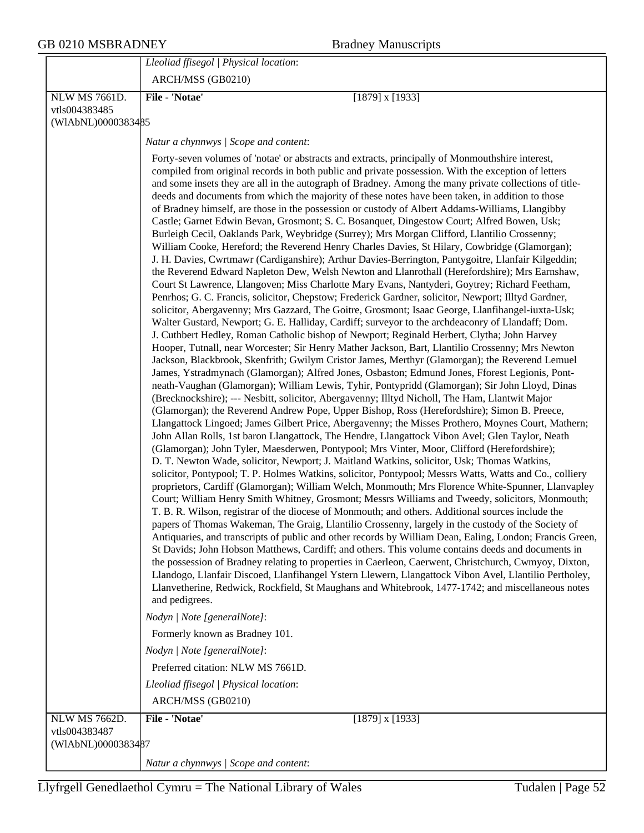|                                     | Lleoliad ffisegol   Physical location:                                                                                                                                                                                                                                                                                                                                                                                                                                                                                                                                                                                                                                                                                                                                                                                                                                                                                                                                                                                                                                                                                                                                                                                                                                                                                                                                                                                                                                                                                                                                                                                                                                                                                                                                                                                                                                                                                                                                                                                                                                                                                                                                                                                                                                                                                                                                                                                                                                                                                                                                                                                                                                                                                                                                                                                                                                                                                                                                                                                                                                                                                                                                                                                                                                                                                                                                                                                                                                                                                                                                                                                                                                                 |
|-------------------------------------|----------------------------------------------------------------------------------------------------------------------------------------------------------------------------------------------------------------------------------------------------------------------------------------------------------------------------------------------------------------------------------------------------------------------------------------------------------------------------------------------------------------------------------------------------------------------------------------------------------------------------------------------------------------------------------------------------------------------------------------------------------------------------------------------------------------------------------------------------------------------------------------------------------------------------------------------------------------------------------------------------------------------------------------------------------------------------------------------------------------------------------------------------------------------------------------------------------------------------------------------------------------------------------------------------------------------------------------------------------------------------------------------------------------------------------------------------------------------------------------------------------------------------------------------------------------------------------------------------------------------------------------------------------------------------------------------------------------------------------------------------------------------------------------------------------------------------------------------------------------------------------------------------------------------------------------------------------------------------------------------------------------------------------------------------------------------------------------------------------------------------------------------------------------------------------------------------------------------------------------------------------------------------------------------------------------------------------------------------------------------------------------------------------------------------------------------------------------------------------------------------------------------------------------------------------------------------------------------------------------------------------------------------------------------------------------------------------------------------------------------------------------------------------------------------------------------------------------------------------------------------------------------------------------------------------------------------------------------------------------------------------------------------------------------------------------------------------------------------------------------------------------------------------------------------------------------------------------------------------------------------------------------------------------------------------------------------------------------------------------------------------------------------------------------------------------------------------------------------------------------------------------------------------------------------------------------------------------------------------------------------------------------------------------------------------------|
|                                     | ARCH/MSS (GB0210)                                                                                                                                                                                                                                                                                                                                                                                                                                                                                                                                                                                                                                                                                                                                                                                                                                                                                                                                                                                                                                                                                                                                                                                                                                                                                                                                                                                                                                                                                                                                                                                                                                                                                                                                                                                                                                                                                                                                                                                                                                                                                                                                                                                                                                                                                                                                                                                                                                                                                                                                                                                                                                                                                                                                                                                                                                                                                                                                                                                                                                                                                                                                                                                                                                                                                                                                                                                                                                                                                                                                                                                                                                                                      |
| NLW MS 7661D.                       | File - 'Notae'<br>$[1879]$ x $[1933]$                                                                                                                                                                                                                                                                                                                                                                                                                                                                                                                                                                                                                                                                                                                                                                                                                                                                                                                                                                                                                                                                                                                                                                                                                                                                                                                                                                                                                                                                                                                                                                                                                                                                                                                                                                                                                                                                                                                                                                                                                                                                                                                                                                                                                                                                                                                                                                                                                                                                                                                                                                                                                                                                                                                                                                                                                                                                                                                                                                                                                                                                                                                                                                                                                                                                                                                                                                                                                                                                                                                                                                                                                                                  |
| vtls004383485                       |                                                                                                                                                                                                                                                                                                                                                                                                                                                                                                                                                                                                                                                                                                                                                                                                                                                                                                                                                                                                                                                                                                                                                                                                                                                                                                                                                                                                                                                                                                                                                                                                                                                                                                                                                                                                                                                                                                                                                                                                                                                                                                                                                                                                                                                                                                                                                                                                                                                                                                                                                                                                                                                                                                                                                                                                                                                                                                                                                                                                                                                                                                                                                                                                                                                                                                                                                                                                                                                                                                                                                                                                                                                                                        |
| (WIAbNL)0000383485                  |                                                                                                                                                                                                                                                                                                                                                                                                                                                                                                                                                                                                                                                                                                                                                                                                                                                                                                                                                                                                                                                                                                                                                                                                                                                                                                                                                                                                                                                                                                                                                                                                                                                                                                                                                                                                                                                                                                                                                                                                                                                                                                                                                                                                                                                                                                                                                                                                                                                                                                                                                                                                                                                                                                                                                                                                                                                                                                                                                                                                                                                                                                                                                                                                                                                                                                                                                                                                                                                                                                                                                                                                                                                                                        |
|                                     | Natur a chynnwys / Scope and content:                                                                                                                                                                                                                                                                                                                                                                                                                                                                                                                                                                                                                                                                                                                                                                                                                                                                                                                                                                                                                                                                                                                                                                                                                                                                                                                                                                                                                                                                                                                                                                                                                                                                                                                                                                                                                                                                                                                                                                                                                                                                                                                                                                                                                                                                                                                                                                                                                                                                                                                                                                                                                                                                                                                                                                                                                                                                                                                                                                                                                                                                                                                                                                                                                                                                                                                                                                                                                                                                                                                                                                                                                                                  |
|                                     | Forty-seven volumes of 'notae' or abstracts and extracts, principally of Monmouthshire interest,<br>compiled from original records in both public and private possession. With the exception of letters<br>and some insets they are all in the autograph of Bradney. Among the many private collections of title-<br>deeds and documents from which the majority of these notes have been taken, in addition to those<br>of Bradney himself, are those in the possession or custody of Albert Addams-Williams, Llangibby<br>Castle; Garnet Edwin Bevan, Grosmont; S. C. Bosanquet, Dingestow Court; Alfred Bowen, Usk;<br>Burleigh Cecil, Oaklands Park, Weybridge (Surrey); Mrs Morgan Clifford, Llantilio Crossenny;<br>William Cooke, Hereford; the Reverend Henry Charles Davies, St Hilary, Cowbridge (Glamorgan);<br>J. H. Davies, Cwrtmawr (Cardiganshire); Arthur Davies-Berrington, Pantygoitre, Llanfair Kilgeddin;<br>the Reverend Edward Napleton Dew, Welsh Newton and Llanrothall (Herefordshire); Mrs Earnshaw,<br>Court St Lawrence, Llangoven; Miss Charlotte Mary Evans, Nantyderi, Goytrey; Richard Feetham,<br>Penrhos; G. C. Francis, solicitor, Chepstow; Frederick Gardner, solicitor, Newport; Illtyd Gardner,<br>solicitor, Abergavenny; Mrs Gazzard, The Goitre, Grosmont; Isaac George, Llanfihangel-iuxta-Usk;<br>Walter Gustard, Newport; G. E. Halliday, Cardiff; surveyor to the archdeaconry of Llandaff; Dom.<br>J. Cuthbert Hedley, Roman Catholic bishop of Newport; Reginald Herbert, Clytha; John Harvey<br>Hooper, Tutnall, near Worcester; Sir Henry Mather Jackson, Bart, Llantilio Crossenny; Mrs Newton<br>Jackson, Blackbrook, Skenfrith; Gwilym Cristor James, Merthyr (Glamorgan); the Reverend Lemuel<br>James, Ystradmynach (Glamorgan); Alfred Jones, Osbaston; Edmund Jones, Fforest Legionis, Pont-<br>neath-Vaughan (Glamorgan); William Lewis, Tyhir, Pontypridd (Glamorgan); Sir John Lloyd, Dinas<br>(Brecknockshire); --- Nesbitt, solicitor, Abergavenny; Illtyd Nicholl, The Ham, Llantwit Major<br>(Glamorgan); the Reverend Andrew Pope, Upper Bishop, Ross (Herefordshire); Simon B. Preece,<br>Llangattock Lingoed; James Gilbert Price, Abergavenny; the Misses Prothero, Moynes Court, Mathern;<br>John Allan Rolls, 1st baron Llangattock, The Hendre, Llangattock Vibon Avel; Glen Taylor, Neath<br>(Glamorgan); John Tyler, Maesderwen, Pontypool; Mrs Vinter, Moor, Clifford (Herefordshire);<br>D. T. Newton Wade, solicitor, Newport; J. Maitland Watkins, solicitor, Usk; Thomas Watkins,<br>solicitor, Pontypool; T. P. Holmes Watkins, solicitor, Pontypool; Messrs Watts, Watts and Co., colliery<br>proprietors, Cardiff (Glamorgan); William Welch, Monmouth; Mrs Florence White-Spunner, Llanvapley<br>Court; William Henry Smith Whitney, Grosmont; Messrs Williams and Tweedy, solicitors, Monmouth;<br>T. B. R. Wilson, registrar of the diocese of Monmouth; and others. Additional sources include the<br>papers of Thomas Wakeman, The Graig, Llantilio Crossenny, largely in the custody of the Society of<br>Antiquaries, and transcripts of public and other records by William Dean, Ealing, London; Francis Green,<br>St Davids; John Hobson Matthews, Cardiff; and others. This volume contains deeds and documents in<br>the possession of Bradney relating to properties in Caerleon, Caerwent, Christchurch, Cwmyoy, Dixton,<br>Llandogo, Llanfair Discoed, Llanfihangel Ystern Llewern, Llangattock Vibon Avel, Llantilio Pertholey,<br>Llanvetherine, Redwick, Rockfield, St Maughans and Whitebrook, 1477-1742; and miscellaneous notes<br>and pedigrees.<br>Nodyn   Note [generalNote]: |
|                                     | Formerly known as Bradney 101.                                                                                                                                                                                                                                                                                                                                                                                                                                                                                                                                                                                                                                                                                                                                                                                                                                                                                                                                                                                                                                                                                                                                                                                                                                                                                                                                                                                                                                                                                                                                                                                                                                                                                                                                                                                                                                                                                                                                                                                                                                                                                                                                                                                                                                                                                                                                                                                                                                                                                                                                                                                                                                                                                                                                                                                                                                                                                                                                                                                                                                                                                                                                                                                                                                                                                                                                                                                                                                                                                                                                                                                                                                                         |
|                                     | Nodyn   Note [generalNote]:                                                                                                                                                                                                                                                                                                                                                                                                                                                                                                                                                                                                                                                                                                                                                                                                                                                                                                                                                                                                                                                                                                                                                                                                                                                                                                                                                                                                                                                                                                                                                                                                                                                                                                                                                                                                                                                                                                                                                                                                                                                                                                                                                                                                                                                                                                                                                                                                                                                                                                                                                                                                                                                                                                                                                                                                                                                                                                                                                                                                                                                                                                                                                                                                                                                                                                                                                                                                                                                                                                                                                                                                                                                            |
|                                     | Preferred citation: NLW MS 7661D.                                                                                                                                                                                                                                                                                                                                                                                                                                                                                                                                                                                                                                                                                                                                                                                                                                                                                                                                                                                                                                                                                                                                                                                                                                                                                                                                                                                                                                                                                                                                                                                                                                                                                                                                                                                                                                                                                                                                                                                                                                                                                                                                                                                                                                                                                                                                                                                                                                                                                                                                                                                                                                                                                                                                                                                                                                                                                                                                                                                                                                                                                                                                                                                                                                                                                                                                                                                                                                                                                                                                                                                                                                                      |
|                                     | Lleoliad ffisegol   Physical location:                                                                                                                                                                                                                                                                                                                                                                                                                                                                                                                                                                                                                                                                                                                                                                                                                                                                                                                                                                                                                                                                                                                                                                                                                                                                                                                                                                                                                                                                                                                                                                                                                                                                                                                                                                                                                                                                                                                                                                                                                                                                                                                                                                                                                                                                                                                                                                                                                                                                                                                                                                                                                                                                                                                                                                                                                                                                                                                                                                                                                                                                                                                                                                                                                                                                                                                                                                                                                                                                                                                                                                                                                                                 |
|                                     | ARCH/MSS (GB0210)                                                                                                                                                                                                                                                                                                                                                                                                                                                                                                                                                                                                                                                                                                                                                                                                                                                                                                                                                                                                                                                                                                                                                                                                                                                                                                                                                                                                                                                                                                                                                                                                                                                                                                                                                                                                                                                                                                                                                                                                                                                                                                                                                                                                                                                                                                                                                                                                                                                                                                                                                                                                                                                                                                                                                                                                                                                                                                                                                                                                                                                                                                                                                                                                                                                                                                                                                                                                                                                                                                                                                                                                                                                                      |
| <b>NLW MS 7662D.</b>                | File - 'Notae'<br>$[1879]$ x $[1933]$                                                                                                                                                                                                                                                                                                                                                                                                                                                                                                                                                                                                                                                                                                                                                                                                                                                                                                                                                                                                                                                                                                                                                                                                                                                                                                                                                                                                                                                                                                                                                                                                                                                                                                                                                                                                                                                                                                                                                                                                                                                                                                                                                                                                                                                                                                                                                                                                                                                                                                                                                                                                                                                                                                                                                                                                                                                                                                                                                                                                                                                                                                                                                                                                                                                                                                                                                                                                                                                                                                                                                                                                                                                  |
| vtls004383487<br>(WIAbNL)0000383487 |                                                                                                                                                                                                                                                                                                                                                                                                                                                                                                                                                                                                                                                                                                                                                                                                                                                                                                                                                                                                                                                                                                                                                                                                                                                                                                                                                                                                                                                                                                                                                                                                                                                                                                                                                                                                                                                                                                                                                                                                                                                                                                                                                                                                                                                                                                                                                                                                                                                                                                                                                                                                                                                                                                                                                                                                                                                                                                                                                                                                                                                                                                                                                                                                                                                                                                                                                                                                                                                                                                                                                                                                                                                                                        |
|                                     | Natur a chynnwys / Scope and content:                                                                                                                                                                                                                                                                                                                                                                                                                                                                                                                                                                                                                                                                                                                                                                                                                                                                                                                                                                                                                                                                                                                                                                                                                                                                                                                                                                                                                                                                                                                                                                                                                                                                                                                                                                                                                                                                                                                                                                                                                                                                                                                                                                                                                                                                                                                                                                                                                                                                                                                                                                                                                                                                                                                                                                                                                                                                                                                                                                                                                                                                                                                                                                                                                                                                                                                                                                                                                                                                                                                                                                                                                                                  |
|                                     |                                                                                                                                                                                                                                                                                                                                                                                                                                                                                                                                                                                                                                                                                                                                                                                                                                                                                                                                                                                                                                                                                                                                                                                                                                                                                                                                                                                                                                                                                                                                                                                                                                                                                                                                                                                                                                                                                                                                                                                                                                                                                                                                                                                                                                                                                                                                                                                                                                                                                                                                                                                                                                                                                                                                                                                                                                                                                                                                                                                                                                                                                                                                                                                                                                                                                                                                                                                                                                                                                                                                                                                                                                                                                        |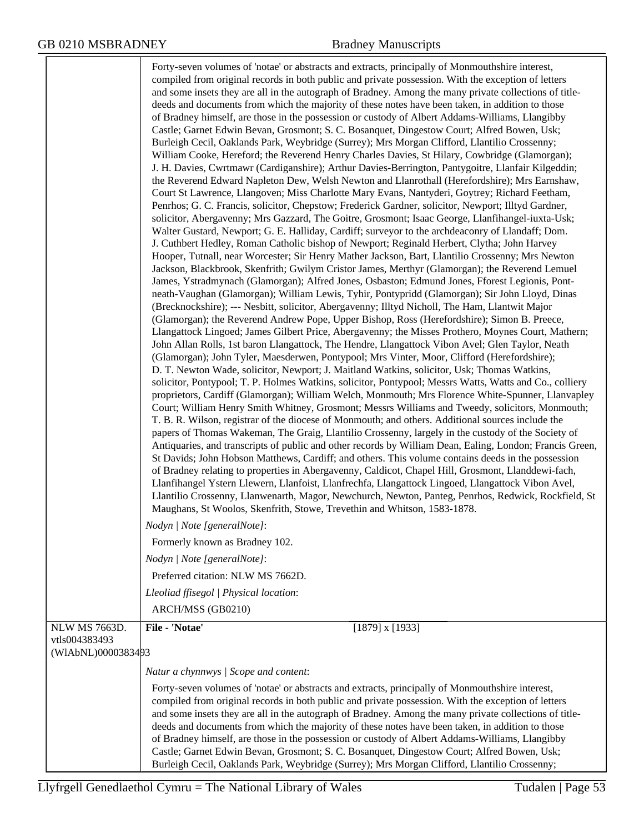|                                     | Forty-seven volumes of 'notae' or abstracts and extracts, principally of Monmouthshire interest,<br>compiled from original records in both public and private possession. With the exception of letters<br>and some insets they are all in the autograph of Bradney. Among the many private collections of title-<br>deeds and documents from which the majority of these notes have been taken, in addition to those<br>of Bradney himself, are those in the possession or custody of Albert Addams-Williams, Llangibby<br>Castle; Garnet Edwin Bevan, Grosmont; S. C. Bosanquet, Dingestow Court; Alfred Bowen, Usk;<br>Burleigh Cecil, Oaklands Park, Weybridge (Surrey); Mrs Morgan Clifford, Llantilio Crossenny;<br>William Cooke, Hereford; the Reverend Henry Charles Davies, St Hilary, Cowbridge (Glamorgan);<br>J. H. Davies, Cwrtmawr (Cardiganshire); Arthur Davies-Berrington, Pantygoitre, Llanfair Kilgeddin;<br>the Reverend Edward Napleton Dew, Welsh Newton and Llanrothall (Herefordshire); Mrs Earnshaw,<br>Court St Lawrence, Llangoven; Miss Charlotte Mary Evans, Nantyderi, Goytrey; Richard Feetham,<br>Penrhos; G. C. Francis, solicitor, Chepstow; Frederick Gardner, solicitor, Newport; Illtyd Gardner,<br>solicitor, Abergavenny; Mrs Gazzard, The Goitre, Grosmont; Isaac George, Llanfihangel-iuxta-Usk;<br>Walter Gustard, Newport; G. E. Halliday, Cardiff; surveyor to the archdeaconry of Llandaff; Dom.<br>J. Cuthbert Hedley, Roman Catholic bishop of Newport; Reginald Herbert, Clytha; John Harvey<br>Hooper, Tutnall, near Worcester; Sir Henry Mather Jackson, Bart, Llantilio Crossenny; Mrs Newton<br>Jackson, Blackbrook, Skenfrith; Gwilym Cristor James, Merthyr (Glamorgan); the Reverend Lemuel<br>James, Ystradmynach (Glamorgan); Alfred Jones, Osbaston; Edmund Jones, Fforest Legionis, Pont-<br>neath-Vaughan (Glamorgan); William Lewis, Tyhir, Pontypridd (Glamorgan); Sir John Lloyd, Dinas<br>(Brecknockshire); --- Nesbitt, solicitor, Abergavenny; Illtyd Nicholl, The Ham, Llantwit Major<br>(Glamorgan); the Reverend Andrew Pope, Upper Bishop, Ross (Herefordshire); Simon B. Preece,<br>Llangattock Lingoed; James Gilbert Price, Abergavenny; the Misses Prothero, Moynes Court, Mathern;<br>John Allan Rolls, 1st baron Llangattock, The Hendre, Llangattock Vibon Avel; Glen Taylor, Neath<br>(Glamorgan); John Tyler, Maesderwen, Pontypool; Mrs Vinter, Moor, Clifford (Herefordshire);<br>D. T. Newton Wade, solicitor, Newport; J. Maitland Watkins, solicitor, Usk; Thomas Watkins,<br>solicitor, Pontypool; T. P. Holmes Watkins, solicitor, Pontypool; Messrs Watts, Watts and Co., colliery<br>proprietors, Cardiff (Glamorgan); William Welch, Monmouth; Mrs Florence White-Spunner, Llanvapley<br>Court; William Henry Smith Whitney, Grosmont; Messrs Williams and Tweedy, solicitors, Monmouth;<br>T. B. R. Wilson, registrar of the diocese of Monmouth; and others. Additional sources include the<br>papers of Thomas Wakeman, The Graig, Llantilio Crossenny, largely in the custody of the Society of<br>Antiquaries, and transcripts of public and other records by William Dean, Ealing, London; Francis Green,<br>St Davids; John Hobson Matthews, Cardiff; and others. This volume contains deeds in the possession<br>of Bradney relating to properties in Abergavenny, Caldicot, Chapel Hill, Grosmont, Llanddewi-fach,<br>Llanfihangel Ystern Llewern, Llanfoist, Llanfrechfa, Llangattock Lingoed, Llangattock Vibon Avel,<br>Llantilio Crossenny, Llanwenarth, Magor, Newchurch, Newton, Panteg, Penrhos, Redwick, Rockfield, St<br>Maughans, St Woolos, Skenfrith, Stowe, Trevethin and Whitson, 1583-1878.<br>Nodyn   Note [generalNote]:<br>Formerly known as Bradney 102.<br>Nodyn   Note [generalNote]:<br>Preferred citation: NLW MS 7662D.<br>Lleoliad ffisegol   Physical location:<br>ARCH/MSS (GB0210) |
|-------------------------------------|-------------------------------------------------------------------------------------------------------------------------------------------------------------------------------------------------------------------------------------------------------------------------------------------------------------------------------------------------------------------------------------------------------------------------------------------------------------------------------------------------------------------------------------------------------------------------------------------------------------------------------------------------------------------------------------------------------------------------------------------------------------------------------------------------------------------------------------------------------------------------------------------------------------------------------------------------------------------------------------------------------------------------------------------------------------------------------------------------------------------------------------------------------------------------------------------------------------------------------------------------------------------------------------------------------------------------------------------------------------------------------------------------------------------------------------------------------------------------------------------------------------------------------------------------------------------------------------------------------------------------------------------------------------------------------------------------------------------------------------------------------------------------------------------------------------------------------------------------------------------------------------------------------------------------------------------------------------------------------------------------------------------------------------------------------------------------------------------------------------------------------------------------------------------------------------------------------------------------------------------------------------------------------------------------------------------------------------------------------------------------------------------------------------------------------------------------------------------------------------------------------------------------------------------------------------------------------------------------------------------------------------------------------------------------------------------------------------------------------------------------------------------------------------------------------------------------------------------------------------------------------------------------------------------------------------------------------------------------------------------------------------------------------------------------------------------------------------------------------------------------------------------------------------------------------------------------------------------------------------------------------------------------------------------------------------------------------------------------------------------------------------------------------------------------------------------------------------------------------------------------------------------------------------------------------------------------------------------------------------------------------------------------------------------------------------------------------------------------------------------------------------------------------------------------------------------------------------------------------------------------------------------------------------------|
| NLW MS 7663D.                       | File - 'Notae'<br>$[1879]$ x $[1933]$                                                                                                                                                                                                                                                                                                                                                                                                                                                                                                                                                                                                                                                                                                                                                                                                                                                                                                                                                                                                                                                                                                                                                                                                                                                                                                                                                                                                                                                                                                                                                                                                                                                                                                                                                                                                                                                                                                                                                                                                                                                                                                                                                                                                                                                                                                                                                                                                                                                                                                                                                                                                                                                                                                                                                                                                                                                                                                                                                                                                                                                                                                                                                                                                                                                                                                                                                                                                                                                                                                                                                                                                                                                                                                                                                                                                                                                                             |
| vtls004383493<br>(WIAbNL)0000383493 |                                                                                                                                                                                                                                                                                                                                                                                                                                                                                                                                                                                                                                                                                                                                                                                                                                                                                                                                                                                                                                                                                                                                                                                                                                                                                                                                                                                                                                                                                                                                                                                                                                                                                                                                                                                                                                                                                                                                                                                                                                                                                                                                                                                                                                                                                                                                                                                                                                                                                                                                                                                                                                                                                                                                                                                                                                                                                                                                                                                                                                                                                                                                                                                                                                                                                                                                                                                                                                                                                                                                                                                                                                                                                                                                                                                                                                                                                                                   |
|                                     | Natur a chynnwys / Scope and content:                                                                                                                                                                                                                                                                                                                                                                                                                                                                                                                                                                                                                                                                                                                                                                                                                                                                                                                                                                                                                                                                                                                                                                                                                                                                                                                                                                                                                                                                                                                                                                                                                                                                                                                                                                                                                                                                                                                                                                                                                                                                                                                                                                                                                                                                                                                                                                                                                                                                                                                                                                                                                                                                                                                                                                                                                                                                                                                                                                                                                                                                                                                                                                                                                                                                                                                                                                                                                                                                                                                                                                                                                                                                                                                                                                                                                                                                             |
|                                     | Forty-seven volumes of 'notae' or abstracts and extracts, principally of Monmouthshire interest,<br>compiled from original records in both public and private possession. With the exception of letters<br>and some insets they are all in the autograph of Bradney. Among the many private collections of title-<br>deeds and documents from which the majority of these notes have been taken, in addition to those<br>of Bradney himself, are those in the possession or custody of Albert Addams-Williams, Llangibby<br>Castle; Garnet Edwin Bevan, Grosmont; S. C. Bosanquet, Dingestow Court; Alfred Bowen, Usk;<br>Burleigh Cecil, Oaklands Park, Weybridge (Surrey); Mrs Morgan Clifford, Llantilio Crossenny;                                                                                                                                                                                                                                                                                                                                                                                                                                                                                                                                                                                                                                                                                                                                                                                                                                                                                                                                                                                                                                                                                                                                                                                                                                                                                                                                                                                                                                                                                                                                                                                                                                                                                                                                                                                                                                                                                                                                                                                                                                                                                                                                                                                                                                                                                                                                                                                                                                                                                                                                                                                                                                                                                                                                                                                                                                                                                                                                                                                                                                                                                                                                                                                            |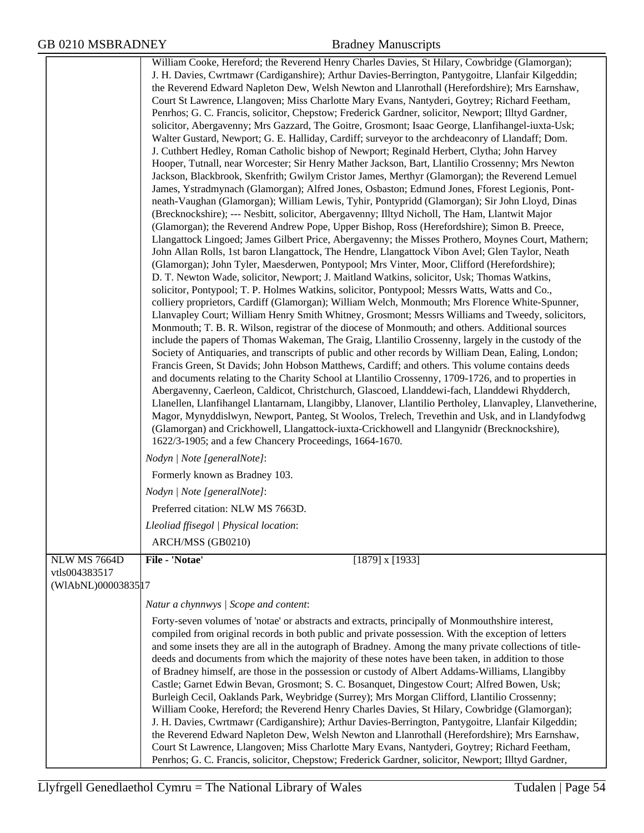|                     | William Cooke, Hereford; the Reverend Henry Charles Davies, St Hilary, Cowbridge (Glamorgan);            |
|---------------------|----------------------------------------------------------------------------------------------------------|
|                     | J. H. Davies, Cwrtmawr (Cardiganshire); Arthur Davies-Berrington, Pantygoitre, Llanfair Kilgeddin;       |
|                     | the Reverend Edward Napleton Dew, Welsh Newton and Llanrothall (Herefordshire); Mrs Earnshaw,            |
|                     | Court St Lawrence, Llangoven; Miss Charlotte Mary Evans, Nantyderi, Goytrey; Richard Feetham,            |
|                     | Penrhos; G. C. Francis, solicitor, Chepstow; Frederick Gardner, solicitor, Newport; Illtyd Gardner,      |
|                     | solicitor, Abergavenny; Mrs Gazzard, The Goitre, Grosmont; Isaac George, Llanfihangel-iuxta-Usk;         |
|                     | Walter Gustard, Newport; G. E. Halliday, Cardiff; surveyor to the archdeaconry of Llandaff; Dom.         |
|                     | J. Cuthbert Hedley, Roman Catholic bishop of Newport; Reginald Herbert, Clytha; John Harvey              |
|                     | Hooper, Tutnall, near Worcester; Sir Henry Mather Jackson, Bart, Llantilio Crossenny; Mrs Newton         |
|                     | Jackson, Blackbrook, Skenfrith; Gwilym Cristor James, Merthyr (Glamorgan); the Reverend Lemuel           |
|                     | James, Ystradmynach (Glamorgan); Alfred Jones, Osbaston; Edmund Jones, Fforest Legionis, Pont-           |
|                     | neath-Vaughan (Glamorgan); William Lewis, Tyhir, Pontypridd (Glamorgan); Sir John Lloyd, Dinas           |
|                     | (Brecknockshire); --- Nesbitt, solicitor, Abergavenny; Illtyd Nicholl, The Ham, Llantwit Major           |
|                     | (Glamorgan); the Reverend Andrew Pope, Upper Bishop, Ross (Herefordshire); Simon B. Preece,              |
|                     | Llangattock Lingoed; James Gilbert Price, Abergavenny; the Misses Prothero, Moynes Court, Mathern;       |
|                     | John Allan Rolls, 1st baron Llangattock, The Hendre, Llangattock Vibon Avel; Glen Taylor, Neath          |
|                     | (Glamorgan); John Tyler, Maesderwen, Pontypool; Mrs Vinter, Moor, Clifford (Herefordshire);              |
|                     | D. T. Newton Wade, solicitor, Newport; J. Maitland Watkins, solicitor, Usk; Thomas Watkins,              |
|                     | solicitor, Pontypool; T. P. Holmes Watkins, solicitor, Pontypool; Messrs Watts, Watts and Co.,           |
|                     | colliery proprietors, Cardiff (Glamorgan); William Welch, Monmouth; Mrs Florence White-Spunner,          |
|                     | Llanvapley Court; William Henry Smith Whitney, Grosmont; Messrs Williams and Tweedy, solicitors,         |
|                     | Monmouth; T. B. R. Wilson, registrar of the diocese of Monmouth; and others. Additional sources          |
|                     | include the papers of Thomas Wakeman, The Graig, Llantilio Crossenny, largely in the custody of the      |
|                     | Society of Antiquaries, and transcripts of public and other records by William Dean, Ealing, London;     |
|                     | Francis Green, St Davids; John Hobson Matthews, Cardiff; and others. This volume contains deeds          |
|                     | and documents relating to the Charity School at Llantilio Crossenny, 1709-1726, and to properties in     |
|                     | Abergavenny, Caerleon, Caldicot, Christchurch, Glascoed, Llanddewi-fach, Llanddewi Rhydderch,            |
|                     | Llanellen, Llanfihangel Llantarnam, Llangibby, Llanover, Llantilio Pertholey, Llanvapley, Llanvetherine, |
|                     | Magor, Mynyddislwyn, Newport, Panteg, St Woolos, Trelech, Trevethin and Usk, and in Llandyfodwg          |
|                     | (Glamorgan) and Crickhowell, Llangattock-iuxta-Crickhowell and Llangynidr (Brecknockshire),              |
|                     | 1622/3-1905; and a few Chancery Proceedings, 1664-1670.                                                  |
|                     | Nodyn   Note [generalNote]:                                                                              |
|                     | Formerly known as Bradney 103.                                                                           |
|                     | Nodyn   Note [generalNote]:                                                                              |
|                     | Preferred citation: NLW MS 7663D.                                                                        |
|                     | Lleoliad ffisegol   Physical location:                                                                   |
|                     | ARCH/MSS (GB0210)                                                                                        |
| <b>NLW MS 7664D</b> | File - 'Notae'<br>$[1879]$ x $[1933]$                                                                    |
| vtls004383517       |                                                                                                          |
| (WIAbNL)00003835 17 |                                                                                                          |
|                     | Natur a chynnwys / Scope and content:                                                                    |
|                     | Forty-seven volumes of 'notae' or abstracts and extracts, principally of Monmouthshire interest,         |
|                     | compiled from original records in both public and private possession. With the exception of letters      |
|                     | and some insets they are all in the autograph of Bradney. Among the many private collections of title-   |
|                     | deeds and documents from which the majority of these notes have been taken, in addition to those         |
|                     | of Bradney himself, are those in the possession or custody of Albert Addams-Williams, Llangibby          |
|                     | Castle; Garnet Edwin Bevan, Grosmont; S. C. Bosanquet, Dingestow Court; Alfred Bowen, Usk;               |
|                     | Burleigh Cecil, Oaklands Park, Weybridge (Surrey); Mrs Morgan Clifford, Llantilio Crossenny;             |
|                     | William Cooke, Hereford; the Reverend Henry Charles Davies, St Hilary, Cowbridge (Glamorgan);            |
|                     | J. H. Davies, Cwrtmawr (Cardiganshire); Arthur Davies-Berrington, Pantygoitre, Llanfair Kilgeddin;       |
|                     | the Reverend Edward Napleton Dew, Welsh Newton and Llanrothall (Herefordshire); Mrs Earnshaw,            |
|                     | Court St Lawrence, Llangoven; Miss Charlotte Mary Evans, Nantyderi, Goytrey; Richard Feetham,            |
|                     | Penrhos; G. C. Francis, solicitor, Chepstow; Frederick Gardner, solicitor, Newport; Illtyd Gardner,      |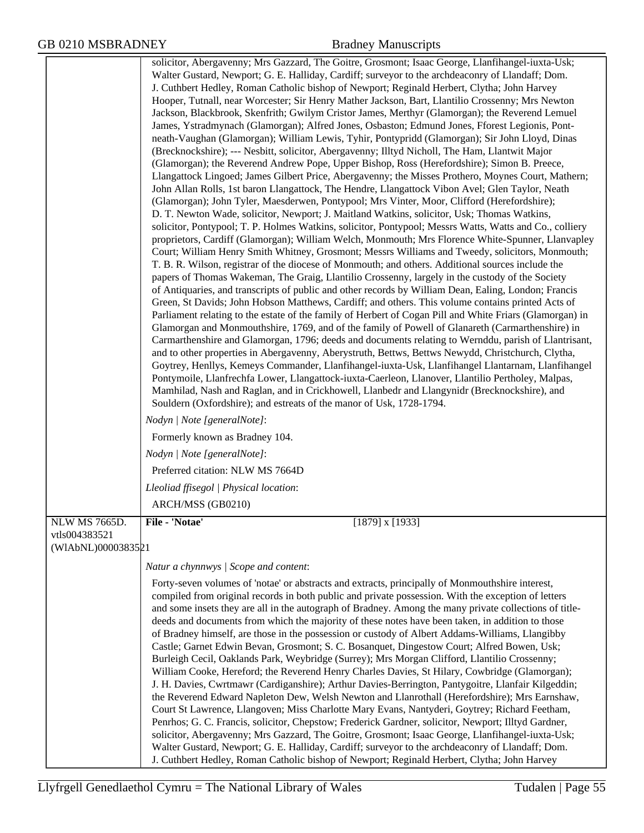|                     | solicitor, Abergavenny; Mrs Gazzard, The Goitre, Grosmont; Isaac George, Llanfihangel-iuxta-Usk;                                                                                                          |
|---------------------|-----------------------------------------------------------------------------------------------------------------------------------------------------------------------------------------------------------|
|                     | Walter Gustard, Newport; G. E. Halliday, Cardiff; surveyor to the archdeaconry of Llandaff; Dom.                                                                                                          |
|                     | J. Cuthbert Hedley, Roman Catholic bishop of Newport; Reginald Herbert, Clytha; John Harvey                                                                                                               |
|                     | Hooper, Tutnall, near Worcester; Sir Henry Mather Jackson, Bart, Llantilio Crossenny; Mrs Newton                                                                                                          |
|                     | Jackson, Blackbrook, Skenfrith; Gwilym Cristor James, Merthyr (Glamorgan); the Reverend Lemuel                                                                                                            |
|                     | James, Ystradmynach (Glamorgan); Alfred Jones, Osbaston; Edmund Jones, Fforest Legionis, Pont-                                                                                                            |
|                     | neath-Vaughan (Glamorgan); William Lewis, Tyhir, Pontypridd (Glamorgan); Sir John Lloyd, Dinas                                                                                                            |
|                     | (Brecknockshire); --- Nesbitt, solicitor, Abergavenny; Illtyd Nicholl, The Ham, Llantwit Major                                                                                                            |
|                     | (Glamorgan); the Reverend Andrew Pope, Upper Bishop, Ross (Herefordshire); Simon B. Preece,<br>Llangattock Lingoed; James Gilbert Price, Abergavenny; the Misses Prothero, Moynes Court, Mathern;         |
|                     | John Allan Rolls, 1st baron Llangattock, The Hendre, Llangattock Vibon Avel; Glen Taylor, Neath                                                                                                           |
|                     | (Glamorgan); John Tyler, Maesderwen, Pontypool; Mrs Vinter, Moor, Clifford (Herefordshire);                                                                                                               |
|                     | D. T. Newton Wade, solicitor, Newport; J. Maitland Watkins, solicitor, Usk; Thomas Watkins,                                                                                                               |
|                     | solicitor, Pontypool; T. P. Holmes Watkins, solicitor, Pontypool; Messrs Watts, Watts and Co., colliery                                                                                                   |
|                     | proprietors, Cardiff (Glamorgan); William Welch, Monmouth; Mrs Florence White-Spunner, Llanvapley                                                                                                         |
|                     | Court; William Henry Smith Whitney, Grosmont; Messrs Williams and Tweedy, solicitors, Monmouth;                                                                                                           |
|                     | T. B. R. Wilson, registrar of the diocese of Monmouth; and others. Additional sources include the                                                                                                         |
|                     | papers of Thomas Wakeman, The Graig, Llantilio Crossenny, largely in the custody of the Society                                                                                                           |
|                     | of Antiquaries, and transcripts of public and other records by William Dean, Ealing, London; Francis<br>Green, St Davids; John Hobson Matthews, Cardiff; and others. This volume contains printed Acts of |
|                     | Parliament relating to the estate of the family of Herbert of Cogan Pill and White Friars (Glamorgan) in                                                                                                  |
|                     | Glamorgan and Monmouthshire, 1769, and of the family of Powell of Glanareth (Carmarthenshire) in                                                                                                          |
|                     | Carmarthenshire and Glamorgan, 1796; deeds and documents relating to Wernddu, parish of Llantrisant,                                                                                                      |
|                     | and to other properties in Abergavenny, Aberystruth, Bettws, Bettws Newydd, Christchurch, Clytha,                                                                                                         |
|                     | Goytrey, Henllys, Kemeys Commander, Llanfihangel-iuxta-Usk, Llanfihangel Llantarnam, Llanfihangel                                                                                                         |
|                     | Pontymoile, Llanfrechfa Lower, Llangattock-iuxta-Caerleon, Llanover, Llantilio Pertholey, Malpas,                                                                                                         |
|                     | Mamhilad, Nash and Raglan, and in Crickhowell, Llanbedr and Llangynidr (Brecknockshire), and                                                                                                              |
|                     | Souldern (Oxfordshire); and estreats of the manor of Usk, 1728-1794.                                                                                                                                      |
|                     | Nodyn   Note [generalNote]:                                                                                                                                                                               |
|                     | Formerly known as Bradney 104.                                                                                                                                                                            |
|                     | Nodyn   Note [generalNote]:                                                                                                                                                                               |
|                     | Preferred citation: NLW MS 7664D                                                                                                                                                                          |
|                     | Lleoliad ffisegol   Physical location:                                                                                                                                                                    |
|                     | ARCH/MSS (GB0210)                                                                                                                                                                                         |
| <b>NLW MS 7665D</b> | File - 'Notae'<br>$[1879]$ x $[1933]$                                                                                                                                                                     |
| vtls004383521       |                                                                                                                                                                                                           |
| (WIAbNL)0000383521  |                                                                                                                                                                                                           |
|                     | Natur a chynnwys / Scope and content:                                                                                                                                                                     |
|                     | Forty-seven volumes of 'notae' or abstracts and extracts, principally of Monmouthshire interest,                                                                                                          |
|                     | compiled from original records in both public and private possession. With the exception of letters                                                                                                       |
|                     | and some insets they are all in the autograph of Bradney. Among the many private collections of title-                                                                                                    |
|                     | deeds and documents from which the majority of these notes have been taken, in addition to those                                                                                                          |
|                     | of Bradney himself, are those in the possession or custody of Albert Addams-Williams, Llangibby<br>Castle; Garnet Edwin Bevan, Grosmont; S. C. Bosanquet, Dingestow Court; Alfred Bowen, Usk;             |
|                     | Burleigh Cecil, Oaklands Park, Weybridge (Surrey); Mrs Morgan Clifford, Llantilio Crossenny;                                                                                                              |
|                     | William Cooke, Hereford; the Reverend Henry Charles Davies, St Hilary, Cowbridge (Glamorgan);                                                                                                             |
|                     | J. H. Davies, Cwrtmawr (Cardiganshire); Arthur Davies-Berrington, Pantygoitre, Llanfair Kilgeddin;                                                                                                        |
|                     | the Reverend Edward Napleton Dew, Welsh Newton and Llanrothall (Herefordshire); Mrs Earnshaw,                                                                                                             |
|                     | Court St Lawrence, Llangoven; Miss Charlotte Mary Evans, Nantyderi, Goytrey; Richard Feetham,                                                                                                             |
|                     | Penrhos; G. C. Francis, solicitor, Chepstow; Frederick Gardner, solicitor, Newport; Illtyd Gardner,                                                                                                       |
|                     | solicitor, Abergavenny; Mrs Gazzard, The Goitre, Grosmont; Isaac George, Llanfihangel-iuxta-Usk;                                                                                                          |
|                     | Walter Gustard, Newport; G. E. Halliday, Cardiff; surveyor to the archdeaconry of Llandaff; Dom.                                                                                                          |
|                     | J. Cuthbert Hedley, Roman Catholic bishop of Newport; Reginald Herbert, Clytha; John Harvey                                                                                                               |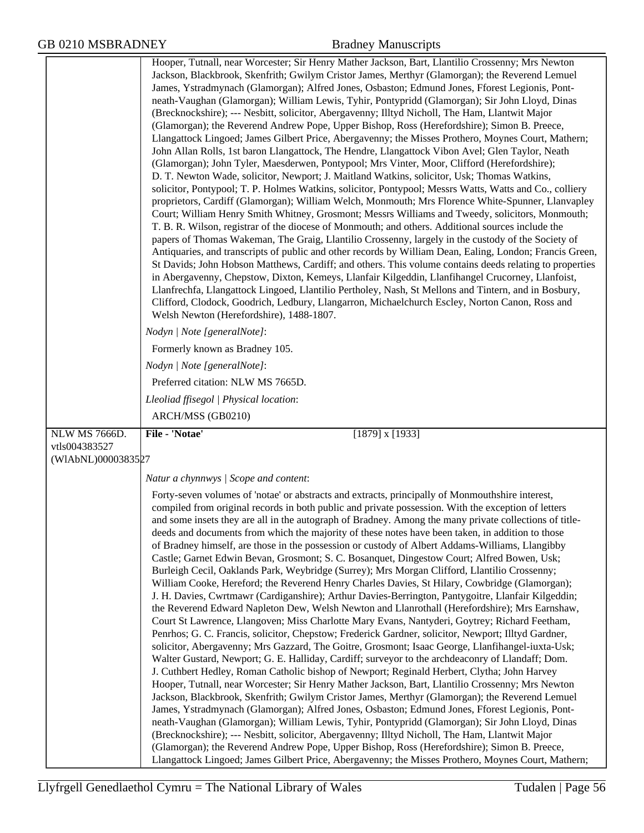|                    | Hooper, Tutnall, near Worcester; Sir Henry Mather Jackson, Bart, Llantilio Crossenny; Mrs Newton<br>Jackson, Blackbrook, Skenfrith; Gwilym Cristor James, Merthyr (Glamorgan); the Reverend Lemuel<br>James, Ystradmynach (Glamorgan); Alfred Jones, Osbaston; Edmund Jones, Fforest Legionis, Pont-<br>neath-Vaughan (Glamorgan); William Lewis, Tyhir, Pontypridd (Glamorgan); Sir John Lloyd, Dinas<br>(Brecknockshire); --- Nesbitt, solicitor, Abergavenny; Illtyd Nicholl, The Ham, Llantwit Major<br>(Glamorgan); the Reverend Andrew Pope, Upper Bishop, Ross (Herefordshire); Simon B. Preece,<br>Llangattock Lingoed; James Gilbert Price, Abergavenny; the Misses Prothero, Moynes Court, Mathern;<br>John Allan Rolls, 1st baron Llangattock, The Hendre, Llangattock Vibon Avel; Glen Taylor, Neath<br>(Glamorgan); John Tyler, Maesderwen, Pontypool; Mrs Vinter, Moor, Clifford (Herefordshire);<br>D. T. Newton Wade, solicitor, Newport; J. Maitland Watkins, solicitor, Usk; Thomas Watkins,<br>solicitor, Pontypool; T. P. Holmes Watkins, solicitor, Pontypool; Messrs Watts, Watts and Co., colliery<br>proprietors, Cardiff (Glamorgan); William Welch, Monmouth; Mrs Florence White-Spunner, Llanvapley<br>Court; William Henry Smith Whitney, Grosmont; Messrs Williams and Tweedy, solicitors, Monmouth;<br>T. B. R. Wilson, registrar of the diocese of Monmouth; and others. Additional sources include the<br>papers of Thomas Wakeman, The Graig, Llantilio Crossenny, largely in the custody of the Society of<br>Antiquaries, and transcripts of public and other records by William Dean, Ealing, London; Francis Green,<br>St Davids; John Hobson Matthews, Cardiff; and others. This volume contains deeds relating to properties<br>in Abergavenny, Chepstow, Dixton, Kemeys, Llanfair Kilgeddin, Llanfihangel Crucorney, Llanfoist,<br>Llanfrechfa, Llangattock Lingoed, Llantilio Pertholey, Nash, St Mellons and Tintern, and in Bosbury,<br>Clifford, Clodock, Goodrich, Ledbury, Llangarron, Michaelchurch Escley, Norton Canon, Ross and<br>Welsh Newton (Herefordshire), 1488-1807.                                                                                                                                  |
|--------------------|----------------------------------------------------------------------------------------------------------------------------------------------------------------------------------------------------------------------------------------------------------------------------------------------------------------------------------------------------------------------------------------------------------------------------------------------------------------------------------------------------------------------------------------------------------------------------------------------------------------------------------------------------------------------------------------------------------------------------------------------------------------------------------------------------------------------------------------------------------------------------------------------------------------------------------------------------------------------------------------------------------------------------------------------------------------------------------------------------------------------------------------------------------------------------------------------------------------------------------------------------------------------------------------------------------------------------------------------------------------------------------------------------------------------------------------------------------------------------------------------------------------------------------------------------------------------------------------------------------------------------------------------------------------------------------------------------------------------------------------------------------------------------------------------------------------------------------------------------------------------------------------------------------------------------------------------------------------------------------------------------------------------------------------------------------------------------------------------------------------------------------------------------------------------------------------------------------------------------------------------------------------|
|                    | Nodyn   Note [generalNote]:                                                                                                                                                                                                                                                                                                                                                                                                                                                                                                                                                                                                                                                                                                                                                                                                                                                                                                                                                                                                                                                                                                                                                                                                                                                                                                                                                                                                                                                                                                                                                                                                                                                                                                                                                                                                                                                                                                                                                                                                                                                                                                                                                                                                                                    |
|                    | Formerly known as Bradney 105.                                                                                                                                                                                                                                                                                                                                                                                                                                                                                                                                                                                                                                                                                                                                                                                                                                                                                                                                                                                                                                                                                                                                                                                                                                                                                                                                                                                                                                                                                                                                                                                                                                                                                                                                                                                                                                                                                                                                                                                                                                                                                                                                                                                                                                 |
|                    | Nodyn   Note [generalNote]:                                                                                                                                                                                                                                                                                                                                                                                                                                                                                                                                                                                                                                                                                                                                                                                                                                                                                                                                                                                                                                                                                                                                                                                                                                                                                                                                                                                                                                                                                                                                                                                                                                                                                                                                                                                                                                                                                                                                                                                                                                                                                                                                                                                                                                    |
|                    | Preferred citation: NLW MS 7665D.                                                                                                                                                                                                                                                                                                                                                                                                                                                                                                                                                                                                                                                                                                                                                                                                                                                                                                                                                                                                                                                                                                                                                                                                                                                                                                                                                                                                                                                                                                                                                                                                                                                                                                                                                                                                                                                                                                                                                                                                                                                                                                                                                                                                                              |
|                    | Lleoliad ffisegol   Physical location:                                                                                                                                                                                                                                                                                                                                                                                                                                                                                                                                                                                                                                                                                                                                                                                                                                                                                                                                                                                                                                                                                                                                                                                                                                                                                                                                                                                                                                                                                                                                                                                                                                                                                                                                                                                                                                                                                                                                                                                                                                                                                                                                                                                                                         |
|                    | ARCH/MSS (GB0210)                                                                                                                                                                                                                                                                                                                                                                                                                                                                                                                                                                                                                                                                                                                                                                                                                                                                                                                                                                                                                                                                                                                                                                                                                                                                                                                                                                                                                                                                                                                                                                                                                                                                                                                                                                                                                                                                                                                                                                                                                                                                                                                                                                                                                                              |
| NLW MS 7666D.      | File - 'Notae'<br>$[1879]$ x $[1933]$                                                                                                                                                                                                                                                                                                                                                                                                                                                                                                                                                                                                                                                                                                                                                                                                                                                                                                                                                                                                                                                                                                                                                                                                                                                                                                                                                                                                                                                                                                                                                                                                                                                                                                                                                                                                                                                                                                                                                                                                                                                                                                                                                                                                                          |
| vtls004383527      |                                                                                                                                                                                                                                                                                                                                                                                                                                                                                                                                                                                                                                                                                                                                                                                                                                                                                                                                                                                                                                                                                                                                                                                                                                                                                                                                                                                                                                                                                                                                                                                                                                                                                                                                                                                                                                                                                                                                                                                                                                                                                                                                                                                                                                                                |
| (WIAbNL)0000383527 |                                                                                                                                                                                                                                                                                                                                                                                                                                                                                                                                                                                                                                                                                                                                                                                                                                                                                                                                                                                                                                                                                                                                                                                                                                                                                                                                                                                                                                                                                                                                                                                                                                                                                                                                                                                                                                                                                                                                                                                                                                                                                                                                                                                                                                                                |
|                    | Natur a chynnwys / Scope and content:                                                                                                                                                                                                                                                                                                                                                                                                                                                                                                                                                                                                                                                                                                                                                                                                                                                                                                                                                                                                                                                                                                                                                                                                                                                                                                                                                                                                                                                                                                                                                                                                                                                                                                                                                                                                                                                                                                                                                                                                                                                                                                                                                                                                                          |
|                    | Forty-seven volumes of 'notae' or abstracts and extracts, principally of Monmouthshire interest,<br>compiled from original records in both public and private possession. With the exception of letters<br>and some insets they are all in the autograph of Bradney. Among the many private collections of title-<br>deeds and documents from which the majority of these notes have been taken, in addition to those<br>of Bradney himself, are those in the possession or custody of Albert Addams-Williams, Llangibby<br>Castle; Garnet Edwin Bevan, Grosmont; S. C. Bosanquet, Dingestow Court; Alfred Bowen, Usk;<br>Burleigh Cecil, Oaklands Park, Weybridge (Surrey); Mrs Morgan Clifford, Llantilio Crossenny;<br>William Cooke, Hereford; the Reverend Henry Charles Davies, St Hilary, Cowbridge (Glamorgan);<br>J. H. Davies, Cwrtmawr (Cardiganshire); Arthur Davies-Berrington, Pantygoitre, Llanfair Kilgeddin;<br>the Reverend Edward Napleton Dew, Welsh Newton and Llanrothall (Herefordshire); Mrs Earnshaw,<br>Court St Lawrence, Llangoven; Miss Charlotte Mary Evans, Nantyderi, Goytrey; Richard Feetham,<br>Penrhos; G. C. Francis, solicitor, Chepstow; Frederick Gardner, solicitor, Newport; Illtyd Gardner,<br>solicitor, Abergavenny; Mrs Gazzard, The Goitre, Grosmont; Isaac George, Llanfihangel-iuxta-Usk;<br>Walter Gustard, Newport; G. E. Halliday, Cardiff; surveyor to the archdeaconry of Llandaff; Dom.<br>J. Cuthbert Hedley, Roman Catholic bishop of Newport; Reginald Herbert, Clytha; John Harvey<br>Hooper, Tutnall, near Worcester; Sir Henry Mather Jackson, Bart, Llantilio Crossenny; Mrs Newton<br>Jackson, Blackbrook, Skenfrith; Gwilym Cristor James, Merthyr (Glamorgan); the Reverend Lemuel<br>James, Ystradmynach (Glamorgan); Alfred Jones, Osbaston; Edmund Jones, Fforest Legionis, Pont-<br>neath-Vaughan (Glamorgan); William Lewis, Tyhir, Pontypridd (Glamorgan); Sir John Lloyd, Dinas<br>(Brecknockshire); --- Nesbitt, solicitor, Abergavenny; Illtyd Nicholl, The Ham, Llantwit Major<br>(Glamorgan); the Reverend Andrew Pope, Upper Bishop, Ross (Herefordshire); Simon B. Preece,<br>Llangattock Lingoed; James Gilbert Price, Abergavenny; the Misses Prothero, Moynes Court, Mathern; |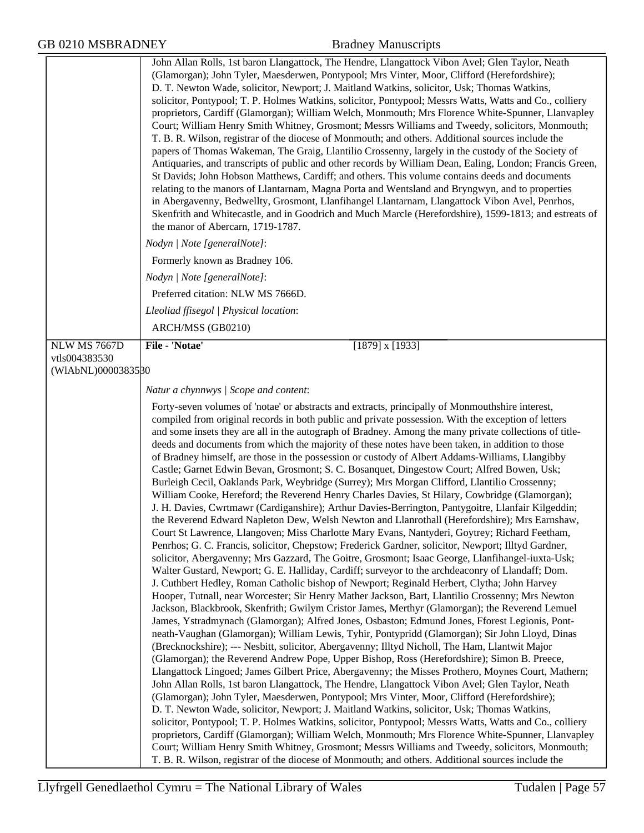|                     | John Allan Rolls, 1st baron Llangattock, The Hendre, Llangattock Vibon Avel; Glen Taylor, Neath<br>(Glamorgan); John Tyler, Maesderwen, Pontypool; Mrs Vinter, Moor, Clifford (Herefordshire);<br>D. T. Newton Wade, solicitor, Newport; J. Maitland Watkins, solicitor, Usk; Thomas Watkins,<br>solicitor, Pontypool; T. P. Holmes Watkins, solicitor, Pontypool; Messrs Watts, Watts and Co., colliery<br>proprietors, Cardiff (Glamorgan); William Welch, Monmouth; Mrs Florence White-Spunner, Llanvapley<br>Court; William Henry Smith Whitney, Grosmont; Messrs Williams and Tweedy, solicitors, Monmouth;<br>T. B. R. Wilson, registrar of the diocese of Monmouth; and others. Additional sources include the<br>papers of Thomas Wakeman, The Graig, Llantilio Crossenny, largely in the custody of the Society of<br>Antiquaries, and transcripts of public and other records by William Dean, Ealing, London; Francis Green,<br>St Davids; John Hobson Matthews, Cardiff; and others. This volume contains deeds and documents<br>relating to the manors of Llantarnam, Magna Porta and Wentsland and Bryngwyn, and to properties<br>in Abergavenny, Bedwellty, Grosmont, Llanfihangel Llantarnam, Llangattock Vibon Avel, Penrhos,<br>Skenfrith and Whitecastle, and in Goodrich and Much Marcle (Herefordshire), 1599-1813; and estreats of<br>the manor of Abercarn, 1719-1787.                                                                                                                                                                                                                                                                                                                                                                                                                                                                                                                                                                                                                                                                                                                                                                                                                                                                                                                                                                                                                                                                                                                                                                                                                                                                                                                                                                                                                                                                                                                                                                                           |
|---------------------|-----------------------------------------------------------------------------------------------------------------------------------------------------------------------------------------------------------------------------------------------------------------------------------------------------------------------------------------------------------------------------------------------------------------------------------------------------------------------------------------------------------------------------------------------------------------------------------------------------------------------------------------------------------------------------------------------------------------------------------------------------------------------------------------------------------------------------------------------------------------------------------------------------------------------------------------------------------------------------------------------------------------------------------------------------------------------------------------------------------------------------------------------------------------------------------------------------------------------------------------------------------------------------------------------------------------------------------------------------------------------------------------------------------------------------------------------------------------------------------------------------------------------------------------------------------------------------------------------------------------------------------------------------------------------------------------------------------------------------------------------------------------------------------------------------------------------------------------------------------------------------------------------------------------------------------------------------------------------------------------------------------------------------------------------------------------------------------------------------------------------------------------------------------------------------------------------------------------------------------------------------------------------------------------------------------------------------------------------------------------------------------------------------------------------------------------------------------------------------------------------------------------------------------------------------------------------------------------------------------------------------------------------------------------------------------------------------------------------------------------------------------------------------------------------------------------------------------------------------------------------------------------------------------------------------------------------------------------------------------------|
|                     | Nodyn   Note [generalNote]:                                                                                                                                                                                                                                                                                                                                                                                                                                                                                                                                                                                                                                                                                                                                                                                                                                                                                                                                                                                                                                                                                                                                                                                                                                                                                                                                                                                                                                                                                                                                                                                                                                                                                                                                                                                                                                                                                                                                                                                                                                                                                                                                                                                                                                                                                                                                                                                                                                                                                                                                                                                                                                                                                                                                                                                                                                                                                                                                                             |
|                     | Formerly known as Bradney 106.                                                                                                                                                                                                                                                                                                                                                                                                                                                                                                                                                                                                                                                                                                                                                                                                                                                                                                                                                                                                                                                                                                                                                                                                                                                                                                                                                                                                                                                                                                                                                                                                                                                                                                                                                                                                                                                                                                                                                                                                                                                                                                                                                                                                                                                                                                                                                                                                                                                                                                                                                                                                                                                                                                                                                                                                                                                                                                                                                          |
|                     | Nodyn   Note [generalNote]:                                                                                                                                                                                                                                                                                                                                                                                                                                                                                                                                                                                                                                                                                                                                                                                                                                                                                                                                                                                                                                                                                                                                                                                                                                                                                                                                                                                                                                                                                                                                                                                                                                                                                                                                                                                                                                                                                                                                                                                                                                                                                                                                                                                                                                                                                                                                                                                                                                                                                                                                                                                                                                                                                                                                                                                                                                                                                                                                                             |
|                     | Preferred citation: NLW MS 7666D.                                                                                                                                                                                                                                                                                                                                                                                                                                                                                                                                                                                                                                                                                                                                                                                                                                                                                                                                                                                                                                                                                                                                                                                                                                                                                                                                                                                                                                                                                                                                                                                                                                                                                                                                                                                                                                                                                                                                                                                                                                                                                                                                                                                                                                                                                                                                                                                                                                                                                                                                                                                                                                                                                                                                                                                                                                                                                                                                                       |
|                     | Lleoliad ffisegol   Physical location:                                                                                                                                                                                                                                                                                                                                                                                                                                                                                                                                                                                                                                                                                                                                                                                                                                                                                                                                                                                                                                                                                                                                                                                                                                                                                                                                                                                                                                                                                                                                                                                                                                                                                                                                                                                                                                                                                                                                                                                                                                                                                                                                                                                                                                                                                                                                                                                                                                                                                                                                                                                                                                                                                                                                                                                                                                                                                                                                                  |
|                     | ARCH/MSS (GB0210)                                                                                                                                                                                                                                                                                                                                                                                                                                                                                                                                                                                                                                                                                                                                                                                                                                                                                                                                                                                                                                                                                                                                                                                                                                                                                                                                                                                                                                                                                                                                                                                                                                                                                                                                                                                                                                                                                                                                                                                                                                                                                                                                                                                                                                                                                                                                                                                                                                                                                                                                                                                                                                                                                                                                                                                                                                                                                                                                                                       |
| <b>NLW MS 7667D</b> | File - 'Notae'<br>$[1879]$ x $[1933]$                                                                                                                                                                                                                                                                                                                                                                                                                                                                                                                                                                                                                                                                                                                                                                                                                                                                                                                                                                                                                                                                                                                                                                                                                                                                                                                                                                                                                                                                                                                                                                                                                                                                                                                                                                                                                                                                                                                                                                                                                                                                                                                                                                                                                                                                                                                                                                                                                                                                                                                                                                                                                                                                                                                                                                                                                                                                                                                                                   |
| vtls004383530       |                                                                                                                                                                                                                                                                                                                                                                                                                                                                                                                                                                                                                                                                                                                                                                                                                                                                                                                                                                                                                                                                                                                                                                                                                                                                                                                                                                                                                                                                                                                                                                                                                                                                                                                                                                                                                                                                                                                                                                                                                                                                                                                                                                                                                                                                                                                                                                                                                                                                                                                                                                                                                                                                                                                                                                                                                                                                                                                                                                                         |
| (WIAbNL)0000383580  |                                                                                                                                                                                                                                                                                                                                                                                                                                                                                                                                                                                                                                                                                                                                                                                                                                                                                                                                                                                                                                                                                                                                                                                                                                                                                                                                                                                                                                                                                                                                                                                                                                                                                                                                                                                                                                                                                                                                                                                                                                                                                                                                                                                                                                                                                                                                                                                                                                                                                                                                                                                                                                                                                                                                                                                                                                                                                                                                                                                         |
|                     | Natur a chynnwys / Scope and content:                                                                                                                                                                                                                                                                                                                                                                                                                                                                                                                                                                                                                                                                                                                                                                                                                                                                                                                                                                                                                                                                                                                                                                                                                                                                                                                                                                                                                                                                                                                                                                                                                                                                                                                                                                                                                                                                                                                                                                                                                                                                                                                                                                                                                                                                                                                                                                                                                                                                                                                                                                                                                                                                                                                                                                                                                                                                                                                                                   |
|                     | Forty-seven volumes of 'notae' or abstracts and extracts, principally of Monmouthshire interest,<br>compiled from original records in both public and private possession. With the exception of letters<br>and some insets they are all in the autograph of Bradney. Among the many private collections of title-<br>deeds and documents from which the majority of these notes have been taken, in addition to those<br>of Bradney himself, are those in the possession or custody of Albert Addams-Williams, Llangibby<br>Castle; Garnet Edwin Bevan, Grosmont; S. C. Bosanquet, Dingestow Court; Alfred Bowen, Usk;<br>Burleigh Cecil, Oaklands Park, Weybridge (Surrey); Mrs Morgan Clifford, Llantilio Crossenny;<br>William Cooke, Hereford; the Reverend Henry Charles Davies, St Hilary, Cowbridge (Glamorgan);<br>J. H. Davies, Cwrtmawr (Cardiganshire); Arthur Davies-Berrington, Pantygoitre, Llanfair Kilgeddin;<br>the Reverend Edward Napleton Dew, Welsh Newton and Llanrothall (Herefordshire); Mrs Earnshaw,<br>Court St Lawrence, Llangoven; Miss Charlotte Mary Evans, Nantyderi, Goytrey; Richard Feetham,<br>Penrhos; G. C. Francis, solicitor, Chepstow; Frederick Gardner, solicitor, Newport; Illtyd Gardner,<br>solicitor, Abergavenny; Mrs Gazzard, The Goitre, Grosmont; Isaac George, Llanfihangel-iuxta-Usk;<br>Walter Gustard, Newport; G. E. Halliday, Cardiff; surveyor to the archdeaconry of Llandaff; Dom.<br>J. Cuthbert Hedley, Roman Catholic bishop of Newport; Reginald Herbert, Clytha; John Harvey<br>Hooper, Tutnall, near Worcester; Sir Henry Mather Jackson, Bart, Llantilio Crossenny; Mrs Newton<br>Jackson, Blackbrook, Skenfrith; Gwilym Cristor James, Merthyr (Glamorgan); the Reverend Lemuel<br>James, Ystradmynach (Glamorgan); Alfred Jones, Osbaston; Edmund Jones, Fforest Legionis, Pont-<br>neath-Vaughan (Glamorgan); William Lewis, Tyhir, Pontypridd (Glamorgan); Sir John Lloyd, Dinas<br>(Brecknockshire); --- Nesbitt, solicitor, Abergavenny; Illtyd Nicholl, The Ham, Llantwit Major<br>(Glamorgan); the Reverend Andrew Pope, Upper Bishop, Ross (Herefordshire); Simon B. Preece,<br>Llangattock Lingoed; James Gilbert Price, Abergavenny; the Misses Prothero, Moynes Court, Mathern;<br>John Allan Rolls, 1st baron Llangattock, The Hendre, Llangattock Vibon Avel; Glen Taylor, Neath<br>(Glamorgan); John Tyler, Maesderwen, Pontypool; Mrs Vinter, Moor, Clifford (Herefordshire);<br>D. T. Newton Wade, solicitor, Newport; J. Maitland Watkins, solicitor, Usk; Thomas Watkins,<br>solicitor, Pontypool; T. P. Holmes Watkins, solicitor, Pontypool; Messrs Watts, Watts and Co., colliery<br>proprietors, Cardiff (Glamorgan); William Welch, Monmouth; Mrs Florence White-Spunner, Llanvapley<br>Court; William Henry Smith Whitney, Grosmont; Messrs Williams and Tweedy, solicitors, Monmouth;<br>T. B. R. Wilson, registrar of the diocese of Monmouth; and others. Additional sources include the |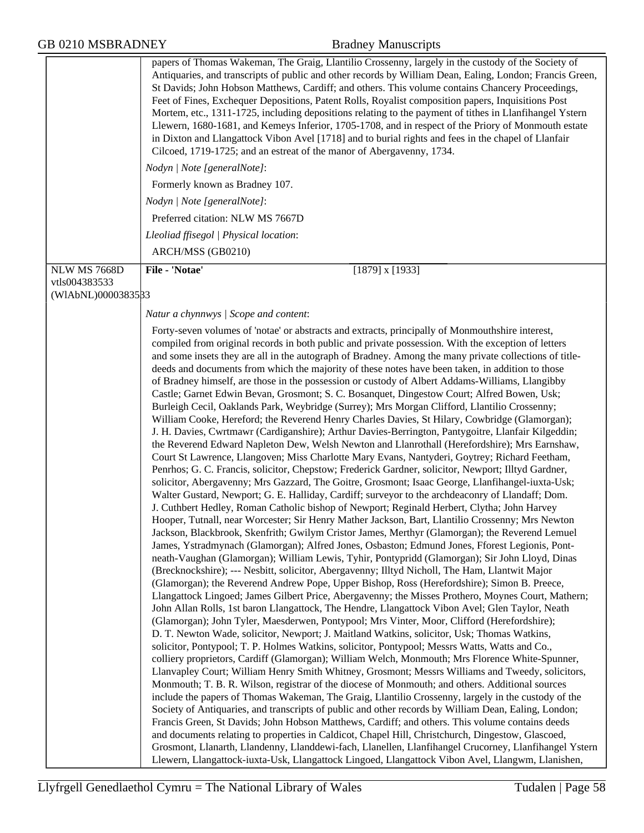|                     | papers of Thomas Wakeman, The Graig, Llantilio Crossenny, largely in the custody of the Society of<br>Antiquaries, and transcripts of public and other records by William Dean, Ealing, London; Francis Green, |
|---------------------|----------------------------------------------------------------------------------------------------------------------------------------------------------------------------------------------------------------|
|                     | St Davids; John Hobson Matthews, Cardiff; and others. This volume contains Chancery Proceedings,                                                                                                               |
|                     | Feet of Fines, Exchequer Depositions, Patent Rolls, Royalist composition papers, Inquisitions Post<br>Mortem, etc., 1311-1725, including depositions relating to the payment of tithes in Llanfihangel Ystern  |
|                     | Llewern, 1680-1681, and Kemeys Inferior, 1705-1708, and in respect of the Priory of Monmouth estate                                                                                                            |
|                     | in Dixton and Llangattock Vibon Avel [1718] and to burial rights and fees in the chapel of Llanfair<br>Cilcoed, 1719-1725; and an estreat of the manor of Abergavenny, 1734.                                   |
|                     | Nodyn   Note [generalNote]:                                                                                                                                                                                    |
|                     | Formerly known as Bradney 107.                                                                                                                                                                                 |
|                     | Nodyn   Note [generalNote]:                                                                                                                                                                                    |
|                     | Preferred citation: NLW MS 7667D                                                                                                                                                                               |
|                     | Lleoliad ffisegol   Physical location:                                                                                                                                                                         |
|                     | ARCH/MSS (GB0210)                                                                                                                                                                                              |
| <b>NLW MS 7668D</b> | File - 'Notae'<br>$[1879]$ x $[1933]$                                                                                                                                                                          |
| vtls004383533       |                                                                                                                                                                                                                |
| (WIAbNL)0000383533  |                                                                                                                                                                                                                |
|                     | Natur a chynnwys / Scope and content:                                                                                                                                                                          |
|                     | Forty-seven volumes of 'notae' or abstracts and extracts, principally of Monmouthshire interest,                                                                                                               |
|                     | compiled from original records in both public and private possession. With the exception of letters                                                                                                            |
|                     | and some insets they are all in the autograph of Bradney. Among the many private collections of title-                                                                                                         |
|                     | deeds and documents from which the majority of these notes have been taken, in addition to those<br>of Bradney himself, are those in the possession or custody of Albert Addams-Williams, Llangibby            |
|                     | Castle; Garnet Edwin Bevan, Grosmont; S. C. Bosanquet, Dingestow Court; Alfred Bowen, Usk;                                                                                                                     |
|                     | Burleigh Cecil, Oaklands Park, Weybridge (Surrey); Mrs Morgan Clifford, Llantilio Crossenny;                                                                                                                   |
|                     | William Cooke, Hereford; the Reverend Henry Charles Davies, St Hilary, Cowbridge (Glamorgan);                                                                                                                  |
|                     | J. H. Davies, Cwrtmawr (Cardiganshire); Arthur Davies-Berrington, Pantygoitre, Llanfair Kilgeddin;<br>the Reverend Edward Napleton Dew, Welsh Newton and Llanrothall (Herefordshire); Mrs Earnshaw,            |
|                     | Court St Lawrence, Llangoven; Miss Charlotte Mary Evans, Nantyderi, Goytrey; Richard Feetham,                                                                                                                  |
|                     | Penrhos; G. C. Francis, solicitor, Chepstow; Frederick Gardner, solicitor, Newport; Illtyd Gardner,                                                                                                            |
|                     | solicitor, Abergavenny; Mrs Gazzard, The Goitre, Grosmont; Isaac George, Llanfihangel-iuxta-Usk;                                                                                                               |
|                     | Walter Gustard, Newport; G. E. Halliday, Cardiff; surveyor to the archdeaconry of Llandaff; Dom.                                                                                                               |
|                     | J. Cuthbert Hedley, Roman Catholic bishop of Newport; Reginald Herbert, Clytha; John Harvey<br>Hooper, Tutnall, near Worcester; Sir Henry Mather Jackson, Bart, Llantilio Crossenny; Mrs Newton                |
|                     | Jackson, Blackbrook, Skenfrith; Gwilym Cristor James, Merthyr (Glamorgan); the Reverend Lemuel                                                                                                                 |
|                     | James, Ystradmynach (Glamorgan); Alfred Jones, Osbaston; Edmund Jones, Fforest Legionis, Pont-                                                                                                                 |
|                     | neath-Vaughan (Glamorgan); William Lewis, Tyhir, Pontypridd (Glamorgan); Sir John Lloyd, Dinas                                                                                                                 |
|                     | (Brecknockshire); --- Nesbitt, solicitor, Abergavenny; Illtyd Nicholl, The Ham, Llantwit Major<br>(Glamorgan); the Reverend Andrew Pope, Upper Bishop, Ross (Herefordshire); Simon B. Preece,                  |
|                     | Llangattock Lingoed; James Gilbert Price, Abergavenny; the Misses Prothero, Moynes Court, Mathern;                                                                                                             |
|                     | John Allan Rolls, 1st baron Llangattock, The Hendre, Llangattock Vibon Avel; Glen Taylor, Neath                                                                                                                |
|                     | (Glamorgan); John Tyler, Maesderwen, Pontypool; Mrs Vinter, Moor, Clifford (Herefordshire);                                                                                                                    |
|                     | D. T. Newton Wade, solicitor, Newport; J. Maitland Watkins, solicitor, Usk; Thomas Watkins,                                                                                                                    |
|                     | solicitor, Pontypool; T. P. Holmes Watkins, solicitor, Pontypool; Messrs Watts, Watts and Co.,<br>colliery proprietors, Cardiff (Glamorgan); William Welch, Monmouth; Mrs Florence White-Spunner,              |
|                     | Llanvapley Court; William Henry Smith Whitney, Grosmont; Messrs Williams and Tweedy, solicitors,                                                                                                               |
|                     | Monmouth; T. B. R. Wilson, registrar of the diocese of Monmouth; and others. Additional sources                                                                                                                |
|                     | include the papers of Thomas Wakeman, The Graig, Llantilio Crossenny, largely in the custody of the                                                                                                            |
|                     | Society of Antiquaries, and transcripts of public and other records by William Dean, Ealing, London;<br>Francis Green, St Davids; John Hobson Matthews, Cardiff; and others. This volume contains deeds        |
|                     | and documents relating to properties in Caldicot, Chapel Hill, Christchurch, Dingestow, Glascoed,                                                                                                              |
|                     | Grosmont, Llanarth, Llandenny, Llanddewi-fach, Llanellen, Llanfihangel Crucorney, Llanfihangel Ystern                                                                                                          |
|                     | Llewern, Llangattock-iuxta-Usk, Llangattock Lingoed, Llangattock Vibon Avel, Llangwm, Llanishen,                                                                                                               |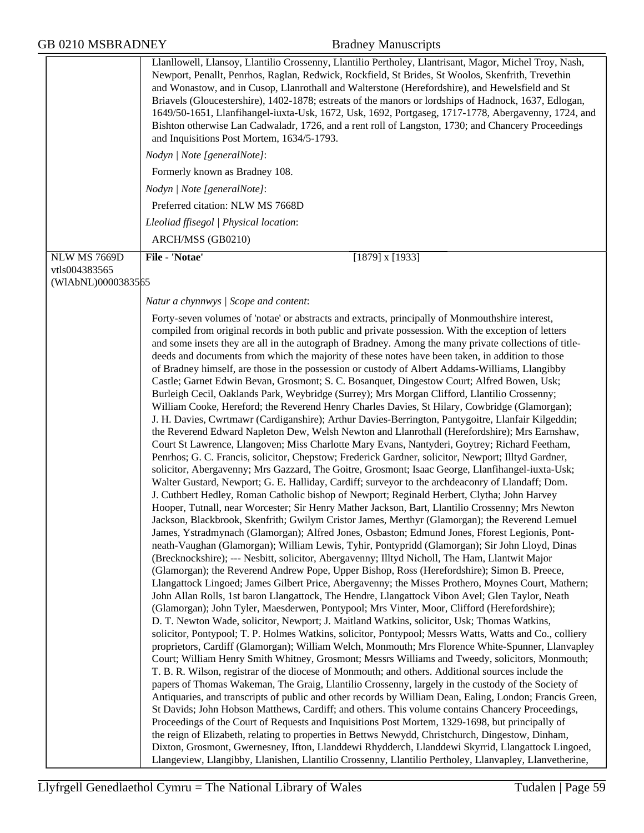|                     | Llanllowell, Llansoy, Llantilio Crossenny, Llantilio Pertholey, Llantrisant, Magor, Michel Troy, Nash,<br>Newport, Penallt, Penrhos, Raglan, Redwick, Rockfield, St Brides, St Woolos, Skenfrith, Trevethin<br>and Wonastow, and in Cusop, Llanrothall and Walterstone (Herefordshire), and Hewelsfield and St<br>Briavels (Gloucestershire), 1402-1878; estreats of the manors or lordships of Hadnock, 1637, Edlogan,<br>1649/50-1651, Llanfihangel-iuxta-Usk, 1672, Usk, 1692, Portgaseg, 1717-1778, Abergavenny, 1724, and<br>Bishton otherwise Lan Cadwaladr, 1726, and a rent roll of Langston, 1730; and Chancery Proceedings<br>and Inquisitions Post Mortem, 1634/5-1793.                                                                                                                                                                                                                                                                                                                                                                                                                                                                                                                                                                                                                                                                                                                                                                                                                                                                                                                                                                                                                                                                                                                                                                                                                                                                                                                                                                                                                                                                                                                                                                                                                                                                                                                                                                                                                                                                                                                                                                                                                                                                                                                                                                                                                                                                                                                                                                                                                                                                                                                                                                                                                                                                                                                                                                                                                                                                                                                                                                                                                                                    |
|---------------------|---------------------------------------------------------------------------------------------------------------------------------------------------------------------------------------------------------------------------------------------------------------------------------------------------------------------------------------------------------------------------------------------------------------------------------------------------------------------------------------------------------------------------------------------------------------------------------------------------------------------------------------------------------------------------------------------------------------------------------------------------------------------------------------------------------------------------------------------------------------------------------------------------------------------------------------------------------------------------------------------------------------------------------------------------------------------------------------------------------------------------------------------------------------------------------------------------------------------------------------------------------------------------------------------------------------------------------------------------------------------------------------------------------------------------------------------------------------------------------------------------------------------------------------------------------------------------------------------------------------------------------------------------------------------------------------------------------------------------------------------------------------------------------------------------------------------------------------------------------------------------------------------------------------------------------------------------------------------------------------------------------------------------------------------------------------------------------------------------------------------------------------------------------------------------------------------------------------------------------------------------------------------------------------------------------------------------------------------------------------------------------------------------------------------------------------------------------------------------------------------------------------------------------------------------------------------------------------------------------------------------------------------------------------------------------------------------------------------------------------------------------------------------------------------------------------------------------------------------------------------------------------------------------------------------------------------------------------------------------------------------------------------------------------------------------------------------------------------------------------------------------------------------------------------------------------------------------------------------------------------------------------------------------------------------------------------------------------------------------------------------------------------------------------------------------------------------------------------------------------------------------------------------------------------------------------------------------------------------------------------------------------------------------------------------------------------------------------------------------------|
|                     | Nodyn   Note [generalNote]:                                                                                                                                                                                                                                                                                                                                                                                                                                                                                                                                                                                                                                                                                                                                                                                                                                                                                                                                                                                                                                                                                                                                                                                                                                                                                                                                                                                                                                                                                                                                                                                                                                                                                                                                                                                                                                                                                                                                                                                                                                                                                                                                                                                                                                                                                                                                                                                                                                                                                                                                                                                                                                                                                                                                                                                                                                                                                                                                                                                                                                                                                                                                                                                                                                                                                                                                                                                                                                                                                                                                                                                                                                                                                                           |
|                     | Formerly known as Bradney 108.                                                                                                                                                                                                                                                                                                                                                                                                                                                                                                                                                                                                                                                                                                                                                                                                                                                                                                                                                                                                                                                                                                                                                                                                                                                                                                                                                                                                                                                                                                                                                                                                                                                                                                                                                                                                                                                                                                                                                                                                                                                                                                                                                                                                                                                                                                                                                                                                                                                                                                                                                                                                                                                                                                                                                                                                                                                                                                                                                                                                                                                                                                                                                                                                                                                                                                                                                                                                                                                                                                                                                                                                                                                                                                        |
|                     | Nodyn   Note [generalNote]:                                                                                                                                                                                                                                                                                                                                                                                                                                                                                                                                                                                                                                                                                                                                                                                                                                                                                                                                                                                                                                                                                                                                                                                                                                                                                                                                                                                                                                                                                                                                                                                                                                                                                                                                                                                                                                                                                                                                                                                                                                                                                                                                                                                                                                                                                                                                                                                                                                                                                                                                                                                                                                                                                                                                                                                                                                                                                                                                                                                                                                                                                                                                                                                                                                                                                                                                                                                                                                                                                                                                                                                                                                                                                                           |
|                     | Preferred citation: NLW MS 7668D                                                                                                                                                                                                                                                                                                                                                                                                                                                                                                                                                                                                                                                                                                                                                                                                                                                                                                                                                                                                                                                                                                                                                                                                                                                                                                                                                                                                                                                                                                                                                                                                                                                                                                                                                                                                                                                                                                                                                                                                                                                                                                                                                                                                                                                                                                                                                                                                                                                                                                                                                                                                                                                                                                                                                                                                                                                                                                                                                                                                                                                                                                                                                                                                                                                                                                                                                                                                                                                                                                                                                                                                                                                                                                      |
|                     | Lleoliad ffisegol   Physical location:                                                                                                                                                                                                                                                                                                                                                                                                                                                                                                                                                                                                                                                                                                                                                                                                                                                                                                                                                                                                                                                                                                                                                                                                                                                                                                                                                                                                                                                                                                                                                                                                                                                                                                                                                                                                                                                                                                                                                                                                                                                                                                                                                                                                                                                                                                                                                                                                                                                                                                                                                                                                                                                                                                                                                                                                                                                                                                                                                                                                                                                                                                                                                                                                                                                                                                                                                                                                                                                                                                                                                                                                                                                                                                |
|                     | ARCH/MSS (GB0210)                                                                                                                                                                                                                                                                                                                                                                                                                                                                                                                                                                                                                                                                                                                                                                                                                                                                                                                                                                                                                                                                                                                                                                                                                                                                                                                                                                                                                                                                                                                                                                                                                                                                                                                                                                                                                                                                                                                                                                                                                                                                                                                                                                                                                                                                                                                                                                                                                                                                                                                                                                                                                                                                                                                                                                                                                                                                                                                                                                                                                                                                                                                                                                                                                                                                                                                                                                                                                                                                                                                                                                                                                                                                                                                     |
| <b>NLW MS 7669D</b> | File - 'Notae'<br>$[1879]$ x $[1933]$                                                                                                                                                                                                                                                                                                                                                                                                                                                                                                                                                                                                                                                                                                                                                                                                                                                                                                                                                                                                                                                                                                                                                                                                                                                                                                                                                                                                                                                                                                                                                                                                                                                                                                                                                                                                                                                                                                                                                                                                                                                                                                                                                                                                                                                                                                                                                                                                                                                                                                                                                                                                                                                                                                                                                                                                                                                                                                                                                                                                                                                                                                                                                                                                                                                                                                                                                                                                                                                                                                                                                                                                                                                                                                 |
| vtls004383565       |                                                                                                                                                                                                                                                                                                                                                                                                                                                                                                                                                                                                                                                                                                                                                                                                                                                                                                                                                                                                                                                                                                                                                                                                                                                                                                                                                                                                                                                                                                                                                                                                                                                                                                                                                                                                                                                                                                                                                                                                                                                                                                                                                                                                                                                                                                                                                                                                                                                                                                                                                                                                                                                                                                                                                                                                                                                                                                                                                                                                                                                                                                                                                                                                                                                                                                                                                                                                                                                                                                                                                                                                                                                                                                                                       |
| (WIAbNL)0000383565  |                                                                                                                                                                                                                                                                                                                                                                                                                                                                                                                                                                                                                                                                                                                                                                                                                                                                                                                                                                                                                                                                                                                                                                                                                                                                                                                                                                                                                                                                                                                                                                                                                                                                                                                                                                                                                                                                                                                                                                                                                                                                                                                                                                                                                                                                                                                                                                                                                                                                                                                                                                                                                                                                                                                                                                                                                                                                                                                                                                                                                                                                                                                                                                                                                                                                                                                                                                                                                                                                                                                                                                                                                                                                                                                                       |
|                     | Natur a chynnwys / Scope and content:                                                                                                                                                                                                                                                                                                                                                                                                                                                                                                                                                                                                                                                                                                                                                                                                                                                                                                                                                                                                                                                                                                                                                                                                                                                                                                                                                                                                                                                                                                                                                                                                                                                                                                                                                                                                                                                                                                                                                                                                                                                                                                                                                                                                                                                                                                                                                                                                                                                                                                                                                                                                                                                                                                                                                                                                                                                                                                                                                                                                                                                                                                                                                                                                                                                                                                                                                                                                                                                                                                                                                                                                                                                                                                 |
|                     | Forty-seven volumes of 'notae' or abstracts and extracts, principally of Monmouthshire interest,<br>compiled from original records in both public and private possession. With the exception of letters<br>and some insets they are all in the autograph of Bradney. Among the many private collections of title-<br>deeds and documents from which the majority of these notes have been taken, in addition to those<br>of Bradney himself, are those in the possession or custody of Albert Addams-Williams, Llangibby<br>Castle; Garnet Edwin Bevan, Grosmont; S. C. Bosanquet, Dingestow Court; Alfred Bowen, Usk;<br>Burleigh Cecil, Oaklands Park, Weybridge (Surrey); Mrs Morgan Clifford, Llantilio Crossenny;<br>William Cooke, Hereford; the Reverend Henry Charles Davies, St Hilary, Cowbridge (Glamorgan);<br>J. H. Davies, Cwrtmawr (Cardiganshire); Arthur Davies-Berrington, Pantygoitre, Llanfair Kilgeddin;<br>the Reverend Edward Napleton Dew, Welsh Newton and Llanrothall (Herefordshire); Mrs Earnshaw,<br>Court St Lawrence, Llangoven; Miss Charlotte Mary Evans, Nantyderi, Goytrey; Richard Feetham,<br>Penrhos; G. C. Francis, solicitor, Chepstow; Frederick Gardner, solicitor, Newport; Illtyd Gardner,<br>solicitor, Abergavenny; Mrs Gazzard, The Goitre, Grosmont; Isaac George, Llanfihangel-iuxta-Usk;<br>Walter Gustard, Newport; G. E. Halliday, Cardiff; surveyor to the archdeaconry of Llandaff; Dom.<br>J. Cuthbert Hedley, Roman Catholic bishop of Newport; Reginald Herbert, Clytha; John Harvey<br>Hooper, Tutnall, near Worcester; Sir Henry Mather Jackson, Bart, Llantilio Crossenny; Mrs Newton<br>Jackson, Blackbrook, Skenfrith; Gwilym Cristor James, Merthyr (Glamorgan); the Reverend Lemuel<br>James, Ystradmynach (Glamorgan); Alfred Jones, Osbaston; Edmund Jones, Fforest Legionis, Pont-<br>neath-Vaughan (Glamorgan); William Lewis, Tyhir, Pontypridd (Glamorgan); Sir John Lloyd, Dinas<br>(Brecknockshire); --- Nesbitt, solicitor, Abergavenny; Illtyd Nicholl, The Ham, Llantwit Major<br>(Glamorgan); the Reverend Andrew Pope, Upper Bishop, Ross (Herefordshire); Simon B. Preece,<br>Llangattock Lingoed; James Gilbert Price, Abergavenny; the Misses Prothero, Moynes Court, Mathern;<br>John Allan Rolls, 1st baron Llangattock, The Hendre, Llangattock Vibon Avel; Glen Taylor, Neath<br>(Glamorgan); John Tyler, Maesderwen, Pontypool; Mrs Vinter, Moor, Clifford (Herefordshire);<br>D. T. Newton Wade, solicitor, Newport; J. Maitland Watkins, solicitor, Usk; Thomas Watkins,<br>solicitor, Pontypool; T. P. Holmes Watkins, solicitor, Pontypool; Messrs Watts, Watts and Co., colliery<br>proprietors, Cardiff (Glamorgan); William Welch, Monmouth; Mrs Florence White-Spunner, Llanvapley<br>Court; William Henry Smith Whitney, Grosmont; Messrs Williams and Tweedy, solicitors, Monmouth;<br>T. B. R. Wilson, registrar of the diocese of Monmouth; and others. Additional sources include the<br>papers of Thomas Wakeman, The Graig, Llantilio Crossenny, largely in the custody of the Society of<br>Antiquaries, and transcripts of public and other records by William Dean, Ealing, London; Francis Green,<br>St Davids; John Hobson Matthews, Cardiff; and others. This volume contains Chancery Proceedings,<br>Proceedings of the Court of Requests and Inquisitions Post Mortem, 1329-1698, but principally of<br>the reign of Elizabeth, relating to properties in Bettws Newydd, Christchurch, Dingestow, Dinham,<br>Dixton, Grosmont, Gwernesney, Ifton, Llanddewi Rhydderch, Llanddewi Skyrrid, Llangattock Lingoed,<br>Llangeview, Llangibby, Llanishen, Llantilio Crossenny, Llantilio Pertholey, Llanvapley, Llanvetherine, |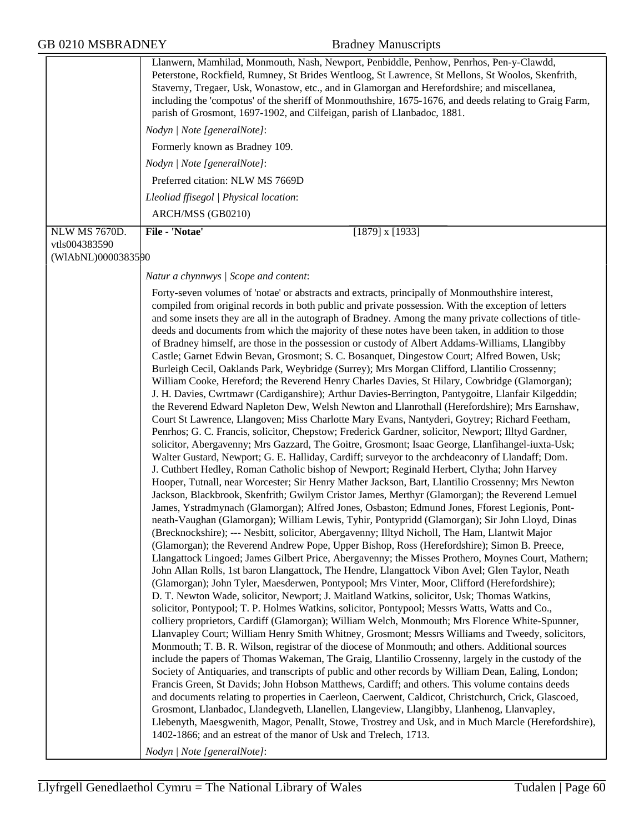|                                | Llanwern, Mamhilad, Monmouth, Nash, Newport, Penbiddle, Penhow, Penrhos, Pen-y-Clawdd,<br>Peterstone, Rockfield, Rumney, St Brides Wentloog, St Lawrence, St Mellons, St Woolos, Skenfrith,<br>Staverny, Tregaer, Usk, Wonastow, etc., and in Glamorgan and Herefordshire; and miscellanea,<br>including the 'compotus' of the sheriff of Monmouthshire, 1675-1676, and deeds relating to Graig Farm,<br>parish of Grosmont, 1697-1902, and Cilfeigan, parish of Llanbadoc, 1881.<br>Nodyn   Note [generalNote]:<br>Formerly known as Bradney 109.<br>Nodyn   Note [generalNote]:<br>Preferred citation: NLW MS 7669D<br>Lleoliad ffisegol   Physical location:<br>ARCH/MSS (GB0210)                                                                                                                                                                                                                                                                                                                                                                                                                                                                                                                                                                                                                                                                                                                                                                                                                                                                                                                                                                                                                                                                                                                                                                                                                                                                                                                                                                                                                                                                                                                                                                                                                                                                                                                                                                                                                                                                                                                                                                                                                                                                                                                                                                                                                                                                                                                                                                                                                                                                                                                                                                                                                                                                                                                                                                                                                                                                                                                                                                                                                           |
|--------------------------------|----------------------------------------------------------------------------------------------------------------------------------------------------------------------------------------------------------------------------------------------------------------------------------------------------------------------------------------------------------------------------------------------------------------------------------------------------------------------------------------------------------------------------------------------------------------------------------------------------------------------------------------------------------------------------------------------------------------------------------------------------------------------------------------------------------------------------------------------------------------------------------------------------------------------------------------------------------------------------------------------------------------------------------------------------------------------------------------------------------------------------------------------------------------------------------------------------------------------------------------------------------------------------------------------------------------------------------------------------------------------------------------------------------------------------------------------------------------------------------------------------------------------------------------------------------------------------------------------------------------------------------------------------------------------------------------------------------------------------------------------------------------------------------------------------------------------------------------------------------------------------------------------------------------------------------------------------------------------------------------------------------------------------------------------------------------------------------------------------------------------------------------------------------------------------------------------------------------------------------------------------------------------------------------------------------------------------------------------------------------------------------------------------------------------------------------------------------------------------------------------------------------------------------------------------------------------------------------------------------------------------------------------------------------------------------------------------------------------------------------------------------------------------------------------------------------------------------------------------------------------------------------------------------------------------------------------------------------------------------------------------------------------------------------------------------------------------------------------------------------------------------------------------------------------------------------------------------------------------------------------------------------------------------------------------------------------------------------------------------------------------------------------------------------------------------------------------------------------------------------------------------------------------------------------------------------------------------------------------------------------------------------------------------------------------------------------------------------|
| NLW MS 7670D.<br>vtls004383590 | File - 'Notae'<br>$[1879]$ x $[1933]$                                                                                                                                                                                                                                                                                                                                                                                                                                                                                                                                                                                                                                                                                                                                                                                                                                                                                                                                                                                                                                                                                                                                                                                                                                                                                                                                                                                                                                                                                                                                                                                                                                                                                                                                                                                                                                                                                                                                                                                                                                                                                                                                                                                                                                                                                                                                                                                                                                                                                                                                                                                                                                                                                                                                                                                                                                                                                                                                                                                                                                                                                                                                                                                                                                                                                                                                                                                                                                                                                                                                                                                                                                                                          |
| (WIAbNL)0000383590             |                                                                                                                                                                                                                                                                                                                                                                                                                                                                                                                                                                                                                                                                                                                                                                                                                                                                                                                                                                                                                                                                                                                                                                                                                                                                                                                                                                                                                                                                                                                                                                                                                                                                                                                                                                                                                                                                                                                                                                                                                                                                                                                                                                                                                                                                                                                                                                                                                                                                                                                                                                                                                                                                                                                                                                                                                                                                                                                                                                                                                                                                                                                                                                                                                                                                                                                                                                                                                                                                                                                                                                                                                                                                                                                |
|                                | Natur a chynnwys / Scope and content:                                                                                                                                                                                                                                                                                                                                                                                                                                                                                                                                                                                                                                                                                                                                                                                                                                                                                                                                                                                                                                                                                                                                                                                                                                                                                                                                                                                                                                                                                                                                                                                                                                                                                                                                                                                                                                                                                                                                                                                                                                                                                                                                                                                                                                                                                                                                                                                                                                                                                                                                                                                                                                                                                                                                                                                                                                                                                                                                                                                                                                                                                                                                                                                                                                                                                                                                                                                                                                                                                                                                                                                                                                                                          |
|                                | Forty-seven volumes of 'notae' or abstracts and extracts, principally of Monmouthshire interest,<br>compiled from original records in both public and private possession. With the exception of letters<br>and some insets they are all in the autograph of Bradney. Among the many private collections of title-<br>deeds and documents from which the majority of these notes have been taken, in addition to those<br>of Bradney himself, are those in the possession or custody of Albert Addams-Williams, Llangibby<br>Castle; Garnet Edwin Bevan, Grosmont; S. C. Bosanquet, Dingestow Court; Alfred Bowen, Usk;<br>Burleigh Cecil, Oaklands Park, Weybridge (Surrey); Mrs Morgan Clifford, Llantilio Crossenny;<br>William Cooke, Hereford; the Reverend Henry Charles Davies, St Hilary, Cowbridge (Glamorgan);<br>J. H. Davies, Cwrtmawr (Cardiganshire); Arthur Davies-Berrington, Pantygoitre, Llanfair Kilgeddin;<br>the Reverend Edward Napleton Dew, Welsh Newton and Llanrothall (Herefordshire); Mrs Earnshaw,<br>Court St Lawrence, Llangoven; Miss Charlotte Mary Evans, Nantyderi, Goytrey; Richard Feetham,<br>Penrhos; G. C. Francis, solicitor, Chepstow; Frederick Gardner, solicitor, Newport; Illtyd Gardner,<br>solicitor, Abergavenny; Mrs Gazzard, The Goitre, Grosmont; Isaac George, Llanfihangel-iuxta-Usk;<br>Walter Gustard, Newport; G. E. Halliday, Cardiff; surveyor to the archdeaconry of Llandaff; Dom.<br>J. Cuthbert Hedley, Roman Catholic bishop of Newport; Reginald Herbert, Clytha; John Harvey<br>Hooper, Tutnall, near Worcester; Sir Henry Mather Jackson, Bart, Llantilio Crossenny; Mrs Newton<br>Jackson, Blackbrook, Skenfrith; Gwilym Cristor James, Merthyr (Glamorgan); the Reverend Lemuel<br>James, Ystradmynach (Glamorgan); Alfred Jones, Osbaston; Edmund Jones, Fforest Legionis, Pont-<br>neath-Vaughan (Glamorgan); William Lewis, Tyhir, Pontypridd (Glamorgan); Sir John Lloyd, Dinas<br>(Brecknockshire); --- Nesbitt, solicitor, Abergavenny; Illtyd Nicholl, The Ham, Llantwit Major<br>(Glamorgan); the Reverend Andrew Pope, Upper Bishop, Ross (Herefordshire); Simon B. Preece,<br>Llangattock Lingoed; James Gilbert Price, Abergavenny; the Misses Prothero, Moynes Court, Mathern;<br>John Allan Rolls, 1st baron Llangattock, The Hendre, Llangattock Vibon Avel; Glen Taylor, Neath<br>(Glamorgan); John Tyler, Maesderwen, Pontypool; Mrs Vinter, Moor, Clifford (Herefordshire);<br>D. T. Newton Wade, solicitor, Newport; J. Maitland Watkins, solicitor, Usk; Thomas Watkins,<br>solicitor, Pontypool; T. P. Holmes Watkins, solicitor, Pontypool; Messrs Watts, Watts and Co.,<br>colliery proprietors, Cardiff (Glamorgan); William Welch, Monmouth; Mrs Florence White-Spunner,<br>Llanvapley Court; William Henry Smith Whitney, Grosmont; Messrs Williams and Tweedy, solicitors,<br>Monmouth; T. B. R. Wilson, registrar of the diocese of Monmouth; and others. Additional sources<br>include the papers of Thomas Wakeman, The Graig, Llantilio Crossenny, largely in the custody of the<br>Society of Antiquaries, and transcripts of public and other records by William Dean, Ealing, London;<br>Francis Green, St Davids; John Hobson Matthews, Cardiff; and others. This volume contains deeds<br>and documents relating to properties in Caerleon, Caerwent, Caldicot, Christchurch, Crick, Glascoed,<br>Grosmont, Llanbadoc, Llandegveth, Llanellen, Llangeview, Llangibby, Llanhenog, Llanvapley,<br>Llebenyth, Maesgwenith, Magor, Penallt, Stowe, Trostrey and Usk, and in Much Marcle (Herefordshire),<br>1402-1866; and an estreat of the manor of Usk and Trelech, 1713.<br>Nodyn   Note [generalNote]: |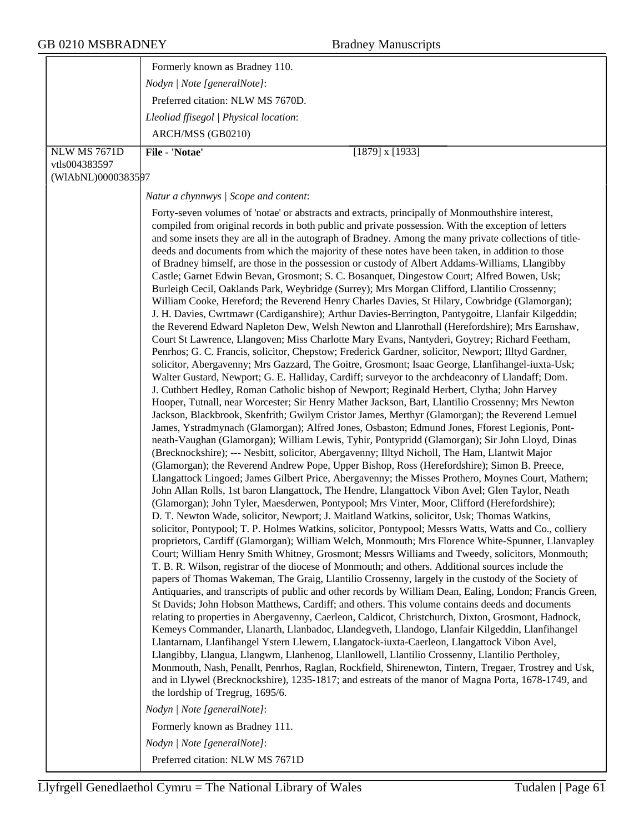|                     | Formerly known as Bradney 110.                                                                                                                                                                                                                                                                                                                                                                                                                                                                                                                                                                                                                                                                                                                                                                                                                                                                                                                                                                                                                                                                                                                                                                                                                                                                                                                                                                                                                                                                                                                                                                                                                                                                                                                                                                                                                                                                                                                                                                                                                                                                                                                                                                                                                                                                                                                                                                                                                                                                                                                                                                                                                                                                                                                                                                                                                                                                                                                                                                                                                                                                                                                                                                                                                                                                                                                                                                                                                                                                                                                                                                                                                                                                                                                                                                                                                                                                                                                                            |
|---------------------|---------------------------------------------------------------------------------------------------------------------------------------------------------------------------------------------------------------------------------------------------------------------------------------------------------------------------------------------------------------------------------------------------------------------------------------------------------------------------------------------------------------------------------------------------------------------------------------------------------------------------------------------------------------------------------------------------------------------------------------------------------------------------------------------------------------------------------------------------------------------------------------------------------------------------------------------------------------------------------------------------------------------------------------------------------------------------------------------------------------------------------------------------------------------------------------------------------------------------------------------------------------------------------------------------------------------------------------------------------------------------------------------------------------------------------------------------------------------------------------------------------------------------------------------------------------------------------------------------------------------------------------------------------------------------------------------------------------------------------------------------------------------------------------------------------------------------------------------------------------------------------------------------------------------------------------------------------------------------------------------------------------------------------------------------------------------------------------------------------------------------------------------------------------------------------------------------------------------------------------------------------------------------------------------------------------------------------------------------------------------------------------------------------------------------------------------------------------------------------------------------------------------------------------------------------------------------------------------------------------------------------------------------------------------------------------------------------------------------------------------------------------------------------------------------------------------------------------------------------------------------------------------------------------------------------------------------------------------------------------------------------------------------------------------------------------------------------------------------------------------------------------------------------------------------------------------------------------------------------------------------------------------------------------------------------------------------------------------------------------------------------------------------------------------------------------------------------------------------------------------------------------------------------------------------------------------------------------------------------------------------------------------------------------------------------------------------------------------------------------------------------------------------------------------------------------------------------------------------------------------------------------------------------------------------------------------------------------------------|
|                     | Nodyn   Note [generalNote]:                                                                                                                                                                                                                                                                                                                                                                                                                                                                                                                                                                                                                                                                                                                                                                                                                                                                                                                                                                                                                                                                                                                                                                                                                                                                                                                                                                                                                                                                                                                                                                                                                                                                                                                                                                                                                                                                                                                                                                                                                                                                                                                                                                                                                                                                                                                                                                                                                                                                                                                                                                                                                                                                                                                                                                                                                                                                                                                                                                                                                                                                                                                                                                                                                                                                                                                                                                                                                                                                                                                                                                                                                                                                                                                                                                                                                                                                                                                                               |
|                     | Preferred citation: NLW MS 7670D.                                                                                                                                                                                                                                                                                                                                                                                                                                                                                                                                                                                                                                                                                                                                                                                                                                                                                                                                                                                                                                                                                                                                                                                                                                                                                                                                                                                                                                                                                                                                                                                                                                                                                                                                                                                                                                                                                                                                                                                                                                                                                                                                                                                                                                                                                                                                                                                                                                                                                                                                                                                                                                                                                                                                                                                                                                                                                                                                                                                                                                                                                                                                                                                                                                                                                                                                                                                                                                                                                                                                                                                                                                                                                                                                                                                                                                                                                                                                         |
|                     | Lleoliad ffisegol   Physical location:                                                                                                                                                                                                                                                                                                                                                                                                                                                                                                                                                                                                                                                                                                                                                                                                                                                                                                                                                                                                                                                                                                                                                                                                                                                                                                                                                                                                                                                                                                                                                                                                                                                                                                                                                                                                                                                                                                                                                                                                                                                                                                                                                                                                                                                                                                                                                                                                                                                                                                                                                                                                                                                                                                                                                                                                                                                                                                                                                                                                                                                                                                                                                                                                                                                                                                                                                                                                                                                                                                                                                                                                                                                                                                                                                                                                                                                                                                                                    |
|                     | ARCH/MSS (GB0210)                                                                                                                                                                                                                                                                                                                                                                                                                                                                                                                                                                                                                                                                                                                                                                                                                                                                                                                                                                                                                                                                                                                                                                                                                                                                                                                                                                                                                                                                                                                                                                                                                                                                                                                                                                                                                                                                                                                                                                                                                                                                                                                                                                                                                                                                                                                                                                                                                                                                                                                                                                                                                                                                                                                                                                                                                                                                                                                                                                                                                                                                                                                                                                                                                                                                                                                                                                                                                                                                                                                                                                                                                                                                                                                                                                                                                                                                                                                                                         |
| <b>NLW MS 7671D</b> | File - 'Notae'<br>$[1879]$ x $[1933]$                                                                                                                                                                                                                                                                                                                                                                                                                                                                                                                                                                                                                                                                                                                                                                                                                                                                                                                                                                                                                                                                                                                                                                                                                                                                                                                                                                                                                                                                                                                                                                                                                                                                                                                                                                                                                                                                                                                                                                                                                                                                                                                                                                                                                                                                                                                                                                                                                                                                                                                                                                                                                                                                                                                                                                                                                                                                                                                                                                                                                                                                                                                                                                                                                                                                                                                                                                                                                                                                                                                                                                                                                                                                                                                                                                                                                                                                                                                                     |
| vtls004383597       |                                                                                                                                                                                                                                                                                                                                                                                                                                                                                                                                                                                                                                                                                                                                                                                                                                                                                                                                                                                                                                                                                                                                                                                                                                                                                                                                                                                                                                                                                                                                                                                                                                                                                                                                                                                                                                                                                                                                                                                                                                                                                                                                                                                                                                                                                                                                                                                                                                                                                                                                                                                                                                                                                                                                                                                                                                                                                                                                                                                                                                                                                                                                                                                                                                                                                                                                                                                                                                                                                                                                                                                                                                                                                                                                                                                                                                                                                                                                                                           |
| (WIAbNL)0000383597  |                                                                                                                                                                                                                                                                                                                                                                                                                                                                                                                                                                                                                                                                                                                                                                                                                                                                                                                                                                                                                                                                                                                                                                                                                                                                                                                                                                                                                                                                                                                                                                                                                                                                                                                                                                                                                                                                                                                                                                                                                                                                                                                                                                                                                                                                                                                                                                                                                                                                                                                                                                                                                                                                                                                                                                                                                                                                                                                                                                                                                                                                                                                                                                                                                                                                                                                                                                                                                                                                                                                                                                                                                                                                                                                                                                                                                                                                                                                                                                           |
|                     | Natur a chynnwys / Scope and content:                                                                                                                                                                                                                                                                                                                                                                                                                                                                                                                                                                                                                                                                                                                                                                                                                                                                                                                                                                                                                                                                                                                                                                                                                                                                                                                                                                                                                                                                                                                                                                                                                                                                                                                                                                                                                                                                                                                                                                                                                                                                                                                                                                                                                                                                                                                                                                                                                                                                                                                                                                                                                                                                                                                                                                                                                                                                                                                                                                                                                                                                                                                                                                                                                                                                                                                                                                                                                                                                                                                                                                                                                                                                                                                                                                                                                                                                                                                                     |
|                     | Forty-seven volumes of 'notae' or abstracts and extracts, principally of Monmouthshire interest,<br>compiled from original records in both public and private possession. With the exception of letters<br>and some insets they are all in the autograph of Bradney. Among the many private collections of title-<br>deeds and documents from which the majority of these notes have been taken, in addition to those<br>of Bradney himself, are those in the possession or custody of Albert Addams-Williams, Llangibby<br>Castle; Garnet Edwin Bevan, Grosmont; S. C. Bosanquet, Dingestow Court; Alfred Bowen, Usk;<br>Burleigh Cecil, Oaklands Park, Weybridge (Surrey); Mrs Morgan Clifford, Llantilio Crossenny;<br>William Cooke, Hereford; the Reverend Henry Charles Davies, St Hilary, Cowbridge (Glamorgan);<br>J. H. Davies, Cwrtmawr (Cardiganshire); Arthur Davies-Berrington, Pantygoitre, Llanfair Kilgeddin;<br>the Reverend Edward Napleton Dew, Welsh Newton and Llanrothall (Herefordshire); Mrs Earnshaw,<br>Court St Lawrence, Llangoven; Miss Charlotte Mary Evans, Nantyderi, Goytrey; Richard Feetham,<br>Penrhos; G. C. Francis, solicitor, Chepstow; Frederick Gardner, solicitor, Newport; Illtyd Gardner,<br>solicitor, Abergavenny; Mrs Gazzard, The Goitre, Grosmont; Isaac George, Llanfihangel-iuxta-Usk;<br>Walter Gustard, Newport; G. E. Halliday, Cardiff; surveyor to the archdeaconry of Llandaff; Dom.<br>J. Cuthbert Hedley, Roman Catholic bishop of Newport; Reginald Herbert, Clytha; John Harvey<br>Hooper, Tutnall, near Worcester; Sir Henry Mather Jackson, Bart, Llantilio Crossenny; Mrs Newton<br>Jackson, Blackbrook, Skenfrith; Gwilym Cristor James, Merthyr (Glamorgan); the Reverend Lemuel<br>James, Ystradmynach (Glamorgan); Alfred Jones, Osbaston; Edmund Jones, Fforest Legionis, Pont-<br>neath-Vaughan (Glamorgan); William Lewis, Tyhir, Pontypridd (Glamorgan); Sir John Lloyd, Dinas<br>(Brecknockshire); --- Nesbitt, solicitor, Abergavenny; Illtyd Nicholl, The Ham, Llantwit Major<br>(Glamorgan); the Reverend Andrew Pope, Upper Bishop, Ross (Herefordshire); Simon B. Preece,<br>Llangattock Lingoed; James Gilbert Price, Abergavenny; the Misses Prothero, Moynes Court, Mathern;<br>John Allan Rolls, 1st baron Llangattock, The Hendre, Llangattock Vibon Avel; Glen Taylor, Neath<br>(Glamorgan); John Tyler, Maesderwen, Pontypool; Mrs Vinter, Moor, Clifford (Herefordshire);<br>D. T. Newton Wade, solicitor, Newport; J. Maitland Watkins, solicitor, Usk; Thomas Watkins,<br>solicitor, Pontypool; T. P. Holmes Watkins, solicitor, Pontypool; Messrs Watts, Watts and Co., colliery<br>proprietors, Cardiff (Glamorgan); William Welch, Monmouth; Mrs Florence White-Spunner, Llanvapley<br>Court; William Henry Smith Whitney, Grosmont; Messrs Williams and Tweedy, solicitors, Monmouth;<br>T. B. R. Wilson, registrar of the diocese of Monmouth; and others. Additional sources include the<br>papers of Thomas Wakeman, The Graig, Llantilio Crossenny, largely in the custody of the Society of<br>Antiquaries, and transcripts of public and other records by William Dean, Ealing, London; Francis Green,<br>St Davids; John Hobson Matthews, Cardiff; and others. This volume contains deeds and documents<br>relating to properties in Abergavenny, Caerleon, Caldicot, Christchurch, Dixton, Grosmont, Hadnock,<br>Kemeys Commander, Llanarth, Llanbadoc, Llandegveth, Llandogo, Llanfair Kilgeddin, Llanfihangel<br>Llantarnam, Llanfihangel Ystern Llewern, Llangatock-iuxta-Caerleon, Llangattock Vibon Avel,<br>Llangibby, Llangua, Llangwm, Llanhenog, Llanllowell, Llantilio Crossenny, Llantilio Pertholey,<br>Monmouth, Nash, Penallt, Penrhos, Raglan, Rockfield, Shirenewton, Tintern, Tregaer, Trostrey and Usk,<br>and in Llywel (Brecknockshire), 1235-1817; and estreats of the manor of Magna Porta, 1678-1749, and<br>the lordship of Tregrug, 1695/6. |
|                     | Nodyn   Note [generalNote]:                                                                                                                                                                                                                                                                                                                                                                                                                                                                                                                                                                                                                                                                                                                                                                                                                                                                                                                                                                                                                                                                                                                                                                                                                                                                                                                                                                                                                                                                                                                                                                                                                                                                                                                                                                                                                                                                                                                                                                                                                                                                                                                                                                                                                                                                                                                                                                                                                                                                                                                                                                                                                                                                                                                                                                                                                                                                                                                                                                                                                                                                                                                                                                                                                                                                                                                                                                                                                                                                                                                                                                                                                                                                                                                                                                                                                                                                                                                                               |
|                     | Formerly known as Bradney 111.                                                                                                                                                                                                                                                                                                                                                                                                                                                                                                                                                                                                                                                                                                                                                                                                                                                                                                                                                                                                                                                                                                                                                                                                                                                                                                                                                                                                                                                                                                                                                                                                                                                                                                                                                                                                                                                                                                                                                                                                                                                                                                                                                                                                                                                                                                                                                                                                                                                                                                                                                                                                                                                                                                                                                                                                                                                                                                                                                                                                                                                                                                                                                                                                                                                                                                                                                                                                                                                                                                                                                                                                                                                                                                                                                                                                                                                                                                                                            |
|                     | Nodyn   Note [generalNote]:                                                                                                                                                                                                                                                                                                                                                                                                                                                                                                                                                                                                                                                                                                                                                                                                                                                                                                                                                                                                                                                                                                                                                                                                                                                                                                                                                                                                                                                                                                                                                                                                                                                                                                                                                                                                                                                                                                                                                                                                                                                                                                                                                                                                                                                                                                                                                                                                                                                                                                                                                                                                                                                                                                                                                                                                                                                                                                                                                                                                                                                                                                                                                                                                                                                                                                                                                                                                                                                                                                                                                                                                                                                                                                                                                                                                                                                                                                                                               |
|                     | Preferred citation: NLW MS 7671D                                                                                                                                                                                                                                                                                                                                                                                                                                                                                                                                                                                                                                                                                                                                                                                                                                                                                                                                                                                                                                                                                                                                                                                                                                                                                                                                                                                                                                                                                                                                                                                                                                                                                                                                                                                                                                                                                                                                                                                                                                                                                                                                                                                                                                                                                                                                                                                                                                                                                                                                                                                                                                                                                                                                                                                                                                                                                                                                                                                                                                                                                                                                                                                                                                                                                                                                                                                                                                                                                                                                                                                                                                                                                                                                                                                                                                                                                                                                          |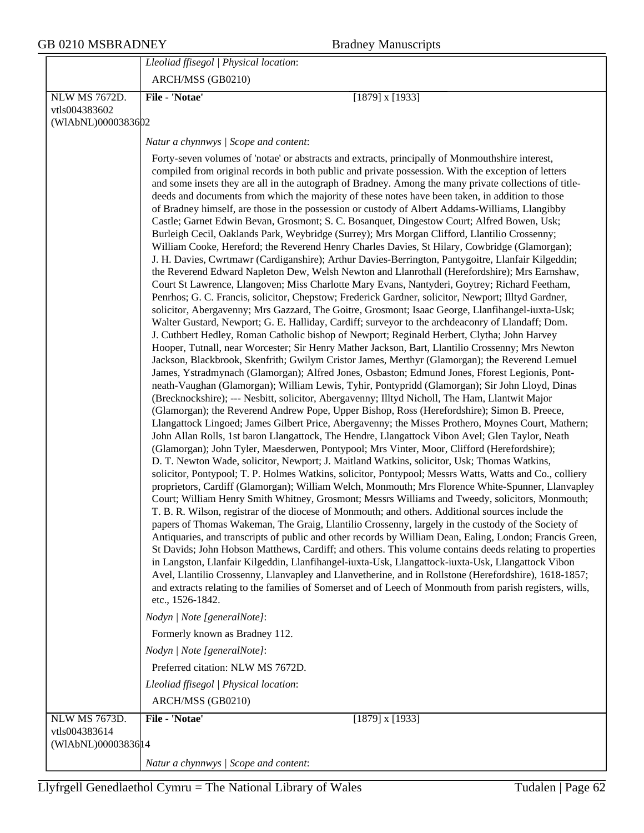|                                      | Lleoliad ffisegol   Physical location:                                                                                                                                                                                                                                                                                                                                                                                                                                                                                                                                                                                                                                                                                                                                                                                                                                                                                                                                                                                                                                                                                                                                                                                                                                                                                                                                                                                                                                                                                                                                                                                                                                                                                                                                                                                                                                                                                                                                                                                                                                                                                                                                                                                                                                                                                                                                                                                                                                                                                                                                                                                                                                                                                                                                                                                                                                                                                                                                                                                                                                                                                                                                                                                                                                                                                                                                                                                                                                                                                                                                                                                                                                                            |
|--------------------------------------|---------------------------------------------------------------------------------------------------------------------------------------------------------------------------------------------------------------------------------------------------------------------------------------------------------------------------------------------------------------------------------------------------------------------------------------------------------------------------------------------------------------------------------------------------------------------------------------------------------------------------------------------------------------------------------------------------------------------------------------------------------------------------------------------------------------------------------------------------------------------------------------------------------------------------------------------------------------------------------------------------------------------------------------------------------------------------------------------------------------------------------------------------------------------------------------------------------------------------------------------------------------------------------------------------------------------------------------------------------------------------------------------------------------------------------------------------------------------------------------------------------------------------------------------------------------------------------------------------------------------------------------------------------------------------------------------------------------------------------------------------------------------------------------------------------------------------------------------------------------------------------------------------------------------------------------------------------------------------------------------------------------------------------------------------------------------------------------------------------------------------------------------------------------------------------------------------------------------------------------------------------------------------------------------------------------------------------------------------------------------------------------------------------------------------------------------------------------------------------------------------------------------------------------------------------------------------------------------------------------------------------------------------------------------------------------------------------------------------------------------------------------------------------------------------------------------------------------------------------------------------------------------------------------------------------------------------------------------------------------------------------------------------------------------------------------------------------------------------------------------------------------------------------------------------------------------------------------------------------------------------------------------------------------------------------------------------------------------------------------------------------------------------------------------------------------------------------------------------------------------------------------------------------------------------------------------------------------------------------------------------------------------------------------------------------------------------|
|                                      | ARCH/MSS (GB0210)                                                                                                                                                                                                                                                                                                                                                                                                                                                                                                                                                                                                                                                                                                                                                                                                                                                                                                                                                                                                                                                                                                                                                                                                                                                                                                                                                                                                                                                                                                                                                                                                                                                                                                                                                                                                                                                                                                                                                                                                                                                                                                                                                                                                                                                                                                                                                                                                                                                                                                                                                                                                                                                                                                                                                                                                                                                                                                                                                                                                                                                                                                                                                                                                                                                                                                                                                                                                                                                                                                                                                                                                                                                                                 |
| <b>NLW MS 7672D.</b>                 | File - 'Notae'<br>$[1879]$ x $[1933]$                                                                                                                                                                                                                                                                                                                                                                                                                                                                                                                                                                                                                                                                                                                                                                                                                                                                                                                                                                                                                                                                                                                                                                                                                                                                                                                                                                                                                                                                                                                                                                                                                                                                                                                                                                                                                                                                                                                                                                                                                                                                                                                                                                                                                                                                                                                                                                                                                                                                                                                                                                                                                                                                                                                                                                                                                                                                                                                                                                                                                                                                                                                                                                                                                                                                                                                                                                                                                                                                                                                                                                                                                                                             |
| vtls004383602                        |                                                                                                                                                                                                                                                                                                                                                                                                                                                                                                                                                                                                                                                                                                                                                                                                                                                                                                                                                                                                                                                                                                                                                                                                                                                                                                                                                                                                                                                                                                                                                                                                                                                                                                                                                                                                                                                                                                                                                                                                                                                                                                                                                                                                                                                                                                                                                                                                                                                                                                                                                                                                                                                                                                                                                                                                                                                                                                                                                                                                                                                                                                                                                                                                                                                                                                                                                                                                                                                                                                                                                                                                                                                                                                   |
| (WIAbNL)0000383602                   |                                                                                                                                                                                                                                                                                                                                                                                                                                                                                                                                                                                                                                                                                                                                                                                                                                                                                                                                                                                                                                                                                                                                                                                                                                                                                                                                                                                                                                                                                                                                                                                                                                                                                                                                                                                                                                                                                                                                                                                                                                                                                                                                                                                                                                                                                                                                                                                                                                                                                                                                                                                                                                                                                                                                                                                                                                                                                                                                                                                                                                                                                                                                                                                                                                                                                                                                                                                                                                                                                                                                                                                                                                                                                                   |
|                                      | Natur a chynnwys / Scope and content:                                                                                                                                                                                                                                                                                                                                                                                                                                                                                                                                                                                                                                                                                                                                                                                                                                                                                                                                                                                                                                                                                                                                                                                                                                                                                                                                                                                                                                                                                                                                                                                                                                                                                                                                                                                                                                                                                                                                                                                                                                                                                                                                                                                                                                                                                                                                                                                                                                                                                                                                                                                                                                                                                                                                                                                                                                                                                                                                                                                                                                                                                                                                                                                                                                                                                                                                                                                                                                                                                                                                                                                                                                                             |
|                                      | Forty-seven volumes of 'notae' or abstracts and extracts, principally of Monmouthshire interest,<br>compiled from original records in both public and private possession. With the exception of letters<br>and some insets they are all in the autograph of Bradney. Among the many private collections of title-<br>deeds and documents from which the majority of these notes have been taken, in addition to those<br>of Bradney himself, are those in the possession or custody of Albert Addams-Williams, Llangibby<br>Castle; Garnet Edwin Bevan, Grosmont; S. C. Bosanquet, Dingestow Court; Alfred Bowen, Usk;<br>Burleigh Cecil, Oaklands Park, Weybridge (Surrey); Mrs Morgan Clifford, Llantilio Crossenny;<br>William Cooke, Hereford; the Reverend Henry Charles Davies, St Hilary, Cowbridge (Glamorgan);<br>J. H. Davies, Cwrtmawr (Cardiganshire); Arthur Davies-Berrington, Pantygoitre, Llanfair Kilgeddin;<br>the Reverend Edward Napleton Dew, Welsh Newton and Llanrothall (Herefordshire); Mrs Earnshaw,<br>Court St Lawrence, Llangoven; Miss Charlotte Mary Evans, Nantyderi, Goytrey; Richard Feetham,<br>Penrhos; G. C. Francis, solicitor, Chepstow; Frederick Gardner, solicitor, Newport; Illtyd Gardner,<br>solicitor, Abergavenny; Mrs Gazzard, The Goitre, Grosmont; Isaac George, Llanfihangel-iuxta-Usk;<br>Walter Gustard, Newport; G. E. Halliday, Cardiff; surveyor to the archdeaconry of Llandaff; Dom.<br>J. Cuthbert Hedley, Roman Catholic bishop of Newport; Reginald Herbert, Clytha; John Harvey<br>Hooper, Tutnall, near Worcester; Sir Henry Mather Jackson, Bart, Llantilio Crossenny; Mrs Newton<br>Jackson, Blackbrook, Skenfrith; Gwilym Cristor James, Merthyr (Glamorgan); the Reverend Lemuel<br>James, Ystradmynach (Glamorgan); Alfred Jones, Osbaston; Edmund Jones, Fforest Legionis, Pont-<br>neath-Vaughan (Glamorgan); William Lewis, Tyhir, Pontypridd (Glamorgan); Sir John Lloyd, Dinas<br>(Brecknockshire); --- Nesbitt, solicitor, Abergavenny; Illtyd Nicholl, The Ham, Llantwit Major<br>(Glamorgan); the Reverend Andrew Pope, Upper Bishop, Ross (Herefordshire); Simon B. Preece,<br>Llangattock Lingoed; James Gilbert Price, Abergavenny; the Misses Prothero, Moynes Court, Mathern;<br>John Allan Rolls, 1st baron Llangattock, The Hendre, Llangattock Vibon Avel; Glen Taylor, Neath<br>(Glamorgan); John Tyler, Maesderwen, Pontypool; Mrs Vinter, Moor, Clifford (Herefordshire);<br>D. T. Newton Wade, solicitor, Newport; J. Maitland Watkins, solicitor, Usk; Thomas Watkins,<br>solicitor, Pontypool; T. P. Holmes Watkins, solicitor, Pontypool; Messrs Watts, Watts and Co., colliery<br>proprietors, Cardiff (Glamorgan); William Welch, Monmouth; Mrs Florence White-Spunner, Llanvapley<br>Court; William Henry Smith Whitney, Grosmont; Messrs Williams and Tweedy, solicitors, Monmouth;<br>T. B. R. Wilson, registrar of the diocese of Monmouth; and others. Additional sources include the<br>papers of Thomas Wakeman, The Graig, Llantilio Crossenny, largely in the custody of the Society of<br>Antiquaries, and transcripts of public and other records by William Dean, Ealing, London; Francis Green,<br>St Davids; John Hobson Matthews, Cardiff; and others. This volume contains deeds relating to properties<br>in Langston, Llanfair Kilgeddin, Llanfihangel-iuxta-Usk, Llangattock-iuxta-Usk, Llangattock Vibon<br>Avel, Llantilio Crossenny, Llanvapley and Llanvetherine, and in Rollstone (Herefordshire), 1618-1857;<br>and extracts relating to the families of Somerset and of Leech of Monmouth from parish registers, wills,<br>etc., 1526-1842.<br>Nodyn   Note [generalNote]: |
|                                      | Formerly known as Bradney 112.                                                                                                                                                                                                                                                                                                                                                                                                                                                                                                                                                                                                                                                                                                                                                                                                                                                                                                                                                                                                                                                                                                                                                                                                                                                                                                                                                                                                                                                                                                                                                                                                                                                                                                                                                                                                                                                                                                                                                                                                                                                                                                                                                                                                                                                                                                                                                                                                                                                                                                                                                                                                                                                                                                                                                                                                                                                                                                                                                                                                                                                                                                                                                                                                                                                                                                                                                                                                                                                                                                                                                                                                                                                                    |
|                                      | Nodyn   Note [generalNote]:                                                                                                                                                                                                                                                                                                                                                                                                                                                                                                                                                                                                                                                                                                                                                                                                                                                                                                                                                                                                                                                                                                                                                                                                                                                                                                                                                                                                                                                                                                                                                                                                                                                                                                                                                                                                                                                                                                                                                                                                                                                                                                                                                                                                                                                                                                                                                                                                                                                                                                                                                                                                                                                                                                                                                                                                                                                                                                                                                                                                                                                                                                                                                                                                                                                                                                                                                                                                                                                                                                                                                                                                                                                                       |
|                                      | Preferred citation: NLW MS 7672D.                                                                                                                                                                                                                                                                                                                                                                                                                                                                                                                                                                                                                                                                                                                                                                                                                                                                                                                                                                                                                                                                                                                                                                                                                                                                                                                                                                                                                                                                                                                                                                                                                                                                                                                                                                                                                                                                                                                                                                                                                                                                                                                                                                                                                                                                                                                                                                                                                                                                                                                                                                                                                                                                                                                                                                                                                                                                                                                                                                                                                                                                                                                                                                                                                                                                                                                                                                                                                                                                                                                                                                                                                                                                 |
|                                      | Lleoliad ffisegol   Physical location:                                                                                                                                                                                                                                                                                                                                                                                                                                                                                                                                                                                                                                                                                                                                                                                                                                                                                                                                                                                                                                                                                                                                                                                                                                                                                                                                                                                                                                                                                                                                                                                                                                                                                                                                                                                                                                                                                                                                                                                                                                                                                                                                                                                                                                                                                                                                                                                                                                                                                                                                                                                                                                                                                                                                                                                                                                                                                                                                                                                                                                                                                                                                                                                                                                                                                                                                                                                                                                                                                                                                                                                                                                                            |
|                                      | ARCH/MSS (GB0210)                                                                                                                                                                                                                                                                                                                                                                                                                                                                                                                                                                                                                                                                                                                                                                                                                                                                                                                                                                                                                                                                                                                                                                                                                                                                                                                                                                                                                                                                                                                                                                                                                                                                                                                                                                                                                                                                                                                                                                                                                                                                                                                                                                                                                                                                                                                                                                                                                                                                                                                                                                                                                                                                                                                                                                                                                                                                                                                                                                                                                                                                                                                                                                                                                                                                                                                                                                                                                                                                                                                                                                                                                                                                                 |
| <b>NLW MS 7673D.</b>                 | File - 'Notae'<br>$[1879]$ x $[1933]$                                                                                                                                                                                                                                                                                                                                                                                                                                                                                                                                                                                                                                                                                                                                                                                                                                                                                                                                                                                                                                                                                                                                                                                                                                                                                                                                                                                                                                                                                                                                                                                                                                                                                                                                                                                                                                                                                                                                                                                                                                                                                                                                                                                                                                                                                                                                                                                                                                                                                                                                                                                                                                                                                                                                                                                                                                                                                                                                                                                                                                                                                                                                                                                                                                                                                                                                                                                                                                                                                                                                                                                                                                                             |
| vtls004383614<br>(WIAbNL)00003836 14 |                                                                                                                                                                                                                                                                                                                                                                                                                                                                                                                                                                                                                                                                                                                                                                                                                                                                                                                                                                                                                                                                                                                                                                                                                                                                                                                                                                                                                                                                                                                                                                                                                                                                                                                                                                                                                                                                                                                                                                                                                                                                                                                                                                                                                                                                                                                                                                                                                                                                                                                                                                                                                                                                                                                                                                                                                                                                                                                                                                                                                                                                                                                                                                                                                                                                                                                                                                                                                                                                                                                                                                                                                                                                                                   |
|                                      |                                                                                                                                                                                                                                                                                                                                                                                                                                                                                                                                                                                                                                                                                                                                                                                                                                                                                                                                                                                                                                                                                                                                                                                                                                                                                                                                                                                                                                                                                                                                                                                                                                                                                                                                                                                                                                                                                                                                                                                                                                                                                                                                                                                                                                                                                                                                                                                                                                                                                                                                                                                                                                                                                                                                                                                                                                                                                                                                                                                                                                                                                                                                                                                                                                                                                                                                                                                                                                                                                                                                                                                                                                                                                                   |
|                                      | Natur a chynnwys / Scope and content:                                                                                                                                                                                                                                                                                                                                                                                                                                                                                                                                                                                                                                                                                                                                                                                                                                                                                                                                                                                                                                                                                                                                                                                                                                                                                                                                                                                                                                                                                                                                                                                                                                                                                                                                                                                                                                                                                                                                                                                                                                                                                                                                                                                                                                                                                                                                                                                                                                                                                                                                                                                                                                                                                                                                                                                                                                                                                                                                                                                                                                                                                                                                                                                                                                                                                                                                                                                                                                                                                                                                                                                                                                                             |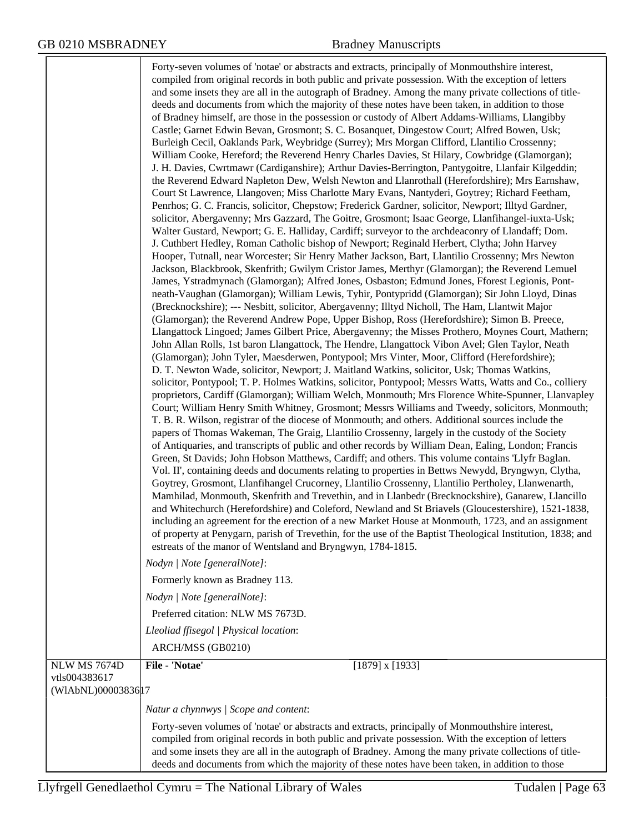|                                                             | Forty-seven volumes of 'notae' or abstracts and extracts, principally of Monmouthshire interest,<br>compiled from original records in both public and private possession. With the exception of letters<br>and some insets they are all in the autograph of Bradney. Among the many private collections of title-<br>deeds and documents from which the majority of these notes have been taken, in addition to those<br>of Bradney himself, are those in the possession or custody of Albert Addams-Williams, Llangibby<br>Castle; Garnet Edwin Bevan, Grosmont; S. C. Bosanquet, Dingestow Court; Alfred Bowen, Usk;<br>Burleigh Cecil, Oaklands Park, Weybridge (Surrey); Mrs Morgan Clifford, Llantilio Crossenny;<br>William Cooke, Hereford; the Reverend Henry Charles Davies, St Hilary, Cowbridge (Glamorgan);<br>J. H. Davies, Cwrtmawr (Cardiganshire); Arthur Davies-Berrington, Pantygoitre, Llanfair Kilgeddin;<br>the Reverend Edward Napleton Dew, Welsh Newton and Llanrothall (Herefordshire); Mrs Earnshaw,<br>Court St Lawrence, Llangoven; Miss Charlotte Mary Evans, Nantyderi, Goytrey; Richard Feetham,<br>Penrhos; G. C. Francis, solicitor, Chepstow; Frederick Gardner, solicitor, Newport; Illtyd Gardner,<br>solicitor, Abergavenny; Mrs Gazzard, The Goitre, Grosmont; Isaac George, Llanfihangel-iuxta-Usk;<br>Walter Gustard, Newport; G. E. Halliday, Cardiff; surveyor to the archdeaconry of Llandaff; Dom.<br>J. Cuthbert Hedley, Roman Catholic bishop of Newport; Reginald Herbert, Clytha; John Harvey<br>Hooper, Tutnall, near Worcester; Sir Henry Mather Jackson, Bart, Llantilio Crossenny; Mrs Newton<br>Jackson, Blackbrook, Skenfrith; Gwilym Cristor James, Merthyr (Glamorgan); the Reverend Lemuel<br>James, Ystradmynach (Glamorgan); Alfred Jones, Osbaston; Edmund Jones, Fforest Legionis, Pont-<br>neath-Vaughan (Glamorgan); William Lewis, Tyhir, Pontypridd (Glamorgan); Sir John Lloyd, Dinas<br>(Brecknockshire); --- Nesbitt, solicitor, Abergavenny; Illtyd Nicholl, The Ham, Llantwit Major<br>(Glamorgan); the Reverend Andrew Pope, Upper Bishop, Ross (Herefordshire); Simon B. Preece,<br>Llangattock Lingoed; James Gilbert Price, Abergavenny; the Misses Prothero, Moynes Court, Mathern;<br>John Allan Rolls, 1st baron Llangattock, The Hendre, Llangattock Vibon Avel; Glen Taylor, Neath<br>(Glamorgan); John Tyler, Maesderwen, Pontypool; Mrs Vinter, Moor, Clifford (Herefordshire);<br>D. T. Newton Wade, solicitor, Newport; J. Maitland Watkins, solicitor, Usk; Thomas Watkins,<br>solicitor, Pontypool; T. P. Holmes Watkins, solicitor, Pontypool; Messrs Watts, Watts and Co., colliery<br>proprietors, Cardiff (Glamorgan); William Welch, Monmouth; Mrs Florence White-Spunner, Llanvapley<br>Court; William Henry Smith Whitney, Grosmont; Messrs Williams and Tweedy, solicitors, Monmouth;<br>T. B. R. Wilson, registrar of the diocese of Monmouth; and others. Additional sources include the<br>papers of Thomas Wakeman, The Graig, Llantilio Crossenny, largely in the custody of the Society<br>of Antiquaries, and transcripts of public and other records by William Dean, Ealing, London; Francis<br>Green, St Davids; John Hobson Matthews, Cardiff; and others. This volume contains 'Llyfr Baglan.<br>Vol. II', containing deeds and documents relating to properties in Bettws Newydd, Bryngwyn, Clytha,<br>Goytrey, Grosmont, Llanfihangel Crucorney, Llantilio Crossenny, Llantilio Pertholey, Llanwenarth,<br>Mamhilad, Monmouth, Skenfrith and Trevethin, and in Llanbedr (Brecknockshire), Ganarew, Llancillo<br>and Whitechurch (Herefordshire) and Coleford, Newland and St Briavels (Gloucestershire), 1521-1838,<br>including an agreement for the erection of a new Market House at Monmouth, 1723, and an assignment<br>of property at Penygarn, parish of Trevethin, for the use of the Baptist Theological Institution, 1838; and<br>estreats of the manor of Wentsland and Bryngwyn, 1784-1815.<br>Nodyn   Note [generalNote]:<br>Formerly known as Bradney 113.<br>Nodyn   Note [generalNote]:<br>Preferred citation: NLW MS 7673D.<br>Lleoliad ffisegol   Physical location:<br>ARCH/MSS (GB0210) |
|-------------------------------------------------------------|------------------------------------------------------------------------------------------------------------------------------------------------------------------------------------------------------------------------------------------------------------------------------------------------------------------------------------------------------------------------------------------------------------------------------------------------------------------------------------------------------------------------------------------------------------------------------------------------------------------------------------------------------------------------------------------------------------------------------------------------------------------------------------------------------------------------------------------------------------------------------------------------------------------------------------------------------------------------------------------------------------------------------------------------------------------------------------------------------------------------------------------------------------------------------------------------------------------------------------------------------------------------------------------------------------------------------------------------------------------------------------------------------------------------------------------------------------------------------------------------------------------------------------------------------------------------------------------------------------------------------------------------------------------------------------------------------------------------------------------------------------------------------------------------------------------------------------------------------------------------------------------------------------------------------------------------------------------------------------------------------------------------------------------------------------------------------------------------------------------------------------------------------------------------------------------------------------------------------------------------------------------------------------------------------------------------------------------------------------------------------------------------------------------------------------------------------------------------------------------------------------------------------------------------------------------------------------------------------------------------------------------------------------------------------------------------------------------------------------------------------------------------------------------------------------------------------------------------------------------------------------------------------------------------------------------------------------------------------------------------------------------------------------------------------------------------------------------------------------------------------------------------------------------------------------------------------------------------------------------------------------------------------------------------------------------------------------------------------------------------------------------------------------------------------------------------------------------------------------------------------------------------------------------------------------------------------------------------------------------------------------------------------------------------------------------------------------------------------------------------------------------------------------------------------------------------------------------------------------------------------------------------------------------------------------------------------------------------------------------------------------------------------------------------------------------------------------------------------------------------------------------------------------------------------------------------------------------------|
|                                                             |                                                                                                                                                                                                                                                                                                                                                                                                                                                                                                                                                                                                                                                                                                                                                                                                                                                                                                                                                                                                                                                                                                                                                                                                                                                                                                                                                                                                                                                                                                                                                                                                                                                                                                                                                                                                                                                                                                                                                                                                                                                                                                                                                                                                                                                                                                                                                                                                                                                                                                                                                                                                                                                                                                                                                                                                                                                                                                                                                                                                                                                                                                                                                                                                                                                                                                                                                                                                                                                                                                                                                                                                                                                                                                                                                                                                                                                                                                                                                                                                                                                                                                                                                                                                                        |
| <b>NLW MS 7674D</b><br>vtls004383617<br>(WIAbNL)00003836 17 | File - 'Notae'<br>$[1879]$ x $[1933]$                                                                                                                                                                                                                                                                                                                                                                                                                                                                                                                                                                                                                                                                                                                                                                                                                                                                                                                                                                                                                                                                                                                                                                                                                                                                                                                                                                                                                                                                                                                                                                                                                                                                                                                                                                                                                                                                                                                                                                                                                                                                                                                                                                                                                                                                                                                                                                                                                                                                                                                                                                                                                                                                                                                                                                                                                                                                                                                                                                                                                                                                                                                                                                                                                                                                                                                                                                                                                                                                                                                                                                                                                                                                                                                                                                                                                                                                                                                                                                                                                                                                                                                                                                                  |
|                                                             | Natur a chynnwys / Scope and content:                                                                                                                                                                                                                                                                                                                                                                                                                                                                                                                                                                                                                                                                                                                                                                                                                                                                                                                                                                                                                                                                                                                                                                                                                                                                                                                                                                                                                                                                                                                                                                                                                                                                                                                                                                                                                                                                                                                                                                                                                                                                                                                                                                                                                                                                                                                                                                                                                                                                                                                                                                                                                                                                                                                                                                                                                                                                                                                                                                                                                                                                                                                                                                                                                                                                                                                                                                                                                                                                                                                                                                                                                                                                                                                                                                                                                                                                                                                                                                                                                                                                                                                                                                                  |
|                                                             | Forty-seven volumes of 'notae' or abstracts and extracts, principally of Monmouthshire interest,<br>compiled from original records in both public and private possession. With the exception of letters<br>and some insets they are all in the autograph of Bradney. Among the many private collections of title-<br>deeds and documents from which the majority of these notes have been taken, in addition to those                                                                                                                                                                                                                                                                                                                                                                                                                                                                                                                                                                                                                                                                                                                                                                                                                                                                                                                                                                                                                                                                                                                                                                                                                                                                                                                                                                                                                                                                                                                                                                                                                                                                                                                                                                                                                                                                                                                                                                                                                                                                                                                                                                                                                                                                                                                                                                                                                                                                                                                                                                                                                                                                                                                                                                                                                                                                                                                                                                                                                                                                                                                                                                                                                                                                                                                                                                                                                                                                                                                                                                                                                                                                                                                                                                                                  |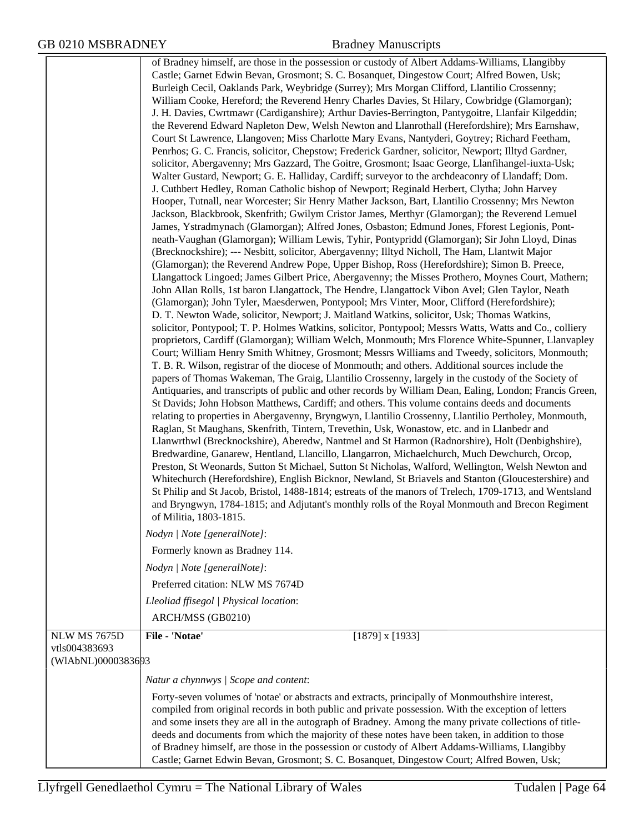|                     | of Bradney himself, are those in the possession or custody of Albert Addams-Williams, Llangibby                                                                                                      |
|---------------------|------------------------------------------------------------------------------------------------------------------------------------------------------------------------------------------------------|
|                     | Castle; Garnet Edwin Bevan, Grosmont; S. C. Bosanquet, Dingestow Court; Alfred Bowen, Usk;                                                                                                           |
|                     | Burleigh Cecil, Oaklands Park, Weybridge (Surrey); Mrs Morgan Clifford, Llantilio Crossenny;                                                                                                         |
|                     | William Cooke, Hereford; the Reverend Henry Charles Davies, St Hilary, Cowbridge (Glamorgan);<br>J. H. Davies, Cwrtmawr (Cardiganshire); Arthur Davies-Berrington, Pantygoitre, Llanfair Kilgeddin;  |
|                     | the Reverend Edward Napleton Dew, Welsh Newton and Llanrothall (Herefordshire); Mrs Earnshaw,                                                                                                        |
|                     | Court St Lawrence, Llangoven; Miss Charlotte Mary Evans, Nantyderi, Goytrey; Richard Feetham,                                                                                                        |
|                     | Penrhos; G. C. Francis, solicitor, Chepstow; Frederick Gardner, solicitor, Newport; Illtyd Gardner,                                                                                                  |
|                     | solicitor, Abergavenny; Mrs Gazzard, The Goitre, Grosmont; Isaac George, Llanfihangel-iuxta-Usk;                                                                                                     |
|                     | Walter Gustard, Newport; G. E. Halliday, Cardiff; surveyor to the archdeaconry of Llandaff; Dom.                                                                                                     |
|                     | J. Cuthbert Hedley, Roman Catholic bishop of Newport; Reginald Herbert, Clytha; John Harvey                                                                                                          |
|                     | Hooper, Tutnall, near Worcester; Sir Henry Mather Jackson, Bart, Llantilio Crossenny; Mrs Newton                                                                                                     |
|                     | Jackson, Blackbrook, Skenfrith; Gwilym Cristor James, Merthyr (Glamorgan); the Reverend Lemuel<br>James, Ystradmynach (Glamorgan); Alfred Jones, Osbaston; Edmund Jones, Fforest Legionis, Pont-     |
|                     | neath-Vaughan (Glamorgan); William Lewis, Tyhir, Pontypridd (Glamorgan); Sir John Lloyd, Dinas                                                                                                       |
|                     | (Brecknockshire); --- Nesbitt, solicitor, Abergavenny; Illtyd Nicholl, The Ham, Llantwit Major                                                                                                       |
|                     | (Glamorgan); the Reverend Andrew Pope, Upper Bishop, Ross (Herefordshire); Simon B. Preece,                                                                                                          |
|                     | Llangattock Lingoed; James Gilbert Price, Abergavenny; the Misses Prothero, Moynes Court, Mathern;                                                                                                   |
|                     | John Allan Rolls, 1st baron Llangattock, The Hendre, Llangattock Vibon Avel; Glen Taylor, Neath                                                                                                      |
|                     | (Glamorgan); John Tyler, Maesderwen, Pontypool; Mrs Vinter, Moor, Clifford (Herefordshire);                                                                                                          |
|                     | D. T. Newton Wade, solicitor, Newport; J. Maitland Watkins, solicitor, Usk; Thomas Watkins,                                                                                                          |
|                     | solicitor, Pontypool; T. P. Holmes Watkins, solicitor, Pontypool; Messrs Watts, Watts and Co., colliery                                                                                              |
|                     | proprietors, Cardiff (Glamorgan); William Welch, Monmouth; Mrs Florence White-Spunner, Llanvapley<br>Court; William Henry Smith Whitney, Grosmont; Messrs Williams and Tweedy, solicitors, Monmouth; |
|                     | T. B. R. Wilson, registrar of the diocese of Monmouth; and others. Additional sources include the                                                                                                    |
|                     | papers of Thomas Wakeman, The Graig, Llantilio Crossenny, largely in the custody of the Society of                                                                                                   |
|                     | Antiquaries, and transcripts of public and other records by William Dean, Ealing, London; Francis Green,                                                                                             |
|                     | St Davids; John Hobson Matthews, Cardiff; and others. This volume contains deeds and documents                                                                                                       |
|                     | relating to properties in Abergavenny, Bryngwyn, Llantilio Crossenny, Llantilio Pertholey, Monmouth,                                                                                                 |
|                     | Raglan, St Maughans, Skenfrith, Tintern, Trevethin, Usk, Wonastow, etc. and in Llanbedr and                                                                                                          |
|                     | Llanwrthwl (Brecknockshire), Aberedw, Nantmel and St Harmon (Radnorshire), Holt (Denbighshire),<br>Bredwardine, Ganarew, Hentland, Llancillo, Llangarron, Michaelchurch, Much Dewchurch, Orcop,      |
|                     | Preston, St Weonards, Sutton St Michael, Sutton St Nicholas, Walford, Wellington, Welsh Newton and                                                                                                   |
|                     | Whitechurch (Herefordshire), English Bicknor, Newland, St Briavels and Stanton (Gloucestershire) and                                                                                                 |
|                     | St Philip and St Jacob, Bristol, 1488-1814; estreats of the manors of Trelech, 1709-1713, and Wentsland                                                                                              |
|                     | and Bryngwyn, 1784-1815; and Adjutant's monthly rolls of the Royal Monmouth and Brecon Regiment                                                                                                      |
|                     | of Militia, 1803-1815.                                                                                                                                                                               |
|                     | Nodyn   Note [generalNote]:                                                                                                                                                                          |
|                     | Formerly known as Bradney 114.                                                                                                                                                                       |
|                     | Nodyn   Note [generalNote]:                                                                                                                                                                          |
|                     | Preferred citation: NLW MS 7674D                                                                                                                                                                     |
|                     | Lleoliad ffisegol   Physical location:                                                                                                                                                               |
|                     | ARCH/MSS (GB0210)                                                                                                                                                                                    |
| <b>NLW MS 7675D</b> | File - 'Notae'<br>$[1879]$ x $[1933]$                                                                                                                                                                |
| vtls004383693       |                                                                                                                                                                                                      |
| (WIAbNL)0000383693  |                                                                                                                                                                                                      |
|                     | Natur a chynnwys   Scope and content:                                                                                                                                                                |
|                     | Forty-seven volumes of 'notae' or abstracts and extracts, principally of Monmouthshire interest,                                                                                                     |
|                     | compiled from original records in both public and private possession. With the exception of letters                                                                                                  |
|                     | and some insets they are all in the autograph of Bradney. Among the many private collections of title-                                                                                               |
|                     | deeds and documents from which the majority of these notes have been taken, in addition to those<br>of Bradney himself, are those in the possession or custody of Albert Addams-Williams, Llangibby  |
|                     | Castle; Garnet Edwin Bevan, Grosmont; S. C. Bosanquet, Dingestow Court; Alfred Bowen, Usk;                                                                                                           |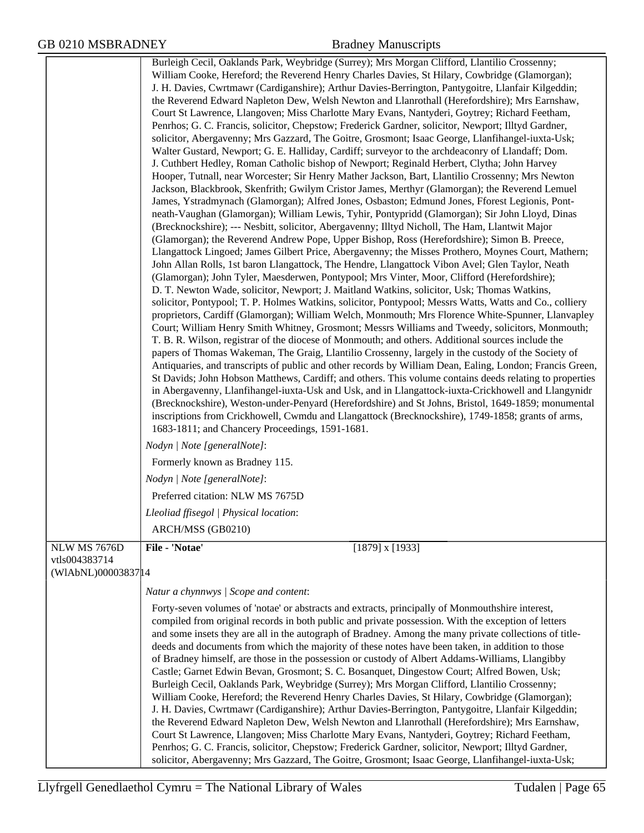|                                      | Burleigh Cecil, Oaklands Park, Weybridge (Surrey); Mrs Morgan Clifford, Llantilio Crossenny;                                                                                                         |
|--------------------------------------|------------------------------------------------------------------------------------------------------------------------------------------------------------------------------------------------------|
|                                      | William Cooke, Hereford; the Reverend Henry Charles Davies, St Hilary, Cowbridge (Glamorgan);                                                                                                        |
|                                      | J. H. Davies, Cwrtmawr (Cardiganshire); Arthur Davies-Berrington, Pantygoitre, Llanfair Kilgeddin;                                                                                                   |
|                                      | the Reverend Edward Napleton Dew, Welsh Newton and Llanrothall (Herefordshire); Mrs Earnshaw,                                                                                                        |
|                                      | Court St Lawrence, Llangoven; Miss Charlotte Mary Evans, Nantyderi, Goytrey; Richard Feetham,                                                                                                        |
|                                      | Penrhos; G. C. Francis, solicitor, Chepstow; Frederick Gardner, solicitor, Newport; Illtyd Gardner,                                                                                                  |
|                                      | solicitor, Abergavenny; Mrs Gazzard, The Goitre, Grosmont; Isaac George, Llanfihangel-iuxta-Usk;                                                                                                     |
|                                      | Walter Gustard, Newport; G. E. Halliday, Cardiff; surveyor to the archdeaconry of Llandaff; Dom.                                                                                                     |
|                                      | J. Cuthbert Hedley, Roman Catholic bishop of Newport; Reginald Herbert, Clytha; John Harvey                                                                                                          |
|                                      | Hooper, Tutnall, near Worcester; Sir Henry Mather Jackson, Bart, Llantilio Crossenny; Mrs Newton                                                                                                     |
|                                      | Jackson, Blackbrook, Skenfrith; Gwilym Cristor James, Merthyr (Glamorgan); the Reverend Lemuel                                                                                                       |
|                                      | James, Ystradmynach (Glamorgan); Alfred Jones, Osbaston; Edmund Jones, Fforest Legionis, Pont-                                                                                                       |
|                                      | neath-Vaughan (Glamorgan); William Lewis, Tyhir, Pontypridd (Glamorgan); Sir John Lloyd, Dinas                                                                                                       |
|                                      | (Brecknockshire); --- Nesbitt, solicitor, Abergavenny; Illtyd Nicholl, The Ham, Llantwit Major                                                                                                       |
|                                      | (Glamorgan); the Reverend Andrew Pope, Upper Bishop, Ross (Herefordshire); Simon B. Preece,                                                                                                          |
|                                      | Llangattock Lingoed; James Gilbert Price, Abergavenny; the Misses Prothero, Moynes Court, Mathern;                                                                                                   |
|                                      | John Allan Rolls, 1st baron Llangattock, The Hendre, Llangattock Vibon Avel; Glen Taylor, Neath                                                                                                      |
|                                      | (Glamorgan); John Tyler, Maesderwen, Pontypool; Mrs Vinter, Moor, Clifford (Herefordshire);                                                                                                          |
|                                      | D. T. Newton Wade, solicitor, Newport; J. Maitland Watkins, solicitor, Usk; Thomas Watkins,                                                                                                          |
|                                      | solicitor, Pontypool; T. P. Holmes Watkins, solicitor, Pontypool; Messrs Watts, Watts and Co., colliery                                                                                              |
|                                      | proprietors, Cardiff (Glamorgan); William Welch, Monmouth; Mrs Florence White-Spunner, Llanvapley<br>Court; William Henry Smith Whitney, Grosmont; Messrs Williams and Tweedy, solicitors, Monmouth; |
|                                      | T. B. R. Wilson, registrar of the diocese of Monmouth; and others. Additional sources include the                                                                                                    |
|                                      | papers of Thomas Wakeman, The Graig, Llantilio Crossenny, largely in the custody of the Society of                                                                                                   |
|                                      | Antiquaries, and transcripts of public and other records by William Dean, Ealing, London; Francis Green,                                                                                             |
|                                      | St Davids; John Hobson Matthews, Cardiff; and others. This volume contains deeds relating to properties                                                                                              |
|                                      | in Abergavenny, Llanfihangel-iuxta-Usk and Usk, and in Llangattock-iuxta-Crickhowell and Llangynidr                                                                                                  |
|                                      | (Brecknockshire), Weston-under-Penyard (Herefordshire) and St Johns, Bristol, 1649-1859; monumental                                                                                                  |
|                                      | inscriptions from Crickhowell, Cwmdu and Llangattock (Brecknockshire), 1749-1858; grants of arms,                                                                                                    |
|                                      | 1683-1811; and Chancery Proceedings, 1591-1681.                                                                                                                                                      |
|                                      | Nodyn   Note [generalNote]:                                                                                                                                                                          |
|                                      | Formerly known as Bradney 115.                                                                                                                                                                       |
|                                      | Nodyn   Note [generalNote]:                                                                                                                                                                          |
|                                      | Preferred citation: NLW MS 7675D                                                                                                                                                                     |
|                                      | Lleoliad ffisegol   Physical location:                                                                                                                                                               |
|                                      | ARCH/MSS (GB0210)                                                                                                                                                                                    |
| NLW MS 7676D                         | File - 'Notae'<br>$[1879]$ x $[1933]$                                                                                                                                                                |
| vtls004383714<br>(WIAbNL)00003837 14 |                                                                                                                                                                                                      |
|                                      |                                                                                                                                                                                                      |
|                                      | Natur a chynnwys   Scope and content:                                                                                                                                                                |
|                                      | Forty-seven volumes of 'notae' or abstracts and extracts, principally of Monmouthshire interest,                                                                                                     |
|                                      | compiled from original records in both public and private possession. With the exception of letters                                                                                                  |
|                                      | and some insets they are all in the autograph of Bradney. Among the many private collections of title-                                                                                               |
|                                      | deeds and documents from which the majority of these notes have been taken, in addition to those<br>of Bradney himself, are those in the possession or custody of Albert Addams-Williams, Llangibby  |
|                                      | Castle; Garnet Edwin Bevan, Grosmont; S. C. Bosanquet, Dingestow Court; Alfred Bowen, Usk;                                                                                                           |
|                                      | Burleigh Cecil, Oaklands Park, Weybridge (Surrey); Mrs Morgan Clifford, Llantilio Crossenny;                                                                                                         |
|                                      | William Cooke, Hereford; the Reverend Henry Charles Davies, St Hilary, Cowbridge (Glamorgan);                                                                                                        |
|                                      | J. H. Davies, Cwrtmawr (Cardiganshire); Arthur Davies-Berrington, Pantygoitre, Llanfair Kilgeddin;                                                                                                   |
|                                      | the Reverend Edward Napleton Dew, Welsh Newton and Llanrothall (Herefordshire); Mrs Earnshaw,                                                                                                        |
|                                      | Court St Lawrence, Llangoven; Miss Charlotte Mary Evans, Nantyderi, Goytrey; Richard Feetham,                                                                                                        |
|                                      | Penrhos; G. C. Francis, solicitor, Chepstow; Frederick Gardner, solicitor, Newport; Illtyd Gardner,                                                                                                  |
|                                      | solicitor, Abergavenny; Mrs Gazzard, The Goitre, Grosmont; Isaac George, Llanfihangel-iuxta-Usk;                                                                                                     |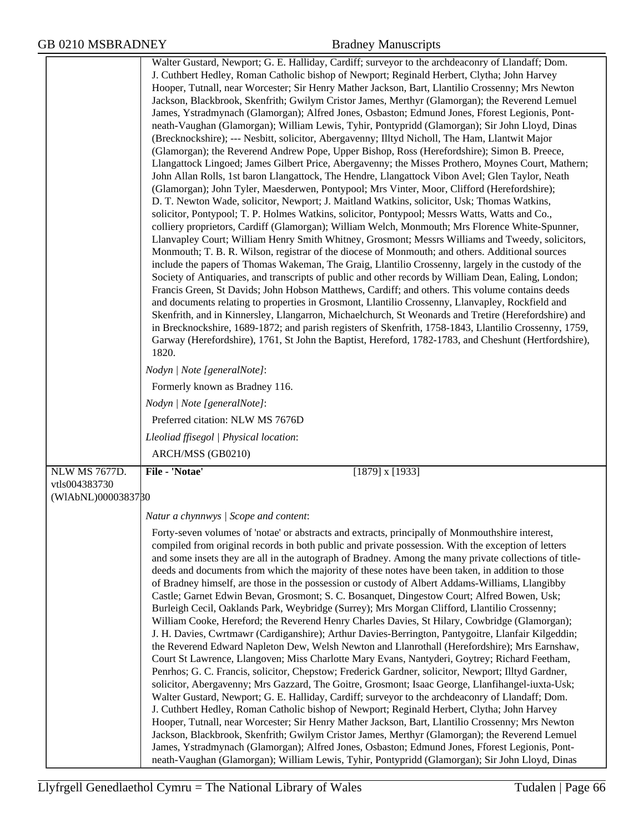|                    | Walter Gustard, Newport; G. E. Halliday, Cardiff; surveyor to the archdeaconry of Llandaff; Dom.<br>J. Cuthbert Hedley, Roman Catholic bishop of Newport; Reginald Herbert, Clytha; John Harvey<br>Hooper, Tutnall, near Worcester; Sir Henry Mather Jackson, Bart, Llantilio Crossenny; Mrs Newton<br>Jackson, Blackbrook, Skenfrith; Gwilym Cristor James, Merthyr (Glamorgan); the Reverend Lemuel<br>James, Ystradmynach (Glamorgan); Alfred Jones, Osbaston; Edmund Jones, Fforest Legionis, Pont-<br>neath-Vaughan (Glamorgan); William Lewis, Tyhir, Pontypridd (Glamorgan); Sir John Lloyd, Dinas<br>(Brecknockshire); --- Nesbitt, solicitor, Abergavenny; Illtyd Nicholl, The Ham, Llantwit Major<br>(Glamorgan); the Reverend Andrew Pope, Upper Bishop, Ross (Herefordshire); Simon B. Preece,<br>Llangattock Lingoed; James Gilbert Price, Abergavenny; the Misses Prothero, Moynes Court, Mathern;<br>John Allan Rolls, 1st baron Llangattock, The Hendre, Llangattock Vibon Avel; Glen Taylor, Neath<br>(Glamorgan); John Tyler, Maesderwen, Pontypool; Mrs Vinter, Moor, Clifford (Herefordshire);<br>D. T. Newton Wade, solicitor, Newport; J. Maitland Watkins, solicitor, Usk; Thomas Watkins,<br>solicitor, Pontypool; T. P. Holmes Watkins, solicitor, Pontypool; Messrs Watts, Watts and Co.,<br>colliery proprietors, Cardiff (Glamorgan); William Welch, Monmouth; Mrs Florence White-Spunner,<br>Llanvapley Court; William Henry Smith Whitney, Grosmont; Messrs Williams and Tweedy, solicitors,<br>Monmouth; T. B. R. Wilson, registrar of the diocese of Monmouth; and others. Additional sources<br>include the papers of Thomas Wakeman, The Graig, Llantilio Crossenny, largely in the custody of the<br>Society of Antiquaries, and transcripts of public and other records by William Dean, Ealing, London;<br>Francis Green, St Davids; John Hobson Matthews, Cardiff; and others. This volume contains deeds<br>and documents relating to properties in Grosmont, Llantilio Crossenny, Llanvapley, Rockfield and<br>Skenfrith, and in Kinnersley, Llangarron, Michaelchurch, St Weonards and Tretire (Herefordshire) and<br>in Brecknockshire, 1689-1872; and parish registers of Skenfrith, 1758-1843, Llantilio Crossenny, 1759,<br>Garway (Herefordshire), 1761, St John the Baptist, Hereford, 1782-1783, and Cheshunt (Hertfordshire),<br>1820.<br>Nodyn   Note [generalNote]:<br>Formerly known as Bradney 116.<br>Nodyn   Note [generalNote]:<br>Preferred citation: NLW MS 7676D<br>Lleoliad ffisegol   Physical location:<br>ARCH/MSS (GB0210) |
|--------------------|--------------------------------------------------------------------------------------------------------------------------------------------------------------------------------------------------------------------------------------------------------------------------------------------------------------------------------------------------------------------------------------------------------------------------------------------------------------------------------------------------------------------------------------------------------------------------------------------------------------------------------------------------------------------------------------------------------------------------------------------------------------------------------------------------------------------------------------------------------------------------------------------------------------------------------------------------------------------------------------------------------------------------------------------------------------------------------------------------------------------------------------------------------------------------------------------------------------------------------------------------------------------------------------------------------------------------------------------------------------------------------------------------------------------------------------------------------------------------------------------------------------------------------------------------------------------------------------------------------------------------------------------------------------------------------------------------------------------------------------------------------------------------------------------------------------------------------------------------------------------------------------------------------------------------------------------------------------------------------------------------------------------------------------------------------------------------------------------------------------------------------------------------------------------------------------------------------------------------------------------------------------------------------------------------------------------------------------------------------------------------------------------------------------------------------------------------------------------------------------------------------------------------------------------------------------------------------------------|
| NLW MS 7677D.      | File - 'Notae'<br>$[1879]$ x $[1933]$                                                                                                                                                                                                                                                                                                                                                                                                                                                                                                                                                                                                                                                                                                                                                                                                                                                                                                                                                                                                                                                                                                                                                                                                                                                                                                                                                                                                                                                                                                                                                                                                                                                                                                                                                                                                                                                                                                                                                                                                                                                                                                                                                                                                                                                                                                                                                                                                                                                                                                                                                      |
| vtls004383730      |                                                                                                                                                                                                                                                                                                                                                                                                                                                                                                                                                                                                                                                                                                                                                                                                                                                                                                                                                                                                                                                                                                                                                                                                                                                                                                                                                                                                                                                                                                                                                                                                                                                                                                                                                                                                                                                                                                                                                                                                                                                                                                                                                                                                                                                                                                                                                                                                                                                                                                                                                                                            |
| (WIAbNL)0000383780 |                                                                                                                                                                                                                                                                                                                                                                                                                                                                                                                                                                                                                                                                                                                                                                                                                                                                                                                                                                                                                                                                                                                                                                                                                                                                                                                                                                                                                                                                                                                                                                                                                                                                                                                                                                                                                                                                                                                                                                                                                                                                                                                                                                                                                                                                                                                                                                                                                                                                                                                                                                                            |
|                    | Natur a chynnwys / Scope and content:                                                                                                                                                                                                                                                                                                                                                                                                                                                                                                                                                                                                                                                                                                                                                                                                                                                                                                                                                                                                                                                                                                                                                                                                                                                                                                                                                                                                                                                                                                                                                                                                                                                                                                                                                                                                                                                                                                                                                                                                                                                                                                                                                                                                                                                                                                                                                                                                                                                                                                                                                      |
|                    | Forty-seven volumes of 'notae' or abstracts and extracts, principally of Monmouthshire interest,<br>compiled from original records in both public and private possession. With the exception of letters<br>and some insets they are all in the autograph of Bradney. Among the many private collections of title-<br>deeds and documents from which the majority of these notes have been taken, in addition to those<br>of Bradney himself, are those in the possession or custody of Albert Addams-Williams, Llangibby<br>Castle; Garnet Edwin Bevan, Grosmont; S. C. Bosanquet, Dingestow Court; Alfred Bowen, Usk;<br>Burleigh Cecil, Oaklands Park, Weybridge (Surrey); Mrs Morgan Clifford, Llantilio Crossenny;<br>William Cooke, Hereford; the Reverend Henry Charles Davies, St Hilary, Cowbridge (Glamorgan);<br>J. H. Davies, Cwrtmawr (Cardiganshire); Arthur Davies-Berrington, Pantygoitre, Llanfair Kilgeddin;<br>the Reverend Edward Napleton Dew, Welsh Newton and Llanrothall (Herefordshire); Mrs Earnshaw,<br>Court St Lawrence, Llangoven; Miss Charlotte Mary Evans, Nantyderi, Goytrey; Richard Feetham,<br>Penrhos; G. C. Francis, solicitor, Chepstow; Frederick Gardner, solicitor, Newport; Illtyd Gardner,<br>solicitor, Abergavenny; Mrs Gazzard, The Goitre, Grosmont; Isaac George, Llanfihangel-iuxta-Usk;<br>Walter Gustard, Newport; G. E. Halliday, Cardiff; surveyor to the archdeaconry of Llandaff; Dom.<br>J. Cuthbert Hedley, Roman Catholic bishop of Newport; Reginald Herbert, Clytha; John Harvey<br>Hooper, Tutnall, near Worcester; Sir Henry Mather Jackson, Bart, Llantilio Crossenny; Mrs Newton<br>Jackson, Blackbrook, Skenfrith; Gwilym Cristor James, Merthyr (Glamorgan); the Reverend Lemuel<br>James, Ystradmynach (Glamorgan); Alfred Jones, Osbaston; Edmund Jones, Fforest Legionis, Pont-<br>neath-Vaughan (Glamorgan); William Lewis, Tyhir, Pontypridd (Glamorgan); Sir John Lloyd, Dinas                                                                                                                                                                                                                                                                                                                                                                                                                                                                                                                                                                                                                                    |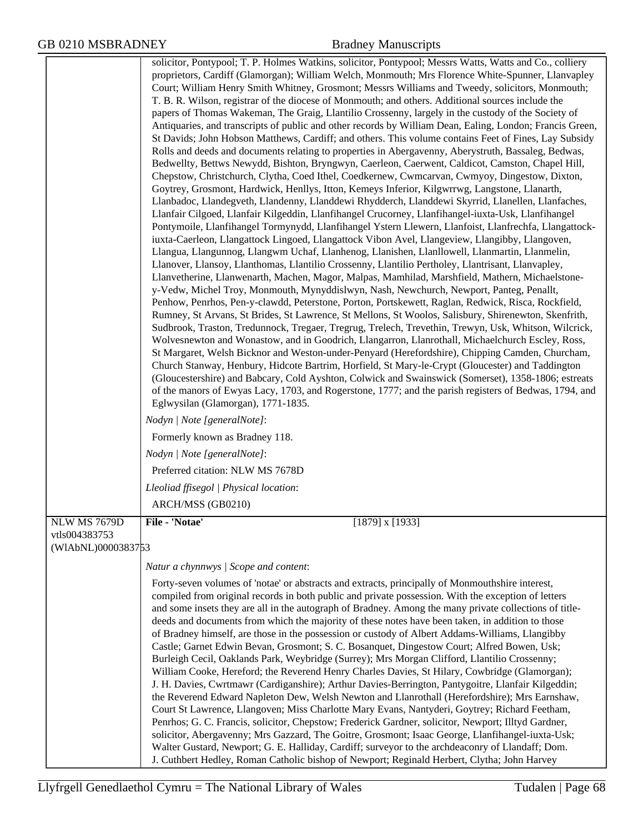|                    | solicitor, Pontypool; T. P. Holmes Watkins, solicitor, Pontypool; Messrs Watts, Watts and Co., colliery<br>proprietors, Cardiff (Glamorgan); William Welch, Monmouth; Mrs Florence White-Spunner, Llanvapley<br>Court; William Henry Smith Whitney, Grosmont; Messrs Williams and Tweedy, solicitors, Monmouth;<br>T. B. R. Wilson, registrar of the diocese of Monmouth; and others. Additional sources include the<br>papers of Thomas Wakeman, The Graig, Llantilio Crossenny, largely in the custody of the Society of<br>Antiquaries, and transcripts of public and other records by William Dean, Ealing, London; Francis Green,<br>St Davids; John Hobson Matthews, Cardiff; and others. This volume contains Feet of Fines, Lay Subsidy<br>Rolls and deeds and documents relating to properties in Abergavenny, Aberystruth, Bassaleg, Bedwas,<br>Bedwellty, Bettws Newydd, Bishton, Bryngwyn, Caerleon, Caerwent, Caldicot, Camston, Chapel Hill,<br>Chepstow, Christchurch, Clytha, Coed Ithel, Coedkernew, Cwmcarvan, Cwmyoy, Dingestow, Dixton,<br>Goytrey, Grosmont, Hardwick, Henllys, Itton, Kemeys Inferior, Kilgwrrwg, Langstone, Llanarth,<br>Llanbadoc, Llandegveth, Llandenny, Llanddewi Rhydderch, Llanddewi Skyrrid, Llanellen, Llanfaches,<br>Llanfair Cilgoed, Llanfair Kilgeddin, Llanfihangel Crucorney, Llanfihangel-iuxta-Usk, Llanfihangel<br>Pontymoile, Llanfihangel Tormynydd, Llanfihangel Ystern Llewern, Llanfoist, Llanfrechfa, Llangattock-<br>iuxta-Caerleon, Llangattock Lingoed, Llangattock Vibon Avel, Llangeview, Llangibby, Llangoven,<br>Llangua, Llangunnog, Llangwm Uchaf, Llanhenog, Llanishen, Llanllowell, Llanmartin, Llanmelin,<br>Llanover, Llansoy, Llanthomas, Llantilio Crossenny, Llantilio Pertholey, Llantrisant, Llanvapley,<br>Llanvetherine, Llanwenarth, Machen, Magor, Malpas, Mamhilad, Marshfield, Mathern, Michaelstone-<br>y-Vedw, Michel Troy, Monmouth, Mynyddislwyn, Nash, Newchurch, Newport, Panteg, Penallt,<br>Penhow, Penrhos, Pen-y-clawdd, Peterstone, Porton, Portskewett, Raglan, Redwick, Risca, Rockfield,<br>Rumney, St Arvans, St Brides, St Lawrence, St Mellons, St Woolos, Salisbury, Shirenewton, Skenfrith,<br>Sudbrook, Traston, Tredunnock, Tregaer, Tregrug, Trelech, Trevethin, Trewyn, Usk, Whitson, Wilcrick,<br>Wolvesnewton and Wonastow, and in Goodrich, Llangarron, Llanrothall, Michaelchurch Escley, Ross,<br>St Margaret, Welsh Bicknor and Weston-under-Penyard (Herefordshire), Chipping Camden, Churcham,<br>Church Stanway, Henbury, Hidcote Bartrim, Horfield, St Mary-le-Crypt (Gloucester) and Taddington<br>(Gloucestershire) and Babcary, Cold Ayshton, Colwick and Swainswick (Somerset), 1358-1806; estreats<br>of the manors of Ewyas Lacy, 1703, and Rogerstone, 1777; and the parish registers of Bedwas, 1794, and<br>Eglwysilan (Glamorgan), 1771-1835.<br>Nodyn   Note [generalNote]: |
|--------------------|---------------------------------------------------------------------------------------------------------------------------------------------------------------------------------------------------------------------------------------------------------------------------------------------------------------------------------------------------------------------------------------------------------------------------------------------------------------------------------------------------------------------------------------------------------------------------------------------------------------------------------------------------------------------------------------------------------------------------------------------------------------------------------------------------------------------------------------------------------------------------------------------------------------------------------------------------------------------------------------------------------------------------------------------------------------------------------------------------------------------------------------------------------------------------------------------------------------------------------------------------------------------------------------------------------------------------------------------------------------------------------------------------------------------------------------------------------------------------------------------------------------------------------------------------------------------------------------------------------------------------------------------------------------------------------------------------------------------------------------------------------------------------------------------------------------------------------------------------------------------------------------------------------------------------------------------------------------------------------------------------------------------------------------------------------------------------------------------------------------------------------------------------------------------------------------------------------------------------------------------------------------------------------------------------------------------------------------------------------------------------------------------------------------------------------------------------------------------------------------------------------------------------------------------------------------------------------------------------------------------------------------------------------------------------------------------------------------------------------------------------------------------------------------------------------------------------------------------------------------------------------------------------------------|
|                    | Formerly known as Bradney 118.                                                                                                                                                                                                                                                                                                                                                                                                                                                                                                                                                                                                                                                                                                                                                                                                                                                                                                                                                                                                                                                                                                                                                                                                                                                                                                                                                                                                                                                                                                                                                                                                                                                                                                                                                                                                                                                                                                                                                                                                                                                                                                                                                                                                                                                                                                                                                                                                                                                                                                                                                                                                                                                                                                                                                                                                                                                                                |
|                    | Nodyn   Note [generalNote]:                                                                                                                                                                                                                                                                                                                                                                                                                                                                                                                                                                                                                                                                                                                                                                                                                                                                                                                                                                                                                                                                                                                                                                                                                                                                                                                                                                                                                                                                                                                                                                                                                                                                                                                                                                                                                                                                                                                                                                                                                                                                                                                                                                                                                                                                                                                                                                                                                                                                                                                                                                                                                                                                                                                                                                                                                                                                                   |
|                    | Preferred citation: NLW MS 7678D                                                                                                                                                                                                                                                                                                                                                                                                                                                                                                                                                                                                                                                                                                                                                                                                                                                                                                                                                                                                                                                                                                                                                                                                                                                                                                                                                                                                                                                                                                                                                                                                                                                                                                                                                                                                                                                                                                                                                                                                                                                                                                                                                                                                                                                                                                                                                                                                                                                                                                                                                                                                                                                                                                                                                                                                                                                                              |
|                    | Lleoliad ffisegol   Physical location:                                                                                                                                                                                                                                                                                                                                                                                                                                                                                                                                                                                                                                                                                                                                                                                                                                                                                                                                                                                                                                                                                                                                                                                                                                                                                                                                                                                                                                                                                                                                                                                                                                                                                                                                                                                                                                                                                                                                                                                                                                                                                                                                                                                                                                                                                                                                                                                                                                                                                                                                                                                                                                                                                                                                                                                                                                                                        |
|                    | ARCH/MSS (GB0210)                                                                                                                                                                                                                                                                                                                                                                                                                                                                                                                                                                                                                                                                                                                                                                                                                                                                                                                                                                                                                                                                                                                                                                                                                                                                                                                                                                                                                                                                                                                                                                                                                                                                                                                                                                                                                                                                                                                                                                                                                                                                                                                                                                                                                                                                                                                                                                                                                                                                                                                                                                                                                                                                                                                                                                                                                                                                                             |
| NLW MS 7679D       | File - 'Notae'<br>$[1879]$ x $[1933]$                                                                                                                                                                                                                                                                                                                                                                                                                                                                                                                                                                                                                                                                                                                                                                                                                                                                                                                                                                                                                                                                                                                                                                                                                                                                                                                                                                                                                                                                                                                                                                                                                                                                                                                                                                                                                                                                                                                                                                                                                                                                                                                                                                                                                                                                                                                                                                                                                                                                                                                                                                                                                                                                                                                                                                                                                                                                         |
| vtls004383753      |                                                                                                                                                                                                                                                                                                                                                                                                                                                                                                                                                                                                                                                                                                                                                                                                                                                                                                                                                                                                                                                                                                                                                                                                                                                                                                                                                                                                                                                                                                                                                                                                                                                                                                                                                                                                                                                                                                                                                                                                                                                                                                                                                                                                                                                                                                                                                                                                                                                                                                                                                                                                                                                                                                                                                                                                                                                                                                               |
| (WIAbNL)0000383753 |                                                                                                                                                                                                                                                                                                                                                                                                                                                                                                                                                                                                                                                                                                                                                                                                                                                                                                                                                                                                                                                                                                                                                                                                                                                                                                                                                                                                                                                                                                                                                                                                                                                                                                                                                                                                                                                                                                                                                                                                                                                                                                                                                                                                                                                                                                                                                                                                                                                                                                                                                                                                                                                                                                                                                                                                                                                                                                               |
|                    | Natur a chynnwys / Scope and content:                                                                                                                                                                                                                                                                                                                                                                                                                                                                                                                                                                                                                                                                                                                                                                                                                                                                                                                                                                                                                                                                                                                                                                                                                                                                                                                                                                                                                                                                                                                                                                                                                                                                                                                                                                                                                                                                                                                                                                                                                                                                                                                                                                                                                                                                                                                                                                                                                                                                                                                                                                                                                                                                                                                                                                                                                                                                         |
|                    | Forty-seven volumes of 'notae' or abstracts and extracts, principally of Monmouthshire interest,<br>compiled from original records in both public and private possession. With the exception of letters<br>and some insets they are all in the autograph of Bradney. Among the many private collections of title-<br>deeds and documents from which the majority of these notes have been taken, in addition to those<br>of Bradney himself, are those in the possession or custody of Albert Addams-Williams, Llangibby<br>Castle; Garnet Edwin Bevan, Grosmont; S. C. Bosanquet, Dingestow Court; Alfred Bowen, Usk;<br>Burleigh Cecil, Oaklands Park, Weybridge (Surrey); Mrs Morgan Clifford, Llantilio Crossenny;<br>William Cooke, Hereford; the Reverend Henry Charles Davies, St Hilary, Cowbridge (Glamorgan);<br>J. H. Davies, Cwrtmawr (Cardiganshire); Arthur Davies-Berrington, Pantygoitre, Llanfair Kilgeddin;<br>the Reverend Edward Napleton Dew, Welsh Newton and Llanrothall (Herefordshire); Mrs Earnshaw,<br>Court St Lawrence, Llangoven; Miss Charlotte Mary Evans, Nantyderi, Goytrey; Richard Feetham,<br>Penrhos; G. C. Francis, solicitor, Chepstow; Frederick Gardner, solicitor, Newport; Illtyd Gardner,<br>solicitor, Abergavenny; Mrs Gazzard, The Goitre, Grosmont; Isaac George, Llanfihangel-iuxta-Usk;<br>Walter Gustard, Newport; G. E. Halliday, Cardiff; surveyor to the archdeaconry of Llandaff; Dom.<br>J. Cuthbert Hedley, Roman Catholic bishop of Newport; Reginald Herbert, Clytha; John Harvey                                                                                                                                                                                                                                                                                                                                                                                                                                                                                                                                                                                                                                                                                                                                                                                                                                                                                                                                                                                                                                                                                                                                                                                                                                                                                                                                                                 |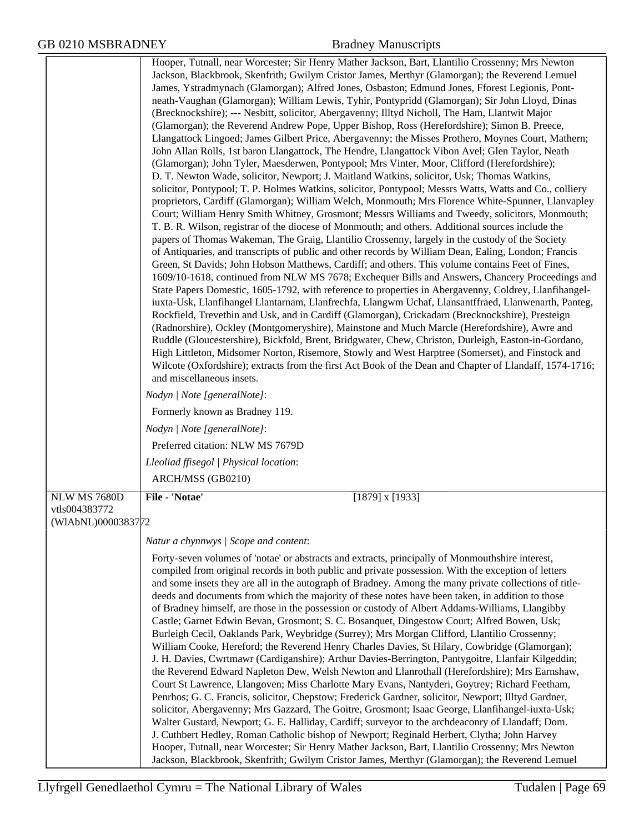|                                     | Hooper, Tutnall, near Worcester; Sir Henry Mather Jackson, Bart, Llantilio Crossenny; Mrs Newton<br>Jackson, Blackbrook, Skenfrith; Gwilym Cristor James, Merthyr (Glamorgan); the Reverend Lemuel<br>James, Ystradmynach (Glamorgan); Alfred Jones, Osbaston; Edmund Jones, Fforest Legionis, Pont-<br>neath-Vaughan (Glamorgan); William Lewis, Tyhir, Pontypridd (Glamorgan); Sir John Lloyd, Dinas<br>(Brecknockshire); --- Nesbitt, solicitor, Abergavenny; Illtyd Nicholl, The Ham, Llantwit Major<br>(Glamorgan); the Reverend Andrew Pope, Upper Bishop, Ross (Herefordshire); Simon B. Preece,<br>Llangattock Lingoed; James Gilbert Price, Abergavenny; the Misses Prothero, Moynes Court, Mathern;<br>John Allan Rolls, 1st baron Llangattock, The Hendre, Llangattock Vibon Avel; Glen Taylor, Neath<br>(Glamorgan); John Tyler, Maesderwen, Pontypool; Mrs Vinter, Moor, Clifford (Herefordshire);                                                                                                                                                                                                                                                                                                                                                                                                                                                                                                                                                                                                                                                                                                                                                                                               |
|-------------------------------------|---------------------------------------------------------------------------------------------------------------------------------------------------------------------------------------------------------------------------------------------------------------------------------------------------------------------------------------------------------------------------------------------------------------------------------------------------------------------------------------------------------------------------------------------------------------------------------------------------------------------------------------------------------------------------------------------------------------------------------------------------------------------------------------------------------------------------------------------------------------------------------------------------------------------------------------------------------------------------------------------------------------------------------------------------------------------------------------------------------------------------------------------------------------------------------------------------------------------------------------------------------------------------------------------------------------------------------------------------------------------------------------------------------------------------------------------------------------------------------------------------------------------------------------------------------------------------------------------------------------------------------------------------------------------------------------------------------------|
|                                     | D. T. Newton Wade, solicitor, Newport; J. Maitland Watkins, solicitor, Usk; Thomas Watkins,<br>solicitor, Pontypool; T. P. Holmes Watkins, solicitor, Pontypool; Messrs Watts, Watts and Co., colliery<br>proprietors, Cardiff (Glamorgan); William Welch, Monmouth; Mrs Florence White-Spunner, Llanvapley<br>Court; William Henry Smith Whitney, Grosmont; Messrs Williams and Tweedy, solicitors, Monmouth;<br>T. B. R. Wilson, registrar of the diocese of Monmouth; and others. Additional sources include the<br>papers of Thomas Wakeman, The Graig, Llantilio Crossenny, largely in the custody of the Society<br>of Antiquaries, and transcripts of public and other records by William Dean, Ealing, London; Francis<br>Green, St Davids; John Hobson Matthews, Cardiff; and others. This volume contains Feet of Fines,<br>1609/10-1618, continued from NLW MS 7678; Exchequer Bills and Answers, Chancery Proceedings and<br>State Papers Domestic, 1605-1792, with reference to properties in Abergavenny, Coldrey, Llanfihangel-<br>iuxta-Usk, Llanfihangel Llantarnam, Llanfrechfa, Llangwm Uchaf, Llansantffraed, Llanwenarth, Panteg,<br>Rockfield, Trevethin and Usk, and in Cardiff (Glamorgan), Crickadarn (Brecknockshire), Presteign<br>(Radnorshire), Ockley (Montgomeryshire), Mainstone and Much Marcle (Herefordshire), Awre and<br>Ruddle (Gloucestershire), Bickfold, Brent, Bridgwater, Chew, Christon, Durleigh, Easton-in-Gordano,<br>High Littleton, Midsomer Norton, Risemore, Stowly and West Harptree (Somerset), and Finstock and<br>Wilcote (Oxfordshire); extracts from the first Act Book of the Dean and Chapter of Llandaff, 1574-1716;<br>and miscellaneous insets. |
|                                     | Nodyn   Note [generalNote]:                                                                                                                                                                                                                                                                                                                                                                                                                                                                                                                                                                                                                                                                                                                                                                                                                                                                                                                                                                                                                                                                                                                                                                                                                                                                                                                                                                                                                                                                                                                                                                                                                                                                                   |
|                                     | Formerly known as Bradney 119.                                                                                                                                                                                                                                                                                                                                                                                                                                                                                                                                                                                                                                                                                                                                                                                                                                                                                                                                                                                                                                                                                                                                                                                                                                                                                                                                                                                                                                                                                                                                                                                                                                                                                |
|                                     | Nodyn   Note [generalNote]:                                                                                                                                                                                                                                                                                                                                                                                                                                                                                                                                                                                                                                                                                                                                                                                                                                                                                                                                                                                                                                                                                                                                                                                                                                                                                                                                                                                                                                                                                                                                                                                                                                                                                   |
|                                     | Preferred citation: NLW MS 7679D                                                                                                                                                                                                                                                                                                                                                                                                                                                                                                                                                                                                                                                                                                                                                                                                                                                                                                                                                                                                                                                                                                                                                                                                                                                                                                                                                                                                                                                                                                                                                                                                                                                                              |
|                                     | Lleoliad ffisegol   Physical location:                                                                                                                                                                                                                                                                                                                                                                                                                                                                                                                                                                                                                                                                                                                                                                                                                                                                                                                                                                                                                                                                                                                                                                                                                                                                                                                                                                                                                                                                                                                                                                                                                                                                        |
|                                     | ARCH/MSS (GB0210)                                                                                                                                                                                                                                                                                                                                                                                                                                                                                                                                                                                                                                                                                                                                                                                                                                                                                                                                                                                                                                                                                                                                                                                                                                                                                                                                                                                                                                                                                                                                                                                                                                                                                             |
| <b>NLW MS 7680D</b>                 | File - 'Notae'<br>$[1879]$ x $[1933]$                                                                                                                                                                                                                                                                                                                                                                                                                                                                                                                                                                                                                                                                                                                                                                                                                                                                                                                                                                                                                                                                                                                                                                                                                                                                                                                                                                                                                                                                                                                                                                                                                                                                         |
| vtls004383772<br>(WIAbNL)0000383772 |                                                                                                                                                                                                                                                                                                                                                                                                                                                                                                                                                                                                                                                                                                                                                                                                                                                                                                                                                                                                                                                                                                                                                                                                                                                                                                                                                                                                                                                                                                                                                                                                                                                                                                               |
|                                     | Natur a chynnwys / Scope and content:                                                                                                                                                                                                                                                                                                                                                                                                                                                                                                                                                                                                                                                                                                                                                                                                                                                                                                                                                                                                                                                                                                                                                                                                                                                                                                                                                                                                                                                                                                                                                                                                                                                                         |
|                                     | Forty-seven volumes of 'notae' or abstracts and extracts, principally of Monmouthshire interest,<br>compiled from original records in both public and private possession. With the exception of letters<br>and some insets they are all in the autograph of Bradney. Among the many private collections of title-<br>deeds and documents from which the majority of these notes have been taken, in addition to those<br>of Bradney himself, are those in the possession or custody of Albert Addams-Williams, Llangibby<br>Castle; Garnet Edwin Bevan, Grosmont; S. C. Bosanquet, Dingestow Court; Alfred Bowen, Usk;<br>Burleigh Cecil, Oaklands Park, Weybridge (Surrey); Mrs Morgan Clifford, Llantilio Crossenny;<br>William Cooke, Hereford; the Reverend Henry Charles Davies, St Hilary, Cowbridge (Glamorgan);<br>J. H. Davies, Cwrtmawr (Cardiganshire); Arthur Davies-Berrington, Pantygoitre, Llanfair Kilgeddin;<br>the Reverend Edward Napleton Dew, Welsh Newton and Llanrothall (Herefordshire); Mrs Earnshaw,<br>Court St Lawrence, Llangoven; Miss Charlotte Mary Evans, Nantyderi, Goytrey; Richard Feetham,<br>Penrhos; G. C. Francis, solicitor, Chepstow; Frederick Gardner, solicitor, Newport; Illtyd Gardner,<br>solicitor, Abergavenny; Mrs Gazzard, The Goitre, Grosmont; Isaac George, Llanfihangel-iuxta-Usk;<br>Walter Gustard, Newport; G. E. Halliday, Cardiff; surveyor to the archdeaconry of Llandaff; Dom.<br>J. Cuthbert Hedley, Roman Catholic bishop of Newport; Reginald Herbert, Clytha; John Harvey<br>Hooper, Tutnall, near Worcester; Sir Henry Mather Jackson, Bart, Llantilio Crossenny; Mrs Newton                                                             |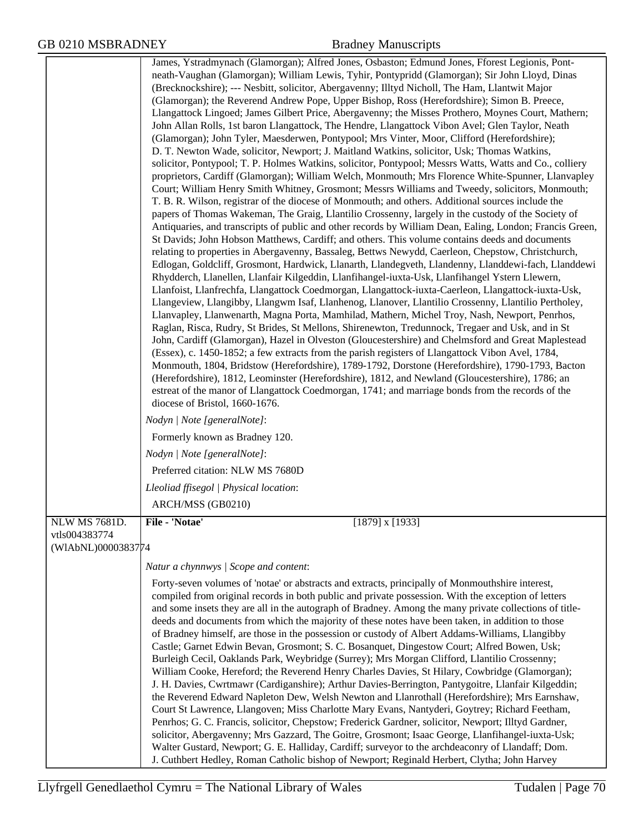|                                     | James, Ystradmynach (Glamorgan); Alfred Jones, Osbaston; Edmund Jones, Fforest Legionis, Pont-<br>neath-Vaughan (Glamorgan); William Lewis, Tyhir, Pontypridd (Glamorgan); Sir John Lloyd, Dinas<br>(Brecknockshire); --- Nesbitt, solicitor, Abergavenny; Illtyd Nicholl, The Ham, Llantwit Major<br>(Glamorgan); the Reverend Andrew Pope, Upper Bishop, Ross (Herefordshire); Simon B. Preece,<br>Llangattock Lingoed; James Gilbert Price, Abergavenny; the Misses Prothero, Moynes Court, Mathern;<br>John Allan Rolls, 1st baron Llangattock, The Hendre, Llangattock Vibon Avel; Glen Taylor, Neath<br>(Glamorgan); John Tyler, Maesderwen, Pontypool; Mrs Vinter, Moor, Clifford (Herefordshire);<br>D. T. Newton Wade, solicitor, Newport; J. Maitland Watkins, solicitor, Usk; Thomas Watkins,<br>solicitor, Pontypool; T. P. Holmes Watkins, solicitor, Pontypool; Messrs Watts, Watts and Co., colliery<br>proprietors, Cardiff (Glamorgan); William Welch, Monmouth; Mrs Florence White-Spunner, Llanvapley<br>Court; William Henry Smith Whitney, Grosmont; Messrs Williams and Tweedy, solicitors, Monmouth;<br>T. B. R. Wilson, registrar of the diocese of Monmouth; and others. Additional sources include the<br>papers of Thomas Wakeman, The Graig, Llantilio Crossenny, largely in the custody of the Society of<br>Antiquaries, and transcripts of public and other records by William Dean, Ealing, London; Francis Green,<br>St Davids; John Hobson Matthews, Cardiff; and others. This volume contains deeds and documents<br>relating to properties in Abergavenny, Bassaleg, Bettws Newydd, Caerleon, Chepstow, Christchurch,<br>Edlogan, Goldcliff, Grosmont, Hardwick, Llanarth, Llandegveth, Llandenny, Llanddewi-fach, Llanddewi<br>Rhydderch, Llanellen, Llanfair Kilgeddin, Llanfihangel-iuxta-Usk, Llanfihangel Ystern Llewern,<br>Llanfoist, Llanfrechfa, Llangattock Coedmorgan, Llangattock-iuxta-Caerleon, Llangattock-iuxta-Usk,<br>Llangeview, Llangibby, Llangwm Isaf, Llanhenog, Llanover, Llantilio Crossenny, Llantilio Pertholey,<br>Llanvapley, Llanwenarth, Magna Porta, Mamhilad, Mathern, Michel Troy, Nash, Newport, Penrhos,<br>Raglan, Risca, Rudry, St Brides, St Mellons, Shirenewton, Tredunnock, Tregaer and Usk, and in St<br>John, Cardiff (Glamorgan), Hazel in Olveston (Gloucestershire) and Chelmsford and Great Maplestead<br>(Essex), c. 1450-1852; a few extracts from the parish registers of Llangattock Vibon Avel, 1784,<br>Monmouth, 1804, Bridstow (Herefordshire), 1789-1792, Dorstone (Herefordshire), 1790-1793, Bacton<br>(Herefordshire), 1812, Leominster (Herefordshire), 1812, and Newland (Gloucestershire), 1786; an<br>estreat of the manor of Llangattock Coedmorgan, 1741; and marriage bonds from the records of the<br>diocese of Bristol, 1660-1676.<br>Nodyn   Note [generalNote]:<br>Formerly known as Bradney 120.<br>Nodyn   Note [generalNote]:<br>Preferred citation: NLW MS 7680D |
|-------------------------------------|----------------------------------------------------------------------------------------------------------------------------------------------------------------------------------------------------------------------------------------------------------------------------------------------------------------------------------------------------------------------------------------------------------------------------------------------------------------------------------------------------------------------------------------------------------------------------------------------------------------------------------------------------------------------------------------------------------------------------------------------------------------------------------------------------------------------------------------------------------------------------------------------------------------------------------------------------------------------------------------------------------------------------------------------------------------------------------------------------------------------------------------------------------------------------------------------------------------------------------------------------------------------------------------------------------------------------------------------------------------------------------------------------------------------------------------------------------------------------------------------------------------------------------------------------------------------------------------------------------------------------------------------------------------------------------------------------------------------------------------------------------------------------------------------------------------------------------------------------------------------------------------------------------------------------------------------------------------------------------------------------------------------------------------------------------------------------------------------------------------------------------------------------------------------------------------------------------------------------------------------------------------------------------------------------------------------------------------------------------------------------------------------------------------------------------------------------------------------------------------------------------------------------------------------------------------------------------------------------------------------------------------------------------------------------------------------------------------------------------------------------------------------------------------------------------------------------------------------------------------------------------------------------------------------------------------------------------------------------------|
|                                     |                                                                                                                                                                                                                                                                                                                                                                                                                                                                                                                                                                                                                                                                                                                                                                                                                                                                                                                                                                                                                                                                                                                                                                                                                                                                                                                                                                                                                                                                                                                                                                                                                                                                                                                                                                                                                                                                                                                                                                                                                                                                                                                                                                                                                                                                                                                                                                                                                                                                                                                                                                                                                                                                                                                                                                                                                                                                                                                                                                                  |
|                                     | Lleoliad ffisegol   Physical location:                                                                                                                                                                                                                                                                                                                                                                                                                                                                                                                                                                                                                                                                                                                                                                                                                                                                                                                                                                                                                                                                                                                                                                                                                                                                                                                                                                                                                                                                                                                                                                                                                                                                                                                                                                                                                                                                                                                                                                                                                                                                                                                                                                                                                                                                                                                                                                                                                                                                                                                                                                                                                                                                                                                                                                                                                                                                                                                                           |
|                                     | ARCH/MSS (GB0210)                                                                                                                                                                                                                                                                                                                                                                                                                                                                                                                                                                                                                                                                                                                                                                                                                                                                                                                                                                                                                                                                                                                                                                                                                                                                                                                                                                                                                                                                                                                                                                                                                                                                                                                                                                                                                                                                                                                                                                                                                                                                                                                                                                                                                                                                                                                                                                                                                                                                                                                                                                                                                                                                                                                                                                                                                                                                                                                                                                |
| <b>NLW MS 7681D</b>                 | File - 'Notae'<br>$[1879]$ x $[1933]$                                                                                                                                                                                                                                                                                                                                                                                                                                                                                                                                                                                                                                                                                                                                                                                                                                                                                                                                                                                                                                                                                                                                                                                                                                                                                                                                                                                                                                                                                                                                                                                                                                                                                                                                                                                                                                                                                                                                                                                                                                                                                                                                                                                                                                                                                                                                                                                                                                                                                                                                                                                                                                                                                                                                                                                                                                                                                                                                            |
| vtls004383774<br>(WIAbNL)0000383774 |                                                                                                                                                                                                                                                                                                                                                                                                                                                                                                                                                                                                                                                                                                                                                                                                                                                                                                                                                                                                                                                                                                                                                                                                                                                                                                                                                                                                                                                                                                                                                                                                                                                                                                                                                                                                                                                                                                                                                                                                                                                                                                                                                                                                                                                                                                                                                                                                                                                                                                                                                                                                                                                                                                                                                                                                                                                                                                                                                                                  |
|                                     |                                                                                                                                                                                                                                                                                                                                                                                                                                                                                                                                                                                                                                                                                                                                                                                                                                                                                                                                                                                                                                                                                                                                                                                                                                                                                                                                                                                                                                                                                                                                                                                                                                                                                                                                                                                                                                                                                                                                                                                                                                                                                                                                                                                                                                                                                                                                                                                                                                                                                                                                                                                                                                                                                                                                                                                                                                                                                                                                                                                  |
|                                     | Natur a chynnwys / Scope and content:                                                                                                                                                                                                                                                                                                                                                                                                                                                                                                                                                                                                                                                                                                                                                                                                                                                                                                                                                                                                                                                                                                                                                                                                                                                                                                                                                                                                                                                                                                                                                                                                                                                                                                                                                                                                                                                                                                                                                                                                                                                                                                                                                                                                                                                                                                                                                                                                                                                                                                                                                                                                                                                                                                                                                                                                                                                                                                                                            |
|                                     | Forty-seven volumes of 'notae' or abstracts and extracts, principally of Monmouthshire interest,<br>compiled from original records in both public and private possession. With the exception of letters<br>and some insets they are all in the autograph of Bradney. Among the many private collections of title-<br>deeds and documents from which the majority of these notes have been taken, in addition to those<br>of Bradney himself, are those in the possession or custody of Albert Addams-Williams, Llangibby<br>Castle; Garnet Edwin Bevan, Grosmont; S. C. Bosanquet, Dingestow Court; Alfred Bowen, Usk;<br>Burleigh Cecil, Oaklands Park, Weybridge (Surrey); Mrs Morgan Clifford, Llantilio Crossenny;<br>William Cooke, Hereford; the Reverend Henry Charles Davies, St Hilary, Cowbridge (Glamorgan);<br>J. H. Davies, Cwrtmawr (Cardiganshire); Arthur Davies-Berrington, Pantygoitre, Llanfair Kilgeddin;<br>the Reverend Edward Napleton Dew, Welsh Newton and Llanrothall (Herefordshire); Mrs Earnshaw,<br>Court St Lawrence, Llangoven; Miss Charlotte Mary Evans, Nantyderi, Goytrey; Richard Feetham,<br>Penrhos; G. C. Francis, solicitor, Chepstow; Frederick Gardner, solicitor, Newport; Illtyd Gardner,<br>solicitor, Abergavenny; Mrs Gazzard, The Goitre, Grosmont; Isaac George, Llanfihangel-iuxta-Usk;<br>Walter Gustard, Newport; G. E. Halliday, Cardiff; surveyor to the archdeaconry of Llandaff; Dom.<br>J. Cuthbert Hedley, Roman Catholic bishop of Newport; Reginald Herbert, Clytha; John Harvey                                                                                                                                                                                                                                                                                                                                                                                                                                                                                                                                                                                                                                                                                                                                                                                                                                                                                                                                                                                                                                                                                                                                                                                                                                                                                                                                                                                                                                    |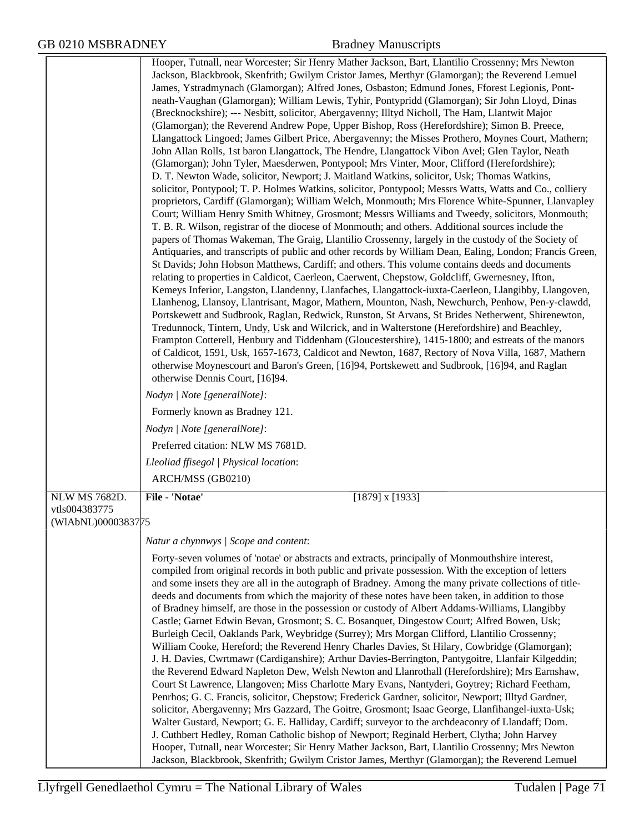|                    | Hooper, Tutnall, near Worcester; Sir Henry Mather Jackson, Bart, Llantilio Crossenny; Mrs Newton                                                                                                        |
|--------------------|---------------------------------------------------------------------------------------------------------------------------------------------------------------------------------------------------------|
|                    | Jackson, Blackbrook, Skenfrith; Gwilym Cristor James, Merthyr (Glamorgan); the Reverend Lemuel                                                                                                          |
|                    | James, Ystradmynach (Glamorgan); Alfred Jones, Osbaston; Edmund Jones, Fforest Legionis, Pont-                                                                                                          |
|                    | neath-Vaughan (Glamorgan); William Lewis, Tyhir, Pontypridd (Glamorgan); Sir John Lloyd, Dinas                                                                                                          |
|                    | (Brecknockshire); --- Nesbitt, solicitor, Abergavenny; Illtyd Nicholl, The Ham, Llantwit Major                                                                                                          |
|                    | (Glamorgan); the Reverend Andrew Pope, Upper Bishop, Ross (Herefordshire); Simon B. Preece,                                                                                                             |
|                    | Llangattock Lingoed; James Gilbert Price, Abergavenny; the Misses Prothero, Moynes Court, Mathern;                                                                                                      |
|                    | John Allan Rolls, 1st baron Llangattock, The Hendre, Llangattock Vibon Avel; Glen Taylor, Neath<br>(Glamorgan); John Tyler, Maesderwen, Pontypool; Mrs Vinter, Moor, Clifford (Herefordshire);          |
|                    | D. T. Newton Wade, solicitor, Newport; J. Maitland Watkins, solicitor, Usk; Thomas Watkins,                                                                                                             |
|                    | solicitor, Pontypool; T. P. Holmes Watkins, solicitor, Pontypool; Messrs Watts, Watts and Co., colliery                                                                                                 |
|                    | proprietors, Cardiff (Glamorgan); William Welch, Monmouth; Mrs Florence White-Spunner, Llanvapley                                                                                                       |
|                    | Court; William Henry Smith Whitney, Grosmont; Messrs Williams and Tweedy, solicitors, Monmouth;                                                                                                         |
|                    | T. B. R. Wilson, registrar of the diocese of Monmouth; and others. Additional sources include the                                                                                                       |
|                    | papers of Thomas Wakeman, The Graig, Llantilio Crossenny, largely in the custody of the Society of                                                                                                      |
|                    | Antiquaries, and transcripts of public and other records by William Dean, Ealing, London; Francis Green,                                                                                                |
|                    | St Davids; John Hobson Matthews, Cardiff; and others. This volume contains deeds and documents                                                                                                          |
|                    | relating to properties in Caldicot, Caerleon, Caerwent, Chepstow, Goldcliff, Gwernesney, Ifton,                                                                                                         |
|                    | Kemeys Inferior, Langston, Llandenny, Llanfaches, Llangattock-iuxta-Caerleon, Llangibby, Llangoven,<br>Llanhenog, Llansoy, Llantrisant, Magor, Mathern, Mounton, Nash, Newchurch, Penhow, Pen-y-clawdd, |
|                    | Portskewett and Sudbrook, Raglan, Redwick, Runston, St Arvans, St Brides Netherwent, Shirenewton,                                                                                                       |
|                    | Tredunnock, Tintern, Undy, Usk and Wilcrick, and in Walterstone (Herefordshire) and Beachley,                                                                                                           |
|                    | Frampton Cotterell, Henbury and Tiddenham (Gloucestershire), 1415-1800; and estreats of the manors                                                                                                      |
|                    | of Caldicot, 1591, Usk, 1657-1673, Caldicot and Newton, 1687, Rectory of Nova Villa, 1687, Mathern                                                                                                      |
|                    | otherwise Moynescourt and Baron's Green, [16]94, Portskewett and Sudbrook, [16]94, and Raglan                                                                                                           |
|                    | otherwise Dennis Court, [16]94.                                                                                                                                                                         |
|                    | Nodyn   Note [generalNote]:                                                                                                                                                                             |
|                    | Formerly known as Bradney 121.                                                                                                                                                                          |
|                    | Nodyn   Note [generalNote]:                                                                                                                                                                             |
|                    | Preferred citation: NLW MS 7681D.                                                                                                                                                                       |
|                    | Lleoliad ffisegol   Physical location:                                                                                                                                                                  |
|                    | ARCH/MSS (GB0210)                                                                                                                                                                                       |
| NLW MS 7682D.      | File - 'Notae'<br>$[1879]$ x $[1933]$                                                                                                                                                                   |
| vtls004383775      |                                                                                                                                                                                                         |
| (WIAbNL)0000383775 |                                                                                                                                                                                                         |
|                    | Natur a chynnwys / Scope and content:                                                                                                                                                                   |
|                    | Forty-seven volumes of 'notae' or abstracts and extracts, principally of Monmouthshire interest,                                                                                                        |
|                    | compiled from original records in both public and private possession. With the exception of letters                                                                                                     |
|                    | and some insets they are all in the autograph of Bradney. Among the many private collections of title-                                                                                                  |
|                    | deeds and documents from which the majority of these notes have been taken, in addition to those<br>of Bradney himself, are those in the possession or custody of Albert Addams-Williams, Llangibby     |
|                    | Castle; Garnet Edwin Bevan, Grosmont; S. C. Bosanquet, Dingestow Court; Alfred Bowen, Usk;                                                                                                              |
|                    | Burleigh Cecil, Oaklands Park, Weybridge (Surrey); Mrs Morgan Clifford, Llantilio Crossenny;                                                                                                            |
|                    | William Cooke, Hereford; the Reverend Henry Charles Davies, St Hilary, Cowbridge (Glamorgan);                                                                                                           |
|                    | J. H. Davies, Cwrtmawr (Cardiganshire); Arthur Davies-Berrington, Pantygoitre, Llanfair Kilgeddin;                                                                                                      |
|                    | the Reverend Edward Napleton Dew, Welsh Newton and Llanrothall (Herefordshire); Mrs Earnshaw,                                                                                                           |
|                    | Court St Lawrence, Llangoven; Miss Charlotte Mary Evans, Nantyderi, Goytrey; Richard Feetham,                                                                                                           |
|                    | Penrhos; G. C. Francis, solicitor, Chepstow; Frederick Gardner, solicitor, Newport; Illtyd Gardner,                                                                                                     |
|                    | solicitor, Abergavenny; Mrs Gazzard, The Goitre, Grosmont; Isaac George, Llanfihangel-iuxta-Usk;                                                                                                        |
|                    | Walter Gustard, Newport; G. E. Halliday, Cardiff; surveyor to the archdeaconry of Llandaff; Dom.<br>J. Cuthbert Hedley, Roman Catholic bishop of Newport; Reginald Herbert, Clytha; John Harvey         |
|                    | Hooper, Tutnall, near Worcester; Sir Henry Mather Jackson, Bart, Llantilio Crossenny; Mrs Newton                                                                                                        |
|                    | Jackson, Blackbrook, Skenfrith; Gwilym Cristor James, Merthyr (Glamorgan); the Reverend Lemuel                                                                                                          |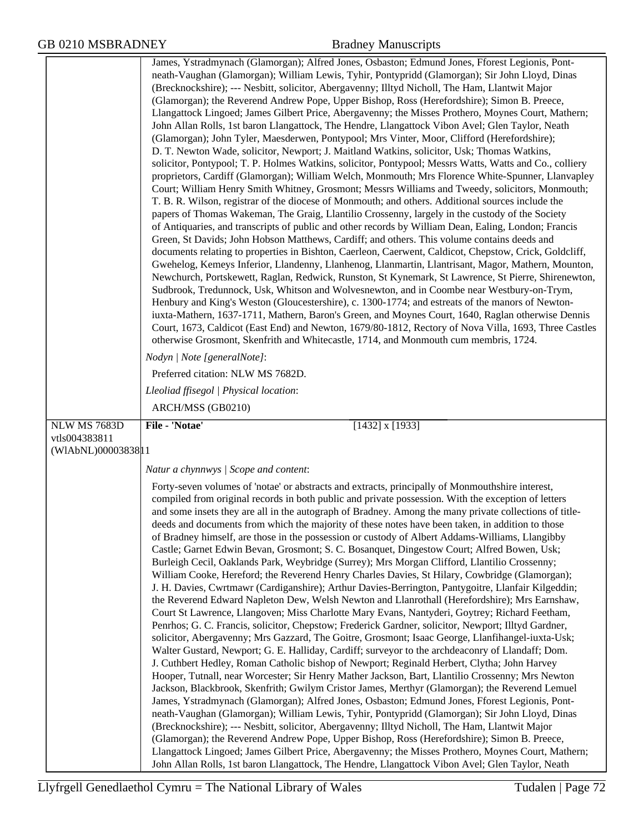|                    | James, Ystradmynach (Glamorgan); Alfred Jones, Osbaston; Edmund Jones, Fforest Legionis, Pont-<br>neath-Vaughan (Glamorgan); William Lewis, Tyhir, Pontypridd (Glamorgan); Sir John Lloyd, Dinas<br>(Brecknockshire); --- Nesbitt, solicitor, Abergavenny; Illtyd Nicholl, The Ham, Llantwit Major<br>(Glamorgan); the Reverend Andrew Pope, Upper Bishop, Ross (Herefordshire); Simon B. Preece,<br>Llangattock Lingoed; James Gilbert Price, Abergavenny; the Misses Prothero, Moynes Court, Mathern;<br>John Allan Rolls, 1st baron Llangattock, The Hendre, Llangattock Vibon Avel; Glen Taylor, Neath<br>(Glamorgan); John Tyler, Maesderwen, Pontypool; Mrs Vinter, Moor, Clifford (Herefordshire);<br>D. T. Newton Wade, solicitor, Newport; J. Maitland Watkins, solicitor, Usk; Thomas Watkins,<br>solicitor, Pontypool; T. P. Holmes Watkins, solicitor, Pontypool; Messrs Watts, Watts and Co., colliery<br>proprietors, Cardiff (Glamorgan); William Welch, Monmouth; Mrs Florence White-Spunner, Llanvapley<br>Court; William Henry Smith Whitney, Grosmont; Messrs Williams and Tweedy, solicitors, Monmouth;<br>T. B. R. Wilson, registrar of the diocese of Monmouth; and others. Additional sources include the<br>papers of Thomas Wakeman, The Graig, Llantilio Crossenny, largely in the custody of the Society<br>of Antiquaries, and transcripts of public and other records by William Dean, Ealing, London; Francis<br>Green, St Davids; John Hobson Matthews, Cardiff; and others. This volume contains deeds and<br>documents relating to properties in Bishton, Caerleon, Caerwent, Caldicot, Chepstow, Crick, Goldcliff,<br>Gwehelog, Kemeys Inferior, Llandenny, Llanhenog, Llanmartin, Llantrisant, Magor, Mathern, Mounton,<br>Newchurch, Portskewett, Raglan, Redwick, Runston, St Kynemark, St Lawrence, St Pierre, Shirenewton,<br>Sudbrook, Tredunnock, Usk, Whitson and Wolvesnewton, and in Coombe near Westbury-on-Trym,<br>Henbury and King's Weston (Gloucestershire), c. 1300-1774; and estreats of the manors of Newton-<br>iuxta-Mathern, 1637-1711, Mathern, Baron's Green, and Moynes Court, 1640, Raglan otherwise Dennis<br>Court, 1673, Caldicot (East End) and Newton, 1679/80-1812, Rectory of Nova Villa, 1693, Three Castles<br>otherwise Grosmont, Skenfrith and Whitecastle, 1714, and Monmouth cum membris, 1724. |
|--------------------|--------------------------------------------------------------------------------------------------------------------------------------------------------------------------------------------------------------------------------------------------------------------------------------------------------------------------------------------------------------------------------------------------------------------------------------------------------------------------------------------------------------------------------------------------------------------------------------------------------------------------------------------------------------------------------------------------------------------------------------------------------------------------------------------------------------------------------------------------------------------------------------------------------------------------------------------------------------------------------------------------------------------------------------------------------------------------------------------------------------------------------------------------------------------------------------------------------------------------------------------------------------------------------------------------------------------------------------------------------------------------------------------------------------------------------------------------------------------------------------------------------------------------------------------------------------------------------------------------------------------------------------------------------------------------------------------------------------------------------------------------------------------------------------------------------------------------------------------------------------------------------------------------------------------------------------------------------------------------------------------------------------------------------------------------------------------------------------------------------------------------------------------------------------------------------------------------------------------------------------------------------------------------------------------------------------------------------------------------------------------------|
|                    | Nodyn   Note [generalNote]:                                                                                                                                                                                                                                                                                                                                                                                                                                                                                                                                                                                                                                                                                                                                                                                                                                                                                                                                                                                                                                                                                                                                                                                                                                                                                                                                                                                                                                                                                                                                                                                                                                                                                                                                                                                                                                                                                                                                                                                                                                                                                                                                                                                                                                                                                                                                              |
|                    | Preferred citation: NLW MS 7682D.                                                                                                                                                                                                                                                                                                                                                                                                                                                                                                                                                                                                                                                                                                                                                                                                                                                                                                                                                                                                                                                                                                                                                                                                                                                                                                                                                                                                                                                                                                                                                                                                                                                                                                                                                                                                                                                                                                                                                                                                                                                                                                                                                                                                                                                                                                                                        |
|                    | Lleoliad ffisegol   Physical location:                                                                                                                                                                                                                                                                                                                                                                                                                                                                                                                                                                                                                                                                                                                                                                                                                                                                                                                                                                                                                                                                                                                                                                                                                                                                                                                                                                                                                                                                                                                                                                                                                                                                                                                                                                                                                                                                                                                                                                                                                                                                                                                                                                                                                                                                                                                                   |
|                    | ARCH/MSS (GB0210)                                                                                                                                                                                                                                                                                                                                                                                                                                                                                                                                                                                                                                                                                                                                                                                                                                                                                                                                                                                                                                                                                                                                                                                                                                                                                                                                                                                                                                                                                                                                                                                                                                                                                                                                                                                                                                                                                                                                                                                                                                                                                                                                                                                                                                                                                                                                                        |
| NLW MS 7683D       | File - 'Notae'<br>$[1432]$ x $[1933]$                                                                                                                                                                                                                                                                                                                                                                                                                                                                                                                                                                                                                                                                                                                                                                                                                                                                                                                                                                                                                                                                                                                                                                                                                                                                                                                                                                                                                                                                                                                                                                                                                                                                                                                                                                                                                                                                                                                                                                                                                                                                                                                                                                                                                                                                                                                                    |
| vtls004383811      |                                                                                                                                                                                                                                                                                                                                                                                                                                                                                                                                                                                                                                                                                                                                                                                                                                                                                                                                                                                                                                                                                                                                                                                                                                                                                                                                                                                                                                                                                                                                                                                                                                                                                                                                                                                                                                                                                                                                                                                                                                                                                                                                                                                                                                                                                                                                                                          |
| (WIAbNL)00003838 1 |                                                                                                                                                                                                                                                                                                                                                                                                                                                                                                                                                                                                                                                                                                                                                                                                                                                                                                                                                                                                                                                                                                                                                                                                                                                                                                                                                                                                                                                                                                                                                                                                                                                                                                                                                                                                                                                                                                                                                                                                                                                                                                                                                                                                                                                                                                                                                                          |
|                    | Natur a chynnwys / Scope and content:                                                                                                                                                                                                                                                                                                                                                                                                                                                                                                                                                                                                                                                                                                                                                                                                                                                                                                                                                                                                                                                                                                                                                                                                                                                                                                                                                                                                                                                                                                                                                                                                                                                                                                                                                                                                                                                                                                                                                                                                                                                                                                                                                                                                                                                                                                                                    |
|                    | Forty-seven volumes of 'notae' or abstracts and extracts, principally of Monmouthshire interest,<br>compiled from original records in both public and private possession. With the exception of letters<br>and some insets they are all in the autograph of Bradney. Among the many private collections of title-<br>deeds and documents from which the majority of these notes have been taken, in addition to those<br>of Bradney himself, are those in the possession or custody of Albert Addams-Williams, Llangibby<br>Castle; Garnet Edwin Bevan, Grosmont; S. C. Bosanquet, Dingestow Court; Alfred Bowen, Usk;<br>Burleigh Cecil, Oaklands Park, Weybridge (Surrey); Mrs Morgan Clifford, Llantilio Crossenny;<br>William Cooke, Hereford; the Reverend Henry Charles Davies, St Hilary, Cowbridge (Glamorgan);<br>J. H. Davies, Cwrtmawr (Cardiganshire); Arthur Davies-Berrington, Pantygoitre, Llanfair Kilgeddin;<br>the Reverend Edward Napleton Dew, Welsh Newton and Llanrothall (Herefordshire); Mrs Earnshaw,<br>Court St Lawrence, Llangoven; Miss Charlotte Mary Evans, Nantyderi, Goytrey; Richard Feetham,<br>Penrhos; G. C. Francis, solicitor, Chepstow; Frederick Gardner, solicitor, Newport; Illtyd Gardner,<br>solicitor, Abergavenny; Mrs Gazzard, The Goitre, Grosmont; Isaac George, Llanfihangel-iuxta-Usk;<br>Walter Gustard, Newport; G. E. Halliday, Cardiff; surveyor to the archdeaconry of Llandaff; Dom.<br>J. Cuthbert Hedley, Roman Catholic bishop of Newport; Reginald Herbert, Clytha; John Harvey<br>Hooper, Tutnall, near Worcester; Sir Henry Mather Jackson, Bart, Llantilio Crossenny; Mrs Newton<br>Jackson, Blackbrook, Skenfrith; Gwilym Cristor James, Merthyr (Glamorgan); the Reverend Lemuel<br>James, Ystradmynach (Glamorgan); Alfred Jones, Osbaston; Edmund Jones, Fforest Legionis, Pont-<br>neath-Vaughan (Glamorgan); William Lewis, Tyhir, Pontypridd (Glamorgan); Sir John Lloyd, Dinas<br>(Brecknockshire); --- Nesbitt, solicitor, Abergavenny; Illtyd Nicholl, The Ham, Llantwit Major<br>(Glamorgan); the Reverend Andrew Pope, Upper Bishop, Ross (Herefordshire); Simon B. Preece,<br>Llangattock Lingoed; James Gilbert Price, Abergavenny; the Misses Prothero, Moynes Court, Mathern;<br>John Allan Rolls, 1st baron Llangattock, The Hendre, Llangattock Vibon Avel; Glen Taylor, Neath        |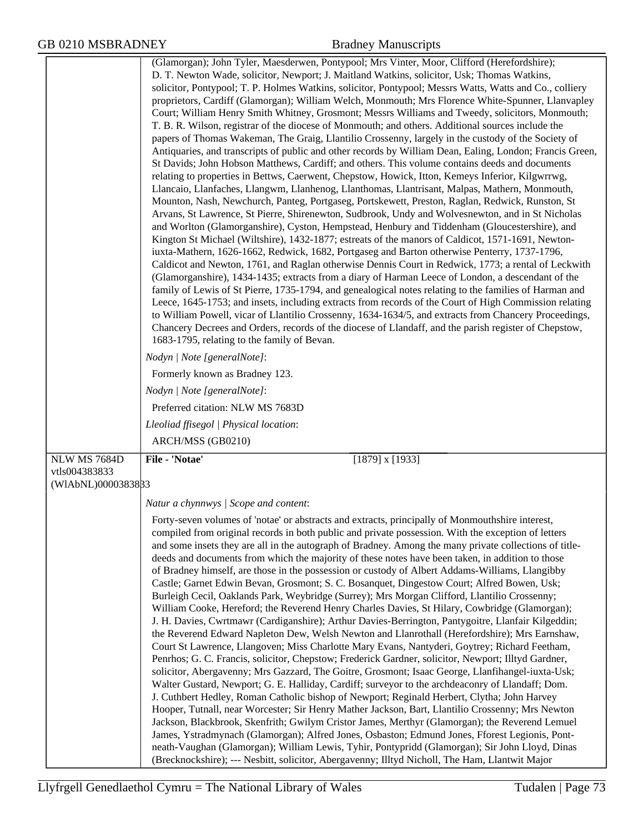|                               | D. T. Newton Wade, solicitor, Newport; J. Maitland Watkins, solicitor, Usk; Thomas Watkins,<br>solicitor, Pontypool; T. P. Holmes Watkins, solicitor, Pontypool; Messrs Watts, Watts and Co., colliery<br>proprietors, Cardiff (Glamorgan); William Welch, Monmouth; Mrs Florence White-Spunner, Llanvapley<br>Court; William Henry Smith Whitney, Grosmont; Messrs Williams and Tweedy, solicitors, Monmouth;<br>T. B. R. Wilson, registrar of the diocese of Monmouth; and others. Additional sources include the<br>papers of Thomas Wakeman, The Graig, Llantilio Crossenny, largely in the custody of the Society of<br>Antiquaries, and transcripts of public and other records by William Dean, Ealing, London; Francis Green,<br>St Davids; John Hobson Matthews, Cardiff; and others. This volume contains deeds and documents<br>relating to properties in Bettws, Caerwent, Chepstow, Howick, Itton, Kemeys Inferior, Kilgwrrwg,<br>Llancaio, Llanfaches, Llangwm, Llanhenog, Llanthomas, Llantrisant, Malpas, Mathern, Monmouth,<br>Mounton, Nash, Newchurch, Panteg, Portgaseg, Portskewett, Preston, Raglan, Redwick, Runston, St<br>Arvans, St Lawrence, St Pierre, Shirenewton, Sudbrook, Undy and Wolvesnewton, and in St Nicholas<br>and Worlton (Glamorganshire), Cyston, Hempstead, Henbury and Tiddenham (Gloucestershire), and<br>Kington St Michael (Wiltshire), 1432-1877; estreats of the manors of Caldicot, 1571-1691, Newton-<br>iuxta-Mathern, 1626-1662, Redwick, 1682, Portgaseg and Barton otherwise Penterry, 1737-1796,<br>Caldicot and Newton, 1761, and Raglan otherwise Dennis Court in Redwick, 1773; a rental of Leckwith<br>(Glamorganshire), 1434-1435; extracts from a diary of Harman Leece of London, a descendant of the<br>family of Lewis of St Pierre, 1735-1794, and genealogical notes relating to the families of Harman and<br>Leece, 1645-1753; and insets, including extracts from records of the Court of High Commission relating<br>to William Powell, vicar of Llantilio Crossenny, 1634-1634/5, and extracts from Chancery Proceedings,<br>Chancery Decrees and Orders, records of the diocese of Llandaff, and the parish register of Chepstow, |
|-------------------------------|-------------------------------------------------------------------------------------------------------------------------------------------------------------------------------------------------------------------------------------------------------------------------------------------------------------------------------------------------------------------------------------------------------------------------------------------------------------------------------------------------------------------------------------------------------------------------------------------------------------------------------------------------------------------------------------------------------------------------------------------------------------------------------------------------------------------------------------------------------------------------------------------------------------------------------------------------------------------------------------------------------------------------------------------------------------------------------------------------------------------------------------------------------------------------------------------------------------------------------------------------------------------------------------------------------------------------------------------------------------------------------------------------------------------------------------------------------------------------------------------------------------------------------------------------------------------------------------------------------------------------------------------------------------------------------------------------------------------------------------------------------------------------------------------------------------------------------------------------------------------------------------------------------------------------------------------------------------------------------------------------------------------------------------------------------------------------------------------------------------------------------------------------------------------------------------------------------------|
|                               | 1683-1795, relating to the family of Bevan.<br>Nodyn   Note [generalNote]:                                                                                                                                                                                                                                                                                                                                                                                                                                                                                                                                                                                                                                                                                                                                                                                                                                                                                                                                                                                                                                                                                                                                                                                                                                                                                                                                                                                                                                                                                                                                                                                                                                                                                                                                                                                                                                                                                                                                                                                                                                                                                                                                  |
|                               | Formerly known as Bradney 123.                                                                                                                                                                                                                                                                                                                                                                                                                                                                                                                                                                                                                                                                                                                                                                                                                                                                                                                                                                                                                                                                                                                                                                                                                                                                                                                                                                                                                                                                                                                                                                                                                                                                                                                                                                                                                                                                                                                                                                                                                                                                                                                                                                              |
|                               |                                                                                                                                                                                                                                                                                                                                                                                                                                                                                                                                                                                                                                                                                                                                                                                                                                                                                                                                                                                                                                                                                                                                                                                                                                                                                                                                                                                                                                                                                                                                                                                                                                                                                                                                                                                                                                                                                                                                                                                                                                                                                                                                                                                                             |
|                               | Nodyn   Note [generalNote]:                                                                                                                                                                                                                                                                                                                                                                                                                                                                                                                                                                                                                                                                                                                                                                                                                                                                                                                                                                                                                                                                                                                                                                                                                                                                                                                                                                                                                                                                                                                                                                                                                                                                                                                                                                                                                                                                                                                                                                                                                                                                                                                                                                                 |
|                               | Preferred citation: NLW MS 7683D                                                                                                                                                                                                                                                                                                                                                                                                                                                                                                                                                                                                                                                                                                                                                                                                                                                                                                                                                                                                                                                                                                                                                                                                                                                                                                                                                                                                                                                                                                                                                                                                                                                                                                                                                                                                                                                                                                                                                                                                                                                                                                                                                                            |
|                               | Lleoliad ffisegol   Physical location:                                                                                                                                                                                                                                                                                                                                                                                                                                                                                                                                                                                                                                                                                                                                                                                                                                                                                                                                                                                                                                                                                                                                                                                                                                                                                                                                                                                                                                                                                                                                                                                                                                                                                                                                                                                                                                                                                                                                                                                                                                                                                                                                                                      |
|                               | ARCH/MSS (GB0210)                                                                                                                                                                                                                                                                                                                                                                                                                                                                                                                                                                                                                                                                                                                                                                                                                                                                                                                                                                                                                                                                                                                                                                                                                                                                                                                                                                                                                                                                                                                                                                                                                                                                                                                                                                                                                                                                                                                                                                                                                                                                                                                                                                                           |
| NLW MS 7684D<br>vtls004383833 | File - 'Notae'<br>$[1879]$ x $[1933]$                                                                                                                                                                                                                                                                                                                                                                                                                                                                                                                                                                                                                                                                                                                                                                                                                                                                                                                                                                                                                                                                                                                                                                                                                                                                                                                                                                                                                                                                                                                                                                                                                                                                                                                                                                                                                                                                                                                                                                                                                                                                                                                                                                       |
| (WIAbNL)0000383833            |                                                                                                                                                                                                                                                                                                                                                                                                                                                                                                                                                                                                                                                                                                                                                                                                                                                                                                                                                                                                                                                                                                                                                                                                                                                                                                                                                                                                                                                                                                                                                                                                                                                                                                                                                                                                                                                                                                                                                                                                                                                                                                                                                                                                             |
|                               | Natur a chynnwys / Scope and content:                                                                                                                                                                                                                                                                                                                                                                                                                                                                                                                                                                                                                                                                                                                                                                                                                                                                                                                                                                                                                                                                                                                                                                                                                                                                                                                                                                                                                                                                                                                                                                                                                                                                                                                                                                                                                                                                                                                                                                                                                                                                                                                                                                       |
|                               | Forty-seven volumes of 'notae' or abstracts and extracts, principally of Monmouthshire interest,                                                                                                                                                                                                                                                                                                                                                                                                                                                                                                                                                                                                                                                                                                                                                                                                                                                                                                                                                                                                                                                                                                                                                                                                                                                                                                                                                                                                                                                                                                                                                                                                                                                                                                                                                                                                                                                                                                                                                                                                                                                                                                            |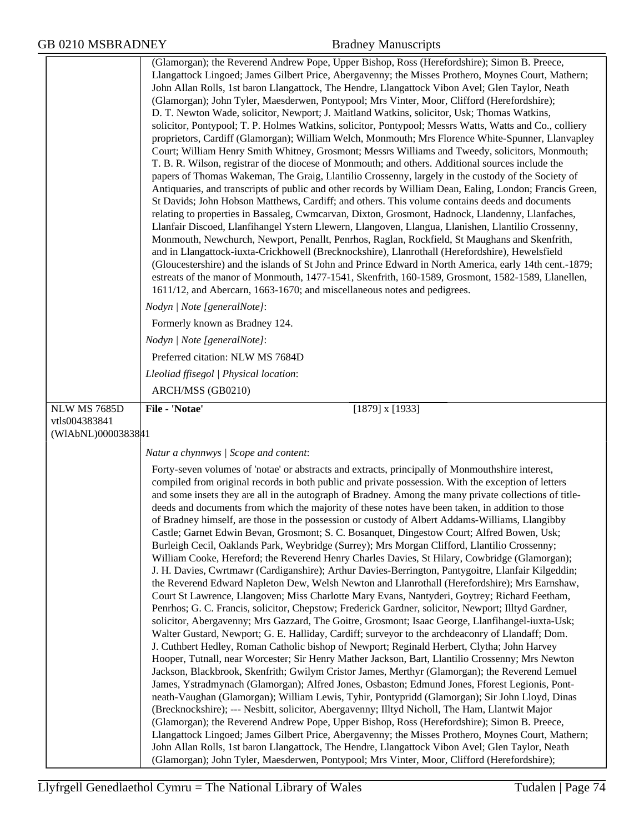|                                      | (Glamorgan); the Reverend Andrew Pope, Upper Bishop, Ross (Herefordshire); Simon B. Preece,<br>Llangattock Lingoed; James Gilbert Price, Abergavenny; the Misses Prothero, Moynes Court, Mathern;<br>John Allan Rolls, 1st baron Llangattock, The Hendre, Llangattock Vibon Avel; Glen Taylor, Neath<br>(Glamorgan); John Tyler, Maesderwen, Pontypool; Mrs Vinter, Moor, Clifford (Herefordshire);<br>D. T. Newton Wade, solicitor, Newport; J. Maitland Watkins, solicitor, Usk; Thomas Watkins,<br>solicitor, Pontypool; T. P. Holmes Watkins, solicitor, Pontypool; Messrs Watts, Watts and Co., colliery<br>proprietors, Cardiff (Glamorgan); William Welch, Monmouth; Mrs Florence White-Spunner, Llanvapley<br>Court; William Henry Smith Whitney, Grosmont; Messrs Williams and Tweedy, solicitors, Monmouth;<br>T. B. R. Wilson, registrar of the diocese of Monmouth; and others. Additional sources include the<br>papers of Thomas Wakeman, The Graig, Llantilio Crossenny, largely in the custody of the Society of<br>Antiquaries, and transcripts of public and other records by William Dean, Ealing, London; Francis Green,<br>St Davids; John Hobson Matthews, Cardiff; and others. This volume contains deeds and documents<br>relating to properties in Bassaleg, Cwmcarvan, Dixton, Grosmont, Hadnock, Llandenny, Llanfaches,<br>Llanfair Discoed, Llanfihangel Ystern Llewern, Llangoven, Llangua, Llanishen, Llantilio Crossenny,<br>Monmouth, Newchurch, Newport, Penallt, Penrhos, Raglan, Rockfield, St Maughans and Skenfrith,<br>and in Llangattock-iuxta-Crickhowell (Brecknockshire), Llanrothall (Herefordshire), Hewelsfield<br>(Gloucestershire) and the islands of St John and Prince Edward in North America, early 14th cent.-1879;<br>estreats of the manor of Monmouth, 1477-1541, Skenfrith, 160-1589, Grosmont, 1582-1589, Llanellen,<br>1611/12, and Abercarn, 1663-1670; and miscellaneous notes and pedigrees.                                                                                                                                                                                                                                                                                                                                                                                                                                                                                                        |
|--------------------------------------|------------------------------------------------------------------------------------------------------------------------------------------------------------------------------------------------------------------------------------------------------------------------------------------------------------------------------------------------------------------------------------------------------------------------------------------------------------------------------------------------------------------------------------------------------------------------------------------------------------------------------------------------------------------------------------------------------------------------------------------------------------------------------------------------------------------------------------------------------------------------------------------------------------------------------------------------------------------------------------------------------------------------------------------------------------------------------------------------------------------------------------------------------------------------------------------------------------------------------------------------------------------------------------------------------------------------------------------------------------------------------------------------------------------------------------------------------------------------------------------------------------------------------------------------------------------------------------------------------------------------------------------------------------------------------------------------------------------------------------------------------------------------------------------------------------------------------------------------------------------------------------------------------------------------------------------------------------------------------------------------------------------------------------------------------------------------------------------------------------------------------------------------------------------------------------------------------------------------------------------------------------------------------------------------------------------------------------------------------------------------------------------------------------------------------------------------------------------|
|                                      | Nodyn   Note [generalNote]:                                                                                                                                                                                                                                                                                                                                                                                                                                                                                                                                                                                                                                                                                                                                                                                                                                                                                                                                                                                                                                                                                                                                                                                                                                                                                                                                                                                                                                                                                                                                                                                                                                                                                                                                                                                                                                                                                                                                                                                                                                                                                                                                                                                                                                                                                                                                                                                                                                      |
|                                      | Formerly known as Bradney 124.                                                                                                                                                                                                                                                                                                                                                                                                                                                                                                                                                                                                                                                                                                                                                                                                                                                                                                                                                                                                                                                                                                                                                                                                                                                                                                                                                                                                                                                                                                                                                                                                                                                                                                                                                                                                                                                                                                                                                                                                                                                                                                                                                                                                                                                                                                                                                                                                                                   |
|                                      | Nodyn   Note [generalNote]:                                                                                                                                                                                                                                                                                                                                                                                                                                                                                                                                                                                                                                                                                                                                                                                                                                                                                                                                                                                                                                                                                                                                                                                                                                                                                                                                                                                                                                                                                                                                                                                                                                                                                                                                                                                                                                                                                                                                                                                                                                                                                                                                                                                                                                                                                                                                                                                                                                      |
|                                      | Preferred citation: NLW MS 7684D                                                                                                                                                                                                                                                                                                                                                                                                                                                                                                                                                                                                                                                                                                                                                                                                                                                                                                                                                                                                                                                                                                                                                                                                                                                                                                                                                                                                                                                                                                                                                                                                                                                                                                                                                                                                                                                                                                                                                                                                                                                                                                                                                                                                                                                                                                                                                                                                                                 |
|                                      | Lleoliad ffisegol   Physical location:                                                                                                                                                                                                                                                                                                                                                                                                                                                                                                                                                                                                                                                                                                                                                                                                                                                                                                                                                                                                                                                                                                                                                                                                                                                                                                                                                                                                                                                                                                                                                                                                                                                                                                                                                                                                                                                                                                                                                                                                                                                                                                                                                                                                                                                                                                                                                                                                                           |
|                                      | ARCH/MSS (GB0210)                                                                                                                                                                                                                                                                                                                                                                                                                                                                                                                                                                                                                                                                                                                                                                                                                                                                                                                                                                                                                                                                                                                                                                                                                                                                                                                                                                                                                                                                                                                                                                                                                                                                                                                                                                                                                                                                                                                                                                                                                                                                                                                                                                                                                                                                                                                                                                                                                                                |
| <b>NLW MS 7685D</b><br>vtls004383841 | File - 'Notae'<br>$[1879]$ x $[1933]$                                                                                                                                                                                                                                                                                                                                                                                                                                                                                                                                                                                                                                                                                                                                                                                                                                                                                                                                                                                                                                                                                                                                                                                                                                                                                                                                                                                                                                                                                                                                                                                                                                                                                                                                                                                                                                                                                                                                                                                                                                                                                                                                                                                                                                                                                                                                                                                                                            |
| (WIAbNL)0000383841                   |                                                                                                                                                                                                                                                                                                                                                                                                                                                                                                                                                                                                                                                                                                                                                                                                                                                                                                                                                                                                                                                                                                                                                                                                                                                                                                                                                                                                                                                                                                                                                                                                                                                                                                                                                                                                                                                                                                                                                                                                                                                                                                                                                                                                                                                                                                                                                                                                                                                                  |
|                                      | Natur a chynnwys / Scope and content:                                                                                                                                                                                                                                                                                                                                                                                                                                                                                                                                                                                                                                                                                                                                                                                                                                                                                                                                                                                                                                                                                                                                                                                                                                                                                                                                                                                                                                                                                                                                                                                                                                                                                                                                                                                                                                                                                                                                                                                                                                                                                                                                                                                                                                                                                                                                                                                                                            |
|                                      | Forty-seven volumes of 'notae' or abstracts and extracts, principally of Monmouthshire interest,<br>compiled from original records in both public and private possession. With the exception of letters<br>and some insets they are all in the autograph of Bradney. Among the many private collections of title-<br>deeds and documents from which the majority of these notes have been taken, in addition to those<br>of Bradney himself, are those in the possession or custody of Albert Addams-Williams, Llangibby<br>Castle; Garnet Edwin Bevan, Grosmont; S. C. Bosanquet, Dingestow Court; Alfred Bowen, Usk;<br>Burleigh Cecil, Oaklands Park, Weybridge (Surrey); Mrs Morgan Clifford, Llantilio Crossenny;<br>William Cooke, Hereford; the Reverend Henry Charles Davies, St Hilary, Cowbridge (Glamorgan);<br>J. H. Davies, Cwrtmawr (Cardiganshire); Arthur Davies-Berrington, Pantygoitre, Llanfair Kilgeddin;<br>the Reverend Edward Napleton Dew, Welsh Newton and Llanrothall (Herefordshire); Mrs Earnshaw,<br>Court St Lawrence, Llangoven; Miss Charlotte Mary Evans, Nantyderi, Goytrey; Richard Feetham,<br>Penrhos; G. C. Francis, solicitor, Chepstow; Frederick Gardner, solicitor, Newport; Illtyd Gardner,<br>solicitor, Abergavenny; Mrs Gazzard, The Goitre, Grosmont; Isaac George, Llanfihangel-iuxta-Usk;<br>Walter Gustard, Newport; G. E. Halliday, Cardiff; surveyor to the archdeaconry of Llandaff; Dom.<br>J. Cuthbert Hedley, Roman Catholic bishop of Newport; Reginald Herbert, Clytha; John Harvey<br>Hooper, Tutnall, near Worcester; Sir Henry Mather Jackson, Bart, Llantilio Crossenny; Mrs Newton<br>Jackson, Blackbrook, Skenfrith; Gwilym Cristor James, Merthyr (Glamorgan); the Reverend Lemuel<br>James, Ystradmynach (Glamorgan); Alfred Jones, Osbaston; Edmund Jones, Fforest Legionis, Pont-<br>neath-Vaughan (Glamorgan); William Lewis, Tyhir, Pontypridd (Glamorgan); Sir John Lloyd, Dinas<br>(Brecknockshire); --- Nesbitt, solicitor, Abergavenny; Illtyd Nicholl, The Ham, Llantwit Major<br>(Glamorgan); the Reverend Andrew Pope, Upper Bishop, Ross (Herefordshire); Simon B. Preece,<br>Llangattock Lingoed; James Gilbert Price, Abergavenny; the Misses Prothero, Moynes Court, Mathern;<br>John Allan Rolls, 1st baron Llangattock, The Hendre, Llangattock Vibon Avel; Glen Taylor, Neath<br>(Glamorgan); John Tyler, Maesderwen, Pontypool; Mrs Vinter, Moor, Clifford (Herefordshire); |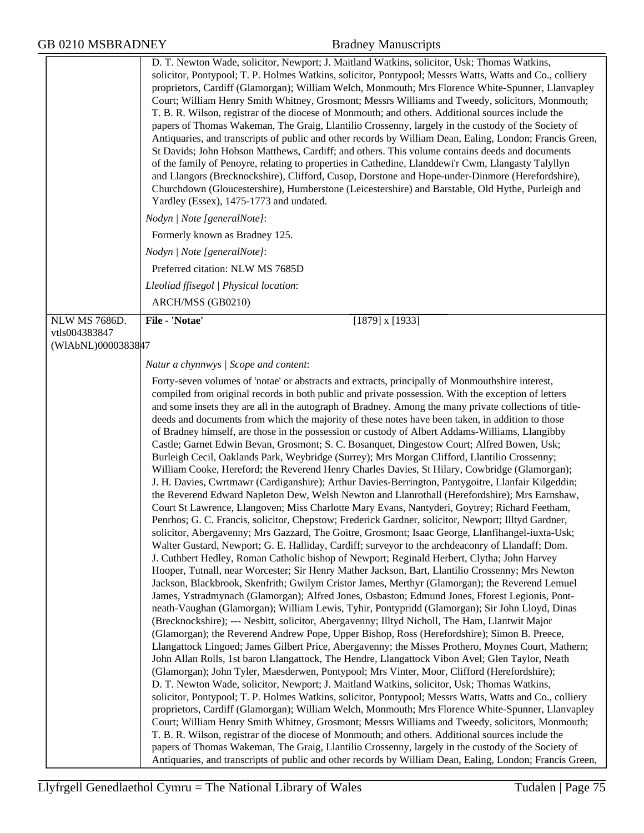|                      | solicitor, Pontypool; T. P. Holmes Watkins, solicitor, Pontypool; Messrs Watts, Watts and Co., colliery<br>proprietors, Cardiff (Glamorgan); William Welch, Monmouth; Mrs Florence White-Spunner, Llanvapley<br>Court; William Henry Smith Whitney, Grosmont; Messrs Williams and Tweedy, solicitors, Monmouth;<br>T. B. R. Wilson, registrar of the diocese of Monmouth; and others. Additional sources include the<br>papers of Thomas Wakeman, The Graig, Llantilio Crossenny, largely in the custody of the Society of<br>Antiquaries, and transcripts of public and other records by William Dean, Ealing, London; Francis Green,<br>St Davids; John Hobson Matthews, Cardiff; and others. This volume contains deeds and documents<br>of the family of Penoyre, relating to properties in Cathedine, Llanddewi'r Cwm, Llangasty Talyllyn<br>and Llangors (Brecknockshire), Clifford, Cusop, Dorstone and Hope-under-Dinmore (Herefordshire),<br>Churchdown (Gloucestershire), Humberstone (Leicestershire) and Barstable, Old Hythe, Purleigh and<br>Yardley (Essex), 1475-1773 and undated.                                                                                                                                                                                                                                                                                                                                                                                                                                                                                                                                                                                                                                                                                                                                                                                                                                                                                                                                                                                                                                                                                                                                                                                                                                                                                                                                                                                                                                                                                                                                                                                                                                                                                                                                                                                                                                                                                        |
|----------------------|-------------------------------------------------------------------------------------------------------------------------------------------------------------------------------------------------------------------------------------------------------------------------------------------------------------------------------------------------------------------------------------------------------------------------------------------------------------------------------------------------------------------------------------------------------------------------------------------------------------------------------------------------------------------------------------------------------------------------------------------------------------------------------------------------------------------------------------------------------------------------------------------------------------------------------------------------------------------------------------------------------------------------------------------------------------------------------------------------------------------------------------------------------------------------------------------------------------------------------------------------------------------------------------------------------------------------------------------------------------------------------------------------------------------------------------------------------------------------------------------------------------------------------------------------------------------------------------------------------------------------------------------------------------------------------------------------------------------------------------------------------------------------------------------------------------------------------------------------------------------------------------------------------------------------------------------------------------------------------------------------------------------------------------------------------------------------------------------------------------------------------------------------------------------------------------------------------------------------------------------------------------------------------------------------------------------------------------------------------------------------------------------------------------------------------------------------------------------------------------------------------------------------------------------------------------------------------------------------------------------------------------------------------------------------------------------------------------------------------------------------------------------------------------------------------------------------------------------------------------------------------------------------------------------------------------------------------------------------------------------|
|                      | Nodyn   Note [generalNote]:                                                                                                                                                                                                                                                                                                                                                                                                                                                                                                                                                                                                                                                                                                                                                                                                                                                                                                                                                                                                                                                                                                                                                                                                                                                                                                                                                                                                                                                                                                                                                                                                                                                                                                                                                                                                                                                                                                                                                                                                                                                                                                                                                                                                                                                                                                                                                                                                                                                                                                                                                                                                                                                                                                                                                                                                                                                                                                                                                               |
|                      | Formerly known as Bradney 125.                                                                                                                                                                                                                                                                                                                                                                                                                                                                                                                                                                                                                                                                                                                                                                                                                                                                                                                                                                                                                                                                                                                                                                                                                                                                                                                                                                                                                                                                                                                                                                                                                                                                                                                                                                                                                                                                                                                                                                                                                                                                                                                                                                                                                                                                                                                                                                                                                                                                                                                                                                                                                                                                                                                                                                                                                                                                                                                                                            |
|                      | Nodyn   Note [generalNote]:                                                                                                                                                                                                                                                                                                                                                                                                                                                                                                                                                                                                                                                                                                                                                                                                                                                                                                                                                                                                                                                                                                                                                                                                                                                                                                                                                                                                                                                                                                                                                                                                                                                                                                                                                                                                                                                                                                                                                                                                                                                                                                                                                                                                                                                                                                                                                                                                                                                                                                                                                                                                                                                                                                                                                                                                                                                                                                                                                               |
|                      | Preferred citation: NLW MS 7685D                                                                                                                                                                                                                                                                                                                                                                                                                                                                                                                                                                                                                                                                                                                                                                                                                                                                                                                                                                                                                                                                                                                                                                                                                                                                                                                                                                                                                                                                                                                                                                                                                                                                                                                                                                                                                                                                                                                                                                                                                                                                                                                                                                                                                                                                                                                                                                                                                                                                                                                                                                                                                                                                                                                                                                                                                                                                                                                                                          |
|                      | Lleoliad ffisegol   Physical location:                                                                                                                                                                                                                                                                                                                                                                                                                                                                                                                                                                                                                                                                                                                                                                                                                                                                                                                                                                                                                                                                                                                                                                                                                                                                                                                                                                                                                                                                                                                                                                                                                                                                                                                                                                                                                                                                                                                                                                                                                                                                                                                                                                                                                                                                                                                                                                                                                                                                                                                                                                                                                                                                                                                                                                                                                                                                                                                                                    |
|                      | ARCH/MSS (GB0210)                                                                                                                                                                                                                                                                                                                                                                                                                                                                                                                                                                                                                                                                                                                                                                                                                                                                                                                                                                                                                                                                                                                                                                                                                                                                                                                                                                                                                                                                                                                                                                                                                                                                                                                                                                                                                                                                                                                                                                                                                                                                                                                                                                                                                                                                                                                                                                                                                                                                                                                                                                                                                                                                                                                                                                                                                                                                                                                                                                         |
| <b>NLW MS 7686D.</b> | File - 'Notae'                                                                                                                                                                                                                                                                                                                                                                                                                                                                                                                                                                                                                                                                                                                                                                                                                                                                                                                                                                                                                                                                                                                                                                                                                                                                                                                                                                                                                                                                                                                                                                                                                                                                                                                                                                                                                                                                                                                                                                                                                                                                                                                                                                                                                                                                                                                                                                                                                                                                                                                                                                                                                                                                                                                                                                                                                                                                                                                                                                            |
| vtls004383847        | $[1879]$ x $[1933]$                                                                                                                                                                                                                                                                                                                                                                                                                                                                                                                                                                                                                                                                                                                                                                                                                                                                                                                                                                                                                                                                                                                                                                                                                                                                                                                                                                                                                                                                                                                                                                                                                                                                                                                                                                                                                                                                                                                                                                                                                                                                                                                                                                                                                                                                                                                                                                                                                                                                                                                                                                                                                                                                                                                                                                                                                                                                                                                                                                       |
| (WIAbNL)0000383847   |                                                                                                                                                                                                                                                                                                                                                                                                                                                                                                                                                                                                                                                                                                                                                                                                                                                                                                                                                                                                                                                                                                                                                                                                                                                                                                                                                                                                                                                                                                                                                                                                                                                                                                                                                                                                                                                                                                                                                                                                                                                                                                                                                                                                                                                                                                                                                                                                                                                                                                                                                                                                                                                                                                                                                                                                                                                                                                                                                                                           |
|                      | Natur a chynnwys / Scope and content:                                                                                                                                                                                                                                                                                                                                                                                                                                                                                                                                                                                                                                                                                                                                                                                                                                                                                                                                                                                                                                                                                                                                                                                                                                                                                                                                                                                                                                                                                                                                                                                                                                                                                                                                                                                                                                                                                                                                                                                                                                                                                                                                                                                                                                                                                                                                                                                                                                                                                                                                                                                                                                                                                                                                                                                                                                                                                                                                                     |
|                      | Forty-seven volumes of 'notae' or abstracts and extracts, principally of Monmouthshire interest,                                                                                                                                                                                                                                                                                                                                                                                                                                                                                                                                                                                                                                                                                                                                                                                                                                                                                                                                                                                                                                                                                                                                                                                                                                                                                                                                                                                                                                                                                                                                                                                                                                                                                                                                                                                                                                                                                                                                                                                                                                                                                                                                                                                                                                                                                                                                                                                                                                                                                                                                                                                                                                                                                                                                                                                                                                                                                          |
|                      | compiled from original records in both public and private possession. With the exception of letters<br>and some insets they are all in the autograph of Bradney. Among the many private collections of title-<br>deeds and documents from which the majority of these notes have been taken, in addition to those<br>of Bradney himself, are those in the possession or custody of Albert Addams-Williams, Llangibby<br>Castle; Garnet Edwin Bevan, Grosmont; S. C. Bosanquet, Dingestow Court; Alfred Bowen, Usk;<br>Burleigh Cecil, Oaklands Park, Weybridge (Surrey); Mrs Morgan Clifford, Llantilio Crossenny;<br>William Cooke, Hereford; the Reverend Henry Charles Davies, St Hilary, Cowbridge (Glamorgan);<br>J. H. Davies, Cwrtmawr (Cardiganshire); Arthur Davies-Berrington, Pantygoitre, Llanfair Kilgeddin;<br>the Reverend Edward Napleton Dew, Welsh Newton and Llanrothall (Herefordshire); Mrs Earnshaw,<br>Court St Lawrence, Llangoven; Miss Charlotte Mary Evans, Nantyderi, Goytrey; Richard Feetham,<br>Penrhos; G. C. Francis, solicitor, Chepstow; Frederick Gardner, solicitor, Newport; Illtyd Gardner,<br>solicitor, Abergavenny; Mrs Gazzard, The Goitre, Grosmont; Isaac George, Llanfihangel-iuxta-Usk;<br>Walter Gustard, Newport; G. E. Halliday, Cardiff; surveyor to the archdeaconry of Llandaff; Dom.<br>J. Cuthbert Hedley, Roman Catholic bishop of Newport; Reginald Herbert, Clytha; John Harvey<br>Hooper, Tutnall, near Worcester; Sir Henry Mather Jackson, Bart, Llantilio Crossenny; Mrs Newton<br>Jackson, Blackbrook, Skenfrith; Gwilym Cristor James, Merthyr (Glamorgan); the Reverend Lemuel<br>James, Ystradmynach (Glamorgan); Alfred Jones, Osbaston; Edmund Jones, Fforest Legionis, Pont-<br>neath-Vaughan (Glamorgan); William Lewis, Tyhir, Pontypridd (Glamorgan); Sir John Lloyd, Dinas<br>(Brecknockshire); --- Nesbitt, solicitor, Abergavenny; Illtyd Nicholl, The Ham, Llantwit Major<br>(Glamorgan); the Reverend Andrew Pope, Upper Bishop, Ross (Herefordshire); Simon B. Preece,<br>Llangattock Lingoed; James Gilbert Price, Abergavenny; the Misses Prothero, Moynes Court, Mathern;<br>John Allan Rolls, 1st baron Llangattock, The Hendre, Llangattock Vibon Avel; Glen Taylor, Neath<br>(Glamorgan); John Tyler, Maesderwen, Pontypool; Mrs Vinter, Moor, Clifford (Herefordshire);<br>D. T. Newton Wade, solicitor, Newport; J. Maitland Watkins, solicitor, Usk; Thomas Watkins,<br>solicitor, Pontypool; T. P. Holmes Watkins, solicitor, Pontypool; Messrs Watts, Watts and Co., colliery<br>proprietors, Cardiff (Glamorgan); William Welch, Monmouth; Mrs Florence White-Spunner, Llanvapley<br>Court; William Henry Smith Whitney, Grosmont; Messrs Williams and Tweedy, solicitors, Monmouth;<br>T. B. R. Wilson, registrar of the diocese of Monmouth; and others. Additional sources include the<br>papers of Thomas Wakeman, The Graig, Llantilio Crossenny, largely in the custody of the Society of |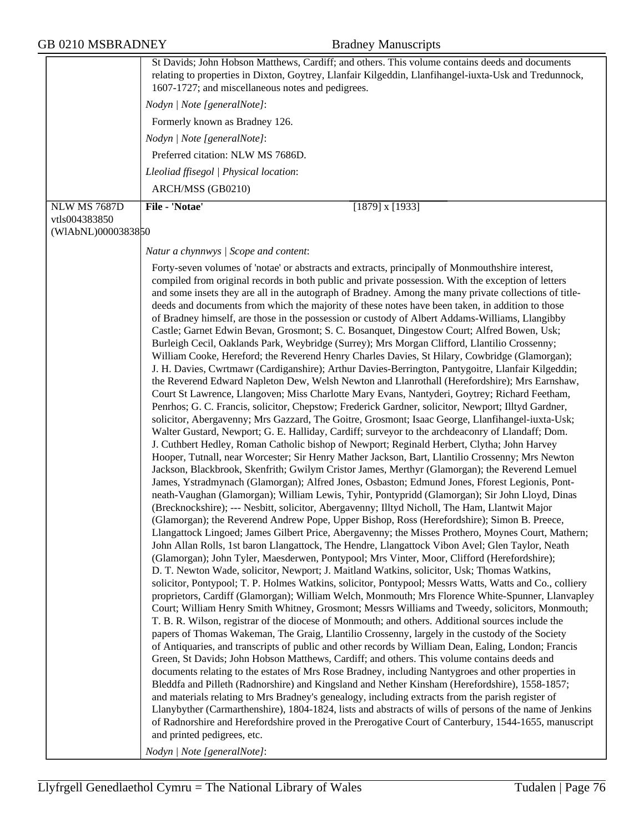|                     | St Davids; John Hobson Matthews, Cardiff; and others. This volume contains deeds and documents<br>relating to properties in Dixton, Goytrey, Llanfair Kilgeddin, Llanfihangel-iuxta-Usk and Tredunnock,<br>1607-1727; and miscellaneous notes and pedigrees.<br>Nodyn   Note [generalNote]:<br>Formerly known as Bradney 126.<br>Nodyn   Note [generalNote]:<br>Preferred citation: NLW MS 7686D.<br>Lleoliad ffisegol   Physical location:<br>ARCH/MSS (GB0210)                                                                                                                                                                                                                                                                                                                                                                                                                                                                                                                                                                                                                                                                                                                                                                                                                                                                                                                                                                                                                                                                                                                                                                                                                                                                                                                                                                                                                                                                                                                                                                                                                                                                                                                                                                                                                                                                                                                                                                                                                                                                                                                                                                                                                                                                                                                                                                                                                                                                                                                                                                                                                                                                                                                                                                                                                                                                                                                                                                                                                                                                                                                                                                                                                                                                                                                                                                                                                                   |
|---------------------|----------------------------------------------------------------------------------------------------------------------------------------------------------------------------------------------------------------------------------------------------------------------------------------------------------------------------------------------------------------------------------------------------------------------------------------------------------------------------------------------------------------------------------------------------------------------------------------------------------------------------------------------------------------------------------------------------------------------------------------------------------------------------------------------------------------------------------------------------------------------------------------------------------------------------------------------------------------------------------------------------------------------------------------------------------------------------------------------------------------------------------------------------------------------------------------------------------------------------------------------------------------------------------------------------------------------------------------------------------------------------------------------------------------------------------------------------------------------------------------------------------------------------------------------------------------------------------------------------------------------------------------------------------------------------------------------------------------------------------------------------------------------------------------------------------------------------------------------------------------------------------------------------------------------------------------------------------------------------------------------------------------------------------------------------------------------------------------------------------------------------------------------------------------------------------------------------------------------------------------------------------------------------------------------------------------------------------------------------------------------------------------------------------------------------------------------------------------------------------------------------------------------------------------------------------------------------------------------------------------------------------------------------------------------------------------------------------------------------------------------------------------------------------------------------------------------------------------------------------------------------------------------------------------------------------------------------------------------------------------------------------------------------------------------------------------------------------------------------------------------------------------------------------------------------------------------------------------------------------------------------------------------------------------------------------------------------------------------------------------------------------------------------------------------------------------------------------------------------------------------------------------------------------------------------------------------------------------------------------------------------------------------------------------------------------------------------------------------------------------------------------------------------------------------------------------------------------------------------------------------------------------------------|
| <b>NLW MS 7687D</b> | File - 'Notae'<br>$\overline{[1879]}$ x [1933]                                                                                                                                                                                                                                                                                                                                                                                                                                                                                                                                                                                                                                                                                                                                                                                                                                                                                                                                                                                                                                                                                                                                                                                                                                                                                                                                                                                                                                                                                                                                                                                                                                                                                                                                                                                                                                                                                                                                                                                                                                                                                                                                                                                                                                                                                                                                                                                                                                                                                                                                                                                                                                                                                                                                                                                                                                                                                                                                                                                                                                                                                                                                                                                                                                                                                                                                                                                                                                                                                                                                                                                                                                                                                                                                                                                                                                                     |
| vtls004383850       |                                                                                                                                                                                                                                                                                                                                                                                                                                                                                                                                                                                                                                                                                                                                                                                                                                                                                                                                                                                                                                                                                                                                                                                                                                                                                                                                                                                                                                                                                                                                                                                                                                                                                                                                                                                                                                                                                                                                                                                                                                                                                                                                                                                                                                                                                                                                                                                                                                                                                                                                                                                                                                                                                                                                                                                                                                                                                                                                                                                                                                                                                                                                                                                                                                                                                                                                                                                                                                                                                                                                                                                                                                                                                                                                                                                                                                                                                                    |
| (WIAbNL)0000383850  |                                                                                                                                                                                                                                                                                                                                                                                                                                                                                                                                                                                                                                                                                                                                                                                                                                                                                                                                                                                                                                                                                                                                                                                                                                                                                                                                                                                                                                                                                                                                                                                                                                                                                                                                                                                                                                                                                                                                                                                                                                                                                                                                                                                                                                                                                                                                                                                                                                                                                                                                                                                                                                                                                                                                                                                                                                                                                                                                                                                                                                                                                                                                                                                                                                                                                                                                                                                                                                                                                                                                                                                                                                                                                                                                                                                                                                                                                                    |
|                     | Natur a chynnwys / Scope and content:                                                                                                                                                                                                                                                                                                                                                                                                                                                                                                                                                                                                                                                                                                                                                                                                                                                                                                                                                                                                                                                                                                                                                                                                                                                                                                                                                                                                                                                                                                                                                                                                                                                                                                                                                                                                                                                                                                                                                                                                                                                                                                                                                                                                                                                                                                                                                                                                                                                                                                                                                                                                                                                                                                                                                                                                                                                                                                                                                                                                                                                                                                                                                                                                                                                                                                                                                                                                                                                                                                                                                                                                                                                                                                                                                                                                                                                              |
|                     | Forty-seven volumes of 'notae' or abstracts and extracts, principally of Monmouthshire interest,<br>compiled from original records in both public and private possession. With the exception of letters<br>and some insets they are all in the autograph of Bradney. Among the many private collections of title-<br>deeds and documents from which the majority of these notes have been taken, in addition to those<br>of Bradney himself, are those in the possession or custody of Albert Addams-Williams, Llangibby<br>Castle; Garnet Edwin Bevan, Grosmont; S. C. Bosanquet, Dingestow Court; Alfred Bowen, Usk;<br>Burleigh Cecil, Oaklands Park, Weybridge (Surrey); Mrs Morgan Clifford, Llantilio Crossenny;<br>William Cooke, Hereford; the Reverend Henry Charles Davies, St Hilary, Cowbridge (Glamorgan);<br>J. H. Davies, Cwrtmawr (Cardiganshire); Arthur Davies-Berrington, Pantygoitre, Llanfair Kilgeddin;<br>the Reverend Edward Napleton Dew, Welsh Newton and Llanrothall (Herefordshire); Mrs Earnshaw,<br>Court St Lawrence, Llangoven; Miss Charlotte Mary Evans, Nantyderi, Goytrey; Richard Feetham,<br>Penrhos; G. C. Francis, solicitor, Chepstow; Frederick Gardner, solicitor, Newport; Illtyd Gardner,<br>solicitor, Abergavenny; Mrs Gazzard, The Goitre, Grosmont; Isaac George, Llanfihangel-iuxta-Usk;<br>Walter Gustard, Newport; G. E. Halliday, Cardiff; surveyor to the archdeaconry of Llandaff; Dom.<br>J. Cuthbert Hedley, Roman Catholic bishop of Newport; Reginald Herbert, Clytha; John Harvey<br>Hooper, Tutnall, near Worcester; Sir Henry Mather Jackson, Bart, Llantilio Crossenny; Mrs Newton<br>Jackson, Blackbrook, Skenfrith; Gwilym Cristor James, Merthyr (Glamorgan); the Reverend Lemuel<br>James, Ystradmynach (Glamorgan); Alfred Jones, Osbaston; Edmund Jones, Fforest Legionis, Pont-<br>neath-Vaughan (Glamorgan); William Lewis, Tyhir, Pontypridd (Glamorgan); Sir John Lloyd, Dinas<br>(Brecknockshire); --- Nesbitt, solicitor, Abergavenny; Illtyd Nicholl, The Ham, Llantwit Major<br>(Glamorgan); the Reverend Andrew Pope, Upper Bishop, Ross (Herefordshire); Simon B. Preece,<br>Llangattock Lingoed; James Gilbert Price, Abergavenny; the Misses Prothero, Moynes Court, Mathern;<br>John Allan Rolls, 1st baron Llangattock, The Hendre, Llangattock Vibon Avel; Glen Taylor, Neath<br>(Glamorgan); John Tyler, Maesderwen, Pontypool; Mrs Vinter, Moor, Clifford (Herefordshire);<br>D. T. Newton Wade, solicitor, Newport; J. Maitland Watkins, solicitor, Usk; Thomas Watkins,<br>solicitor, Pontypool; T. P. Holmes Watkins, solicitor, Pontypool; Messrs Watts, Watts and Co., colliery<br>proprietors, Cardiff (Glamorgan); William Welch, Monmouth; Mrs Florence White-Spunner, Llanvapley<br>Court; William Henry Smith Whitney, Grosmont; Messrs Williams and Tweedy, solicitors, Monmouth;<br>T. B. R. Wilson, registrar of the diocese of Monmouth; and others. Additional sources include the<br>papers of Thomas Wakeman, The Graig, Llantilio Crossenny, largely in the custody of the Society<br>of Antiquaries, and transcripts of public and other records by William Dean, Ealing, London; Francis<br>Green, St Davids; John Hobson Matthews, Cardiff; and others. This volume contains deeds and<br>documents relating to the estates of Mrs Rose Bradney, including Nantygroes and other properties in<br>Bleddfa and Pilleth (Radnorshire) and Kingsland and Nether Kinsham (Herefordshire), 1558-1857;<br>and materials relating to Mrs Bradney's genealogy, including extracts from the parish register of<br>Llanybyther (Carmarthenshire), 1804-1824, lists and abstracts of wills of persons of the name of Jenkins<br>of Radnorshire and Herefordshire proved in the Prerogative Court of Canterbury, 1544-1655, manuscript<br>and printed pedigrees, etc.<br>Nodyn   Note [generalNote]: |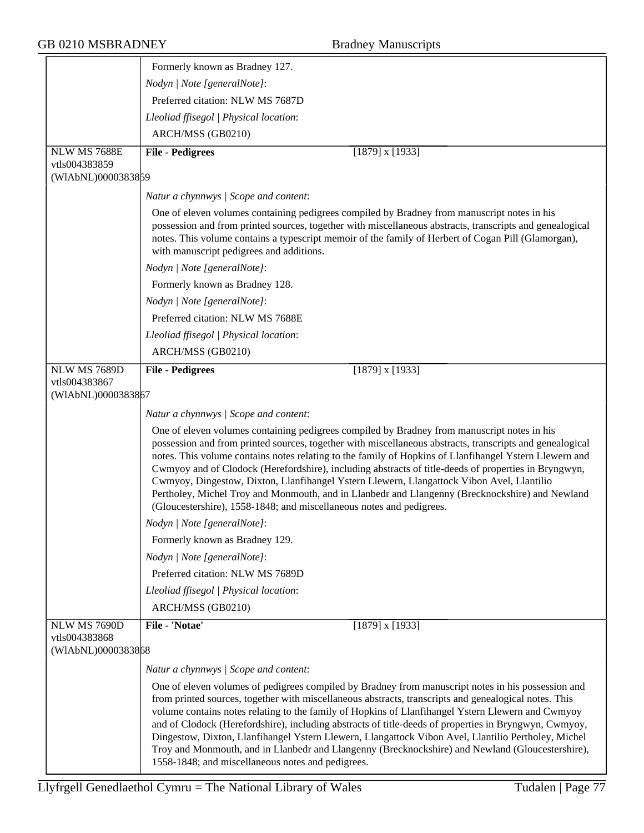|                                     | Formerly known as Bradney 127.                                                                                                                                                                                                                                                                                                                                                                                                                                                                                                                                                                                                                                                                    |
|-------------------------------------|---------------------------------------------------------------------------------------------------------------------------------------------------------------------------------------------------------------------------------------------------------------------------------------------------------------------------------------------------------------------------------------------------------------------------------------------------------------------------------------------------------------------------------------------------------------------------------------------------------------------------------------------------------------------------------------------------|
|                                     | Nodyn   Note [generalNote]:                                                                                                                                                                                                                                                                                                                                                                                                                                                                                                                                                                                                                                                                       |
|                                     | Preferred citation: NLW MS 7687D                                                                                                                                                                                                                                                                                                                                                                                                                                                                                                                                                                                                                                                                  |
|                                     | Lleoliad ffisegol   Physical location:                                                                                                                                                                                                                                                                                                                                                                                                                                                                                                                                                                                                                                                            |
|                                     | ARCH/MSS (GB0210)                                                                                                                                                                                                                                                                                                                                                                                                                                                                                                                                                                                                                                                                                 |
| <b>NLW MS 7688E</b>                 | <b>File - Pedigrees</b><br>$[1879]$ x $[1933]$                                                                                                                                                                                                                                                                                                                                                                                                                                                                                                                                                                                                                                                    |
| vtls004383859                       |                                                                                                                                                                                                                                                                                                                                                                                                                                                                                                                                                                                                                                                                                                   |
| (WIAbNL)0000383859                  |                                                                                                                                                                                                                                                                                                                                                                                                                                                                                                                                                                                                                                                                                                   |
|                                     | Natur a chynnwys / Scope and content:                                                                                                                                                                                                                                                                                                                                                                                                                                                                                                                                                                                                                                                             |
|                                     | One of eleven volumes containing pedigrees compiled by Bradney from manuscript notes in his<br>possession and from printed sources, together with miscellaneous abstracts, transcripts and genealogical<br>notes. This volume contains a typescript memoir of the family of Herbert of Cogan Pill (Glamorgan),<br>with manuscript pedigrees and additions.                                                                                                                                                                                                                                                                                                                                        |
|                                     | Nodyn   Note [generalNote]:                                                                                                                                                                                                                                                                                                                                                                                                                                                                                                                                                                                                                                                                       |
|                                     | Formerly known as Bradney 128.                                                                                                                                                                                                                                                                                                                                                                                                                                                                                                                                                                                                                                                                    |
|                                     | Nodyn   Note [generalNote]:                                                                                                                                                                                                                                                                                                                                                                                                                                                                                                                                                                                                                                                                       |
|                                     | Preferred citation: NLW MS 7688E                                                                                                                                                                                                                                                                                                                                                                                                                                                                                                                                                                                                                                                                  |
|                                     | Lleoliad ffisegol   Physical location:                                                                                                                                                                                                                                                                                                                                                                                                                                                                                                                                                                                                                                                            |
|                                     | ARCH/MSS (GB0210)                                                                                                                                                                                                                                                                                                                                                                                                                                                                                                                                                                                                                                                                                 |
| NLW MS 7689D                        | <b>File - Pedigrees</b><br>$[1879]$ x $[1933]$                                                                                                                                                                                                                                                                                                                                                                                                                                                                                                                                                                                                                                                    |
| vtls004383867<br>(WIAbNL)0000383867 |                                                                                                                                                                                                                                                                                                                                                                                                                                                                                                                                                                                                                                                                                                   |
|                                     |                                                                                                                                                                                                                                                                                                                                                                                                                                                                                                                                                                                                                                                                                                   |
|                                     | Natur a chynnwys / Scope and content:                                                                                                                                                                                                                                                                                                                                                                                                                                                                                                                                                                                                                                                             |
|                                     | One of eleven volumes containing pedigrees compiled by Bradney from manuscript notes in his<br>possession and from printed sources, together with miscellaneous abstracts, transcripts and genealogical<br>notes. This volume contains notes relating to the family of Hopkins of Llanfihangel Ystern Llewern and<br>Cwmyoy and of Clodock (Herefordshire), including abstracts of title-deeds of properties in Bryngwyn,<br>Cwmyoy, Dingestow, Dixton, Llanfihangel Ystern Llewern, Llangattock Vibon Avel, Llantilio<br>Pertholey, Michel Troy and Monmouth, and in Llanbedr and Llangenny (Brecknockshire) and Newland<br>(Gloucestershire), 1558-1848; and miscellaneous notes and pedigrees. |
|                                     | Nodyn   Note [generalNote]:                                                                                                                                                                                                                                                                                                                                                                                                                                                                                                                                                                                                                                                                       |
|                                     | Formerly known as Bradney 129.                                                                                                                                                                                                                                                                                                                                                                                                                                                                                                                                                                                                                                                                    |
|                                     | Nodyn   Note [generalNote]:                                                                                                                                                                                                                                                                                                                                                                                                                                                                                                                                                                                                                                                                       |
|                                     | Preferred citation: NLW MS 7689D                                                                                                                                                                                                                                                                                                                                                                                                                                                                                                                                                                                                                                                                  |
|                                     | Lleoliad ffisegol   Physical location:                                                                                                                                                                                                                                                                                                                                                                                                                                                                                                                                                                                                                                                            |
|                                     | ARCH/MSS (GB0210)                                                                                                                                                                                                                                                                                                                                                                                                                                                                                                                                                                                                                                                                                 |
| NLW MS 7690D                        | File - 'Notae'<br>$[1879]$ x $[1933]$                                                                                                                                                                                                                                                                                                                                                                                                                                                                                                                                                                                                                                                             |
| vtls004383868<br>(WIAbNL)0000383868 |                                                                                                                                                                                                                                                                                                                                                                                                                                                                                                                                                                                                                                                                                                   |
|                                     | Natur a chynnwys / Scope and content:                                                                                                                                                                                                                                                                                                                                                                                                                                                                                                                                                                                                                                                             |
|                                     | One of eleven volumes of pedigrees compiled by Bradney from manuscript notes in his possession and<br>from printed sources, together with miscellaneous abstracts, transcripts and genealogical notes. This<br>volume contains notes relating to the family of Hopkins of Llanfihangel Ystern Llewern and Cwmyoy<br>and of Clodock (Herefordshire), including abstracts of title-deeds of properties in Bryngwyn, Cwmyoy,<br>Dingestow, Dixton, Llanfihangel Ystern Llewern, Llangattock Vibon Avel, Llantilio Pertholey, Michel<br>Troy and Monmouth, and in Llanbedr and Llangenny (Brecknockshire) and Newland (Gloucestershire),<br>1558-1848; and miscellaneous notes and pedigrees.         |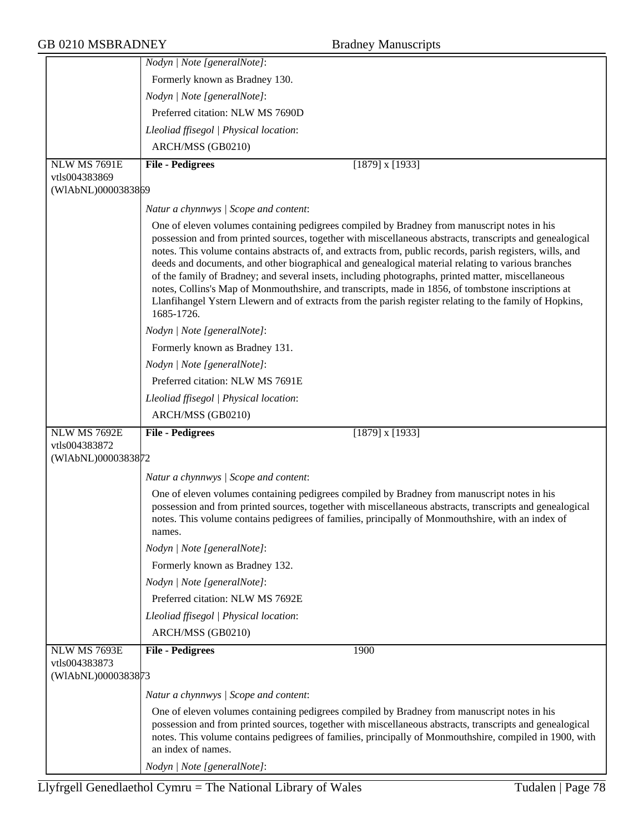|                                     | Nodyn   Note [generalNote]:                                                                                                                                                                                                                                                                                                                                                                                                                                                                                                                                                                                                                                                                                                                                     |
|-------------------------------------|-----------------------------------------------------------------------------------------------------------------------------------------------------------------------------------------------------------------------------------------------------------------------------------------------------------------------------------------------------------------------------------------------------------------------------------------------------------------------------------------------------------------------------------------------------------------------------------------------------------------------------------------------------------------------------------------------------------------------------------------------------------------|
|                                     | Formerly known as Bradney 130.                                                                                                                                                                                                                                                                                                                                                                                                                                                                                                                                                                                                                                                                                                                                  |
|                                     | Nodyn   Note [generalNote]:                                                                                                                                                                                                                                                                                                                                                                                                                                                                                                                                                                                                                                                                                                                                     |
|                                     | Preferred citation: NLW MS 7690D                                                                                                                                                                                                                                                                                                                                                                                                                                                                                                                                                                                                                                                                                                                                |
|                                     | Lleoliad ffisegol   Physical location:                                                                                                                                                                                                                                                                                                                                                                                                                                                                                                                                                                                                                                                                                                                          |
|                                     | ARCH/MSS (GB0210)                                                                                                                                                                                                                                                                                                                                                                                                                                                                                                                                                                                                                                                                                                                                               |
| <b>NLW MS 7691E</b>                 | <b>File - Pedigrees</b><br>$[1879]$ x $[1933]$                                                                                                                                                                                                                                                                                                                                                                                                                                                                                                                                                                                                                                                                                                                  |
| vtls004383869                       |                                                                                                                                                                                                                                                                                                                                                                                                                                                                                                                                                                                                                                                                                                                                                                 |
| (WIAbNL)0000383869                  |                                                                                                                                                                                                                                                                                                                                                                                                                                                                                                                                                                                                                                                                                                                                                                 |
|                                     | Natur a chynnwys / Scope and content:                                                                                                                                                                                                                                                                                                                                                                                                                                                                                                                                                                                                                                                                                                                           |
|                                     | One of eleven volumes containing pedigrees compiled by Bradney from manuscript notes in his<br>possession and from printed sources, together with miscellaneous abstracts, transcripts and genealogical<br>notes. This volume contains abstracts of, and extracts from, public records, parish registers, wills, and<br>deeds and documents, and other biographical and genealogical material relating to various branches<br>of the family of Bradney; and several insets, including photographs, printed matter, miscellaneous<br>notes, Collins's Map of Monmouthshire, and transcripts, made in 1856, of tombstone inscriptions at<br>Llanfihangel Ystern Llewern and of extracts from the parish register relating to the family of Hopkins,<br>1685-1726. |
|                                     | Nodyn   Note [generalNote]:                                                                                                                                                                                                                                                                                                                                                                                                                                                                                                                                                                                                                                                                                                                                     |
|                                     | Formerly known as Bradney 131.                                                                                                                                                                                                                                                                                                                                                                                                                                                                                                                                                                                                                                                                                                                                  |
|                                     | Nodyn   Note [generalNote]:                                                                                                                                                                                                                                                                                                                                                                                                                                                                                                                                                                                                                                                                                                                                     |
|                                     | Preferred citation: NLW MS 7691E                                                                                                                                                                                                                                                                                                                                                                                                                                                                                                                                                                                                                                                                                                                                |
|                                     | Lleoliad ffisegol   Physical location:                                                                                                                                                                                                                                                                                                                                                                                                                                                                                                                                                                                                                                                                                                                          |
|                                     | ARCH/MSS (GB0210)                                                                                                                                                                                                                                                                                                                                                                                                                                                                                                                                                                                                                                                                                                                                               |
| <b>NLW MS 7692E</b>                 | <b>File - Pedigrees</b><br>$[1879]$ x $[1933]$                                                                                                                                                                                                                                                                                                                                                                                                                                                                                                                                                                                                                                                                                                                  |
| vtls004383872                       |                                                                                                                                                                                                                                                                                                                                                                                                                                                                                                                                                                                                                                                                                                                                                                 |
| (WIAbNL)0000383872                  |                                                                                                                                                                                                                                                                                                                                                                                                                                                                                                                                                                                                                                                                                                                                                                 |
|                                     | Natur a chynnwys / Scope and content:                                                                                                                                                                                                                                                                                                                                                                                                                                                                                                                                                                                                                                                                                                                           |
|                                     | One of eleven volumes containing pedigrees compiled by Bradney from manuscript notes in his<br>possession and from printed sources, together with miscellaneous abstracts, transcripts and genealogical<br>notes. This volume contains pedigrees of families, principally of Monmouthshire, with an index of                                                                                                                                                                                                                                                                                                                                                                                                                                                    |
|                                     | names.                                                                                                                                                                                                                                                                                                                                                                                                                                                                                                                                                                                                                                                                                                                                                          |
|                                     | Nodyn   Note [generalNote]:                                                                                                                                                                                                                                                                                                                                                                                                                                                                                                                                                                                                                                                                                                                                     |
|                                     | Formerly known as Bradney 132.                                                                                                                                                                                                                                                                                                                                                                                                                                                                                                                                                                                                                                                                                                                                  |
|                                     | Nodyn   Note [generalNote]:                                                                                                                                                                                                                                                                                                                                                                                                                                                                                                                                                                                                                                                                                                                                     |
|                                     | Preferred citation: NLW MS 7692E                                                                                                                                                                                                                                                                                                                                                                                                                                                                                                                                                                                                                                                                                                                                |
|                                     | Lleoliad ffisegol   Physical location:                                                                                                                                                                                                                                                                                                                                                                                                                                                                                                                                                                                                                                                                                                                          |
|                                     | ARCH/MSS (GB0210)                                                                                                                                                                                                                                                                                                                                                                                                                                                                                                                                                                                                                                                                                                                                               |
| NLW MS 7693E                        | <b>File - Pedigrees</b><br>1900                                                                                                                                                                                                                                                                                                                                                                                                                                                                                                                                                                                                                                                                                                                                 |
| vtls004383873<br>(WIAbNL)0000383873 |                                                                                                                                                                                                                                                                                                                                                                                                                                                                                                                                                                                                                                                                                                                                                                 |
|                                     |                                                                                                                                                                                                                                                                                                                                                                                                                                                                                                                                                                                                                                                                                                                                                                 |
|                                     | Natur a chynnwys / Scope and content:<br>One of eleven volumes containing pedigrees compiled by Bradney from manuscript notes in his<br>possession and from printed sources, together with miscellaneous abstracts, transcripts and genealogical<br>notes. This volume contains pedigrees of families, principally of Monmouthshire, compiled in 1900, with<br>an index of names.                                                                                                                                                                                                                                                                                                                                                                               |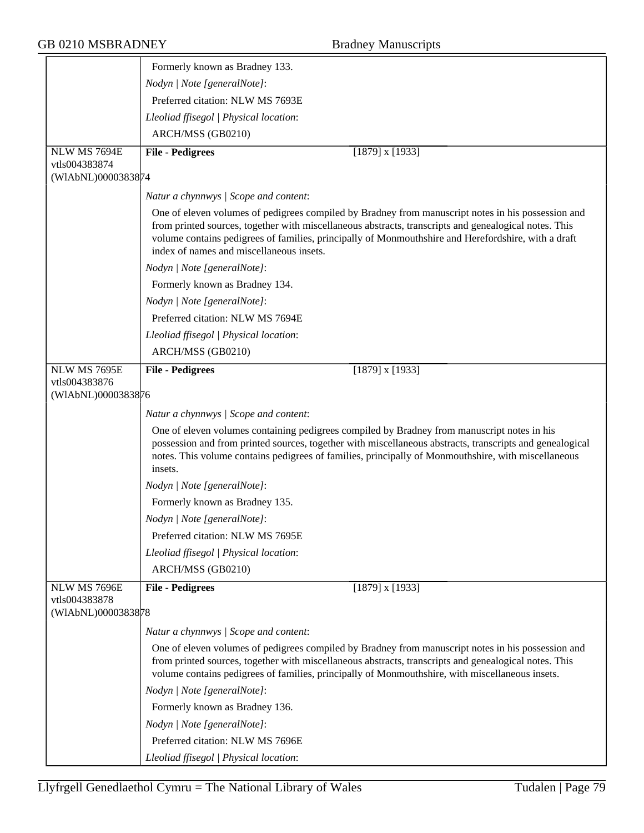|                               | Formerly known as Bradney 133.                                                                                                                                                                                                                                                                                                                                 |
|-------------------------------|----------------------------------------------------------------------------------------------------------------------------------------------------------------------------------------------------------------------------------------------------------------------------------------------------------------------------------------------------------------|
|                               | Nodyn   Note [generalNote]:                                                                                                                                                                                                                                                                                                                                    |
|                               | Preferred citation: NLW MS 7693E                                                                                                                                                                                                                                                                                                                               |
|                               | Lleoliad ffisegol   Physical location:                                                                                                                                                                                                                                                                                                                         |
|                               | ARCH/MSS (GB0210)                                                                                                                                                                                                                                                                                                                                              |
| NLW MS 7694E                  | <b>File - Pedigrees</b><br>$[1879]$ x $[1933]$                                                                                                                                                                                                                                                                                                                 |
| vtls004383874                 |                                                                                                                                                                                                                                                                                                                                                                |
| (WIAbNL)0000383874            |                                                                                                                                                                                                                                                                                                                                                                |
|                               | Natur a chynnwys / Scope and content:                                                                                                                                                                                                                                                                                                                          |
|                               | One of eleven volumes of pedigrees compiled by Bradney from manuscript notes in his possession and<br>from printed sources, together with miscellaneous abstracts, transcripts and genealogical notes. This<br>volume contains pedigrees of families, principally of Monmouthshire and Herefordshire, with a draft<br>index of names and miscellaneous insets. |
|                               | Nodyn   Note [generalNote]:                                                                                                                                                                                                                                                                                                                                    |
|                               | Formerly known as Bradney 134.                                                                                                                                                                                                                                                                                                                                 |
|                               | Nodyn   Note [generalNote]:                                                                                                                                                                                                                                                                                                                                    |
|                               | Preferred citation: NLW MS 7694E                                                                                                                                                                                                                                                                                                                               |
|                               | Lleoliad ffisegol   Physical location:                                                                                                                                                                                                                                                                                                                         |
|                               | ARCH/MSS (GB0210)                                                                                                                                                                                                                                                                                                                                              |
| NLW MS 7695E                  | <b>File - Pedigrees</b><br>$[1879]$ x $[1933]$                                                                                                                                                                                                                                                                                                                 |
| vtls004383876                 |                                                                                                                                                                                                                                                                                                                                                                |
| (WIAbNL)0000383876            |                                                                                                                                                                                                                                                                                                                                                                |
|                               | Natur a chynnwys / Scope and content:                                                                                                                                                                                                                                                                                                                          |
|                               | One of eleven volumes containing pedigrees compiled by Bradney from manuscript notes in his<br>possession and from printed sources, together with miscellaneous abstracts, transcripts and genealogical<br>notes. This volume contains pedigrees of families, principally of Monmouthshire, with miscellaneous<br>insets.                                      |
|                               | Nodyn   Note [generalNote]:                                                                                                                                                                                                                                                                                                                                    |
|                               | Formerly known as Bradney 135.                                                                                                                                                                                                                                                                                                                                 |
|                               | Nodyn   Note [generalNote]:                                                                                                                                                                                                                                                                                                                                    |
|                               | Preferred citation: NLW MS 7695E                                                                                                                                                                                                                                                                                                                               |
|                               | Lleoliad ffisegol   Physical location:                                                                                                                                                                                                                                                                                                                         |
|                               | ARCH/MSS (GB0210)                                                                                                                                                                                                                                                                                                                                              |
| NLW MS 7696E<br>vtls004383878 | <b>File - Pedigrees</b><br>$[1879]$ x $[1933]$                                                                                                                                                                                                                                                                                                                 |
| (WIAbNL)0000383878            |                                                                                                                                                                                                                                                                                                                                                                |
|                               | Natur a chynnwys / Scope and content:                                                                                                                                                                                                                                                                                                                          |
|                               | One of eleven volumes of pedigrees compiled by Bradney from manuscript notes in his possession and<br>from printed sources, together with miscellaneous abstracts, transcripts and genealogical notes. This<br>volume contains pedigrees of families, principally of Monmouthshire, with miscellaneous insets.                                                 |
|                               | Nodyn   Note [generalNote]:                                                                                                                                                                                                                                                                                                                                    |
|                               | Formerly known as Bradney 136.                                                                                                                                                                                                                                                                                                                                 |
|                               | Nodyn   Note [generalNote]:                                                                                                                                                                                                                                                                                                                                    |
|                               | Preferred citation: NLW MS 7696E                                                                                                                                                                                                                                                                                                                               |
|                               | Lleoliad ffisegol   Physical location:                                                                                                                                                                                                                                                                                                                         |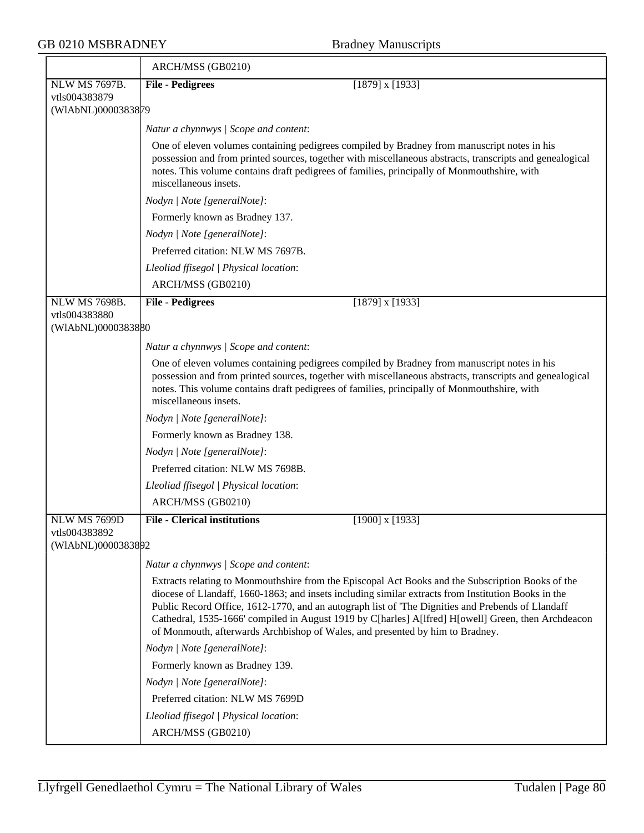|                                     | ARCH/MSS (GB0210)                                                                                                                                                                                                                                                                                                                                                                                                                                                                                     |
|-------------------------------------|-------------------------------------------------------------------------------------------------------------------------------------------------------------------------------------------------------------------------------------------------------------------------------------------------------------------------------------------------------------------------------------------------------------------------------------------------------------------------------------------------------|
| <b>NLW MS 7697B.</b>                | $[1879]$ x $[1933]$<br><b>File - Pedigrees</b>                                                                                                                                                                                                                                                                                                                                                                                                                                                        |
| vtls004383879<br>(WIAbNL)0000383879 |                                                                                                                                                                                                                                                                                                                                                                                                                                                                                                       |
|                                     | Natur a chynnwys / Scope and content:                                                                                                                                                                                                                                                                                                                                                                                                                                                                 |
|                                     | One of eleven volumes containing pedigrees compiled by Bradney from manuscript notes in his                                                                                                                                                                                                                                                                                                                                                                                                           |
|                                     | possession and from printed sources, together with miscellaneous abstracts, transcripts and genealogical<br>notes. This volume contains draft pedigrees of families, principally of Monmouthshire, with<br>miscellaneous insets.                                                                                                                                                                                                                                                                      |
|                                     | Nodyn   Note [generalNote]:                                                                                                                                                                                                                                                                                                                                                                                                                                                                           |
|                                     | Formerly known as Bradney 137.                                                                                                                                                                                                                                                                                                                                                                                                                                                                        |
|                                     | Nodyn   Note [generalNote]:                                                                                                                                                                                                                                                                                                                                                                                                                                                                           |
|                                     | Preferred citation: NLW MS 7697B.                                                                                                                                                                                                                                                                                                                                                                                                                                                                     |
|                                     | Lleoliad ffisegol   Physical location:                                                                                                                                                                                                                                                                                                                                                                                                                                                                |
|                                     | ARCH/MSS (GB0210)                                                                                                                                                                                                                                                                                                                                                                                                                                                                                     |
| <b>NLW MS 7698B.</b>                | <b>File - Pedigrees</b><br>$[1879]$ x $[1933]$                                                                                                                                                                                                                                                                                                                                                                                                                                                        |
| vtls004383880<br>(WIAbNL)0000383880 |                                                                                                                                                                                                                                                                                                                                                                                                                                                                                                       |
|                                     |                                                                                                                                                                                                                                                                                                                                                                                                                                                                                                       |
|                                     | Natur a chynnwys / Scope and content:                                                                                                                                                                                                                                                                                                                                                                                                                                                                 |
|                                     | One of eleven volumes containing pedigrees compiled by Bradney from manuscript notes in his<br>possession and from printed sources, together with miscellaneous abstracts, transcripts and genealogical<br>notes. This volume contains draft pedigrees of families, principally of Monmouthshire, with<br>miscellaneous insets.                                                                                                                                                                       |
|                                     | Nodyn   Note [generalNote]:                                                                                                                                                                                                                                                                                                                                                                                                                                                                           |
|                                     | Formerly known as Bradney 138.                                                                                                                                                                                                                                                                                                                                                                                                                                                                        |
|                                     | Nodyn   Note [generalNote]:                                                                                                                                                                                                                                                                                                                                                                                                                                                                           |
|                                     | Preferred citation: NLW MS 7698B.                                                                                                                                                                                                                                                                                                                                                                                                                                                                     |
|                                     | Lleoliad ffisegol   Physical location:                                                                                                                                                                                                                                                                                                                                                                                                                                                                |
|                                     | ARCH/MSS (GB0210)                                                                                                                                                                                                                                                                                                                                                                                                                                                                                     |
| NLW MS 7699D                        | <b>File - Clerical institutions</b><br>$[1900]$ x $[1933]$                                                                                                                                                                                                                                                                                                                                                                                                                                            |
| vtls004383892<br>(WIAbNL)0000383892 |                                                                                                                                                                                                                                                                                                                                                                                                                                                                                                       |
|                                     |                                                                                                                                                                                                                                                                                                                                                                                                                                                                                                       |
|                                     | Natur a chynnwys / Scope and content:                                                                                                                                                                                                                                                                                                                                                                                                                                                                 |
|                                     | Extracts relating to Monmouthshire from the Episcopal Act Books and the Subscription Books of the<br>diocese of Llandaff, 1660-1863; and insets including similar extracts from Institution Books in the<br>Public Record Office, 1612-1770, and an autograph list of 'The Dignities and Prebends of Llandaff<br>Cathedral, 1535-1666' compiled in August 1919 by C[harles] A[Ifred] H[owell] Green, then Archdeacon<br>of Monmouth, afterwards Archbishop of Wales, and presented by him to Bradney. |
|                                     | Nodyn   Note [generalNote]:                                                                                                                                                                                                                                                                                                                                                                                                                                                                           |
|                                     | Formerly known as Bradney 139.                                                                                                                                                                                                                                                                                                                                                                                                                                                                        |
|                                     | Nodyn   Note [generalNote]:                                                                                                                                                                                                                                                                                                                                                                                                                                                                           |
|                                     | Preferred citation: NLW MS 7699D                                                                                                                                                                                                                                                                                                                                                                                                                                                                      |
|                                     | Lleoliad ffisegol   Physical location:                                                                                                                                                                                                                                                                                                                                                                                                                                                                |
|                                     | ARCH/MSS (GB0210)                                                                                                                                                                                                                                                                                                                                                                                                                                                                                     |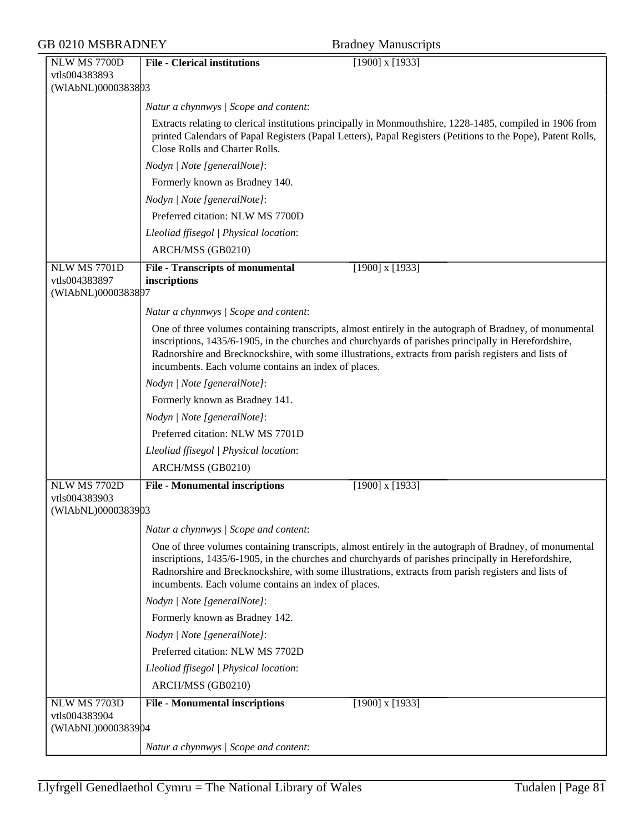| <b>GB 0210 MSBRADNEY</b>                                   |                                                         | <b>Bradney Manuscripts</b>                                                                                                                                                                                                                                                                                              |
|------------------------------------------------------------|---------------------------------------------------------|-------------------------------------------------------------------------------------------------------------------------------------------------------------------------------------------------------------------------------------------------------------------------------------------------------------------------|
| NLW MS 7700D<br>vtls004383893<br>(WIAbNL)0000383893        | <b>File - Clerical institutions</b>                     | $[1900]$ x $[1933]$                                                                                                                                                                                                                                                                                                     |
|                                                            | Natur a chynnwys / Scope and content:                   |                                                                                                                                                                                                                                                                                                                         |
|                                                            | Close Rolls and Charter Rolls.                          | Extracts relating to clerical institutions principally in Monmouthshire, 1228-1485, compiled in 1906 from<br>printed Calendars of Papal Registers (Papal Letters), Papal Registers (Petitions to the Pope), Patent Rolls,                                                                                               |
|                                                            | Nodyn   Note [generalNote]:                             |                                                                                                                                                                                                                                                                                                                         |
|                                                            | Formerly known as Bradney 140.                          |                                                                                                                                                                                                                                                                                                                         |
|                                                            | Nodyn   Note [generalNote]:                             |                                                                                                                                                                                                                                                                                                                         |
|                                                            | Preferred citation: NLW MS 7700D                        |                                                                                                                                                                                                                                                                                                                         |
|                                                            | Lleoliad ffisegol   Physical location:                  |                                                                                                                                                                                                                                                                                                                         |
|                                                            | ARCH/MSS (GB0210)                                       |                                                                                                                                                                                                                                                                                                                         |
| <b>NLW MS 7701D</b><br>vtls004383897<br>(WIAbNL)0000383897 | <b>File - Transcripts of monumental</b><br>inscriptions | $[1900]$ x $[1933]$                                                                                                                                                                                                                                                                                                     |
|                                                            | Natur a chynnwys / Scope and content:                   |                                                                                                                                                                                                                                                                                                                         |
|                                                            | incumbents. Each volume contains an index of places.    | One of three volumes containing transcripts, almost entirely in the autograph of Bradney, of monumental<br>inscriptions, 1435/6-1905, in the churches and churchyards of parishes principally in Herefordshire,<br>Radnorshire and Brecknockshire, with some illustrations, extracts from parish registers and lists of |
|                                                            | Nodyn   Note [generalNote]:                             |                                                                                                                                                                                                                                                                                                                         |
|                                                            | Formerly known as Bradney 141.                          |                                                                                                                                                                                                                                                                                                                         |
|                                                            | Nodyn   Note [generalNote]:                             |                                                                                                                                                                                                                                                                                                                         |
|                                                            | Preferred citation: NLW MS 7701D                        |                                                                                                                                                                                                                                                                                                                         |
|                                                            | Lleoliad ffisegol   Physical location:                  |                                                                                                                                                                                                                                                                                                                         |
|                                                            | ARCH/MSS (GB0210)                                       |                                                                                                                                                                                                                                                                                                                         |
| <b>NLW MS 7702D</b><br>vtls004383903<br>(WIAbNL)0000383903 | <b>File - Monumental inscriptions</b>                   | $[1900]$ x $[1933]$                                                                                                                                                                                                                                                                                                     |
|                                                            | Natur a chynnwys / Scope and content:                   |                                                                                                                                                                                                                                                                                                                         |
|                                                            | incumbents. Each volume contains an index of places.    | One of three volumes containing transcripts, almost entirely in the autograph of Bradney, of monumental<br>inscriptions, 1435/6-1905, in the churches and churchyards of parishes principally in Herefordshire,<br>Radnorshire and Brecknockshire, with some illustrations, extracts from parish registers and lists of |
|                                                            | Nodyn   Note [generalNote]:                             |                                                                                                                                                                                                                                                                                                                         |
|                                                            | Formerly known as Bradney 142.                          |                                                                                                                                                                                                                                                                                                                         |
|                                                            | Nodyn   Note [generalNote]:                             |                                                                                                                                                                                                                                                                                                                         |
|                                                            | Preferred citation: NLW MS 7702D                        |                                                                                                                                                                                                                                                                                                                         |
|                                                            | Lleoliad ffisegol   Physical location:                  |                                                                                                                                                                                                                                                                                                                         |
|                                                            | ARCH/MSS (GB0210)                                       |                                                                                                                                                                                                                                                                                                                         |
| <b>NLW MS 7703D</b><br>vtls004383904<br>(WIAbNL)0000383904 | <b>File - Monumental inscriptions</b>                   | $[1900]$ x $[1933]$                                                                                                                                                                                                                                                                                                     |
|                                                            | Natur a chynnwys / Scope and content:                   |                                                                                                                                                                                                                                                                                                                         |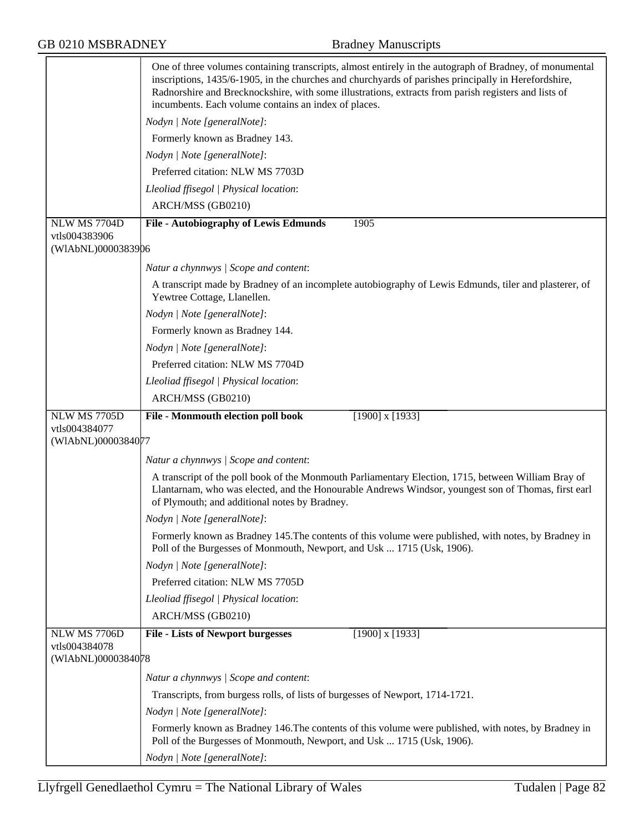|                                     | One of three volumes containing transcripts, almost entirely in the autograph of Bradney, of monumental<br>inscriptions, 1435/6-1905, in the churches and churchyards of parishes principally in Herefordshire,<br>Radnorshire and Brecknockshire, with some illustrations, extracts from parish registers and lists of<br>incumbents. Each volume contains an index of places. |
|-------------------------------------|---------------------------------------------------------------------------------------------------------------------------------------------------------------------------------------------------------------------------------------------------------------------------------------------------------------------------------------------------------------------------------|
|                                     | Nodyn   Note [generalNote]:                                                                                                                                                                                                                                                                                                                                                     |
|                                     | Formerly known as Bradney 143.                                                                                                                                                                                                                                                                                                                                                  |
|                                     | Nodyn   Note [generalNote]:                                                                                                                                                                                                                                                                                                                                                     |
|                                     | Preferred citation: NLW MS 7703D                                                                                                                                                                                                                                                                                                                                                |
|                                     | Lleoliad ffisegol   Physical location:                                                                                                                                                                                                                                                                                                                                          |
|                                     | ARCH/MSS (GB0210)                                                                                                                                                                                                                                                                                                                                                               |
| NLW MS 7704D                        | <b>File - Autobiography of Lewis Edmunds</b><br>1905                                                                                                                                                                                                                                                                                                                            |
| vtls004383906                       |                                                                                                                                                                                                                                                                                                                                                                                 |
| (WIAbNL)0000383906                  |                                                                                                                                                                                                                                                                                                                                                                                 |
|                                     | Natur a chynnwys / Scope and content:                                                                                                                                                                                                                                                                                                                                           |
|                                     | A transcript made by Bradney of an incomplete autobiography of Lewis Edmunds, tiler and plasterer, of<br>Yewtree Cottage, Llanellen.                                                                                                                                                                                                                                            |
|                                     | Nodyn   Note [generalNote]:                                                                                                                                                                                                                                                                                                                                                     |
|                                     | Formerly known as Bradney 144.                                                                                                                                                                                                                                                                                                                                                  |
|                                     | Nodyn   Note [generalNote]:                                                                                                                                                                                                                                                                                                                                                     |
|                                     | Preferred citation: NLW MS 7704D                                                                                                                                                                                                                                                                                                                                                |
|                                     | Lleoliad ffisegol   Physical location:                                                                                                                                                                                                                                                                                                                                          |
|                                     | ARCH/MSS (GB0210)                                                                                                                                                                                                                                                                                                                                                               |
| <b>NLW MS 7705D</b>                 | File - Monmouth election poll book<br>$[1900]$ x $[1933]$                                                                                                                                                                                                                                                                                                                       |
| vtls004384077<br>(WIAbNL)0000384077 |                                                                                                                                                                                                                                                                                                                                                                                 |
|                                     |                                                                                                                                                                                                                                                                                                                                                                                 |
|                                     | Natur a chynnwys / Scope and content:                                                                                                                                                                                                                                                                                                                                           |
|                                     | A transcript of the poll book of the Monmouth Parliamentary Election, 1715, between William Bray of<br>Llantarnam, who was elected, and the Honourable Andrews Windsor, youngest son of Thomas, first earl<br>of Plymouth; and additional notes by Bradney.                                                                                                                     |
|                                     | Nodyn   Note [generalNote]:                                                                                                                                                                                                                                                                                                                                                     |
|                                     | Formerly known as Bradney 145. The contents of this volume were published, with notes, by Bradney in<br>Poll of the Burgesses of Monmouth, Newport, and Usk  1715 (Usk, 1906).                                                                                                                                                                                                  |
|                                     | Nodyn   Note [generalNote]:                                                                                                                                                                                                                                                                                                                                                     |
|                                     | Preferred citation: NLW MS 7705D                                                                                                                                                                                                                                                                                                                                                |
|                                     |                                                                                                                                                                                                                                                                                                                                                                                 |
|                                     | Lleoliad ffisegol   Physical location:                                                                                                                                                                                                                                                                                                                                          |
|                                     | ARCH/MSS (GB0210)                                                                                                                                                                                                                                                                                                                                                               |
| NLW MS 7706D                        | $[1900]$ x $[1933]$<br><b>File - Lists of Newport burgesses</b>                                                                                                                                                                                                                                                                                                                 |
| vtls004384078<br>(WIAbNL)0000384078 |                                                                                                                                                                                                                                                                                                                                                                                 |
|                                     | Natur a chynnwys / Scope and content:                                                                                                                                                                                                                                                                                                                                           |
|                                     | Transcripts, from burgess rolls, of lists of burgesses of Newport, 1714-1721.                                                                                                                                                                                                                                                                                                   |
|                                     | Nodyn   Note [generalNote]:                                                                                                                                                                                                                                                                                                                                                     |
|                                     | Formerly known as Bradney 146. The contents of this volume were published, with notes, by Bradney in<br>Poll of the Burgesses of Monmouth, Newport, and Usk  1715 (Usk, 1906).                                                                                                                                                                                                  |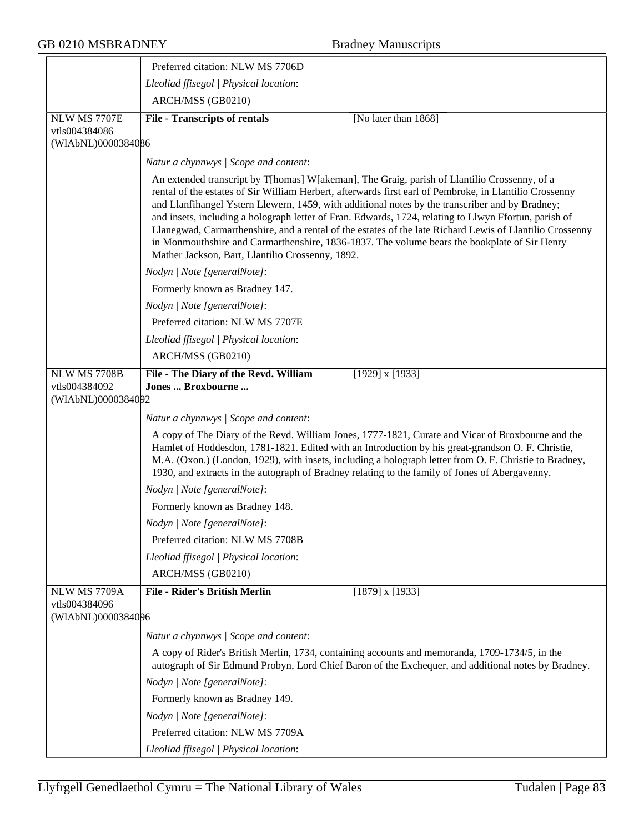|                                                     | Preferred citation: NLW MS 7706D                                                                                                                                                                                                                                                                                                                                                                                                                                                                                                                                                                                                                                                    |
|-----------------------------------------------------|-------------------------------------------------------------------------------------------------------------------------------------------------------------------------------------------------------------------------------------------------------------------------------------------------------------------------------------------------------------------------------------------------------------------------------------------------------------------------------------------------------------------------------------------------------------------------------------------------------------------------------------------------------------------------------------|
|                                                     | Lleoliad ffisegol   Physical location:                                                                                                                                                                                                                                                                                                                                                                                                                                                                                                                                                                                                                                              |
|                                                     | ARCH/MSS (GB0210)                                                                                                                                                                                                                                                                                                                                                                                                                                                                                                                                                                                                                                                                   |
| <b>NLW MS 7707E</b>                                 | <b>File - Transcripts of rentals</b><br>[No later than 1868]                                                                                                                                                                                                                                                                                                                                                                                                                                                                                                                                                                                                                        |
| vtls004384086<br>(WIAbNL)0000384086                 |                                                                                                                                                                                                                                                                                                                                                                                                                                                                                                                                                                                                                                                                                     |
|                                                     |                                                                                                                                                                                                                                                                                                                                                                                                                                                                                                                                                                                                                                                                                     |
|                                                     | Natur a chynnwys / Scope and content:                                                                                                                                                                                                                                                                                                                                                                                                                                                                                                                                                                                                                                               |
|                                                     | An extended transcript by T[homas] W[akeman], The Graig, parish of Llantilio Crossenny, of a<br>rental of the estates of Sir William Herbert, afterwards first earl of Pembroke, in Llantilio Crossenny<br>and Llanfihangel Ystern Llewern, 1459, with additional notes by the transcriber and by Bradney;<br>and insets, including a holograph letter of Fran. Edwards, 1724, relating to Llwyn Ffortun, parish of<br>Llanegwad, Carmarthenshire, and a rental of the estates of the late Richard Lewis of Llantilio Crossenny<br>in Monmouthshire and Carmarthenshire, 1836-1837. The volume bears the bookplate of Sir Henry<br>Mather Jackson, Bart, Llantilio Crossenny, 1892. |
|                                                     | Nodyn   Note [generalNote]:                                                                                                                                                                                                                                                                                                                                                                                                                                                                                                                                                                                                                                                         |
|                                                     | Formerly known as Bradney 147.                                                                                                                                                                                                                                                                                                                                                                                                                                                                                                                                                                                                                                                      |
|                                                     | Nodyn   Note [generalNote]:                                                                                                                                                                                                                                                                                                                                                                                                                                                                                                                                                                                                                                                         |
|                                                     | Preferred citation: NLW MS 7707E                                                                                                                                                                                                                                                                                                                                                                                                                                                                                                                                                                                                                                                    |
|                                                     | Lleoliad ffisegol   Physical location:                                                                                                                                                                                                                                                                                                                                                                                                                                                                                                                                                                                                                                              |
|                                                     | ARCH/MSS (GB0210)                                                                                                                                                                                                                                                                                                                                                                                                                                                                                                                                                                                                                                                                   |
| NLW MS 7708B                                        | $[1929]$ x $[1933]$<br>File - The Diary of the Revd. William                                                                                                                                                                                                                                                                                                                                                                                                                                                                                                                                                                                                                        |
| vtls004384092<br>(WIAbNL)0000384092                 | Jones  Broxbourne                                                                                                                                                                                                                                                                                                                                                                                                                                                                                                                                                                                                                                                                   |
|                                                     |                                                                                                                                                                                                                                                                                                                                                                                                                                                                                                                                                                                                                                                                                     |
|                                                     | Natur a chynnwys / Scope and content:                                                                                                                                                                                                                                                                                                                                                                                                                                                                                                                                                                                                                                               |
|                                                     | A copy of The Diary of the Revd. William Jones, 1777-1821, Curate and Vicar of Broxbourne and the<br>Hamlet of Hoddesdon, 1781-1821. Edited with an Introduction by his great-grandson O. F. Christie,<br>M.A. (Oxon.) (London, 1929), with insets, including a holograph letter from O. F. Christie to Bradney,<br>1930, and extracts in the autograph of Bradney relating to the family of Jones of Abergavenny.                                                                                                                                                                                                                                                                  |
|                                                     | Nodyn   Note [generalNote]:                                                                                                                                                                                                                                                                                                                                                                                                                                                                                                                                                                                                                                                         |
|                                                     | Formerly known as Bradney 148.                                                                                                                                                                                                                                                                                                                                                                                                                                                                                                                                                                                                                                                      |
|                                                     | Nodyn   Note [generalNote]:                                                                                                                                                                                                                                                                                                                                                                                                                                                                                                                                                                                                                                                         |
|                                                     | Preferred citation: NLW MS 7708B                                                                                                                                                                                                                                                                                                                                                                                                                                                                                                                                                                                                                                                    |
|                                                     | Lleoliad ffisegol   Physical location:                                                                                                                                                                                                                                                                                                                                                                                                                                                                                                                                                                                                                                              |
|                                                     | ARCH/MSS (GB0210)                                                                                                                                                                                                                                                                                                                                                                                                                                                                                                                                                                                                                                                                   |
| NLW MS 7709A<br>vtls004384096<br>(WIAbNL)0000384096 | <b>File - Rider's British Merlin</b><br>$[1879]$ x $[1933]$                                                                                                                                                                                                                                                                                                                                                                                                                                                                                                                                                                                                                         |
|                                                     | Natur a chynnwys / Scope and content:                                                                                                                                                                                                                                                                                                                                                                                                                                                                                                                                                                                                                                               |
|                                                     | A copy of Rider's British Merlin, 1734, containing accounts and memoranda, 1709-1734/5, in the<br>autograph of Sir Edmund Probyn, Lord Chief Baron of the Exchequer, and additional notes by Bradney.                                                                                                                                                                                                                                                                                                                                                                                                                                                                               |
|                                                     | Nodyn   Note [generalNote]:                                                                                                                                                                                                                                                                                                                                                                                                                                                                                                                                                                                                                                                         |
|                                                     | Formerly known as Bradney 149.                                                                                                                                                                                                                                                                                                                                                                                                                                                                                                                                                                                                                                                      |
|                                                     | Nodyn   Note [generalNote]:                                                                                                                                                                                                                                                                                                                                                                                                                                                                                                                                                                                                                                                         |
|                                                     | Preferred citation: NLW MS 7709A                                                                                                                                                                                                                                                                                                                                                                                                                                                                                                                                                                                                                                                    |
|                                                     | Lleoliad ffisegol   Physical location:                                                                                                                                                                                                                                                                                                                                                                                                                                                                                                                                                                                                                                              |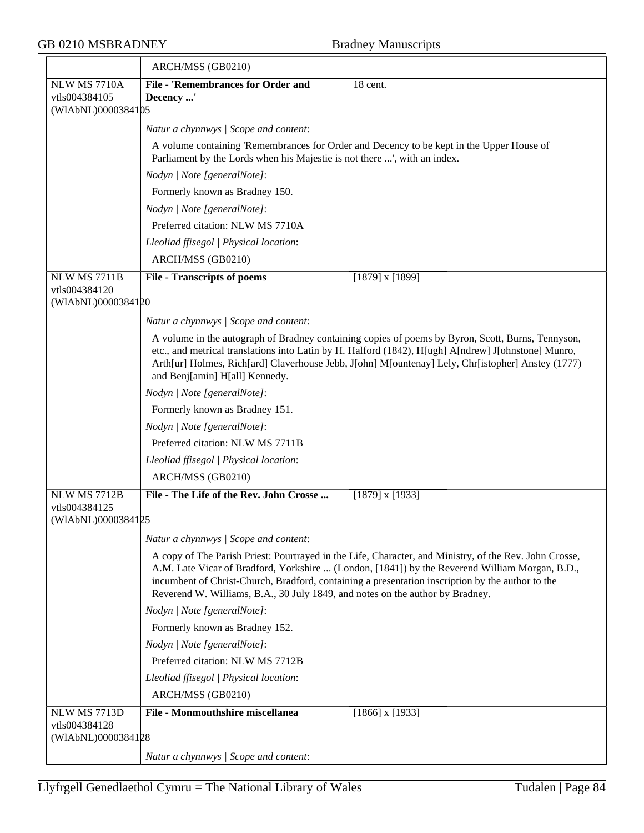|                                     | ARCH/MSS (GB0210)                                                                                                                                                                                                                                                                                                                                                                             |
|-------------------------------------|-----------------------------------------------------------------------------------------------------------------------------------------------------------------------------------------------------------------------------------------------------------------------------------------------------------------------------------------------------------------------------------------------|
| <b>NLW MS 7710A</b>                 | <b>File - 'Remembrances for Order and</b><br>18 cent.                                                                                                                                                                                                                                                                                                                                         |
| vtls004384105                       | Decency '                                                                                                                                                                                                                                                                                                                                                                                     |
| (WIAbNL)0000384105                  |                                                                                                                                                                                                                                                                                                                                                                                               |
|                                     | Natur a chynnwys / Scope and content:                                                                                                                                                                                                                                                                                                                                                         |
|                                     | A volume containing 'Remembrances for Order and Decency to be kept in the Upper House of<br>Parliament by the Lords when his Majestie is not there ', with an index.                                                                                                                                                                                                                          |
|                                     | Nodyn   Note [generalNote]:                                                                                                                                                                                                                                                                                                                                                                   |
|                                     | Formerly known as Bradney 150.                                                                                                                                                                                                                                                                                                                                                                |
|                                     | Nodyn   Note [generalNote]:                                                                                                                                                                                                                                                                                                                                                                   |
|                                     | Preferred citation: NLW MS 7710A                                                                                                                                                                                                                                                                                                                                                              |
|                                     | Lleoliad ffisegol   Physical location:                                                                                                                                                                                                                                                                                                                                                        |
|                                     | ARCH/MSS (GB0210)                                                                                                                                                                                                                                                                                                                                                                             |
| <b>NLW MS 7711B</b>                 | <b>File - Transcripts of poems</b><br>$[1879]$ x $[1899]$                                                                                                                                                                                                                                                                                                                                     |
| vtls004384120                       |                                                                                                                                                                                                                                                                                                                                                                                               |
| (WIAbNL)0000384120                  |                                                                                                                                                                                                                                                                                                                                                                                               |
|                                     | Natur a chynnwys / Scope and content:                                                                                                                                                                                                                                                                                                                                                         |
|                                     | A volume in the autograph of Bradney containing copies of poems by Byron, Scott, Burns, Tennyson,<br>etc., and metrical translations into Latin by H. Halford (1842), H[ugh] A[ndrew] J[ohnstone] Munro,<br>Arth[ur] Holmes, Rich[ard] Claverhouse Jebb, J[ohn] M[ountenay] Lely, Chr[istopher] Anstey (1777)<br>and Benj[amin] H[all] Kennedy.                                               |
|                                     | Nodyn   Note [generalNote]:                                                                                                                                                                                                                                                                                                                                                                   |
|                                     | Formerly known as Bradney 151.                                                                                                                                                                                                                                                                                                                                                                |
|                                     | Nodyn   Note [generalNote]:                                                                                                                                                                                                                                                                                                                                                                   |
|                                     | Preferred citation: NLW MS 7711B                                                                                                                                                                                                                                                                                                                                                              |
|                                     | Lleoliad ffisegol   Physical location:                                                                                                                                                                                                                                                                                                                                                        |
|                                     | ARCH/MSS (GB0210)                                                                                                                                                                                                                                                                                                                                                                             |
| NLW MS 7712B                        | File - The Life of the Rev. John Crosse<br>$[1879]$ x $[1933]$                                                                                                                                                                                                                                                                                                                                |
| vtls004384125                       |                                                                                                                                                                                                                                                                                                                                                                                               |
| (WIAbNL)0000384125                  |                                                                                                                                                                                                                                                                                                                                                                                               |
|                                     | Natur a chynnwys / Scope and content:                                                                                                                                                                                                                                                                                                                                                         |
|                                     | A copy of The Parish Priest: Pourtrayed in the Life, Character, and Ministry, of the Rev. John Crosse,<br>A.M. Late Vicar of Bradford, Yorkshire  (London, [1841]) by the Reverend William Morgan, B.D.,<br>incumbent of Christ-Church, Bradford, containing a presentation inscription by the author to the<br>Reverend W. Williams, B.A., 30 July 1849, and notes on the author by Bradney. |
|                                     | Nodyn   Note [generalNote]:                                                                                                                                                                                                                                                                                                                                                                   |
|                                     | Formerly known as Bradney 152.                                                                                                                                                                                                                                                                                                                                                                |
|                                     | Nodyn   Note [generalNote]:                                                                                                                                                                                                                                                                                                                                                                   |
|                                     | Preferred citation: NLW MS 7712B                                                                                                                                                                                                                                                                                                                                                              |
|                                     | Lleoliad ffisegol   Physical location:                                                                                                                                                                                                                                                                                                                                                        |
|                                     | ARCH/MSS (GB0210)                                                                                                                                                                                                                                                                                                                                                                             |
| <b>NLW MS 7713D</b>                 | <b>File - Monmouthshire miscellanea</b><br>$[1866]$ x $[1933]$                                                                                                                                                                                                                                                                                                                                |
| vtls004384128<br>(WIAbNL)0000384128 |                                                                                                                                                                                                                                                                                                                                                                                               |
|                                     | Natur a chynnwys / Scope and content:                                                                                                                                                                                                                                                                                                                                                         |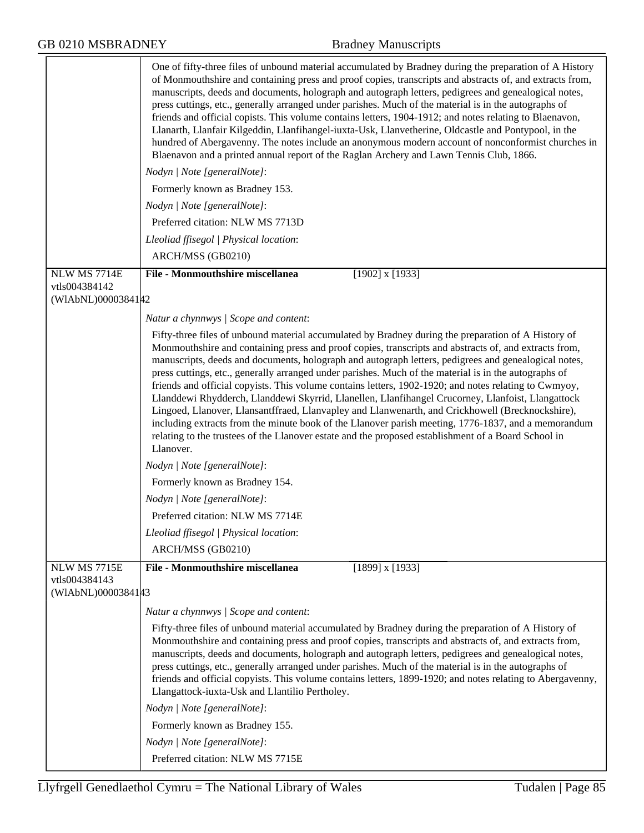|                                                            | One of fifty-three files of unbound material accumulated by Bradney during the preparation of A History<br>of Monmouthshire and containing press and proof copies, transcripts and abstracts of, and extracts from,<br>manuscripts, deeds and documents, holograph and autograph letters, pedigrees and genealogical notes,<br>press cuttings, etc., generally arranged under parishes. Much of the material is in the autographs of<br>friends and official copists. This volume contains letters, 1904-1912; and notes relating to Blaenavon,<br>Llanarth, Llanfair Kilgeddin, Llanfihangel-iuxta-Usk, Llanvetherine, Oldcastle and Pontypool, in the<br>hundred of Abergavenny. The notes include an anonymous modern account of nonconformist churches in<br>Blaenavon and a printed annual report of the Raglan Archery and Lawn Tennis Club, 1866.                                                                                                                   |
|------------------------------------------------------------|----------------------------------------------------------------------------------------------------------------------------------------------------------------------------------------------------------------------------------------------------------------------------------------------------------------------------------------------------------------------------------------------------------------------------------------------------------------------------------------------------------------------------------------------------------------------------------------------------------------------------------------------------------------------------------------------------------------------------------------------------------------------------------------------------------------------------------------------------------------------------------------------------------------------------------------------------------------------------|
|                                                            | Nodyn   Note [generalNote]:                                                                                                                                                                                                                                                                                                                                                                                                                                                                                                                                                                                                                                                                                                                                                                                                                                                                                                                                                |
|                                                            | Formerly known as Bradney 153.                                                                                                                                                                                                                                                                                                                                                                                                                                                                                                                                                                                                                                                                                                                                                                                                                                                                                                                                             |
|                                                            | Nodyn   Note [generalNote]:                                                                                                                                                                                                                                                                                                                                                                                                                                                                                                                                                                                                                                                                                                                                                                                                                                                                                                                                                |
|                                                            | Preferred citation: NLW MS 7713D                                                                                                                                                                                                                                                                                                                                                                                                                                                                                                                                                                                                                                                                                                                                                                                                                                                                                                                                           |
|                                                            | Lleoliad ffisegol   Physical location:                                                                                                                                                                                                                                                                                                                                                                                                                                                                                                                                                                                                                                                                                                                                                                                                                                                                                                                                     |
|                                                            | ARCH/MSS (GB0210)                                                                                                                                                                                                                                                                                                                                                                                                                                                                                                                                                                                                                                                                                                                                                                                                                                                                                                                                                          |
| NLW MS 7714E                                               | <b>File - Monmouthshire miscellanea</b><br>$[1902]$ x $[1933]$                                                                                                                                                                                                                                                                                                                                                                                                                                                                                                                                                                                                                                                                                                                                                                                                                                                                                                             |
| vtls004384142<br>(WIAbNL)0000384142                        |                                                                                                                                                                                                                                                                                                                                                                                                                                                                                                                                                                                                                                                                                                                                                                                                                                                                                                                                                                            |
|                                                            |                                                                                                                                                                                                                                                                                                                                                                                                                                                                                                                                                                                                                                                                                                                                                                                                                                                                                                                                                                            |
|                                                            | Natur a chynnwys / Scope and content:                                                                                                                                                                                                                                                                                                                                                                                                                                                                                                                                                                                                                                                                                                                                                                                                                                                                                                                                      |
|                                                            | Fifty-three files of unbound material accumulated by Bradney during the preparation of A History of<br>Monmouthshire and containing press and proof copies, transcripts and abstracts of, and extracts from,<br>manuscripts, deeds and documents, holograph and autograph letters, pedigrees and genealogical notes,<br>press cuttings, etc., generally arranged under parishes. Much of the material is in the autographs of<br>friends and official copyists. This volume contains letters, 1902-1920; and notes relating to Cwmyoy,<br>Llanddewi Rhydderch, Llanddewi Skyrrid, Llanellen, Llanfihangel Crucorney, Llanfoist, Llangattock<br>Lingoed, Llanover, Llansantffraed, Llanvapley and Llanwenarth, and Crickhowell (Brecknockshire),<br>including extracts from the minute book of the Llanover parish meeting, 1776-1837, and a memorandum<br>relating to the trustees of the Llanover estate and the proposed establishment of a Board School in<br>Llanover. |
|                                                            | Nodyn   Note [generalNote]:                                                                                                                                                                                                                                                                                                                                                                                                                                                                                                                                                                                                                                                                                                                                                                                                                                                                                                                                                |
|                                                            | Formerly known as Bradney 154.                                                                                                                                                                                                                                                                                                                                                                                                                                                                                                                                                                                                                                                                                                                                                                                                                                                                                                                                             |
|                                                            | Nodyn   Note [generalNote]:                                                                                                                                                                                                                                                                                                                                                                                                                                                                                                                                                                                                                                                                                                                                                                                                                                                                                                                                                |
|                                                            | Preferred citation: NLW MS 7714E                                                                                                                                                                                                                                                                                                                                                                                                                                                                                                                                                                                                                                                                                                                                                                                                                                                                                                                                           |
|                                                            | Lleoliad ffisegol   Physical location:                                                                                                                                                                                                                                                                                                                                                                                                                                                                                                                                                                                                                                                                                                                                                                                                                                                                                                                                     |
|                                                            | ARCH/MSS (GB0210)                                                                                                                                                                                                                                                                                                                                                                                                                                                                                                                                                                                                                                                                                                                                                                                                                                                                                                                                                          |
| <b>NLW MS 7715E</b><br>vtls004384143<br>(WIAbNL)0000384143 | <b>File - Monmouthshire miscellanea</b><br>$[1899]$ x $[1933]$                                                                                                                                                                                                                                                                                                                                                                                                                                                                                                                                                                                                                                                                                                                                                                                                                                                                                                             |
|                                                            | Natur a chynnwys / Scope and content:                                                                                                                                                                                                                                                                                                                                                                                                                                                                                                                                                                                                                                                                                                                                                                                                                                                                                                                                      |
|                                                            | Fifty-three files of unbound material accumulated by Bradney during the preparation of A History of<br>Monmouthshire and containing press and proof copies, transcripts and abstracts of, and extracts from,<br>manuscripts, deeds and documents, holograph and autograph letters, pedigrees and genealogical notes,<br>press cuttings, etc., generally arranged under parishes. Much of the material is in the autographs of<br>friends and official copyists. This volume contains letters, 1899-1920; and notes relating to Abergavenny,<br>Llangattock-iuxta-Usk and Llantilio Pertholey.                                                                                                                                                                                                                                                                                                                                                                              |
|                                                            | Nodyn   Note [generalNote]:                                                                                                                                                                                                                                                                                                                                                                                                                                                                                                                                                                                                                                                                                                                                                                                                                                                                                                                                                |
|                                                            | Formerly known as Bradney 155.                                                                                                                                                                                                                                                                                                                                                                                                                                                                                                                                                                                                                                                                                                                                                                                                                                                                                                                                             |
|                                                            | Nodyn   Note [generalNote]:                                                                                                                                                                                                                                                                                                                                                                                                                                                                                                                                                                                                                                                                                                                                                                                                                                                                                                                                                |
|                                                            | Preferred citation: NLW MS 7715E                                                                                                                                                                                                                                                                                                                                                                                                                                                                                                                                                                                                                                                                                                                                                                                                                                                                                                                                           |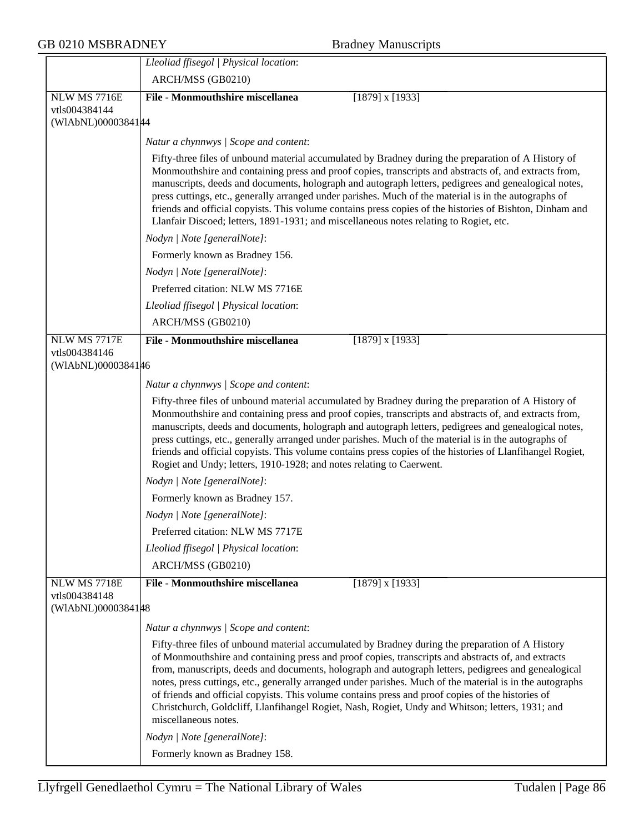# GB 0210 MSBRADNEY Bradney Manuscripts

|                                     | Lleoliad ffisegol   Physical location:                                                                                                                                                                                                                                                                                                                                                                                                                                                                                                                                                                                                                      |
|-------------------------------------|-------------------------------------------------------------------------------------------------------------------------------------------------------------------------------------------------------------------------------------------------------------------------------------------------------------------------------------------------------------------------------------------------------------------------------------------------------------------------------------------------------------------------------------------------------------------------------------------------------------------------------------------------------------|
|                                     | ARCH/MSS (GB0210)                                                                                                                                                                                                                                                                                                                                                                                                                                                                                                                                                                                                                                           |
| <b>NLW MS 7716E</b>                 | File - Monmouthshire miscellanea<br>$[1879]$ x $[1933]$                                                                                                                                                                                                                                                                                                                                                                                                                                                                                                                                                                                                     |
| vtls004384144<br>(WIAbNL)00003841#4 |                                                                                                                                                                                                                                                                                                                                                                                                                                                                                                                                                                                                                                                             |
|                                     |                                                                                                                                                                                                                                                                                                                                                                                                                                                                                                                                                                                                                                                             |
|                                     | Natur a chynnwys / Scope and content:<br>Fifty-three files of unbound material accumulated by Bradney during the preparation of A History of                                                                                                                                                                                                                                                                                                                                                                                                                                                                                                                |
|                                     | Monmouthshire and containing press and proof copies, transcripts and abstracts of, and extracts from,<br>manuscripts, deeds and documents, holograph and autograph letters, pedigrees and genealogical notes,<br>press cuttings, etc., generally arranged under parishes. Much of the material is in the autographs of<br>friends and official copyists. This volume contains press copies of the histories of Bishton, Dinham and<br>Llanfair Discoed; letters, 1891-1931; and miscellaneous notes relating to Rogiet, etc.                                                                                                                                |
|                                     | Nodyn   Note [generalNote]:                                                                                                                                                                                                                                                                                                                                                                                                                                                                                                                                                                                                                                 |
|                                     | Formerly known as Bradney 156.                                                                                                                                                                                                                                                                                                                                                                                                                                                                                                                                                                                                                              |
|                                     | Nodyn   Note [generalNote]:                                                                                                                                                                                                                                                                                                                                                                                                                                                                                                                                                                                                                                 |
|                                     | Preferred citation: NLW MS 7716E                                                                                                                                                                                                                                                                                                                                                                                                                                                                                                                                                                                                                            |
|                                     | Lleoliad ffisegol   Physical location:                                                                                                                                                                                                                                                                                                                                                                                                                                                                                                                                                                                                                      |
|                                     | ARCH/MSS (GB0210)                                                                                                                                                                                                                                                                                                                                                                                                                                                                                                                                                                                                                                           |
| NLW MS 7717E                        | <b>File - Monmouthshire miscellanea</b><br>$[1879]$ x $[1933]$                                                                                                                                                                                                                                                                                                                                                                                                                                                                                                                                                                                              |
| vtls004384146<br>(WIAbNL)0000384146 |                                                                                                                                                                                                                                                                                                                                                                                                                                                                                                                                                                                                                                                             |
|                                     |                                                                                                                                                                                                                                                                                                                                                                                                                                                                                                                                                                                                                                                             |
|                                     | Natur a chynnwys   Scope and content:                                                                                                                                                                                                                                                                                                                                                                                                                                                                                                                                                                                                                       |
|                                     | Fifty-three files of unbound material accumulated by Bradney during the preparation of A History of<br>Monmouthshire and containing press and proof copies, transcripts and abstracts of, and extracts from,<br>manuscripts, deeds and documents, holograph and autograph letters, pedigrees and genealogical notes,<br>press cuttings, etc., generally arranged under parishes. Much of the material is in the autographs of<br>friends and official copyists. This volume contains press copies of the histories of Llanfihangel Rogiet,<br>Rogiet and Undy; letters, 1910-1928; and notes relating to Caerwent.                                          |
|                                     | Nodyn   Note [generalNote]:                                                                                                                                                                                                                                                                                                                                                                                                                                                                                                                                                                                                                                 |
|                                     | Formerly known as Bradney 157.                                                                                                                                                                                                                                                                                                                                                                                                                                                                                                                                                                                                                              |
|                                     | Nodyn   Note [generalNote]:                                                                                                                                                                                                                                                                                                                                                                                                                                                                                                                                                                                                                                 |
|                                     | Preferred citation: NLW MS 7717E                                                                                                                                                                                                                                                                                                                                                                                                                                                                                                                                                                                                                            |
|                                     | Lleoliad ffisegol   Physical location:                                                                                                                                                                                                                                                                                                                                                                                                                                                                                                                                                                                                                      |
|                                     | ARCH/MSS (GB0210)                                                                                                                                                                                                                                                                                                                                                                                                                                                                                                                                                                                                                                           |
| <b>NLW MS 7718E</b>                 | $[1879]$ x $[1933]$<br>File - Monmouthshire miscellanea                                                                                                                                                                                                                                                                                                                                                                                                                                                                                                                                                                                                     |
| vtls004384148<br>(WIAbNL)0000384148 |                                                                                                                                                                                                                                                                                                                                                                                                                                                                                                                                                                                                                                                             |
|                                     | Natur a chynnwys / Scope and content:                                                                                                                                                                                                                                                                                                                                                                                                                                                                                                                                                                                                                       |
|                                     | Fifty-three files of unbound material accumulated by Bradney during the preparation of A History<br>of Monmouthshire and containing press and proof copies, transcripts and abstracts of, and extracts<br>from, manuscripts, deeds and documents, holograph and autograph letters, pedigrees and genealogical<br>notes, press cuttings, etc., generally arranged under parishes. Much of the material is in the autographs<br>of friends and official copyists. This volume contains press and proof copies of the histories of<br>Christchurch, Goldcliff, Llanfihangel Rogiet, Nash, Rogiet, Undy and Whitson; letters, 1931; and<br>miscellaneous notes. |
|                                     | Nodyn   Note [generalNote]:                                                                                                                                                                                                                                                                                                                                                                                                                                                                                                                                                                                                                                 |
|                                     | Formerly known as Bradney 158.                                                                                                                                                                                                                                                                                                                                                                                                                                                                                                                                                                                                                              |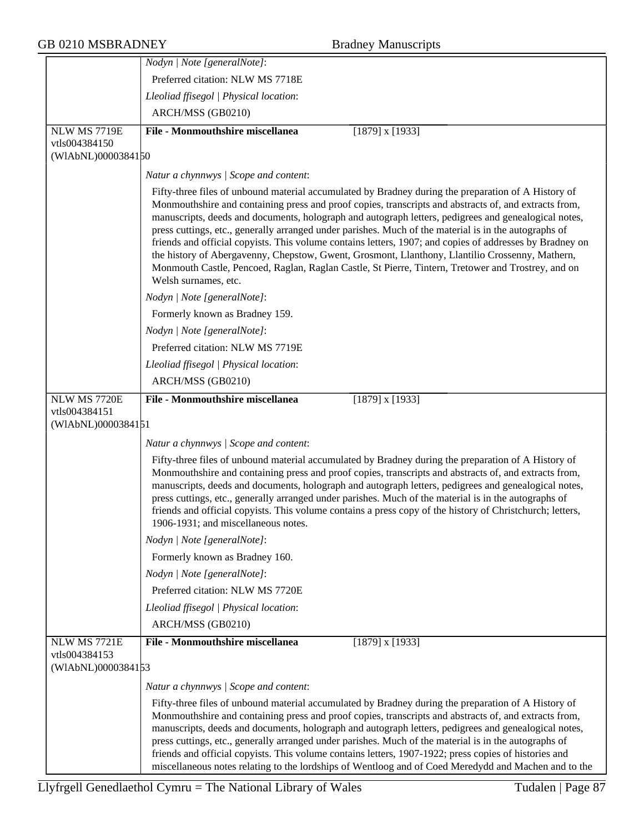|                                                     | Nodyn   Note [generalNote]:                                                                                                                                                                                                                                                                                                                                                                                                                                                                                                                                                                                                                                                                                                                                                |
|-----------------------------------------------------|----------------------------------------------------------------------------------------------------------------------------------------------------------------------------------------------------------------------------------------------------------------------------------------------------------------------------------------------------------------------------------------------------------------------------------------------------------------------------------------------------------------------------------------------------------------------------------------------------------------------------------------------------------------------------------------------------------------------------------------------------------------------------|
|                                                     | Preferred citation: NLW MS 7718E                                                                                                                                                                                                                                                                                                                                                                                                                                                                                                                                                                                                                                                                                                                                           |
|                                                     | Lleoliad ffisegol   Physical location:                                                                                                                                                                                                                                                                                                                                                                                                                                                                                                                                                                                                                                                                                                                                     |
|                                                     | ARCH/MSS (GB0210)                                                                                                                                                                                                                                                                                                                                                                                                                                                                                                                                                                                                                                                                                                                                                          |
| <b>NLW MS 7719E</b>                                 | <b>File - Monmouthshire miscellanea</b><br>$[1879]$ x $[1933]$                                                                                                                                                                                                                                                                                                                                                                                                                                                                                                                                                                                                                                                                                                             |
| vtls004384150<br>(WIAbNL)0000384150                 |                                                                                                                                                                                                                                                                                                                                                                                                                                                                                                                                                                                                                                                                                                                                                                            |
|                                                     | Natur a chynnwys / Scope and content:                                                                                                                                                                                                                                                                                                                                                                                                                                                                                                                                                                                                                                                                                                                                      |
|                                                     | Fifty-three files of unbound material accumulated by Bradney during the preparation of A History of<br>Monmouthshire and containing press and proof copies, transcripts and abstracts of, and extracts from,<br>manuscripts, deeds and documents, holograph and autograph letters, pedigrees and genealogical notes,<br>press cuttings, etc., generally arranged under parishes. Much of the material is in the autographs of<br>friends and official copyists. This volume contains letters, 1907; and copies of addresses by Bradney on<br>the history of Abergavenny, Chepstow, Gwent, Grosmont, Llanthony, Llantilio Crossenny, Mathern,<br>Monmouth Castle, Pencoed, Raglan, Raglan Castle, St Pierre, Tintern, Tretower and Trostrey, and on<br>Welsh surnames, etc. |
|                                                     | Nodyn   Note [generalNote]:                                                                                                                                                                                                                                                                                                                                                                                                                                                                                                                                                                                                                                                                                                                                                |
|                                                     | Formerly known as Bradney 159.                                                                                                                                                                                                                                                                                                                                                                                                                                                                                                                                                                                                                                                                                                                                             |
|                                                     | Nodyn   Note [generalNote]:                                                                                                                                                                                                                                                                                                                                                                                                                                                                                                                                                                                                                                                                                                                                                |
|                                                     | Preferred citation: NLW MS 7719E                                                                                                                                                                                                                                                                                                                                                                                                                                                                                                                                                                                                                                                                                                                                           |
|                                                     | Lleoliad ffisegol   Physical location:                                                                                                                                                                                                                                                                                                                                                                                                                                                                                                                                                                                                                                                                                                                                     |
|                                                     | ARCH/MSS (GB0210)                                                                                                                                                                                                                                                                                                                                                                                                                                                                                                                                                                                                                                                                                                                                                          |
| NLW MS 7720E<br>vtls004384151<br>(WIAbNL)0000384151 | <b>File - Monmouthshire miscellanea</b><br>$[1879]$ x $[1933]$                                                                                                                                                                                                                                                                                                                                                                                                                                                                                                                                                                                                                                                                                                             |
|                                                     | Natur a chynnwys / Scope and content:                                                                                                                                                                                                                                                                                                                                                                                                                                                                                                                                                                                                                                                                                                                                      |
|                                                     | Fifty-three files of unbound material accumulated by Bradney during the preparation of A History of<br>Monmouthshire and containing press and proof copies, transcripts and abstracts of, and extracts from,<br>manuscripts, deeds and documents, holograph and autograph letters, pedigrees and genealogical notes,<br>press cuttings, etc., generally arranged under parishes. Much of the material is in the autographs of<br>friends and official copyists. This volume contains a press copy of the history of Christchurch; letters,<br>1906-1931; and miscellaneous notes.                                                                                                                                                                                          |
|                                                     | Nodyn   Note [generalNote]:                                                                                                                                                                                                                                                                                                                                                                                                                                                                                                                                                                                                                                                                                                                                                |
|                                                     | Formerly known as Bradney 160.                                                                                                                                                                                                                                                                                                                                                                                                                                                                                                                                                                                                                                                                                                                                             |
|                                                     | Nodyn   Note [generalNote]:                                                                                                                                                                                                                                                                                                                                                                                                                                                                                                                                                                                                                                                                                                                                                |
|                                                     | Preferred citation: NLW MS 7720E                                                                                                                                                                                                                                                                                                                                                                                                                                                                                                                                                                                                                                                                                                                                           |
|                                                     | Lleoliad ffisegol   Physical location:                                                                                                                                                                                                                                                                                                                                                                                                                                                                                                                                                                                                                                                                                                                                     |
|                                                     | ARCH/MSS (GB0210)                                                                                                                                                                                                                                                                                                                                                                                                                                                                                                                                                                                                                                                                                                                                                          |
| NLW MS 7721E<br>vtls004384153                       | <b>File - Monmouthshire miscellanea</b><br>$[1879]$ x $[1933]$                                                                                                                                                                                                                                                                                                                                                                                                                                                                                                                                                                                                                                                                                                             |
| (WIAbNL)0000384153                                  |                                                                                                                                                                                                                                                                                                                                                                                                                                                                                                                                                                                                                                                                                                                                                                            |
|                                                     | Natur a chynnwys / Scope and content:                                                                                                                                                                                                                                                                                                                                                                                                                                                                                                                                                                                                                                                                                                                                      |
|                                                     | Fifty-three files of unbound material accumulated by Bradney during the preparation of A History of<br>Monmouthshire and containing press and proof copies, transcripts and abstracts of, and extracts from,<br>manuscripts, deeds and documents, holograph and autograph letters, pedigrees and genealogical notes,<br>press cuttings, etc., generally arranged under parishes. Much of the material is in the autographs of<br>friends and official copyists. This volume contains letters, 1907-1922; press copies of histories and                                                                                                                                                                                                                                     |
|                                                     | miscellaneous notes relating to the lordships of Wentloog and of Coed Meredydd and Machen and to the                                                                                                                                                                                                                                                                                                                                                                                                                                                                                                                                                                                                                                                                       |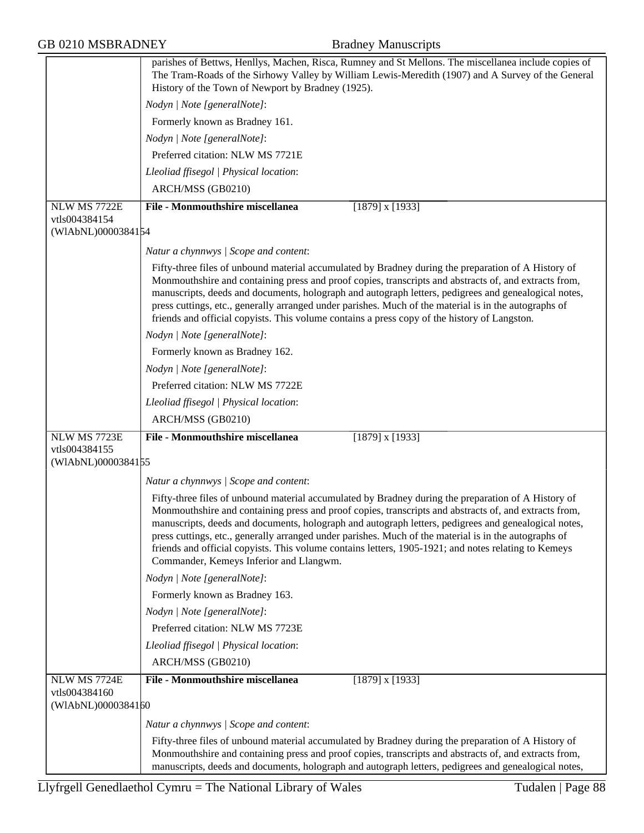|                                     | parishes of Bettws, Henllys, Machen, Risca, Rumney and St Mellons. The miscellanea include copies of                                                                                                                                                                                                                                                                                                                                                                                                                                                                             |
|-------------------------------------|----------------------------------------------------------------------------------------------------------------------------------------------------------------------------------------------------------------------------------------------------------------------------------------------------------------------------------------------------------------------------------------------------------------------------------------------------------------------------------------------------------------------------------------------------------------------------------|
|                                     | The Tram-Roads of the Sirhowy Valley by William Lewis-Meredith (1907) and A Survey of the General<br>History of the Town of Newport by Bradney (1925).                                                                                                                                                                                                                                                                                                                                                                                                                           |
|                                     | Nodyn   Note [generalNote]:                                                                                                                                                                                                                                                                                                                                                                                                                                                                                                                                                      |
|                                     | Formerly known as Bradney 161.                                                                                                                                                                                                                                                                                                                                                                                                                                                                                                                                                   |
|                                     | Nodyn   Note [generalNote]:                                                                                                                                                                                                                                                                                                                                                                                                                                                                                                                                                      |
|                                     | Preferred citation: NLW MS 7721E                                                                                                                                                                                                                                                                                                                                                                                                                                                                                                                                                 |
|                                     | Lleoliad ffisegol   Physical location:                                                                                                                                                                                                                                                                                                                                                                                                                                                                                                                                           |
|                                     | ARCH/MSS (GB0210)                                                                                                                                                                                                                                                                                                                                                                                                                                                                                                                                                                |
| NLW MS 7722E                        | <b>File - Monmouthshire miscellanea</b><br>$[1879]$ x $[1933]$                                                                                                                                                                                                                                                                                                                                                                                                                                                                                                                   |
| vtls004384154                       |                                                                                                                                                                                                                                                                                                                                                                                                                                                                                                                                                                                  |
| (WIAbNL)0000384154                  |                                                                                                                                                                                                                                                                                                                                                                                                                                                                                                                                                                                  |
|                                     | Natur a chynnwys / Scope and content:                                                                                                                                                                                                                                                                                                                                                                                                                                                                                                                                            |
|                                     | Fifty-three files of unbound material accumulated by Bradney during the preparation of A History of<br>Monmouthshire and containing press and proof copies, transcripts and abstracts of, and extracts from,<br>manuscripts, deeds and documents, holograph and autograph letters, pedigrees and genealogical notes,<br>press cuttings, etc., generally arranged under parishes. Much of the material is in the autographs of<br>friends and official copyists. This volume contains a press copy of the history of Langston.                                                    |
|                                     | Nodyn   Note [generalNote]:                                                                                                                                                                                                                                                                                                                                                                                                                                                                                                                                                      |
|                                     | Formerly known as Bradney 162.                                                                                                                                                                                                                                                                                                                                                                                                                                                                                                                                                   |
|                                     | Nodyn   Note [generalNote]:                                                                                                                                                                                                                                                                                                                                                                                                                                                                                                                                                      |
|                                     | Preferred citation: NLW MS 7722E                                                                                                                                                                                                                                                                                                                                                                                                                                                                                                                                                 |
|                                     | Lleoliad ffisegol   Physical location:                                                                                                                                                                                                                                                                                                                                                                                                                                                                                                                                           |
|                                     | ARCH/MSS (GB0210)                                                                                                                                                                                                                                                                                                                                                                                                                                                                                                                                                                |
| NLW MS 7723E                        | <b>File - Monmouthshire miscellanea</b><br>$[1879]$ x $[1933]$                                                                                                                                                                                                                                                                                                                                                                                                                                                                                                                   |
| vtls004384155<br>(WIAbNL)0000384155 |                                                                                                                                                                                                                                                                                                                                                                                                                                                                                                                                                                                  |
|                                     | Natur a chynnwys / Scope and content:                                                                                                                                                                                                                                                                                                                                                                                                                                                                                                                                            |
|                                     | Fifty-three files of unbound material accumulated by Bradney during the preparation of A History of<br>Monmouthshire and containing press and proof copies, transcripts and abstracts of, and extracts from,<br>manuscripts, deeds and documents, holograph and autograph letters, pedigrees and genealogical notes,<br>press cuttings, etc., generally arranged under parishes. Much of the material is in the autographs of<br>friends and official copyists. This volume contains letters, 1905-1921; and notes relating to Kemeys<br>Commander, Kemeys Inferior and Llangwm. |
|                                     | Nodyn   Note [generalNote]:                                                                                                                                                                                                                                                                                                                                                                                                                                                                                                                                                      |
|                                     | Formerly known as Bradney 163.                                                                                                                                                                                                                                                                                                                                                                                                                                                                                                                                                   |
|                                     | Nodyn   Note [generalNote]:                                                                                                                                                                                                                                                                                                                                                                                                                                                                                                                                                      |
|                                     | Preferred citation: NLW MS 7723E                                                                                                                                                                                                                                                                                                                                                                                                                                                                                                                                                 |
|                                     | Lleoliad ffisegol   Physical location:                                                                                                                                                                                                                                                                                                                                                                                                                                                                                                                                           |
|                                     | ARCH/MSS (GB0210)                                                                                                                                                                                                                                                                                                                                                                                                                                                                                                                                                                |
| NLW MS 7724E                        | <b>File - Monmouthshire miscellanea</b><br>$[1879]$ x $[1933]$                                                                                                                                                                                                                                                                                                                                                                                                                                                                                                                   |
| vtls004384160                       |                                                                                                                                                                                                                                                                                                                                                                                                                                                                                                                                                                                  |
| (WIAbNL)0000384160                  |                                                                                                                                                                                                                                                                                                                                                                                                                                                                                                                                                                                  |
|                                     | Natur a chynnwys / Scope and content:                                                                                                                                                                                                                                                                                                                                                                                                                                                                                                                                            |
|                                     | Fifty-three files of unbound material accumulated by Bradney during the preparation of A History of<br>Monmouthshire and containing press and proof copies, transcripts and abstracts of, and extracts from,<br>manuscripts, deeds and documents, holograph and autograph letters, pedigrees and genealogical notes,                                                                                                                                                                                                                                                             |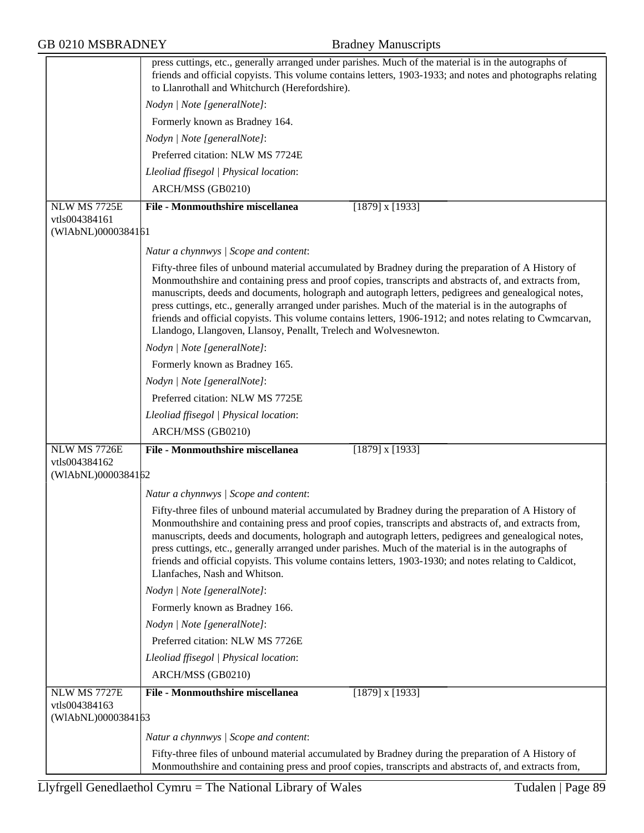|                                                            | press cuttings, etc., generally arranged under parishes. Much of the material is in the autographs of<br>friends and official copyists. This volume contains letters, 1903-1933; and notes and photographs relating<br>to Llanrothall and Whitchurch (Herefordshire).                                                                                                                                                                                                                                                                                                                                         |
|------------------------------------------------------------|---------------------------------------------------------------------------------------------------------------------------------------------------------------------------------------------------------------------------------------------------------------------------------------------------------------------------------------------------------------------------------------------------------------------------------------------------------------------------------------------------------------------------------------------------------------------------------------------------------------|
|                                                            | Nodyn   Note [generalNote]:                                                                                                                                                                                                                                                                                                                                                                                                                                                                                                                                                                                   |
|                                                            | Formerly known as Bradney 164.                                                                                                                                                                                                                                                                                                                                                                                                                                                                                                                                                                                |
|                                                            | Nodyn   Note [generalNote]:                                                                                                                                                                                                                                                                                                                                                                                                                                                                                                                                                                                   |
|                                                            | Preferred citation: NLW MS 7724E                                                                                                                                                                                                                                                                                                                                                                                                                                                                                                                                                                              |
|                                                            | Lleoliad ffisegol   Physical location:                                                                                                                                                                                                                                                                                                                                                                                                                                                                                                                                                                        |
|                                                            | ARCH/MSS (GB0210)                                                                                                                                                                                                                                                                                                                                                                                                                                                                                                                                                                                             |
| NLW MS 7725E                                               | <b>File - Monmouthshire miscellanea</b><br>$[1879]$ x $[1933]$                                                                                                                                                                                                                                                                                                                                                                                                                                                                                                                                                |
| vtls004384161<br>(WIAbNL)0000384161                        |                                                                                                                                                                                                                                                                                                                                                                                                                                                                                                                                                                                                               |
|                                                            | Natur a chynnwys / Scope and content:                                                                                                                                                                                                                                                                                                                                                                                                                                                                                                                                                                         |
|                                                            | Fifty-three files of unbound material accumulated by Bradney during the preparation of A History of<br>Monmouthshire and containing press and proof copies, transcripts and abstracts of, and extracts from,<br>manuscripts, deeds and documents, holograph and autograph letters, pedigrees and genealogical notes,<br>press cuttings, etc., generally arranged under parishes. Much of the material is in the autographs of<br>friends and official copyists. This volume contains letters, 1906-1912; and notes relating to Cwmcarvan,<br>Llandogo, Llangoven, Llansoy, Penallt, Trelech and Wolvesnewton. |
|                                                            | Nodyn   Note [generalNote]:                                                                                                                                                                                                                                                                                                                                                                                                                                                                                                                                                                                   |
|                                                            | Formerly known as Bradney 165.                                                                                                                                                                                                                                                                                                                                                                                                                                                                                                                                                                                |
|                                                            | Nodyn   Note [generalNote]:                                                                                                                                                                                                                                                                                                                                                                                                                                                                                                                                                                                   |
|                                                            | Preferred citation: NLW MS 7725E                                                                                                                                                                                                                                                                                                                                                                                                                                                                                                                                                                              |
|                                                            | Lleoliad ffisegol   Physical location:                                                                                                                                                                                                                                                                                                                                                                                                                                                                                                                                                                        |
|                                                            | ARCH/MSS (GB0210)                                                                                                                                                                                                                                                                                                                                                                                                                                                                                                                                                                                             |
| NLW MS 7726E<br>vtls004384162                              | <b>File - Monmouthshire miscellanea</b><br>$[1879]$ x $[1933]$                                                                                                                                                                                                                                                                                                                                                                                                                                                                                                                                                |
| (WIAbNL)0000384162                                         |                                                                                                                                                                                                                                                                                                                                                                                                                                                                                                                                                                                                               |
|                                                            | Natur a chynnwys / Scope and content:                                                                                                                                                                                                                                                                                                                                                                                                                                                                                                                                                                         |
|                                                            | Fifty-three files of unbound material accumulated by Bradney during the preparation of A History of<br>Monmouthshire and containing press and proof copies, transcripts and abstracts of, and extracts from,<br>manuscripts, deeds and documents, holograph and autograph letters, pedigrees and genealogical notes,<br>press cuttings, etc., generally arranged under parishes. Much of the material is in the autographs of<br>friends and official copyists. This volume contains letters, 1903-1930; and notes relating to Caldicot,<br>Llanfaches, Nash and Whitson.                                     |
|                                                            | Nodyn   Note [generalNote]:                                                                                                                                                                                                                                                                                                                                                                                                                                                                                                                                                                                   |
|                                                            | Formerly known as Bradney 166.                                                                                                                                                                                                                                                                                                                                                                                                                                                                                                                                                                                |
|                                                            | Nodyn   Note [generalNote]:                                                                                                                                                                                                                                                                                                                                                                                                                                                                                                                                                                                   |
|                                                            | Preferred citation: NLW MS 7726E                                                                                                                                                                                                                                                                                                                                                                                                                                                                                                                                                                              |
|                                                            | Lleoliad ffisegol   Physical location:                                                                                                                                                                                                                                                                                                                                                                                                                                                                                                                                                                        |
|                                                            | ARCH/MSS (GB0210)                                                                                                                                                                                                                                                                                                                                                                                                                                                                                                                                                                                             |
| <b>NLW MS 7727E</b><br>vtls004384163<br>(WIAbNL)0000384163 | <b>File - Monmouthshire miscellanea</b><br>$[1879]$ x $[1933]$                                                                                                                                                                                                                                                                                                                                                                                                                                                                                                                                                |
|                                                            | Natur a chynnwys / Scope and content:                                                                                                                                                                                                                                                                                                                                                                                                                                                                                                                                                                         |
|                                                            | Fifty-three files of unbound material accumulated by Bradney during the preparation of A History of<br>Monmouthshire and containing press and proof copies, transcripts and abstracts of, and extracts from,                                                                                                                                                                                                                                                                                                                                                                                                  |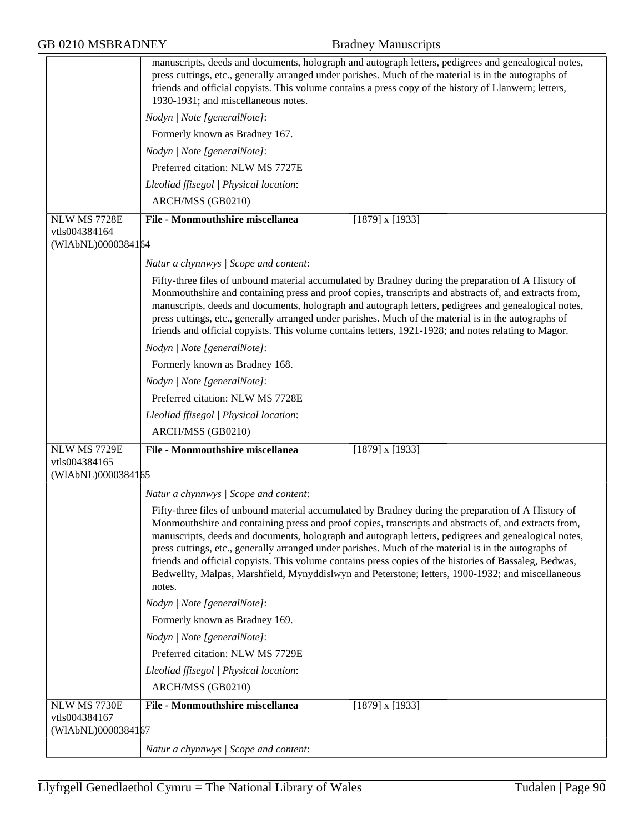|  |  | <b>GB 0210 MSBRADNEY</b> |
|--|--|--------------------------|
|--|--|--------------------------|

|                                     | manuscripts, deeds and documents, holograph and autograph letters, pedigrees and genealogical notes,<br>press cuttings, etc., generally arranged under parishes. Much of the material is in the autographs of<br>friends and official copyists. This volume contains a press copy of the history of Llanwern; letters,<br>1930-1931; and miscellaneous notes.                                                                                                                                                                                                                                                                                          |
|-------------------------------------|--------------------------------------------------------------------------------------------------------------------------------------------------------------------------------------------------------------------------------------------------------------------------------------------------------------------------------------------------------------------------------------------------------------------------------------------------------------------------------------------------------------------------------------------------------------------------------------------------------------------------------------------------------|
|                                     | Nodyn   Note [generalNote]:                                                                                                                                                                                                                                                                                                                                                                                                                                                                                                                                                                                                                            |
|                                     | Formerly known as Bradney 167.                                                                                                                                                                                                                                                                                                                                                                                                                                                                                                                                                                                                                         |
|                                     | Nodyn   Note [generalNote]:                                                                                                                                                                                                                                                                                                                                                                                                                                                                                                                                                                                                                            |
|                                     | Preferred citation: NLW MS 7727E                                                                                                                                                                                                                                                                                                                                                                                                                                                                                                                                                                                                                       |
|                                     | Lleoliad ffisegol   Physical location:                                                                                                                                                                                                                                                                                                                                                                                                                                                                                                                                                                                                                 |
|                                     | ARCH/MSS (GB0210)                                                                                                                                                                                                                                                                                                                                                                                                                                                                                                                                                                                                                                      |
| <b>NLW MS 7728E</b>                 | <b>File - Monmouthshire miscellanea</b><br>$[1879]$ x $[1933]$                                                                                                                                                                                                                                                                                                                                                                                                                                                                                                                                                                                         |
| vtls004384164<br>(WIAbNL)0000384164 |                                                                                                                                                                                                                                                                                                                                                                                                                                                                                                                                                                                                                                                        |
|                                     | Natur a chynnwys / Scope and content:                                                                                                                                                                                                                                                                                                                                                                                                                                                                                                                                                                                                                  |
|                                     | Fifty-three files of unbound material accumulated by Bradney during the preparation of A History of<br>Monmouthshire and containing press and proof copies, transcripts and abstracts of, and extracts from,<br>manuscripts, deeds and documents, holograph and autograph letters, pedigrees and genealogical notes,<br>press cuttings, etc., generally arranged under parishes. Much of the material is in the autographs of<br>friends and official copyists. This volume contains letters, 1921-1928; and notes relating to Magor.                                                                                                                  |
|                                     | Nodyn   Note [generalNote]:                                                                                                                                                                                                                                                                                                                                                                                                                                                                                                                                                                                                                            |
|                                     | Formerly known as Bradney 168.                                                                                                                                                                                                                                                                                                                                                                                                                                                                                                                                                                                                                         |
|                                     | Nodyn   Note [generalNote]:                                                                                                                                                                                                                                                                                                                                                                                                                                                                                                                                                                                                                            |
|                                     | Preferred citation: NLW MS 7728E                                                                                                                                                                                                                                                                                                                                                                                                                                                                                                                                                                                                                       |
|                                     | Lleoliad ffisegol   Physical location:                                                                                                                                                                                                                                                                                                                                                                                                                                                                                                                                                                                                                 |
|                                     | ARCH/MSS (GB0210)                                                                                                                                                                                                                                                                                                                                                                                                                                                                                                                                                                                                                                      |
| NLW MS 7729E                        | <b>File - Monmouthshire miscellanea</b><br>$[1879]$ x $[1933]$                                                                                                                                                                                                                                                                                                                                                                                                                                                                                                                                                                                         |
| vtls004384165<br>(WIAbNL)0000384165 |                                                                                                                                                                                                                                                                                                                                                                                                                                                                                                                                                                                                                                                        |
|                                     | Natur a chynnwys / Scope and content:                                                                                                                                                                                                                                                                                                                                                                                                                                                                                                                                                                                                                  |
|                                     | Fifty-three files of unbound material accumulated by Bradney during the preparation of A History of<br>Monmouthshire and containing press and proof copies, transcripts and abstracts of, and extracts from,<br>manuscripts, deeds and documents, holograph and autograph letters, pedigrees and genealogical notes,<br>press cuttings, etc., generally arranged under parishes. Much of the material is in the autographs of<br>friends and official copyists. This volume contains press copies of the histories of Bassaleg, Bedwas,<br>Bedwellty, Malpas, Marshfield, Mynyddislwyn and Peterstone; letters, 1900-1932; and miscellaneous<br>notes. |
|                                     | Nodyn   Note [generalNote]:                                                                                                                                                                                                                                                                                                                                                                                                                                                                                                                                                                                                                            |
|                                     | Formerly known as Bradney 169.                                                                                                                                                                                                                                                                                                                                                                                                                                                                                                                                                                                                                         |
|                                     | Nodyn   Note [generalNote]:                                                                                                                                                                                                                                                                                                                                                                                                                                                                                                                                                                                                                            |
|                                     | Preferred citation: NLW MS 7729E                                                                                                                                                                                                                                                                                                                                                                                                                                                                                                                                                                                                                       |
|                                     | Lleoliad ffisegol   Physical location:                                                                                                                                                                                                                                                                                                                                                                                                                                                                                                                                                                                                                 |
|                                     | ARCH/MSS (GB0210)                                                                                                                                                                                                                                                                                                                                                                                                                                                                                                                                                                                                                                      |
| NLW MS 7730E                        | <b>File - Monmouthshire miscellanea</b><br>$[1879]$ x $[1933]$                                                                                                                                                                                                                                                                                                                                                                                                                                                                                                                                                                                         |
| vtls004384167<br>(WIAbNL)0000384167 |                                                                                                                                                                                                                                                                                                                                                                                                                                                                                                                                                                                                                                                        |
|                                     | Natur a chynnwys / Scope and content:                                                                                                                                                                                                                                                                                                                                                                                                                                                                                                                                                                                                                  |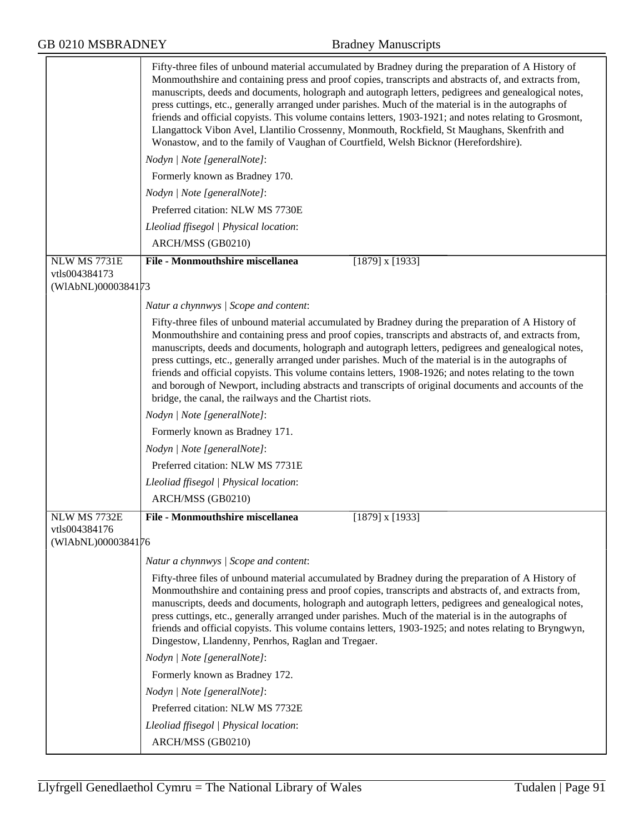|                               | Fifty-three files of unbound material accumulated by Bradney during the preparation of A History of<br>Monmouthshire and containing press and proof copies, transcripts and abstracts of, and extracts from,<br>manuscripts, deeds and documents, holograph and autograph letters, pedigrees and genealogical notes,<br>press cuttings, etc., generally arranged under parishes. Much of the material is in the autographs of<br>friends and official copyists. This volume contains letters, 1903-1921; and notes relating to Grosmont,<br>Llangattock Vibon Avel, Llantilio Crossenny, Monmouth, Rockfield, St Maughans, Skenfrith and<br>Wonastow, and to the family of Vaughan of Courtfield, Welsh Bicknor (Herefordshire). |
|-------------------------------|----------------------------------------------------------------------------------------------------------------------------------------------------------------------------------------------------------------------------------------------------------------------------------------------------------------------------------------------------------------------------------------------------------------------------------------------------------------------------------------------------------------------------------------------------------------------------------------------------------------------------------------------------------------------------------------------------------------------------------|
|                               | Nodyn   Note [generalNote]:                                                                                                                                                                                                                                                                                                                                                                                                                                                                                                                                                                                                                                                                                                      |
|                               | Formerly known as Bradney 170.                                                                                                                                                                                                                                                                                                                                                                                                                                                                                                                                                                                                                                                                                                   |
|                               | Nodyn   Note [generalNote]:                                                                                                                                                                                                                                                                                                                                                                                                                                                                                                                                                                                                                                                                                                      |
|                               | Preferred citation: NLW MS 7730E                                                                                                                                                                                                                                                                                                                                                                                                                                                                                                                                                                                                                                                                                                 |
|                               | Lleoliad ffisegol   Physical location:                                                                                                                                                                                                                                                                                                                                                                                                                                                                                                                                                                                                                                                                                           |
|                               | ARCH/MSS (GB0210)                                                                                                                                                                                                                                                                                                                                                                                                                                                                                                                                                                                                                                                                                                                |
| NLW MS 7731E<br>vtls004384173 | <b>File - Monmouthshire miscellanea</b><br>$[1879]$ x $[1933]$                                                                                                                                                                                                                                                                                                                                                                                                                                                                                                                                                                                                                                                                   |
| (WIAbNL)0000384173            |                                                                                                                                                                                                                                                                                                                                                                                                                                                                                                                                                                                                                                                                                                                                  |
|                               | Natur a chynnwys / Scope and content:                                                                                                                                                                                                                                                                                                                                                                                                                                                                                                                                                                                                                                                                                            |
|                               | Fifty-three files of unbound material accumulated by Bradney during the preparation of A History of<br>Monmouthshire and containing press and proof copies, transcripts and abstracts of, and extracts from,<br>manuscripts, deeds and documents, holograph and autograph letters, pedigrees and genealogical notes,<br>press cuttings, etc., generally arranged under parishes. Much of the material is in the autographs of<br>friends and official copyists. This volume contains letters, 1908-1926; and notes relating to the town<br>and borough of Newport, including abstracts and transcripts of original documents and accounts of the<br>bridge, the canal, the railways and the Chartist riots.                      |
|                               | Nodyn   Note [generalNote]:                                                                                                                                                                                                                                                                                                                                                                                                                                                                                                                                                                                                                                                                                                      |
|                               | Formerly known as Bradney 171.                                                                                                                                                                                                                                                                                                                                                                                                                                                                                                                                                                                                                                                                                                   |
|                               | Nodyn   Note [generalNote]:                                                                                                                                                                                                                                                                                                                                                                                                                                                                                                                                                                                                                                                                                                      |
|                               | Preferred citation: NLW MS 7731E                                                                                                                                                                                                                                                                                                                                                                                                                                                                                                                                                                                                                                                                                                 |
|                               | Lleoliad ffisegol   Physical location:                                                                                                                                                                                                                                                                                                                                                                                                                                                                                                                                                                                                                                                                                           |
|                               | ARCH/MSS (GB0210)                                                                                                                                                                                                                                                                                                                                                                                                                                                                                                                                                                                                                                                                                                                |
| NLW MS 7732E                  | <b>File - Monmouthshire miscellanea</b><br>$[1879]$ x $[1933]$                                                                                                                                                                                                                                                                                                                                                                                                                                                                                                                                                                                                                                                                   |
| vtls004384176                 |                                                                                                                                                                                                                                                                                                                                                                                                                                                                                                                                                                                                                                                                                                                                  |
| (WIAbNL)0000384176            |                                                                                                                                                                                                                                                                                                                                                                                                                                                                                                                                                                                                                                                                                                                                  |
|                               | Natur a chynnwys / Scope and content:                                                                                                                                                                                                                                                                                                                                                                                                                                                                                                                                                                                                                                                                                            |
|                               | Fifty-three files of unbound material accumulated by Bradney during the preparation of A History of<br>Monmouthshire and containing press and proof copies, transcripts and abstracts of, and extracts from,<br>manuscripts, deeds and documents, holograph and autograph letters, pedigrees and genealogical notes,<br>press cuttings, etc., generally arranged under parishes. Much of the material is in the autographs of<br>friends and official copyists. This volume contains letters, 1903-1925; and notes relating to Bryngwyn,<br>Dingestow, Llandenny, Penrhos, Raglan and Tregaer.                                                                                                                                   |
|                               | Nodyn   Note [generalNote]:                                                                                                                                                                                                                                                                                                                                                                                                                                                                                                                                                                                                                                                                                                      |
|                               | Formerly known as Bradney 172.                                                                                                                                                                                                                                                                                                                                                                                                                                                                                                                                                                                                                                                                                                   |
|                               | Nodyn   Note [generalNote]:                                                                                                                                                                                                                                                                                                                                                                                                                                                                                                                                                                                                                                                                                                      |
|                               | Preferred citation: NLW MS 7732E                                                                                                                                                                                                                                                                                                                                                                                                                                                                                                                                                                                                                                                                                                 |
|                               | Lleoliad ffisegol   Physical location:                                                                                                                                                                                                                                                                                                                                                                                                                                                                                                                                                                                                                                                                                           |
|                               | ARCH/MSS (GB0210)                                                                                                                                                                                                                                                                                                                                                                                                                                                                                                                                                                                                                                                                                                                |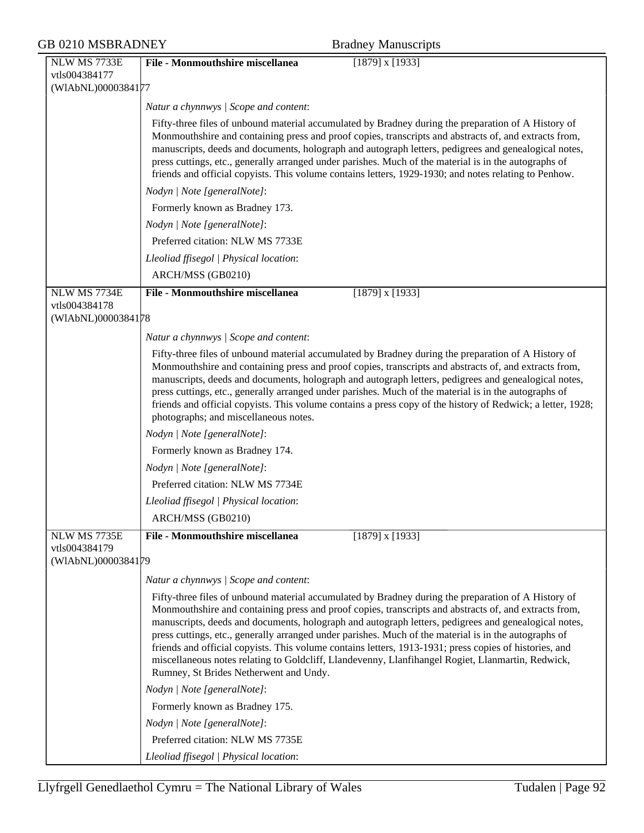| <b>GB 0210 MSBRADNEY</b>                            | <b>Bradney Manuscripts</b>                                                                                                                                                                                                                                                                                                                                                                                                                                                                                                                                                                                                                                                             |
|-----------------------------------------------------|----------------------------------------------------------------------------------------------------------------------------------------------------------------------------------------------------------------------------------------------------------------------------------------------------------------------------------------------------------------------------------------------------------------------------------------------------------------------------------------------------------------------------------------------------------------------------------------------------------------------------------------------------------------------------------------|
| NLW MS 7733E<br>vtls004384177<br>(WIAbNL)0000384177 | <b>File - Monmouthshire miscellanea</b><br>$[1879]$ x $[1933]$                                                                                                                                                                                                                                                                                                                                                                                                                                                                                                                                                                                                                         |
|                                                     | Natur a chynnwys / Scope and content:                                                                                                                                                                                                                                                                                                                                                                                                                                                                                                                                                                                                                                                  |
|                                                     | Fifty-three files of unbound material accumulated by Bradney during the preparation of A History of<br>Monmouthshire and containing press and proof copies, transcripts and abstracts of, and extracts from,<br>manuscripts, deeds and documents, holograph and autograph letters, pedigrees and genealogical notes,<br>press cuttings, etc., generally arranged under parishes. Much of the material is in the autographs of<br>friends and official copyists. This volume contains letters, 1929-1930; and notes relating to Penhow.                                                                                                                                                 |
|                                                     | Nodyn   Note [generalNote]:                                                                                                                                                                                                                                                                                                                                                                                                                                                                                                                                                                                                                                                            |
|                                                     | Formerly known as Bradney 173.                                                                                                                                                                                                                                                                                                                                                                                                                                                                                                                                                                                                                                                         |
|                                                     | Nodyn   Note [generalNote]:                                                                                                                                                                                                                                                                                                                                                                                                                                                                                                                                                                                                                                                            |
|                                                     | Preferred citation: NLW MS 7733E                                                                                                                                                                                                                                                                                                                                                                                                                                                                                                                                                                                                                                                       |
|                                                     | Lleoliad ffisegol   Physical location:                                                                                                                                                                                                                                                                                                                                                                                                                                                                                                                                                                                                                                                 |
|                                                     | ARCH/MSS (GB0210)                                                                                                                                                                                                                                                                                                                                                                                                                                                                                                                                                                                                                                                                      |
| NLW MS 7734E                                        | <b>File - Monmouthshire miscellanea</b><br>$[1879]$ x $[1933]$                                                                                                                                                                                                                                                                                                                                                                                                                                                                                                                                                                                                                         |
| vtls004384178<br>(WIAbNL)0000384178                 |                                                                                                                                                                                                                                                                                                                                                                                                                                                                                                                                                                                                                                                                                        |
|                                                     | Natur a chynnwys / Scope and content:                                                                                                                                                                                                                                                                                                                                                                                                                                                                                                                                                                                                                                                  |
|                                                     | Fifty-three files of unbound material accumulated by Bradney during the preparation of A History of<br>Monmouthshire and containing press and proof copies, transcripts and abstracts of, and extracts from,<br>manuscripts, deeds and documents, holograph and autograph letters, pedigrees and genealogical notes,<br>press cuttings, etc., generally arranged under parishes. Much of the material is in the autographs of<br>friends and official copyists. This volume contains a press copy of the history of Redwick; a letter, 1928;<br>photographs; and miscellaneous notes.                                                                                                  |
|                                                     | Nodyn   Note [generalNote]:                                                                                                                                                                                                                                                                                                                                                                                                                                                                                                                                                                                                                                                            |
|                                                     | Formerly known as Bradney 174.                                                                                                                                                                                                                                                                                                                                                                                                                                                                                                                                                                                                                                                         |
|                                                     | Nodyn   Note [generalNote]:                                                                                                                                                                                                                                                                                                                                                                                                                                                                                                                                                                                                                                                            |
|                                                     | Preferred citation: NLW MS 7734E                                                                                                                                                                                                                                                                                                                                                                                                                                                                                                                                                                                                                                                       |
|                                                     | Lleoliad ffisegol   Physical location:                                                                                                                                                                                                                                                                                                                                                                                                                                                                                                                                                                                                                                                 |
|                                                     | ARCH/MSS (GB0210)                                                                                                                                                                                                                                                                                                                                                                                                                                                                                                                                                                                                                                                                      |
| NLW MS 7735E<br>vtls004384179<br>(WIAbNL)0000384179 | <b>File - Monmouthshire miscellanea</b><br>$[1879]$ x $[1933]$                                                                                                                                                                                                                                                                                                                                                                                                                                                                                                                                                                                                                         |
|                                                     | Natur a chynnwys / Scope and content:                                                                                                                                                                                                                                                                                                                                                                                                                                                                                                                                                                                                                                                  |
|                                                     | Fifty-three files of unbound material accumulated by Bradney during the preparation of A History of<br>Monmouthshire and containing press and proof copies, transcripts and abstracts of, and extracts from,<br>manuscripts, deeds and documents, holograph and autograph letters, pedigrees and genealogical notes,<br>press cuttings, etc., generally arranged under parishes. Much of the material is in the autographs of<br>friends and official copyists. This volume contains letters, 1913-1931; press copies of histories, and<br>miscellaneous notes relating to Goldcliff, Llandevenny, Llanfihangel Rogiet, Llanmartin, Redwick,<br>Rumney, St Brides Netherwent and Undy. |
|                                                     | Nodyn   Note [generalNote]:                                                                                                                                                                                                                                                                                                                                                                                                                                                                                                                                                                                                                                                            |
|                                                     | Formerly known as Bradney 175.                                                                                                                                                                                                                                                                                                                                                                                                                                                                                                                                                                                                                                                         |
|                                                     | Nodyn   Note [generalNote]:                                                                                                                                                                                                                                                                                                                                                                                                                                                                                                                                                                                                                                                            |
|                                                     | Preferred citation: NLW MS 7735E                                                                                                                                                                                                                                                                                                                                                                                                                                                                                                                                                                                                                                                       |
|                                                     | Lleoliad ffisegol   Physical location:                                                                                                                                                                                                                                                                                                                                                                                                                                                                                                                                                                                                                                                 |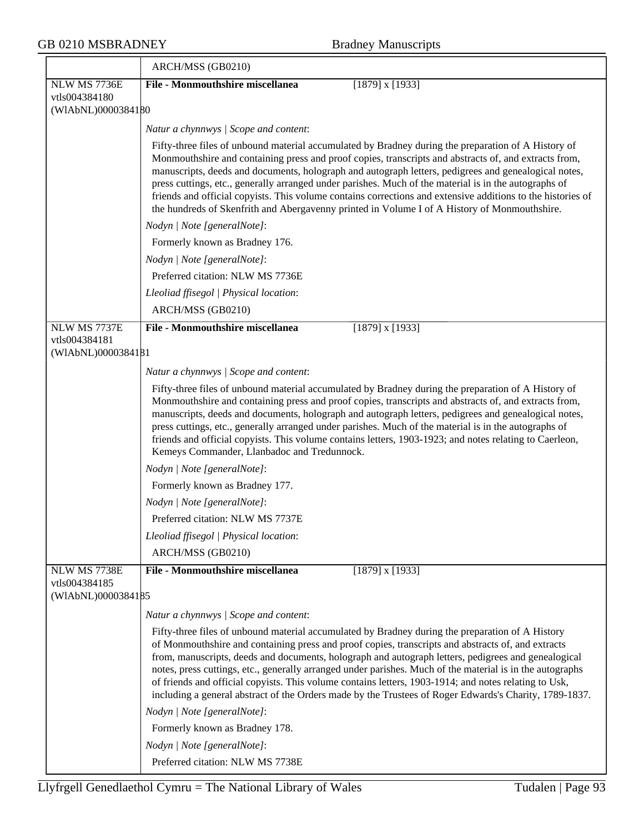|                                                     | ARCH/MSS (GB0210)                                                                                                                                                                                                                                                                                                                                                                                                                                                                                                                                                                                                                             |
|-----------------------------------------------------|-----------------------------------------------------------------------------------------------------------------------------------------------------------------------------------------------------------------------------------------------------------------------------------------------------------------------------------------------------------------------------------------------------------------------------------------------------------------------------------------------------------------------------------------------------------------------------------------------------------------------------------------------|
| NLW MS 7736E                                        | <b>File - Monmouthshire miscellanea</b><br>$[1879]$ x $[1933]$                                                                                                                                                                                                                                                                                                                                                                                                                                                                                                                                                                                |
| vtls004384180<br>(WIAbNL)0000384180                 |                                                                                                                                                                                                                                                                                                                                                                                                                                                                                                                                                                                                                                               |
|                                                     |                                                                                                                                                                                                                                                                                                                                                                                                                                                                                                                                                                                                                                               |
|                                                     | Natur a chynnwys / Scope and content:                                                                                                                                                                                                                                                                                                                                                                                                                                                                                                                                                                                                         |
|                                                     | Fifty-three files of unbound material accumulated by Bradney during the preparation of A History of<br>Monmouthshire and containing press and proof copies, transcripts and abstracts of, and extracts from,<br>manuscripts, deeds and documents, holograph and autograph letters, pedigrees and genealogical notes,<br>press cuttings, etc., generally arranged under parishes. Much of the material is in the autographs of<br>friends and official copyists. This volume contains corrections and extensive additions to the histories of<br>the hundreds of Skenfrith and Abergavenny printed in Volume I of A History of Monmouthshire.  |
|                                                     | Nodyn   Note [generalNote]:                                                                                                                                                                                                                                                                                                                                                                                                                                                                                                                                                                                                                   |
|                                                     | Formerly known as Bradney 176.                                                                                                                                                                                                                                                                                                                                                                                                                                                                                                                                                                                                                |
|                                                     | Nodyn   Note [generalNote]:                                                                                                                                                                                                                                                                                                                                                                                                                                                                                                                                                                                                                   |
|                                                     | Preferred citation: NLW MS 7736E                                                                                                                                                                                                                                                                                                                                                                                                                                                                                                                                                                                                              |
|                                                     | Lleoliad ffisegol   Physical location:                                                                                                                                                                                                                                                                                                                                                                                                                                                                                                                                                                                                        |
|                                                     | ARCH/MSS (GB0210)                                                                                                                                                                                                                                                                                                                                                                                                                                                                                                                                                                                                                             |
| NLW MS 7737E                                        | <b>File - Monmouthshire miscellanea</b><br>$[1879]$ x $[1933]$                                                                                                                                                                                                                                                                                                                                                                                                                                                                                                                                                                                |
| vtls004384181<br>(WIAbNL)0000384181                 |                                                                                                                                                                                                                                                                                                                                                                                                                                                                                                                                                                                                                                               |
|                                                     | Natur a chynnwys / Scope and content:                                                                                                                                                                                                                                                                                                                                                                                                                                                                                                                                                                                                         |
|                                                     | Fifty-three files of unbound material accumulated by Bradney during the preparation of A History of<br>Monmouthshire and containing press and proof copies, transcripts and abstracts of, and extracts from,<br>manuscripts, deeds and documents, holograph and autograph letters, pedigrees and genealogical notes,<br>press cuttings, etc., generally arranged under parishes. Much of the material is in the autographs of<br>friends and official copyists. This volume contains letters, 1903-1923; and notes relating to Caerleon,<br>Kemeys Commander, Llanbadoc and Tredunnock.                                                       |
|                                                     | Nodyn   Note [generalNote]:                                                                                                                                                                                                                                                                                                                                                                                                                                                                                                                                                                                                                   |
|                                                     | Formerly known as Bradney 177.                                                                                                                                                                                                                                                                                                                                                                                                                                                                                                                                                                                                                |
|                                                     | Nodyn   Note [generalNote]:                                                                                                                                                                                                                                                                                                                                                                                                                                                                                                                                                                                                                   |
|                                                     | Preferred citation: NLW MS 7737E                                                                                                                                                                                                                                                                                                                                                                                                                                                                                                                                                                                                              |
|                                                     | Lleoliad ffisegol   Physical location:                                                                                                                                                                                                                                                                                                                                                                                                                                                                                                                                                                                                        |
|                                                     | ARCH/MSS (GB0210)                                                                                                                                                                                                                                                                                                                                                                                                                                                                                                                                                                                                                             |
| NLW MS 7738E<br>vtls004384185<br>(WIAbNL)0000384185 | <b>File - Monmouthshire miscellanea</b><br>$[1879]$ x $[1933]$                                                                                                                                                                                                                                                                                                                                                                                                                                                                                                                                                                                |
|                                                     | Natur a chynnwys / Scope and content:                                                                                                                                                                                                                                                                                                                                                                                                                                                                                                                                                                                                         |
|                                                     | Fifty-three files of unbound material accumulated by Bradney during the preparation of A History<br>of Monmouthshire and containing press and proof copies, transcripts and abstracts of, and extracts<br>from, manuscripts, deeds and documents, holograph and autograph letters, pedigrees and genealogical<br>notes, press cuttings, etc., generally arranged under parishes. Much of the material is in the autographs<br>of friends and official copyists. This volume contains letters, 1903-1914; and notes relating to Usk,<br>including a general abstract of the Orders made by the Trustees of Roger Edwards's Charity, 1789-1837. |
|                                                     | Nodyn   Note [generalNote]:                                                                                                                                                                                                                                                                                                                                                                                                                                                                                                                                                                                                                   |
|                                                     | Formerly known as Bradney 178.                                                                                                                                                                                                                                                                                                                                                                                                                                                                                                                                                                                                                |
|                                                     | Nodyn   Note [generalNote]:                                                                                                                                                                                                                                                                                                                                                                                                                                                                                                                                                                                                                   |
|                                                     | Preferred citation: NLW MS 7738E                                                                                                                                                                                                                                                                                                                                                                                                                                                                                                                                                                                                              |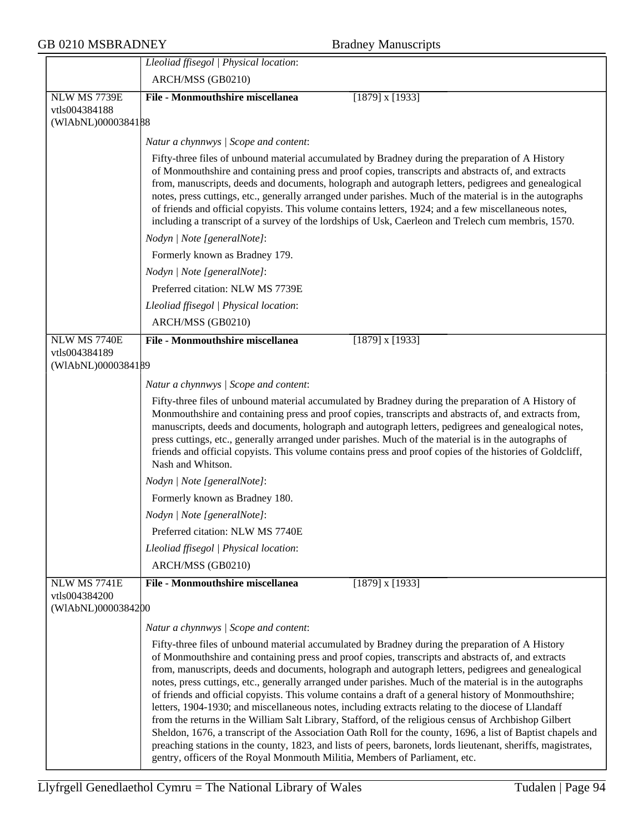## GB 0210 MSBRADNEY Bradney Manuscripts

|                                     | Lleoliad ffisegol   Physical location:                                                                                                                                                                                                                                                                                                                                                                                                                                                                                                                                                                                                                                                                                                                                                                                                                                                                                                                                                                                                                               |
|-------------------------------------|----------------------------------------------------------------------------------------------------------------------------------------------------------------------------------------------------------------------------------------------------------------------------------------------------------------------------------------------------------------------------------------------------------------------------------------------------------------------------------------------------------------------------------------------------------------------------------------------------------------------------------------------------------------------------------------------------------------------------------------------------------------------------------------------------------------------------------------------------------------------------------------------------------------------------------------------------------------------------------------------------------------------------------------------------------------------|
|                                     | ARCH/MSS (GB0210)                                                                                                                                                                                                                                                                                                                                                                                                                                                                                                                                                                                                                                                                                                                                                                                                                                                                                                                                                                                                                                                    |
| NLW MS 7739E                        | File - Monmouthshire miscellanea<br>$[1879]$ x $[1933]$                                                                                                                                                                                                                                                                                                                                                                                                                                                                                                                                                                                                                                                                                                                                                                                                                                                                                                                                                                                                              |
| vtls004384188                       |                                                                                                                                                                                                                                                                                                                                                                                                                                                                                                                                                                                                                                                                                                                                                                                                                                                                                                                                                                                                                                                                      |
| (WIAbNL)0000384188                  |                                                                                                                                                                                                                                                                                                                                                                                                                                                                                                                                                                                                                                                                                                                                                                                                                                                                                                                                                                                                                                                                      |
|                                     | Natur a chynnwys / Scope and content:                                                                                                                                                                                                                                                                                                                                                                                                                                                                                                                                                                                                                                                                                                                                                                                                                                                                                                                                                                                                                                |
|                                     | Fifty-three files of unbound material accumulated by Bradney during the preparation of A History<br>of Monmouthshire and containing press and proof copies, transcripts and abstracts of, and extracts<br>from, manuscripts, deeds and documents, holograph and autograph letters, pedigrees and genealogical<br>notes, press cuttings, etc., generally arranged under parishes. Much of the material is in the autographs<br>of friends and official copyists. This volume contains letters, 1924; and a few miscellaneous notes,<br>including a transcript of a survey of the lordships of Usk, Caerleon and Trelech cum membris, 1570.                                                                                                                                                                                                                                                                                                                                                                                                                            |
|                                     | Nodyn   Note [generalNote]:                                                                                                                                                                                                                                                                                                                                                                                                                                                                                                                                                                                                                                                                                                                                                                                                                                                                                                                                                                                                                                          |
|                                     | Formerly known as Bradney 179.                                                                                                                                                                                                                                                                                                                                                                                                                                                                                                                                                                                                                                                                                                                                                                                                                                                                                                                                                                                                                                       |
|                                     | Nodyn   Note [generalNote]:                                                                                                                                                                                                                                                                                                                                                                                                                                                                                                                                                                                                                                                                                                                                                                                                                                                                                                                                                                                                                                          |
|                                     | Preferred citation: NLW MS 7739E                                                                                                                                                                                                                                                                                                                                                                                                                                                                                                                                                                                                                                                                                                                                                                                                                                                                                                                                                                                                                                     |
|                                     | Lleoliad ffisegol   Physical location:                                                                                                                                                                                                                                                                                                                                                                                                                                                                                                                                                                                                                                                                                                                                                                                                                                                                                                                                                                                                                               |
|                                     | ARCH/MSS (GB0210)                                                                                                                                                                                                                                                                                                                                                                                                                                                                                                                                                                                                                                                                                                                                                                                                                                                                                                                                                                                                                                                    |
| <b>NLW MS 7740E</b>                 | <b>File - Monmouthshire miscellanea</b><br>$[1879]$ x $[1933]$                                                                                                                                                                                                                                                                                                                                                                                                                                                                                                                                                                                                                                                                                                                                                                                                                                                                                                                                                                                                       |
| vtls004384189<br>(WIAbNL)0000384189 |                                                                                                                                                                                                                                                                                                                                                                                                                                                                                                                                                                                                                                                                                                                                                                                                                                                                                                                                                                                                                                                                      |
|                                     |                                                                                                                                                                                                                                                                                                                                                                                                                                                                                                                                                                                                                                                                                                                                                                                                                                                                                                                                                                                                                                                                      |
|                                     | Natur a chynnwys / Scope and content:                                                                                                                                                                                                                                                                                                                                                                                                                                                                                                                                                                                                                                                                                                                                                                                                                                                                                                                                                                                                                                |
|                                     | Fifty-three files of unbound material accumulated by Bradney during the preparation of A History of<br>Monmouthshire and containing press and proof copies, transcripts and abstracts of, and extracts from,<br>manuscripts, deeds and documents, holograph and autograph letters, pedigrees and genealogical notes,<br>press cuttings, etc., generally arranged under parishes. Much of the material is in the autographs of<br>friends and official copyists. This volume contains press and proof copies of the histories of Goldcliff,<br>Nash and Whitson.                                                                                                                                                                                                                                                                                                                                                                                                                                                                                                      |
|                                     | Nodyn   Note [generalNote]:                                                                                                                                                                                                                                                                                                                                                                                                                                                                                                                                                                                                                                                                                                                                                                                                                                                                                                                                                                                                                                          |
|                                     | Formerly known as Bradney 180.                                                                                                                                                                                                                                                                                                                                                                                                                                                                                                                                                                                                                                                                                                                                                                                                                                                                                                                                                                                                                                       |
|                                     | Nodyn   Note [generalNote]:                                                                                                                                                                                                                                                                                                                                                                                                                                                                                                                                                                                                                                                                                                                                                                                                                                                                                                                                                                                                                                          |
|                                     | Preferred citation: NLW MS 7740E                                                                                                                                                                                                                                                                                                                                                                                                                                                                                                                                                                                                                                                                                                                                                                                                                                                                                                                                                                                                                                     |
|                                     | Lleoliad ffisegol   Physical location:                                                                                                                                                                                                                                                                                                                                                                                                                                                                                                                                                                                                                                                                                                                                                                                                                                                                                                                                                                                                                               |
|                                     | ARCH/MSS (GB0210)                                                                                                                                                                                                                                                                                                                                                                                                                                                                                                                                                                                                                                                                                                                                                                                                                                                                                                                                                                                                                                                    |
| <b>NLW MS 7741E</b>                 | File - Monmouthshire miscellanea<br>$[1879]$ x $[1933]$                                                                                                                                                                                                                                                                                                                                                                                                                                                                                                                                                                                                                                                                                                                                                                                                                                                                                                                                                                                                              |
| vtls004384200<br>(WIAbNL)0000384200 |                                                                                                                                                                                                                                                                                                                                                                                                                                                                                                                                                                                                                                                                                                                                                                                                                                                                                                                                                                                                                                                                      |
|                                     | Natur a chynnwys / Scope and content:                                                                                                                                                                                                                                                                                                                                                                                                                                                                                                                                                                                                                                                                                                                                                                                                                                                                                                                                                                                                                                |
|                                     | Fifty-three files of unbound material accumulated by Bradney during the preparation of A History<br>of Monmouthshire and containing press and proof copies, transcripts and abstracts of, and extracts<br>from, manuscripts, deeds and documents, holograph and autograph letters, pedigrees and genealogical<br>notes, press cuttings, etc., generally arranged under parishes. Much of the material is in the autographs<br>of friends and official copyists. This volume contains a draft of a general history of Monmouthshire;<br>letters, 1904-1930; and miscellaneous notes, including extracts relating to the diocese of Llandaff<br>from the returns in the William Salt Library, Stafford, of the religious census of Archbishop Gilbert<br>Sheldon, 1676, a transcript of the Association Oath Roll for the county, 1696, a list of Baptist chapels and<br>preaching stations in the county, 1823, and lists of peers, baronets, lords lieutenant, sheriffs, magistrates,<br>gentry, officers of the Royal Monmouth Militia, Members of Parliament, etc. |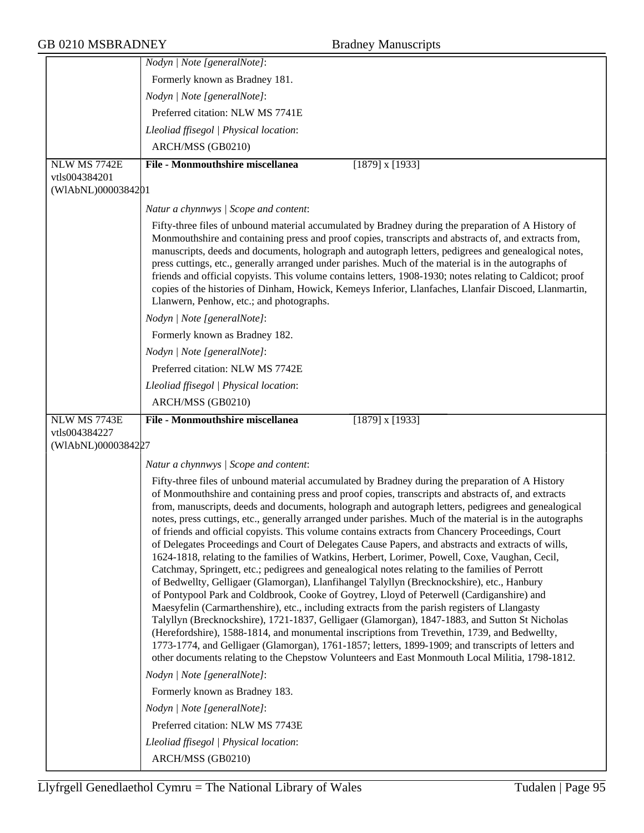|                               | Nodyn   Note [generalNote]:                                                                                                                                                                                                                                                                                                                                                                                                                                                                                                                                                                                                                                                                                                                                                                                                                                                                                                                                                                                                                                                                                                                                                                                                                                                                                                                                                                                                                                                                                                                                                                 |
|-------------------------------|---------------------------------------------------------------------------------------------------------------------------------------------------------------------------------------------------------------------------------------------------------------------------------------------------------------------------------------------------------------------------------------------------------------------------------------------------------------------------------------------------------------------------------------------------------------------------------------------------------------------------------------------------------------------------------------------------------------------------------------------------------------------------------------------------------------------------------------------------------------------------------------------------------------------------------------------------------------------------------------------------------------------------------------------------------------------------------------------------------------------------------------------------------------------------------------------------------------------------------------------------------------------------------------------------------------------------------------------------------------------------------------------------------------------------------------------------------------------------------------------------------------------------------------------------------------------------------------------|
|                               | Formerly known as Bradney 181.                                                                                                                                                                                                                                                                                                                                                                                                                                                                                                                                                                                                                                                                                                                                                                                                                                                                                                                                                                                                                                                                                                                                                                                                                                                                                                                                                                                                                                                                                                                                                              |
|                               | Nodyn   Note [generalNote]:                                                                                                                                                                                                                                                                                                                                                                                                                                                                                                                                                                                                                                                                                                                                                                                                                                                                                                                                                                                                                                                                                                                                                                                                                                                                                                                                                                                                                                                                                                                                                                 |
|                               | Preferred citation: NLW MS 7741E                                                                                                                                                                                                                                                                                                                                                                                                                                                                                                                                                                                                                                                                                                                                                                                                                                                                                                                                                                                                                                                                                                                                                                                                                                                                                                                                                                                                                                                                                                                                                            |
|                               | Lleoliad ffisegol   Physical location:                                                                                                                                                                                                                                                                                                                                                                                                                                                                                                                                                                                                                                                                                                                                                                                                                                                                                                                                                                                                                                                                                                                                                                                                                                                                                                                                                                                                                                                                                                                                                      |
|                               | ARCH/MSS (GB0210)                                                                                                                                                                                                                                                                                                                                                                                                                                                                                                                                                                                                                                                                                                                                                                                                                                                                                                                                                                                                                                                                                                                                                                                                                                                                                                                                                                                                                                                                                                                                                                           |
| NLW MS 7742E                  | <b>File - Monmouthshire miscellanea</b><br>$[1879]$ x $[1933]$                                                                                                                                                                                                                                                                                                                                                                                                                                                                                                                                                                                                                                                                                                                                                                                                                                                                                                                                                                                                                                                                                                                                                                                                                                                                                                                                                                                                                                                                                                                              |
| vtls004384201                 |                                                                                                                                                                                                                                                                                                                                                                                                                                                                                                                                                                                                                                                                                                                                                                                                                                                                                                                                                                                                                                                                                                                                                                                                                                                                                                                                                                                                                                                                                                                                                                                             |
| (WIAbNL)0000384201            |                                                                                                                                                                                                                                                                                                                                                                                                                                                                                                                                                                                                                                                                                                                                                                                                                                                                                                                                                                                                                                                                                                                                                                                                                                                                                                                                                                                                                                                                                                                                                                                             |
|                               | Natur a chynnwys / Scope and content:                                                                                                                                                                                                                                                                                                                                                                                                                                                                                                                                                                                                                                                                                                                                                                                                                                                                                                                                                                                                                                                                                                                                                                                                                                                                                                                                                                                                                                                                                                                                                       |
|                               | Fifty-three files of unbound material accumulated by Bradney during the preparation of A History of<br>Monmouthshire and containing press and proof copies, transcripts and abstracts of, and extracts from,<br>manuscripts, deeds and documents, holograph and autograph letters, pedigrees and genealogical notes,<br>press cuttings, etc., generally arranged under parishes. Much of the material is in the autographs of<br>friends and official copyists. This volume contains letters, 1908-1930; notes relating to Caldicot; proof<br>copies of the histories of Dinham, Howick, Kemeys Inferior, Llanfaches, Llanfair Discoed, Llanmartin,<br>Llanwern, Penhow, etc.; and photographs.                                                                                                                                                                                                                                                                                                                                                                                                                                                                                                                                                                                                                                                                                                                                                                                                                                                                                             |
|                               | Nodyn   Note [generalNote]:                                                                                                                                                                                                                                                                                                                                                                                                                                                                                                                                                                                                                                                                                                                                                                                                                                                                                                                                                                                                                                                                                                                                                                                                                                                                                                                                                                                                                                                                                                                                                                 |
|                               | Formerly known as Bradney 182.                                                                                                                                                                                                                                                                                                                                                                                                                                                                                                                                                                                                                                                                                                                                                                                                                                                                                                                                                                                                                                                                                                                                                                                                                                                                                                                                                                                                                                                                                                                                                              |
|                               | Nodyn   Note [generalNote]:                                                                                                                                                                                                                                                                                                                                                                                                                                                                                                                                                                                                                                                                                                                                                                                                                                                                                                                                                                                                                                                                                                                                                                                                                                                                                                                                                                                                                                                                                                                                                                 |
|                               | Preferred citation: NLW MS 7742E                                                                                                                                                                                                                                                                                                                                                                                                                                                                                                                                                                                                                                                                                                                                                                                                                                                                                                                                                                                                                                                                                                                                                                                                                                                                                                                                                                                                                                                                                                                                                            |
|                               | Lleoliad ffisegol   Physical location:                                                                                                                                                                                                                                                                                                                                                                                                                                                                                                                                                                                                                                                                                                                                                                                                                                                                                                                                                                                                                                                                                                                                                                                                                                                                                                                                                                                                                                                                                                                                                      |
|                               | ARCH/MSS (GB0210)                                                                                                                                                                                                                                                                                                                                                                                                                                                                                                                                                                                                                                                                                                                                                                                                                                                                                                                                                                                                                                                                                                                                                                                                                                                                                                                                                                                                                                                                                                                                                                           |
|                               |                                                                                                                                                                                                                                                                                                                                                                                                                                                                                                                                                                                                                                                                                                                                                                                                                                                                                                                                                                                                                                                                                                                                                                                                                                                                                                                                                                                                                                                                                                                                                                                             |
| NLW MS 7743E<br>vtls004384227 | File - Monmouthshire miscellanea<br>$[1879]$ x $[1933]$                                                                                                                                                                                                                                                                                                                                                                                                                                                                                                                                                                                                                                                                                                                                                                                                                                                                                                                                                                                                                                                                                                                                                                                                                                                                                                                                                                                                                                                                                                                                     |
| (WIAbNL)0000384227            |                                                                                                                                                                                                                                                                                                                                                                                                                                                                                                                                                                                                                                                                                                                                                                                                                                                                                                                                                                                                                                                                                                                                                                                                                                                                                                                                                                                                                                                                                                                                                                                             |
|                               | Natur a chynnwys / Scope and content:<br>Fifty-three files of unbound material accumulated by Bradney during the preparation of A History<br>of Monmouthshire and containing press and proof copies, transcripts and abstracts of, and extracts<br>from, manuscripts, deeds and documents, holograph and autograph letters, pedigrees and genealogical<br>notes, press cuttings, etc., generally arranged under parishes. Much of the material is in the autographs<br>of friends and official copyists. This volume contains extracts from Chancery Proceedings, Court<br>of Delegates Proceedings and Court of Delegates Cause Papers, and abstracts and extracts of wills,<br>1624-1818, relating to the families of Watkins, Herbert, Lorimer, Powell, Coxe, Vaughan, Cecil,<br>Catchmay, Springett, etc.; pedigrees and genealogical notes relating to the families of Perrott<br>of Bedwellty, Gelligaer (Glamorgan), Llanfihangel Talyllyn (Brecknockshire), etc., Hanbury<br>of Pontypool Park and Coldbrook, Cooke of Goytrey, Lloyd of Peterwell (Cardiganshire) and<br>Maesyfelin (Carmarthenshire), etc., including extracts from the parish registers of Llangasty<br>Talyllyn (Brecknockshire), 1721-1837, Gelligaer (Glamorgan), 1847-1883, and Sutton St Nicholas<br>(Herefordshire), 1588-1814, and monumental inscriptions from Trevethin, 1739, and Bedwellty,<br>1773-1774, and Gelligaer (Glamorgan), 1761-1857; letters, 1899-1909; and transcripts of letters and<br>other documents relating to the Chepstow Volunteers and East Monmouth Local Militia, 1798-1812. |
|                               | Nodyn   Note [generalNote]:                                                                                                                                                                                                                                                                                                                                                                                                                                                                                                                                                                                                                                                                                                                                                                                                                                                                                                                                                                                                                                                                                                                                                                                                                                                                                                                                                                                                                                                                                                                                                                 |
|                               | Formerly known as Bradney 183.                                                                                                                                                                                                                                                                                                                                                                                                                                                                                                                                                                                                                                                                                                                                                                                                                                                                                                                                                                                                                                                                                                                                                                                                                                                                                                                                                                                                                                                                                                                                                              |
|                               | Nodyn   Note [generalNote]:                                                                                                                                                                                                                                                                                                                                                                                                                                                                                                                                                                                                                                                                                                                                                                                                                                                                                                                                                                                                                                                                                                                                                                                                                                                                                                                                                                                                                                                                                                                                                                 |
|                               | Preferred citation: NLW MS 7743E                                                                                                                                                                                                                                                                                                                                                                                                                                                                                                                                                                                                                                                                                                                                                                                                                                                                                                                                                                                                                                                                                                                                                                                                                                                                                                                                                                                                                                                                                                                                                            |
|                               | Lleoliad ffisegol   Physical location:<br>ARCH/MSS (GB0210)                                                                                                                                                                                                                                                                                                                                                                                                                                                                                                                                                                                                                                                                                                                                                                                                                                                                                                                                                                                                                                                                                                                                                                                                                                                                                                                                                                                                                                                                                                                                 |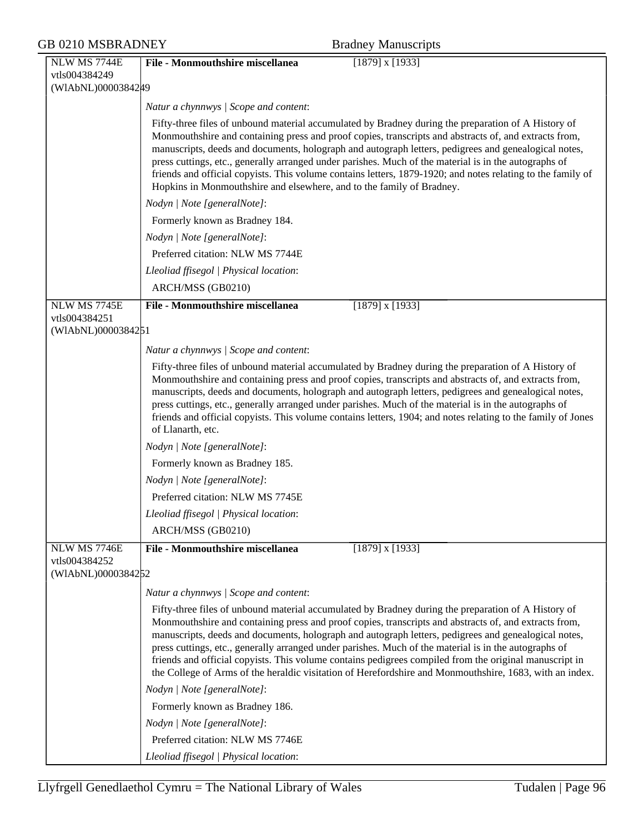| <b>GB 0210 MSBRADNEY</b> |                     | <b>Bradney Manuscripts</b>                                                                                                                                                                                        |  |
|--------------------------|---------------------|-------------------------------------------------------------------------------------------------------------------------------------------------------------------------------------------------------------------|--|
|                          | NLW MS 7744E        | <b>File - Monmouthshire miscellanea</b><br>$[1879]$ x $[1933]$                                                                                                                                                    |  |
|                          | vtls004384249       |                                                                                                                                                                                                                   |  |
|                          | (WIAbNL)0000384249  |                                                                                                                                                                                                                   |  |
|                          |                     | Natur a chynnwys / Scope and content:                                                                                                                                                                             |  |
|                          |                     | Fifty-three files of unbound material accumulated by Bradney during the preparation of A History of                                                                                                               |  |
|                          |                     | Monmouthshire and containing press and proof copies, transcripts and abstracts of, and extracts from,                                                                                                             |  |
|                          |                     | manuscripts, deeds and documents, holograph and autograph letters, pedigrees and genealogical notes,<br>press cuttings, etc., generally arranged under parishes. Much of the material is in the autographs of     |  |
|                          |                     | friends and official copyists. This volume contains letters, 1879-1920; and notes relating to the family of                                                                                                       |  |
|                          |                     | Hopkins in Monmouthshire and elsewhere, and to the family of Bradney.                                                                                                                                             |  |
|                          |                     | Nodyn   Note [generalNote]:                                                                                                                                                                                       |  |
|                          |                     | Formerly known as Bradney 184.                                                                                                                                                                                    |  |
|                          |                     | Nodyn   Note [generalNote]:                                                                                                                                                                                       |  |
|                          |                     | Preferred citation: NLW MS 7744E                                                                                                                                                                                  |  |
|                          |                     | Lleoliad ffisegol   Physical location:                                                                                                                                                                            |  |
|                          |                     | ARCH/MSS (GB0210)                                                                                                                                                                                                 |  |
|                          | <b>NLW MS 7745E</b> | <b>File - Monmouthshire miscellanea</b><br>$[1879]$ x $[1933]$                                                                                                                                                    |  |
|                          | vtls004384251       |                                                                                                                                                                                                                   |  |
|                          | (WIAbNL)0000384251  |                                                                                                                                                                                                                   |  |
|                          |                     | Natur a chynnwys / Scope and content:                                                                                                                                                                             |  |
|                          |                     | Fifty-three files of unbound material accumulated by Bradney during the preparation of A History of                                                                                                               |  |
|                          |                     | Monmouthshire and containing press and proof copies, transcripts and abstracts of, and extracts from,                                                                                                             |  |
|                          |                     | manuscripts, deeds and documents, holograph and autograph letters, pedigrees and genealogical notes,<br>press cuttings, etc., generally arranged under parishes. Much of the material is in the autographs of     |  |
|                          |                     | friends and official copyists. This volume contains letters, 1904; and notes relating to the family of Jones                                                                                                      |  |
|                          |                     | of Llanarth, etc.                                                                                                                                                                                                 |  |
|                          |                     | Nodyn   Note [generalNote]:                                                                                                                                                                                       |  |
|                          |                     | Formerly known as Bradney 185.                                                                                                                                                                                    |  |
|                          |                     | Nodyn   Note [generalNote]:                                                                                                                                                                                       |  |
|                          |                     | Preferred citation: NLW MS 7745E                                                                                                                                                                                  |  |
|                          |                     | Lleoliad ffisegol   Physical location:                                                                                                                                                                            |  |
|                          |                     | ARCH/MSS (GB0210)                                                                                                                                                                                                 |  |
|                          | <b>NLW MS 7746E</b> | <b>File - Monmouthshire miscellanea</b><br>$[1879]$ x $[1933]$                                                                                                                                                    |  |
|                          | vtls004384252       |                                                                                                                                                                                                                   |  |
|                          | (WIAbNL)0000384252  |                                                                                                                                                                                                                   |  |
|                          |                     | Natur a chynnwys   Scope and content:                                                                                                                                                                             |  |
|                          |                     | Fifty-three files of unbound material accumulated by Bradney during the preparation of A History of                                                                                                               |  |
|                          |                     | Monmouthshire and containing press and proof copies, transcripts and abstracts of, and extracts from,<br>manuscripts, deeds and documents, holograph and autograph letters, pedigrees and genealogical notes,     |  |
|                          |                     | press cuttings, etc., generally arranged under parishes. Much of the material is in the autographs of                                                                                                             |  |
|                          |                     | friends and official copyists. This volume contains pedigrees compiled from the original manuscript in<br>the College of Arms of the heraldic visitation of Herefordshire and Monmouthshire, 1683, with an index. |  |
|                          |                     | Nodyn   Note [generalNote]:                                                                                                                                                                                       |  |
|                          |                     | Formerly known as Bradney 186.                                                                                                                                                                                    |  |
|                          |                     | Nodyn   Note [generalNote]:                                                                                                                                                                                       |  |
|                          |                     | Preferred citation: NLW MS 7746E                                                                                                                                                                                  |  |
|                          |                     | Lleoliad ffisegol   Physical location:                                                                                                                                                                            |  |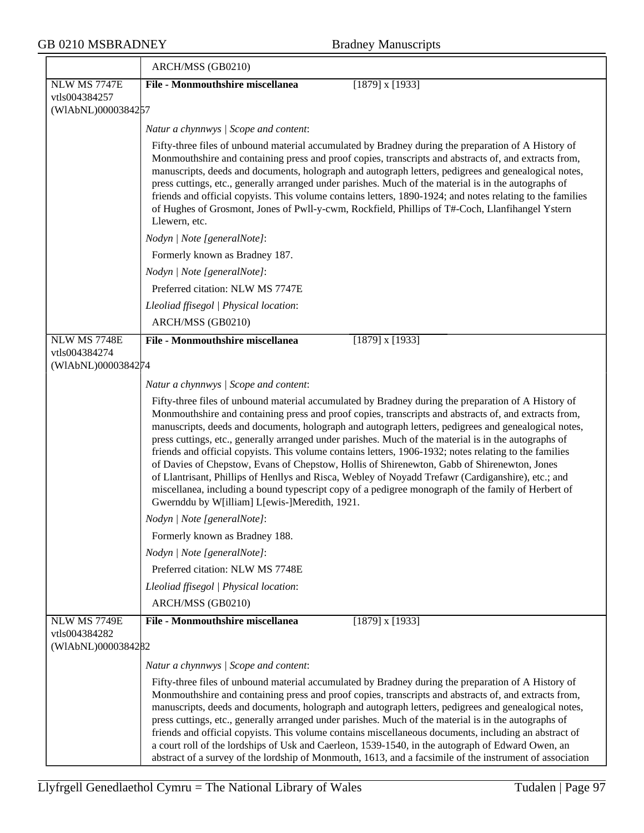|                                     | ARCH/MSS (GB0210)                                                                                                                                                                                                                                                                                                                                                                                                                                                                                                                                                                                                                                                                                                                                                                                                                                                                                   |
|-------------------------------------|-----------------------------------------------------------------------------------------------------------------------------------------------------------------------------------------------------------------------------------------------------------------------------------------------------------------------------------------------------------------------------------------------------------------------------------------------------------------------------------------------------------------------------------------------------------------------------------------------------------------------------------------------------------------------------------------------------------------------------------------------------------------------------------------------------------------------------------------------------------------------------------------------------|
| <b>NLW MS 7747E</b>                 | <b>File - Monmouthshire miscellanea</b><br>$[1879]$ x $[1933]$                                                                                                                                                                                                                                                                                                                                                                                                                                                                                                                                                                                                                                                                                                                                                                                                                                      |
| vtls004384257<br>(WIAbNL)0000384257 |                                                                                                                                                                                                                                                                                                                                                                                                                                                                                                                                                                                                                                                                                                                                                                                                                                                                                                     |
|                                     |                                                                                                                                                                                                                                                                                                                                                                                                                                                                                                                                                                                                                                                                                                                                                                                                                                                                                                     |
|                                     | Natur a chynnwys / Scope and content:                                                                                                                                                                                                                                                                                                                                                                                                                                                                                                                                                                                                                                                                                                                                                                                                                                                               |
|                                     | Fifty-three files of unbound material accumulated by Bradney during the preparation of A History of<br>Monmouthshire and containing press and proof copies, transcripts and abstracts of, and extracts from,<br>manuscripts, deeds and documents, holograph and autograph letters, pedigrees and genealogical notes,<br>press cuttings, etc., generally arranged under parishes. Much of the material is in the autographs of<br>friends and official copyists. This volume contains letters, 1890-1924; and notes relating to the families<br>of Hughes of Grosmont, Jones of Pwll-y-cwm, Rockfield, Phillips of T#-Coch, Llanfihangel Ystern<br>Llewern, etc.                                                                                                                                                                                                                                     |
|                                     | Nodyn   Note [generalNote]:                                                                                                                                                                                                                                                                                                                                                                                                                                                                                                                                                                                                                                                                                                                                                                                                                                                                         |
|                                     | Formerly known as Bradney 187.                                                                                                                                                                                                                                                                                                                                                                                                                                                                                                                                                                                                                                                                                                                                                                                                                                                                      |
|                                     | Nodyn   Note [generalNote]:                                                                                                                                                                                                                                                                                                                                                                                                                                                                                                                                                                                                                                                                                                                                                                                                                                                                         |
|                                     | Preferred citation: NLW MS 7747E                                                                                                                                                                                                                                                                                                                                                                                                                                                                                                                                                                                                                                                                                                                                                                                                                                                                    |
|                                     | Lleoliad ffisegol   Physical location:                                                                                                                                                                                                                                                                                                                                                                                                                                                                                                                                                                                                                                                                                                                                                                                                                                                              |
|                                     | ARCH/MSS (GB0210)                                                                                                                                                                                                                                                                                                                                                                                                                                                                                                                                                                                                                                                                                                                                                                                                                                                                                   |
| NLW MS 7748E                        | <b>File - Monmouthshire miscellanea</b><br>$[1879]$ x $[1933]$                                                                                                                                                                                                                                                                                                                                                                                                                                                                                                                                                                                                                                                                                                                                                                                                                                      |
| vtls004384274<br>(WIAbNL)0000384274 |                                                                                                                                                                                                                                                                                                                                                                                                                                                                                                                                                                                                                                                                                                                                                                                                                                                                                                     |
|                                     | Natur a chynnwys / Scope and content:                                                                                                                                                                                                                                                                                                                                                                                                                                                                                                                                                                                                                                                                                                                                                                                                                                                               |
|                                     | Fifty-three files of unbound material accumulated by Bradney during the preparation of A History of<br>Monmouthshire and containing press and proof copies, transcripts and abstracts of, and extracts from,<br>manuscripts, deeds and documents, holograph and autograph letters, pedigrees and genealogical notes,<br>press cuttings, etc., generally arranged under parishes. Much of the material is in the autographs of<br>friends and official copyists. This volume contains letters, 1906-1932; notes relating to the families<br>of Davies of Chepstow, Evans of Chepstow, Hollis of Shirenewton, Gabb of Shirenewton, Jones<br>of Llantrisant, Phillips of Henllys and Risca, Webley of Noyadd Trefawr (Cardiganshire), etc.; and<br>miscellanea, including a bound typescript copy of a pedigree monograph of the family of Herbert of<br>Gwernddu by W[illiam] L[ewis-]Meredith, 1921. |
|                                     | Nodyn   Note [generalNote]:                                                                                                                                                                                                                                                                                                                                                                                                                                                                                                                                                                                                                                                                                                                                                                                                                                                                         |
|                                     | Formerly known as Bradney 188.                                                                                                                                                                                                                                                                                                                                                                                                                                                                                                                                                                                                                                                                                                                                                                                                                                                                      |
|                                     | Nodyn   Note [generalNote]:                                                                                                                                                                                                                                                                                                                                                                                                                                                                                                                                                                                                                                                                                                                                                                                                                                                                         |
|                                     | Preferred citation: NLW MS 7748E                                                                                                                                                                                                                                                                                                                                                                                                                                                                                                                                                                                                                                                                                                                                                                                                                                                                    |
|                                     | Lleoliad ffisegol   Physical location:                                                                                                                                                                                                                                                                                                                                                                                                                                                                                                                                                                                                                                                                                                                                                                                                                                                              |
|                                     | ARCH/MSS (GB0210)                                                                                                                                                                                                                                                                                                                                                                                                                                                                                                                                                                                                                                                                                                                                                                                                                                                                                   |
| <b>NLW MS 7749E</b>                 | <b>File - Monmouthshire miscellanea</b><br>$[1879]$ x $[1933]$                                                                                                                                                                                                                                                                                                                                                                                                                                                                                                                                                                                                                                                                                                                                                                                                                                      |
| vtls004384282<br>(WIAbNL)0000384282 |                                                                                                                                                                                                                                                                                                                                                                                                                                                                                                                                                                                                                                                                                                                                                                                                                                                                                                     |
|                                     | Natur a chynnwys / Scope and content:                                                                                                                                                                                                                                                                                                                                                                                                                                                                                                                                                                                                                                                                                                                                                                                                                                                               |
|                                     | Fifty-three files of unbound material accumulated by Bradney during the preparation of A History of<br>Monmouthshire and containing press and proof copies, transcripts and abstracts of, and extracts from,<br>manuscripts, deeds and documents, holograph and autograph letters, pedigrees and genealogical notes,<br>press cuttings, etc., generally arranged under parishes. Much of the material is in the autographs of<br>friends and official copyists. This volume contains miscellaneous documents, including an abstract of<br>a court roll of the lordships of Usk and Caerleon, 1539-1540, in the autograph of Edward Owen, an<br>abstract of a survey of the lordship of Monmouth, 1613, and a facsimile of the instrument of association                                                                                                                                             |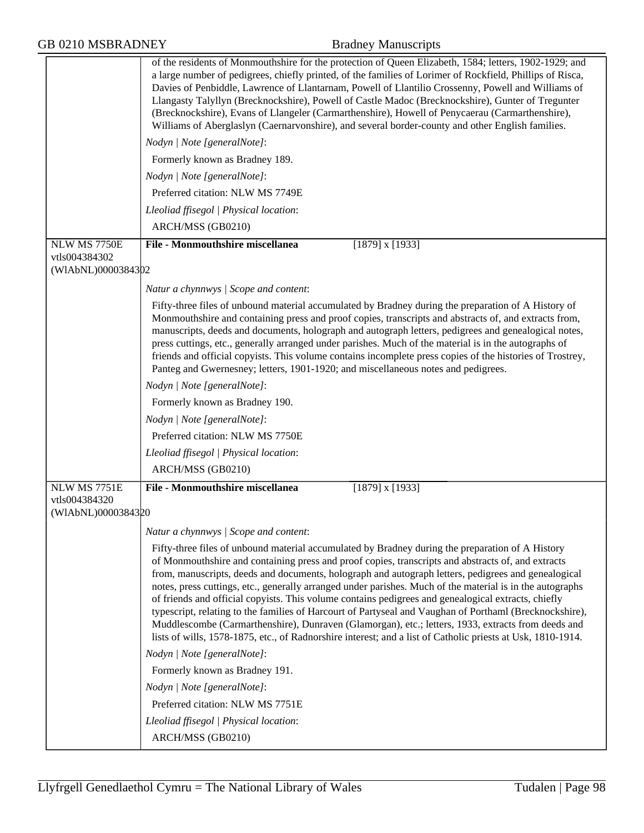| <b>GB 0210 MSBRADNEY</b>                            | <b>Bradney Manuscripts</b>                                                                                                                                                                                                                                                                                                                                                                                                                                                                                                                                                                                                                                                                                                                                                                                                                                        |
|-----------------------------------------------------|-------------------------------------------------------------------------------------------------------------------------------------------------------------------------------------------------------------------------------------------------------------------------------------------------------------------------------------------------------------------------------------------------------------------------------------------------------------------------------------------------------------------------------------------------------------------------------------------------------------------------------------------------------------------------------------------------------------------------------------------------------------------------------------------------------------------------------------------------------------------|
|                                                     | of the residents of Monmouthshire for the protection of Queen Elizabeth, 1584; letters, 1902-1929; and<br>a large number of pedigrees, chiefly printed, of the families of Lorimer of Rockfield, Phillips of Risca,<br>Davies of Penbiddle, Lawrence of Llantarnam, Powell of Llantilio Crossenny, Powell and Williams of<br>Llangasty Talyllyn (Brecknockshire), Powell of Castle Madoc (Brecknockshire), Gunter of Tregunter<br>(Brecknockshire), Evans of Llangeler (Carmarthenshire), Howell of Penycaerau (Carmarthenshire),<br>Williams of Aberglaslyn (Caernarvonshire), and several border-county and other English families.                                                                                                                                                                                                                             |
|                                                     | Nodyn   Note [generalNote]:                                                                                                                                                                                                                                                                                                                                                                                                                                                                                                                                                                                                                                                                                                                                                                                                                                       |
|                                                     | Formerly known as Bradney 189.                                                                                                                                                                                                                                                                                                                                                                                                                                                                                                                                                                                                                                                                                                                                                                                                                                    |
|                                                     | Nodyn   Note [generalNote]:                                                                                                                                                                                                                                                                                                                                                                                                                                                                                                                                                                                                                                                                                                                                                                                                                                       |
|                                                     | Preferred citation: NLW MS 7749E                                                                                                                                                                                                                                                                                                                                                                                                                                                                                                                                                                                                                                                                                                                                                                                                                                  |
|                                                     | Lleoliad ffisegol   Physical location:                                                                                                                                                                                                                                                                                                                                                                                                                                                                                                                                                                                                                                                                                                                                                                                                                            |
|                                                     | ARCH/MSS (GB0210)                                                                                                                                                                                                                                                                                                                                                                                                                                                                                                                                                                                                                                                                                                                                                                                                                                                 |
| NLW MS 7750E                                        | File - Monmouthshire miscellanea<br>$[1879]$ x $[1933]$                                                                                                                                                                                                                                                                                                                                                                                                                                                                                                                                                                                                                                                                                                                                                                                                           |
| vtls004384302<br>(WIAbNL)0000384302                 |                                                                                                                                                                                                                                                                                                                                                                                                                                                                                                                                                                                                                                                                                                                                                                                                                                                                   |
|                                                     | Natur a chynnwys / Scope and content:                                                                                                                                                                                                                                                                                                                                                                                                                                                                                                                                                                                                                                                                                                                                                                                                                             |
|                                                     | Fifty-three files of unbound material accumulated by Bradney during the preparation of A History of<br>Monmouthshire and containing press and proof copies, transcripts and abstracts of, and extracts from,<br>manuscripts, deeds and documents, holograph and autograph letters, pedigrees and genealogical notes,<br>press cuttings, etc., generally arranged under parishes. Much of the material is in the autographs of<br>friends and official copyists. This volume contains incomplete press copies of the histories of Trostrey,<br>Panteg and Gwernesney; letters, 1901-1920; and miscellaneous notes and pedigrees.                                                                                                                                                                                                                                   |
|                                                     | Nodyn   Note [generalNote]:                                                                                                                                                                                                                                                                                                                                                                                                                                                                                                                                                                                                                                                                                                                                                                                                                                       |
|                                                     | Formerly known as Bradney 190.                                                                                                                                                                                                                                                                                                                                                                                                                                                                                                                                                                                                                                                                                                                                                                                                                                    |
|                                                     | Nodyn   Note [generalNote]:                                                                                                                                                                                                                                                                                                                                                                                                                                                                                                                                                                                                                                                                                                                                                                                                                                       |
|                                                     | Preferred citation: NLW MS 7750E                                                                                                                                                                                                                                                                                                                                                                                                                                                                                                                                                                                                                                                                                                                                                                                                                                  |
|                                                     | Lleoliad ffisegol   Physical location:                                                                                                                                                                                                                                                                                                                                                                                                                                                                                                                                                                                                                                                                                                                                                                                                                            |
|                                                     | ARCH/MSS (GB0210)                                                                                                                                                                                                                                                                                                                                                                                                                                                                                                                                                                                                                                                                                                                                                                                                                                                 |
| NLW MS 7751E<br>vtls004384320<br>(WIAbNL)0000384320 | <b>File - Monmouthshire miscellanea</b><br>$[1879]$ x $[1933]$                                                                                                                                                                                                                                                                                                                                                                                                                                                                                                                                                                                                                                                                                                                                                                                                    |
|                                                     | Natur a chynnwys / Scope and content:                                                                                                                                                                                                                                                                                                                                                                                                                                                                                                                                                                                                                                                                                                                                                                                                                             |
|                                                     | Fifty-three files of unbound material accumulated by Bradney during the preparation of A History<br>of Monmouthshire and containing press and proof copies, transcripts and abstracts of, and extracts<br>from, manuscripts, deeds and documents, holograph and autograph letters, pedigrees and genealogical<br>notes, press cuttings, etc., generally arranged under parishes. Much of the material is in the autographs<br>of friends and official copyists. This volume contains pedigrees and genealogical extracts, chiefly<br>typescript, relating to the families of Harcourt of Partyseal and Vaughan of Porthaml (Brecknockshire),<br>Muddlescombe (Carmarthenshire), Dunraven (Glamorgan), etc.; letters, 1933, extracts from deeds and<br>lists of wills, 1578-1875, etc., of Radnorshire interest; and a list of Catholic priests at Usk, 1810-1914. |
|                                                     | Nodyn   Note [generalNote]:                                                                                                                                                                                                                                                                                                                                                                                                                                                                                                                                                                                                                                                                                                                                                                                                                                       |
|                                                     | Formerly known as Bradney 191.                                                                                                                                                                                                                                                                                                                                                                                                                                                                                                                                                                                                                                                                                                                                                                                                                                    |
|                                                     | Nodyn   Note [generalNote]:                                                                                                                                                                                                                                                                                                                                                                                                                                                                                                                                                                                                                                                                                                                                                                                                                                       |
|                                                     | Preferred citation: NLW MS 7751E                                                                                                                                                                                                                                                                                                                                                                                                                                                                                                                                                                                                                                                                                                                                                                                                                                  |
|                                                     | Lleoliad ffisegol   Physical location:                                                                                                                                                                                                                                                                                                                                                                                                                                                                                                                                                                                                                                                                                                                                                                                                                            |
|                                                     | ARCH/MSS (GB0210)                                                                                                                                                                                                                                                                                                                                                                                                                                                                                                                                                                                                                                                                                                                                                                                                                                                 |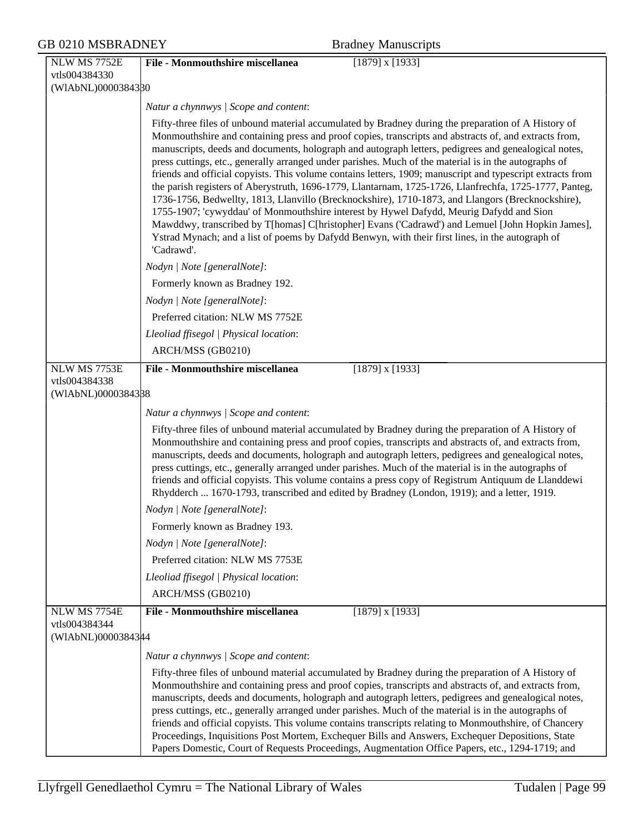### GB 0210 MSBRADNEY Bradney Manuscripts NLW MS 7752E vtls004384330 (WlAbNL)0000384330 **File - Monmouthshire miscellanea** [1879] x [1933] *Natur a chynnwys | Scope and content*: Fifty-three files of unbound material accumulated by Bradney during the preparation of A History of Monmouthshire and containing press and proof copies, transcripts and abstracts of, and extracts from, manuscripts, deeds and documents, holograph and autograph letters, pedigrees and genealogical notes, press cuttings, etc., generally arranged under parishes. Much of the material is in the autographs of friends and official copyists. This volume contains letters, 1909; manuscript and typescript extracts from the parish registers of Aberystruth, 1696-1779, Llantarnam, 1725-1726, Llanfrechfa, 1725-1777, Panteg, 1736-1756, Bedwellty, 1813, Llanvillo (Brecknockshire), 1710-1873, and Llangors (Brecknockshire), 1755-1907; 'cywyddau' of Monmouthshire interest by Hywel Dafydd, Meurig Dafydd and Sion Mawddwy, transcribed by T[homas] C[hristopher] Evans ('Cadrawd') and Lemuel [John Hopkin James], Ystrad Mynach; and a list of poems by Dafydd Benwyn, with their first lines, in the autograph of 'Cadrawd'. *Nodyn | Note [generalNote]*: Formerly known as Bradney 192. *Nodyn | Note [generalNote]*: Preferred citation: NLW MS 7752E *Lleoliad ffisegol | Physical location*: ARCH/MSS (GB0210) NLW MS 7753E vtls004384338 (WlAbNL)0000384338 **File - Monmouthshire miscellanea** [1879] x [1933] *Natur a chynnwys | Scope and content*: Fifty-three files of unbound material accumulated by Bradney during the preparation of A History of Monmouthshire and containing press and proof copies, transcripts and abstracts of, and extracts from, manuscripts, deeds and documents, holograph and autograph letters, pedigrees and genealogical notes, press cuttings, etc., generally arranged under parishes. Much of the material is in the autographs of friends and official copyists. This volume contains a press copy of Registrum Antiquum de Llanddewi Rhydderch ... 1670-1793, transcribed and edited by Bradney (London, 1919); and a letter, 1919. *Nodyn | Note [generalNote]*: Formerly known as Bradney 193. *Nodyn | Note [generalNote]*: Preferred citation: NLW MS 7753E *Lleoliad ffisegol | Physical location*: ARCH/MSS (GB0210) NLW MS 7754E vtls004384344 (WlAbNL)0000384344 **File - Monmouthshire miscellanea** [1879] x [1933] *Natur a chynnwys | Scope and content*: Fifty-three files of unbound material accumulated by Bradney during the preparation of A History of

Monmouthshire and containing press and proof copies, transcripts and abstracts of, and extracts from, manuscripts, deeds and documents, holograph and autograph letters, pedigrees and genealogical notes, press cuttings, etc., generally arranged under parishes. Much of the material is in the autographs of friends and official copyists. This volume contains transcripts relating to Monmouthshire, of Chancery Proceedings, Inquisitions Post Mortem, Exchequer Bills and Answers, Exchequer Depositions, State Papers Domestic, Court of Requests Proceedings, Augmentation Office Papers, etc., 1294-1719; and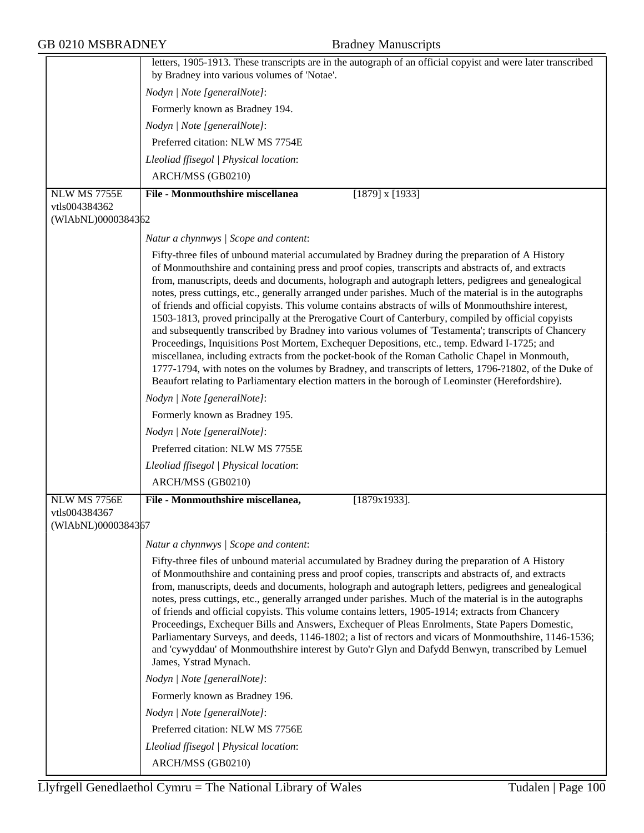|                                     | letters, 1905-1913. These transcripts are in the autograph of an official copyist and were later transcribed                                                                                                                                                                                                                                                                                                                                                                                                                                                                                                                                                                                                                                                                                                                                                                                                                                                                                                                                                                                                                                                         |
|-------------------------------------|----------------------------------------------------------------------------------------------------------------------------------------------------------------------------------------------------------------------------------------------------------------------------------------------------------------------------------------------------------------------------------------------------------------------------------------------------------------------------------------------------------------------------------------------------------------------------------------------------------------------------------------------------------------------------------------------------------------------------------------------------------------------------------------------------------------------------------------------------------------------------------------------------------------------------------------------------------------------------------------------------------------------------------------------------------------------------------------------------------------------------------------------------------------------|
|                                     | by Bradney into various volumes of 'Notae'.                                                                                                                                                                                                                                                                                                                                                                                                                                                                                                                                                                                                                                                                                                                                                                                                                                                                                                                                                                                                                                                                                                                          |
|                                     | Nodyn   Note [generalNote]:                                                                                                                                                                                                                                                                                                                                                                                                                                                                                                                                                                                                                                                                                                                                                                                                                                                                                                                                                                                                                                                                                                                                          |
|                                     | Formerly known as Bradney 194.                                                                                                                                                                                                                                                                                                                                                                                                                                                                                                                                                                                                                                                                                                                                                                                                                                                                                                                                                                                                                                                                                                                                       |
|                                     | Nodyn   Note [generalNote]:                                                                                                                                                                                                                                                                                                                                                                                                                                                                                                                                                                                                                                                                                                                                                                                                                                                                                                                                                                                                                                                                                                                                          |
|                                     | Preferred citation: NLW MS 7754E                                                                                                                                                                                                                                                                                                                                                                                                                                                                                                                                                                                                                                                                                                                                                                                                                                                                                                                                                                                                                                                                                                                                     |
|                                     | Lleoliad ffisegol   Physical location:                                                                                                                                                                                                                                                                                                                                                                                                                                                                                                                                                                                                                                                                                                                                                                                                                                                                                                                                                                                                                                                                                                                               |
|                                     | ARCH/MSS (GB0210)                                                                                                                                                                                                                                                                                                                                                                                                                                                                                                                                                                                                                                                                                                                                                                                                                                                                                                                                                                                                                                                                                                                                                    |
| NLW MS 7755E                        | <b>File - Monmouthshire miscellanea</b><br>$[1879]$ x $[1933]$                                                                                                                                                                                                                                                                                                                                                                                                                                                                                                                                                                                                                                                                                                                                                                                                                                                                                                                                                                                                                                                                                                       |
| vtls004384362<br>(WIAbNL)0000384362 |                                                                                                                                                                                                                                                                                                                                                                                                                                                                                                                                                                                                                                                                                                                                                                                                                                                                                                                                                                                                                                                                                                                                                                      |
|                                     |                                                                                                                                                                                                                                                                                                                                                                                                                                                                                                                                                                                                                                                                                                                                                                                                                                                                                                                                                                                                                                                                                                                                                                      |
|                                     | Natur a chynnwys / Scope and content:                                                                                                                                                                                                                                                                                                                                                                                                                                                                                                                                                                                                                                                                                                                                                                                                                                                                                                                                                                                                                                                                                                                                |
|                                     | Fifty-three files of unbound material accumulated by Bradney during the preparation of A History<br>of Monmouthshire and containing press and proof copies, transcripts and abstracts of, and extracts<br>from, manuscripts, deeds and documents, holograph and autograph letters, pedigrees and genealogical<br>notes, press cuttings, etc., generally arranged under parishes. Much of the material is in the autographs<br>of friends and official copyists. This volume contains abstracts of wills of Monmouthshire interest,<br>1503-1813, proved principally at the Prerogative Court of Canterbury, compiled by official copyists<br>and subsequently transcribed by Bradney into various volumes of 'Testamenta'; transcripts of Chancery<br>Proceedings, Inquisitions Post Mortem, Exchequer Depositions, etc., temp. Edward I-1725; and<br>miscellanea, including extracts from the pocket-book of the Roman Catholic Chapel in Monmouth,<br>1777-1794, with notes on the volumes by Bradney, and transcripts of letters, 1796-?1802, of the Duke of<br>Beaufort relating to Parliamentary election matters in the borough of Leominster (Herefordshire). |
|                                     | Nodyn   Note [generalNote]:                                                                                                                                                                                                                                                                                                                                                                                                                                                                                                                                                                                                                                                                                                                                                                                                                                                                                                                                                                                                                                                                                                                                          |
|                                     | Formerly known as Bradney 195.                                                                                                                                                                                                                                                                                                                                                                                                                                                                                                                                                                                                                                                                                                                                                                                                                                                                                                                                                                                                                                                                                                                                       |
|                                     | Nodyn   Note [generalNote]:                                                                                                                                                                                                                                                                                                                                                                                                                                                                                                                                                                                                                                                                                                                                                                                                                                                                                                                                                                                                                                                                                                                                          |
|                                     | Preferred citation: NLW MS 7755E                                                                                                                                                                                                                                                                                                                                                                                                                                                                                                                                                                                                                                                                                                                                                                                                                                                                                                                                                                                                                                                                                                                                     |
|                                     | Lleoliad ffisegol   Physical location:                                                                                                                                                                                                                                                                                                                                                                                                                                                                                                                                                                                                                                                                                                                                                                                                                                                                                                                                                                                                                                                                                                                               |
|                                     | ARCH/MSS (GB0210)                                                                                                                                                                                                                                                                                                                                                                                                                                                                                                                                                                                                                                                                                                                                                                                                                                                                                                                                                                                                                                                                                                                                                    |
| NLW MS 7756E                        | File - Monmouthshire miscellanea,<br>$[1879x1933]$ .                                                                                                                                                                                                                                                                                                                                                                                                                                                                                                                                                                                                                                                                                                                                                                                                                                                                                                                                                                                                                                                                                                                 |
| vtls004384367                       |                                                                                                                                                                                                                                                                                                                                                                                                                                                                                                                                                                                                                                                                                                                                                                                                                                                                                                                                                                                                                                                                                                                                                                      |
| (WIAbNL)0000384367                  |                                                                                                                                                                                                                                                                                                                                                                                                                                                                                                                                                                                                                                                                                                                                                                                                                                                                                                                                                                                                                                                                                                                                                                      |
|                                     | Natur a chynnwys / Scope and content:                                                                                                                                                                                                                                                                                                                                                                                                                                                                                                                                                                                                                                                                                                                                                                                                                                                                                                                                                                                                                                                                                                                                |
|                                     | Fifty-three files of unbound material accumulated by Bradney during the preparation of A History<br>of Monmouthshire and containing press and proof copies, transcripts and abstracts of, and extracts<br>from, manuscripts, deeds and documents, holograph and autograph letters, pedigrees and genealogical<br>notes, press cuttings, etc., generally arranged under parishes. Much of the material is in the autographs<br>of friends and official copyists. This volume contains letters, 1905-1914; extracts from Chancery<br>Proceedings, Exchequer Bills and Answers, Exchequer of Pleas Enrolments, State Papers Domestic,<br>Parliamentary Surveys, and deeds, 1146-1802; a list of rectors and vicars of Monmouthshire, 1146-1536;<br>and 'cywyddau' of Monmouthshire interest by Guto'r Glyn and Dafydd Benwyn, transcribed by Lemuel<br>James, Ystrad Mynach.                                                                                                                                                                                                                                                                                            |
|                                     | Nodyn   Note [generalNote]:                                                                                                                                                                                                                                                                                                                                                                                                                                                                                                                                                                                                                                                                                                                                                                                                                                                                                                                                                                                                                                                                                                                                          |
|                                     | Formerly known as Bradney 196.                                                                                                                                                                                                                                                                                                                                                                                                                                                                                                                                                                                                                                                                                                                                                                                                                                                                                                                                                                                                                                                                                                                                       |
|                                     | Nodyn   Note [generalNote]:                                                                                                                                                                                                                                                                                                                                                                                                                                                                                                                                                                                                                                                                                                                                                                                                                                                                                                                                                                                                                                                                                                                                          |
|                                     | Preferred citation: NLW MS 7756E                                                                                                                                                                                                                                                                                                                                                                                                                                                                                                                                                                                                                                                                                                                                                                                                                                                                                                                                                                                                                                                                                                                                     |
|                                     | Lleoliad ffisegol   Physical location:                                                                                                                                                                                                                                                                                                                                                                                                                                                                                                                                                                                                                                                                                                                                                                                                                                                                                                                                                                                                                                                                                                                               |
|                                     | ARCH/MSS (GB0210)                                                                                                                                                                                                                                                                                                                                                                                                                                                                                                                                                                                                                                                                                                                                                                                                                                                                                                                                                                                                                                                                                                                                                    |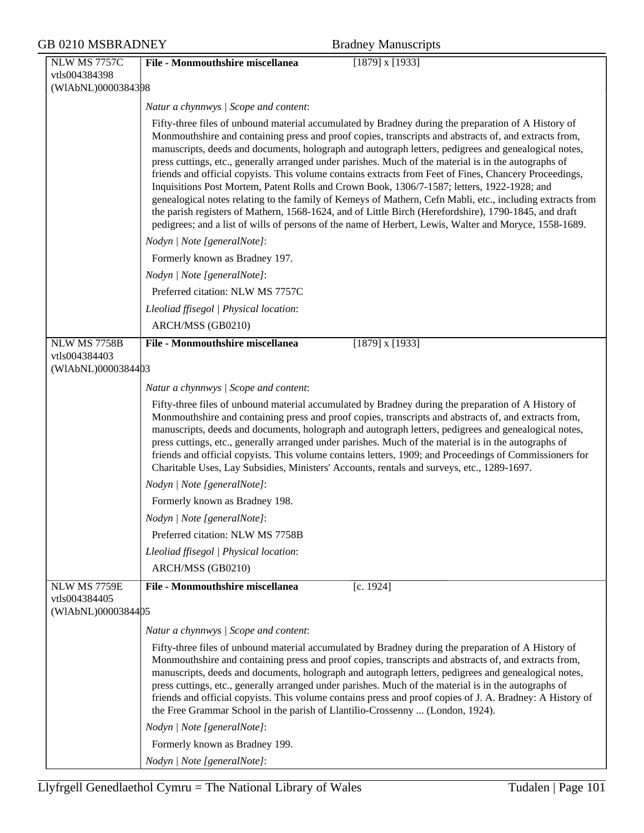| <b>GB 0210 MSBRADNEY</b>                                   | <b>Bradney Manuscripts</b>                                                                                                                                                                                                                                                                                                                                                                                                                                                                                                                                                                                                                                                                                                                                                                                                                                                                                                                                             |
|------------------------------------------------------------|------------------------------------------------------------------------------------------------------------------------------------------------------------------------------------------------------------------------------------------------------------------------------------------------------------------------------------------------------------------------------------------------------------------------------------------------------------------------------------------------------------------------------------------------------------------------------------------------------------------------------------------------------------------------------------------------------------------------------------------------------------------------------------------------------------------------------------------------------------------------------------------------------------------------------------------------------------------------|
| <b>NLW MS 7757C</b>                                        | File - Monmouthshire miscellanea<br>$[1879]$ x $[1933]$                                                                                                                                                                                                                                                                                                                                                                                                                                                                                                                                                                                                                                                                                                                                                                                                                                                                                                                |
| vtls004384398                                              |                                                                                                                                                                                                                                                                                                                                                                                                                                                                                                                                                                                                                                                                                                                                                                                                                                                                                                                                                                        |
| (WIAbNL)0000384398                                         |                                                                                                                                                                                                                                                                                                                                                                                                                                                                                                                                                                                                                                                                                                                                                                                                                                                                                                                                                                        |
|                                                            | Natur a chynnwys / Scope and content:                                                                                                                                                                                                                                                                                                                                                                                                                                                                                                                                                                                                                                                                                                                                                                                                                                                                                                                                  |
|                                                            | Fifty-three files of unbound material accumulated by Bradney during the preparation of A History of<br>Monmouthshire and containing press and proof copies, transcripts and abstracts of, and extracts from,<br>manuscripts, deeds and documents, holograph and autograph letters, pedigrees and genealogical notes,<br>press cuttings, etc., generally arranged under parishes. Much of the material is in the autographs of<br>friends and official copyists. This volume contains extracts from Feet of Fines, Chancery Proceedings,<br>Inquisitions Post Mortem, Patent Rolls and Crown Book, 1306/7-1587; letters, 1922-1928; and<br>genealogical notes relating to the family of Kemeys of Mathern, Cefn Mabli, etc., including extracts from<br>the parish registers of Mathern, 1568-1624, and of Little Birch (Herefordshire), 1790-1845, and draft<br>pedigrees; and a list of wills of persons of the name of Herbert, Lewis, Walter and Moryce, 1558-1689. |
|                                                            | Nodyn   Note [generalNote]:                                                                                                                                                                                                                                                                                                                                                                                                                                                                                                                                                                                                                                                                                                                                                                                                                                                                                                                                            |
|                                                            | Formerly known as Bradney 197.                                                                                                                                                                                                                                                                                                                                                                                                                                                                                                                                                                                                                                                                                                                                                                                                                                                                                                                                         |
|                                                            | Nodyn   Note [generalNote]:                                                                                                                                                                                                                                                                                                                                                                                                                                                                                                                                                                                                                                                                                                                                                                                                                                                                                                                                            |
|                                                            | Preferred citation: NLW MS 7757C                                                                                                                                                                                                                                                                                                                                                                                                                                                                                                                                                                                                                                                                                                                                                                                                                                                                                                                                       |
|                                                            | Lleoliad ffisegol   Physical location:                                                                                                                                                                                                                                                                                                                                                                                                                                                                                                                                                                                                                                                                                                                                                                                                                                                                                                                                 |
|                                                            | ARCH/MSS (GB0210)                                                                                                                                                                                                                                                                                                                                                                                                                                                                                                                                                                                                                                                                                                                                                                                                                                                                                                                                                      |
| <b>NLW MS 7758B</b>                                        | File - Monmouthshire miscellanea<br>$[1879]$ x $[1933]$                                                                                                                                                                                                                                                                                                                                                                                                                                                                                                                                                                                                                                                                                                                                                                                                                                                                                                                |
| vtls004384403<br>(WIAbNL)0000384403                        |                                                                                                                                                                                                                                                                                                                                                                                                                                                                                                                                                                                                                                                                                                                                                                                                                                                                                                                                                                        |
|                                                            | Natur a chynnwys / Scope and content:                                                                                                                                                                                                                                                                                                                                                                                                                                                                                                                                                                                                                                                                                                                                                                                                                                                                                                                                  |
|                                                            | Fifty-three files of unbound material accumulated by Bradney during the preparation of A History of<br>Monmouthshire and containing press and proof copies, transcripts and abstracts of, and extracts from,<br>manuscripts, deeds and documents, holograph and autograph letters, pedigrees and genealogical notes,<br>press cuttings, etc., generally arranged under parishes. Much of the material is in the autographs of<br>friends and official copyists. This volume contains letters, 1909; and Proceedings of Commissioners for<br>Charitable Uses, Lay Subsidies, Ministers' Accounts, rentals and surveys, etc., 1289-1697.                                                                                                                                                                                                                                                                                                                                 |
|                                                            | Nodyn   Note [generalNote]:                                                                                                                                                                                                                                                                                                                                                                                                                                                                                                                                                                                                                                                                                                                                                                                                                                                                                                                                            |
|                                                            | Formerly known as Bradney 198.                                                                                                                                                                                                                                                                                                                                                                                                                                                                                                                                                                                                                                                                                                                                                                                                                                                                                                                                         |
|                                                            | Nodyn   Note [generalNote]:                                                                                                                                                                                                                                                                                                                                                                                                                                                                                                                                                                                                                                                                                                                                                                                                                                                                                                                                            |
|                                                            | Preferred citation: NLW MS 7758B                                                                                                                                                                                                                                                                                                                                                                                                                                                                                                                                                                                                                                                                                                                                                                                                                                                                                                                                       |
|                                                            | Lleoliad ffisegol   Physical location:                                                                                                                                                                                                                                                                                                                                                                                                                                                                                                                                                                                                                                                                                                                                                                                                                                                                                                                                 |
|                                                            | ARCH/MSS (GB0210)                                                                                                                                                                                                                                                                                                                                                                                                                                                                                                                                                                                                                                                                                                                                                                                                                                                                                                                                                      |
| <b>NLW MS 7759E</b><br>vtls004384405<br>(WIAbNL)0000384405 | <b>File - Monmouthshire miscellanea</b><br>[c. 1924]                                                                                                                                                                                                                                                                                                                                                                                                                                                                                                                                                                                                                                                                                                                                                                                                                                                                                                                   |
|                                                            | Natur a chynnwys / Scope and content:                                                                                                                                                                                                                                                                                                                                                                                                                                                                                                                                                                                                                                                                                                                                                                                                                                                                                                                                  |
|                                                            | Fifty-three files of unbound material accumulated by Bradney during the preparation of A History of<br>Monmouthshire and containing press and proof copies, transcripts and abstracts of, and extracts from,<br>manuscripts, deeds and documents, holograph and autograph letters, pedigrees and genealogical notes,<br>press cuttings, etc., generally arranged under parishes. Much of the material is in the autographs of<br>friends and official copyists. This volume contains press and proof copies of J. A. Bradney: A History of<br>the Free Grammar School in the parish of Llantilio-Crossenny  (London, 1924).                                                                                                                                                                                                                                                                                                                                            |
|                                                            | Nodyn   Note [generalNote]:                                                                                                                                                                                                                                                                                                                                                                                                                                                                                                                                                                                                                                                                                                                                                                                                                                                                                                                                            |
|                                                            | Formerly known as Bradney 199.                                                                                                                                                                                                                                                                                                                                                                                                                                                                                                                                                                                                                                                                                                                                                                                                                                                                                                                                         |
|                                                            | Nodyn   Note [generalNote]:                                                                                                                                                                                                                                                                                                                                                                                                                                                                                                                                                                                                                                                                                                                                                                                                                                                                                                                                            |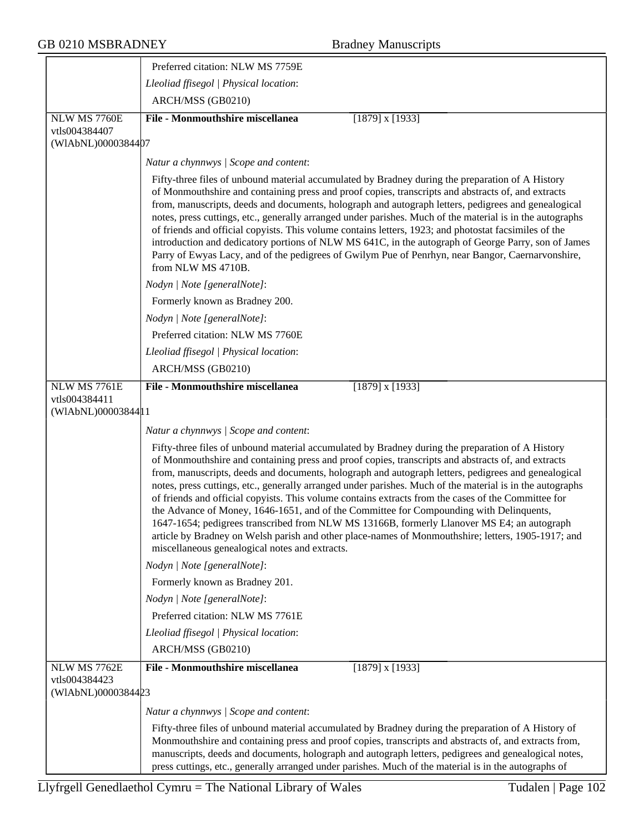|                                                  | Preferred citation: NLW MS 7759E                                                                                                                                                                                                                                                                                                                                                                                                                                                                                                                                                                                                                                                                                                                                                                                                                                                   |
|--------------------------------------------------|------------------------------------------------------------------------------------------------------------------------------------------------------------------------------------------------------------------------------------------------------------------------------------------------------------------------------------------------------------------------------------------------------------------------------------------------------------------------------------------------------------------------------------------------------------------------------------------------------------------------------------------------------------------------------------------------------------------------------------------------------------------------------------------------------------------------------------------------------------------------------------|
|                                                  | Lleoliad ffisegol   Physical location:                                                                                                                                                                                                                                                                                                                                                                                                                                                                                                                                                                                                                                                                                                                                                                                                                                             |
|                                                  | ARCH/MSS (GB0210)                                                                                                                                                                                                                                                                                                                                                                                                                                                                                                                                                                                                                                                                                                                                                                                                                                                                  |
| NLW MS 7760E                                     | <b>File - Monmouthshire miscellanea</b><br>$[1879]$ x $[1933]$                                                                                                                                                                                                                                                                                                                                                                                                                                                                                                                                                                                                                                                                                                                                                                                                                     |
| vtls004384407<br>(WIAbNL)0000384407              |                                                                                                                                                                                                                                                                                                                                                                                                                                                                                                                                                                                                                                                                                                                                                                                                                                                                                    |
|                                                  | Natur a chynnwys / Scope and content:                                                                                                                                                                                                                                                                                                                                                                                                                                                                                                                                                                                                                                                                                                                                                                                                                                              |
|                                                  | Fifty-three files of unbound material accumulated by Bradney during the preparation of A History<br>of Monmouthshire and containing press and proof copies, transcripts and abstracts of, and extracts<br>from, manuscripts, deeds and documents, holograph and autograph letters, pedigrees and genealogical<br>notes, press cuttings, etc., generally arranged under parishes. Much of the material is in the autographs<br>of friends and official copyists. This volume contains letters, 1923; and photostat facsimiles of the<br>introduction and dedicatory portions of NLW MS 641C, in the autograph of George Parry, son of James<br>Parry of Ewyas Lacy, and of the pedigrees of Gwilym Pue of Penrhyn, near Bangor, Caernarvonshire,<br>from NLW MS 4710B.                                                                                                              |
|                                                  | Nodyn   Note [generalNote]:                                                                                                                                                                                                                                                                                                                                                                                                                                                                                                                                                                                                                                                                                                                                                                                                                                                        |
|                                                  | Formerly known as Bradney 200.                                                                                                                                                                                                                                                                                                                                                                                                                                                                                                                                                                                                                                                                                                                                                                                                                                                     |
|                                                  | Nodyn   Note [generalNote]:                                                                                                                                                                                                                                                                                                                                                                                                                                                                                                                                                                                                                                                                                                                                                                                                                                                        |
|                                                  | Preferred citation: NLW MS 7760E                                                                                                                                                                                                                                                                                                                                                                                                                                                                                                                                                                                                                                                                                                                                                                                                                                                   |
|                                                  | Lleoliad ffisegol   Physical location:                                                                                                                                                                                                                                                                                                                                                                                                                                                                                                                                                                                                                                                                                                                                                                                                                                             |
|                                                  | ARCH/MSS (GB0210)                                                                                                                                                                                                                                                                                                                                                                                                                                                                                                                                                                                                                                                                                                                                                                                                                                                                  |
| NLW MS 7761E                                     | <b>File - Monmouthshire miscellanea</b><br>$[1879]$ x $[1933]$                                                                                                                                                                                                                                                                                                                                                                                                                                                                                                                                                                                                                                                                                                                                                                                                                     |
| vtls004384411<br>(WIAbNL)00003844 <sup>1</sup> 1 |                                                                                                                                                                                                                                                                                                                                                                                                                                                                                                                                                                                                                                                                                                                                                                                                                                                                                    |
|                                                  | Natur a chynnwys / Scope and content:                                                                                                                                                                                                                                                                                                                                                                                                                                                                                                                                                                                                                                                                                                                                                                                                                                              |
|                                                  | Fifty-three files of unbound material accumulated by Bradney during the preparation of A History<br>of Monmouthshire and containing press and proof copies, transcripts and abstracts of, and extracts<br>from, manuscripts, deeds and documents, holograph and autograph letters, pedigrees and genealogical<br>notes, press cuttings, etc., generally arranged under parishes. Much of the material is in the autographs<br>of friends and official copyists. This volume contains extracts from the cases of the Committee for<br>the Advance of Money, 1646-1651, and of the Committee for Compounding with Delinquents,<br>1647-1654; pedigrees transcribed from NLW MS 13166B, formerly Llanover MS E4; an autograph<br>article by Bradney on Welsh parish and other place-names of Monmouthshire; letters, 1905-1917; and<br>miscellaneous genealogical notes and extracts. |
|                                                  | Nodyn   Note [generalNote]:                                                                                                                                                                                                                                                                                                                                                                                                                                                                                                                                                                                                                                                                                                                                                                                                                                                        |
|                                                  | Formerly known as Bradney 201.                                                                                                                                                                                                                                                                                                                                                                                                                                                                                                                                                                                                                                                                                                                                                                                                                                                     |
|                                                  | Nodyn   Note [generalNote]:                                                                                                                                                                                                                                                                                                                                                                                                                                                                                                                                                                                                                                                                                                                                                                                                                                                        |
|                                                  | Preferred citation: NLW MS 7761E                                                                                                                                                                                                                                                                                                                                                                                                                                                                                                                                                                                                                                                                                                                                                                                                                                                   |
|                                                  | Lleoliad ffisegol   Physical location:                                                                                                                                                                                                                                                                                                                                                                                                                                                                                                                                                                                                                                                                                                                                                                                                                                             |
|                                                  | ARCH/MSS (GB0210)                                                                                                                                                                                                                                                                                                                                                                                                                                                                                                                                                                                                                                                                                                                                                                                                                                                                  |
| NLW MS 7762E<br>vtls004384423                    | <b>File - Monmouthshire miscellanea</b><br>$[1879]$ x $[1933]$                                                                                                                                                                                                                                                                                                                                                                                                                                                                                                                                                                                                                                                                                                                                                                                                                     |
| (WIAbNL)0000384423                               |                                                                                                                                                                                                                                                                                                                                                                                                                                                                                                                                                                                                                                                                                                                                                                                                                                                                                    |
|                                                  | Natur a chynnwys / Scope and content:                                                                                                                                                                                                                                                                                                                                                                                                                                                                                                                                                                                                                                                                                                                                                                                                                                              |
|                                                  | Fifty-three files of unbound material accumulated by Bradney during the preparation of A History of<br>Monmouthshire and containing press and proof copies, transcripts and abstracts of, and extracts from,<br>manuscripts, deeds and documents, holograph and autograph letters, pedigrees and genealogical notes,<br>press cuttings, etc., generally arranged under parishes. Much of the material is in the autographs of                                                                                                                                                                                                                                                                                                                                                                                                                                                      |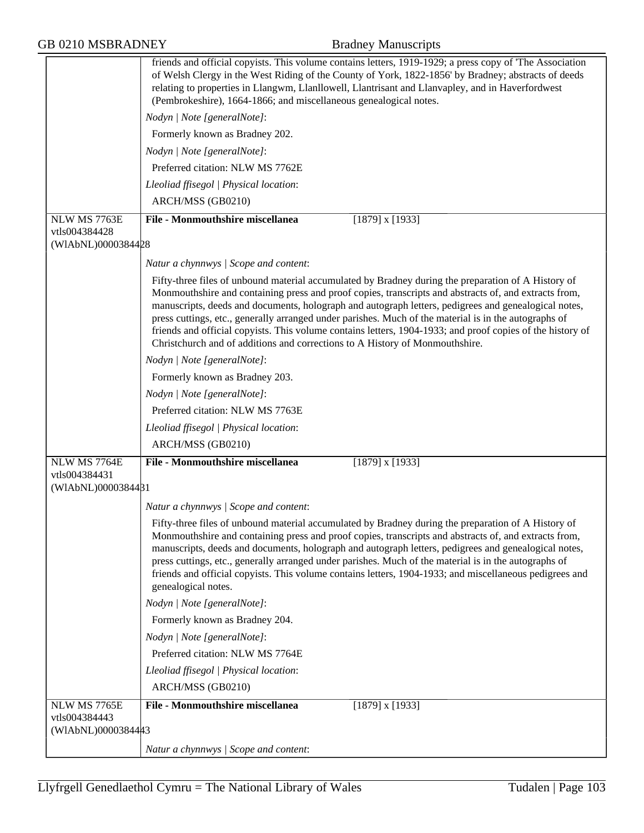|                                     | friends and official copyists. This volume contains letters, 1919-1929; a press copy of 'The Association<br>of Welsh Clergy in the West Riding of the County of York, 1822-1856' by Bradney; abstracts of deeds<br>relating to properties in Llangwm, Llanllowell, Llantrisant and Llanvapley, and in Haverfordwest<br>(Pembrokeshire), 1664-1866; and miscellaneous genealogical notes.                                                                                                                                                                                                                                    |
|-------------------------------------|-----------------------------------------------------------------------------------------------------------------------------------------------------------------------------------------------------------------------------------------------------------------------------------------------------------------------------------------------------------------------------------------------------------------------------------------------------------------------------------------------------------------------------------------------------------------------------------------------------------------------------|
|                                     | Nodyn   Note [generalNote]:                                                                                                                                                                                                                                                                                                                                                                                                                                                                                                                                                                                                 |
|                                     | Formerly known as Bradney 202.                                                                                                                                                                                                                                                                                                                                                                                                                                                                                                                                                                                              |
|                                     | Nodyn   Note [generalNote]:                                                                                                                                                                                                                                                                                                                                                                                                                                                                                                                                                                                                 |
|                                     | Preferred citation: NLW MS 7762E                                                                                                                                                                                                                                                                                                                                                                                                                                                                                                                                                                                            |
|                                     | Lleoliad ffisegol   Physical location:                                                                                                                                                                                                                                                                                                                                                                                                                                                                                                                                                                                      |
|                                     | ARCH/MSS (GB0210)                                                                                                                                                                                                                                                                                                                                                                                                                                                                                                                                                                                                           |
| NLW MS 7763E                        | <b>File - Monmouthshire miscellanea</b><br>$[1879]$ x $[1933]$                                                                                                                                                                                                                                                                                                                                                                                                                                                                                                                                                              |
| vtls004384428<br>(WIAbNL)0000384428 |                                                                                                                                                                                                                                                                                                                                                                                                                                                                                                                                                                                                                             |
|                                     |                                                                                                                                                                                                                                                                                                                                                                                                                                                                                                                                                                                                                             |
|                                     | Natur a chynnwys / Scope and content:                                                                                                                                                                                                                                                                                                                                                                                                                                                                                                                                                                                       |
|                                     | Fifty-three files of unbound material accumulated by Bradney during the preparation of A History of<br>Monmouthshire and containing press and proof copies, transcripts and abstracts of, and extracts from,<br>manuscripts, deeds and documents, holograph and autograph letters, pedigrees and genealogical notes,<br>press cuttings, etc., generally arranged under parishes. Much of the material is in the autographs of<br>friends and official copyists. This volume contains letters, 1904-1933; and proof copies of the history of<br>Christchurch and of additions and corrections to A History of Monmouthshire. |
|                                     | Nodyn   Note [generalNote]:                                                                                                                                                                                                                                                                                                                                                                                                                                                                                                                                                                                                 |
|                                     | Formerly known as Bradney 203.                                                                                                                                                                                                                                                                                                                                                                                                                                                                                                                                                                                              |
|                                     | Nodyn   Note [generalNote]:                                                                                                                                                                                                                                                                                                                                                                                                                                                                                                                                                                                                 |
|                                     | Preferred citation: NLW MS 7763E                                                                                                                                                                                                                                                                                                                                                                                                                                                                                                                                                                                            |
|                                     | Lleoliad ffisegol   Physical location:                                                                                                                                                                                                                                                                                                                                                                                                                                                                                                                                                                                      |
|                                     | ARCH/MSS (GB0210)                                                                                                                                                                                                                                                                                                                                                                                                                                                                                                                                                                                                           |
| NLW MS 7764E<br>vtls004384431       | <b>File - Monmouthshire miscellanea</b><br>$[1879]$ x $[1933]$                                                                                                                                                                                                                                                                                                                                                                                                                                                                                                                                                              |
| (WIAbNL)0000384481                  |                                                                                                                                                                                                                                                                                                                                                                                                                                                                                                                                                                                                                             |
|                                     | Natur a chynnwys / Scope and content:                                                                                                                                                                                                                                                                                                                                                                                                                                                                                                                                                                                       |
|                                     | Fifty-three files of unbound material accumulated by Bradney during the preparation of A History of<br>Monmouthshire and containing press and proof copies, transcripts and abstracts of, and extracts from,<br>manuscripts, deeds and documents, holograph and autograph letters, pedigrees and genealogical notes,<br>press cuttings, etc., generally arranged under parishes. Much of the material is in the autographs of<br>friends and official copyists. This volume contains letters, 1904-1933; and miscellaneous pedigrees and<br>genealogical notes.                                                             |
|                                     | Nodyn   Note [generalNote]:                                                                                                                                                                                                                                                                                                                                                                                                                                                                                                                                                                                                 |
|                                     | Formerly known as Bradney 204.                                                                                                                                                                                                                                                                                                                                                                                                                                                                                                                                                                                              |
|                                     | Nodyn   Note [generalNote]:                                                                                                                                                                                                                                                                                                                                                                                                                                                                                                                                                                                                 |
|                                     | Preferred citation: NLW MS 7764E                                                                                                                                                                                                                                                                                                                                                                                                                                                                                                                                                                                            |
|                                     | Lleoliad ffisegol   Physical location:                                                                                                                                                                                                                                                                                                                                                                                                                                                                                                                                                                                      |
|                                     | ARCH/MSS (GB0210)                                                                                                                                                                                                                                                                                                                                                                                                                                                                                                                                                                                                           |
| NLW MS 7765E                        | <b>File - Monmouthshire miscellanea</b><br>$[1879]$ x $[1933]$                                                                                                                                                                                                                                                                                                                                                                                                                                                                                                                                                              |
| vtls004384443<br>(WIAbNL)0000384443 |                                                                                                                                                                                                                                                                                                                                                                                                                                                                                                                                                                                                                             |
|                                     | Natur a chynnwys / Scope and content:                                                                                                                                                                                                                                                                                                                                                                                                                                                                                                                                                                                       |